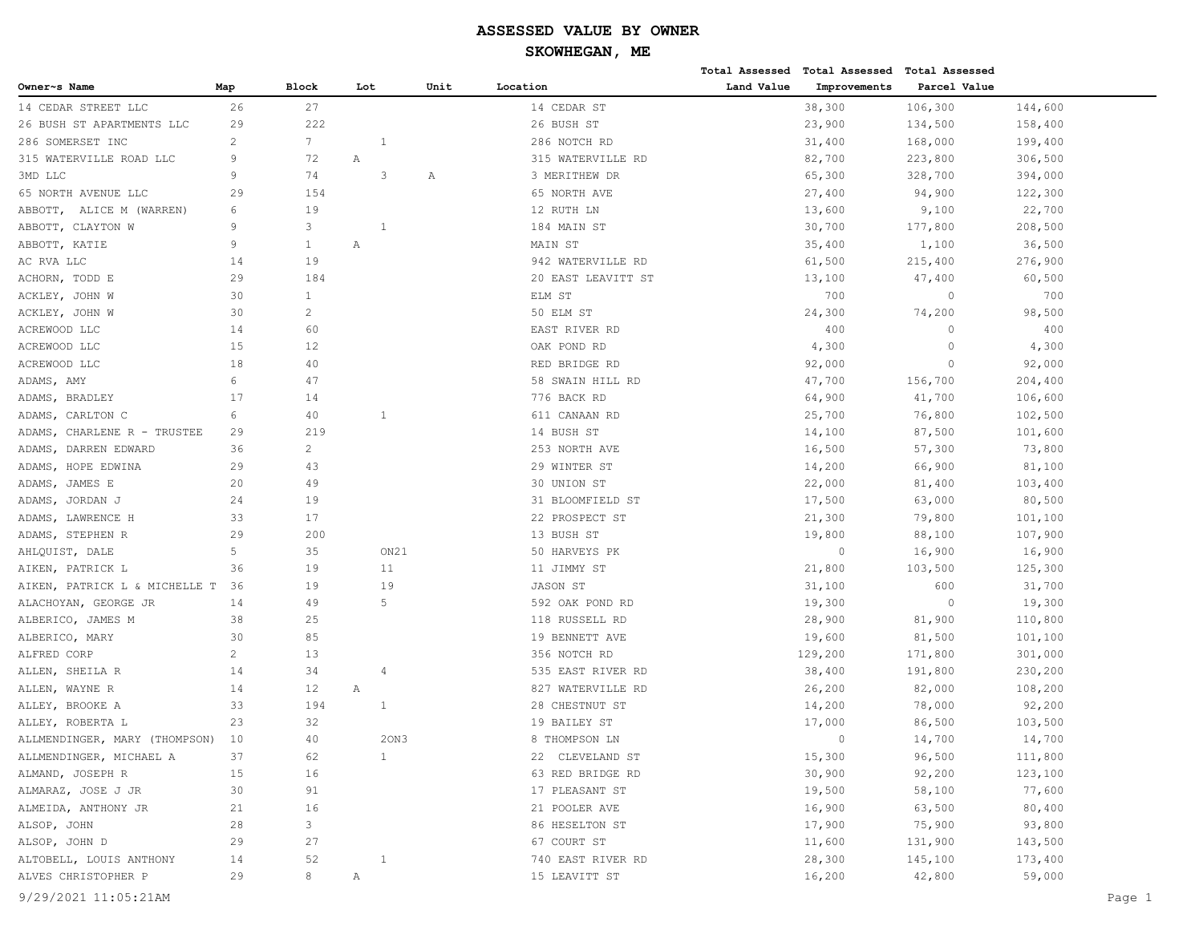|                                |                |                   |     |              |      |                    |            | Total Assessed Total Assessed Total Assessed |              |         |
|--------------------------------|----------------|-------------------|-----|--------------|------|--------------------|------------|----------------------------------------------|--------------|---------|
| Owner~s Name                   | Map            | <b>Block</b>      | Lot |              | Unit | Location           | Land Value | Improvements                                 | Parcel Value |         |
| 14 CEDAR STREET LLC            | 26             | 27                |     |              |      | 14 CEDAR ST        |            | 38,300                                       | 106,300      | 144,600 |
| 26 BUSH ST APARTMENTS LLC      | 29             | 222               |     |              |      | 26 BUSH ST         |            | 23,900                                       | 134,500      | 158,400 |
| 286 SOMERSET INC               | $\mathbf{2}$   | $7\overline{ }$   |     | 1            |      | 286 NOTCH RD       |            | 31,400                                       | 168,000      | 199,400 |
| 315 WATERVILLE ROAD LLC        | 9              | 72                | Α   |              |      | 315 WATERVILLE RD  |            | 82,700                                       | 223,800      | 306,500 |
| 3MD LLC                        | 9              | 74                |     | 3            | Α    | 3 MERITHEW DR      |            | 65,300                                       | 328,700      | 394,000 |
| 65 NORTH AVENUE LLC            | 29             | 154               |     |              |      | 65 NORTH AVE       |            | 27,400                                       | 94,900       | 122,300 |
| ABBOTT, ALICE M (WARREN)       | 6              | 19                |     |              |      | 12 RUTH LN         |            | 13,600                                       | 9,100        | 22,700  |
| ABBOTT, CLAYTON W              | 9              | 3                 |     | 1            |      | 184 MAIN ST        |            | 30,700                                       | 177,800      | 208,500 |
| ABBOTT, KATIE                  | 9              | $\mathbf{1}$      | Α   |              |      | MAIN ST            |            | 35,400                                       | 1,100        | 36,500  |
| AC RVA LLC                     | 14             | 19                |     |              |      | 942 WATERVILLE RD  |            | 61,500                                       | 215,400      | 276,900 |
| ACHORN, TODD E                 | 29             | 184               |     |              |      | 20 EAST LEAVITT ST |            | 13,100                                       | 47,400       | 60,500  |
| ACKLEY, JOHN W                 | 30             | $\mathbf{1}$      |     |              |      | ELM ST             |            | 700                                          | $\circ$      | 700     |
| ACKLEY, JOHN W                 | 30             | 2                 |     |              |      | 50 ELM ST          |            | 24,300                                       | 74,200       | 98,500  |
| ACREWOOD LLC                   | 14             | 60                |     |              |      | EAST RIVER RD      |            | 400                                          | $\mathbf{0}$ | 400     |
| ACREWOOD LLC                   | 15             | 12                |     |              |      | OAK POND RD        |            | 4,300                                        | $\circ$      | 4,300   |
| ACREWOOD LLC                   | 18             | 40                |     |              |      | RED BRIDGE RD      |            | 92,000                                       | $\circ$      | 92,000  |
| ADAMS, AMY                     | 6              | 47                |     |              |      | 58 SWAIN HILL RD   |            | 47,700                                       | 156,700      | 204,400 |
| ADAMS,<br>BRADLEY              | 17             | 14                |     |              |      | 776 BACK RD        |            | 64,900                                       | 41,700       | 106,600 |
| CARLTON C<br>ADAMS,            | 6              | 40                |     | 1            |      | 611 CANAAN RD      |            | 25,700                                       | 76,800       | 102,500 |
| CHARLENE R - TRUSTEE<br>ADAMS, | 29             | 219               |     |              |      | 14 BUSH ST         |            | 14,100                                       | 87,500       | 101,600 |
| DARREN EDWARD<br>ADAMS,        | 36             | $\overline{c}$    |     |              |      | 253 NORTH AVE      |            | 16,500                                       | 57,300       | 73,800  |
| ADAMS,<br>HOPE EDWINA          | 29             | 43                |     |              |      | 29 WINTER ST       |            | 14,200                                       | 66,900       | 81,100  |
| ADAMS, JAMES E                 | 20             | 49                |     |              |      | 30 UNION ST        |            | 22,000                                       | 81,400       | 103,400 |
| ADAMS, JORDAN J                | 24             | 19                |     |              |      | 31 BLOOMFIELD ST   |            | 17,500                                       | 63,000       | 80,500  |
| ADAMS, LAWRENCE H              | 33             | 17                |     |              |      | 22 PROSPECT ST     |            | 21,300                                       | 79,800       | 101,100 |
| ADAMS,<br>STEPHEN R            | 29             | 200               |     |              |      | 13 BUSH ST         |            | 19,800                                       | 88,100       | 107,900 |
| AHLQUIST, DALE                 | 5              | 35                |     | ON21         |      | 50 HARVEYS PK      |            | $\circ$                                      | 16,900       | 16,900  |
| AIKEN, PATRICK L               | 36             | 19                |     | 11           |      | 11 JIMMY ST        |            | 21,800                                       | 103,500      | 125,300 |
| AIKEN, PATRICK L & MICHELLE T  | 36             | 19                |     | 19           |      | JASON ST           |            | 31,100                                       | 600          | 31,700  |
| ALACHOYAN, GEORGE JR           | 14             | 49                |     | 5            |      | 592 OAK POND RD    |            | 19,300                                       | $\circ$      | 19,300  |
| ALBERICO, JAMES M              | 38             | 25                |     |              |      | 118 RUSSELL RD     |            | 28,900                                       | 81,900       | 110,800 |
| ALBERICO, MARY                 | 30             | 85                |     |              |      | 19 BENNETT AVE     |            | 19,600                                       | 81,500       | 101,100 |
| ALFRED CORP                    | $\overline{c}$ | 13                |     |              |      | 356 NOTCH RD       |            | 129,200                                      | 171,800      | 301,000 |
| ALLEN, SHEILA R                | 14             | 34                |     | 4            |      | 535 EAST RIVER RD  |            | 38,400                                       | 191,800      | 230,200 |
| ALLEN, WAYNE R                 | 14             | $12 \overline{ }$ | Α   |              |      | 827 WATERVILLE RD  |            | 26,200                                       | 82,000       | 108,200 |
| ALLEY, BROOKE A                | 33             | 194               |     | 1            |      | 28 CHESTNUT ST     |            | 14,200                                       | 78,000       | 92,200  |
| ALLEY, ROBERTA L               | 23             | 32                |     |              |      | 19 BAILEY ST       |            | 17,000                                       | 86,500       | 103,500 |
| ALLMENDINGER, MARY (THOMPSON)  | 10             | 40                |     | 20N3         |      | 8 THOMPSON LN      |            | $\Omega$                                     | 14,700       | 14,700  |
| ALLMENDINGER, MICHAEL A        | 37             | 62                |     | $\mathbf{1}$ |      | 22 CLEVELAND ST    |            | 15,300                                       | 96,500       | 111,800 |
| ALMAND, JOSEPH R               | 15             | 16                |     |              |      | 63 RED BRIDGE RD   |            | 30,900                                       | 92,200       | 123,100 |
| ALMARAZ, JOSE J JR             | 30             | 91                |     |              |      | 17 PLEASANT ST     |            | 19,500                                       | 58,100       | 77,600  |
| ALMEIDA, ANTHONY JR            | 21             | 16                |     |              |      | 21 POOLER AVE      |            | 16,900                                       | 63,500       | 80,400  |
| ALSOP, JOHN                    | 28             | 3                 |     |              |      | 86 HESELTON ST     |            | 17,900                                       | 75,900       | 93,800  |
| ALSOP, JOHN D                  | 29             | 27                |     |              |      | 67 COURT ST        |            | 11,600                                       | 131,900      | 143,500 |
| ALTOBELL, LOUIS ANTHONY        | 14             | 52                |     | 1            |      | 740 EAST RIVER RD  |            | 28,300                                       | 145,100      | 173,400 |
| ALVES CHRISTOPHER P            | 29             | 8                 | Α   |              |      | 15 LEAVITT ST      |            | 16,200                                       | 42,800       | 59,000  |
| 9/29/2021 11:05:21AM           |                |                   |     |              |      |                    |            |                                              |              | Page 1  |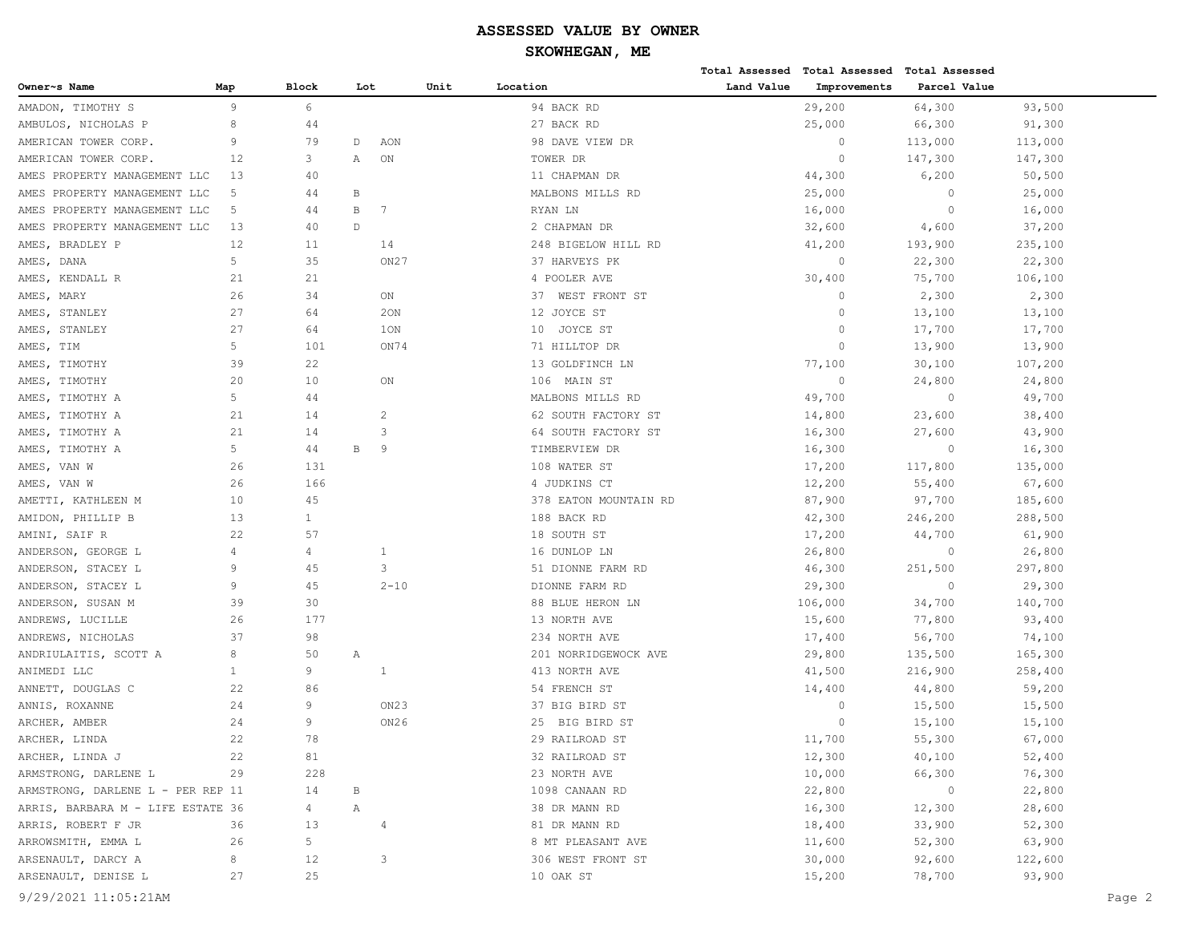|                                   |                |                |              |                  |      |                       |            | Total Assessed Total Assessed Total Assessed |              |         |        |
|-----------------------------------|----------------|----------------|--------------|------------------|------|-----------------------|------------|----------------------------------------------|--------------|---------|--------|
| Owner~s Name                      | Map            | <b>Block</b>   | Lot          |                  | Unit | Location              | Land Value | Improvements                                 | Parcel Value |         |        |
| AMADON, TIMOTHY S                 | 9              | 6              |              |                  |      | 94 BACK RD            |            | 29,200                                       | 64,300       | 93,500  |        |
| AMBULOS, NICHOLAS P               | 8              | 44             |              |                  |      | 27 BACK RD            |            | 25,000                                       | 66,300       | 91,300  |        |
| AMERICAN TOWER CORP.              | $\overline{9}$ | 79             | D            | AON              |      | 98 DAVE VIEW DR       |            | $\circ$                                      | 113,000      | 113,000 |        |
| AMERICAN TOWER CORP.              | 12             | 3              | Α            | ON               |      | TOWER DR              |            | $\circ$                                      | 147,300      | 147,300 |        |
| AMES PROPERTY MANAGEMENT LLC      | 13             | 40             |              |                  |      | 11 CHAPMAN DR         |            | 44,300                                       | 6,200        | 50,500  |        |
| AMES PROPERTY MANAGEMENT LLC      | 5              | 44             | $\, {\bf B}$ |                  |      | MALBONS MILLS RD      |            | 25,000                                       | $\circ$      | 25,000  |        |
| AMES PROPERTY MANAGEMENT LLC      | 5              | 44             | $\, {\bf B}$ | 7                |      | RYAN LN               |            | 16,000                                       | $\circ$      | 16,000  |        |
| AMES PROPERTY MANAGEMENT LLC      | 13             | 40             | $\mathbb D$  |                  |      | 2 CHAPMAN DR          |            | 32,600                                       | 4,600        | 37,200  |        |
| AMES, BRADLEY P                   | 12             | 11             |              | 14               |      | 248 BIGELOW HILL RD   |            | 41,200                                       | 193,900      | 235,100 |        |
| AMES, DANA                        | 5              | 35             |              | ON <sub>27</sub> |      | 37 HARVEYS PK         |            | $\circ$                                      | 22,300       | 22,300  |        |
| AMES, KENDALL R                   | 21             | 21             |              |                  |      | 4 POOLER AVE          |            | 30,400                                       | 75,700       | 106,100 |        |
| AMES, MARY                        | 26             | 34             |              | ON               |      | 37 WEST FRONT ST      |            | 0                                            | 2,300        | 2,300   |        |
| AMES, STANLEY                     | 27             | 64             |              | 20N              |      | 12 JOYCE ST           |            | $\Omega$                                     | 13,100       | 13,100  |        |
| AMES, STANLEY                     | 27             | 64             |              | 1ON              |      | 10 JOYCE ST           |            | $\Omega$                                     | 17,700       | 17,700  |        |
| AMES, TIM                         | 5              | 101            |              | ON74             |      | 71 HILLTOP DR         |            | $\Omega$                                     | 13,900       | 13,900  |        |
| AMES, TIMOTHY                     | 39             | 22             |              |                  |      | 13 GOLDFINCH LN       |            | 77,100                                       | 30,100       | 107,200 |        |
| AMES, TIMOTHY                     | 20             | 10             |              | ON               |      | 106 MAIN ST           |            | $\circ$                                      | 24,800       | 24,800  |        |
| AMES, TIMOTHY A                   | 5              | 44             |              |                  |      | MALBONS MILLS RD      |            | 49,700                                       | $\circ$      | 49,700  |        |
| AMES, TIMOTHY A                   | 21             | 14             |              | 2                |      | 62 SOUTH FACTORY ST   |            | 14,800                                       | 23,600       | 38,400  |        |
| AMES, TIMOTHY A                   | 21             | 14             |              | 3                |      | 64 SOUTH FACTORY ST   |            | 16,300                                       | 27,600       | 43,900  |        |
| AMES, TIMOTHY A                   | 5              | 44             | В            | 9                |      | TIMBERVIEW DR         |            | 16,300                                       | $\circ$      | 16,300  |        |
| AMES, VAN W                       | 26             | 131            |              |                  |      | 108 WATER ST          |            | 17,200                                       | 117,800      | 135,000 |        |
| AMES, VAN W                       | 26             | 166            |              |                  |      | 4 JUDKINS CT          |            | 12,200                                       | 55,400       | 67,600  |        |
| AMETTI, KATHLEEN M                | 10             | 45             |              |                  |      | 378 EATON MOUNTAIN RD |            | 87,900                                       | 97,700       | 185,600 |        |
| AMIDON, PHILLIP B                 | 13             | $\mathbf{1}$   |              |                  |      | 188 BACK RD           |            | 42,300                                       | 246,200      | 288,500 |        |
| AMINI, SAIF R                     | 22             | 57             |              |                  |      | 18 SOUTH ST           |            | 17,200                                       | 44,700       | 61,900  |        |
| ANDERSON, GEORGE L                | 4              | 4              |              | 1                |      | 16 DUNLOP LN          |            | 26,800                                       | $\circ$      | 26,800  |        |
| ANDERSON, STACEY L                | 9              | 45             |              | 3                |      | 51 DIONNE FARM RD     |            | 46,300                                       | 251,500      | 297,800 |        |
| ANDERSON, STACEY L                | 9              | 45             |              | $2 - 10$         |      | DIONNE FARM RD        |            | 29,300                                       | $\circ$      | 29,300  |        |
| ANDERSON, SUSAN M                 | 39             | 30             |              |                  |      | 88 BLUE HERON LN      |            | 106,000                                      | 34,700       | 140,700 |        |
| ANDREWS, LUCILLE                  | 26             | 177            |              |                  |      | 13 NORTH AVE          |            | 15,600                                       | 77,800       | 93,400  |        |
| ANDREWS, NICHOLAS                 | 37             | 98             |              |                  |      | 234 NORTH AVE         |            | 17,400                                       | 56,700       | 74,100  |        |
| ANDRIULAITIS, SCOTT A             | 8              | 50             | Α            |                  |      | 201 NORRIDGEWOCK AVE  |            | 29,800                                       | 135,500      | 165,300 |        |
| ANIMEDI LLC                       | $\mathbf{1}$   | 9              |              | 1                |      | 413 NORTH AVE         |            | 41,500                                       | 216,900      | 258,400 |        |
| ANNETT, DOUGLAS C                 | 22             | 86             |              |                  |      | 54 FRENCH ST          |            | 14,400                                       | 44,800       | 59,200  |        |
| ANNIS, ROXANNE                    | 24             | 9              |              | ON23             |      | 37 BIG BIRD ST        |            | $\circ$                                      | 15,500       | 15,500  |        |
| ARCHER, AMBER                     | 24             | 9              |              | ON26             |      | 25 BIG BIRD ST        |            | $\Omega$                                     | 15,100       | 15,100  |        |
| ARCHER, LINDA                     | 22             | 78             |              |                  |      | 29 RAILROAD ST        |            | 11,700                                       | 55,300       | 67,000  |        |
| ARCHER, LINDA J                   | 22             | 81             |              |                  |      | 32 RAILROAD ST        |            | 12,300                                       | 40,100       | 52,400  |        |
| ARMSTRONG, DARLENE L              | 29             | 228            |              |                  |      | 23 NORTH AVE          |            | 10,000                                       | 66,300       | 76,300  |        |
| ARMSTRONG, DARLENE L - PER REP 11 |                | 14             | В            |                  |      | 1098 CANAAN RD        |            | 22,800                                       | $\circ$      | 22,800  |        |
| ARRIS, BARBARA M - LIFE ESTATE 36 |                | $\overline{4}$ | Α            |                  |      | 38 DR MANN RD         |            | 16,300                                       | 12,300       | 28,600  |        |
| ARRIS, ROBERT F JR                | 36             | 13             |              | 4                |      | 81 DR MANN RD         |            | 18,400                                       | 33,900       | 52,300  |        |
| ARROWSMITH, EMMA L                | 26             | 5              |              |                  |      | 8 MT PLEASANT AVE     |            | 11,600                                       | 52,300       | 63,900  |        |
| ARSENAULT, DARCY A                | 8              | 12             |              | 3                |      | 306 WEST FRONT ST     |            | 30,000                                       | 92,600       | 122,600 |        |
| ARSENAULT, DENISE L               | 27             | 25             |              |                  |      | 10 OAK ST             |            | 15,200                                       | 78,700       | 93,900  |        |
| 9/29/2021 11:05:21AM              |                |                |              |                  |      |                       |            |                                              |              |         | Page 2 |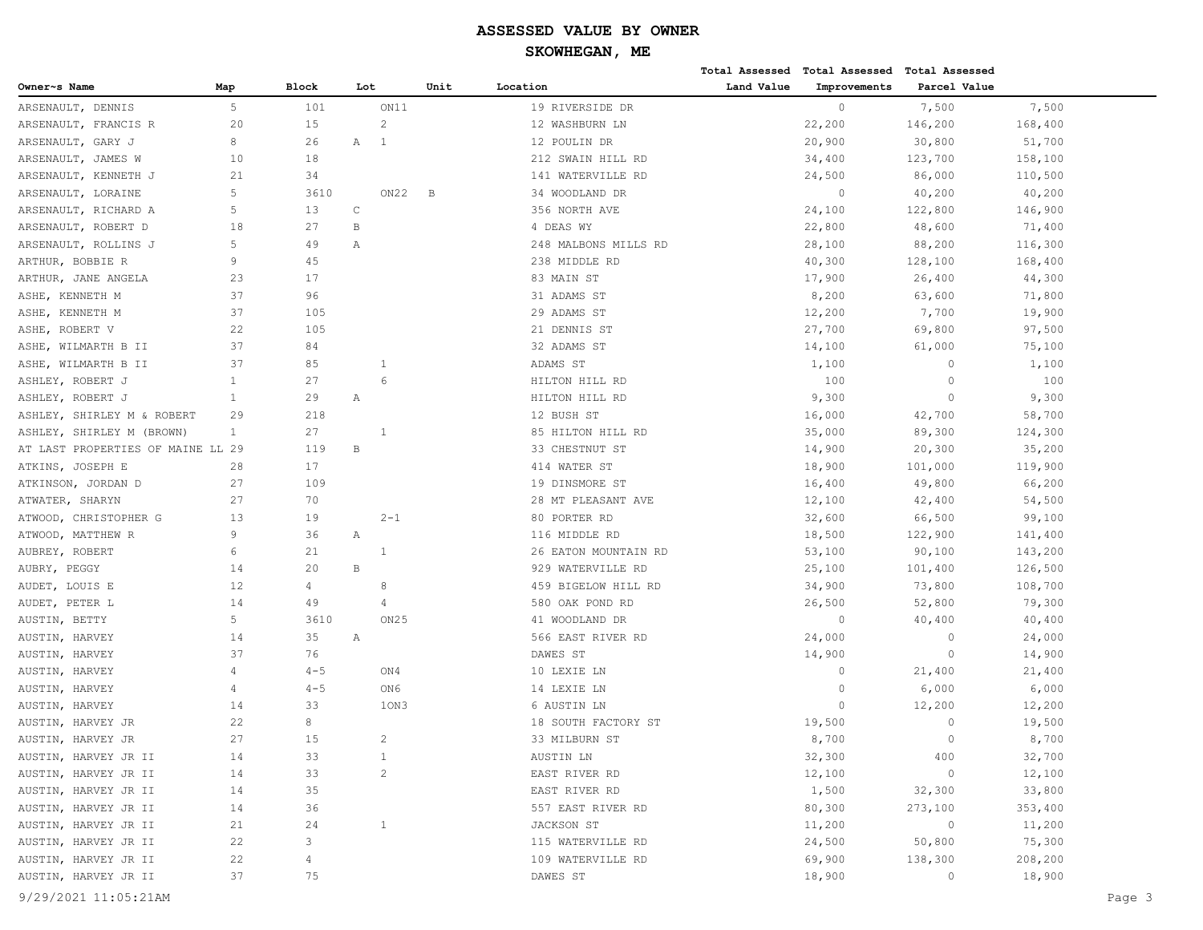|                                   |                |              |              |                  |      |                      |            | Total Assessed Total Assessed Total Assessed |              |         |        |
|-----------------------------------|----------------|--------------|--------------|------------------|------|----------------------|------------|----------------------------------------------|--------------|---------|--------|
| Owner~s Name                      | Map            | <b>Block</b> | Lot          |                  | Unit | Location             | Land Value | Improvements                                 | Parcel Value |         |        |
| ARSENAULT, DENNIS                 | 5              | 101          |              | ON11             |      | 19 RIVERSIDE DR      |            | $\circ$                                      | 7,500        | 7,500   |        |
| ARSENAULT, FRANCIS R              | 20             | 15           |              | $\overline{c}$   |      | 12 WASHBURN LN       |            | 22,200                                       | 146,200      | 168,400 |        |
| ARSENAULT, GARY J                 | 8              | 26           | Α            | $\mathbf{1}$     |      | 12 POULIN DR         |            | 20,900                                       | 30,800       | 51,700  |        |
| ARSENAULT, JAMES W                | 10             | 18           |              |                  |      | 212 SWAIN HILL RD    |            | 34,400                                       | 123,700      | 158,100 |        |
| ARSENAULT, KENNETH J              | 21             | 34           |              |                  |      | 141 WATERVILLE RD    |            | 24,500                                       | 86,000       | 110,500 |        |
| ARSENAULT, LORAINE                | 5              | 3610         |              | ON22             | В    | 34 WOODLAND DR       |            | $\circ$                                      | 40,200       | 40,200  |        |
| ARSENAULT, RICHARD A              | 5              | 13           | C            |                  |      | 356 NORTH AVE        |            | 24,100                                       | 122,800      | 146,900 |        |
| ARSENAULT, ROBERT D               | 18             | 27           | B            |                  |      | 4 DEAS WY            |            | 22,800                                       | 48,600       | 71,400  |        |
| ARSENAULT, ROLLINS J              | 5              | 49           | Α            |                  |      | 248 MALBONS MILLS RD |            | 28,100                                       | 88,200       | 116,300 |        |
| ARTHUR, BOBBIE R                  | 9              | 45           |              |                  |      | 238 MIDDLE RD        |            | 40,300                                       | 128,100      | 168,400 |        |
| ARTHUR, JANE ANGELA               | 23             | 17           |              |                  |      | 83 MAIN ST           |            | 17,900                                       | 26,400       | 44,300  |        |
| ASHE, KENNETH M                   | 37             | 96           |              |                  |      | 31 ADAMS ST          |            | 8,200                                        | 63,600       | 71,800  |        |
| ASHE, KENNETH M                   | 37             | 105          |              |                  |      | 29 ADAMS ST          |            | 12,200                                       | 7,700        | 19,900  |        |
| ASHE, ROBERT V                    | 22             | 105          |              |                  |      | 21 DENNIS ST         |            | 27,700                                       | 69,800       | 97,500  |        |
| ASHE, WILMARTH B II               | 37             | 84           |              |                  |      | 32 ADAMS ST          |            | 14,100                                       | 61,000       | 75,100  |        |
| ASHE, WILMARTH B II               | 37             | 85           |              | $\mathbf{1}$     |      | ADAMS ST             |            | 1,100                                        | $\circ$      | 1,100   |        |
| ASHLEY, ROBERT J                  | $\mathbf{1}$   | 27           |              | 6                |      | HILTON HILL RD       |            | 100                                          | $\circ$      | 100     |        |
| ASHLEY, ROBERT J                  | $\mathbf{1}$   | 29           | Α            |                  |      | HILTON HILL RD       |            | 9,300                                        | $\circ$      | 9,300   |        |
| ASHLEY, SHIRLEY M & ROBERT        | 29             | 218          |              |                  |      | 12 BUSH ST           |            | 16,000                                       | 42,700       | 58,700  |        |
| ASHLEY, SHIRLEY M (BROWN)         | $\mathbf{1}$   | 27           |              | $\mathbf{1}$     |      | 85 HILTON HILL RD    |            | 35,000                                       | 89,300       | 124,300 |        |
| AT LAST PROPERTIES OF MAINE LL 29 |                | 119          | B            |                  |      | 33 CHESTNUT ST       |            | 14,900                                       | 20,300       | 35,200  |        |
| ATKINS, JOSEPH E                  | 28             | 17           |              |                  |      | 414 WATER ST         |            | 18,900                                       | 101,000      | 119,900 |        |
| ATKINSON, JORDAN D                | 27             | 109          |              |                  |      | 19 DINSMORE ST       |            | 16,400                                       | 49,800       | 66,200  |        |
| ATWATER, SHARYN                   | 27             | 70           |              |                  |      | 28 MT PLEASANT AVE   |            | 12,100                                       | 42,400       | 54,500  |        |
| ATWOOD, CHRISTOPHER G             | 13             | 19           |              | $2 - 1$          |      | 80 PORTER RD         |            | 32,600                                       | 66,500       | 99,100  |        |
| ATWOOD, MATTHEW R                 | 9              | 36           | Α            |                  |      | 116 MIDDLE RD        |            | 18,500                                       | 122,900      | 141,400 |        |
| AUBREY, ROBERT                    | 6              | 21           |              | $\mathbf{1}$     |      | 26 EATON MOUNTAIN RD |            | 53,100                                       | 90,100       | 143,200 |        |
| AUBRY, PEGGY                      | 14             | 20           | $\, {\bf B}$ |                  |      | 929 WATERVILLE RD    |            | 25,100                                       | 101,400      | 126,500 |        |
| AUDET, LOUIS E                    | 12             | 4            |              | 8                |      | 459 BIGELOW HILL RD  |            | 34,900                                       | 73,800       | 108,700 |        |
| AUDET, PETER L                    | 14             | 49           |              | 4                |      | 580 OAK POND RD      |            | 26,500                                       | 52,800       | 79,300  |        |
| AUSTIN, BETTY                     | 5              | 3610         |              | ON <sub>25</sub> |      | 41 WOODLAND DR       |            | $\circ$                                      | 40,400       | 40,400  |        |
| AUSTIN, HARVEY                    | 14             | 35           | Α            |                  |      | 566 EAST RIVER RD    |            | 24,000                                       | $\circ$      | 24,000  |        |
| AUSTIN, HARVEY                    | 37             | 76           |              |                  |      | DAWES ST             |            | 14,900                                       | $\circ$      | 14,900  |        |
| AUSTIN, HARVEY                    | $\overline{4}$ | $4 - 5$      |              | ON4              |      | 10 LEXIE LN          |            | 0                                            | 21,400       | 21,400  |        |
| AUSTIN, HARVEY                    | 4              | $4 - 5$      |              | ON6              |      | 14 LEXIE LN          |            | $\circ$                                      | 6,000        | 6,000   |        |
| AUSTIN, HARVEY                    | 14             | 33           |              | 10N3             |      | 6 AUSTIN LN          |            | $\circ$                                      | 12,200       | 12,200  |        |
| AUSTIN, HARVEY JR                 | 22             | 8            |              |                  |      | 18 SOUTH FACTORY ST  |            | 19,500                                       | $\circ$      | 19,500  |        |
| AUSTIN, HARVEY JR                 | 27             | 15           |              | $\overline{c}$   |      | 33 MILBURN ST        |            | 8,700                                        | $\mathbf{0}$ | 8,700   |        |
| AUSTIN, HARVEY JR II              | 14             | 33           |              | $\mathbf{1}$     |      | AUSTIN LN            |            | 32,300                                       | 400          | 32,700  |        |
| AUSTIN, HARVEY JR II              | 14             | 33           |              | $\overline{c}$   |      | EAST RIVER RD        |            | 12,100                                       | $\circ$      | 12,100  |        |
| AUSTIN, HARVEY JR II              | 14             | 35           |              |                  |      | EAST RIVER RD        |            | 1,500                                        | 32,300       | 33,800  |        |
| AUSTIN, HARVEY JR II              | 14             | 36           |              |                  |      | 557 EAST RIVER RD    |            | 80,300                                       | 273,100      | 353,400 |        |
| AUSTIN, HARVEY JR II              | 21             | 24           |              | $\mathbf{1}$     |      | JACKSON ST           |            | 11,200                                       | $\circ$      | 11,200  |        |
| AUSTIN, HARVEY JR II              | 22             | 3            |              |                  |      | 115 WATERVILLE RD    |            | 24,500                                       | 50,800       | 75,300  |        |
| AUSTIN, HARVEY JR II              | 22             | 4            |              |                  |      | 109 WATERVILLE RD    |            | 69,900                                       | 138,300      | 208,200 |        |
| AUSTIN, HARVEY JR II              | 37             | 75           |              |                  |      | DAWES ST             |            | 18,900                                       | $\circ$      | 18,900  |        |
| 9/29/2021 11:05:21AM              |                |              |              |                  |      |                      |            |                                              |              |         | Page 3 |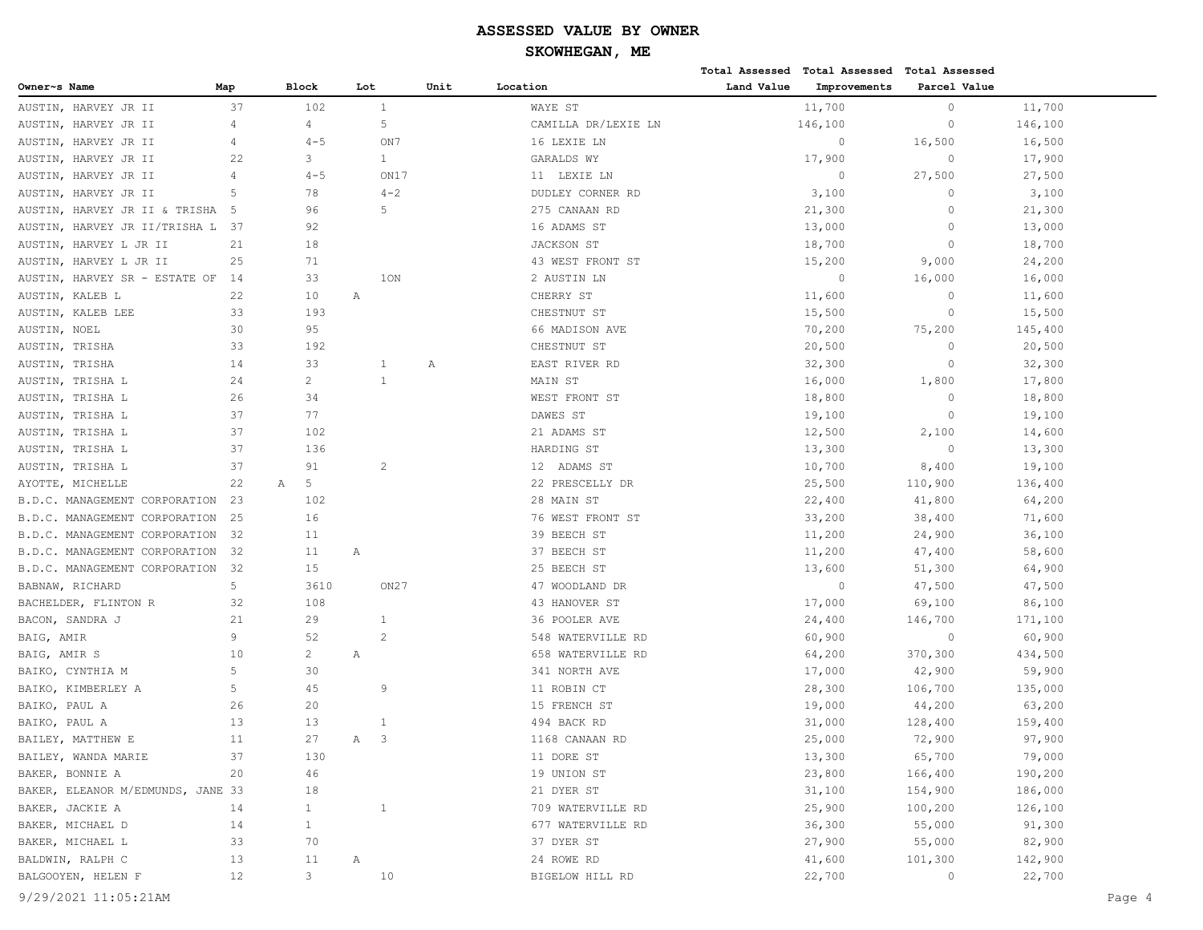# **SKOWHEGAN, ME**

|                                   |                |                |                              |              |      |                     |            | Total Assessed Total Assessed Total Assessed |              |         |
|-----------------------------------|----------------|----------------|------------------------------|--------------|------|---------------------|------------|----------------------------------------------|--------------|---------|
| Owner~s Name                      | Map            | <b>Block</b>   | Lot                          |              | Unit | Location            | Land Value | Improvements                                 | Parcel Value |         |
| AUSTIN, HARVEY JR II              | 37             | 102            | $\mathbf{1}$                 |              |      | WAYE ST             |            | 11,700                                       | $\circ$      | 11,700  |
| AUSTIN, HARVEY JR II              | $\overline{4}$ | 4              | $\mathsf S$                  |              |      | CAMILLA DR/LEXIE LN |            | 146,100                                      | $\circ$      | 146,100 |
| AUSTIN, HARVEY JR II              | 4              | $4 - 5$        |                              | ON7          |      | 16 LEXIE LN         |            | $\circ$                                      | 16,500       | 16,500  |
| AUSTIN, HARVEY JR II              | 22             | 3              |                              | $\mathbf{1}$ |      | GARALDS WY          |            | 17,900                                       | $\circ$      | 17,900  |
| AUSTIN, HARVEY JR II              | $\overline{4}$ | $4 - 5$        |                              | ON17         |      | 11 LEXIE LN         |            | $\circ$                                      | 27,500       | 27,500  |
| AUSTIN, HARVEY JR II              | 5              | 78             |                              | $4 - 2$      |      | DUDLEY CORNER RD    |            | 3,100                                        | $\circ$      | 3,100   |
| AUSTIN, HARVEY JR II & TRISHA     | - 5            | 96             |                              | 5            |      | 275 CANAAN RD       |            | 21,300                                       | $\circ$      | 21,300  |
| AUSTIN, HARVEY JR II/TRISHA L 37  |                | 92             |                              |              |      | 16 ADAMS ST         |            | 13,000                                       | $\circ$      | 13,000  |
| AUSTIN, HARVEY L JR II            | 21             | 18             |                              |              |      | JACKSON ST          |            | 18,700                                       | $\circ$      | 18,700  |
| AUSTIN, HARVEY L JR II            | 25             | 71             |                              |              |      | 43 WEST FRONT ST    |            | 15,200                                       | 9,000        | 24,200  |
| AUSTIN, HARVEY SR - ESTATE OF     | -14            | 33             |                              | 10N          |      | 2 AUSTIN LN         |            | $\circ$                                      | 16,000       | 16,000  |
| AUSTIN, KALEB L                   | 22             | 10             | Α                            |              |      | CHERRY ST           |            | 11,600                                       | $\circ$      | 11,600  |
| AUSTIN, KALEB LEE                 | 33             | 193            |                              |              |      | CHESTNUT ST         |            | 15,500                                       | $\circ$      | 15,500  |
| AUSTIN, NOEL                      | 30             | 95             |                              |              |      | 66 MADISON AVE      |            | 70,200                                       | 75,200       | 145,400 |
| AUSTIN, TRISHA                    | 33             | 192            |                              |              |      | CHESTNUT ST         |            | 20,500                                       | $\circ$      | 20,500  |
| AUSTIN, TRISHA                    | 14             | 33             | -1                           |              | Α    | EAST RIVER RD       |            | 32,300                                       | $\circ$      | 32,300  |
| AUSTIN, TRISHA L                  | 24             | $\overline{c}$ | $\mathbf{1}$                 |              |      | MAIN ST             |            | 16,000                                       | 1,800        | 17,800  |
| AUSTIN, TRISHA L                  | 26             | 34             |                              |              |      | WEST FRONT ST       |            | 18,800                                       | $\circ$      | 18,800  |
| AUSTIN, TRISHA L                  | 37             | 77             |                              |              |      | DAWES ST            |            | 19,100                                       | $\circ$      | 19,100  |
| AUSTIN, TRISHA L                  | 37             | 102            |                              |              |      | 21 ADAMS ST         |            | 12,500                                       | 2,100        | 14,600  |
| AUSTIN, TRISHA L                  | 37             | 136            |                              |              |      | HARDING ST          |            | 13,300                                       | $\circ$      | 13,300  |
| AUSTIN, TRISHA L                  | 37             | 91             | $\overline{c}$               |              |      | 12 ADAMS ST         |            | 10,700                                       | 8,400        | 19,100  |
| AYOTTE, MICHELLE                  | 22             | 5<br>Α         |                              |              |      | 22 PRESCELLY DR     |            | 25,500                                       | 110,900      | 136,400 |
| B.D.C. MANAGEMENT CORPORATION     | 23             | 102            |                              |              |      | 28 MAIN ST          |            | 22,400                                       | 41,800       | 64,200  |
| B.D.C. MANAGEMENT CORPORATION     | 25             | 16             |                              |              |      | 76 WEST FRONT ST    |            | 33,200                                       | 38,400       | 71,600  |
| B.D.C. MANAGEMENT CORPORATION     | 32             | 11             |                              |              |      | 39 BEECH ST         |            | 11,200                                       | 24,900       | 36,100  |
| B.D.C. MANAGEMENT CORPORATION     | -32            | 11             | Α                            |              |      | 37 BEECH ST         |            | 11,200                                       | 47,400       | 58,600  |
| B.D.C. MANAGEMENT CORPORATION     | 32             | 15             |                              |              |      | 25 BEECH ST         |            | 13,600                                       | 51,300       | 64,900  |
| BABNAW, RICHARD                   | 5              | 3610           |                              | ON27         |      | 47 WOODLAND DR      |            | $\circ$                                      | 47,500       | 47,500  |
| BACHELDER, FLINTON R              | 32             | 108            |                              |              |      | 43 HANOVER ST       |            | 17,000                                       | 69,100       | 86,100  |
| BACON, SANDRA J                   | 21             | 29             | 1                            |              |      | 36 POOLER AVE       |            | 24,400                                       | 146,700      | 171,100 |
| BAIG, AMIR                        | 9              | 52             | $\overline{2}$               |              |      | 548 WATERVILLE RD   |            | 60,900                                       | $\circ$      | 60,900  |
| BAIG, AMIR S                      | 10             | $\overline{c}$ | Α                            |              |      | 658 WATERVILLE RD   |            | 64,200                                       | 370,300      | 434,500 |
| BAIKO, CYNTHIA M                  | 5              | 30             |                              |              |      | 341 NORTH AVE       |            | 17,000                                       | 42,900       | 59,900  |
| BAIKO, KIMBERLEY A                | 5              | 45             | 9                            |              |      | 11 ROBIN CT         |            | 28,300                                       | 106,700      | 135,000 |
| BAIKO, PAUL A                     | 26             | 20             |                              |              |      | 15 FRENCH ST        |            | 19,000                                       | 44,200       | 63,200  |
| BAIKO, PAUL A                     | 13             | 13             | 1                            |              |      | 494 BACK RD         |            | 31,000                                       | 128,400      | 159,400 |
| BAILEY, MATTHEW E                 | 11             | 27             | $\overline{\mathbf{3}}$<br>Α |              |      | 1168 CANAAN RD      |            | 25,000                                       | 72,900       | 97,900  |
| BAILEY, WANDA MARIE               | 37             | 130            |                              |              |      | 11 DORE ST          |            | 13,300                                       | 65,700       | 79,000  |
| BAKER, BONNIE A                   | 20             | 46             |                              |              |      | 19 UNION ST         |            | 23,800                                       | 166,400      | 190,200 |
| BAKER, ELEANOR M/EDMUNDS, JANE 33 |                | 18             |                              |              |      | 21 DYER ST          |            | 31,100                                       | 154,900      | 186,000 |
| BAKER, JACKIE A                   | 14             | $\mathbf{1}$   | $\mathbf{1}$                 |              |      | 709 WATERVILLE RD   |            | 25,900                                       | 100,200      | 126,100 |
| BAKER, MICHAEL D                  | 14             | $\mathbf{1}$   |                              |              |      | 677 WATERVILLE RD   |            | 36,300                                       | 55,000       | 91,300  |
| BAKER, MICHAEL L                  | 33             | 70             |                              |              |      | 37 DYER ST          |            | 27,900                                       | 55,000       | 82,900  |
| BALDWIN, RALPH C                  | 13             | 11             | Α                            |              |      | 24 ROWE RD          |            | 41,600                                       | 101,300      | 142,900 |
| BALGOOYEN, HELEN F                | 12             | 3              |                              | 10           |      | BIGELOW HILL RD     |            | 22,700                                       | $\circ$      | 22,700  |
|                                   |                |                |                              |              |      |                     |            |                                              |              |         |

9/29/2021 11:05:21AM Page 4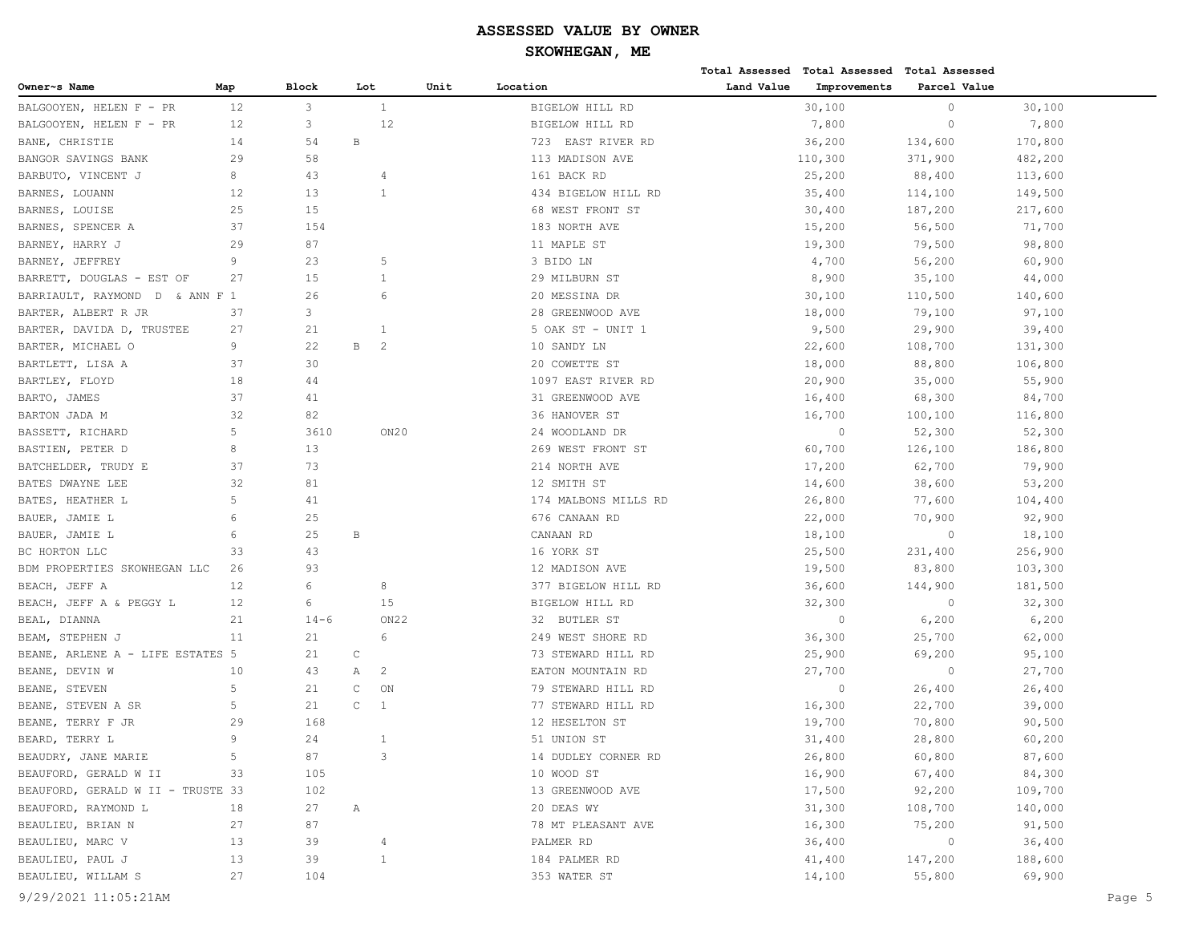| Land Value<br><b>Block</b><br>Unit<br>Location<br>Improvements<br>Parcel Value<br>Owner~s Name<br>Map<br>Lot<br>12<br>3<br>$\mathbf{1}$<br>30,100<br>$\circ$<br>BALGOOYEN, HELEN F - PR<br>BIGELOW HILL RD<br>30,100<br>3<br>12<br>$\circ$<br>BALGOOYEN, HELEN F - PR<br>12<br>BIGELOW HILL RD<br>7,800<br>7,800<br>54<br>36,200<br>170,800<br>BANE, CHRISTIE<br>14<br>В<br>723 EAST RIVER RD<br>134,600<br>BANGOR SAVINGS BANK<br>29<br>58<br>113 MADISON AVE<br>110,300<br>371,900<br>482,200<br>8<br>43<br>BARBUTO, VINCENT J<br>161 BACK RD<br>25,200<br>88,400<br>113,600<br>$\overline{4}$<br>13<br>BARNES, LOUANN<br>12<br>$\mathbf{1}$<br>434 BIGELOW HILL RD<br>35,400<br>114,100<br>149,500<br>25<br>15<br>68 WEST FRONT ST<br>30,400<br>187,200<br>217,600<br>BARNES, LOUISE<br>37<br>154<br>183 NORTH AVE<br>15,200<br>71,700<br>BARNES, SPENCER A<br>56,500<br>29<br>87<br>BARNEY, HARRY J<br>11 MAPLE ST<br>19,300<br>98,800<br>79,500<br>9<br>23<br>5<br>3 BIDO LN<br>4,700<br>56,200<br>60,900<br>BARNEY, JEFFREY<br>15<br>27<br>29 MILBURN ST<br>8,900<br>35,100<br>44,000<br>BARRETT, DOUGLAS - EST OF<br>$\mathbf{1}$<br>26<br>6<br>20 MESSINA DR<br>30,100<br>110,500<br>140,600<br>BARRIAULT, RAYMOND D & ANN F 1<br>3<br>97,100<br>BARTER, ALBERT R JR<br>37<br>28 GREENWOOD AVE<br>18,000<br>79,100<br>BARTER, DAVIDA D, TRUSTEE<br>27<br>21<br>5 OAK ST - UNIT 1<br>9,500<br>29,900<br>39,400<br>1<br>9<br>22<br>B<br>$\overline{2}$<br>BARTER, MICHAEL O<br>22,600<br>108,700<br>131,300<br>10 SANDY LN<br>BARTLETT, LISA A<br>37<br>30<br>20 COWETTE ST<br>18,000<br>88,800<br>106,800<br>18<br>BARTLEY, FLOYD<br>44<br>1097 EAST RIVER RD<br>20,900<br>35,000<br>55,900<br>37<br>BARTO, JAMES<br>41<br>31 GREENWOOD AVE<br>16,400<br>68,300<br>84,700<br>32<br>82<br>36 HANOVER ST<br>16,700<br>100,100<br>116,800<br>BARTON JADA M<br>5<br>BASSETT, RICHARD<br>3610<br>ON20<br>24 WOODLAND DR<br>$\circ$<br>52,300<br>52,300<br>8<br>13<br>BASTIEN, PETER D<br>269 WEST FRONT ST<br>60,700<br>126,100<br>186,800<br>73<br>BATCHELDER, TRUDY E<br>37<br>214 NORTH AVE<br>17,200<br>62,700<br>79,900<br>32<br>81<br>12 SMITH ST<br>14,600<br>38,600<br>53,200<br>BATES DWAYNE LEE<br>5<br>BATES, HEATHER L<br>41<br>174 MALBONS MILLS RD<br>26,800<br>104,400<br>77,600<br>6<br>25<br>BAUER, JAMIE L<br>676 CANAAN RD<br>22,000<br>70,900<br>92,900<br>25<br>BAUER, JAMIE L<br>6<br>B<br>CANAAN RD<br>18,100<br>$\circ$<br>18,100<br>43<br>25,500<br>256,900<br>33<br>16 YORK ST<br>231,400<br>BC HORTON LLC<br>BDM PROPERTIES SKOWHEGAN LLC<br>93<br>12 MADISON AVE<br>19,500<br>83,800<br>103,300<br>26<br>6<br>BEACH, JEFF A<br>12<br>8<br>377 BIGELOW HILL RD<br>36,600<br>144,900<br>181,500<br>15<br>BEACH, JEFF A & PEGGY L<br>12<br>6<br>BIGELOW HILL RD<br>32,300<br>$\circ$<br>32,300<br>ON <sub>22</sub><br>$\circ$<br>6,200<br>21<br>$14 - 6$<br>32 BUTLER ST<br>6,200<br>BEAL, DIANNA<br>11<br>21<br>6<br>249 WEST SHORE RD<br>36,300<br>25,700<br>62,000<br>BEAM, STEPHEN J<br>$\mathsf{C}$<br>BEANE, ARLENE A - LIFE ESTATES 5<br>21<br>73 STEWARD HILL RD<br>25,900<br>69,200<br>95,100<br>$\circ$<br>10<br>43<br>Α<br>2<br>EATON MOUNTAIN RD<br>27,700<br>27,700<br>BEANE, DEVIN W<br>5<br>21<br>C<br>ON<br>79 STEWARD HILL RD<br>$\circ$<br>26,400<br>26,400<br>BEANE, STEVEN<br>$\mathsf C$<br>5<br>21<br>1<br>77 STEWARD HILL RD<br>16,300<br>22,700<br>39,000<br>BEANE, STEVEN A SR<br>29<br>12 HESELTON ST<br>BEANE, TERRY F JR<br>168<br>19,700<br>70,800<br>90,500 |
|----------------------------------------------------------------------------------------------------------------------------------------------------------------------------------------------------------------------------------------------------------------------------------------------------------------------------------------------------------------------------------------------------------------------------------------------------------------------------------------------------------------------------------------------------------------------------------------------------------------------------------------------------------------------------------------------------------------------------------------------------------------------------------------------------------------------------------------------------------------------------------------------------------------------------------------------------------------------------------------------------------------------------------------------------------------------------------------------------------------------------------------------------------------------------------------------------------------------------------------------------------------------------------------------------------------------------------------------------------------------------------------------------------------------------------------------------------------------------------------------------------------------------------------------------------------------------------------------------------------------------------------------------------------------------------------------------------------------------------------------------------------------------------------------------------------------------------------------------------------------------------------------------------------------------------------------------------------------------------------------------------------------------------------------------------------------------------------------------------------------------------------------------------------------------------------------------------------------------------------------------------------------------------------------------------------------------------------------------------------------------------------------------------------------------------------------------------------------------------------------------------------------------------------------------------------------------------------------------------------------------------------------------------------------------------------------------------------------------------------------------------------------------------------------------------------------------------------------------------------------------------------------------------------------------------------------------------------------------------------------------------------------------------------------------------------------------------------------------------------------------------------------------------------------------------------------------------------------------------------------------------------------------------------------------------------------------------------------------------------------------------------------------------------------------------------------------------------------------------------------------------------------|
|                                                                                                                                                                                                                                                                                                                                                                                                                                                                                                                                                                                                                                                                                                                                                                                                                                                                                                                                                                                                                                                                                                                                                                                                                                                                                                                                                                                                                                                                                                                                                                                                                                                                                                                                                                                                                                                                                                                                                                                                                                                                                                                                                                                                                                                                                                                                                                                                                                                                                                                                                                                                                                                                                                                                                                                                                                                                                                                                                                                                                                                                                                                                                                                                                                                                                                                                                                                                                                                                                                                      |
|                                                                                                                                                                                                                                                                                                                                                                                                                                                                                                                                                                                                                                                                                                                                                                                                                                                                                                                                                                                                                                                                                                                                                                                                                                                                                                                                                                                                                                                                                                                                                                                                                                                                                                                                                                                                                                                                                                                                                                                                                                                                                                                                                                                                                                                                                                                                                                                                                                                                                                                                                                                                                                                                                                                                                                                                                                                                                                                                                                                                                                                                                                                                                                                                                                                                                                                                                                                                                                                                                                                      |
|                                                                                                                                                                                                                                                                                                                                                                                                                                                                                                                                                                                                                                                                                                                                                                                                                                                                                                                                                                                                                                                                                                                                                                                                                                                                                                                                                                                                                                                                                                                                                                                                                                                                                                                                                                                                                                                                                                                                                                                                                                                                                                                                                                                                                                                                                                                                                                                                                                                                                                                                                                                                                                                                                                                                                                                                                                                                                                                                                                                                                                                                                                                                                                                                                                                                                                                                                                                                                                                                                                                      |
|                                                                                                                                                                                                                                                                                                                                                                                                                                                                                                                                                                                                                                                                                                                                                                                                                                                                                                                                                                                                                                                                                                                                                                                                                                                                                                                                                                                                                                                                                                                                                                                                                                                                                                                                                                                                                                                                                                                                                                                                                                                                                                                                                                                                                                                                                                                                                                                                                                                                                                                                                                                                                                                                                                                                                                                                                                                                                                                                                                                                                                                                                                                                                                                                                                                                                                                                                                                                                                                                                                                      |
|                                                                                                                                                                                                                                                                                                                                                                                                                                                                                                                                                                                                                                                                                                                                                                                                                                                                                                                                                                                                                                                                                                                                                                                                                                                                                                                                                                                                                                                                                                                                                                                                                                                                                                                                                                                                                                                                                                                                                                                                                                                                                                                                                                                                                                                                                                                                                                                                                                                                                                                                                                                                                                                                                                                                                                                                                                                                                                                                                                                                                                                                                                                                                                                                                                                                                                                                                                                                                                                                                                                      |
|                                                                                                                                                                                                                                                                                                                                                                                                                                                                                                                                                                                                                                                                                                                                                                                                                                                                                                                                                                                                                                                                                                                                                                                                                                                                                                                                                                                                                                                                                                                                                                                                                                                                                                                                                                                                                                                                                                                                                                                                                                                                                                                                                                                                                                                                                                                                                                                                                                                                                                                                                                                                                                                                                                                                                                                                                                                                                                                                                                                                                                                                                                                                                                                                                                                                                                                                                                                                                                                                                                                      |
|                                                                                                                                                                                                                                                                                                                                                                                                                                                                                                                                                                                                                                                                                                                                                                                                                                                                                                                                                                                                                                                                                                                                                                                                                                                                                                                                                                                                                                                                                                                                                                                                                                                                                                                                                                                                                                                                                                                                                                                                                                                                                                                                                                                                                                                                                                                                                                                                                                                                                                                                                                                                                                                                                                                                                                                                                                                                                                                                                                                                                                                                                                                                                                                                                                                                                                                                                                                                                                                                                                                      |
|                                                                                                                                                                                                                                                                                                                                                                                                                                                                                                                                                                                                                                                                                                                                                                                                                                                                                                                                                                                                                                                                                                                                                                                                                                                                                                                                                                                                                                                                                                                                                                                                                                                                                                                                                                                                                                                                                                                                                                                                                                                                                                                                                                                                                                                                                                                                                                                                                                                                                                                                                                                                                                                                                                                                                                                                                                                                                                                                                                                                                                                                                                                                                                                                                                                                                                                                                                                                                                                                                                                      |
|                                                                                                                                                                                                                                                                                                                                                                                                                                                                                                                                                                                                                                                                                                                                                                                                                                                                                                                                                                                                                                                                                                                                                                                                                                                                                                                                                                                                                                                                                                                                                                                                                                                                                                                                                                                                                                                                                                                                                                                                                                                                                                                                                                                                                                                                                                                                                                                                                                                                                                                                                                                                                                                                                                                                                                                                                                                                                                                                                                                                                                                                                                                                                                                                                                                                                                                                                                                                                                                                                                                      |
|                                                                                                                                                                                                                                                                                                                                                                                                                                                                                                                                                                                                                                                                                                                                                                                                                                                                                                                                                                                                                                                                                                                                                                                                                                                                                                                                                                                                                                                                                                                                                                                                                                                                                                                                                                                                                                                                                                                                                                                                                                                                                                                                                                                                                                                                                                                                                                                                                                                                                                                                                                                                                                                                                                                                                                                                                                                                                                                                                                                                                                                                                                                                                                                                                                                                                                                                                                                                                                                                                                                      |
|                                                                                                                                                                                                                                                                                                                                                                                                                                                                                                                                                                                                                                                                                                                                                                                                                                                                                                                                                                                                                                                                                                                                                                                                                                                                                                                                                                                                                                                                                                                                                                                                                                                                                                                                                                                                                                                                                                                                                                                                                                                                                                                                                                                                                                                                                                                                                                                                                                                                                                                                                                                                                                                                                                                                                                                                                                                                                                                                                                                                                                                                                                                                                                                                                                                                                                                                                                                                                                                                                                                      |
|                                                                                                                                                                                                                                                                                                                                                                                                                                                                                                                                                                                                                                                                                                                                                                                                                                                                                                                                                                                                                                                                                                                                                                                                                                                                                                                                                                                                                                                                                                                                                                                                                                                                                                                                                                                                                                                                                                                                                                                                                                                                                                                                                                                                                                                                                                                                                                                                                                                                                                                                                                                                                                                                                                                                                                                                                                                                                                                                                                                                                                                                                                                                                                                                                                                                                                                                                                                                                                                                                                                      |
|                                                                                                                                                                                                                                                                                                                                                                                                                                                                                                                                                                                                                                                                                                                                                                                                                                                                                                                                                                                                                                                                                                                                                                                                                                                                                                                                                                                                                                                                                                                                                                                                                                                                                                                                                                                                                                                                                                                                                                                                                                                                                                                                                                                                                                                                                                                                                                                                                                                                                                                                                                                                                                                                                                                                                                                                                                                                                                                                                                                                                                                                                                                                                                                                                                                                                                                                                                                                                                                                                                                      |
|                                                                                                                                                                                                                                                                                                                                                                                                                                                                                                                                                                                                                                                                                                                                                                                                                                                                                                                                                                                                                                                                                                                                                                                                                                                                                                                                                                                                                                                                                                                                                                                                                                                                                                                                                                                                                                                                                                                                                                                                                                                                                                                                                                                                                                                                                                                                                                                                                                                                                                                                                                                                                                                                                                                                                                                                                                                                                                                                                                                                                                                                                                                                                                                                                                                                                                                                                                                                                                                                                                                      |
|                                                                                                                                                                                                                                                                                                                                                                                                                                                                                                                                                                                                                                                                                                                                                                                                                                                                                                                                                                                                                                                                                                                                                                                                                                                                                                                                                                                                                                                                                                                                                                                                                                                                                                                                                                                                                                                                                                                                                                                                                                                                                                                                                                                                                                                                                                                                                                                                                                                                                                                                                                                                                                                                                                                                                                                                                                                                                                                                                                                                                                                                                                                                                                                                                                                                                                                                                                                                                                                                                                                      |
|                                                                                                                                                                                                                                                                                                                                                                                                                                                                                                                                                                                                                                                                                                                                                                                                                                                                                                                                                                                                                                                                                                                                                                                                                                                                                                                                                                                                                                                                                                                                                                                                                                                                                                                                                                                                                                                                                                                                                                                                                                                                                                                                                                                                                                                                                                                                                                                                                                                                                                                                                                                                                                                                                                                                                                                                                                                                                                                                                                                                                                                                                                                                                                                                                                                                                                                                                                                                                                                                                                                      |
|                                                                                                                                                                                                                                                                                                                                                                                                                                                                                                                                                                                                                                                                                                                                                                                                                                                                                                                                                                                                                                                                                                                                                                                                                                                                                                                                                                                                                                                                                                                                                                                                                                                                                                                                                                                                                                                                                                                                                                                                                                                                                                                                                                                                                                                                                                                                                                                                                                                                                                                                                                                                                                                                                                                                                                                                                                                                                                                                                                                                                                                                                                                                                                                                                                                                                                                                                                                                                                                                                                                      |
|                                                                                                                                                                                                                                                                                                                                                                                                                                                                                                                                                                                                                                                                                                                                                                                                                                                                                                                                                                                                                                                                                                                                                                                                                                                                                                                                                                                                                                                                                                                                                                                                                                                                                                                                                                                                                                                                                                                                                                                                                                                                                                                                                                                                                                                                                                                                                                                                                                                                                                                                                                                                                                                                                                                                                                                                                                                                                                                                                                                                                                                                                                                                                                                                                                                                                                                                                                                                                                                                                                                      |
|                                                                                                                                                                                                                                                                                                                                                                                                                                                                                                                                                                                                                                                                                                                                                                                                                                                                                                                                                                                                                                                                                                                                                                                                                                                                                                                                                                                                                                                                                                                                                                                                                                                                                                                                                                                                                                                                                                                                                                                                                                                                                                                                                                                                                                                                                                                                                                                                                                                                                                                                                                                                                                                                                                                                                                                                                                                                                                                                                                                                                                                                                                                                                                                                                                                                                                                                                                                                                                                                                                                      |
|                                                                                                                                                                                                                                                                                                                                                                                                                                                                                                                                                                                                                                                                                                                                                                                                                                                                                                                                                                                                                                                                                                                                                                                                                                                                                                                                                                                                                                                                                                                                                                                                                                                                                                                                                                                                                                                                                                                                                                                                                                                                                                                                                                                                                                                                                                                                                                                                                                                                                                                                                                                                                                                                                                                                                                                                                                                                                                                                                                                                                                                                                                                                                                                                                                                                                                                                                                                                                                                                                                                      |
|                                                                                                                                                                                                                                                                                                                                                                                                                                                                                                                                                                                                                                                                                                                                                                                                                                                                                                                                                                                                                                                                                                                                                                                                                                                                                                                                                                                                                                                                                                                                                                                                                                                                                                                                                                                                                                                                                                                                                                                                                                                                                                                                                                                                                                                                                                                                                                                                                                                                                                                                                                                                                                                                                                                                                                                                                                                                                                                                                                                                                                                                                                                                                                                                                                                                                                                                                                                                                                                                                                                      |
|                                                                                                                                                                                                                                                                                                                                                                                                                                                                                                                                                                                                                                                                                                                                                                                                                                                                                                                                                                                                                                                                                                                                                                                                                                                                                                                                                                                                                                                                                                                                                                                                                                                                                                                                                                                                                                                                                                                                                                                                                                                                                                                                                                                                                                                                                                                                                                                                                                                                                                                                                                                                                                                                                                                                                                                                                                                                                                                                                                                                                                                                                                                                                                                                                                                                                                                                                                                                                                                                                                                      |
|                                                                                                                                                                                                                                                                                                                                                                                                                                                                                                                                                                                                                                                                                                                                                                                                                                                                                                                                                                                                                                                                                                                                                                                                                                                                                                                                                                                                                                                                                                                                                                                                                                                                                                                                                                                                                                                                                                                                                                                                                                                                                                                                                                                                                                                                                                                                                                                                                                                                                                                                                                                                                                                                                                                                                                                                                                                                                                                                                                                                                                                                                                                                                                                                                                                                                                                                                                                                                                                                                                                      |
|                                                                                                                                                                                                                                                                                                                                                                                                                                                                                                                                                                                                                                                                                                                                                                                                                                                                                                                                                                                                                                                                                                                                                                                                                                                                                                                                                                                                                                                                                                                                                                                                                                                                                                                                                                                                                                                                                                                                                                                                                                                                                                                                                                                                                                                                                                                                                                                                                                                                                                                                                                                                                                                                                                                                                                                                                                                                                                                                                                                                                                                                                                                                                                                                                                                                                                                                                                                                                                                                                                                      |
|                                                                                                                                                                                                                                                                                                                                                                                                                                                                                                                                                                                                                                                                                                                                                                                                                                                                                                                                                                                                                                                                                                                                                                                                                                                                                                                                                                                                                                                                                                                                                                                                                                                                                                                                                                                                                                                                                                                                                                                                                                                                                                                                                                                                                                                                                                                                                                                                                                                                                                                                                                                                                                                                                                                                                                                                                                                                                                                                                                                                                                                                                                                                                                                                                                                                                                                                                                                                                                                                                                                      |
|                                                                                                                                                                                                                                                                                                                                                                                                                                                                                                                                                                                                                                                                                                                                                                                                                                                                                                                                                                                                                                                                                                                                                                                                                                                                                                                                                                                                                                                                                                                                                                                                                                                                                                                                                                                                                                                                                                                                                                                                                                                                                                                                                                                                                                                                                                                                                                                                                                                                                                                                                                                                                                                                                                                                                                                                                                                                                                                                                                                                                                                                                                                                                                                                                                                                                                                                                                                                                                                                                                                      |
|                                                                                                                                                                                                                                                                                                                                                                                                                                                                                                                                                                                                                                                                                                                                                                                                                                                                                                                                                                                                                                                                                                                                                                                                                                                                                                                                                                                                                                                                                                                                                                                                                                                                                                                                                                                                                                                                                                                                                                                                                                                                                                                                                                                                                                                                                                                                                                                                                                                                                                                                                                                                                                                                                                                                                                                                                                                                                                                                                                                                                                                                                                                                                                                                                                                                                                                                                                                                                                                                                                                      |
|                                                                                                                                                                                                                                                                                                                                                                                                                                                                                                                                                                                                                                                                                                                                                                                                                                                                                                                                                                                                                                                                                                                                                                                                                                                                                                                                                                                                                                                                                                                                                                                                                                                                                                                                                                                                                                                                                                                                                                                                                                                                                                                                                                                                                                                                                                                                                                                                                                                                                                                                                                                                                                                                                                                                                                                                                                                                                                                                                                                                                                                                                                                                                                                                                                                                                                                                                                                                                                                                                                                      |
|                                                                                                                                                                                                                                                                                                                                                                                                                                                                                                                                                                                                                                                                                                                                                                                                                                                                                                                                                                                                                                                                                                                                                                                                                                                                                                                                                                                                                                                                                                                                                                                                                                                                                                                                                                                                                                                                                                                                                                                                                                                                                                                                                                                                                                                                                                                                                                                                                                                                                                                                                                                                                                                                                                                                                                                                                                                                                                                                                                                                                                                                                                                                                                                                                                                                                                                                                                                                                                                                                                                      |
|                                                                                                                                                                                                                                                                                                                                                                                                                                                                                                                                                                                                                                                                                                                                                                                                                                                                                                                                                                                                                                                                                                                                                                                                                                                                                                                                                                                                                                                                                                                                                                                                                                                                                                                                                                                                                                                                                                                                                                                                                                                                                                                                                                                                                                                                                                                                                                                                                                                                                                                                                                                                                                                                                                                                                                                                                                                                                                                                                                                                                                                                                                                                                                                                                                                                                                                                                                                                                                                                                                                      |
|                                                                                                                                                                                                                                                                                                                                                                                                                                                                                                                                                                                                                                                                                                                                                                                                                                                                                                                                                                                                                                                                                                                                                                                                                                                                                                                                                                                                                                                                                                                                                                                                                                                                                                                                                                                                                                                                                                                                                                                                                                                                                                                                                                                                                                                                                                                                                                                                                                                                                                                                                                                                                                                                                                                                                                                                                                                                                                                                                                                                                                                                                                                                                                                                                                                                                                                                                                                                                                                                                                                      |
|                                                                                                                                                                                                                                                                                                                                                                                                                                                                                                                                                                                                                                                                                                                                                                                                                                                                                                                                                                                                                                                                                                                                                                                                                                                                                                                                                                                                                                                                                                                                                                                                                                                                                                                                                                                                                                                                                                                                                                                                                                                                                                                                                                                                                                                                                                                                                                                                                                                                                                                                                                                                                                                                                                                                                                                                                                                                                                                                                                                                                                                                                                                                                                                                                                                                                                                                                                                                                                                                                                                      |
|                                                                                                                                                                                                                                                                                                                                                                                                                                                                                                                                                                                                                                                                                                                                                                                                                                                                                                                                                                                                                                                                                                                                                                                                                                                                                                                                                                                                                                                                                                                                                                                                                                                                                                                                                                                                                                                                                                                                                                                                                                                                                                                                                                                                                                                                                                                                                                                                                                                                                                                                                                                                                                                                                                                                                                                                                                                                                                                                                                                                                                                                                                                                                                                                                                                                                                                                                                                                                                                                                                                      |
|                                                                                                                                                                                                                                                                                                                                                                                                                                                                                                                                                                                                                                                                                                                                                                                                                                                                                                                                                                                                                                                                                                                                                                                                                                                                                                                                                                                                                                                                                                                                                                                                                                                                                                                                                                                                                                                                                                                                                                                                                                                                                                                                                                                                                                                                                                                                                                                                                                                                                                                                                                                                                                                                                                                                                                                                                                                                                                                                                                                                                                                                                                                                                                                                                                                                                                                                                                                                                                                                                                                      |
|                                                                                                                                                                                                                                                                                                                                                                                                                                                                                                                                                                                                                                                                                                                                                                                                                                                                                                                                                                                                                                                                                                                                                                                                                                                                                                                                                                                                                                                                                                                                                                                                                                                                                                                                                                                                                                                                                                                                                                                                                                                                                                                                                                                                                                                                                                                                                                                                                                                                                                                                                                                                                                                                                                                                                                                                                                                                                                                                                                                                                                                                                                                                                                                                                                                                                                                                                                                                                                                                                                                      |
|                                                                                                                                                                                                                                                                                                                                                                                                                                                                                                                                                                                                                                                                                                                                                                                                                                                                                                                                                                                                                                                                                                                                                                                                                                                                                                                                                                                                                                                                                                                                                                                                                                                                                                                                                                                                                                                                                                                                                                                                                                                                                                                                                                                                                                                                                                                                                                                                                                                                                                                                                                                                                                                                                                                                                                                                                                                                                                                                                                                                                                                                                                                                                                                                                                                                                                                                                                                                                                                                                                                      |
|                                                                                                                                                                                                                                                                                                                                                                                                                                                                                                                                                                                                                                                                                                                                                                                                                                                                                                                                                                                                                                                                                                                                                                                                                                                                                                                                                                                                                                                                                                                                                                                                                                                                                                                                                                                                                                                                                                                                                                                                                                                                                                                                                                                                                                                                                                                                                                                                                                                                                                                                                                                                                                                                                                                                                                                                                                                                                                                                                                                                                                                                                                                                                                                                                                                                                                                                                                                                                                                                                                                      |
|                                                                                                                                                                                                                                                                                                                                                                                                                                                                                                                                                                                                                                                                                                                                                                                                                                                                                                                                                                                                                                                                                                                                                                                                                                                                                                                                                                                                                                                                                                                                                                                                                                                                                                                                                                                                                                                                                                                                                                                                                                                                                                                                                                                                                                                                                                                                                                                                                                                                                                                                                                                                                                                                                                                                                                                                                                                                                                                                                                                                                                                                                                                                                                                                                                                                                                                                                                                                                                                                                                                      |
| 9<br>24<br>60,200<br>BEARD, TERRY L<br>51 UNION ST<br>31,400<br>28,800<br>-1                                                                                                                                                                                                                                                                                                                                                                                                                                                                                                                                                                                                                                                                                                                                                                                                                                                                                                                                                                                                                                                                                                                                                                                                                                                                                                                                                                                                                                                                                                                                                                                                                                                                                                                                                                                                                                                                                                                                                                                                                                                                                                                                                                                                                                                                                                                                                                                                                                                                                                                                                                                                                                                                                                                                                                                                                                                                                                                                                                                                                                                                                                                                                                                                                                                                                                                                                                                                                                         |
| 87<br>3<br>26,800<br>60,800<br>87,600<br>BEAUDRY, JANE MARIE<br>5<br>14 DUDLEY CORNER RD                                                                                                                                                                                                                                                                                                                                                                                                                                                                                                                                                                                                                                                                                                                                                                                                                                                                                                                                                                                                                                                                                                                                                                                                                                                                                                                                                                                                                                                                                                                                                                                                                                                                                                                                                                                                                                                                                                                                                                                                                                                                                                                                                                                                                                                                                                                                                                                                                                                                                                                                                                                                                                                                                                                                                                                                                                                                                                                                                                                                                                                                                                                                                                                                                                                                                                                                                                                                                             |
| 16,900<br>67,400<br>84,300<br>BEAUFORD, GERALD W II<br>33<br>105<br>10 WOOD ST                                                                                                                                                                                                                                                                                                                                                                                                                                                                                                                                                                                                                                                                                                                                                                                                                                                                                                                                                                                                                                                                                                                                                                                                                                                                                                                                                                                                                                                                                                                                                                                                                                                                                                                                                                                                                                                                                                                                                                                                                                                                                                                                                                                                                                                                                                                                                                                                                                                                                                                                                                                                                                                                                                                                                                                                                                                                                                                                                                                                                                                                                                                                                                                                                                                                                                                                                                                                                                       |
| 13 GREENWOOD AVE<br>17,500<br>92,200<br>BEAUFORD, GERALD W II - TRUSTE 33<br>102<br>109,700                                                                                                                                                                                                                                                                                                                                                                                                                                                                                                                                                                                                                                                                                                                                                                                                                                                                                                                                                                                                                                                                                                                                                                                                                                                                                                                                                                                                                                                                                                                                                                                                                                                                                                                                                                                                                                                                                                                                                                                                                                                                                                                                                                                                                                                                                                                                                                                                                                                                                                                                                                                                                                                                                                                                                                                                                                                                                                                                                                                                                                                                                                                                                                                                                                                                                                                                                                                                                          |
| BEAUFORD, RAYMOND L<br>18<br>27<br>Α<br>20 DEAS WY<br>31,300<br>108,700<br>140,000                                                                                                                                                                                                                                                                                                                                                                                                                                                                                                                                                                                                                                                                                                                                                                                                                                                                                                                                                                                                                                                                                                                                                                                                                                                                                                                                                                                                                                                                                                                                                                                                                                                                                                                                                                                                                                                                                                                                                                                                                                                                                                                                                                                                                                                                                                                                                                                                                                                                                                                                                                                                                                                                                                                                                                                                                                                                                                                                                                                                                                                                                                                                                                                                                                                                                                                                                                                                                                   |
| 16,300<br>BEAULIEU, BRIAN N<br>27<br>87<br>78 MT PLEASANT AVE<br>75,200<br>91,500                                                                                                                                                                                                                                                                                                                                                                                                                                                                                                                                                                                                                                                                                                                                                                                                                                                                                                                                                                                                                                                                                                                                                                                                                                                                                                                                                                                                                                                                                                                                                                                                                                                                                                                                                                                                                                                                                                                                                                                                                                                                                                                                                                                                                                                                                                                                                                                                                                                                                                                                                                                                                                                                                                                                                                                                                                                                                                                                                                                                                                                                                                                                                                                                                                                                                                                                                                                                                                    |
| BEAULIEU, MARC V<br>36,400<br>36,400<br>13<br>39<br>PALMER RD<br>$\circ$<br>4                                                                                                                                                                                                                                                                                                                                                                                                                                                                                                                                                                                                                                                                                                                                                                                                                                                                                                                                                                                                                                                                                                                                                                                                                                                                                                                                                                                                                                                                                                                                                                                                                                                                                                                                                                                                                                                                                                                                                                                                                                                                                                                                                                                                                                                                                                                                                                                                                                                                                                                                                                                                                                                                                                                                                                                                                                                                                                                                                                                                                                                                                                                                                                                                                                                                                                                                                                                                                                        |
| BEAULIEU, PAUL J<br>13<br>41,400<br>188,600<br>39<br>$\mathbf{1}$<br>184 PALMER RD<br>147,200                                                                                                                                                                                                                                                                                                                                                                                                                                                                                                                                                                                                                                                                                                                                                                                                                                                                                                                                                                                                                                                                                                                                                                                                                                                                                                                                                                                                                                                                                                                                                                                                                                                                                                                                                                                                                                                                                                                                                                                                                                                                                                                                                                                                                                                                                                                                                                                                                                                                                                                                                                                                                                                                                                                                                                                                                                                                                                                                                                                                                                                                                                                                                                                                                                                                                                                                                                                                                        |
| BEAULIEU, WILLAM S<br>27<br>104<br>353 WATER ST<br>14,100<br>55,800<br>69,900                                                                                                                                                                                                                                                                                                                                                                                                                                                                                                                                                                                                                                                                                                                                                                                                                                                                                                                                                                                                                                                                                                                                                                                                                                                                                                                                                                                                                                                                                                                                                                                                                                                                                                                                                                                                                                                                                                                                                                                                                                                                                                                                                                                                                                                                                                                                                                                                                                                                                                                                                                                                                                                                                                                                                                                                                                                                                                                                                                                                                                                                                                                                                                                                                                                                                                                                                                                                                                        |
| 9/29/2021 11:05:21AM<br>Page 5                                                                                                                                                                                                                                                                                                                                                                                                                                                                                                                                                                                                                                                                                                                                                                                                                                                                                                                                                                                                                                                                                                                                                                                                                                                                                                                                                                                                                                                                                                                                                                                                                                                                                                                                                                                                                                                                                                                                                                                                                                                                                                                                                                                                                                                                                                                                                                                                                                                                                                                                                                                                                                                                                                                                                                                                                                                                                                                                                                                                                                                                                                                                                                                                                                                                                                                                                                                                                                                                                       |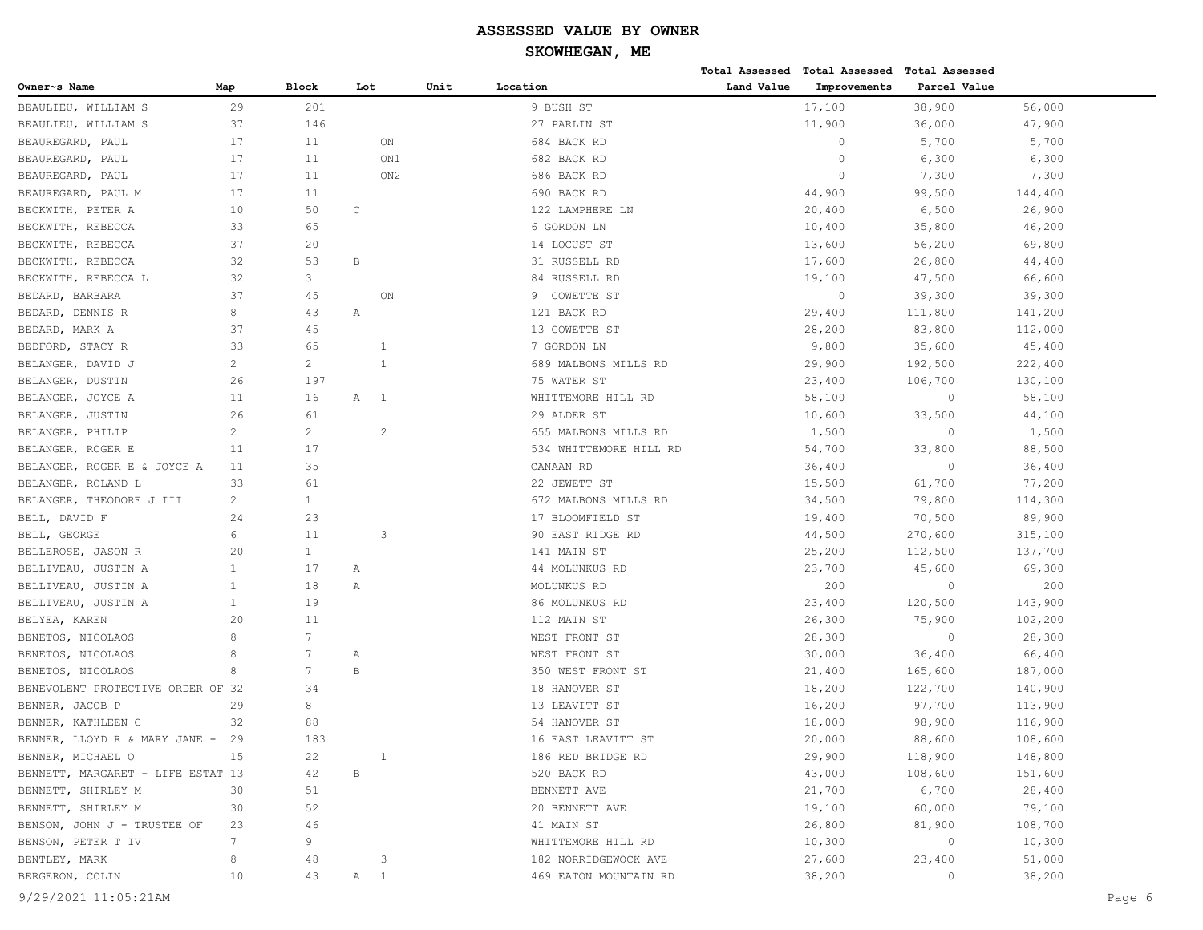| Owner~s Name<br><b>Block</b><br>Unit<br>Location<br>Land Value<br>Improvements<br>Parcel Value<br>Map<br>Lot<br>29<br>9 BUSH ST<br>17,100<br>38,900<br>201<br>56,000<br>37<br>146<br>11,900<br>BEAULIEU, WILLIAM S<br>27 PARLIN ST<br>36,000<br>47,900<br>17<br>11<br>ON<br>684 BACK RD<br>0<br>5,700<br>5,700<br>17<br>11<br>ON1<br>682 BACK RD<br>$\circ$<br>6,300<br>6,300<br>$\mathbf{0}$<br>7,300<br>7,300<br>17<br>11<br>ON <sub>2</sub><br>686 BACK RD<br>17<br>44,900<br>99,500<br>11<br>690 BACK RD<br>144,400<br>10<br>50<br>C<br>122 LAMPHERE LN<br>20,400<br>6,500<br>26,900<br>33<br>65<br>6 GORDON LN<br>10,400<br>35,800<br>46,200<br>37<br>20<br>14 LOCUST ST<br>13,600<br>56,200<br>69,800<br>32<br>53<br>$\, {\bf B}$<br>31 RUSSELL RD<br>17,600<br>26,800<br>44,400<br>3<br>32<br>84 RUSSELL RD<br>19,100<br>47,500<br>66,600<br>37<br>$\circ$<br>45<br>ON<br>COWETTE ST<br>39,300<br>39,300<br>9<br>8<br>43<br>Α<br>121 BACK RD<br>29,400<br>111,800<br>141,200<br>37<br>45<br>28,200<br>83,800<br>13 COWETTE ST<br>112,000<br>33<br>65<br>7 GORDON LN<br>9,800<br>35,600<br>45,400<br>1<br>$\overline{2}$<br>$\overline{c}$<br>$\mathbf{1}$<br>689 MALBONS MILLS RD<br>29,900<br>192,500<br>222,400<br>26<br>197<br>75 WATER ST<br>23,400<br>106,700<br>130,100<br>11<br>58,100<br>$\circ$<br>58,100<br>16<br>Α<br>$\overline{1}$<br>WHITTEMORE HILL RD<br>61<br>26<br>29 ALDER ST<br>10,600<br>33,500<br>44,100<br>$\overline{2}$<br>$\overline{c}$<br>$\overline{2}$<br>655 MALBONS MILLS RD<br>1,500<br>$\circ$<br>1,500<br>54,700<br>88,500<br>11<br>17<br>534 WHITTEMORE HILL RD<br>33,800<br>35<br>36,400<br>11<br>CANAAN RD<br>36,400<br>$\circ$<br>61<br>33<br>22 JEWETT ST<br>15,500<br>61,700<br>77,200<br>2<br>$\mathbf{1}$<br>672 MALBONS MILLS RD<br>34,500<br>79,800<br>114,300<br>23<br>24<br>17 BLOOMFIELD ST<br>19,400<br>70,500<br>89,900<br>6<br>11<br>3<br>90 EAST RIDGE RD<br>44,500<br>270,600<br>315,100<br>$\mathbf{1}$<br>20<br>141 MAIN ST<br>25,200<br>112,500<br>137,700<br>$\mathbf{1}$<br>17<br>44 MOLUNKUS RD<br>23,700<br>45,600<br>69,300<br>Α<br>$\mathbf{1}$<br>18<br>MOLUNKUS RD<br>200<br>$\Omega$<br>200<br>Α<br>$\mathbf{1}$<br>19<br>23,400<br>86 MOLUNKUS RD<br>120,500<br>143,900<br>11<br>20<br>112 MAIN ST<br>26,300<br>75,900<br>102,200<br>$7\overline{ }$<br>8<br>28,300<br>WEST FRONT ST<br>28,300<br>$\circ$<br>8<br>7<br>WEST FRONT ST<br>30,000<br>36,400<br>66,400<br>Α<br>$7\phantom{.0}$<br>8<br>B<br>350 WEST FRONT ST<br>21,400<br>165,600<br>187,000<br>BENEVOLENT PROTECTIVE ORDER OF 32<br>34<br>18 HANOVER ST<br>18,200<br>122,700<br>140,900<br>8<br>97,700<br>29<br>13 LEAVITT ST<br>16,200<br>113,900<br>54 HANOVER ST<br>32<br>88<br>18,000<br>98,900<br>116,900<br>183<br>88,600<br>29<br>16 EAST LEAVITT ST<br>20,000<br>108,600<br>29,900<br>118,900<br>148,800<br>15<br>22<br>1<br>186 RED BRIDGE RD<br>B<br>43,000<br>108,600<br>151,600<br>BENNETT, MARGARET - LIFE ESTAT 13<br>42<br>520 BACK RD<br>6,700<br>30<br>51<br>BENNETT AVE<br>21,700<br>28,400<br>52<br>20 BENNETT AVE<br>19,100<br>60,000<br>79,100<br>30<br>81,900<br>108,700<br>23<br>46<br>41 MAIN ST<br>26,800<br>$7\phantom{.0}$<br>9<br>10,300<br>10,300<br>WHITTEMORE HILL RD<br>$\circ$<br>8<br>27,600<br>51,000<br>48<br>182 NORRIDGEWOCK AVE<br>23,400<br>3<br>38,200<br>38,200<br>10<br>43<br>A 1<br>469 EATON MOUNTAIN RD<br>$\circ$ |                               |  |  |  | Total Assessed Total Assessed Total Assessed |  |
|---------------------------------------------------------------------------------------------------------------------------------------------------------------------------------------------------------------------------------------------------------------------------------------------------------------------------------------------------------------------------------------------------------------------------------------------------------------------------------------------------------------------------------------------------------------------------------------------------------------------------------------------------------------------------------------------------------------------------------------------------------------------------------------------------------------------------------------------------------------------------------------------------------------------------------------------------------------------------------------------------------------------------------------------------------------------------------------------------------------------------------------------------------------------------------------------------------------------------------------------------------------------------------------------------------------------------------------------------------------------------------------------------------------------------------------------------------------------------------------------------------------------------------------------------------------------------------------------------------------------------------------------------------------------------------------------------------------------------------------------------------------------------------------------------------------------------------------------------------------------------------------------------------------------------------------------------------------------------------------------------------------------------------------------------------------------------------------------------------------------------------------------------------------------------------------------------------------------------------------------------------------------------------------------------------------------------------------------------------------------------------------------------------------------------------------------------------------------------------------------------------------------------------------------------------------------------------------------------------------------------------------------------------------------------------------------------------------------------------------------------------------------------------------------------------------------------------------------------------------------------------------------------------------------------------------------------------------------------------------------------------------------------------------------------------------------------------------------------------------------------------------------------------------------------------------------------------------------------------------------------------------------------------------------------------------------------------------------------------------------------------------------------------|-------------------------------|--|--|--|----------------------------------------------|--|
|                                                                                                                                                                                                                                                                                                                                                                                                                                                                                                                                                                                                                                                                                                                                                                                                                                                                                                                                                                                                                                                                                                                                                                                                                                                                                                                                                                                                                                                                                                                                                                                                                                                                                                                                                                                                                                                                                                                                                                                                                                                                                                                                                                                                                                                                                                                                                                                                                                                                                                                                                                                                                                                                                                                                                                                                                                                                                                                                                                                                                                                                                                                                                                                                                                                                                                                                                                                                         |                               |  |  |  |                                              |  |
|                                                                                                                                                                                                                                                                                                                                                                                                                                                                                                                                                                                                                                                                                                                                                                                                                                                                                                                                                                                                                                                                                                                                                                                                                                                                                                                                                                                                                                                                                                                                                                                                                                                                                                                                                                                                                                                                                                                                                                                                                                                                                                                                                                                                                                                                                                                                                                                                                                                                                                                                                                                                                                                                                                                                                                                                                                                                                                                                                                                                                                                                                                                                                                                                                                                                                                                                                                                                         | BEAULIEU, WILLIAM S           |  |  |  |                                              |  |
|                                                                                                                                                                                                                                                                                                                                                                                                                                                                                                                                                                                                                                                                                                                                                                                                                                                                                                                                                                                                                                                                                                                                                                                                                                                                                                                                                                                                                                                                                                                                                                                                                                                                                                                                                                                                                                                                                                                                                                                                                                                                                                                                                                                                                                                                                                                                                                                                                                                                                                                                                                                                                                                                                                                                                                                                                                                                                                                                                                                                                                                                                                                                                                                                                                                                                                                                                                                                         |                               |  |  |  |                                              |  |
|                                                                                                                                                                                                                                                                                                                                                                                                                                                                                                                                                                                                                                                                                                                                                                                                                                                                                                                                                                                                                                                                                                                                                                                                                                                                                                                                                                                                                                                                                                                                                                                                                                                                                                                                                                                                                                                                                                                                                                                                                                                                                                                                                                                                                                                                                                                                                                                                                                                                                                                                                                                                                                                                                                                                                                                                                                                                                                                                                                                                                                                                                                                                                                                                                                                                                                                                                                                                         | BEAUREGARD, PAUL              |  |  |  |                                              |  |
|                                                                                                                                                                                                                                                                                                                                                                                                                                                                                                                                                                                                                                                                                                                                                                                                                                                                                                                                                                                                                                                                                                                                                                                                                                                                                                                                                                                                                                                                                                                                                                                                                                                                                                                                                                                                                                                                                                                                                                                                                                                                                                                                                                                                                                                                                                                                                                                                                                                                                                                                                                                                                                                                                                                                                                                                                                                                                                                                                                                                                                                                                                                                                                                                                                                                                                                                                                                                         | BEAUREGARD, PAUL              |  |  |  |                                              |  |
|                                                                                                                                                                                                                                                                                                                                                                                                                                                                                                                                                                                                                                                                                                                                                                                                                                                                                                                                                                                                                                                                                                                                                                                                                                                                                                                                                                                                                                                                                                                                                                                                                                                                                                                                                                                                                                                                                                                                                                                                                                                                                                                                                                                                                                                                                                                                                                                                                                                                                                                                                                                                                                                                                                                                                                                                                                                                                                                                                                                                                                                                                                                                                                                                                                                                                                                                                                                                         | BEAUREGARD, PAUL              |  |  |  |                                              |  |
|                                                                                                                                                                                                                                                                                                                                                                                                                                                                                                                                                                                                                                                                                                                                                                                                                                                                                                                                                                                                                                                                                                                                                                                                                                                                                                                                                                                                                                                                                                                                                                                                                                                                                                                                                                                                                                                                                                                                                                                                                                                                                                                                                                                                                                                                                                                                                                                                                                                                                                                                                                                                                                                                                                                                                                                                                                                                                                                                                                                                                                                                                                                                                                                                                                                                                                                                                                                                         | BEAUREGARD, PAUL M            |  |  |  |                                              |  |
|                                                                                                                                                                                                                                                                                                                                                                                                                                                                                                                                                                                                                                                                                                                                                                                                                                                                                                                                                                                                                                                                                                                                                                                                                                                                                                                                                                                                                                                                                                                                                                                                                                                                                                                                                                                                                                                                                                                                                                                                                                                                                                                                                                                                                                                                                                                                                                                                                                                                                                                                                                                                                                                                                                                                                                                                                                                                                                                                                                                                                                                                                                                                                                                                                                                                                                                                                                                                         | BECKWITH, PETER A             |  |  |  |                                              |  |
|                                                                                                                                                                                                                                                                                                                                                                                                                                                                                                                                                                                                                                                                                                                                                                                                                                                                                                                                                                                                                                                                                                                                                                                                                                                                                                                                                                                                                                                                                                                                                                                                                                                                                                                                                                                                                                                                                                                                                                                                                                                                                                                                                                                                                                                                                                                                                                                                                                                                                                                                                                                                                                                                                                                                                                                                                                                                                                                                                                                                                                                                                                                                                                                                                                                                                                                                                                                                         | BECKWITH, REBECCA             |  |  |  |                                              |  |
|                                                                                                                                                                                                                                                                                                                                                                                                                                                                                                                                                                                                                                                                                                                                                                                                                                                                                                                                                                                                                                                                                                                                                                                                                                                                                                                                                                                                                                                                                                                                                                                                                                                                                                                                                                                                                                                                                                                                                                                                                                                                                                                                                                                                                                                                                                                                                                                                                                                                                                                                                                                                                                                                                                                                                                                                                                                                                                                                                                                                                                                                                                                                                                                                                                                                                                                                                                                                         | BECKWITH, REBECCA             |  |  |  |                                              |  |
|                                                                                                                                                                                                                                                                                                                                                                                                                                                                                                                                                                                                                                                                                                                                                                                                                                                                                                                                                                                                                                                                                                                                                                                                                                                                                                                                                                                                                                                                                                                                                                                                                                                                                                                                                                                                                                                                                                                                                                                                                                                                                                                                                                                                                                                                                                                                                                                                                                                                                                                                                                                                                                                                                                                                                                                                                                                                                                                                                                                                                                                                                                                                                                                                                                                                                                                                                                                                         | BECKWITH, REBECCA             |  |  |  |                                              |  |
|                                                                                                                                                                                                                                                                                                                                                                                                                                                                                                                                                                                                                                                                                                                                                                                                                                                                                                                                                                                                                                                                                                                                                                                                                                                                                                                                                                                                                                                                                                                                                                                                                                                                                                                                                                                                                                                                                                                                                                                                                                                                                                                                                                                                                                                                                                                                                                                                                                                                                                                                                                                                                                                                                                                                                                                                                                                                                                                                                                                                                                                                                                                                                                                                                                                                                                                                                                                                         | BECKWITH, REBECCA L           |  |  |  |                                              |  |
|                                                                                                                                                                                                                                                                                                                                                                                                                                                                                                                                                                                                                                                                                                                                                                                                                                                                                                                                                                                                                                                                                                                                                                                                                                                                                                                                                                                                                                                                                                                                                                                                                                                                                                                                                                                                                                                                                                                                                                                                                                                                                                                                                                                                                                                                                                                                                                                                                                                                                                                                                                                                                                                                                                                                                                                                                                                                                                                                                                                                                                                                                                                                                                                                                                                                                                                                                                                                         | BEDARD, BARBARA               |  |  |  |                                              |  |
|                                                                                                                                                                                                                                                                                                                                                                                                                                                                                                                                                                                                                                                                                                                                                                                                                                                                                                                                                                                                                                                                                                                                                                                                                                                                                                                                                                                                                                                                                                                                                                                                                                                                                                                                                                                                                                                                                                                                                                                                                                                                                                                                                                                                                                                                                                                                                                                                                                                                                                                                                                                                                                                                                                                                                                                                                                                                                                                                                                                                                                                                                                                                                                                                                                                                                                                                                                                                         | BEDARD, DENNIS R              |  |  |  |                                              |  |
|                                                                                                                                                                                                                                                                                                                                                                                                                                                                                                                                                                                                                                                                                                                                                                                                                                                                                                                                                                                                                                                                                                                                                                                                                                                                                                                                                                                                                                                                                                                                                                                                                                                                                                                                                                                                                                                                                                                                                                                                                                                                                                                                                                                                                                                                                                                                                                                                                                                                                                                                                                                                                                                                                                                                                                                                                                                                                                                                                                                                                                                                                                                                                                                                                                                                                                                                                                                                         | BEDARD, MARK A                |  |  |  |                                              |  |
|                                                                                                                                                                                                                                                                                                                                                                                                                                                                                                                                                                                                                                                                                                                                                                                                                                                                                                                                                                                                                                                                                                                                                                                                                                                                                                                                                                                                                                                                                                                                                                                                                                                                                                                                                                                                                                                                                                                                                                                                                                                                                                                                                                                                                                                                                                                                                                                                                                                                                                                                                                                                                                                                                                                                                                                                                                                                                                                                                                                                                                                                                                                                                                                                                                                                                                                                                                                                         | BEDFORD, STACY R              |  |  |  |                                              |  |
|                                                                                                                                                                                                                                                                                                                                                                                                                                                                                                                                                                                                                                                                                                                                                                                                                                                                                                                                                                                                                                                                                                                                                                                                                                                                                                                                                                                                                                                                                                                                                                                                                                                                                                                                                                                                                                                                                                                                                                                                                                                                                                                                                                                                                                                                                                                                                                                                                                                                                                                                                                                                                                                                                                                                                                                                                                                                                                                                                                                                                                                                                                                                                                                                                                                                                                                                                                                                         | BELANGER, DAVID J             |  |  |  |                                              |  |
|                                                                                                                                                                                                                                                                                                                                                                                                                                                                                                                                                                                                                                                                                                                                                                                                                                                                                                                                                                                                                                                                                                                                                                                                                                                                                                                                                                                                                                                                                                                                                                                                                                                                                                                                                                                                                                                                                                                                                                                                                                                                                                                                                                                                                                                                                                                                                                                                                                                                                                                                                                                                                                                                                                                                                                                                                                                                                                                                                                                                                                                                                                                                                                                                                                                                                                                                                                                                         | BELANGER, DUSTIN              |  |  |  |                                              |  |
|                                                                                                                                                                                                                                                                                                                                                                                                                                                                                                                                                                                                                                                                                                                                                                                                                                                                                                                                                                                                                                                                                                                                                                                                                                                                                                                                                                                                                                                                                                                                                                                                                                                                                                                                                                                                                                                                                                                                                                                                                                                                                                                                                                                                                                                                                                                                                                                                                                                                                                                                                                                                                                                                                                                                                                                                                                                                                                                                                                                                                                                                                                                                                                                                                                                                                                                                                                                                         | BELANGER, JOYCE A             |  |  |  |                                              |  |
|                                                                                                                                                                                                                                                                                                                                                                                                                                                                                                                                                                                                                                                                                                                                                                                                                                                                                                                                                                                                                                                                                                                                                                                                                                                                                                                                                                                                                                                                                                                                                                                                                                                                                                                                                                                                                                                                                                                                                                                                                                                                                                                                                                                                                                                                                                                                                                                                                                                                                                                                                                                                                                                                                                                                                                                                                                                                                                                                                                                                                                                                                                                                                                                                                                                                                                                                                                                                         | BELANGER, JUSTIN              |  |  |  |                                              |  |
|                                                                                                                                                                                                                                                                                                                                                                                                                                                                                                                                                                                                                                                                                                                                                                                                                                                                                                                                                                                                                                                                                                                                                                                                                                                                                                                                                                                                                                                                                                                                                                                                                                                                                                                                                                                                                                                                                                                                                                                                                                                                                                                                                                                                                                                                                                                                                                                                                                                                                                                                                                                                                                                                                                                                                                                                                                                                                                                                                                                                                                                                                                                                                                                                                                                                                                                                                                                                         | BELANGER, PHILIP              |  |  |  |                                              |  |
|                                                                                                                                                                                                                                                                                                                                                                                                                                                                                                                                                                                                                                                                                                                                                                                                                                                                                                                                                                                                                                                                                                                                                                                                                                                                                                                                                                                                                                                                                                                                                                                                                                                                                                                                                                                                                                                                                                                                                                                                                                                                                                                                                                                                                                                                                                                                                                                                                                                                                                                                                                                                                                                                                                                                                                                                                                                                                                                                                                                                                                                                                                                                                                                                                                                                                                                                                                                                         | BELANGER, ROGER E             |  |  |  |                                              |  |
|                                                                                                                                                                                                                                                                                                                                                                                                                                                                                                                                                                                                                                                                                                                                                                                                                                                                                                                                                                                                                                                                                                                                                                                                                                                                                                                                                                                                                                                                                                                                                                                                                                                                                                                                                                                                                                                                                                                                                                                                                                                                                                                                                                                                                                                                                                                                                                                                                                                                                                                                                                                                                                                                                                                                                                                                                                                                                                                                                                                                                                                                                                                                                                                                                                                                                                                                                                                                         | BELANGER, ROGER E & JOYCE A   |  |  |  |                                              |  |
|                                                                                                                                                                                                                                                                                                                                                                                                                                                                                                                                                                                                                                                                                                                                                                                                                                                                                                                                                                                                                                                                                                                                                                                                                                                                                                                                                                                                                                                                                                                                                                                                                                                                                                                                                                                                                                                                                                                                                                                                                                                                                                                                                                                                                                                                                                                                                                                                                                                                                                                                                                                                                                                                                                                                                                                                                                                                                                                                                                                                                                                                                                                                                                                                                                                                                                                                                                                                         | BELANGER, ROLAND L            |  |  |  |                                              |  |
|                                                                                                                                                                                                                                                                                                                                                                                                                                                                                                                                                                                                                                                                                                                                                                                                                                                                                                                                                                                                                                                                                                                                                                                                                                                                                                                                                                                                                                                                                                                                                                                                                                                                                                                                                                                                                                                                                                                                                                                                                                                                                                                                                                                                                                                                                                                                                                                                                                                                                                                                                                                                                                                                                                                                                                                                                                                                                                                                                                                                                                                                                                                                                                                                                                                                                                                                                                                                         | BELANGER, THEODORE J III      |  |  |  |                                              |  |
|                                                                                                                                                                                                                                                                                                                                                                                                                                                                                                                                                                                                                                                                                                                                                                                                                                                                                                                                                                                                                                                                                                                                                                                                                                                                                                                                                                                                                                                                                                                                                                                                                                                                                                                                                                                                                                                                                                                                                                                                                                                                                                                                                                                                                                                                                                                                                                                                                                                                                                                                                                                                                                                                                                                                                                                                                                                                                                                                                                                                                                                                                                                                                                                                                                                                                                                                                                                                         | BELL, DAVID F                 |  |  |  |                                              |  |
|                                                                                                                                                                                                                                                                                                                                                                                                                                                                                                                                                                                                                                                                                                                                                                                                                                                                                                                                                                                                                                                                                                                                                                                                                                                                                                                                                                                                                                                                                                                                                                                                                                                                                                                                                                                                                                                                                                                                                                                                                                                                                                                                                                                                                                                                                                                                                                                                                                                                                                                                                                                                                                                                                                                                                                                                                                                                                                                                                                                                                                                                                                                                                                                                                                                                                                                                                                                                         | BELL, GEORGE                  |  |  |  |                                              |  |
|                                                                                                                                                                                                                                                                                                                                                                                                                                                                                                                                                                                                                                                                                                                                                                                                                                                                                                                                                                                                                                                                                                                                                                                                                                                                                                                                                                                                                                                                                                                                                                                                                                                                                                                                                                                                                                                                                                                                                                                                                                                                                                                                                                                                                                                                                                                                                                                                                                                                                                                                                                                                                                                                                                                                                                                                                                                                                                                                                                                                                                                                                                                                                                                                                                                                                                                                                                                                         | BELLEROSE, JASON R            |  |  |  |                                              |  |
|                                                                                                                                                                                                                                                                                                                                                                                                                                                                                                                                                                                                                                                                                                                                                                                                                                                                                                                                                                                                                                                                                                                                                                                                                                                                                                                                                                                                                                                                                                                                                                                                                                                                                                                                                                                                                                                                                                                                                                                                                                                                                                                                                                                                                                                                                                                                                                                                                                                                                                                                                                                                                                                                                                                                                                                                                                                                                                                                                                                                                                                                                                                                                                                                                                                                                                                                                                                                         | BELLIVEAU, JUSTIN A           |  |  |  |                                              |  |
|                                                                                                                                                                                                                                                                                                                                                                                                                                                                                                                                                                                                                                                                                                                                                                                                                                                                                                                                                                                                                                                                                                                                                                                                                                                                                                                                                                                                                                                                                                                                                                                                                                                                                                                                                                                                                                                                                                                                                                                                                                                                                                                                                                                                                                                                                                                                                                                                                                                                                                                                                                                                                                                                                                                                                                                                                                                                                                                                                                                                                                                                                                                                                                                                                                                                                                                                                                                                         | BELLIVEAU, JUSTIN A           |  |  |  |                                              |  |
|                                                                                                                                                                                                                                                                                                                                                                                                                                                                                                                                                                                                                                                                                                                                                                                                                                                                                                                                                                                                                                                                                                                                                                                                                                                                                                                                                                                                                                                                                                                                                                                                                                                                                                                                                                                                                                                                                                                                                                                                                                                                                                                                                                                                                                                                                                                                                                                                                                                                                                                                                                                                                                                                                                                                                                                                                                                                                                                                                                                                                                                                                                                                                                                                                                                                                                                                                                                                         | BELLIVEAU, JUSTIN A           |  |  |  |                                              |  |
|                                                                                                                                                                                                                                                                                                                                                                                                                                                                                                                                                                                                                                                                                                                                                                                                                                                                                                                                                                                                                                                                                                                                                                                                                                                                                                                                                                                                                                                                                                                                                                                                                                                                                                                                                                                                                                                                                                                                                                                                                                                                                                                                                                                                                                                                                                                                                                                                                                                                                                                                                                                                                                                                                                                                                                                                                                                                                                                                                                                                                                                                                                                                                                                                                                                                                                                                                                                                         | BELYEA, KAREN                 |  |  |  |                                              |  |
|                                                                                                                                                                                                                                                                                                                                                                                                                                                                                                                                                                                                                                                                                                                                                                                                                                                                                                                                                                                                                                                                                                                                                                                                                                                                                                                                                                                                                                                                                                                                                                                                                                                                                                                                                                                                                                                                                                                                                                                                                                                                                                                                                                                                                                                                                                                                                                                                                                                                                                                                                                                                                                                                                                                                                                                                                                                                                                                                                                                                                                                                                                                                                                                                                                                                                                                                                                                                         | BENETOS, NICOLAOS             |  |  |  |                                              |  |
|                                                                                                                                                                                                                                                                                                                                                                                                                                                                                                                                                                                                                                                                                                                                                                                                                                                                                                                                                                                                                                                                                                                                                                                                                                                                                                                                                                                                                                                                                                                                                                                                                                                                                                                                                                                                                                                                                                                                                                                                                                                                                                                                                                                                                                                                                                                                                                                                                                                                                                                                                                                                                                                                                                                                                                                                                                                                                                                                                                                                                                                                                                                                                                                                                                                                                                                                                                                                         | BENETOS, NICOLAOS             |  |  |  |                                              |  |
|                                                                                                                                                                                                                                                                                                                                                                                                                                                                                                                                                                                                                                                                                                                                                                                                                                                                                                                                                                                                                                                                                                                                                                                                                                                                                                                                                                                                                                                                                                                                                                                                                                                                                                                                                                                                                                                                                                                                                                                                                                                                                                                                                                                                                                                                                                                                                                                                                                                                                                                                                                                                                                                                                                                                                                                                                                                                                                                                                                                                                                                                                                                                                                                                                                                                                                                                                                                                         | BENETOS, NICOLAOS             |  |  |  |                                              |  |
|                                                                                                                                                                                                                                                                                                                                                                                                                                                                                                                                                                                                                                                                                                                                                                                                                                                                                                                                                                                                                                                                                                                                                                                                                                                                                                                                                                                                                                                                                                                                                                                                                                                                                                                                                                                                                                                                                                                                                                                                                                                                                                                                                                                                                                                                                                                                                                                                                                                                                                                                                                                                                                                                                                                                                                                                                                                                                                                                                                                                                                                                                                                                                                                                                                                                                                                                                                                                         |                               |  |  |  |                                              |  |
|                                                                                                                                                                                                                                                                                                                                                                                                                                                                                                                                                                                                                                                                                                                                                                                                                                                                                                                                                                                                                                                                                                                                                                                                                                                                                                                                                                                                                                                                                                                                                                                                                                                                                                                                                                                                                                                                                                                                                                                                                                                                                                                                                                                                                                                                                                                                                                                                                                                                                                                                                                                                                                                                                                                                                                                                                                                                                                                                                                                                                                                                                                                                                                                                                                                                                                                                                                                                         | BENNER, JACOB P               |  |  |  |                                              |  |
|                                                                                                                                                                                                                                                                                                                                                                                                                                                                                                                                                                                                                                                                                                                                                                                                                                                                                                                                                                                                                                                                                                                                                                                                                                                                                                                                                                                                                                                                                                                                                                                                                                                                                                                                                                                                                                                                                                                                                                                                                                                                                                                                                                                                                                                                                                                                                                                                                                                                                                                                                                                                                                                                                                                                                                                                                                                                                                                                                                                                                                                                                                                                                                                                                                                                                                                                                                                                         | BENNER, KATHLEEN C            |  |  |  |                                              |  |
|                                                                                                                                                                                                                                                                                                                                                                                                                                                                                                                                                                                                                                                                                                                                                                                                                                                                                                                                                                                                                                                                                                                                                                                                                                                                                                                                                                                                                                                                                                                                                                                                                                                                                                                                                                                                                                                                                                                                                                                                                                                                                                                                                                                                                                                                                                                                                                                                                                                                                                                                                                                                                                                                                                                                                                                                                                                                                                                                                                                                                                                                                                                                                                                                                                                                                                                                                                                                         | BENNER, LLOYD R & MARY JANE - |  |  |  |                                              |  |
|                                                                                                                                                                                                                                                                                                                                                                                                                                                                                                                                                                                                                                                                                                                                                                                                                                                                                                                                                                                                                                                                                                                                                                                                                                                                                                                                                                                                                                                                                                                                                                                                                                                                                                                                                                                                                                                                                                                                                                                                                                                                                                                                                                                                                                                                                                                                                                                                                                                                                                                                                                                                                                                                                                                                                                                                                                                                                                                                                                                                                                                                                                                                                                                                                                                                                                                                                                                                         | BENNER, MICHAEL O             |  |  |  |                                              |  |
|                                                                                                                                                                                                                                                                                                                                                                                                                                                                                                                                                                                                                                                                                                                                                                                                                                                                                                                                                                                                                                                                                                                                                                                                                                                                                                                                                                                                                                                                                                                                                                                                                                                                                                                                                                                                                                                                                                                                                                                                                                                                                                                                                                                                                                                                                                                                                                                                                                                                                                                                                                                                                                                                                                                                                                                                                                                                                                                                                                                                                                                                                                                                                                                                                                                                                                                                                                                                         |                               |  |  |  |                                              |  |
|                                                                                                                                                                                                                                                                                                                                                                                                                                                                                                                                                                                                                                                                                                                                                                                                                                                                                                                                                                                                                                                                                                                                                                                                                                                                                                                                                                                                                                                                                                                                                                                                                                                                                                                                                                                                                                                                                                                                                                                                                                                                                                                                                                                                                                                                                                                                                                                                                                                                                                                                                                                                                                                                                                                                                                                                                                                                                                                                                                                                                                                                                                                                                                                                                                                                                                                                                                                                         | BENNETT, SHIRLEY M            |  |  |  |                                              |  |
|                                                                                                                                                                                                                                                                                                                                                                                                                                                                                                                                                                                                                                                                                                                                                                                                                                                                                                                                                                                                                                                                                                                                                                                                                                                                                                                                                                                                                                                                                                                                                                                                                                                                                                                                                                                                                                                                                                                                                                                                                                                                                                                                                                                                                                                                                                                                                                                                                                                                                                                                                                                                                                                                                                                                                                                                                                                                                                                                                                                                                                                                                                                                                                                                                                                                                                                                                                                                         | BENNETT, SHIRLEY M            |  |  |  |                                              |  |
|                                                                                                                                                                                                                                                                                                                                                                                                                                                                                                                                                                                                                                                                                                                                                                                                                                                                                                                                                                                                                                                                                                                                                                                                                                                                                                                                                                                                                                                                                                                                                                                                                                                                                                                                                                                                                                                                                                                                                                                                                                                                                                                                                                                                                                                                                                                                                                                                                                                                                                                                                                                                                                                                                                                                                                                                                                                                                                                                                                                                                                                                                                                                                                                                                                                                                                                                                                                                         | BENSON, JOHN J - TRUSTEE OF   |  |  |  |                                              |  |
|                                                                                                                                                                                                                                                                                                                                                                                                                                                                                                                                                                                                                                                                                                                                                                                                                                                                                                                                                                                                                                                                                                                                                                                                                                                                                                                                                                                                                                                                                                                                                                                                                                                                                                                                                                                                                                                                                                                                                                                                                                                                                                                                                                                                                                                                                                                                                                                                                                                                                                                                                                                                                                                                                                                                                                                                                                                                                                                                                                                                                                                                                                                                                                                                                                                                                                                                                                                                         | BENSON, PETER T IV            |  |  |  |                                              |  |
|                                                                                                                                                                                                                                                                                                                                                                                                                                                                                                                                                                                                                                                                                                                                                                                                                                                                                                                                                                                                                                                                                                                                                                                                                                                                                                                                                                                                                                                                                                                                                                                                                                                                                                                                                                                                                                                                                                                                                                                                                                                                                                                                                                                                                                                                                                                                                                                                                                                                                                                                                                                                                                                                                                                                                                                                                                                                                                                                                                                                                                                                                                                                                                                                                                                                                                                                                                                                         | BENTLEY, MARK                 |  |  |  |                                              |  |
|                                                                                                                                                                                                                                                                                                                                                                                                                                                                                                                                                                                                                                                                                                                                                                                                                                                                                                                                                                                                                                                                                                                                                                                                                                                                                                                                                                                                                                                                                                                                                                                                                                                                                                                                                                                                                                                                                                                                                                                                                                                                                                                                                                                                                                                                                                                                                                                                                                                                                                                                                                                                                                                                                                                                                                                                                                                                                                                                                                                                                                                                                                                                                                                                                                                                                                                                                                                                         | BERGERON, COLIN               |  |  |  |                                              |  |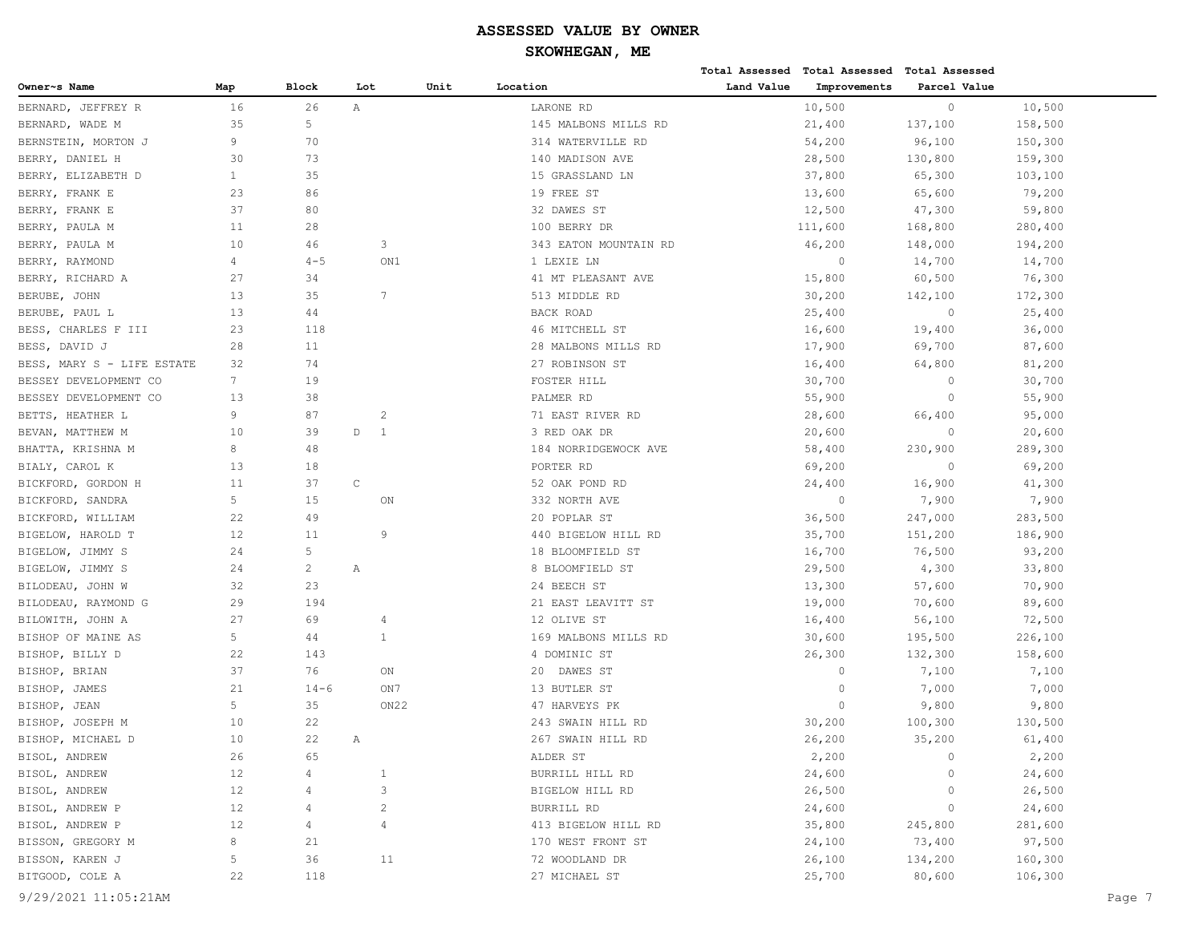|                            |                |                |             |                  |      |                       |            | Total Assessed Total Assessed | <b>Total Assessed</b> |         |
|----------------------------|----------------|----------------|-------------|------------------|------|-----------------------|------------|-------------------------------|-----------------------|---------|
| Owner~s Name               | Map            | Block          | Lot         |                  | Unit | Location              | Land Value | Improvements                  | Parcel Value          |         |
| BERNARD, JEFFREY R         | 16             | 26             | Α           |                  |      | LARONE RD             |            | 10,500                        | $\circ$               | 10,500  |
| BERNARD, WADE M            | 35             | 5              |             |                  |      | 145 MALBONS MILLS RD  |            | 21,400                        | 137,100               | 158,500 |
| BERNSTEIN, MORTON J        | 9              | 70             |             |                  |      | 314 WATERVILLE RD     |            | 54,200                        | 96,100                | 150,300 |
| BERRY, DANIEL H            | 30             | 73             |             |                  |      | 140 MADISON AVE       |            | 28,500                        | 130,800               | 159,300 |
| BERRY, ELIZABETH D         | $\mathbf{1}$   | 35             |             |                  |      | 15 GRASSLAND LN       |            | 37,800                        | 65,300                | 103,100 |
| BERRY, FRANK E             | 23             | 86             |             |                  |      | 19 FREE ST            |            | 13,600                        | 65,600                | 79,200  |
| BERRY, FRANK E             | 37             | 80             |             |                  |      | 32 DAWES ST           |            | 12,500                        | 47,300                | 59,800  |
| BERRY, PAULA M             | 11             | 28             |             |                  |      | 100 BERRY DR          |            | 111,600                       | 168,800               | 280,400 |
| BERRY, PAULA M             | 10             | 46             |             | 3                |      | 343 EATON MOUNTAIN RD |            | 46,200                        | 148,000               | 194,200 |
| BERRY, RAYMOND             | $\overline{4}$ | $4 - 5$        |             | ON1              |      | 1 LEXIE LN            |            | $\circ$                       | 14,700                | 14,700  |
| BERRY, RICHARD A           | 27             | 34             |             |                  |      | 41 MT PLEASANT AVE    |            | 15,800                        | 60,500                | 76,300  |
| BERUBE, JOHN               | 13             | 35             |             | 7                |      | 513 MIDDLE RD         |            | 30,200                        | 142,100               | 172,300 |
| BERUBE, PAUL L             | 13             | 44             |             |                  |      | BACK ROAD             |            | 25,400                        | $\circ$               | 25,400  |
| BESS, CHARLES F III        | 23             | 118            |             |                  |      | 46 MITCHELL ST        |            | 16,600                        | 19,400                | 36,000  |
| BESS, DAVID J              | 28             | 11             |             |                  |      | 28 MALBONS MILLS RD   |            | 17,900                        | 69,700                | 87,600  |
| BESS, MARY S - LIFE ESTATE | 32             | 74             |             |                  |      | 27 ROBINSON ST        |            | 16,400                        | 64,800                | 81,200  |
| BESSEY DEVELOPMENT CO      | $7^{\circ}$    | 19             |             |                  |      | FOSTER HILL           |            | 30,700                        | $\circ$               | 30,700  |
| BESSEY DEVELOPMENT CO      | 13             | 38             |             |                  |      | PALMER RD             |            | 55,900                        | $\circ$               | 55,900  |
| BETTS, HEATHER L           | 9              | 87             |             | 2                |      | 71 EAST RIVER RD      |            | 28,600                        | 66,400                | 95,000  |
| BEVAN, MATTHEW M           | 10             | 39             | D           | 1                |      | 3 RED OAK DR          |            | 20,600                        | $\circ$               | 20,600  |
| BHATTA, KRISHNA M          | 8              | 48             |             |                  |      | 184 NORRIDGEWOCK AVE  |            | 58,400                        | 230,900               | 289,300 |
| BIALY, CAROL K             | 13             | 18             |             |                  |      | PORTER RD             |            | 69,200                        | $\circ$               | 69,200  |
| BICKFORD, GORDON H         | 11             | 37             | $\mathsf C$ |                  |      | 52 OAK POND RD        |            | 24,400                        | 16,900                | 41,300  |
| BICKFORD, SANDRA           | 5              | 15             |             | ON               |      | 332 NORTH AVE         |            | $\circ$                       | 7,900                 | 7,900   |
| BICKFORD, WILLIAM          | 22             | 49             |             |                  |      | 20 POPLAR ST          |            | 36,500                        | 247,000               | 283,500 |
| BIGELOW, HAROLD T          | 12             | 11             |             | -9               |      | 440 BIGELOW HILL RD   |            | 35,700                        | 151,200               | 186,900 |
| BIGELOW, JIMMY S           | 24             | 5              |             |                  |      | 18 BLOOMFIELD ST      |            | 16,700                        | 76,500                | 93,200  |
| BIGELOW, JIMMY S           | 24             | $\overline{c}$ | Α           |                  |      | 8 BLOOMFIELD ST       |            | 29,500                        | 4,300                 | 33,800  |
| BILODEAU, JOHN W           | 32             | 23             |             |                  |      | 24 BEECH ST           |            | 13,300                        | 57,600                | 70,900  |
| BILODEAU, RAYMOND G        | 29             | 194            |             |                  |      | 21 EAST LEAVITT ST    |            | 19,000                        | 70,600                | 89,600  |
| BILOWITH, JOHN A           | 27             | 69             |             | 4                |      | 12 OLIVE ST           |            | 16,400                        | 56,100                | 72,500  |
| BISHOP OF MAINE AS         | 5              | 44             |             | 1                |      | 169 MALBONS MILLS RD  |            | 30,600                        | 195,500               | 226,100 |
| BISHOP, BILLY D            | 22             | 143            |             |                  |      | 4 DOMINIC ST          |            | 26,300                        | 132,300               | 158,600 |
| BISHOP, BRIAN              | 37             | 76             |             | ON               |      | DAWES ST<br>20        |            | $\circ$                       | 7,100                 | 7,100   |
| BISHOP, JAMES              | 21             | $14 - 6$       |             | ON7              |      | 13 BUTLER ST          |            | $\circ$                       | 7,000                 | 7,000   |
| BISHOP, JEAN               | 5              | 35             |             | ON <sub>22</sub> |      | 47 HARVEYS PK         |            | $\Omega$                      | 9,800                 | 9,800   |
| BISHOP, JOSEPH M           | 10             | 22             |             |                  |      | 243 SWAIN HILL RD     |            | 30,200                        | 100,300               | 130,500 |
| BISHOP, MICHAEL D          | 10             | 22             | Α           |                  |      | 267 SWAIN HILL RD     |            | 26,200                        | 35,200                | 61,400  |
| BISOL, ANDREW              | 26             | 65             |             |                  |      | ALDER ST              |            | 2,200                         | $\circ$               | 2,200   |
| BISOL, ANDREW              | 12             | 4              |             |                  |      | BURRILL HILL RD       |            | 24,600                        | $\circ$               | 24,600  |
| BISOL, ANDREW              | 12             | 4              |             | 3                |      | BIGELOW HILL RD       |            | 26,500                        | $\circ$               | 26,500  |
| BISOL, ANDREW P            | 12             | 4              |             | $\overline{c}$   |      | BURRILL RD            |            | 24,600                        | $\circ$               | 24,600  |
| BISOL, ANDREW P            | 12             | 4              |             | 4                |      | 413 BIGELOW HILL RD   |            | 35,800                        | 245,800               | 281,600 |
| BISSON, GREGORY M          | 8              | 21             |             |                  |      | 170 WEST FRONT ST     |            | 24,100                        | 73,400                | 97,500  |
| BISSON, KAREN J            | 5              | 36             |             | 11               |      | 72 WOODLAND DR        |            | 26,100                        | 134,200               | 160,300 |
| BITGOOD, COLE A            | 22             | 118            |             |                  |      | 27 MICHAEL ST         |            | 25,700                        | 80,600                | 106,300 |
| 9/29/2021 11:05:21AM       |                |                |             |                  |      |                       |            |                               |                       | Page 7  |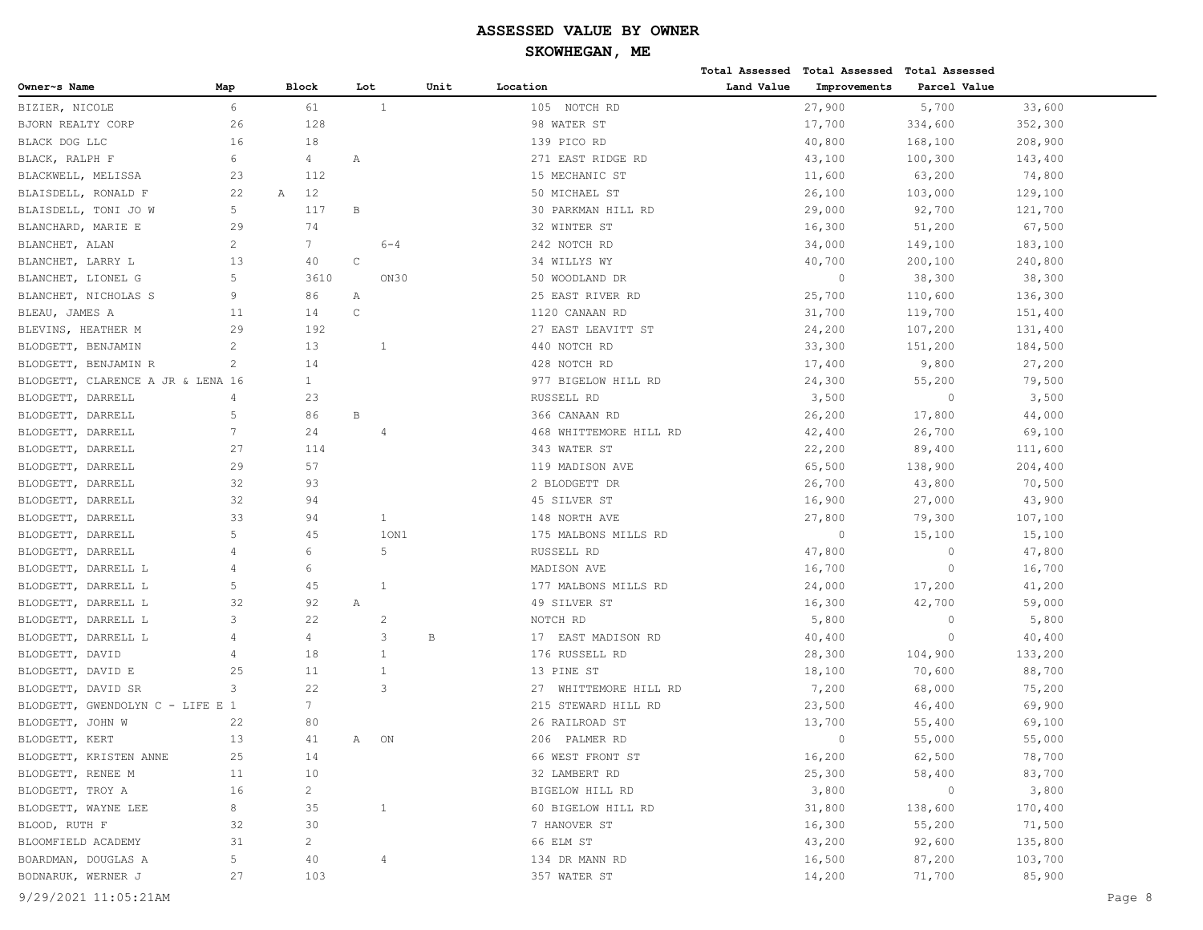|                                   |                 |                 |              |                |      |                          |            | Total Assessed Total Assessed | Total Assessed |         |        |
|-----------------------------------|-----------------|-----------------|--------------|----------------|------|--------------------------|------------|-------------------------------|----------------|---------|--------|
| Owner~s Name                      | Map             | Block           | Lot          |                | Unit | Location                 | Land Value | Improvements                  | Parcel Value   |         |        |
| BIZIER, NICOLE                    | 6               | 61              |              | $\mathbf{1}$   |      | 105 NOTCH RD             |            | 27,900                        | 5,700          | 33,600  |        |
| BJORN REALTY CORP                 | 26              | 128             |              |                |      | 98 WATER ST              |            | 17,700                        | 334,600        | 352,300 |        |
| BLACK DOG LLC                     | 16              | 18              |              |                |      | 139 PICO RD              |            | 40,800                        | 168,100        | 208,900 |        |
| BLACK, RALPH F                    | 6               | 4               | Α            |                |      | 271 EAST RIDGE RD        |            | 43,100                        | 100,300        | 143,400 |        |
| BLACKWELL, MELISSA                | 23              | 112             |              |                |      | 15 MECHANIC ST           |            | 11,600                        | 63,200         | 74,800  |        |
| BLAISDELL, RONALD F               | 22              | 12<br>Α         |              |                |      | 50 MICHAEL ST            |            | 26,100                        | 103,000        | 129,100 |        |
| BLAISDELL, TONI JO W              | 5               | 117             | В            |                |      | 30 PARKMAN HILL RD       |            | 29,000                        | 92,700         | 121,700 |        |
| BLANCHARD, MARIE E                | 29              | 74              |              |                |      | 32 WINTER ST             |            | 16,300                        | 51,200         | 67,500  |        |
| BLANCHET, ALAN                    | $\overline{c}$  | $7\phantom{.0}$ |              | $6 - 4$        |      | 242 NOTCH RD             |            | 34,000                        | 149,100        | 183,100 |        |
| BLANCHET, LARRY L                 | 13              | 40              | C            |                |      | 34 WILLYS WY             |            | 40,700                        | 200,100        | 240,800 |        |
| BLANCHET, LIONEL G                | 5               | 3610            |              | ON30           |      | 50 WOODLAND DR           |            | $\circ$                       | 38,300         | 38,300  |        |
| BLANCHET, NICHOLAS S              | 9               | 86              | Α            |                |      | 25 EAST RIVER RD         |            | 25,700                        | 110,600        | 136,300 |        |
| BLEAU, JAMES A                    | 11              | 14              | $\mathsf{C}$ |                |      | 1120 CANAAN RD           |            | 31,700                        | 119,700        | 151,400 |        |
| BLEVINS, HEATHER M                | 29              | 192             |              |                |      | 27 EAST LEAVITT ST       |            | 24,200                        | 107,200        | 131,400 |        |
| BLODGETT, BENJAMIN                | 2               | 13              |              | $\overline{1}$ |      | 440 NOTCH RD             |            | 33,300                        | 151,200        | 184,500 |        |
| BLODGETT, BENJAMIN R              | 2               | 14              |              |                |      | 428 NOTCH RD             |            | 17,400                        | 9,800          | 27,200  |        |
| BLODGETT, CLARENCE A JR & LENA 16 |                 | $\mathbf{1}$    |              |                |      | 977 BIGELOW HILL RD      |            | 24,300                        | 55,200         | 79,500  |        |
| BLODGETT, DARRELL                 | 4               | 23              |              |                |      | RUSSELL RD               |            | 3,500                         | $\circ$        | 3,500   |        |
| BLODGETT, DARRELL                 | 5               | 86              | B            |                |      | 366 CANAAN RD            |            | 26,200                        | 17,800         | 44,000  |        |
| BLODGETT, DARRELL                 | $7\phantom{.0}$ | 24              |              | $\overline{4}$ |      | 468 WHITTEMORE HILL RD   |            | 42,400                        | 26,700         | 69,100  |        |
| BLODGETT, DARRELL                 | 27              | 114             |              |                |      | 343 WATER ST             |            | 22,200                        | 89,400         | 111,600 |        |
| BLODGETT, DARRELL                 | 29              | 57              |              |                |      | 119 MADISON AVE          |            | 65,500                        | 138,900        | 204,400 |        |
| BLODGETT, DARRELL                 | 32              | 93              |              |                |      | 2 BLODGETT DR            |            | 26,700                        | 43,800         | 70,500  |        |
| BLODGETT, DARRELL                 | 32              | 94              |              |                |      | 45 SILVER ST             |            | 16,900                        | 27,000         | 43,900  |        |
| BLODGETT, DARRELL                 | 33              | 94              |              | $\mathbf{1}$   |      | 148 NORTH AVE            |            | 27,800                        | 79,300         | 107,100 |        |
| BLODGETT, DARRELL                 | 5               | 45              |              | 10N1           |      | 175 MALBONS MILLS RD     |            | $\circ$                       | 15,100         | 15,100  |        |
| BLODGETT, DARRELL                 | $\overline{4}$  | 6               |              | 5              |      | RUSSELL RD               |            | 47,800                        | $\circ$        | 47,800  |        |
| BLODGETT, DARRELL L               | 4               | 6               |              |                |      | MADISON AVE              |            | 16,700                        | $\circ$        | 16,700  |        |
| BLODGETT, DARRELL L               | 5               | 45              |              | $\mathbf{1}$   |      | 177 MALBONS MILLS RD     |            | 24,000                        | 17,200         | 41,200  |        |
| BLODGETT, DARRELL L               | 32              | 92              | Α            |                |      | 49 SILVER ST             |            | 16,300                        | 42,700         | 59,000  |        |
| BLODGETT, DARRELL L               | 3               | 22              |              | $\overline{2}$ |      | NOTCH RD                 |            | 5,800                         | $\circ$        | 5,800   |        |
| BLODGETT, DARRELL L               | 4               | 4               |              | 3              | В    | 17 EAST MADISON RD       |            | 40,400                        | $\circ$        | 40,400  |        |
| BLODGETT, DAVID                   | 4               | 18              |              | $\mathbf{1}$   |      | 176 RUSSELL RD           |            | 28,300                        | 104,900        | 133,200 |        |
| BLODGETT, DAVID E                 | 25              | 11              |              | $\mathbf{1}$   |      | 13 PINE ST               |            | 18,100                        | 70,600         | 88,700  |        |
| BLODGETT, DAVID SR                | 3               | 22              |              | 3              |      | WHITTEMORE HILL RD<br>27 |            | 7,200                         | 68,000         | 75,200  |        |
| BLODGETT, GWENDOLYN C - LIFE E 1  |                 | 7               |              |                |      | 215 STEWARD HILL RD      |            | 23,500                        | 46,400         | 69,900  |        |
| BLODGETT, JOHN W                  | 22              | 80              |              |                |      | 26 RAILROAD ST           |            | 13,700                        | 55,400         | 69,100  |        |
| BLODGETT, KERT                    | 13              | 41              | Α            | ON             |      | 206 PALMER RD            |            | $\bigcap$                     | 55,000         | 55,000  |        |
| BLODGETT, KRISTEN ANNE            | 25              | 14              |              |                |      | 66 WEST FRONT ST         |            | 16,200                        | 62,500         | 78,700  |        |
| BLODGETT, RENEE M                 | 11              | 10              |              |                |      | 32 LAMBERT RD            |            | 25,300                        | 58,400         | 83,700  |        |
| BLODGETT, TROY A                  | 16              | $\overline{a}$  |              |                |      | BIGELOW HILL RD          |            | 3,800                         | $\circ$        | 3,800   |        |
| BLODGETT, WAYNE LEE               | 8               | 35              |              | $\mathbf{1}$   |      | 60 BIGELOW HILL RD       |            | 31,800                        | 138,600        | 170,400 |        |
| BLOOD, RUTH F                     | 32              | 30              |              |                |      | 7 HANOVER ST             |            | 16,300                        | 55,200         | 71,500  |        |
| BLOOMFIELD ACADEMY                | 31              | $\overline{c}$  |              |                |      | 66 ELM ST                |            | 43,200                        | 92,600         | 135,800 |        |
| BOARDMAN, DOUGLAS A               | 5               | 40              |              | 4              |      | 134 DR MANN RD           |            | 16,500                        | 87,200         | 103,700 |        |
| BODNARUK, WERNER J                | 27              | 103             |              |                |      | 357 WATER ST             |            | 14,200                        | 71,700         | 85,900  |        |
| 9/29/2021 11:05:21AM              |                 |                 |              |                |      |                          |            |                               |                |         | Page 8 |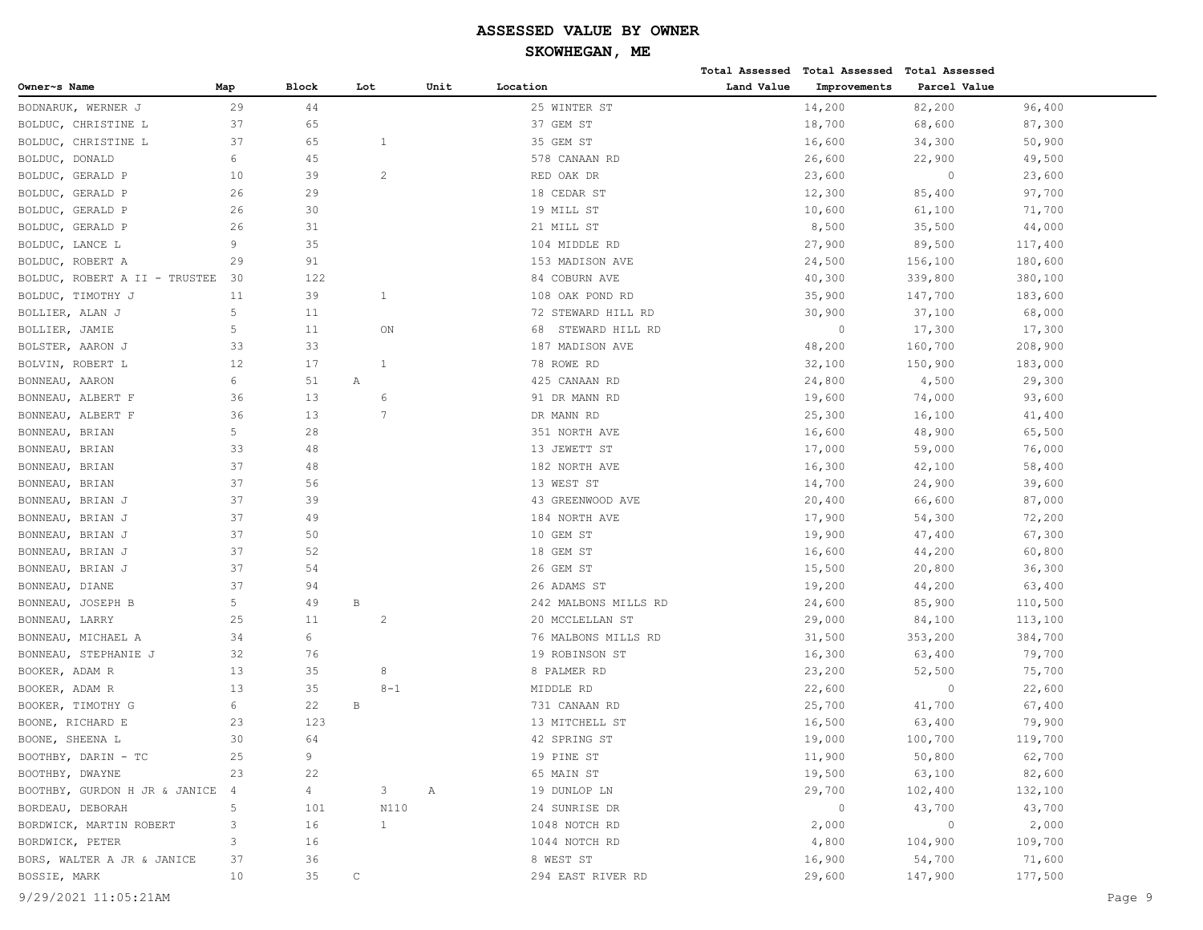|                               |                |                |              |                |      |                       |            | Total Assessed Total Assessed Total Assessed |                |         |
|-------------------------------|----------------|----------------|--------------|----------------|------|-----------------------|------------|----------------------------------------------|----------------|---------|
| Owner~s Name                  | Map            | Block          | Lot          |                | Unit | Location              | Land Value | Improvements                                 | Parcel Value   |         |
| BODNARUK, WERNER J            | 29             | 44             |              |                |      | 25 WINTER ST          |            | 14,200                                       | 82,200         | 96,400  |
| BOLDUC, CHRISTINE L           | 37             | 65             |              |                |      | 37 GEM ST             |            | 18,700                                       | 68,600         | 87,300  |
| BOLDUC, CHRISTINE L           | 37             | 65             |              | 1              |      | 35 GEM ST             |            | 16,600                                       | 34,300         | 50,900  |
| BOLDUC, DONALD                | 6              | 45             |              |                |      | 578 CANAAN RD         |            | 26,600                                       | 22,900         | 49,500  |
| BOLDUC, GERALD P              | 10             | 39             |              | $\mathbf{2}$   |      | RED OAK DR            |            | 23,600                                       | $\circ$        | 23,600  |
| BOLDUC, GERALD P              | 26             | 29             |              |                |      | 18 CEDAR ST           |            | 12,300                                       | 85,400         | 97,700  |
| BOLDUC, GERALD P              | 26             | 30             |              |                |      | 19 MILL ST            |            | 10,600                                       | 61,100         | 71,700  |
| BOLDUC, GERALD P              | 26             | 31             |              |                |      | 21 MILL ST            |            | 8,500                                        | 35,500         | 44,000  |
| BOLDUC, LANCE L               | 9              | 35             |              |                |      | 104 MIDDLE RD         |            | 27,900                                       | 89,500         | 117,400 |
| BOLDUC, ROBERT A              | 29             | 91             |              |                |      | 153 MADISON AVE       |            | 24,500                                       | 156,100        | 180,600 |
| BOLDUC, ROBERT A II - TRUSTEE | 30             | 122            |              |                |      | 84 COBURN AVE         |            | 40,300                                       | 339,800        | 380,100 |
| BOLDUC, TIMOTHY J             | 11             | 39             |              | $\mathbf{1}$   |      | 108 OAK POND RD       |            | 35,900                                       | 147,700        | 183,600 |
| BOLLIER, ALAN J               | 5              | 11             |              |                |      | 72 STEWARD HILL RD    |            | 30,900                                       | 37,100         | 68,000  |
| BOLLIER, JAMIE                | 5              | 11             |              | ON             |      | STEWARD HILL RD<br>68 |            | $\circ$                                      | 17,300         | 17,300  |
| BOLSTER, AARON J              | 33             | 33             |              |                |      | 187 MADISON AVE       |            | 48,200                                       | 160,700        | 208,900 |
| BOLVIN, ROBERT L              | 12             | 17             |              | 1              |      | 78 ROWE RD            |            | 32,100                                       | 150,900        | 183,000 |
| BONNEAU, AARON                | 6              | 51             | Α            |                |      | 425 CANAAN RD         |            | 24,800                                       | 4,500          | 29,300  |
| BONNEAU, ALBERT F             | 36             | 13             |              | 6              |      | 91 DR MANN RD         |            | 19,600                                       | 74,000         | 93,600  |
| BONNEAU, ALBERT F             | 36             | 13             |              | $\overline{7}$ |      | DR MANN RD            |            | 25,300                                       | 16,100         | 41,400  |
| BONNEAU, BRIAN                | 5              | 28             |              |                |      | 351 NORTH AVE         |            | 16,600                                       | 48,900         | 65,500  |
| BONNEAU, BRIAN                | 33             | 48             |              |                |      | 13 JEWETT ST          |            | 17,000                                       | 59,000         | 76,000  |
| BONNEAU, BRIAN                | 37             | 48             |              |                |      | 182 NORTH AVE         |            | 16,300                                       | 42,100         | 58,400  |
| BONNEAU, BRIAN                | 37             | 56             |              |                |      | 13 WEST ST            |            | 14,700                                       | 24,900         | 39,600  |
| BONNEAU, BRIAN J              | 37             | 39             |              |                |      | 43 GREENWOOD AVE      |            | 20,400                                       | 66,600         | 87,000  |
| BONNEAU, BRIAN J              | 37             | 49             |              |                |      | 184 NORTH AVE         |            | 17,900                                       | 54,300         | 72,200  |
| BONNEAU, BRIAN J              | 37             | 50             |              |                |      | 10 GEM ST             |            | 19,900                                       | 47,400         | 67,300  |
| BONNEAU, BRIAN J              | 37             | 52             |              |                |      | 18 GEM ST             |            | 16,600                                       | 44,200         | 60,800  |
| BONNEAU, BRIAN J              | 37             | 54             |              |                |      | 26 GEM ST             |            | 15,500                                       | 20,800         | 36,300  |
| BONNEAU, DIANE                | 37             | 94             |              |                |      | 26 ADAMS ST           |            | 19,200                                       | 44,200         | 63,400  |
| BONNEAU, JOSEPH B             | 5              | 49             | $\, {\bf B}$ |                |      | 242 MALBONS MILLS RD  |            | 24,600                                       | 85,900         | 110,500 |
| BONNEAU, LARRY                | 25             | 11             |              | $\overline{c}$ |      | 20 MCCLELLAN ST       |            | 29,000                                       | 84,100         | 113,100 |
| BONNEAU, MICHAEL A            | 34             | 6              |              |                |      | 76 MALBONS MILLS RD   |            | 31,500                                       | 353,200        | 384,700 |
| BONNEAU, STEPHANIE J          | 32             | 76             |              |                |      | 19 ROBINSON ST        |            | 16,300                                       | 63,400         | 79,700  |
| BOOKER, ADAM R                | 13             | 35             |              | 8              |      | 8 PALMER RD           |            | 23,200                                       | 52,500         | 75,700  |
| BOOKER, ADAM R                | 13             | 35             |              | $8 - 1$        |      | MIDDLE RD             |            | 22,600                                       | $\circ$        | 22,600  |
| BOOKER, TIMOTHY G             | 6              | 22             | $\, {\bf B}$ |                |      | 731 CANAAN RD         |            | 25,700                                       | 41,700         | 67,400  |
| BOONE, RICHARD E              | 23             | 123            |              |                |      | 13 MITCHELL ST        |            | 16,500                                       | 63,400         | 79,900  |
| BOONE, SHEENA L               | 30             | 64             |              |                |      | 42 SPRING ST          |            | 19,000                                       | 100,700        | 119,700 |
| BOOTHBY, DARIN - TC           | 25             | 9              |              |                |      | 19 PINE ST            |            | 11,900                                       | 50,800         | 62,700  |
| BOOTHBY, DWAYNE               | 23             | 22             |              |                |      | 65 MAIN ST            |            | 19,500                                       | 63,100         | 82,600  |
| BOOTHBY, GURDON H JR & JANICE | $\overline{4}$ | $\overline{4}$ |              | 3              | Α    | 19 DUNLOP LN          |            | 29,700                                       | 102,400        | 132,100 |
| BORDEAU, DEBORAH              | 5              | 101            |              | N110           |      | 24 SUNRISE DR         |            | $\circ$                                      | 43,700         | 43,700  |
| BORDWICK, MARTIN ROBERT       | 3              | 16             |              | $\mathbf{1}$   |      | 1048 NOTCH RD         |            | 2,000                                        | $\overline{0}$ | 2,000   |
| BORDWICK, PETER               | 3              | 16             |              |                |      | 1044 NOTCH RD         |            | 4,800                                        | 104,900        | 109,700 |
| BORS, WALTER A JR & JANICE    | 37             | 36             |              |                |      | 8 WEST ST             |            | 16,900                                       | 54,700         | 71,600  |
| BOSSIE, MARK                  | 10             | 35             | $\mathsf C$  |                |      | 294 EAST RIVER RD     |            | 29,600                                       | 147,900        | 177,500 |
|                               |                |                |              |                |      |                       |            |                                              |                |         |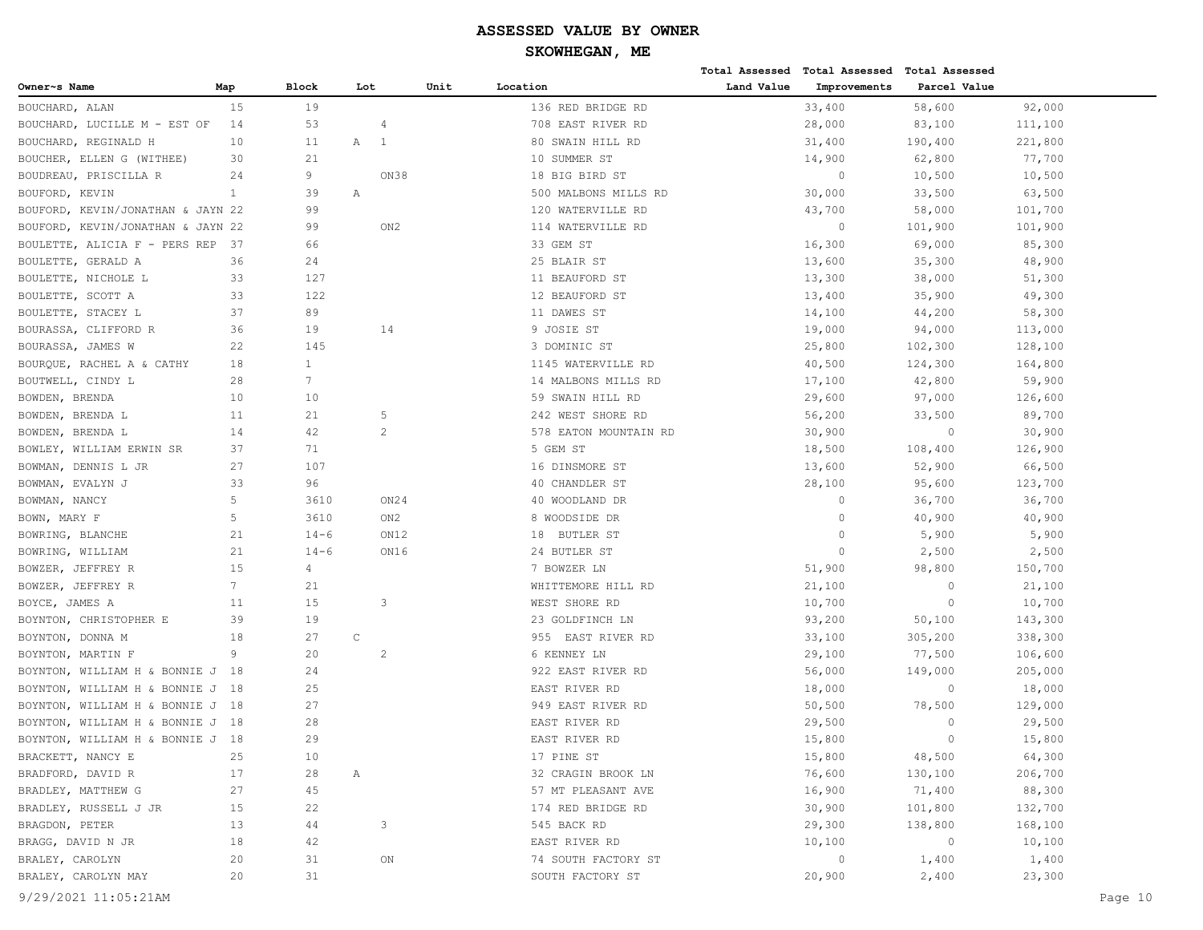|                                   |                 |                 |             |                 |                       |            | Total Assessed Total Assessed Total Assessed |              |         |
|-----------------------------------|-----------------|-----------------|-------------|-----------------|-----------------------|------------|----------------------------------------------|--------------|---------|
| Owner~s Name                      | Map             | <b>Block</b>    | Lot         |                 | Unit<br>Location      | Land Value | Improvements                                 | Parcel Value |         |
| BOUCHARD, ALAN                    | 15              | 19              |             |                 | 136 RED BRIDGE RD     |            | 33,400                                       | 58,600       | 92,000  |
| BOUCHARD, LUCILLE M - EST OF      | 14              | 53              |             | 4               | 708 EAST RIVER RD     |            | 28,000                                       | 83,100       | 111,100 |
| BOUCHARD, REGINALD H              | 10              | 11              | Α           | <sup>1</sup>    | 80 SWAIN HILL RD      |            | 31,400                                       | 190,400      | 221,800 |
| BOUCHER, ELLEN G (WITHEE)         | 30              | 21              |             |                 | 10 SUMMER ST          |            | 14,900                                       | 62,800       | 77,700  |
| BOUDREAU, PRISCILLA R             | 24              | 9               |             | ON38            | 18 BIG BIRD ST        |            | $\circ$                                      | 10,500       | 10,500  |
| BOUFORD, KEVIN                    | $\mathbf{1}$    | 39              | Α           |                 | 500 MALBONS MILLS RD  |            | 30,000                                       | 33,500       | 63,500  |
| BOUFORD, KEVIN/JONATHAN & JAYN 22 |                 | 99              |             |                 | 120 WATERVILLE RD     |            | 43,700                                       | 58,000       | 101,700 |
| BOUFORD, KEVIN/JONATHAN & JAYN 22 |                 | 99              |             | ON <sub>2</sub> | 114 WATERVILLE RD     |            | $\circ$                                      | 101,900      | 101,900 |
| BOULETTE, ALICIA F - PERS REP     | - 37            | 66              |             |                 | 33 GEM ST             |            | 16,300                                       | 69,000       | 85,300  |
| BOULETTE, GERALD A                | 36              | 24              |             |                 | 25 BLAIR ST           |            | 13,600                                       | 35,300       | 48,900  |
| BOULETTE, NICHOLE L               | 33              | 127             |             |                 | 11 BEAUFORD ST        |            | 13,300                                       | 38,000       | 51,300  |
| BOULETTE, SCOTT A                 | 33              | 122             |             |                 | 12 BEAUFORD ST        |            | 13,400                                       | 35,900       | 49,300  |
| BOULETTE, STACEY L                | 37              | 89              |             |                 | 11 DAWES ST           |            | 14,100                                       | 44,200       | 58,300  |
| BOURASSA, CLIFFORD R              | 36              | 19              |             | 14              | 9 JOSIE ST            |            | 19,000                                       | 94,000       | 113,000 |
| BOURASSA, JAMES W                 | 22              | 145             |             |                 | 3 DOMINIC ST          |            | 25,800                                       | 102,300      | 128,100 |
| BOURQUE, RACHEL A & CATHY         | 18              | $\mathbf{1}$    |             |                 | 1145 WATERVILLE RD    |            | 40,500                                       | 124,300      | 164,800 |
| BOUTWELL, CINDY L                 | 28              | $7\phantom{.0}$ |             |                 | 14 MALBONS MILLS RD   |            | 17,100                                       | 42,800       | 59,900  |
| BOWDEN, BRENDA                    | 10              | 10              |             |                 | 59 SWAIN HILL RD      |            | 29,600                                       | 97,000       | 126,600 |
| BOWDEN, BRENDA L                  | 11              | 21              |             | 5               | 242 WEST SHORE RD     |            | 56,200                                       | 33,500       | 89,700  |
| BOWDEN, BRENDA L                  | 14              | 42              |             | 2               | 578 EATON MOUNTAIN RD |            | 30,900                                       | $\circ$      | 30,900  |
| BOWLEY, WILLIAM ERWIN SR          | 37              | 71              |             |                 | 5 GEM ST              |            | 18,500                                       | 108,400      | 126,900 |
| BOWMAN, DENNIS L JR               | 27              | 107             |             |                 | 16 DINSMORE ST        |            | 13,600                                       | 52,900       | 66,500  |
| BOWMAN, EVALYN J                  | 33              | 96              |             |                 | 40 CHANDLER ST        |            | 28,100                                       | 95,600       | 123,700 |
| BOWMAN, NANCY                     | 5               | 3610            |             | ON24            | 40 WOODLAND DR        |            | $\circ$                                      | 36,700       | 36,700  |
| BOWN, MARY F                      | 5               | 3610            |             | ON2             | 8 WOODSIDE DR         |            | $\circ$                                      | 40,900       | 40,900  |
| BOWRING, BLANCHE                  | 21              | $14 - 6$        |             | ON12            | BUTLER ST<br>18       |            | $\mathbf{0}$                                 | 5,900        | 5,900   |
| BOWRING, WILLIAM                  | 21              | $14 - 6$        |             | ON16            | 24 BUTLER ST          |            | $\Omega$                                     | 2,500        | 2,500   |
| BOWZER, JEFFREY R                 | 15              | 4               |             |                 | 7 BOWZER LN           |            | 51,900                                       | 98,800       | 150,700 |
| BOWZER, JEFFREY R                 | $7\phantom{.0}$ | 21              |             |                 | WHITTEMORE HILL RD    |            | 21,100                                       | $\circ$      | 21,100  |
| BOYCE, JAMES A                    | 11              | 15              |             | 3               | WEST SHORE RD         |            | 10,700                                       | $\circ$      | 10,700  |
| BOYNTON, CHRISTOPHER E            | 39              | 19              |             |                 | 23 GOLDFINCH LN       |            | 93,200                                       | 50,100       | 143,300 |
| BOYNTON, DONNA M                  | 18              | 27              | $\mathsf C$ |                 | 955 EAST RIVER RD     |            | 33,100                                       | 305,200      | 338,300 |
| BOYNTON, MARTIN F                 | 9               | 20              |             | $\overline{c}$  | 6 KENNEY LN           |            | 29,100                                       | 77,500       | 106,600 |
| BOYNTON, WILLIAM H & BONNIE J     | 18              | 24              |             |                 | 922 EAST RIVER RD     |            | 56,000                                       | 149,000      | 205,000 |
| BOYNTON, WILLIAM H & BONNIE J     | 18              | 25              |             |                 | EAST RIVER RD         |            | 18,000                                       | $\circ$      | 18,000  |
| BOYNTON, WILLIAM H & BONNIE J 18  |                 | 27              |             |                 | 949 EAST RIVER RD     |            | 50,500                                       | 78,500       | 129,000 |
| BOYNTON, WILLIAM H & BONNIE J 18  |                 | 28              |             |                 | EAST RIVER RD         |            | 29,500                                       | $\Omega$     | 29,500  |
| BOYNTON, WILLIAM H & BONNIE J 18  |                 | 29              |             |                 | EAST RIVER RD         |            | 15,800                                       | $\Omega$     | 15,800  |
| BRACKETT, NANCY E                 | 25              | 10              |             |                 | 17 PINE ST            |            | 15,800                                       | 48,500       | 64,300  |
| BRADFORD, DAVID R                 | 17              | 28              | Α           |                 | 32 CRAGIN BROOK LN    |            | 76,600                                       | 130,100      | 206,700 |
| BRADLEY, MATTHEW G                | 27              | 45              |             |                 | 57 MT PLEASANT AVE    |            | 16,900                                       | 71,400       | 88,300  |
| BRADLEY, RUSSELL J JR             | 15              | 22              |             |                 | 174 RED BRIDGE RD     |            | 30,900                                       | 101,800      | 132,700 |
| BRAGDON, PETER                    | 13              | 44              |             | 3               | 545 BACK RD           |            | 29,300                                       | 138,800      | 168,100 |
| BRAGG, DAVID N JR                 | 18              | 42              |             |                 | EAST RIVER RD         |            | 10,100                                       | $\circ$      | 10,100  |
| BRALEY, CAROLYN                   | 20              | 31              |             | ON              | 74 SOUTH FACTORY ST   |            | $\circ$                                      | 1,400        | 1,400   |
| BRALEY, CAROLYN MAY               | 20              | 31              |             |                 | SOUTH FACTORY ST      |            | 20,900                                       | 2,400        | 23,300  |
|                                   |                 |                 |             |                 |                       |            |                                              |              |         |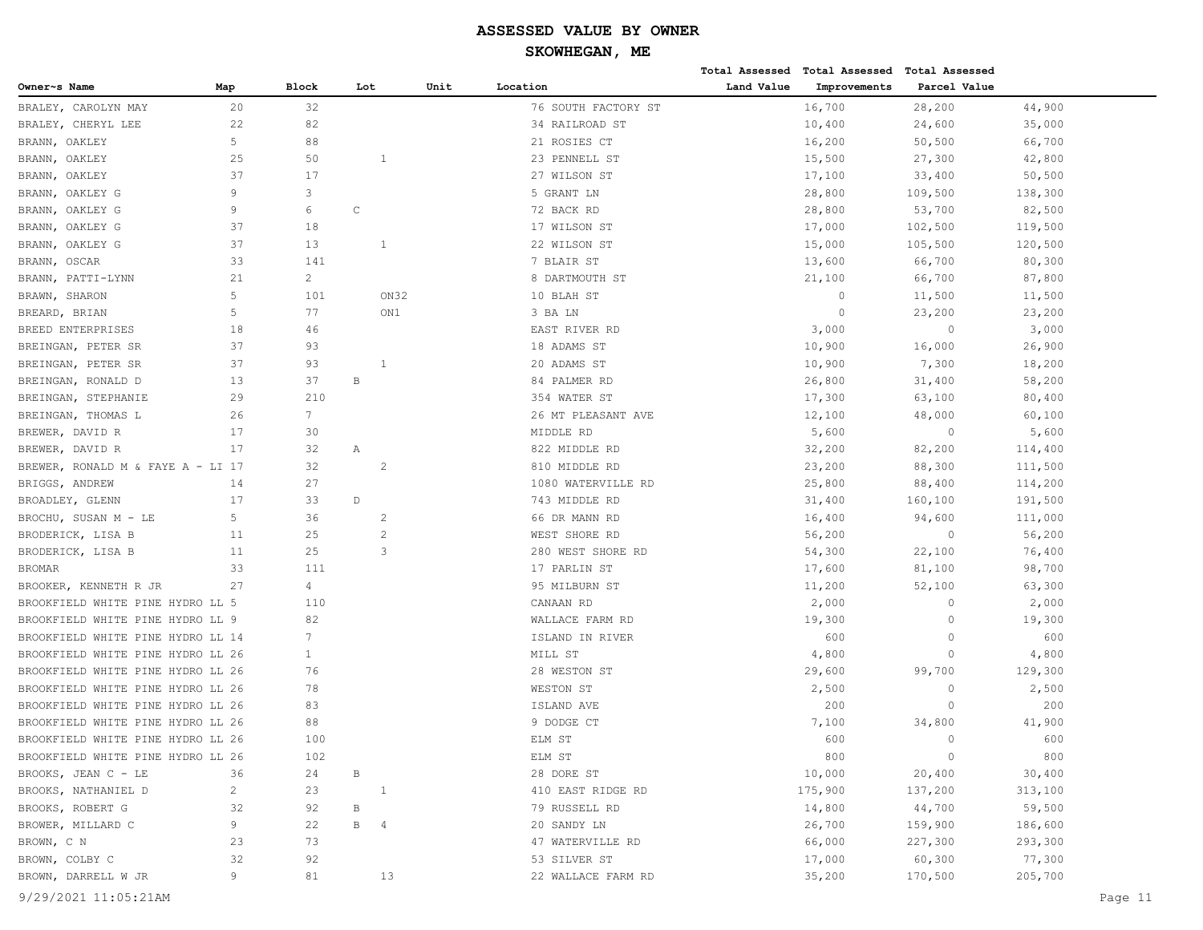|                                   |                |                 |              |                |      |                     |            | Total Assessed Total Assessed Total Assessed |                |         |         |
|-----------------------------------|----------------|-----------------|--------------|----------------|------|---------------------|------------|----------------------------------------------|----------------|---------|---------|
| Owner~s Name                      | Map            | <b>Block</b>    | Lot          |                | Unit | Location            | Land Value | Improvements                                 | Parcel Value   |         |         |
| BRALEY, CAROLYN MAY               | 20             | 32              |              |                |      | 76 SOUTH FACTORY ST |            | 16,700                                       | 28,200         | 44,900  |         |
| BRALEY, CHERYL LEE                | 22             | 82              |              |                |      | 34 RAILROAD ST      |            | 10,400                                       | 24,600         | 35,000  |         |
| BRANN, OAKLEY                     | 5              | 88              |              |                |      | 21 ROSIES CT        |            | 16,200                                       | 50,500         | 66,700  |         |
| OAKLEY<br>BRANN,                  | 25             | 50              |              | 1              |      | 23 PENNELL ST       |            | 15,500                                       | 27,300         | 42,800  |         |
| OAKLEY<br>BRANN,                  | 37             | 17              |              |                |      | 27 WILSON ST        |            | 17,100                                       | 33,400         | 50,500  |         |
| BRANN,<br>OAKLEY G                | 9              | 3               |              |                |      | 5 GRANT LN          |            | 28,800                                       | 109,500        | 138,300 |         |
| BRANN, OAKLEY G                   | 9              | 6               | $\mathsf C$  |                |      | 72 BACK RD          |            | 28,800                                       | 53,700         | 82,500  |         |
| OAKLEY G<br>BRANN,                | 37             | 18              |              |                |      | 17 WILSON ST        |            | 17,000                                       | 102,500        | 119,500 |         |
| BRANN,<br>OAKLEY G                | 37             | 13              |              | 1              |      | 22 WILSON ST        |            | 15,000                                       | 105,500        | 120,500 |         |
| BRANN,<br>OSCAR                   | 33             | 141             |              |                |      | 7 BLAIR ST          |            | 13,600                                       | 66,700         | 80,300  |         |
| BRANN, PATTI-LYNN                 | 21             | $\overline{2}$  |              |                |      | 8 DARTMOUTH ST      |            | 21,100                                       | 66,700         | 87,800  |         |
| BRAWN, SHARON                     | 5              | 101             |              | ON32           |      | 10 BLAH ST          |            | $\circ$                                      | 11,500         | 11,500  |         |
| BREARD, BRIAN                     | 5              | 77              |              | ON1            |      | 3 BA LN             |            | $\Omega$                                     | 23,200         | 23,200  |         |
| BREED ENTERPRISES                 | 18             | 46              |              |                |      | EAST RIVER RD       |            | 3,000                                        | $\circ$        | 3,000   |         |
| BREINGAN, PETER SR                | 37             | 93              |              |                |      | 18 ADAMS ST         |            | 10,900                                       | 16,000         | 26,900  |         |
| BREINGAN, PETER SR                | 37             | 93              |              | 1              |      | 20 ADAMS ST         |            | 10,900                                       | 7,300          | 18,200  |         |
| BREINGAN, RONALD D                | 13             | 37              | B            |                |      | 84 PALMER RD        |            | 26,800                                       | 31,400         | 58,200  |         |
| BREINGAN, STEPHANIE               | 29             | 210             |              |                |      | 354 WATER ST        |            | 17,300                                       | 63,100         | 80,400  |         |
| BREINGAN, THOMAS L                | 26             | $7\overline{ }$ |              |                |      | 26 MT PLEASANT AVE  |            | 12,100                                       | 48,000         | 60,100  |         |
| BREWER, DAVID R                   | 17             | 30              |              |                |      | MIDDLE RD           |            | 5,600                                        | $\circ$        | 5,600   |         |
| BREWER, DAVID R                   | 17             | 32              | Α            |                |      | 822 MIDDLE RD       |            | 32,200                                       | 82,200         | 114,400 |         |
| BREWER, RONALD M & FAYE A - LI 17 |                | 32              |              | $\overline{c}$ |      | 810 MIDDLE RD       |            | 23,200                                       | 88,300         | 111,500 |         |
| BRIGGS, ANDREW                    | 14             | 27              |              |                |      | 1080 WATERVILLE RD  |            | 25,800                                       | 88,400         | 114,200 |         |
| BROADLEY, GLENN                   | 17             | 33              | $\mathbb D$  |                |      | 743 MIDDLE RD       |            | 31,400                                       | 160,100        | 191,500 |         |
| BROCHU, SUSAN M - LE              | 5              | 36              |              | 2              |      | 66 DR MANN RD       |            | 16,400                                       | 94,600         | 111,000 |         |
| BRODERICK, LISA B                 | 11             | 25              |              | 2              |      | WEST SHORE RD       |            | 56,200                                       | $\circ$        | 56,200  |         |
| BRODERICK, LISA B                 | 11             | 25              |              | 3              |      | 280 WEST SHORE RD   |            | 54,300                                       | 22,100         | 76,400  |         |
| <b>BROMAR</b>                     | 33             | 111             |              |                |      | 17 PARLIN ST        |            | 17,600                                       | 81,100         | 98,700  |         |
| BROOKER, KENNETH R JR             | 27             | 4               |              |                |      | 95 MILBURN ST       |            | 11,200                                       | 52,100         | 63,300  |         |
| BROOKFIELD WHITE PINE HYDRO LL 5  |                | 110             |              |                |      | CANAAN RD           |            | 2,000                                        | $\circ$        | 2,000   |         |
| BROOKFIELD WHITE PINE HYDRO LL 9  |                | 82              |              |                |      | WALLACE FARM RD     |            | 19,300                                       | $\circ$        | 19,300  |         |
| BROOKFIELD WHITE PINE HYDRO LL 14 |                | $7\phantom{.0}$ |              |                |      | ISLAND IN RIVER     |            | 600                                          | $\circ$        | 600     |         |
| BROOKFIELD WHITE PINE HYDRO LL 26 |                | $\mathbf{1}$    |              |                |      | MILL ST             |            | 4,800                                        | $\circ$        | 4,800   |         |
| BROOKFIELD WHITE PINE HYDRO LL 26 |                | 76              |              |                |      | 28 WESTON ST        |            | 29,600                                       | 99,700         | 129,300 |         |
| BROOKFIELD WHITE PINE HYDRO LL 26 |                | 78              |              |                |      | WESTON ST           |            | 2,500                                        | $\circ$        | 2,500   |         |
| BROOKFIELD WHITE PINE HYDRO LL 26 |                | 83              |              |                |      | ISLAND AVE          |            | 200                                          | $\circ$        | 200     |         |
| BROOKFIELD WHITE PINE HYDRO LL 26 |                | 88              |              |                |      | 9 DODGE CT          |            | 7,100                                        | 34,800         | 41,900  |         |
| BROOKFIELD WHITE PINE HYDRO LL 26 |                | 100             |              |                |      | ELM ST              |            | 600                                          | $\mathbf{0}$   | 600     |         |
| BROOKFIELD WHITE PINE HYDRO LL 26 |                | 102             |              |                |      | ELM ST              |            | 800                                          | $\overline{0}$ | 800     |         |
| BROOKS, JEAN C - LE               | 36             | 24              | В            |                |      | 28 DORE ST          |            | 10,000                                       | 20,400         | 30,400  |         |
| BROOKS, NATHANIEL D               | $\overline{c}$ | 23              |              | $\mathbf{1}$   |      | 410 EAST RIDGE RD   |            | 175,900                                      | 137,200        | 313,100 |         |
| BROOKS, ROBERT G                  | 32             | 92              | $\, {\bf B}$ |                |      | 79 RUSSELL RD       |            | 14,800                                       | 44,700         | 59,500  |         |
| BROWER, MILLARD C                 | 9              | 22              | <b>B</b> 4   |                |      | 20 SANDY LN         |            | 26,700                                       | 159,900        | 186,600 |         |
| BROWN, C N                        | 23             | 73              |              |                |      | 47 WATERVILLE RD    |            | 66,000                                       | 227,300        | 293,300 |         |
| BROWN, COLBY C                    | 32             | 92              |              |                |      | 53 SILVER ST        |            | 17,000                                       | 60,300         | 77,300  |         |
| BROWN, DARRELL W JR               | 9              | 81              |              | 13             |      | 22 WALLACE FARM RD  |            | 35,200                                       | 170,500        | 205,700 |         |
|                                   |                |                 |              |                |      |                     |            |                                              |                |         |         |
| 9/29/2021 11:05:21AM              |                |                 |              |                |      |                     |            |                                              |                |         | Page 11 |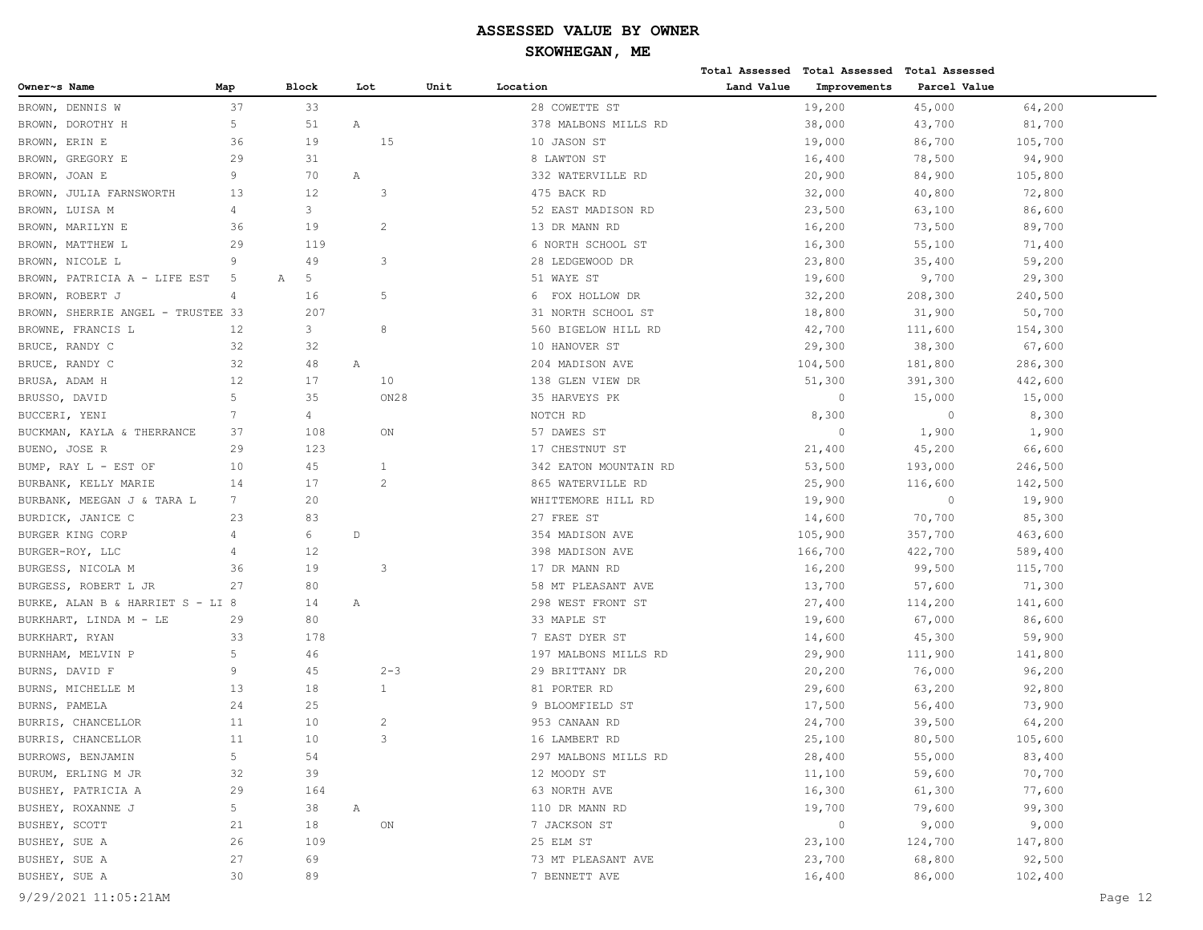|                                   |                 |              |              |      |                       |            | Total Assessed Total Assessed Total Assessed |              |         |
|-----------------------------------|-----------------|--------------|--------------|------|-----------------------|------------|----------------------------------------------|--------------|---------|
| Owner~s Name                      | Map             | <b>Block</b> | Lot          | Unit | Location              | Land Value | Improvements                                 | Parcel Value |         |
| BROWN, DENNIS W                   | 37              | 33           |              |      | 28 COWETTE ST         |            | 19,200                                       | 45,000       | 64,200  |
| DOROTHY H<br>BROWN,               | 5               | 51           | Α            |      | 378 MALBONS MILLS RD  |            | 38,000                                       | 43,700       | 81,700  |
| BROWN, ERIN E                     | 36              | 19           | 15           |      | 10 JASON ST           |            | 19,000                                       | 86,700       | 105,700 |
| GREGORY E<br>BROWN,               | 29              | 31           |              |      | 8 LAWTON ST           |            | 16,400                                       | 78,500       | 94,900  |
| BROWN, JOAN E                     | 9               | 70           | Α            |      | 332 WATERVILLE RD     |            | 20,900                                       | 84,900       | 105,800 |
| BROWN,<br>JULIA FARNSWORTH        | 13              | 12           | 3            |      | 475 BACK RD           |            | 32,000                                       | 40,800       | 72,800  |
| BROWN, LUISA M                    | 4               | 3            |              |      | 52 EAST MADISON RD    |            | 23,500                                       | 63,100       | 86,600  |
| BROWN, MARILYN E                  | 36              | 19           | 2            |      | 13 DR MANN RD         |            | 16,200                                       | 73,500       | 89,700  |
| BROWN, MATTHEW L                  | 29              | 119          |              |      | 6 NORTH SCHOOL ST     |            | 16,300                                       | 55,100       | 71,400  |
| BROWN, NICOLE L                   | 9               | 49           | 3            |      | 28 LEDGEWOOD DR       |            | 23,800                                       | 35,400       | 59,200  |
| BROWN, PATRICIA A - LIFE EST      | 5               | 5<br>Α       |              |      | 51 WAYE ST            |            | 19,600                                       | 9,700        | 29,300  |
| BROWN, ROBERT J                   | $\overline{4}$  | 16           | 5            |      | 6 FOX HOLLOW DR       |            | 32,200                                       | 208,300      | 240,500 |
| BROWN, SHERRIE ANGEL - TRUSTEE 33 |                 | 207          |              |      | 31 NORTH SCHOOL ST    |            | 18,800                                       | 31,900       | 50,700  |
| BROWNE, FRANCIS L                 | 12              | 3            | 8            |      | 560 BIGELOW HILL RD   |            | 42,700                                       | 111,600      | 154,300 |
| BRUCE, RANDY C                    | 32              | 32           |              |      | 10 HANOVER ST         |            | 29,300                                       | 38,300       | 67,600  |
| BRUCE, RANDY C                    | 32              | 48           | Α            |      | 204 MADISON AVE       |            | 104,500                                      | 181,800      | 286,300 |
| BRUSA, ADAM H                     | 12              | 17           | 10           |      | 138 GLEN VIEW DR      |            | 51,300                                       | 391,300      | 442,600 |
| BRUSSO, DAVID                     | 5               | 35           | ON28         |      | 35 HARVEYS PK         |            | $\circ$                                      | 15,000       | 15,000  |
| BUCCERI, YENI                     | 7               | 4            |              |      | NOTCH RD              |            | 8,300                                        | $\circ$      | 8,300   |
| BUCKMAN, KAYLA & THERRANCE        | 37              | 108          | ON           |      | 57 DAWES ST           |            | $\circ$                                      | 1,900        | 1,900   |
| BUENO, JOSE R                     | 29              | 123          |              |      | 17 CHESTNUT ST        |            | 21,400                                       | 45,200       | 66,600  |
| BUMP, RAY L - EST OF              | 10              | 45           | 1            |      | 342 EATON MOUNTAIN RD |            | 53,500                                       | 193,000      | 246,500 |
| BURBANK, KELLY MARIE              | 14              | 17           | 2            |      | 865 WATERVILLE RD     |            | 25,900                                       | 116,600      | 142,500 |
| BURBANK, MEEGAN J & TARA L        | $7\phantom{.0}$ | 20           |              |      | WHITTEMORE HILL RD    |            | 19,900                                       | $\circ$      | 19,900  |
| BURDICK, JANICE C                 | 23              | 83           |              |      | 27 FREE ST            |            | 14,600                                       | 70,700       | 85,300  |
| BURGER KING CORP                  | 4               | 6            | $\mathbb D$  |      | 354 MADISON AVE       |            | 105,900                                      | 357,700      | 463,600 |
| BURGER-ROY, LLC                   | 4               | 12           |              |      | 398 MADISON AVE       |            | 166,700                                      | 422,700      | 589,400 |
| BURGESS, NICOLA M                 | 36              | 19           | 3            |      | 17 DR MANN RD         |            | 16,200                                       | 99,500       | 115,700 |
| BURGESS, ROBERT L JR              | 27              | 80           |              |      | 58 MT PLEASANT AVE    |            | 13,700                                       | 57,600       | 71,300  |
| BURKE, ALAN B & HARRIET S - LI 8  |                 | 14           | Α            |      | 298 WEST FRONT ST     |            | 27,400                                       | 114,200      | 141,600 |
| BURKHART, LINDA M - LE            | 29              | 80           |              |      | 33 MAPLE ST           |            | 19,600                                       | 67,000       | 86,600  |
| BURKHART, RYAN                    | 33              | 178          |              |      | 7 EAST DYER ST        |            | 14,600                                       | 45,300       | 59,900  |
| BURNHAM, MELVIN P                 | 5               | 46           |              |      | 197 MALBONS MILLS RD  |            | 29,900                                       | 111,900      | 141,800 |
| BURNS, DAVID F                    | 9               | 45           | $2 - 3$      |      | 29 BRITTANY DR        |            | 20,200                                       | 76,000       | 96,200  |
| BURNS, MICHELLE M                 | 13              | 18           | $\mathbf{1}$ |      | 81 PORTER RD          |            | 29,600                                       | 63,200       | 92,800  |
| BURNS, PAMELA                     | 24              | 25           |              |      | 9 BLOOMFIELD ST       |            | 17,500                                       | 56,400       | 73,900  |
| BURRIS, CHANCELLOR                | 11              | 10           | 2            |      | 953 CANAAN RD         |            | 24,700                                       | 39,500       | 64,200  |
| BURRIS, CHANCELLOR                | 11              | 10           | 3            |      | 16 LAMBERT RD         |            | 25,100                                       | 80,500       | 105,600 |
| BURROWS, BENJAMIN                 | 5               | 54           |              |      | 297 MALBONS MILLS RD  |            | 28,400                                       | 55,000       | 83,400  |
| BURUM, ERLING M JR                | 32              | 39           |              |      | 12 MOODY ST           |            | 11,100                                       | 59,600       | 70,700  |
| BUSHEY, PATRICIA A                | 29              | 164          |              |      | 63 NORTH AVE          |            | 16,300                                       | 61,300       | 77,600  |
| BUSHEY, ROXANNE J                 | 5               | 38           | Α            |      | 110 DR MANN RD        |            | 19,700                                       | 79,600       | 99,300  |
| BUSHEY, SCOTT                     | 21              | 18           | ON           |      | 7 JACKSON ST          |            | $\circ$                                      | 9,000        | 9,000   |
| BUSHEY, SUE A                     | 26              | 109          |              |      | 25 ELM ST             |            | 23,100                                       | 124,700      | 147,800 |
| BUSHEY, SUE A                     | 27              | 69           |              |      | 73 MT PLEASANT AVE    |            | 23,700                                       | 68,800       | 92,500  |
| BUSHEY, SUE A                     | 30              | 89           |              |      | 7 BENNETT AVE         |            | 16,400                                       | 86,000       | 102,400 |
|                                   |                 |              |              |      |                       |            |                                              |              |         |

9/29/2021 11:05:21AM Page 12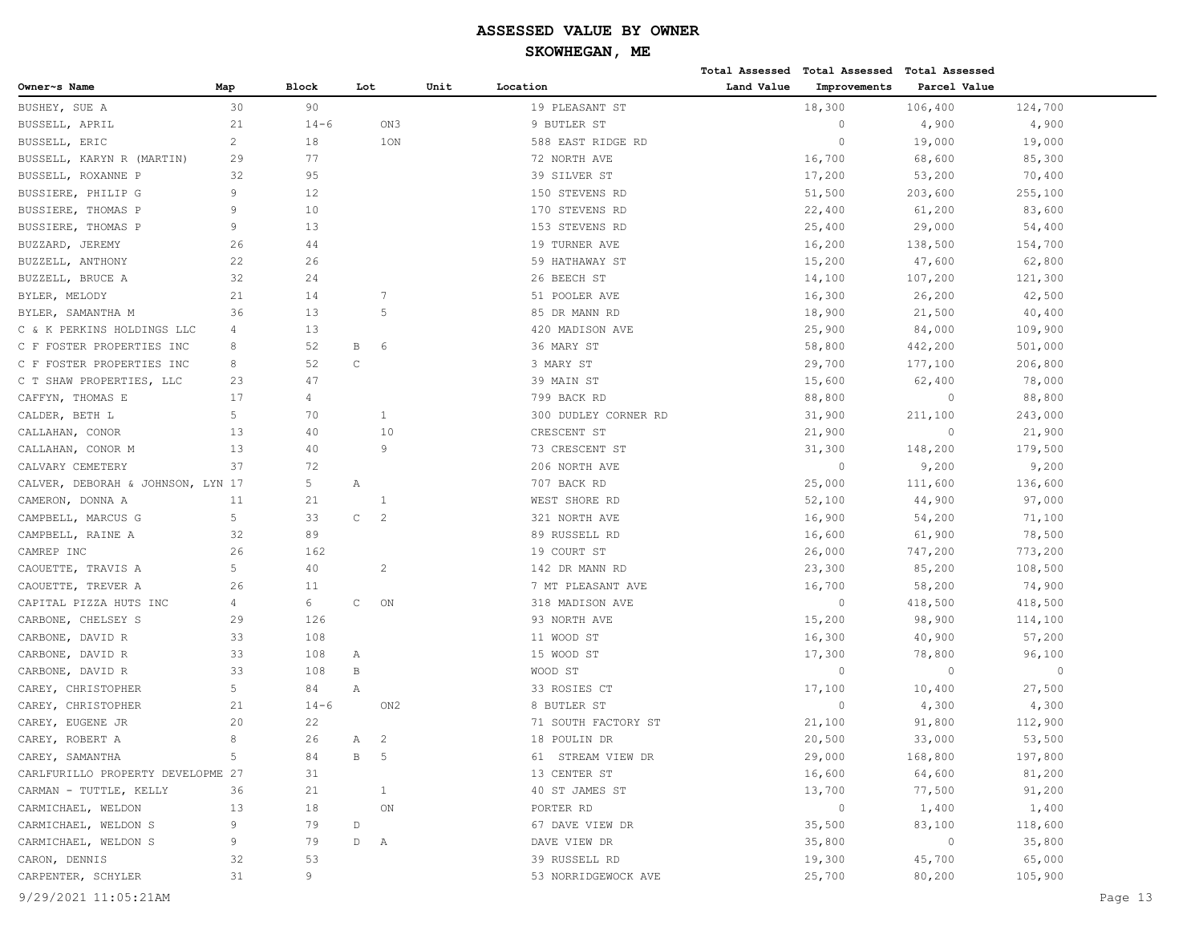|                                   |                |              |             |                 |      |                      |            | Total Assessed Total Assessed | Total Assessed |         |         |
|-----------------------------------|----------------|--------------|-------------|-----------------|------|----------------------|------------|-------------------------------|----------------|---------|---------|
| Owner~s Name                      | Map            | <b>Block</b> | Lot         |                 | Unit | Location             | Land Value | Improvements                  | Parcel Value   |         |         |
| BUSHEY, SUE A                     | 30             | 90           |             |                 |      | 19 PLEASANT ST       |            | 18,300                        | 106,400        | 124,700 |         |
| BUSSELL, APRIL                    | 21             | $14 - 6$     |             | ON3             |      | 9 BUTLER ST          |            | $\circ$                       | 4,900          | 4,900   |         |
| BUSSELL, ERIC                     | 2              | 18           |             | 1ON             |      | 588 EAST RIDGE RD    |            | $\overline{0}$                | 19,000         | 19,000  |         |
| BUSSELL, KARYN R (MARTIN)         | 29             | 77           |             |                 |      | 72 NORTH AVE         |            | 16,700                        | 68,600         | 85,300  |         |
| BUSSELL, ROXANNE P                | 32             | 95           |             |                 |      | 39 SILVER ST         |            | 17,200                        | 53,200         | 70,400  |         |
| BUSSIERE, PHILIP G                | 9              | 12           |             |                 |      | 150 STEVENS RD       |            | 51,500                        | 203,600        | 255,100 |         |
| BUSSIERE, THOMAS P                | $\overline{9}$ | 10           |             |                 |      | 170 STEVENS RD       |            | 22,400                        | 61,200         | 83,600  |         |
| BUSSIERE, THOMAS P                | 9              | 13           |             |                 |      | 153 STEVENS RD       |            | 25,400                        | 29,000         | 54,400  |         |
| BUZZARD, JEREMY                   | 26             | 44           |             |                 |      | 19 TURNER AVE        |            | 16,200                        | 138,500        | 154,700 |         |
| BUZZELL, ANTHONY                  | 22             | 26           |             |                 |      | 59 HATHAWAY ST       |            | 15,200                        | 47,600         | 62,800  |         |
| BUZZELL, BRUCE A                  | 32             | 24           |             |                 |      | 26 BEECH ST          |            | 14,100                        | 107,200        | 121,300 |         |
| BYLER, MELODY                     | 21             | 14           |             | 7               |      | 51 POOLER AVE        |            | 16,300                        | 26,200         | 42,500  |         |
| BYLER, SAMANTHA M                 | 36             | 13           |             | 5               |      | 85 DR MANN RD        |            | 18,900                        | 21,500         | 40,400  |         |
| C & K PERKINS HOLDINGS LLC        | 4              | 13           |             |                 |      | 420 MADISON AVE      |            | 25,900                        | 84,000         | 109,900 |         |
| C F FOSTER PROPERTIES INC         | 8              | 52           | В           | 6               |      | 36 MARY ST           |            | 58,800                        | 442,200        | 501,000 |         |
| C F FOSTER PROPERTIES INC         | 8              | 52           | $\mathsf C$ |                 |      | 3 MARY ST            |            | 29,700                        | 177,100        | 206,800 |         |
| C T SHAW PROPERTIES, LLC          | 23             | 47           |             |                 |      | 39 MAIN ST           |            | 15,600                        | 62,400         | 78,000  |         |
| CAFFYN, THOMAS E                  | 17             | 4            |             |                 |      | 799 BACK RD          |            | 88,800                        | $\circ$        | 88,800  |         |
| CALDER, BETH L                    | 5              | 70           |             | 1               |      | 300 DUDLEY CORNER RD |            | 31,900                        | 211,100        | 243,000 |         |
| CALLAHAN, CONOR                   | 13             | 40           |             | 10              |      | CRESCENT ST          |            | 21,900                        | $\circ$        | 21,900  |         |
| CALLAHAN, CONOR M                 | 13             | 40           |             | 9               |      | 73 CRESCENT ST       |            | 31,300                        | 148,200        | 179,500 |         |
| CALVARY CEMETERY                  | 37             | 72           |             |                 |      | 206 NORTH AVE        |            | $\circ$                       | 9,200          | 9,200   |         |
| CALVER, DEBORAH & JOHNSON, LYN 17 |                | 5            | Α           |                 |      | 707 BACK RD          |            | 25,000                        | 111,600        | 136,600 |         |
| CAMERON, DONNA A                  | 11             | 21           |             | 1               |      | WEST SHORE RD        |            | 52,100                        | 44,900         | 97,000  |         |
| CAMPBELL, MARCUS G                | 5              | 33           | $\mathsf C$ | $\overline{c}$  |      | 321 NORTH AVE        |            | 16,900                        | 54,200         | 71,100  |         |
| CAMPBELL, RAINE A                 | 32             | 89           |             |                 |      | 89 RUSSELL RD        |            | 16,600                        | 61,900         | 78,500  |         |
| CAMREP INC                        | 26             | 162          |             |                 |      | 19 COURT ST          |            | 26,000                        | 747,200        | 773,200 |         |
| CAOUETTE, TRAVIS A                | 5              | 40           |             | $\overline{c}$  |      | 142 DR MANN RD       |            | 23,300                        | 85,200         | 108,500 |         |
| CAOUETTE, TREVER A                | 26             | 11           |             |                 |      | 7 MT PLEASANT AVE    |            | 16,700                        | 58,200         | 74,900  |         |
| CAPITAL PIZZA HUTS INC            | 4              | 6            | $\mathsf C$ | ON              |      | 318 MADISON AVE      |            | $\circ$                       | 418,500        | 418,500 |         |
| CARBONE, CHELSEY S                | 29             | 126          |             |                 |      | 93 NORTH AVE         |            | 15,200                        | 98,900         | 114,100 |         |
| CARBONE, DAVID R                  | 33             | 108          |             |                 |      | 11 WOOD ST           |            | 16,300                        | 40,900         | 57,200  |         |
| CARBONE, DAVID R                  | 33             | 108          | Α           |                 |      | 15 WOOD ST           |            | 17,300                        | 78,800         | 96,100  |         |
| CARBONE, DAVID R                  | 33             | 108          | B           |                 |      | WOOD ST              |            | $\circ$                       | $\circ$        | $\circ$ |         |
| CAREY, CHRISTOPHER                | 5              | 84           | Α           |                 |      | 33 ROSIES CT         |            | 17,100                        | 10,400         | 27,500  |         |
| CAREY, CHRISTOPHER                | 21             | $14 - 6$     |             | ON <sub>2</sub> |      | 8 BUTLER ST          |            | $\circ$                       | 4,300          | 4,300   |         |
| CAREY, EUGENE JR                  | 20             | 22           |             |                 |      | 71 SOUTH FACTORY ST  |            | 21,100                        | 91,800         | 112,900 |         |
| CAREY, ROBERT A                   | 8              | 26           | Α           | $\overline{c}$  |      | 18 POULIN DR         |            | 20,500                        | 33,000         | 53,500  |         |
| CAREY, SAMANTHA                   | 5              | 84           | B           | $-5$            |      | 61 STREAM VIEW DR    |            | 29,000                        | 168,800        | 197,800 |         |
| CARLFURILLO PROPERTY DEVELOPME 27 |                | 31           |             |                 |      | 13 CENTER ST         |            | 16,600                        | 64,600         | 81,200  |         |
| CARMAN - TUTTLE, KELLY            | 36             | 21           |             | $\mathbf{1}$    |      | 40 ST JAMES ST       |            | 13,700                        | 77,500         | 91,200  |         |
| CARMICHAEL, WELDON                | 13             | 18           |             | ON              |      | PORTER RD            |            | $\circ$                       | 1,400          | 1,400   |         |
| CARMICHAEL, WELDON S              | 9              | 79           | $\mathbb D$ |                 |      | 67 DAVE VIEW DR      |            | 35,500                        | 83,100         | 118,600 |         |
| CARMICHAEL, WELDON S              | 9              | 79           | D           | $\mathbb{A}$    |      | DAVE VIEW DR         |            | 35,800                        | $\circ$        | 35,800  |         |
| CARON, DENNIS                     | 32             | 53           |             |                 |      | 39 RUSSELL RD        |            | 19,300                        | 45,700         | 65,000  |         |
| CARPENTER, SCHYLER                | 31             | 9            |             |                 |      | 53 NORRIDGEWOCK AVE  |            | 25,700                        | 80,200         | 105,900 |         |
| 9/29/2021 11:05:21AM              |                |              |             |                 |      |                      |            |                               |                |         | Page 13 |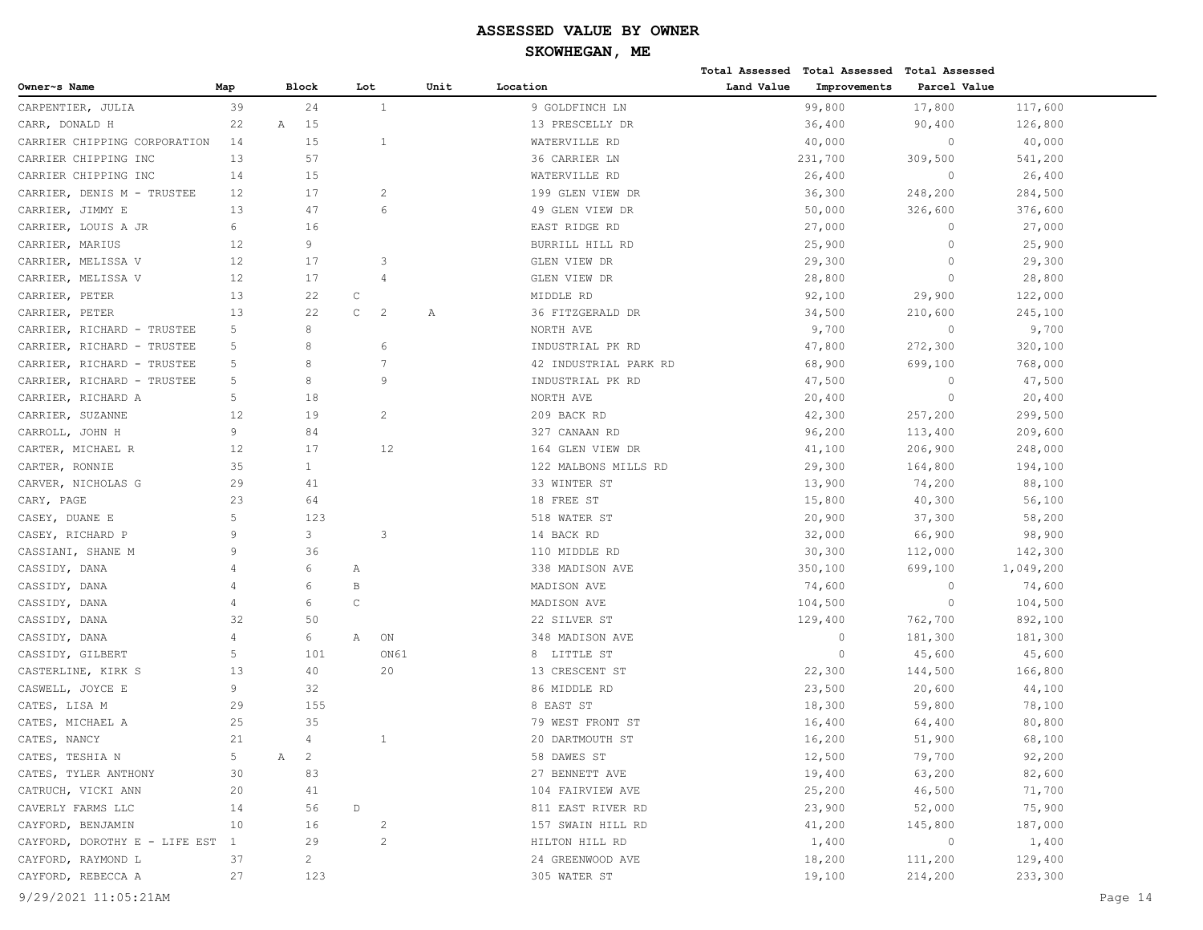|                               |                |              |                |             |                |      |                       |            | Total Assessed Total Assessed Total Assessed |              |           |         |
|-------------------------------|----------------|--------------|----------------|-------------|----------------|------|-----------------------|------------|----------------------------------------------|--------------|-----------|---------|
| Owner~s Name                  | Map            |              | <b>Block</b>   | Lot         |                | Unit | Location              | Land Value | Improvements                                 | Parcel Value |           |         |
| CARPENTIER, JULIA             | 39             |              | 24             |             | $\mathbf{1}$   |      | 9 GOLDFINCH LN        |            | 99,800                                       | 17,800       | 117,600   |         |
| CARR, DONALD H                | 22             | $\mathbb{A}$ | 15             |             |                |      | 13 PRESCELLY DR       |            | 36,400                                       | 90,400       | 126,800   |         |
| CARRIER CHIPPING CORPORATION  | 14             |              | 15             |             | 1              |      | WATERVILLE RD         |            | 40,000                                       | $\circ$      | 40,000    |         |
| CARRIER CHIPPING INC          | 13             |              | 57             |             |                |      | 36 CARRIER LN         |            | 231,700                                      | 309,500      | 541,200   |         |
| CARRIER CHIPPING INC          | 14             |              | 15             |             |                |      | WATERVILLE RD         |            | 26,400                                       | $\circ$      | 26,400    |         |
| CARRIER, DENIS M - TRUSTEE    | 12             |              | 17             |             | 2              |      | 199 GLEN VIEW DR      |            | 36,300                                       | 248,200      | 284,500   |         |
| CARRIER, JIMMY E              | 13             |              | 47             |             | 6              |      | 49 GLEN VIEW DR       |            | 50,000                                       | 326,600      | 376,600   |         |
| CARRIER, LOUIS A JR           | 6              |              | 16             |             |                |      | EAST RIDGE RD         |            | 27,000                                       | $\circ$      | 27,000    |         |
| CARRIER, MARIUS               | 12             |              | 9              |             |                |      | BURRILL HILL RD       |            | 25,900                                       | $\circ$      | 25,900    |         |
| CARRIER, MELISSA V            | 12             |              | 17             |             | 3              |      | GLEN VIEW DR          |            | 29,300                                       | $\circ$      | 29,300    |         |
| CARRIER, MELISSA V            | 12             |              | 17             |             | $\overline{4}$ |      | GLEN VIEW DR          |            | 28,800                                       | $\circ$      | 28,800    |         |
| CARRIER, PETER                | 13             |              | 22             | $\mathbb C$ |                |      | MIDDLE RD             |            | 92,100                                       | 29,900       | 122,000   |         |
| CARRIER, PETER                | 13             |              | 22             | $\mathsf C$ | $\overline{c}$ | Α    | 36 FITZGERALD DR      |            | 34,500                                       | 210,600      | 245,100   |         |
| CARRIER, RICHARD - TRUSTEE    | 5              |              | 8              |             |                |      | NORTH AVE             |            | 9,700                                        | $\circ$      | 9,700     |         |
| CARRIER, RICHARD - TRUSTEE    | 5              |              | 8              |             | 6              |      | INDUSTRIAL PK RD      |            | 47,800                                       | 272,300      | 320,100   |         |
| CARRIER, RICHARD - TRUSTEE    | 5              |              | 8              |             | 7              |      | 42 INDUSTRIAL PARK RD |            | 68,900                                       | 699,100      | 768,000   |         |
| CARRIER, RICHARD - TRUSTEE    | 5              |              | 8              |             | 9              |      | INDUSTRIAL PK RD      |            | 47,500                                       | $\circ$      | 47,500    |         |
| CARRIER, RICHARD A            | 5              |              | 18             |             |                |      | NORTH AVE             |            | 20,400                                       | $\circ$      | 20,400    |         |
| CARRIER, SUZANNE              | 12             |              | 19             |             | 2              |      | 209 BACK RD           |            | 42,300                                       | 257,200      | 299,500   |         |
| CARROLL, JOHN H               | 9              |              | 84             |             |                |      | 327 CANAAN RD         |            | 96,200                                       | 113,400      | 209,600   |         |
| CARTER, MICHAEL R             | 12             |              | 17             |             | 12             |      | 164 GLEN VIEW DR      |            | 41,100                                       | 206,900      | 248,000   |         |
| CARTER, RONNIE                | 35             |              | $\mathbf{1}$   |             |                |      | 122 MALBONS MILLS RD  |            | 29,300                                       | 164,800      | 194,100   |         |
| CARVER, NICHOLAS G            | 29             |              | 41             |             |                |      | 33 WINTER ST          |            | 13,900                                       | 74,200       | 88,100    |         |
| CARY, PAGE                    | 23             |              | 64             |             |                |      | 18 FREE ST            |            | 15,800                                       | 40,300       | 56,100    |         |
| CASEY, DUANE E                | 5              |              | 123            |             |                |      | 518 WATER ST          |            | 20,900                                       | 37,300       | 58,200    |         |
| CASEY, RICHARD P              | 9              |              | 3              |             | 3              |      | 14 BACK RD            |            | 32,000                                       | 66,900       | 98,900    |         |
| CASSIANI, SHANE M             | 9              |              | 36             |             |                |      | 110 MIDDLE RD         |            | 30,300                                       | 112,000      | 142,300   |         |
| CASSIDY, DANA                 | $\overline{4}$ |              | 6              | Α           |                |      | 338 MADISON AVE       |            | 350,100                                      | 699,100      | 1,049,200 |         |
| CASSIDY, DANA                 | $\overline{4}$ |              | 6              | В           |                |      | MADISON AVE           |            | 74,600                                       | $\circ$      | 74,600    |         |
| CASSIDY, DANA                 | 4              |              | 6              | $\mathsf C$ |                |      | MADISON AVE           |            | 104,500                                      | $\circ$      | 104,500   |         |
| CASSIDY, DANA                 | 32             |              | 50             |             |                |      | 22 SILVER ST          |            | 129,400                                      | 762,700      | 892,100   |         |
| CASSIDY, DANA                 | $\overline{4}$ |              | 6              | Α           | ON             |      | 348 MADISON AVE       |            | $\circ$                                      | 181,300      | 181,300   |         |
| CASSIDY, GILBERT              | 5              |              | 101            |             | ON61           |      | 8 LITTLE ST           |            | $\circ$                                      | 45,600       | 45,600    |         |
| CASTERLINE, KIRK S            | 13             |              | 40             |             | 20             |      | 13 CRESCENT ST        |            | 22,300                                       | 144,500      | 166,800   |         |
| CASWELL, JOYCE E              | 9              |              | 32             |             |                |      | 86 MIDDLE RD          |            | 23,500                                       | 20,600       | 44,100    |         |
| CATES, LISA M                 | 29             |              | 155            |             |                |      | 8 EAST ST             |            | 18,300                                       | 59,800       | 78,100    |         |
| CATES, MICHAEL A              | 25             |              | 35             |             |                |      | 79 WEST FRONT ST      |            | 16,400                                       | 64,400       | 80,800    |         |
| CATES, NANCY                  | 21             |              | $\overline{4}$ |             |                |      | 20 DARTMOUTH ST       |            | 16,200                                       | 51,900       | 68,100    |         |
| CATES, TESHIA N               | 5              | A 2          |                |             |                |      | 58 DAWES ST           |            | 12,500                                       | 79,700       | 92,200    |         |
| CATES, TYLER ANTHONY          | 30             |              | 83             |             |                |      | 27 BENNETT AVE        |            | 19,400                                       | 63,200       | 82,600    |         |
| CATRUCH, VICKI ANN            | 20             |              | 41             |             |                |      | 104 FAIRVIEW AVE      |            | 25,200                                       | 46,500       | 71,700    |         |
| CAVERLY FARMS LLC             | 14             |              | 56             | $\mathbb D$ |                |      | 811 EAST RIVER RD     |            | 23,900                                       | 52,000       | 75,900    |         |
| CAYFORD, BENJAMIN             | 10             |              | 16             |             | $\overline{c}$ |      | 157 SWAIN HILL RD     |            | 41,200                                       | 145,800      | 187,000   |         |
| CAYFORD, DOROTHY E - LIFE EST | $\mathbf{1}$   |              | 29             |             | 2              |      | HILTON HILL RD        |            | 1,400                                        | $\circ$      | 1,400     |         |
| CAYFORD, RAYMOND L            | 37             |              | $\overline{c}$ |             |                |      | 24 GREENWOOD AVE      |            | 18,200                                       | 111,200      | 129,400   |         |
| CAYFORD, REBECCA A            | 27             |              | 123            |             |                |      | 305 WATER ST          |            | 19,100                                       | 214,200      | 233,300   |         |
| 9/29/2021 11:05:21AM          |                |              |                |             |                |      |                       |            |                                              |              |           | Page 14 |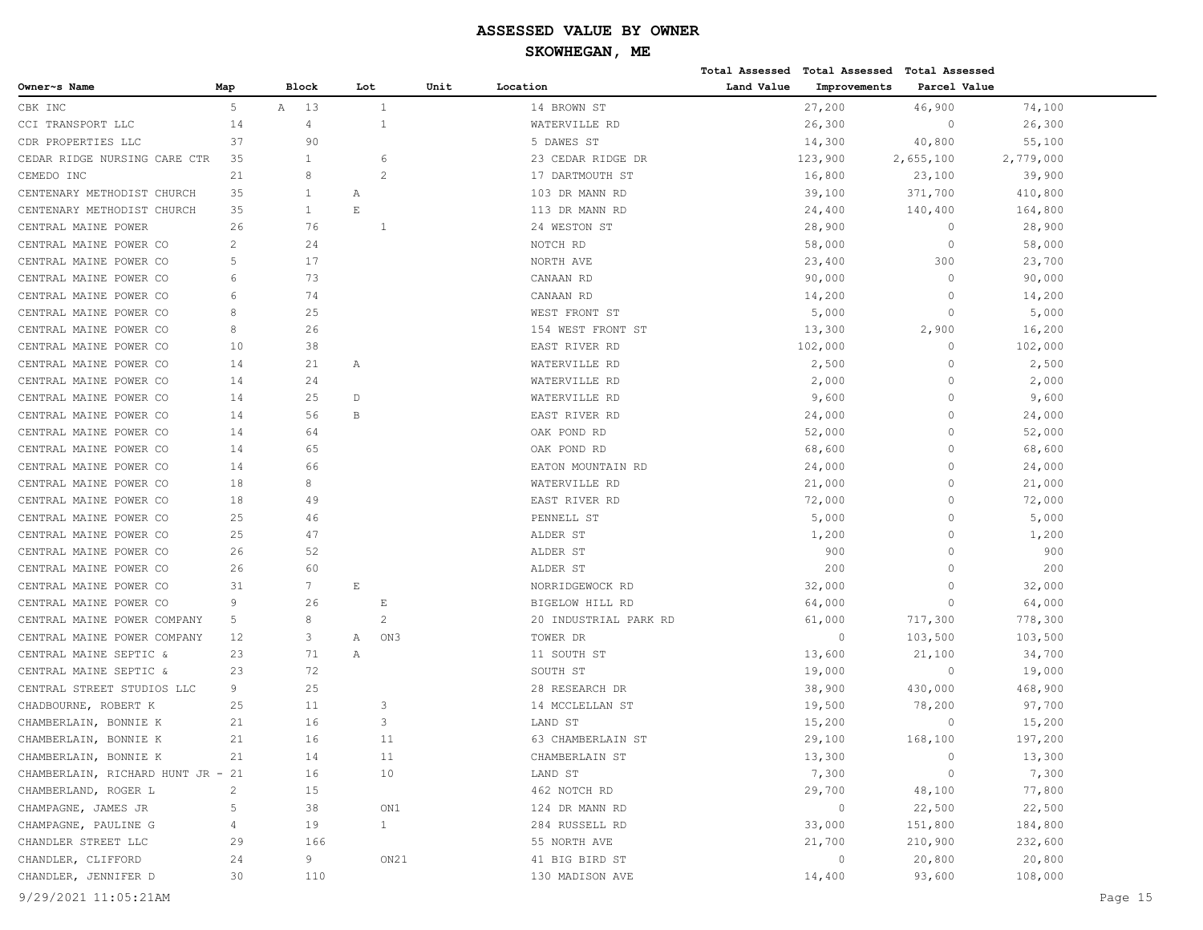|                                   |                |              |                             |      |                       |            | Total Assessed Total Assessed Total Assessed |              |           |         |
|-----------------------------------|----------------|--------------|-----------------------------|------|-----------------------|------------|----------------------------------------------|--------------|-----------|---------|
| Owner~s Name                      | Map            | <b>Block</b> | Lot                         | Unit | Location              | Land Value | Improvements                                 | Parcel Value |           |         |
| CBK INC                           | 5              | A<br>-13     | $\mathbf{1}$                |      | 14 BROWN ST           |            | 27,200                                       | 46,900       | 74,100    |         |
| CCI TRANSPORT LLC                 | 14             | 4            | 1                           |      | WATERVILLE RD         |            | 26,300                                       | $\circ$      | 26,300    |         |
| CDR PROPERTIES LLC                | 37             | 90           |                             |      | 5 DAWES ST            |            | 14,300                                       | 40,800       | 55,100    |         |
| CEDAR RIDGE NURSING CARE CTR      | 35             | $\mathbf{1}$ | 6                           |      | 23 CEDAR RIDGE DR     |            | 123,900                                      | 2,655,100    | 2,779,000 |         |
| CEMEDO INC                        | 21             | 8            | $\overline{2}$              |      | 17 DARTMOUTH ST       |            | 16,800                                       | 23,100       | 39,900    |         |
| CENTENARY METHODIST CHURCH        | 35             | $\mathbf{1}$ | Α                           |      | 103 DR MANN RD        |            | 39,100                                       | 371,700      | 410,800   |         |
| CENTENARY METHODIST CHURCH        | 35             | $\mathbf{1}$ | $\mathop{}\!\textnormal{E}$ |      | 113 DR MANN RD        |            | 24,400                                       | 140,400      | 164,800   |         |
| CENTRAL MAINE POWER               | 26             | 76           | -1                          |      | 24 WESTON ST          |            | 28,900                                       | $\circ$      | 28,900    |         |
| CENTRAL MAINE POWER CO            | $\overline{c}$ | 24           |                             |      | NOTCH RD              |            | 58,000                                       | $\circ$      | 58,000    |         |
| CENTRAL MAINE POWER CO            | 5              | 17           |                             |      | NORTH AVE             |            | 23,400                                       | 300          | 23,700    |         |
| CENTRAL MAINE POWER CO            | 6              | 73           |                             |      | CANAAN RD             |            | 90,000                                       | $\mathbf{0}$ | 90,000    |         |
| CENTRAL MAINE POWER CO            | 6              | 74           |                             |      | CANAAN RD             |            | 14,200                                       | $\mathbf{0}$ | 14,200    |         |
| CENTRAL MAINE POWER CO            | 8              | 25           |                             |      | WEST FRONT ST         |            | 5,000                                        | $\mathbf{0}$ | 5,000     |         |
| CENTRAL MAINE POWER CO            | 8              | 26           |                             |      | 154 WEST FRONT ST     |            | 13,300                                       | 2,900        | 16,200    |         |
| CENTRAL MAINE POWER CO            | 10             | 38           |                             |      | EAST RIVER RD         |            | 102,000                                      | $\circ$      | 102,000   |         |
| CENTRAL MAINE POWER CO            | 14             | 21           | Α                           |      | WATERVILLE RD         |            | 2,500                                        | $\circ$      | 2,500     |         |
| CENTRAL MAINE POWER CO            | 14             | 24           |                             |      | WATERVILLE RD         |            | 2,000                                        | $\Omega$     | 2,000     |         |
| CENTRAL MAINE POWER CO            | 14             | 25           | $\mathbb D$                 |      | WATERVILLE RD         |            | 9,600                                        | $\Omega$     | 9,600     |         |
| CENTRAL MAINE POWER CO            | 14             | 56           | B                           |      | EAST RIVER RD         |            | 24,000                                       | $\Omega$     | 24,000    |         |
| CENTRAL MAINE POWER CO            | 14             | 64           |                             |      | OAK POND RD           |            | 52,000                                       | $\Omega$     | 52,000    |         |
| CENTRAL MAINE POWER CO            | 14             | 65           |                             |      | OAK POND RD           |            | 68,600                                       | $\Omega$     | 68,600    |         |
| CENTRAL MAINE POWER CO            | 14             | 66           |                             |      | EATON MOUNTAIN RD     |            | 24,000                                       | $\Omega$     | 24,000    |         |
| CENTRAL MAINE POWER CO            | 18             | 8            |                             |      | WATERVILLE RD         |            | 21,000                                       | $\Omega$     | 21,000    |         |
| CENTRAL MAINE POWER CO            | 18             | 49           |                             |      | EAST RIVER RD         |            | 72,000                                       | $\Omega$     | 72,000    |         |
| CENTRAL MAINE POWER CO            | 25             | 46           |                             |      | PENNELL ST            |            | 5,000                                        | $\Omega$     | 5,000     |         |
| CENTRAL MAINE POWER CO            | 25             | 47           |                             |      | ALDER ST              |            | 1,200                                        | $\Omega$     | 1,200     |         |
| CENTRAL MAINE POWER CO            | 26             | 52           |                             |      | ALDER ST              |            | 900                                          | $\Omega$     | 900       |         |
| CENTRAL MAINE POWER CO            | 26             | 60           |                             |      | ALDER ST              |            | 200                                          | $\Omega$     | 200       |         |
| CENTRAL MAINE POWER CO            | 31             | 7            | $\mathop{}\!\textnormal{E}$ |      | NORRIDGEWOCK RD       |            | 32,000                                       | $\Omega$     | 32,000    |         |
| CENTRAL MAINE POWER CO            | 9              | 26           | $\mathop{}\!\textnormal{E}$ |      | BIGELOW HILL RD       |            | 64,000                                       | $\circ$      | 64,000    |         |
| CENTRAL MAINE POWER COMPANY       | 5              | 8            | 2                           |      | 20 INDUSTRIAL PARK RD |            | 61,000                                       | 717,300      | 778,300   |         |
| CENTRAL MAINE POWER COMPANY       | 12             | 3            | Α                           | ON3  | TOWER DR              |            | $\circ$                                      | 103,500      | 103,500   |         |
| CENTRAL MAINE SEPTIC &            | 23             | 71           | Α                           |      | 11 SOUTH ST           |            | 13,600                                       | 21,100       | 34,700    |         |
| CENTRAL MAINE SEPTIC &            | 23             | 72           |                             |      | SOUTH ST              |            | 19,000                                       | $\circ$      | 19,000    |         |
| CENTRAL STREET STUDIOS LLC        | 9              | 25           |                             |      | 28 RESEARCH DR        |            | 38,900                                       | 430,000      | 468,900   |         |
| CHADBOURNE, ROBERT K              | 25             | 11           | 3                           |      | 14 MCCLELLAN ST       |            | 19,500                                       | 78,200       | 97,700    |         |
| CHAMBERLAIN, BONNIE K             | 21             | 16           | 3                           |      | LAND ST               |            | 15,200                                       | $\Omega$     | 15,200    |         |
| CHAMBERLAIN, BONNIE K             | 21             | 16           | 11                          |      | 63 CHAMBERLAIN ST     |            | 29,100                                       | 168,100      | 197,200   |         |
| CHAMBERLAIN, BONNIE K             | 21             | 14           | 11                          |      | CHAMBERLAIN ST        |            | 13,300                                       | $\circ$      | 13,300    |         |
| CHAMBERLAIN, RICHARD HUNT JR - 21 |                | 16           | 10                          |      | LAND ST               |            | 7,300                                        | 0            | 7,300     |         |
| CHAMBERLAND, ROGER L              | $\overline{c}$ | 15           |                             |      | 462 NOTCH RD          |            | 29,700                                       | 48,100       | 77,800    |         |
| CHAMPAGNE, JAMES JR               | $\overline{5}$ | 38           |                             | ON1  | 124 DR MANN RD        |            | $\circ$                                      | 22,500       | 22,500    |         |
| CHAMPAGNE, PAULINE G              | 4              | 19           | $\mathbf{1}$                |      | 284 RUSSELL RD        |            | 33,000                                       | 151,800      | 184,800   |         |
| CHANDLER STREET LLC               | 29             | 166          |                             |      | 55 NORTH AVE          |            | 21,700                                       | 210,900      | 232,600   |         |
| CHANDLER, CLIFFORD                | 24             | 9            |                             | ON21 | 41 BIG BIRD ST        |            | $\circ$                                      | 20,800       | 20,800    |         |
| CHANDLER, JENNIFER D              | 30             | 110          |                             |      | 130 MADISON AVE       |            | 14,400                                       | 93,600       | 108,000   |         |
| 9/29/2021 11:05:21AM              |                |              |                             |      |                       |            |                                              |              |           | Page 15 |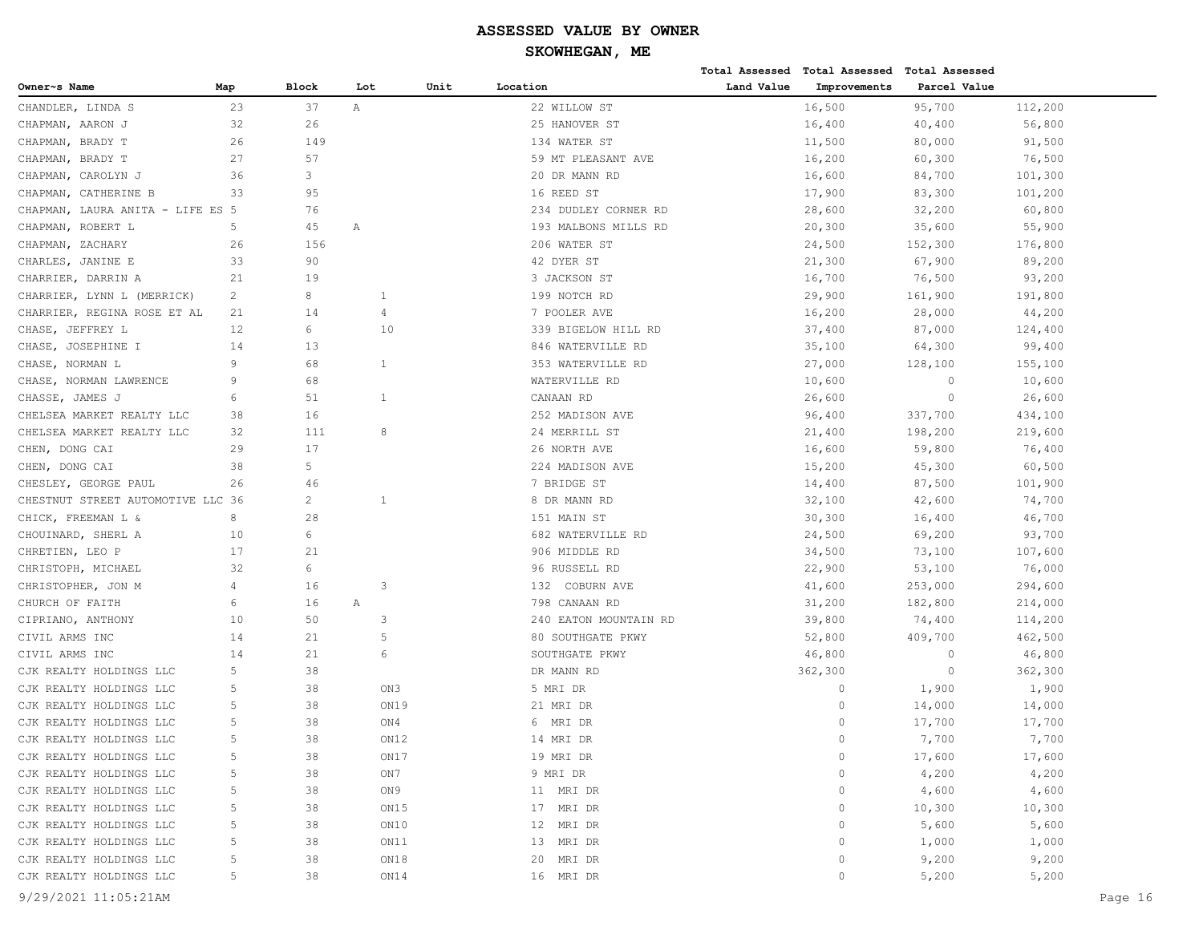|                                   |     |                |      |      |                       |            | Total Assessed Total Assessed Total Assessed |              |         |
|-----------------------------------|-----|----------------|------|------|-----------------------|------------|----------------------------------------------|--------------|---------|
| Owner~s Name                      | Map | Block          | Lot  | Unit | Location              | Land Value | Improvements                                 | Parcel Value |         |
| CHANDLER, LINDA S                 | 23  | 37             | Α    |      | 22 WILLOW ST          |            | 16,500                                       | 95,700       | 112,200 |
| CHAPMAN, AARON J                  | 32  | 26             |      |      | 25 HANOVER ST         |            | 16,400                                       | 40,400       | 56,800  |
| CHAPMAN, BRADY T                  | 26  | 149            |      |      | 134 WATER ST          |            | 11,500                                       | 80,000       | 91,500  |
| CHAPMAN, BRADY T                  | 27  | 57             |      |      | 59 MT PLEASANT AVE    |            | 16,200                                       | 60,300       | 76,500  |
| CHAPMAN, CAROLYN J                | 36  | 3              |      |      | 20 DR MANN RD         |            | 16,600                                       | 84,700       | 101,300 |
| CHAPMAN, CATHERINE B              | 33  | 95             |      |      | 16 REED ST            |            | 17,900                                       | 83,300       | 101,200 |
| CHAPMAN, LAURA ANITA - LIFE ES 5  |     | 76             |      |      | 234 DUDLEY CORNER RD  |            | 28,600                                       | 32,200       | 60,800  |
| CHAPMAN, ROBERT L                 | 5   | 45             | Α    |      | 193 MALBONS MILLS RD  |            | 20,300                                       | 35,600       | 55,900  |
| CHAPMAN, ZACHARY                  | 26  | 156            |      |      | 206 WATER ST          |            | 24,500                                       | 152,300      | 176,800 |
| CHARLES, JANINE E                 | 33  | 90             |      |      | 42 DYER ST            |            | 21,300                                       | 67,900       | 89,200  |
| CHARRIER, DARRIN A                | 21  | 19             |      |      | 3 JACKSON ST          |            | 16,700                                       | 76,500       | 93,200  |
| CHARRIER, LYNN L (MERRICK)        | 2   | 8              | 1    |      | 199 NOTCH RD          |            | 29,900                                       | 161,900      | 191,800 |
| CHARRIER, REGINA ROSE ET AL       | 21  | 14             | 4    |      | 7 POOLER AVE          |            | 16,200                                       | 28,000       | 44,200  |
| CHASE, JEFFREY L                  | 12  | 6              | 10   |      | 339 BIGELOW HILL RD   |            | 37,400                                       | 87,000       | 124,400 |
| CHASE, JOSEPHINE I                | 14  | 13             |      |      | 846 WATERVILLE RD     |            | 35,100                                       | 64,300       | 99,400  |
| CHASE, NORMAN L                   | 9   | 68             | 1    |      | 353 WATERVILLE RD     |            | 27,000                                       | 128,100      | 155,100 |
| CHASE, NORMAN LAWRENCE            | 9   | 68             |      |      | WATERVILLE RD         |            | 10,600                                       | $\circ$      | 10,600  |
| CHASSE, JAMES J                   | 6   | 51             | 1    |      | CANAAN RD             |            | 26,600                                       | $\circ$      | 26,600  |
| CHELSEA MARKET REALTY LLC         | 38  | 16             |      |      | 252 MADISON AVE       |            | 96,400                                       | 337,700      | 434,100 |
| CHELSEA MARKET REALTY LLC         | 32  | 111            | 8    |      | 24 MERRILL ST         |            | 21,400                                       | 198,200      | 219,600 |
| CHEN, DONG CAI                    | 29  | 17             |      |      | 26 NORTH AVE          |            | 16,600                                       | 59,800       | 76,400  |
| CHEN, DONG CAI                    | 38  | 5              |      |      | 224 MADISON AVE       |            | 15,200                                       | 45,300       | 60,500  |
| CHESLEY, GEORGE PAUL              | 26  | 46             |      |      | 7 BRIDGE ST           |            | 14,400                                       | 87,500       | 101,900 |
| CHESTNUT STREET AUTOMOTIVE LLC 36 |     | $\overline{c}$ | 1    |      | 8 DR MANN RD          |            | 32,100                                       | 42,600       | 74,700  |
| CHICK, FREEMAN L &                | 8   | 28             |      |      | 151 MAIN ST           |            | 30,300                                       | 16,400       | 46,700  |
| CHOUINARD, SHERL A                | 10  | 6              |      |      | 682 WATERVILLE RD     |            | 24,500                                       | 69,200       | 93,700  |
| CHRETIEN, LEO P                   | 17  | 21             |      |      | 906 MIDDLE RD         |            | 34,500                                       | 73,100       | 107,600 |
| CHRISTOPH, MICHAEL                | 32  | 6              |      |      | 96 RUSSELL RD         |            | 22,900                                       | 53,100       | 76,000  |
| CHRISTOPHER, JON M                | 4   | 16             | 3    |      | 132 COBURN AVE        |            | 41,600                                       | 253,000      | 294,600 |
| CHURCH OF FAITH                   | 6   | 16             | Α    |      | 798 CANAAN RD         |            | 31,200                                       | 182,800      | 214,000 |
| CIPRIANO, ANTHONY                 | 10  | 50             | 3    |      | 240 EATON MOUNTAIN RD |            | 39,800                                       | 74,400       | 114,200 |
| CIVIL ARMS INC                    | 14  | 21             | 5    |      | 80 SOUTHGATE PKWY     |            | 52,800                                       | 409,700      | 462,500 |
| CIVIL ARMS INC                    | 14  | 21             | 6    |      | SOUTHGATE PKWY        |            | 46,800                                       | $\circ$      | 46,800  |
| CJK REALTY HOLDINGS LLC           | 5   | 38             |      |      | DR MANN RD            |            | 362,300                                      | $\circ$      | 362,300 |
| CJK REALTY HOLDINGS LLC           | 5   | 38             | ON3  |      | 5 MRI DR              |            | $\circ$                                      | 1,900        | 1,900   |
| CJK REALTY HOLDINGS LLC           | 5   | 38             | ON19 |      | 21 MRI DR             |            | $\Omega$                                     | 14,000       | 14,000  |
| CJK REALTY HOLDINGS LLC           | 5   | 38             | ON4  |      | 6 MRI DR              |            | $\Omega$                                     | 17,700       | 17,700  |
| CJK REALTY HOLDINGS LLC           | 5   | 38             | ON12 |      | 14 MRI DR             |            | $\bigcap$                                    | 7,700        | 7,700   |
| CJK REALTY HOLDINGS LLC           | 5   | 38             | ON17 |      | 19 MRI DR             |            | $\mathbb O$                                  | 17,600       | 17,600  |
| CJK REALTY HOLDINGS LLC           | 5   | 38             | ON7  |      | 9 MRI DR              |            | $\circ$                                      | 4,200        | 4,200   |
| CJK REALTY HOLDINGS LLC           | 5   | 38             | ON 9 |      | 11 MRI DR             |            | 0                                            | 4,600        | 4,600   |
| CJK REALTY HOLDINGS LLC           | 5   | 38             | ON15 |      | 17 MRI DR             |            | $\circ$                                      | 10,300       | 10,300  |
| CJK REALTY HOLDINGS LLC           | 5   | 38             | ON10 |      | 12 MRI DR             |            | $\circ$                                      | 5,600        | 5,600   |
| CJK REALTY HOLDINGS LLC           | 5   | 38             | ON11 |      | 13 MRI DR             |            | $\circ$                                      | 1,000        | 1,000   |
| CJK REALTY HOLDINGS LLC           | 5   | 38             | ON18 |      | 20 MRI DR             |            | $\circ$                                      | 9,200        | 9,200   |
| CJK REALTY HOLDINGS LLC           | 5   | 38             | ON14 |      | 16 MRI DR             |            | $\circ$                                      | 5,200        | 5,200   |
| 9/29/2021 11:05:21AM              |     |                |      |      |                       |            |                                              |              | Page 16 |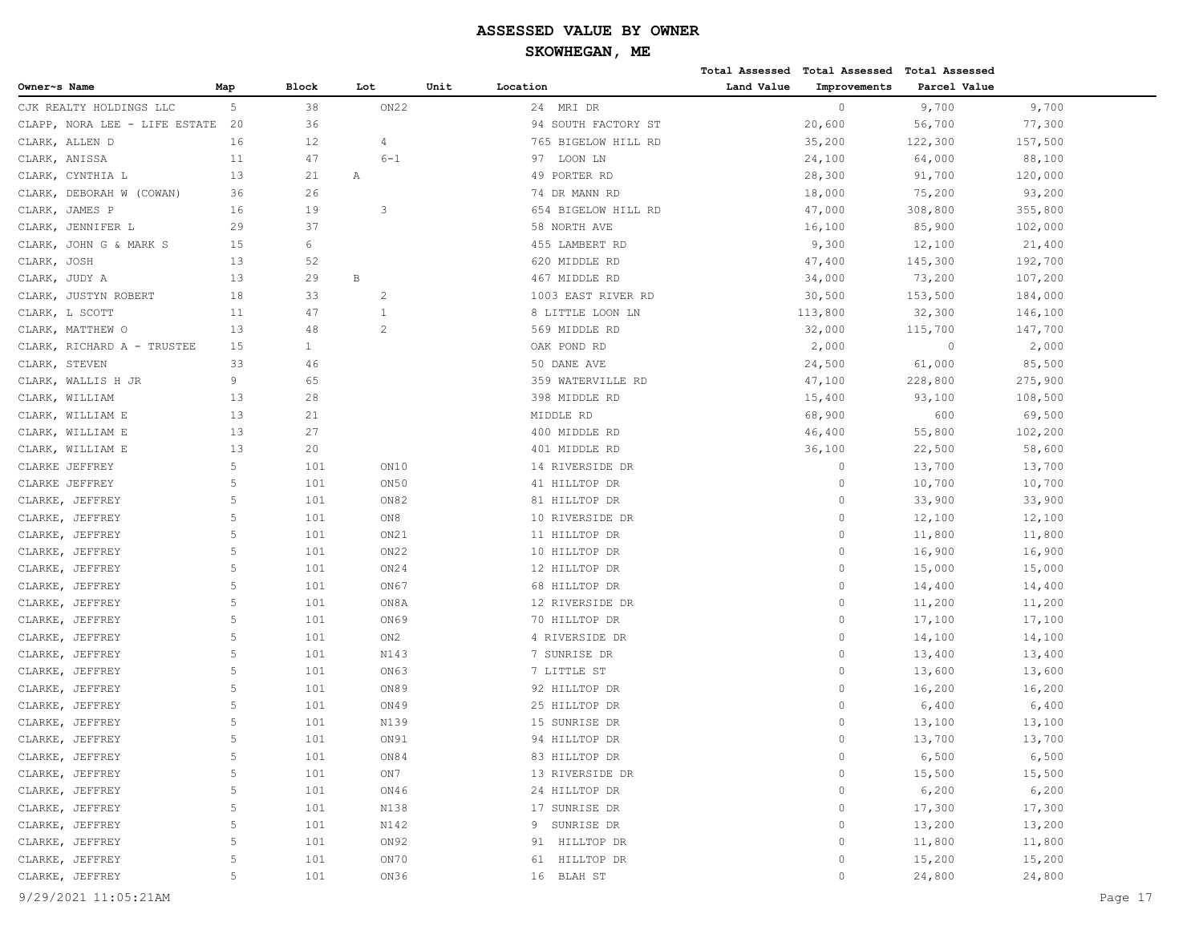|                               |             |              |                  |      |                     |            | Total Assessed Total Assessed Total Assessed |              |         |
|-------------------------------|-------------|--------------|------------------|------|---------------------|------------|----------------------------------------------|--------------|---------|
| Owner~s Name                  | Map         | Block        | Lot              | Unit | Location            | Land Value | Improvements                                 | Parcel Value |         |
| CJK REALTY HOLDINGS LLC       | 5           | 38           | ON22             |      | 24 MRI DR           |            | $\circ$                                      | 9,700        | 9,700   |
| CLAPP, NORA LEE - LIFE ESTATE | 20          | 36           |                  |      | 94 SOUTH FACTORY ST |            | 20,600                                       | 56,700       | 77,300  |
| CLARK, ALLEN D                | 16          | 12           | 4                |      | 765 BIGELOW HILL RD |            | 35,200                                       | 122,300      | 157,500 |
| CLARK, ANISSA                 | 11          | 47           | $6 - 1$          |      | LOON LN<br>97       |            | 24,100                                       | 64,000       | 88,100  |
| CLARK, CYNTHIA L              | 13          | 21           | Α                |      | 49 PORTER RD        |            | 28,300                                       | 91,700       | 120,000 |
| DEBORAH W (COWAN)<br>CLARK,   | 36          | 26           |                  |      | 74 DR MANN RD       |            | 18,000                                       | 75,200       | 93,200  |
| CLARK, JAMES P                | 16          | 19           | 3                |      | 654 BIGELOW HILL RD |            | 47,000                                       | 308,800      | 355,800 |
| CLARK,<br>JENNIFER L          | 29          | 37           |                  |      | 58 NORTH AVE        |            | 16,100                                       | 85,900       | 102,000 |
| JOHN G & MARK S<br>CLARK,     | 15          | 6            |                  |      | 455 LAMBERT RD      |            | 9,300                                        | 12,100       | 21,400  |
| CLARK,<br>JOSH                | 13          | 52           |                  |      | 620 MIDDLE RD       |            | 47,400                                       | 145,300      | 192,700 |
| CLARK, JUDY A                 | 13          | 29           | $\, {\bf B}$     |      | 467 MIDDLE RD       |            | 34,000                                       | 73,200       | 107,200 |
| CLARK, JUSTYN ROBERT          | 18          | 33           | 2                |      | 1003 EAST RIVER RD  |            | 30,500                                       | 153,500      | 184,000 |
| CLARK, L SCOTT                | 11          | 47           | 1                |      | 8 LITTLE LOON LN    |            | 113,800                                      | 32,300       | 146,100 |
| CLARK, MATTHEW O              | 13          | 48           | $\overline{2}$   |      | 569 MIDDLE RD       |            | 32,000                                       | 115,700      | 147,700 |
| CLARK, RICHARD A - TRUSTEE    | 15          | $\mathbf{1}$ |                  |      | OAK POND RD         |            | 2,000                                        | $\circ$      | 2,000   |
| CLARK, STEVEN                 | 33          | 46           |                  |      | 50 DANE AVE         |            | 24,500                                       | 61,000       | 85,500  |
| CLARK, WALLIS H JR            | 9           | 65           |                  |      | 359 WATERVILLE RD   |            | 47,100                                       | 228,800      | 275,900 |
| WILLIAM<br>CLARK,             | 13          | 28           |                  |      | 398 MIDDLE RD       |            | 15,400                                       | 93,100       | 108,500 |
| CLARK, WILLIAM E              | 13          | 21           |                  |      | MIDDLE RD           |            | 68,900                                       | 600          | 69,500  |
| CLARK, WILLIAM E              | 13          | 27           |                  |      | 400 MIDDLE RD       |            | 46,400                                       | 55,800       | 102,200 |
| CLARK, WILLIAM E              | 13          | 20           |                  |      | 401 MIDDLE RD       |            | 36,100                                       | 22,500       | 58,600  |
| CLARKE JEFFREY                | 5           | 101          | ON10             |      | 14 RIVERSIDE DR     |            | $\circ$                                      | 13,700       | 13,700  |
| CLARKE JEFFREY                | $\mathsf S$ | 101          | ON50             |      | 41 HILLTOP DR       |            | $\circ$                                      | 10,700       | 10,700  |
| CLARKE, JEFFREY               | 5           | 101          | ON82             |      | 81 HILLTOP DR       |            | $\mathbf{0}$                                 | 33,900       | 33,900  |
| JEFFREY<br>CLARKE,            | $\mathsf S$ | 101          | ON8              |      | 10 RIVERSIDE DR     |            | $\mathbf{0}$                                 | 12,100       | 12,100  |
| CLARKE,<br>JEFFREY            | 5           | 101          | ON21             |      | 11 HILLTOP DR       |            | $\mathbf{0}$                                 | 11,800       | 11,800  |
| CLARKE, JEFFREY               | 5           | 101          | ON <sub>22</sub> |      | 10 HILLTOP DR       |            | $\circ$                                      | 16,900       | 16,900  |
| CLARKE, JEFFREY               | 5           | 101          | ON24             |      | 12 HILLTOP DR       |            | $\mathbf{0}$                                 | 15,000       | 15,000  |
| CLARKE, JEFFREY               | 5           | 101          | ON67             |      | 68 HILLTOP DR       |            | $\mathbf{0}$                                 | 14,400       | 14,400  |
| CLARKE, JEFFREY               | 5           | 101          | ON8A             |      | 12 RIVERSIDE DR     |            | $\mathbf{0}$                                 | 11,200       | 11,200  |
| CLARKE, JEFFREY               | 5           | 101          | ON69             |      | 70 HILLTOP DR       |            | $\circ$                                      | 17,100       | 17,100  |
| CLARKE, JEFFREY               | 5           | 101          | ON2              |      | 4 RIVERSIDE DR      |            | $\mathbf{0}$                                 | 14,100       | 14,100  |
| CLARKE, JEFFREY               | 5           | 101          | N143             |      | 7 SUNRISE DR        |            | $\mathbf{0}$                                 | 13,400       | 13,400  |
| CLARKE,<br>JEFFREY            | 5           | 101          | ON63             |      | 7 LITTLE ST         |            | $\mathbf{0}$                                 | 13,600       | 13,600  |
| CLARKE, JEFFREY               | 5           | 101          | ON89             |      | 92 HILLTOP DR       |            | $\circ$                                      | 16,200       | 16,200  |
| CLARKE, JEFFREY               | 5           | 101          | ON49             |      | 25 HILLTOP DR       |            | $\mathbf{0}$                                 | 6,400        | 6,400   |
| CLARKE, JEFFREY               | 5           | 101          | N139             |      | 15 SUNRISE DR       |            | $\mathbf{0}$                                 | 13,100       | 13,100  |
| CLARKE, JEFFREY               | 5           | 101          | ON91             |      | 94 HILLTOP DR       |            | $\Omega$                                     | 13,700       | 13,700  |
| CLARKE, JEFFREY               | 5           | 101          | ON84             |      | 83 HILLTOP DR       |            | $\circ$                                      | 6,500        | 6,500   |
| CLARKE, JEFFREY               | 5           | 101          | ON7              |      | 13 RIVERSIDE DR     |            | 0                                            | 15,500       | 15,500  |
| CLARKE, JEFFREY               | $\mathsf S$ | 101          | ON46             |      | 24 HILLTOP DR       |            | 0                                            | 6,200        | 6,200   |
| CLARKE, JEFFREY               | $\mathsf S$ | 101          | N138             |      | 17 SUNRISE DR       |            | $\circ$                                      | 17,300       | 17,300  |
| CLARKE, JEFFREY               | $\mathsf S$ | 101          | N142             |      | 9 SUNRISE DR        |            | $\circ$                                      | 13,200       | 13,200  |
| CLARKE, JEFFREY               | 5           | 101          | ON92             |      | 91 HILLTOP DR       |            | $\circ$                                      | 11,800       | 11,800  |
| CLARKE, JEFFREY               | 5           | 101          | ON70             |      | 61 HILLTOP DR       |            | $\circ$                                      | 15,200       | 15,200  |
| CLARKE, JEFFREY               | 5           | 101          | ON36             |      | 16 BLAH ST          |            | $\circ$                                      | 24,800       | 24,800  |
|                               |             |              |                  |      |                     |            |                                              |              |         |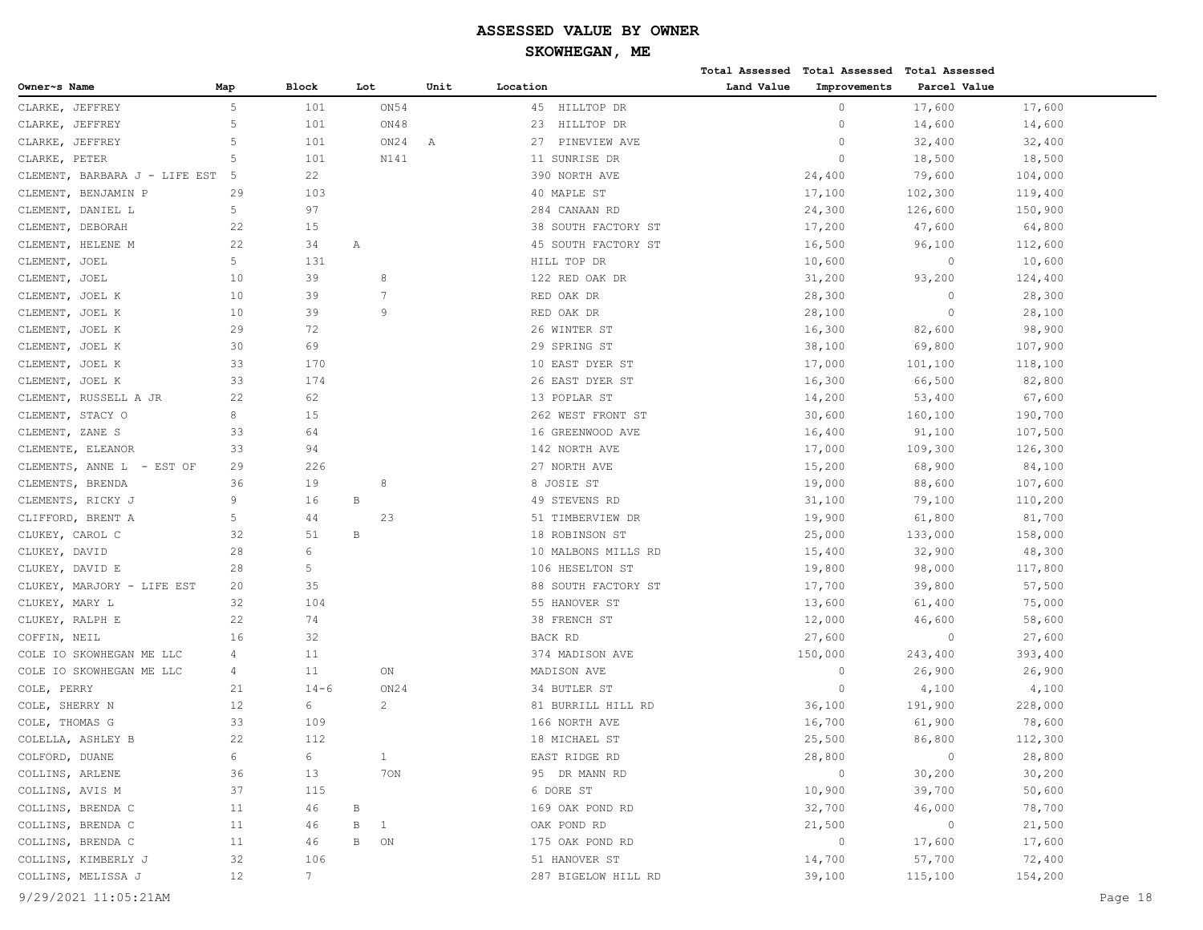|                               |     |                |              |              |      |                     |            | Total Assessed Total Assessed Total Assessed |              |         |         |
|-------------------------------|-----|----------------|--------------|--------------|------|---------------------|------------|----------------------------------------------|--------------|---------|---------|
| Owner~s Name                  | Map | Block          | Lot          |              | Unit | Location            | Land Value | Improvements                                 | Parcel Value |         |         |
| CLARKE, JEFFREY               | 5   | 101            |              | ON 54        |      | HILLTOP DR<br>45    |            | $\circ$                                      | 17,600       | 17,600  |         |
| CLARKE, JEFFREY               | 5   | 101            |              | ON48         |      | 23<br>HILLTOP DR    |            | 0                                            | 14,600       | 14,600  |         |
| JEFFREY<br>CLARKE,            | 5   | 101            |              | ON24         | Α    | 27<br>PINEVIEW AVE  |            | $\circ$                                      | 32,400       | 32,400  |         |
| CLARKE, PETER                 | 5   | 101            |              | N141         |      | 11 SUNRISE DR       |            | $\circ$                                      | 18,500       | 18,500  |         |
| CLEMENT, BARBARA J - LIFE EST | 5   | 22             |              |              |      | 390 NORTH AVE       |            | 24,400                                       | 79,600       | 104,000 |         |
| CLEMENT, BENJAMIN P           | 29  | 103            |              |              |      | 40 MAPLE ST         |            | 17,100                                       | 102,300      | 119,400 |         |
| CLEMENT, DANIEL L             | 5   | 97             |              |              |      | 284 CANAAN RD       |            | 24,300                                       | 126,600      | 150,900 |         |
| CLEMENT, DEBORAH              | 22  | 15             |              |              |      | 38 SOUTH FACTORY ST |            | 17,200                                       | 47,600       | 64,800  |         |
| CLEMENT, HELENE M             | 22  | 34             | Α            |              |      | 45 SOUTH FACTORY ST |            | 16,500                                       | 96,100       | 112,600 |         |
| CLEMENT, JOEL                 | 5   | 131            |              |              |      | HILL TOP DR         |            | 10,600                                       | $\circ$      | 10,600  |         |
| CLEMENT, JOEL                 | 10  | 39             |              | 8            |      | 122 RED OAK DR      |            | 31,200                                       | 93,200       | 124,400 |         |
| CLEMENT, JOEL K               | 10  | 39             |              | 7            |      | RED OAK DR          |            | 28,300                                       | $\circ$      | 28,300  |         |
| CLEMENT, JOEL K               | 10  | 39             |              | 9            |      | RED OAK DR          |            | 28,100                                       | $\circ$      | 28,100  |         |
| CLEMENT, JOEL K               | 29  | 72             |              |              |      | 26 WINTER ST        |            | 16,300                                       | 82,600       | 98,900  |         |
| CLEMENT, JOEL K               | 30  | 69             |              |              |      | 29 SPRING ST        |            | 38,100                                       | 69,800       | 107,900 |         |
| CLEMENT, JOEL K               | 33  | 170            |              |              |      | 10 EAST DYER ST     |            | 17,000                                       | 101,100      | 118,100 |         |
| CLEMENT, JOEL K               | 33  | 174            |              |              |      | 26 EAST DYER ST     |            | 16,300                                       | 66,500       | 82,800  |         |
| CLEMENT, RUSSELL A JR         | 22  | 62             |              |              |      | 13 POPLAR ST        |            | 14,200                                       | 53,400       | 67,600  |         |
| CLEMENT, STACY O              | 8   | 15             |              |              |      | 262 WEST FRONT ST   |            | 30,600                                       | 160,100      | 190,700 |         |
| CLEMENT, ZANE S               | 33  | 64             |              |              |      | 16 GREENWOOD AVE    |            | 16,400                                       | 91,100       | 107,500 |         |
| CLEMENTE, ELEANOR             | 33  | 94             |              |              |      | 142 NORTH AVE       |            | 17,000                                       | 109,300      | 126,300 |         |
| CLEMENTS, ANNE L - EST OF     | 29  | 226            |              |              |      | 27 NORTH AVE        |            | 15,200                                       | 68,900       | 84,100  |         |
| CLEMENTS, BRENDA              | 36  | 19             |              | 8            |      | 8 JOSIE ST          |            | 19,000                                       | 88,600       | 107,600 |         |
| CLEMENTS, RICKY J             | 9   | 16             | $\, {\bf B}$ |              |      | 49 STEVENS RD       |            | 31,100                                       | 79,100       | 110,200 |         |
| CLIFFORD, BRENT A             | 5   | 44             |              | 23           |      | 51 TIMBERVIEW DR    |            | 19,900                                       | 61,800       | 81,700  |         |
| CLUKEY, CAROL C               | 32  | 51             | $\, {\bf B}$ |              |      | 18 ROBINSON ST      |            | 25,000                                       | 133,000      | 158,000 |         |
| CLUKEY, DAVID                 | 28  | 6              |              |              |      | 10 MALBONS MILLS RD |            | 15,400                                       | 32,900       | 48,300  |         |
| CLUKEY, DAVID E               | 28  | 5              |              |              |      | 106 HESELTON ST     |            | 19,800                                       | 98,000       | 117,800 |         |
| CLUKEY, MARJORY - LIFE EST    | 20  | 35             |              |              |      | 88 SOUTH FACTORY ST |            | 17,700                                       | 39,800       | 57,500  |         |
| CLUKEY, MARY L                | 32  | 104            |              |              |      | 55 HANOVER ST       |            | 13,600                                       | 61,400       | 75,000  |         |
| CLUKEY, RALPH E               | 22  | 74             |              |              |      | 38 FRENCH ST        |            | 12,000                                       | 46,600       | 58,600  |         |
| COFFIN, NEIL                  | 16  | 32             |              |              |      | BACK RD             |            | 27,600                                       | $\circ$      | 27,600  |         |
| COLE IO SKOWHEGAN ME LLC      | 4   | 11             |              |              |      | 374 MADISON AVE     |            | 150,000                                      | 243,400      | 393,400 |         |
| COLE IO SKOWHEGAN ME LLC      | 4   | 11             |              | ON           |      | MADISON AVE         |            | 0                                            | 26,900       | 26,900  |         |
| COLE, PERRY                   | 21  | $14 - 6$       |              | ON24         |      | 34 BUTLER ST        |            | $\circ$                                      | 4,100        | 4,100   |         |
| COLE, SHERRY N                | 12  | 6              |              | 2            |      | 81 BURRILL HILL RD  |            | 36,100                                       | 191,900      | 228,000 |         |
| COLE, THOMAS G                | 33  | 109            |              |              |      | 166 NORTH AVE       |            | 16,700                                       | 61,900       | 78,600  |         |
| COLELLA, ASHLEY B             | 22  | 112            |              |              |      | 18 MICHAEL ST       |            | 25,500                                       | 86,800       | 112,300 |         |
| COLFORD, DUANE                | 6   | 6              |              | $\mathbf{1}$ |      | EAST RIDGE RD       |            | 28,800                                       | $\circ$      | 28,800  |         |
| COLLINS, ARLENE               | 36  | 13             |              | 70N          |      | 95 DR MANN RD       |            | $\circ$                                      | 30,200       | 30,200  |         |
| COLLINS, AVIS M               | 37  | 115            |              |              |      | 6 DORE ST           |            | 10,900                                       | 39,700       | 50,600  |         |
| COLLINS, BRENDA C             | 11  | 46             | $\, {\bf B}$ |              |      | 169 OAK POND RD     |            | 32,700                                       | 46,000       | 78,700  |         |
| COLLINS, BRENDA C             | 11  | 46             | В            | $\mathbf{1}$ |      | OAK POND RD         |            | 21,500                                       | $\circ$      | 21,500  |         |
| COLLINS, BRENDA C             | 11  | 46             | $\, {\bf B}$ | ON           |      | 175 OAK POND RD     |            | $\circ$                                      | 17,600       | 17,600  |         |
| COLLINS, KIMBERLY J           | 32  | 106            |              |              |      | 51 HANOVER ST       |            | 14,700                                       | 57,700       | 72,400  |         |
| COLLINS, MELISSA J            | 12  | $7\phantom{.}$ |              |              |      | 287 BIGELOW HILL RD |            | 39,100                                       | 115,100      | 154,200 |         |
|                               |     |                |              |              |      |                     |            |                                              |              |         |         |
| 9/29/2021 11:05:21AM          |     |                |              |              |      |                     |            |                                              |              |         | Page 18 |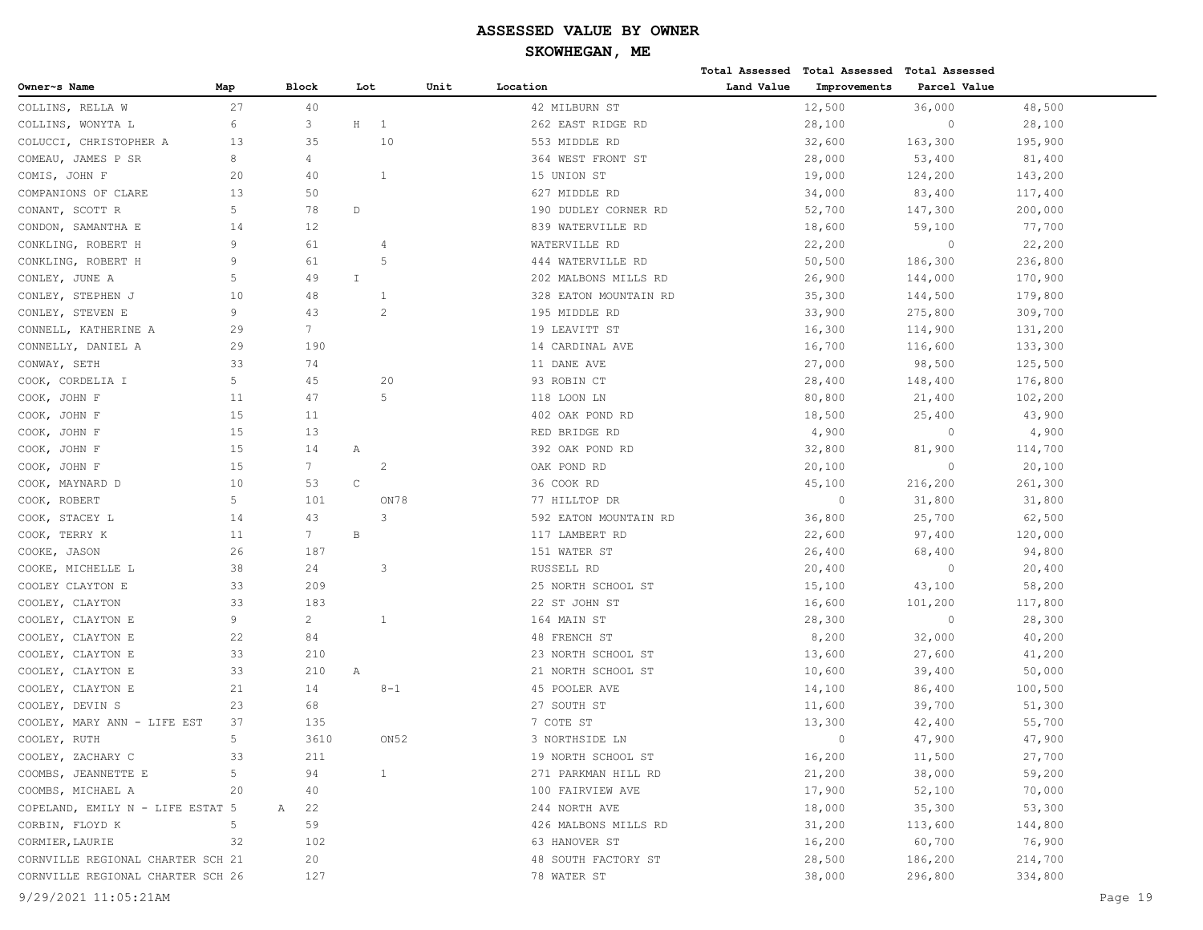|                                   |     |                 |              |                  |      |                       |            | Total Assessed Total Assessed | <b>Total Assessed</b> |         |         |
|-----------------------------------|-----|-----------------|--------------|------------------|------|-----------------------|------------|-------------------------------|-----------------------|---------|---------|
| Owner~s Name                      | Map | Block           | Lot          |                  | Unit | Location              | Land Value | Improvements                  | Parcel Value          |         |         |
| COLLINS, RELLA W                  | 27  | 40              |              |                  |      | 42 MILBURN ST         |            | 12,500                        | 36,000                | 48,500  |         |
| COLLINS, WONYTA L                 | 6   | 3               | $\rm H$      | 1                |      | 262 EAST RIDGE RD     |            | 28,100                        | $\circ$               | 28,100  |         |
| COLUCCI, CHRISTOPHER A            | 13  | 35              |              | 10               |      | 553 MIDDLE RD         |            | 32,600                        | 163,300               | 195,900 |         |
| COMEAU, JAMES P SR                | 8   | 4               |              |                  |      | 364 WEST FRONT ST     |            | 28,000                        | 53,400                | 81,400  |         |
| COMIS, JOHN F                     | 20  | 40              |              | $\mathbf{1}$     |      | 15 UNION ST           |            | 19,000                        | 124,200               | 143,200 |         |
| COMPANIONS OF CLARE               | 13  | 50              |              |                  |      | 627 MIDDLE RD         |            | 34,000                        | 83,400                | 117,400 |         |
| CONANT, SCOTT R                   | 5   | 78              | $\mathbb D$  |                  |      | 190 DUDLEY CORNER RD  |            | 52,700                        | 147,300               | 200,000 |         |
| CONDON, SAMANTHA E                | 14  | 12              |              |                  |      | 839 WATERVILLE RD     |            | 18,600                        | 59,100                | 77,700  |         |
| CONKLING, ROBERT H                | 9   | 61              |              | $\overline{4}$   |      | WATERVILLE RD         |            | 22,200                        | $\circ$               | 22,200  |         |
| CONKLING, ROBERT H                | 9   | 61              |              | .5               |      | 444 WATERVILLE RD     |            | 50,500                        | 186,300               | 236,800 |         |
| CONLEY, JUNE A                    | 5   | 49              | I            |                  |      | 202 MALBONS MILLS RD  |            | 26,900                        | 144,000               | 170,900 |         |
| CONLEY, STEPHEN J                 | 10  | 48              |              | 1                |      | 328 EATON MOUNTAIN RD |            | 35,300                        | 144,500               | 179,800 |         |
| CONLEY, STEVEN E                  | 9   | 43              |              | $\overline{c}$   |      | 195 MIDDLE RD         |            | 33,900                        | 275,800               | 309,700 |         |
| CONNELL, KATHERINE A              | 29  | 7 <sup>7</sup>  |              |                  |      | 19 LEAVITT ST         |            | 16,300                        | 114,900               | 131,200 |         |
| CONNELLY, DANIEL A                | 29  | 190             |              |                  |      | 14 CARDINAL AVE       |            | 16,700                        | 116,600               | 133,300 |         |
| CONWAY, SETH                      | 33  | 74              |              |                  |      | 11 DANE AVE           |            | 27,000                        | 98,500                | 125,500 |         |
| COOK, CORDELIA I                  | 5   | 45              |              | 20               |      | 93 ROBIN CT           |            | 28,400                        | 148,400               | 176,800 |         |
| COOK, JOHN F                      | 11  | 47              |              | 5                |      | 118 LOON LN           |            | 80,800                        | 21,400                | 102,200 |         |
| COOK, JOHN F                      | 15  | 11              |              |                  |      | 402 OAK POND RD       |            | 18,500                        | 25,400                | 43,900  |         |
| COOK, JOHN F                      | 15  | 13              |              |                  |      | RED BRIDGE RD         |            | 4,900                         | $\circ$               | 4,900   |         |
| COOK, JOHN F                      | 15  | 14              | Α            |                  |      | 392 OAK POND RD       |            | 32,800                        | 81,900                | 114,700 |         |
| COOK, JOHN F                      | 15  | $7\overline{ }$ |              | 2                |      | OAK POND RD           |            | 20,100                        | $\circ$               | 20,100  |         |
| COOK, MAYNARD D                   | 10  | 53              | C            |                  |      | 36 COOK RD            |            | 45,100                        | 216,200               | 261,300 |         |
| COOK, ROBERT                      | 5   | 101             |              | ON78             |      | 77 HILLTOP DR         |            | $\circ$                       | 31,800                | 31,800  |         |
| COOK, STACEY L                    | 14  | 43              |              | 3                |      | 592 EATON MOUNTAIN RD |            | 36,800                        | 25,700                | 62,500  |         |
| COOK, TERRY K                     | 11  | 7 <sup>7</sup>  | $\, {\bf B}$ |                  |      | 117 LAMBERT RD        |            | 22,600                        | 97,400                | 120,000 |         |
| COOKE, JASON                      | 26  | 187             |              |                  |      | 151 WATER ST          |            | 26,400                        | 68,400                | 94,800  |         |
| COOKE, MICHELLE L                 | 38  | 24              |              | 3                |      | RUSSELL RD            |            | 20,400                        | $\circ$               | 20,400  |         |
| COOLEY CLAYTON E                  | 33  | 209             |              |                  |      | 25 NORTH SCHOOL ST    |            | 15,100                        | 43,100                | 58,200  |         |
| COOLEY, CLAYTON                   | 33  | 183             |              |                  |      | 22 ST JOHN ST         |            | 16,600                        | 101,200               | 117,800 |         |
| COOLEY, CLAYTON E                 | 9   | $\overline{2}$  |              | $\mathbf{1}$     |      | 164 MAIN ST           |            | 28,300                        | $\circ$               | 28,300  |         |
| COOLEY, CLAYTON E                 | 22  | 84              |              |                  |      | 48 FRENCH ST          |            | 8,200                         | 32,000                | 40,200  |         |
| COOLEY, CLAYTON E                 | 33  | 210             |              |                  |      | 23 NORTH SCHOOL ST    |            | 13,600                        | 27,600                | 41,200  |         |
| COOLEY, CLAYTON E                 | 33  | 210             | Α            |                  |      | 21 NORTH SCHOOL ST    |            | 10,600                        | 39,400                | 50,000  |         |
| COOLEY, CLAYTON E                 | 21  | 14              |              | $8 - 1$          |      | 45 POOLER AVE         |            | 14,100                        | 86,400                | 100,500 |         |
| COOLEY, DEVIN S                   | 23  | 68              |              |                  |      | 27 SOUTH ST           |            | 11,600                        | 39,700                | 51,300  |         |
| COOLEY, MARY ANN - LIFE EST       | 37  | 135             |              |                  |      | 7 COTE ST             |            | 13,300                        | 42,400                | 55,700  |         |
| COOLEY, RUTH                      | 5   | 3610            |              | ON <sub>52</sub> |      | 3 NORTHSIDE LN        |            | $\bigcap$                     | 47,900                | 47,900  |         |
| COOLEY, ZACHARY C                 | 33  | 211             |              |                  |      | 19 NORTH SCHOOL ST    |            | 16,200                        | 11,500                | 27,700  |         |
| COOMBS, JEANNETTE E               | 5   | 94              |              | $\mathbf{1}$     |      | 271 PARKMAN HILL RD   |            | 21,200                        | 38,000                | 59,200  |         |
| COOMBS, MICHAEL A                 | 20  | 40              |              |                  |      | 100 FAIRVIEW AVE      |            | 17,900                        | 52,100                | 70,000  |         |
| COPELAND, EMILY N - LIFE ESTAT 5  |     | 22<br>Α         |              |                  |      | 244 NORTH AVE         |            | 18,000                        | 35,300                | 53,300  |         |
| CORBIN, FLOYD K                   | 5   | 59              |              |                  |      | 426 MALBONS MILLS RD  |            | 31,200                        | 113,600               | 144,800 |         |
| CORMIER, LAURIE                   | 32  | 102             |              |                  |      | 63 HANOVER ST         |            | 16,200                        | 60,700                | 76,900  |         |
| CORNVILLE REGIONAL CHARTER SCH 21 |     | 20              |              |                  |      | 48 SOUTH FACTORY ST   |            | 28,500                        | 186,200               | 214,700 |         |
| CORNVILLE REGIONAL CHARTER SCH 26 |     | 127             |              |                  |      | 78 WATER ST           |            | 38,000                        | 296,800               | 334,800 |         |
| 9/29/2021 11:05:21AM              |     |                 |              |                  |      |                       |            |                               |                       |         | Page 19 |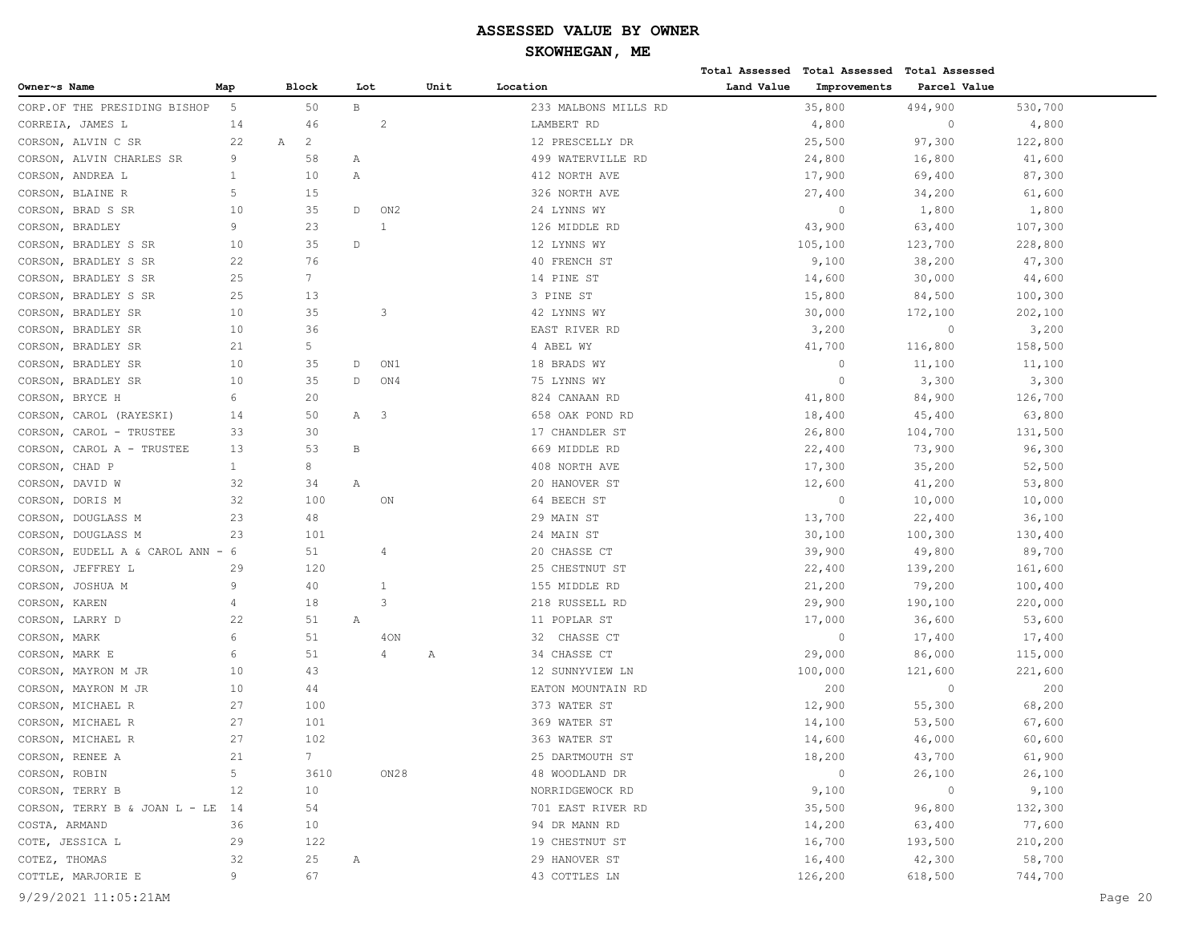|                                  |                |                     |                 |                         |      |                      |            | Total Assessed Total Assessed Total Assessed |              |         |  |
|----------------------------------|----------------|---------------------|-----------------|-------------------------|------|----------------------|------------|----------------------------------------------|--------------|---------|--|
| Owner~s Name                     | Map            | Block               | Lot             |                         | Unit | Location             | Land Value | Improvements                                 | Parcel Value |         |  |
| CORP.OF THE PRESIDING BISHOP     | 5              | 50                  | $\, {\bf B} \,$ |                         |      | 233 MALBONS MILLS RD |            | 35,800                                       | 494,900      | 530,700 |  |
| CORREIA, JAMES L                 | 14             | 46                  |                 | 2                       |      | LAMBERT RD           |            | 4,800                                        | $\circ$      | 4,800   |  |
| CORSON, ALVIN C SR               | 22             | $\overline{c}$<br>Α |                 |                         |      | 12 PRESCELLY DR      |            | 25,500                                       | 97,300       | 122,800 |  |
| CORSON, ALVIN CHARLES SR         | 9              | 58                  | Α               |                         |      | 499 WATERVILLE RD    |            | 24,800                                       | 16,800       | 41,600  |  |
| CORSON, ANDREA L                 | $\mathbf{1}$   | 10                  | Α               |                         |      | 412 NORTH AVE        |            | 17,900                                       | 69,400       | 87,300  |  |
| CORSON, BLAINE R                 | 5              | 15                  |                 |                         |      | 326 NORTH AVE        |            | 27,400                                       | 34,200       | 61,600  |  |
| CORSON, BRAD S SR                | 10             | 35                  | $\mathbb{D}$    | ON2                     |      | 24 LYNNS WY          |            | $\circ$                                      | 1,800        | 1,800   |  |
| CORSON, BRADLEY                  | 9              | 23                  |                 | $\mathbf{1}$            |      | 126 MIDDLE RD        |            | 43,900                                       | 63,400       | 107,300 |  |
| CORSON, BRADLEY S SR             | 10             | 35                  | $\mathbb D$     |                         |      | 12 LYNNS WY          |            | 105,100                                      | 123,700      | 228,800 |  |
| CORSON,<br>BRADLEY S SR          | 22             | 76                  |                 |                         |      | 40 FRENCH ST         |            | 9,100                                        | 38,200       | 47,300  |  |
| CORSON, BRADLEY S SR             | 25             | $7\phantom{.0}$     |                 |                         |      | 14 PINE ST           |            | 14,600                                       | 30,000       | 44,600  |  |
| CORSON, BRADLEY S SR             | 25             | 13                  |                 |                         |      | 3 PINE ST            |            | 15,800                                       | 84,500       | 100,300 |  |
| CORSON, BRADLEY SR               | 10             | 35                  |                 | 3                       |      | 42 LYNNS WY          |            | 30,000                                       | 172,100      | 202,100 |  |
| CORSON, BRADLEY SR               | 10             | 36                  |                 |                         |      | EAST RIVER RD        |            | 3,200                                        | $\circ$      | 3,200   |  |
| CORSON, BRADLEY SR               | 21             | 5                   |                 |                         |      | 4 ABEL WY            |            | 41,700                                       | 116,800      | 158,500 |  |
| CORSON, BRADLEY SR               | 10             | 35                  | D               | ON1                     |      | 18 BRADS WY          |            | $\circ$                                      | 11,100       | 11,100  |  |
| CORSON, BRADLEY SR               | 10             | 35                  | $\mathbb{D}$    | ON4                     |      | 75 LYNNS WY          |            | $\circ$                                      | 3,300        | 3,300   |  |
| CORSON, BRYCE H                  | 6              | 20                  |                 |                         |      | 824 CANAAN RD        |            | 41,800                                       | 84,900       | 126,700 |  |
| CORSON, CAROL (RAYESKI)          | 14             | 50                  | A               | $\overline{\mathbf{3}}$ |      | 658 OAK POND RD      |            | 18,400                                       | 45,400       | 63,800  |  |
| CORSON, CAROL - TRUSTEE          | 33             | 30                  |                 |                         |      | 17 CHANDLER ST       |            | 26,800                                       | 104,700      | 131,500 |  |
| CORSON, CAROL A - TRUSTEE        | 13             | 53                  | В               |                         |      | 669 MIDDLE RD        |            | 22,400                                       | 73,900       | 96,300  |  |
| CORSON, CHAD P                   | $\mathbf{1}$   | 8                   |                 |                         |      | 408 NORTH AVE        |            | 17,300                                       | 35,200       | 52,500  |  |
| CORSON, DAVID W                  | 32             | 34                  | Α               |                         |      | 20 HANOVER ST        |            | 12,600                                       | 41,200       | 53,800  |  |
| CORSON, DORIS M                  | 32             | 100                 |                 | ON                      |      | 64 BEECH ST          |            | $\circ$                                      | 10,000       | 10,000  |  |
| CORSON, DOUGLASS M               | 23             | 48                  |                 |                         |      | 29 MAIN ST           |            | 13,700                                       | 22,400       | 36,100  |  |
| DOUGLASS M<br>CORSON,            | 23             | 101                 |                 |                         |      | 24 MAIN ST           |            | 30,100                                       | 100,300      | 130,400 |  |
| CORSON, EUDELL A & CAROL ANN - 6 |                | 51                  |                 | 4                       |      | 20 CHASSE CT         |            | 39,900                                       | 49,800       | 89,700  |  |
| CORSON, JEFFREY L                | 29             | 120                 |                 |                         |      | 25 CHESTNUT ST       |            | 22,400                                       | 139,200      | 161,600 |  |
| CORSON, JOSHUA M                 | 9              | 40                  |                 | 1                       |      | 155 MIDDLE RD        |            | 21,200                                       | 79,200       | 100,400 |  |
| CORSON, KAREN                    | $\overline{4}$ | 18                  |                 | 3                       |      | 218 RUSSELL RD       |            | 29,900                                       | 190,100      | 220,000 |  |
| CORSON, LARRY D                  | 22             | 51                  | Α               |                         |      | 11 POPLAR ST         |            | 17,000                                       | 36,600       | 53,600  |  |
| CORSON, MARK                     | 6              | 51                  |                 | 40N                     |      | 32 CHASSE CT         |            | $\circ$                                      | 17,400       | 17,400  |  |
| CORSON, MARK E                   | 6              | 51                  |                 | 4                       | Α    | 34 CHASSE CT         |            | 29,000                                       | 86,000       | 115,000 |  |
| CORSON, MAYRON M JR              | 10             | 43                  |                 |                         |      | 12 SUNNYVIEW LN      |            | 100,000                                      | 121,600      | 221,600 |  |
| CORSON, MAYRON M JR              | 10             | 44                  |                 |                         |      | EATON MOUNTAIN RD    |            | 200                                          | $\circ$      | 200     |  |
| CORSON, MICHAEL R                | 27             | 100                 |                 |                         |      | 373 WATER ST         |            | 12,900                                       | 55,300       | 68,200  |  |
| CORSON, MICHAEL R                | 27             | 101                 |                 |                         |      | 369 WATER ST         |            | 14,100                                       | 53,500       | 67,600  |  |
| CORSON, MICHAEL R                | 27             | 102                 |                 |                         |      | 363 WATER ST         |            | 14,600                                       | 46,000       | 60,600  |  |
| CORSON, RENEE A                  | 21             | 7                   |                 |                         |      | 25 DARTMOUTH ST      |            | 18,200                                       | 43,700       | 61,900  |  |
| CORSON, ROBIN                    | 5              | 3610                |                 | ON28                    |      | 48 WOODLAND DR       |            | $\circ$                                      | 26,100       | 26,100  |  |
| CORSON, TERRY B                  | 12             | 10                  |                 |                         |      | NORRIDGEWOCK RD      |            | 9,100                                        | $\circ$      | 9,100   |  |
| CORSON, TERRY B & JOAN L - LE    | 14             | 54                  |                 |                         |      | 701 EAST RIVER RD    |            | 35,500                                       | 96,800       | 132,300 |  |
| COSTA, ARMAND                    | 36             | 10                  |                 |                         |      | 94 DR MANN RD        |            | 14,200                                       | 63,400       | 77,600  |  |
| COTE, JESSICA L                  | 29             | 122                 |                 |                         |      | 19 CHESTNUT ST       |            | 16,700                                       | 193,500      | 210,200 |  |
| COTEZ, THOMAS                    | 32             | 25                  | Α               |                         |      | 29 HANOVER ST        |            | 16,400                                       | 42,300       | 58,700  |  |
| COTTLE, MARJORIE E               | 9              | 67                  |                 |                         |      | 43 COTTLES LN        |            | 126,200                                      | 618,500      | 744,700 |  |
| 9/29/2021 11:05:21AM             |                |                     |                 |                         |      |                      |            |                                              |              | Page 20 |  |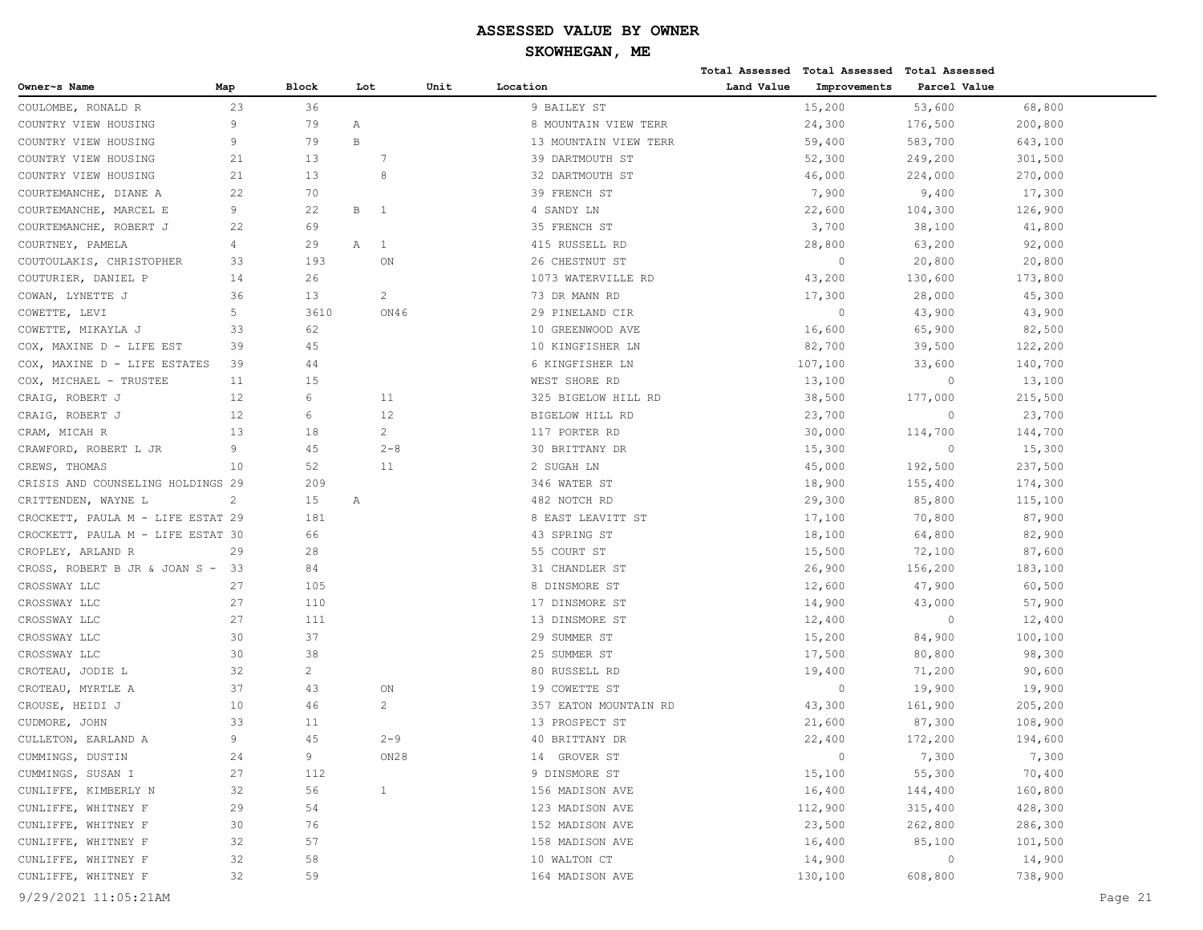|                                   |      |                       |              |                |      |                       |            | Total Assessed Total Assessed Total Assessed |              |         |
|-----------------------------------|------|-----------------------|--------------|----------------|------|-----------------------|------------|----------------------------------------------|--------------|---------|
| Owner~s Name                      | Map  | Block                 | Lot          |                | Unit | Location              | Land Value | Improvements                                 | Parcel Value |         |
| COULOMBE, RONALD R                | 23   | 36                    |              |                |      | 9 BAILEY ST           |            | 15,200                                       | 53,600       | 68,800  |
| COUNTRY VIEW HOUSING              | 9    | 79                    | Α            |                |      | 8 MOUNTAIN VIEW TERR  |            | 24,300                                       | 176,500      | 200,800 |
| COUNTRY VIEW HOUSING              | 9    | 79                    | $\, {\bf B}$ |                |      | 13 MOUNTAIN VIEW TERR |            | 59,400                                       | 583,700      | 643,100 |
| COUNTRY VIEW HOUSING              | 21   | 13                    |              | 7              |      | 39 DARTMOUTH ST       |            | 52,300                                       | 249,200      | 301,500 |
| COUNTRY VIEW HOUSING              | 21   | 13                    |              | 8              |      | 32 DARTMOUTH ST       |            | 46,000                                       | 224,000      | 270,000 |
| COURTEMANCHE, DIANE A             | 22   | 70                    |              |                |      | 39 FRENCH ST          |            | 7,900                                        | 9,400        | 17,300  |
| COURTEMANCHE, MARCEL E            | 9    | 22                    | В            | $\overline{1}$ |      | 4 SANDY LN            |            | 22,600                                       | 104,300      | 126,900 |
| COURTEMANCHE, ROBERT J            | 22   | 69                    |              |                |      | 35 FRENCH ST          |            | 3,700                                        | 38,100       | 41,800  |
| COURTNEY, PAMELA                  | 4    | 29                    | Α            | $\overline{1}$ |      | 415 RUSSELL RD        |            | 28,800                                       | 63,200       | 92,000  |
| COUTOULAKIS, CHRISTOPHER          | 33   | 193                   |              | ON             |      | 26 CHESTNUT ST        |            | $\circ$                                      | 20,800       | 20,800  |
| COUTURIER, DANIEL P               | 14   | 26                    |              |                |      | 1073 WATERVILLE RD    |            | 43,200                                       | 130,600      | 173,800 |
| COWAN, LYNETTE J                  | 36   | 13                    |              | $\overline{c}$ |      | 73 DR MANN RD         |            | 17,300                                       | 28,000       | 45,300  |
| COWETTE, LEVI                     | 5    | 3610                  |              | ON46           |      | 29 PINELAND CIR       |            | $\Omega$                                     | 43,900       | 43,900  |
| COWETTE, MIKAYLA J                | 33   | 62                    |              |                |      | 10 GREENWOOD AVE      |            | 16,600                                       | 65,900       | 82,500  |
| COX, MAXINE D - LIFE EST          | 39   | 45                    |              |                |      | 10 KINGFISHER LN      |            | 82,700                                       | 39,500       | 122,200 |
| COX, MAXINE D - LIFE ESTATES      | 39   | 44                    |              |                |      | 6 KINGFISHER LN       |            | 107,100                                      | 33,600       | 140,700 |
| COX, MICHAEL - TRUSTEE            | 11   | 15                    |              |                |      | WEST SHORE RD         |            | 13,100                                       | $\mathbb O$  | 13,100  |
| CRAIG, ROBERT J                   | 12   | 6                     |              | 11             |      | 325 BIGELOW HILL RD   |            | 38,500                                       | 177,000      | 215,500 |
| CRAIG, ROBERT J                   | 12   | 6                     |              | 12             |      | BIGELOW HILL RD       |            | 23,700                                       | $\circ$      | 23,700  |
| CRAM, MICAH R                     | 13   | 18                    |              | $\overline{2}$ |      | 117 PORTER RD         |            | 30,000                                       | 114,700      | 144,700 |
| CRAWFORD, ROBERT L JR             | 9    | 45                    |              | $2 - 8$        |      | 30 BRITTANY DR        |            | 15,300                                       | $\circ$      | 15,300  |
| CREWS, THOMAS                     | 10   | 52                    |              | 11             |      | 2 SUGAH LN            |            | 45,000                                       | 192,500      | 237,500 |
| CRISIS AND COUNSELING HOLDINGS 29 |      | 209                   |              |                |      | 346 WATER ST          |            | 18,900                                       | 155,400      | 174,300 |
| CRITTENDEN, WAYNE L               | 2    | 15                    | Α            |                |      | 482 NOTCH RD          |            | 29,300                                       | 85,800       | 115,100 |
| CROCKETT, PAULA M - LIFE ESTAT 29 |      | 181                   |              |                |      | 8 EAST LEAVITT ST     |            | 17,100                                       | 70,800       | 87,900  |
| CROCKETT, PAULA M - LIFE ESTAT 30 |      | 66                    |              |                |      | 43 SPRING ST          |            | 18,100                                       | 64,800       | 82,900  |
| CROPLEY, ARLAND R                 | 29   | 28                    |              |                |      | 55 COURT ST           |            | 15,500                                       | 72,100       | 87,600  |
| CROSS, ROBERT B JR & JOAN S -     | - 33 | 84                    |              |                |      | 31 CHANDLER ST        |            | 26,900                                       | 156,200      | 183,100 |
| CROSSWAY LLC                      | 27   | 105                   |              |                |      | 8 DINSMORE ST         |            | 12,600                                       | 47,900       | 60,500  |
| CROSSWAY LLC                      | 27   | 110                   |              |                |      | 17 DINSMORE ST        |            | 14,900                                       | 43,000       | 57,900  |
| CROSSWAY LLC                      | 27   | 111                   |              |                |      | 13 DINSMORE ST        |            | 12,400                                       | $\circ$      | 12,400  |
| CROSSWAY LLC                      | 30   | 37                    |              |                |      | 29 SUMMER ST          |            | 15,200                                       | 84,900       | 100,100 |
| CROSSWAY LLC                      | 30   | 38                    |              |                |      | 25 SUMMER ST          |            | 17,500                                       | 80,800       | 98,300  |
| CROTEAU, JODIE L                  | 32   | $\mathbf{2}^{\prime}$ |              |                |      | 80 RUSSELL RD         |            | 19,400                                       | 71,200       | 90,600  |
| CROTEAU, MYRTLE A                 | 37   | 43                    |              | ON             |      | 19 COWETTE ST         |            | $\overline{0}$                               | 19,900       | 19,900  |
| CROUSE, HEIDI J                   | 10   | 46                    |              | 2              |      | 357 EATON MOUNTAIN RD |            | 43,300                                       | 161,900      | 205,200 |
| CUDMORE, JOHN                     | 33   | 11                    |              |                |      | 13 PROSPECT ST        |            | 21,600                                       | 87,300       | 108,900 |
| CULLETON, EARLAND A               | 9    | 45                    |              | $2 - 9$        |      | 40 BRITTANY DR        |            | 22,400                                       | 172,200      | 194,600 |
| CUMMINGS, DUSTIN                  | 24   | 9                     |              | ON28           |      | 14 GROVER ST          |            | $\circ$                                      | 7,300        | 7,300   |
| CUMMINGS, SUSAN I                 | 27   | 112                   |              |                |      | 9 DINSMORE ST         |            | 15,100                                       | 55,300       | 70,400  |
| CUNLIFFE, KIMBERLY N              | 32   | 56                    |              | $\mathbf{1}$   |      | 156 MADISON AVE       |            | 16,400                                       | 144,400      | 160,800 |
| CUNLIFFE, WHITNEY F               | 29   | 54                    |              |                |      | 123 MADISON AVE       |            | 112,900                                      | 315,400      | 428,300 |
| CUNLIFFE, WHITNEY F               | 30   | 76                    |              |                |      | 152 MADISON AVE       |            | 23,500                                       | 262,800      | 286,300 |
| CUNLIFFE, WHITNEY F               | 32   | 57                    |              |                |      | 158 MADISON AVE       |            | 16,400                                       | 85,100       | 101,500 |
| CUNLIFFE, WHITNEY F               | 32   | 58                    |              |                |      | 10 WALTON CT          |            | 14,900                                       | $\circ$      | 14,900  |
| CUNLIFFE, WHITNEY F               | 32   | 59                    |              |                |      | 164 MADISON AVE       |            | 130,100                                      | 608,800      | 738,900 |
| 9/29/2021 11:05:21AM              |      |                       |              |                |      |                       |            |                                              |              | Page 21 |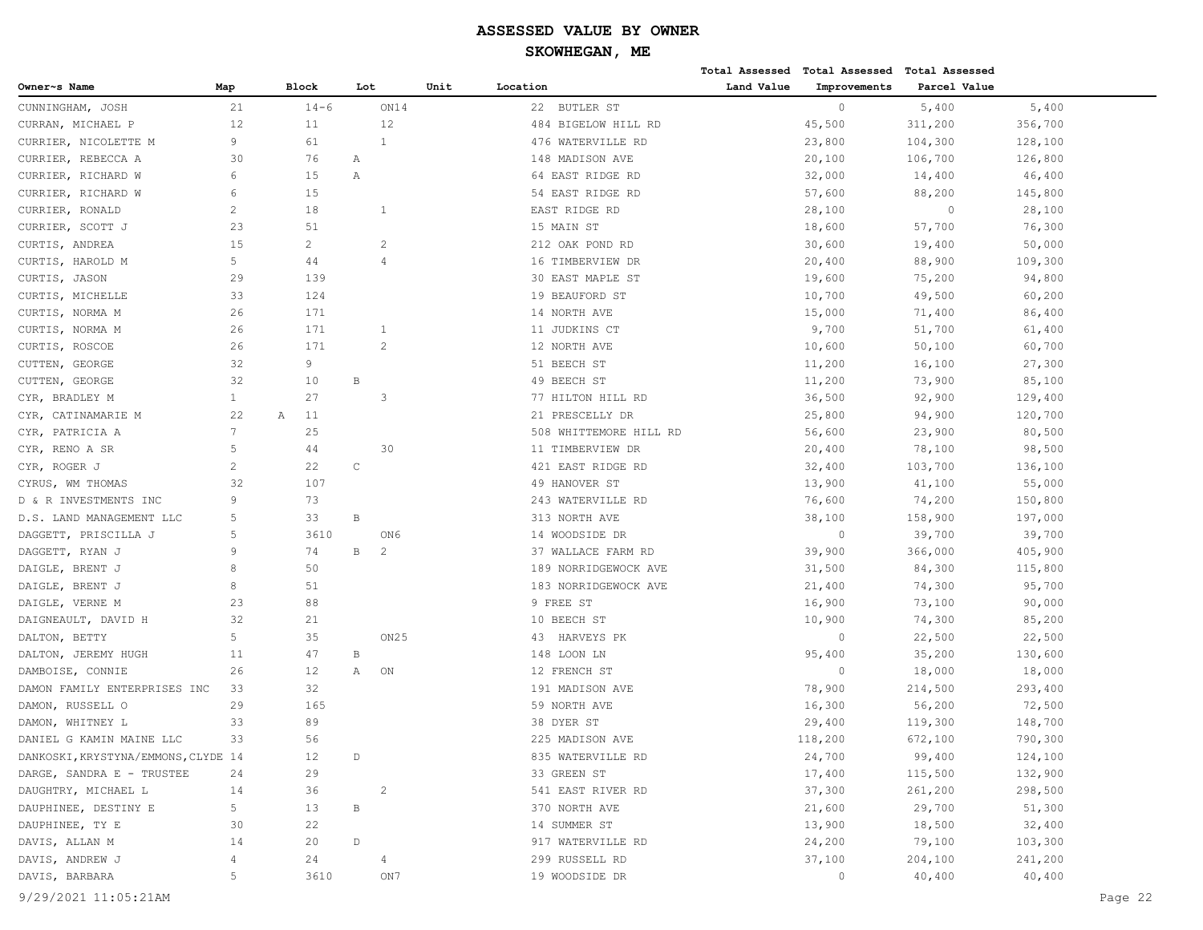|                                     |                |                |                 |                  |      |                        |            | Total Assessed Total Assessed Total Assessed |              |         |         |
|-------------------------------------|----------------|----------------|-----------------|------------------|------|------------------------|------------|----------------------------------------------|--------------|---------|---------|
| Owner~s Name                        | Map            | Block          | Lot             |                  | Unit | Location               | Land Value | Improvements                                 | Parcel Value |         |         |
| CUNNINGHAM, JOSH                    | 21             | $14 - 6$       |                 | ON14             |      | <b>BUTLER ST</b><br>22 |            | $\circ$                                      | 5,400        | 5,400   |         |
| CURRAN, MICHAEL P                   | 12             | 11             |                 | 12               |      | 484 BIGELOW HILL RD    |            | 45,500                                       | 311,200      | 356,700 |         |
| CURRIER, NICOLETTE M                | 9              | 61             |                 | $\mathbf{1}$     |      | 476 WATERVILLE RD      |            | 23,800                                       | 104,300      | 128,100 |         |
| CURRIER, REBECCA A                  | 30             | 76             | Α               |                  |      | 148 MADISON AVE        |            | 20,100                                       | 106,700      | 126,800 |         |
| CURRIER, RICHARD W                  | 6              | 15             | Α               |                  |      | 64 EAST RIDGE RD       |            | 32,000                                       | 14,400       | 46,400  |         |
| CURRIER, RICHARD W                  | 6              | 15             |                 |                  |      | 54 EAST RIDGE RD       |            | 57,600                                       | 88,200       | 145,800 |         |
| CURRIER, RONALD                     | 2              | 18             |                 | 1                |      | EAST RIDGE RD          |            | 28,100                                       | $\circ$      | 28,100  |         |
| CURRIER, SCOTT J                    | 23             | 51             |                 |                  |      | 15 MAIN ST             |            | 18,600                                       | 57,700       | 76,300  |         |
| CURTIS, ANDREA                      | 15             | $\overline{c}$ |                 | $\overline{c}$   |      | 212 OAK POND RD        |            | 30,600                                       | 19,400       | 50,000  |         |
| CURTIS, HAROLD M                    | 5              | 44             |                 | 4                |      | 16 TIMBERVIEW DR       |            | 20,400                                       | 88,900       | 109,300 |         |
| CURTIS, JASON                       | 29             | 139            |                 |                  |      | 30 EAST MAPLE ST       |            | 19,600                                       | 75,200       | 94,800  |         |
| CURTIS, MICHELLE                    | 33             | 124            |                 |                  |      | 19 BEAUFORD ST         |            | 10,700                                       | 49,500       | 60,200  |         |
| CURTIS, NORMA M                     | 26             | 171            |                 |                  |      | 14 NORTH AVE           |            | 15,000                                       | 71,400       | 86,400  |         |
| CURTIS, NORMA M                     | 26             | 171            |                 | 1                |      | 11 JUDKINS CT          |            | 9,700                                        | 51,700       | 61,400  |         |
| CURTIS, ROSCOE                      | 26             | 171            |                 | 2                |      | 12 NORTH AVE           |            | 10,600                                       | 50,100       | 60,700  |         |
| CUTTEN, GEORGE                      | 32             | 9              |                 |                  |      | 51 BEECH ST            |            | 11,200                                       | 16,100       | 27,300  |         |
| CUTTEN, GEORGE                      | 32             | 10             | $\mathbf B$     |                  |      | 49 BEECH ST            |            | 11,200                                       | 73,900       | 85,100  |         |
| CYR, BRADLEY M                      | $\mathbf{1}$   | 27             |                 | 3                |      | 77 HILTON HILL RD      |            | 36,500                                       | 92,900       | 129,400 |         |
| CYR, CATINAMARIE M                  | 22             | 11<br>А        |                 |                  |      | 21 PRESCELLY DR        |            | 25,800                                       | 94,900       | 120,700 |         |
| CYR, PATRICIA A                     | 7              | 25             |                 |                  |      | 508 WHITTEMORE HILL RD |            | 56,600                                       | 23,900       | 80,500  |         |
| CYR, RENO A SR                      | 5              | 44             |                 | 30               |      | 11 TIMBERVIEW DR       |            | 20,400                                       | 78,100       | 98,500  |         |
| CYR, ROGER J                        | $\overline{c}$ | 22             | $\mathsf C$     |                  |      | 421 EAST RIDGE RD      |            | 32,400                                       | 103,700      | 136,100 |         |
| CYRUS, WM THOMAS                    | 32             | 107            |                 |                  |      | 49 HANOVER ST          |            | 13,900                                       | 41,100       | 55,000  |         |
| D & R INVESTMENTS INC               | 9              | 73             |                 |                  |      | 243 WATERVILLE RD      |            | 76,600                                       | 74,200       | 150,800 |         |
| D.S. LAND MANAGEMENT LLC            | 5              | 33             | $\mathbf B$     |                  |      | 313 NORTH AVE          |            | 38,100                                       | 158,900      | 197,000 |         |
| DAGGETT, PRISCILLA J                | 5              | 3610           |                 | ON6              |      | 14 WOODSIDE DR         |            | $\circ$                                      | 39,700       | 39,700  |         |
| DAGGETT, RYAN J                     | 9              | 74             | $\, {\bf B} \,$ | 2                |      | 37 WALLACE FARM RD     |            | 39,900                                       | 366,000      | 405,900 |         |
| DAIGLE, BRENT J                     | 8              | 50             |                 |                  |      | 189 NORRIDGEWOCK AVE   |            | 31,500                                       | 84,300       | 115,800 |         |
| DAIGLE, BRENT J                     | 8              | 51             |                 |                  |      | 183 NORRIDGEWOCK AVE   |            | 21,400                                       | 74,300       | 95,700  |         |
| DAIGLE, VERNE M                     | 23             | 88             |                 |                  |      | 9 FREE ST              |            | 16,900                                       | 73,100       | 90,000  |         |
| DAIGNEAULT, DAVID H                 | 32             | 21             |                 |                  |      | 10 BEECH ST            |            | 10,900                                       | 74,300       | 85,200  |         |
| DALTON, BETTY                       | 5              | 35             |                 | ON <sub>25</sub> |      | HARVEYS PK<br>43       |            | $\circ$                                      | 22,500       | 22,500  |         |
| DALTON, JEREMY HUGH                 | 11             | 47             | $\, {\bf B}$    |                  |      | 148 LOON LN            |            | 95,400                                       | 35,200       | 130,600 |         |
| DAMBOISE, CONNIE                    | 26             | 12             | Α               | ON               |      | 12 FRENCH ST           |            | $\Omega$                                     | 18,000       | 18,000  |         |
| DAMON FAMILY ENTERPRISES INC        | 33             | 32             |                 |                  |      | 191 MADISON AVE        |            | 78,900                                       | 214,500      | 293,400 |         |
| DAMON, RUSSELL O                    | 29             | 165            |                 |                  |      | 59 NORTH AVE           |            | 16,300                                       | 56,200       | 72,500  |         |
| DAMON, WHITNEY L                    | 33             | 89             |                 |                  |      | 38 DYER ST             |            | 29,400                                       | 119,300      | 148,700 |         |
| DANIEL G KAMIN MAINE LLC            | 33             | 56             |                 |                  |      | 225 MADISON AVE        |            | 118,200                                      | 672,100      | 790,300 |         |
| DANKOSKI, KRYSTYNA/EMMONS, CLYDE 14 |                | 12             | $\mathbb D$     |                  |      | 835 WATERVILLE RD      |            | 24,700                                       | 99,400       | 124,100 |         |
| DARGE, SANDRA E - TRUSTEE           | 24             | 29             |                 |                  |      | 33 GREEN ST            |            | 17,400                                       | 115,500      | 132,900 |         |
| DAUGHTRY, MICHAEL L                 | 14             | 36             |                 | $\overline{c}$   |      | 541 EAST RIVER RD      |            | 37,300                                       | 261,200      | 298,500 |         |
| DAUPHINEE, DESTINY E                | 5              | 13             | В               |                  |      | 370 NORTH AVE          |            | 21,600                                       | 29,700       | 51,300  |         |
| DAUPHINEE, TY E                     | 30             | 22             |                 |                  |      | 14 SUMMER ST           |            | 13,900                                       | 18,500       | 32,400  |         |
| DAVIS, ALLAN M                      | 14             | 20             | $\mathbb D$     |                  |      | 917 WATERVILLE RD      |            | 24,200                                       | 79,100       | 103,300 |         |
| DAVIS, ANDREW J                     | 4              | 24             |                 | 4                |      | 299 RUSSELL RD         |            | 37,100                                       | 204,100      | 241,200 |         |
| DAVIS, BARBARA                      | 5              | 3610           |                 | ON7              |      | 19 WOODSIDE DR         |            | $\circ$                                      | 40,400       | 40,400  |         |
| 9/29/2021 11:05:21AM                |                |                |                 |                  |      |                        |            |                                              |              |         | Page 22 |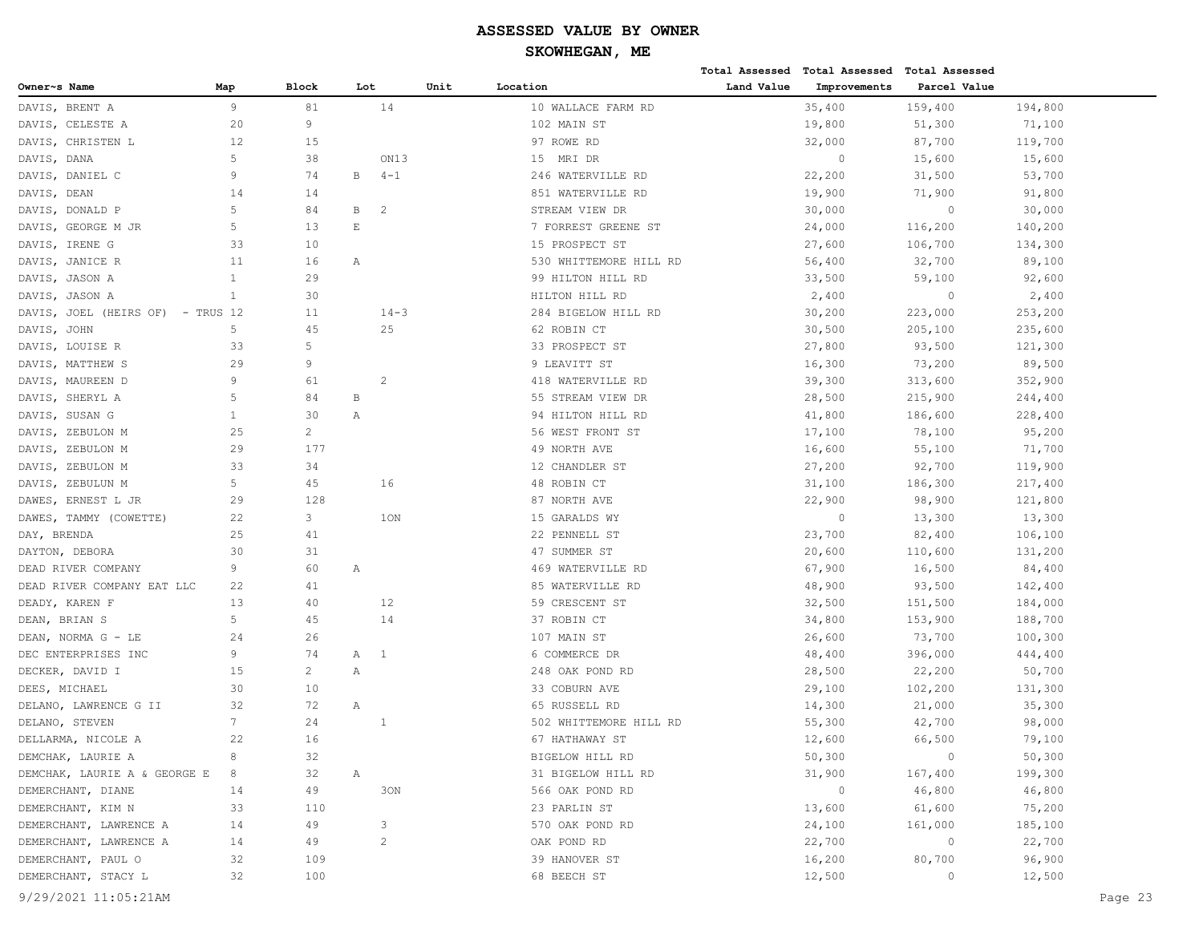**Total Assessed Total Assessed Total Assessed** 

| Owner~s Name  |                                         | Map            | <b>Block</b>   | Lot                      |                | Unit | Location                       | Land Value | Improvements   | Parcel Value   |         |         |
|---------------|-----------------------------------------|----------------|----------------|--------------------------|----------------|------|--------------------------------|------------|----------------|----------------|---------|---------|
|               | DAVIS, BRENT A                          | 9              | 81             |                          | 14             |      | 10 WALLACE FARM RD             |            | 35,400         | 159,400        | 194,800 |         |
|               | DAVIS, CELESTE A                        | 20             | 9              |                          |                |      | 102 MAIN ST                    |            | 19,800         | 51,300         | 71,100  |         |
|               | DAVIS, CHRISTEN L                       | 12             | 15             |                          |                |      | 97 ROWE RD                     |            | 32,000         | 87,700         | 119,700 |         |
| DAVIS, DANA   |                                         | 5              | 38             |                          | ON13           |      | 15 MRI DR                      |            | $\circ$        | 15,600         | 15,600  |         |
|               | DAVIS, DANIEL C                         | 9              | 74             | B                        | $4 - 1$        |      | 246 WATERVILLE RD              |            | 22,200         | 31,500         | 53,700  |         |
| DAVIS, DEAN   |                                         | 14             | 14             |                          |                |      | 851 WATERVILLE RD              |            | 19,900         | 71,900         | 91,800  |         |
|               | DAVIS, DONALD P                         | 5              | 84             | B                        | 2              |      | STREAM VIEW DR                 |            | 30,000         | $\overline{0}$ | 30,000  |         |
|               | DAVIS, GEORGE M JR                      | 5              | 13             | $\mathop{}\mathopen{} E$ |                |      | 7 FORREST GREENE ST            |            | 24,000         | 116,200        | 140,200 |         |
|               | DAVIS, IRENE G                          | 33             | 10             |                          |                |      | 15 PROSPECT ST                 |            | 27,600         | 106,700        | 134,300 |         |
|               | DAVIS, JANICE R                         | 11             | 16             | Α                        |                |      | 530 WHITTEMORE HILL RD         |            | 56,400         | 32,700         | 89,100  |         |
|               | DAVIS, JASON A                          | $\mathbf{1}$   | 29             |                          |                |      | 99 HILTON HILL RD              |            | 33,500         | 59,100         | 92,600  |         |
|               | DAVIS, JASON A                          | $\mathbf{1}$   | 30             |                          |                |      | HILTON HILL RD                 |            | 2,400          | $\overline{0}$ | 2,400   |         |
|               | DAVIS, JOEL (HEIRS OF) - TRUS 12        |                | 11             |                          | $14 - 3$       |      | 284 BIGELOW HILL RD            |            | 30,200         | 223,000        | 253,200 |         |
| DAVIS, JOHN   |                                         | 5              | 45             |                          | 25             |      | 62 ROBIN CT                    |            | 30,500         | 205,100        | 235,600 |         |
|               | DAVIS, LOUISE R                         | 33             | 5              |                          |                |      | 33 PROSPECT ST                 |            | 27,800         | 93,500         | 121,300 |         |
|               | DAVIS, MATTHEW S                        | 29             | 9              |                          |                |      | 9 LEAVITT ST                   |            | 16,300         | 73,200         | 89,500  |         |
|               | DAVIS, MAUREEN D                        | 9              | 61             |                          | 2              |      | 418 WATERVILLE RD              |            | 39,300         | 313,600        | 352,900 |         |
|               | DAVIS, SHERYL A                         | 5              | 84             | В                        |                |      | 55 STREAM VIEW DR              |            | 28,500         | 215,900        | 244,400 |         |
|               | DAVIS, SUSAN G                          | $\mathbf{1}$   | 30             | Α                        |                |      | 94 HILTON HILL RD              |            | 41,800         | 186,600        | 228,400 |         |
|               | DAVIS, ZEBULON M                        | 25             | $\overline{2}$ |                          |                |      | 56 WEST FRONT ST               |            | 17,100         | 78,100         | 95,200  |         |
|               | DAVIS, ZEBULON M                        | 29             | 177            |                          |                |      | 49 NORTH AVE                   |            | 16,600         | 55,100         | 71,700  |         |
|               | DAVIS, ZEBULON M                        | 33             | 34             |                          |                |      | 12 CHANDLER ST                 |            | 27,200         | 92,700         | 119,900 |         |
|               | DAVIS, ZEBULUN M                        | 5 <sup>5</sup> | 45             |                          | 16             |      | 48 ROBIN CT                    |            | 31,100         | 186,300        | 217,400 |         |
|               | DAWES, ERNEST L JR                      | 29             | 128            |                          |                |      | 87 NORTH AVE                   |            | 22,900         | 98,900         | 121,800 |         |
|               | DAWES, TAMMY (COWETTE)                  | 22             | 3              |                          | 1ON            |      | 15 GARALDS WY                  |            | $\circ$        | 13,300         | 13,300  |         |
| DAY, BRENDA   |                                         | 25             | 41             |                          |                |      | 22 PENNELL ST                  |            | 23,700         | 82,400         | 106,100 |         |
|               | DAYTON, DEBORA                          | 30             | 31             |                          |                |      | 47 SUMMER ST                   |            | 20,600         | 110,600        | 131,200 |         |
|               | DEAD RIVER COMPANY                      | 9              | 60             | Α                        |                |      | 469 WATERVILLE RD              |            | 67,900         | 16,500         | 84,400  |         |
|               | DEAD RIVER COMPANY EAT LLC              | 22             | 41             |                          |                |      | 85 WATERVILLE RD               |            | 48,900         | 93,500         | 142,400 |         |
|               | DEADY, KAREN F                          | 13             | 40             |                          | 12             |      | 59 CRESCENT ST                 |            | 32,500         | 151,500        | 184,000 |         |
| DEAN, BRIAN S |                                         | 5              | 45             |                          | 14             |      | 37 ROBIN CT                    |            | 34,800         | 153,900        | 188,700 |         |
|               | DEAN, NORMA G - LE                      | 24             | 26             |                          |                |      | 107 MAIN ST                    |            | 26,600         | 73,700         | 100,300 |         |
|               | DEC ENTERPRISES INC                     | 9              | 74             | A 1                      |                |      | 6 COMMERCE DR                  |            | 48,400         | 396,000        | 444,400 |         |
|               | DECKER, DAVID I                         | 15             | $\overline{c}$ | Α                        |                |      | 248 OAK POND RD                |            | 28,500         | 22,200         | 50,700  |         |
| DEES, MICHAEL |                                         | 30             | 10             |                          |                |      |                                |            |                |                |         |         |
|               |                                         | 32             | 72             | Α                        |                |      | 33 COBURN AVE<br>65 RUSSELL RD |            | 29,100         | 102,200        | 131,300 |         |
|               | DELANO, LAWRENCE G II                   | $7^{\circ}$    | 24             |                          |                |      |                                |            | 14,300         | 21,000         | 35,300  |         |
|               | DELANO, STEVEN                          |                | 16             |                          | 1              |      | 502 WHITTEMORE HILL RD         |            | 55,300         | 42,700         | 98,000  |         |
|               | DELLARMA, NICOLE A<br>DEMCHAK, LAURIE A | 22             | 32             |                          |                |      | 67 HATHAWAY ST                 |            | 12,600         | 66,500         | 79,100  |         |
|               |                                         | 8              |                |                          |                |      | BIGELOW HILL RD                |            | 50,300         | $\overline{0}$ | 50,300  |         |
|               | DEMCHAK, LAURIE A & GEORGE E 8          |                | 32             | Α                        |                |      | 31 BIGELOW HILL RD             |            | 31,900         | 167,400        | 199,300 |         |
|               | DEMERCHANT, DIANE                       | 14             | 49             |                          | 30N            |      | 566 OAK POND RD                |            | $\overline{0}$ | 46,800         | 46,800  |         |
|               | DEMERCHANT, KIM N                       | 33             | 110            |                          |                |      | 23 PARLIN ST                   |            | 13,600         | 61,600         | 75,200  |         |
|               | DEMERCHANT, LAWRENCE A                  | 14             | 49             |                          | 3              |      | 570 OAK POND RD                |            | 24,100         | 161,000        | 185,100 |         |
|               | DEMERCHANT, LAWRENCE A                  | 14             | 49             |                          | $\overline{2}$ |      | OAK POND RD                    |            | 22,700         | $\overline{0}$ | 22,700  |         |
|               | DEMERCHANT, PAUL O                      | 32             | 109            |                          |                |      | 39 HANOVER ST                  |            | 16,200         | 80,700         | 96,900  |         |
|               | DEMERCHANT, STACY L                     | 32             | 100            |                          |                |      | 68 BEECH ST                    |            | 12,500         | $\overline{0}$ | 12,500  |         |
|               | 9/29/2021 11:05:21AM                    |                |                |                          |                |      |                                |            |                |                |         | Page 23 |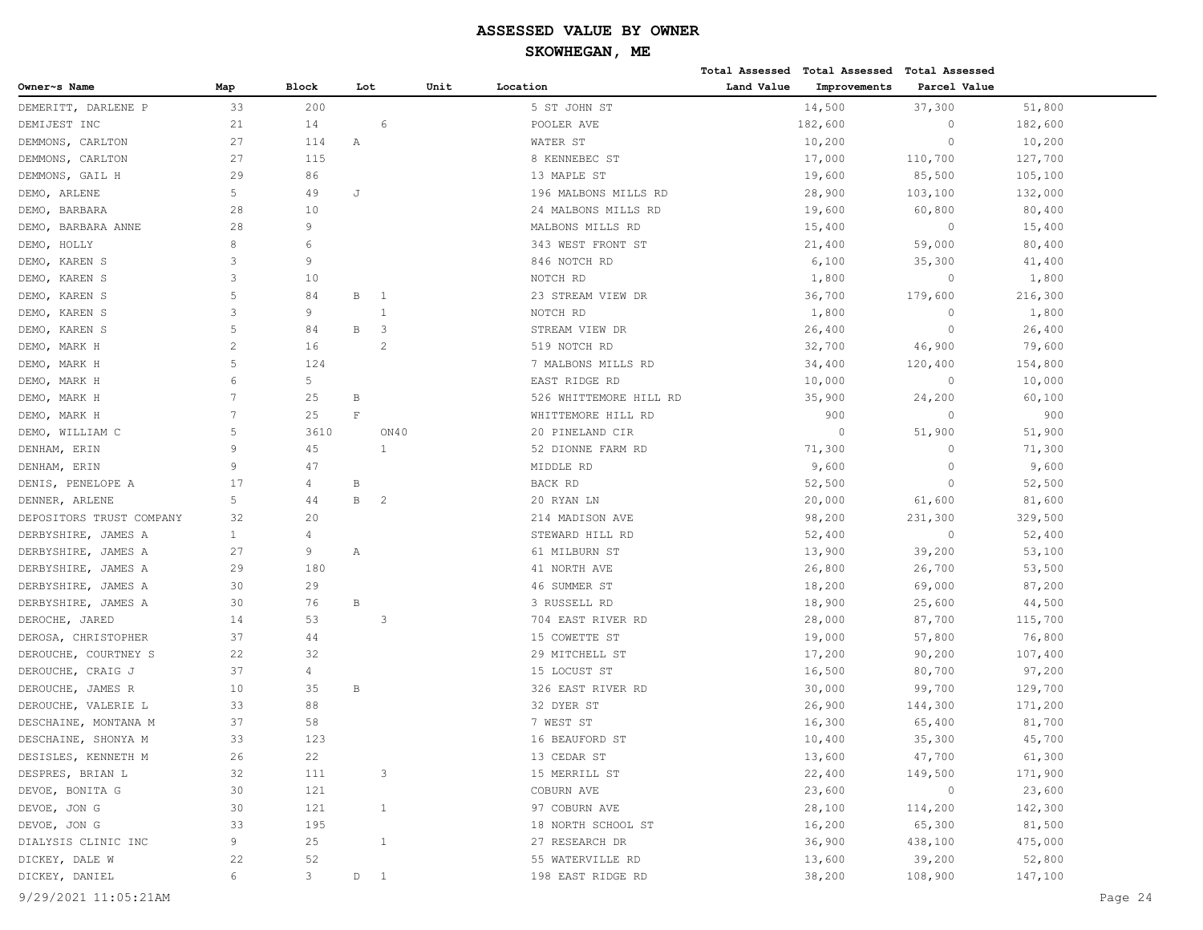# **SKOWHEGAN, ME**

|                          |                |               |              |                |      |                        |            | Total Assessed Total Assessed | Total Assessed |         |
|--------------------------|----------------|---------------|--------------|----------------|------|------------------------|------------|-------------------------------|----------------|---------|
| Owner~s Name             | Map            | Block         | Lot          |                | Unit | Location               | Land Value | Improvements                  | Parcel Value   |         |
| DEMERITT, DARLENE P      | 33             | 200           |              |                |      | 5 ST JOHN ST           |            | 14,500                        | 37,300         | 51,800  |
| DEMIJEST INC             | 21             | 14            |              | 6              |      | POOLER AVE             |            | 182,600                       | $\circ$        | 182,600 |
| DEMMONS, CARLTON         | 27             | 114           | Α            |                |      | WATER ST               |            | 10,200                        | $\circ$        | 10,200  |
| DEMMONS, CARLTON         | 27             | 115           |              |                |      | 8 KENNEBEC ST          |            | 17,000                        | 110,700        | 127,700 |
| DEMMONS, GAIL H          | 29             | 86            |              |                |      | 13 MAPLE ST            |            | 19,600                        | 85,500         | 105,100 |
| DEMO, ARLENE             | 5              | 49            | J            |                |      | 196 MALBONS MILLS RD   |            | 28,900                        | 103,100        | 132,000 |
| DEMO, BARBARA            | 28             | 10            |              |                |      | 24 MALBONS MILLS RD    |            | 19,600                        | 60,800         | 80,400  |
| DEMO, BARBARA ANNE       | 28             | 9             |              |                |      | MALBONS MILLS RD       |            | 15,400                        | $\circ$        | 15,400  |
| DEMO, HOLLY              | 8              | 6             |              |                |      | 343 WEST FRONT ST      |            | 21,400                        | 59,000         | 80,400  |
| DEMO, KAREN S            | 3              | 9             |              |                |      | 846 NOTCH RD           |            | 6,100                         | 35,300         | 41,400  |
| DEMO, KAREN S            | 3              | 10            |              |                |      | NOTCH RD               |            | 1,800                         | $\circ$        | 1,800   |
| DEMO, KAREN S            | 5              | 84            | В            | - 1            |      | 23 STREAM VIEW DR      |            | 36,700                        | 179,600        | 216,300 |
| DEMO, KAREN S            | 3              | 9             |              | $\mathbf{1}$   |      | NOTCH RD               |            | 1,800                         | $\circ$        | 1,800   |
| DEMO, KAREN S            | 5              | 84            | В            | 3              |      | STREAM VIEW DR         |            | 26,400                        | $\circ$        | 26,400  |
| DEMO, MARK H             | $\overline{2}$ | 16            |              | 2              |      | 519 NOTCH RD           |            | 32,700                        | 46,900         | 79,600  |
| DEMO, MARK H             | 5              | 124           |              |                |      | 7 MALBONS MILLS RD     |            | 34,400                        | 120,400        | 154,800 |
| DEMO, MARK H             | 6              | 5             |              |                |      | EAST RIDGE RD          |            | 10,000                        | $\circ$        | 10,000  |
| DEMO, MARK H             | 7              | 25            | B            |                |      | 526 WHITTEMORE HILL RD |            | 35,900                        | 24,200         | 60,100  |
| DEMO, MARK H             | 7              | 25            | $\mathbf{F}$ |                |      | WHITTEMORE HILL RD     |            | 900                           | $\circ$        | 900     |
| DEMO, WILLIAM C          | 5              | 3610          |              | ON40           |      | 20 PINELAND CIR        |            | $\circ$                       | 51,900         | 51,900  |
| DENHAM, ERIN             | $\overline{9}$ | 45            |              | $\mathbf{1}$   |      | 52 DIONNE FARM RD      |            | 71,300                        | $\circ$        | 71,300  |
| DENHAM, ERIN             | 9              | 47            |              |                |      | MIDDLE RD              |            | 9,600                         | $\circ$        | 9,600   |
| DENIS, PENELOPE A        | 17             | 4             | B            |                |      | BACK RD                |            | 52,500                        | $\circ$        | 52,500  |
| DENNER, ARLENE           | 5              | 44            | $\, {\bf B}$ | 2              |      | 20 RYAN LN             |            | 20,000                        | 61,600         | 81,600  |
| DEPOSITORS TRUST COMPANY | 32             | 20            |              |                |      | 214 MADISON AVE        |            | 98,200                        | 231,300        | 329,500 |
| DERBYSHIRE, JAMES A      | $\mathbf{1}$   | 4             |              |                |      | STEWARD HILL RD        |            | 52,400                        | $\circ$        | 52,400  |
| DERBYSHIRE, JAMES A      | 27             | 9             | Α            |                |      | 61 MILBURN ST          |            | 13,900                        | 39,200         | 53,100  |
| DERBYSHIRE, JAMES A      | 29             | 180           |              |                |      | 41 NORTH AVE           |            | 26,800                        | 26,700         | 53,500  |
| DERBYSHIRE, JAMES A      | 30             | 29            |              |                |      | 46 SUMMER ST           |            | 18,200                        | 69,000         | 87,200  |
| DERBYSHIRE, JAMES A      | 30             | 76            | $\, {\bf B}$ |                |      | 3 RUSSELL RD           |            | 18,900                        | 25,600         | 44,500  |
| DEROCHE, JARED           | 14             | 53            |              | 3              |      | 704 EAST RIVER RD      |            | 28,000                        | 87,700         | 115,700 |
| DEROSA, CHRISTOPHER      | 37             | 44            |              |                |      | 15 COWETTE ST          |            | 19,000                        | 57,800         | 76,800  |
| DEROUCHE, COURTNEY S     | 22             | 32            |              |                |      | 29 MITCHELL ST         |            | 17,200                        | 90,200         | 107,400 |
| DEROUCHE, CRAIG J        | 37             | 4             |              |                |      | 15 LOCUST ST           |            | 16,500                        | 80,700         | 97,200  |
| DEROUCHE, JAMES R        | 10             | 35            | B            |                |      | 326 EAST RIVER RD      |            | 30,000                        | 99,700         | 129,700 |
| DEROUCHE, VALERIE L      | 33             | 88            |              |                |      | 32 DYER ST             |            | 26,900                        | 144,300        | 171,200 |
| DESCHAINE, MONTANA M     | 37             | 58            |              |                |      | 7 WEST ST              |            | 16,300                        | 65,400         | 81,700  |
| DESCHAINE, SHONYA M      | 33             | 123           |              |                |      | 16 BEAUFORD ST         |            | 10,400                        | 35,300         | 45,700  |
| DESISLES, KENNETH M      | 26             | 22            |              |                |      | 13 CEDAR ST            |            | 13,600                        | 47,700         | 61,300  |
| DESPRES, BRIAN L         | 32             | 111           |              | 3              |      | 15 MERRILL ST          |            | 22,400                        | 149,500        | 171,900 |
| DEVOE, BONITA G          | 30             | 121           |              |                |      | COBURN AVE             |            | 23,600                        | $\circ$        | 23,600  |
| DEVOE, JON G             | 30             | 121           |              | $\mathbf{1}$   |      | 97 COBURN AVE          |            | 28,100                        | 114,200        | 142,300 |
| DEVOE, JON G             | 33             | 195           |              |                |      | 18 NORTH SCHOOL ST     |            | 16,200                        | 65,300         | 81,500  |
| DIALYSIS CLINIC INC      | 9              | 25            |              | $\mathbf{1}$   |      | 27 RESEARCH DR         |            | 36,900                        | 438,100        | 475,000 |
| DICKEY, DALE W           | 22             | 52            |              |                |      | 55 WATERVILLE RD       |            | 13,600                        | 39,200         | 52,800  |
| DICKEY, DANIEL           | 6              | $\mathcal{S}$ | $\mathbb D$  | $\overline{1}$ |      | 198 EAST RIDGE RD      |            | 38,200                        | 108,900        | 147,100 |
|                          |                |               |              |                |      |                        |            |                               |                |         |

9/29/2021 11:05:21AM Page 24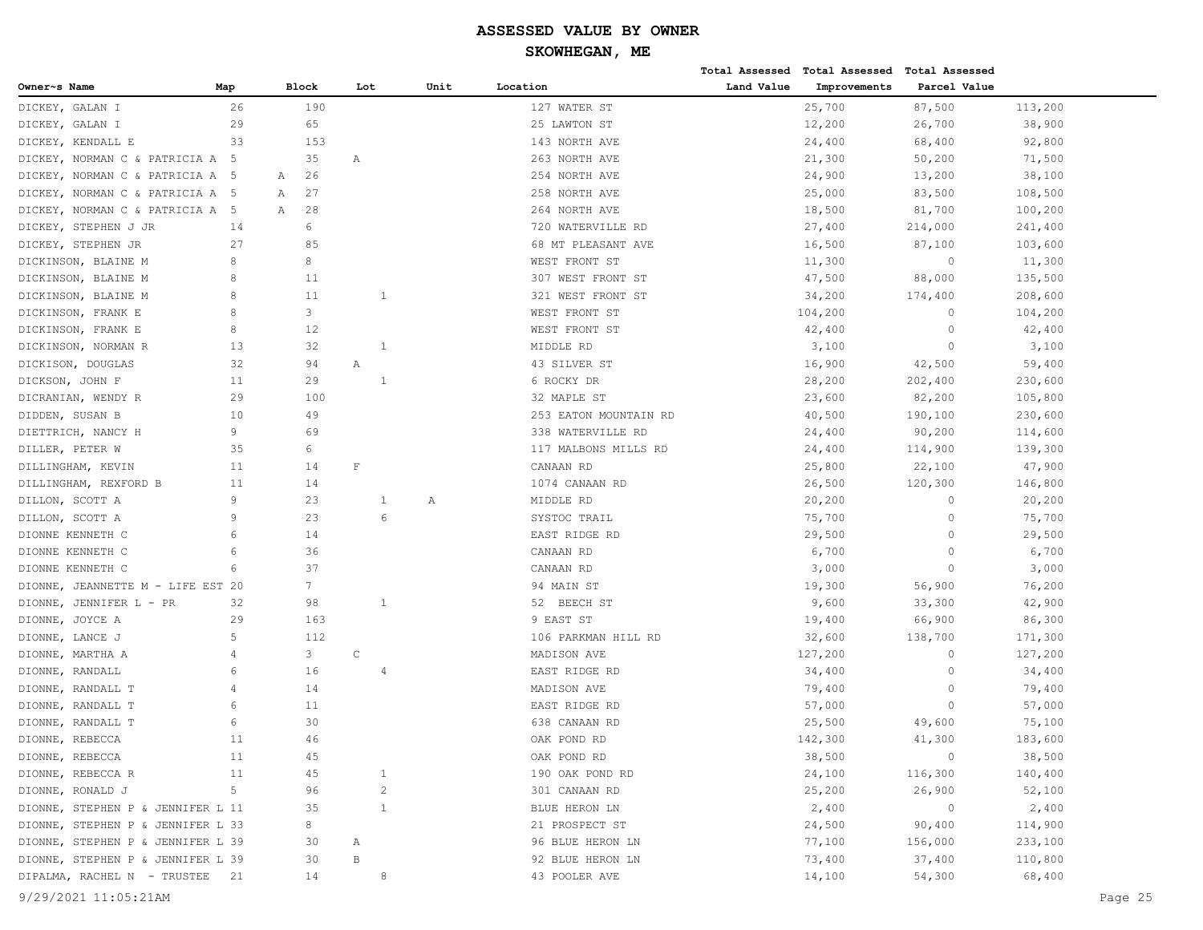| Owner~s Name<br>Block<br>Lot<br>Unit<br>Location<br>Land Value<br>Improvements<br>Parcel Value<br>Map<br>26<br>190<br>127 WATER ST<br>25,700<br>113,200<br>DICKEY, GALAN I<br>87,500<br>29<br>65<br>25 LAWTON ST<br>12,200<br>DICKEY, GALAN I<br>26,700<br>38,900<br>33<br>DICKEY, KENDALL E<br>153<br>143 NORTH AVE<br>24,400<br>68,400<br>92,800<br>35<br>21,300<br>DICKEY, NORMAN C & PATRICIA A 5<br>263 NORTH AVE<br>50,200<br>71,500<br>Α<br>DICKEY, NORMAN C & PATRICIA A 5<br>26<br>254 NORTH AVE<br>24,900<br>13,200<br>38,100<br>А<br>27<br>108,500<br>DICKEY, NORMAN C & PATRICIA A 5<br>258 NORTH AVE<br>25,000<br>83,500<br>А<br>28<br>DICKEY, NORMAN C & PATRICIA A 5<br>Α<br>264 NORTH AVE<br>18,500<br>81,700<br>100,200<br>6<br>DICKEY, STEPHEN J JR<br>14<br>27,400<br>214,000<br>241,400<br>720 WATERVILLE RD<br>85<br>27<br>68 MT PLEASANT AVE<br>16,500<br>87,100<br>103,600<br>DICKEY, STEPHEN JR<br>8<br>8<br>WEST FRONT ST<br>11,300<br>$\circ$<br>11,300<br>DICKINSON, BLAINE M<br>8<br>11<br>307 WEST FRONT ST<br>47,500<br>88,000<br>135,500<br>DICKINSON, BLAINE M<br>8<br>11<br>DICKINSON, BLAINE M<br>1<br>321 WEST FRONT ST<br>34,200<br>174,400<br>208,600<br>8<br>3<br>DICKINSON, FRANK E<br>WEST FRONT ST<br>104,200<br>$\mathbf{0}$<br>104,200<br>8<br>12<br>WEST FRONT ST<br>DICKINSON, FRANK E<br>42,400<br>$\circ$<br>42,400<br>DICKINSON, NORMAN R<br>13<br>32<br>1<br>MIDDLE RD<br>3,100<br>$\circ$<br>3,100<br>32<br>16,900<br>42,500<br>DICKISON, DOUGLAS<br>94<br>Α<br>43 SILVER ST<br>59,400<br>11<br>29<br>$\overline{1}$<br>DICKSON, JOHN F<br>6 ROCKY DR<br>28,200<br>202,400<br>230,600<br>29<br>100<br>DICRANIAN, WENDY R<br>32 MAPLE ST<br>23,600<br>82,200<br>105,800<br>DIDDEN, SUSAN B<br>10<br>49<br>253 EATON MOUNTAIN RD<br>40,500<br>190,100<br>230,600<br>9<br>69<br>DIETTRICH, NANCY H<br>338 WATERVILLE RD<br>24,400<br>90,200<br>114,600<br>6<br>DILLER, PETER W<br>35<br>117 MALBONS MILLS RD<br>24,400<br>114,900<br>139,300<br>$\mathbf F$<br>DILLINGHAM, KEVIN<br>11<br>14<br>CANAAN RD<br>25,800<br>22,100<br>47,900<br>DILLINGHAM, REXFORD B<br>11<br>14<br>1074 CANAAN RD<br>26,500<br>120,300<br>146,800<br>9<br>23<br>DILLON, SCOTT A<br>MIDDLE RD<br>20,200<br>$\circ$<br>20,200<br>1<br>Α<br>9<br>23<br>6<br>DILLON, SCOTT A<br>SYSTOC TRAIL<br>75,700<br>$\circ$<br>75,700<br>6<br>$\circ$<br>DIONNE KENNETH C<br>14<br>EAST RIDGE RD<br>29,500<br>29,500<br>6<br>36<br>CANAAN RD<br>6,700<br>$\mathbf{0}$<br>6,700<br>DIONNE KENNETH C<br>6<br>37<br>DIONNE KENNETH C<br>CANAAN RD<br>3,000<br>$\mathbf{0}$<br>3,000<br>$7\overline{ }$<br>DIONNE, JEANNETTE M - LIFE EST 20<br>94 MAIN ST<br>19,300<br>56,900<br>76,200<br>98<br>$\mathbf{1}$<br>33,300<br>DIONNE, JENNIFER L - PR<br>32<br>52 BEECH ST<br>9,600<br>42,900<br>DIONNE, JOYCE A<br>29<br>163<br>9 EAST ST<br>19,400<br>66,900<br>86,300<br>5<br>112<br>DIONNE, LANCE J<br>106 PARKMAN HILL RD<br>32,600<br>138,700<br>171,300<br>$\mathsf C$<br>3<br>DIONNE, MARTHA A<br>4<br>MADISON AVE<br>127,200<br>$\circ$<br>127,200<br>6<br>16<br>$\circ$<br>DIONNE, RANDALL<br>EAST RIDGE RD<br>34,400<br>34,400<br>4<br>14<br>DIONNE, RANDALL T<br>4<br>MADISON AVE<br>79,400<br>$\circ$<br>79,400<br>6<br>DIONNE, RANDALL T<br>11<br>EAST RIDGE RD<br>57,000<br>$\circ$<br>57,000<br>6<br>30<br>DIONNE, RANDALL T<br>638 CANAAN RD<br>25,500<br>49,600<br>75,100<br>DIONNE, REBECCA<br>46<br>OAK POND RD<br>142,300<br>11<br>41,300<br>183,600<br>$\overline{0}$<br>DIONNE, REBECCA<br>11<br>45<br>OAK POND RD<br>38,500<br>38,500<br>45<br>DIONNE, REBECCA R<br>11<br>190 OAK POND RD<br>24,100<br>116,300<br>140,400<br>1<br>$\sqrt{2}$<br>5<br>DIONNE, RONALD J<br>96<br>301 CANAAN RD<br>25,200<br>26,900<br>52,100<br>$\overline{0}$<br>2,400<br>DIONNE, STEPHEN P & JENNIFER L 11<br>35<br>$\mathbf{1}$<br>BLUE HERON LN<br>2,400<br>DIONNE, STEPHEN P & JENNIFER L 33<br>8<br>21 PROSPECT ST<br>24,500<br>90,400<br>114,900<br>233,100<br>DIONNE, STEPHEN P & JENNIFER L 39<br>96 BLUE HERON LN<br>77,100<br>156,000<br>30<br>А<br>$\, {\bf B}$<br>DIONNE, STEPHEN P & JENNIFER L 39<br>30<br>92 BLUE HERON LN<br>73,400<br>37,400<br>110,800<br>DIPALMA, RACHEL N - TRUSTEE 21<br>43 POOLER AVE<br>14,100<br>54,300<br>68,400<br>14<br>8<br>9/29/2021 11:05:21AM<br>Page 25 |  |  |  |  | Total Assessed Total Assessed | Total Assessed |  |
|------------------------------------------------------------------------------------------------------------------------------------------------------------------------------------------------------------------------------------------------------------------------------------------------------------------------------------------------------------------------------------------------------------------------------------------------------------------------------------------------------------------------------------------------------------------------------------------------------------------------------------------------------------------------------------------------------------------------------------------------------------------------------------------------------------------------------------------------------------------------------------------------------------------------------------------------------------------------------------------------------------------------------------------------------------------------------------------------------------------------------------------------------------------------------------------------------------------------------------------------------------------------------------------------------------------------------------------------------------------------------------------------------------------------------------------------------------------------------------------------------------------------------------------------------------------------------------------------------------------------------------------------------------------------------------------------------------------------------------------------------------------------------------------------------------------------------------------------------------------------------------------------------------------------------------------------------------------------------------------------------------------------------------------------------------------------------------------------------------------------------------------------------------------------------------------------------------------------------------------------------------------------------------------------------------------------------------------------------------------------------------------------------------------------------------------------------------------------------------------------------------------------------------------------------------------------------------------------------------------------------------------------------------------------------------------------------------------------------------------------------------------------------------------------------------------------------------------------------------------------------------------------------------------------------------------------------------------------------------------------------------------------------------------------------------------------------------------------------------------------------------------------------------------------------------------------------------------------------------------------------------------------------------------------------------------------------------------------------------------------------------------------------------------------------------------------------------------------------------------------------------------------------------------------------------------------------------------------------------------------------------------------------------------------------------------------------------------------------------------------------------------------------------------------------------------------------------------------------------------------------------------------------------------------------------------------------------------------------------------------------------------------------------------------------------------------------------------------------------------------------------------------------------------------------------------------------------------------------------------------------------------------------------------------------------------------|--|--|--|--|-------------------------------|----------------|--|
|                                                                                                                                                                                                                                                                                                                                                                                                                                                                                                                                                                                                                                                                                                                                                                                                                                                                                                                                                                                                                                                                                                                                                                                                                                                                                                                                                                                                                                                                                                                                                                                                                                                                                                                                                                                                                                                                                                                                                                                                                                                                                                                                                                                                                                                                                                                                                                                                                                                                                                                                                                                                                                                                                                                                                                                                                                                                                                                                                                                                                                                                                                                                                                                                                                                                                                                                                                                                                                                                                                                                                                                                                                                                                                                                                                                                                                                                                                                                                                                                                                                                                                                                                                                                                                                                                                                        |  |  |  |  |                               |                |  |
|                                                                                                                                                                                                                                                                                                                                                                                                                                                                                                                                                                                                                                                                                                                                                                                                                                                                                                                                                                                                                                                                                                                                                                                                                                                                                                                                                                                                                                                                                                                                                                                                                                                                                                                                                                                                                                                                                                                                                                                                                                                                                                                                                                                                                                                                                                                                                                                                                                                                                                                                                                                                                                                                                                                                                                                                                                                                                                                                                                                                                                                                                                                                                                                                                                                                                                                                                                                                                                                                                                                                                                                                                                                                                                                                                                                                                                                                                                                                                                                                                                                                                                                                                                                                                                                                                                                        |  |  |  |  |                               |                |  |
|                                                                                                                                                                                                                                                                                                                                                                                                                                                                                                                                                                                                                                                                                                                                                                                                                                                                                                                                                                                                                                                                                                                                                                                                                                                                                                                                                                                                                                                                                                                                                                                                                                                                                                                                                                                                                                                                                                                                                                                                                                                                                                                                                                                                                                                                                                                                                                                                                                                                                                                                                                                                                                                                                                                                                                                                                                                                                                                                                                                                                                                                                                                                                                                                                                                                                                                                                                                                                                                                                                                                                                                                                                                                                                                                                                                                                                                                                                                                                                                                                                                                                                                                                                                                                                                                                                                        |  |  |  |  |                               |                |  |
|                                                                                                                                                                                                                                                                                                                                                                                                                                                                                                                                                                                                                                                                                                                                                                                                                                                                                                                                                                                                                                                                                                                                                                                                                                                                                                                                                                                                                                                                                                                                                                                                                                                                                                                                                                                                                                                                                                                                                                                                                                                                                                                                                                                                                                                                                                                                                                                                                                                                                                                                                                                                                                                                                                                                                                                                                                                                                                                                                                                                                                                                                                                                                                                                                                                                                                                                                                                                                                                                                                                                                                                                                                                                                                                                                                                                                                                                                                                                                                                                                                                                                                                                                                                                                                                                                                                        |  |  |  |  |                               |                |  |
|                                                                                                                                                                                                                                                                                                                                                                                                                                                                                                                                                                                                                                                                                                                                                                                                                                                                                                                                                                                                                                                                                                                                                                                                                                                                                                                                                                                                                                                                                                                                                                                                                                                                                                                                                                                                                                                                                                                                                                                                                                                                                                                                                                                                                                                                                                                                                                                                                                                                                                                                                                                                                                                                                                                                                                                                                                                                                                                                                                                                                                                                                                                                                                                                                                                                                                                                                                                                                                                                                                                                                                                                                                                                                                                                                                                                                                                                                                                                                                                                                                                                                                                                                                                                                                                                                                                        |  |  |  |  |                               |                |  |
|                                                                                                                                                                                                                                                                                                                                                                                                                                                                                                                                                                                                                                                                                                                                                                                                                                                                                                                                                                                                                                                                                                                                                                                                                                                                                                                                                                                                                                                                                                                                                                                                                                                                                                                                                                                                                                                                                                                                                                                                                                                                                                                                                                                                                                                                                                                                                                                                                                                                                                                                                                                                                                                                                                                                                                                                                                                                                                                                                                                                                                                                                                                                                                                                                                                                                                                                                                                                                                                                                                                                                                                                                                                                                                                                                                                                                                                                                                                                                                                                                                                                                                                                                                                                                                                                                                                        |  |  |  |  |                               |                |  |
|                                                                                                                                                                                                                                                                                                                                                                                                                                                                                                                                                                                                                                                                                                                                                                                                                                                                                                                                                                                                                                                                                                                                                                                                                                                                                                                                                                                                                                                                                                                                                                                                                                                                                                                                                                                                                                                                                                                                                                                                                                                                                                                                                                                                                                                                                                                                                                                                                                                                                                                                                                                                                                                                                                                                                                                                                                                                                                                                                                                                                                                                                                                                                                                                                                                                                                                                                                                                                                                                                                                                                                                                                                                                                                                                                                                                                                                                                                                                                                                                                                                                                                                                                                                                                                                                                                                        |  |  |  |  |                               |                |  |
|                                                                                                                                                                                                                                                                                                                                                                                                                                                                                                                                                                                                                                                                                                                                                                                                                                                                                                                                                                                                                                                                                                                                                                                                                                                                                                                                                                                                                                                                                                                                                                                                                                                                                                                                                                                                                                                                                                                                                                                                                                                                                                                                                                                                                                                                                                                                                                                                                                                                                                                                                                                                                                                                                                                                                                                                                                                                                                                                                                                                                                                                                                                                                                                                                                                                                                                                                                                                                                                                                                                                                                                                                                                                                                                                                                                                                                                                                                                                                                                                                                                                                                                                                                                                                                                                                                                        |  |  |  |  |                               |                |  |
|                                                                                                                                                                                                                                                                                                                                                                                                                                                                                                                                                                                                                                                                                                                                                                                                                                                                                                                                                                                                                                                                                                                                                                                                                                                                                                                                                                                                                                                                                                                                                                                                                                                                                                                                                                                                                                                                                                                                                                                                                                                                                                                                                                                                                                                                                                                                                                                                                                                                                                                                                                                                                                                                                                                                                                                                                                                                                                                                                                                                                                                                                                                                                                                                                                                                                                                                                                                                                                                                                                                                                                                                                                                                                                                                                                                                                                                                                                                                                                                                                                                                                                                                                                                                                                                                                                                        |  |  |  |  |                               |                |  |
|                                                                                                                                                                                                                                                                                                                                                                                                                                                                                                                                                                                                                                                                                                                                                                                                                                                                                                                                                                                                                                                                                                                                                                                                                                                                                                                                                                                                                                                                                                                                                                                                                                                                                                                                                                                                                                                                                                                                                                                                                                                                                                                                                                                                                                                                                                                                                                                                                                                                                                                                                                                                                                                                                                                                                                                                                                                                                                                                                                                                                                                                                                                                                                                                                                                                                                                                                                                                                                                                                                                                                                                                                                                                                                                                                                                                                                                                                                                                                                                                                                                                                                                                                                                                                                                                                                                        |  |  |  |  |                               |                |  |
|                                                                                                                                                                                                                                                                                                                                                                                                                                                                                                                                                                                                                                                                                                                                                                                                                                                                                                                                                                                                                                                                                                                                                                                                                                                                                                                                                                                                                                                                                                                                                                                                                                                                                                                                                                                                                                                                                                                                                                                                                                                                                                                                                                                                                                                                                                                                                                                                                                                                                                                                                                                                                                                                                                                                                                                                                                                                                                                                                                                                                                                                                                                                                                                                                                                                                                                                                                                                                                                                                                                                                                                                                                                                                                                                                                                                                                                                                                                                                                                                                                                                                                                                                                                                                                                                                                                        |  |  |  |  |                               |                |  |
|                                                                                                                                                                                                                                                                                                                                                                                                                                                                                                                                                                                                                                                                                                                                                                                                                                                                                                                                                                                                                                                                                                                                                                                                                                                                                                                                                                                                                                                                                                                                                                                                                                                                                                                                                                                                                                                                                                                                                                                                                                                                                                                                                                                                                                                                                                                                                                                                                                                                                                                                                                                                                                                                                                                                                                                                                                                                                                                                                                                                                                                                                                                                                                                                                                                                                                                                                                                                                                                                                                                                                                                                                                                                                                                                                                                                                                                                                                                                                                                                                                                                                                                                                                                                                                                                                                                        |  |  |  |  |                               |                |  |
|                                                                                                                                                                                                                                                                                                                                                                                                                                                                                                                                                                                                                                                                                                                                                                                                                                                                                                                                                                                                                                                                                                                                                                                                                                                                                                                                                                                                                                                                                                                                                                                                                                                                                                                                                                                                                                                                                                                                                                                                                                                                                                                                                                                                                                                                                                                                                                                                                                                                                                                                                                                                                                                                                                                                                                                                                                                                                                                                                                                                                                                                                                                                                                                                                                                                                                                                                                                                                                                                                                                                                                                                                                                                                                                                                                                                                                                                                                                                                                                                                                                                                                                                                                                                                                                                                                                        |  |  |  |  |                               |                |  |
|                                                                                                                                                                                                                                                                                                                                                                                                                                                                                                                                                                                                                                                                                                                                                                                                                                                                                                                                                                                                                                                                                                                                                                                                                                                                                                                                                                                                                                                                                                                                                                                                                                                                                                                                                                                                                                                                                                                                                                                                                                                                                                                                                                                                                                                                                                                                                                                                                                                                                                                                                                                                                                                                                                                                                                                                                                                                                                                                                                                                                                                                                                                                                                                                                                                                                                                                                                                                                                                                                                                                                                                                                                                                                                                                                                                                                                                                                                                                                                                                                                                                                                                                                                                                                                                                                                                        |  |  |  |  |                               |                |  |
|                                                                                                                                                                                                                                                                                                                                                                                                                                                                                                                                                                                                                                                                                                                                                                                                                                                                                                                                                                                                                                                                                                                                                                                                                                                                                                                                                                                                                                                                                                                                                                                                                                                                                                                                                                                                                                                                                                                                                                                                                                                                                                                                                                                                                                                                                                                                                                                                                                                                                                                                                                                                                                                                                                                                                                                                                                                                                                                                                                                                                                                                                                                                                                                                                                                                                                                                                                                                                                                                                                                                                                                                                                                                                                                                                                                                                                                                                                                                                                                                                                                                                                                                                                                                                                                                                                                        |  |  |  |  |                               |                |  |
|                                                                                                                                                                                                                                                                                                                                                                                                                                                                                                                                                                                                                                                                                                                                                                                                                                                                                                                                                                                                                                                                                                                                                                                                                                                                                                                                                                                                                                                                                                                                                                                                                                                                                                                                                                                                                                                                                                                                                                                                                                                                                                                                                                                                                                                                                                                                                                                                                                                                                                                                                                                                                                                                                                                                                                                                                                                                                                                                                                                                                                                                                                                                                                                                                                                                                                                                                                                                                                                                                                                                                                                                                                                                                                                                                                                                                                                                                                                                                                                                                                                                                                                                                                                                                                                                                                                        |  |  |  |  |                               |                |  |
|                                                                                                                                                                                                                                                                                                                                                                                                                                                                                                                                                                                                                                                                                                                                                                                                                                                                                                                                                                                                                                                                                                                                                                                                                                                                                                                                                                                                                                                                                                                                                                                                                                                                                                                                                                                                                                                                                                                                                                                                                                                                                                                                                                                                                                                                                                                                                                                                                                                                                                                                                                                                                                                                                                                                                                                                                                                                                                                                                                                                                                                                                                                                                                                                                                                                                                                                                                                                                                                                                                                                                                                                                                                                                                                                                                                                                                                                                                                                                                                                                                                                                                                                                                                                                                                                                                                        |  |  |  |  |                               |                |  |
|                                                                                                                                                                                                                                                                                                                                                                                                                                                                                                                                                                                                                                                                                                                                                                                                                                                                                                                                                                                                                                                                                                                                                                                                                                                                                                                                                                                                                                                                                                                                                                                                                                                                                                                                                                                                                                                                                                                                                                                                                                                                                                                                                                                                                                                                                                                                                                                                                                                                                                                                                                                                                                                                                                                                                                                                                                                                                                                                                                                                                                                                                                                                                                                                                                                                                                                                                                                                                                                                                                                                                                                                                                                                                                                                                                                                                                                                                                                                                                                                                                                                                                                                                                                                                                                                                                                        |  |  |  |  |                               |                |  |
|                                                                                                                                                                                                                                                                                                                                                                                                                                                                                                                                                                                                                                                                                                                                                                                                                                                                                                                                                                                                                                                                                                                                                                                                                                                                                                                                                                                                                                                                                                                                                                                                                                                                                                                                                                                                                                                                                                                                                                                                                                                                                                                                                                                                                                                                                                                                                                                                                                                                                                                                                                                                                                                                                                                                                                                                                                                                                                                                                                                                                                                                                                                                                                                                                                                                                                                                                                                                                                                                                                                                                                                                                                                                                                                                                                                                                                                                                                                                                                                                                                                                                                                                                                                                                                                                                                                        |  |  |  |  |                               |                |  |
|                                                                                                                                                                                                                                                                                                                                                                                                                                                                                                                                                                                                                                                                                                                                                                                                                                                                                                                                                                                                                                                                                                                                                                                                                                                                                                                                                                                                                                                                                                                                                                                                                                                                                                                                                                                                                                                                                                                                                                                                                                                                                                                                                                                                                                                                                                                                                                                                                                                                                                                                                                                                                                                                                                                                                                                                                                                                                                                                                                                                                                                                                                                                                                                                                                                                                                                                                                                                                                                                                                                                                                                                                                                                                                                                                                                                                                                                                                                                                                                                                                                                                                                                                                                                                                                                                                                        |  |  |  |  |                               |                |  |
|                                                                                                                                                                                                                                                                                                                                                                                                                                                                                                                                                                                                                                                                                                                                                                                                                                                                                                                                                                                                                                                                                                                                                                                                                                                                                                                                                                                                                                                                                                                                                                                                                                                                                                                                                                                                                                                                                                                                                                                                                                                                                                                                                                                                                                                                                                                                                                                                                                                                                                                                                                                                                                                                                                                                                                                                                                                                                                                                                                                                                                                                                                                                                                                                                                                                                                                                                                                                                                                                                                                                                                                                                                                                                                                                                                                                                                                                                                                                                                                                                                                                                                                                                                                                                                                                                                                        |  |  |  |  |                               |                |  |
|                                                                                                                                                                                                                                                                                                                                                                                                                                                                                                                                                                                                                                                                                                                                                                                                                                                                                                                                                                                                                                                                                                                                                                                                                                                                                                                                                                                                                                                                                                                                                                                                                                                                                                                                                                                                                                                                                                                                                                                                                                                                                                                                                                                                                                                                                                                                                                                                                                                                                                                                                                                                                                                                                                                                                                                                                                                                                                                                                                                                                                                                                                                                                                                                                                                                                                                                                                                                                                                                                                                                                                                                                                                                                                                                                                                                                                                                                                                                                                                                                                                                                                                                                                                                                                                                                                                        |  |  |  |  |                               |                |  |
|                                                                                                                                                                                                                                                                                                                                                                                                                                                                                                                                                                                                                                                                                                                                                                                                                                                                                                                                                                                                                                                                                                                                                                                                                                                                                                                                                                                                                                                                                                                                                                                                                                                                                                                                                                                                                                                                                                                                                                                                                                                                                                                                                                                                                                                                                                                                                                                                                                                                                                                                                                                                                                                                                                                                                                                                                                                                                                                                                                                                                                                                                                                                                                                                                                                                                                                                                                                                                                                                                                                                                                                                                                                                                                                                                                                                                                                                                                                                                                                                                                                                                                                                                                                                                                                                                                                        |  |  |  |  |                               |                |  |
|                                                                                                                                                                                                                                                                                                                                                                                                                                                                                                                                                                                                                                                                                                                                                                                                                                                                                                                                                                                                                                                                                                                                                                                                                                                                                                                                                                                                                                                                                                                                                                                                                                                                                                                                                                                                                                                                                                                                                                                                                                                                                                                                                                                                                                                                                                                                                                                                                                                                                                                                                                                                                                                                                                                                                                                                                                                                                                                                                                                                                                                                                                                                                                                                                                                                                                                                                                                                                                                                                                                                                                                                                                                                                                                                                                                                                                                                                                                                                                                                                                                                                                                                                                                                                                                                                                                        |  |  |  |  |                               |                |  |
|                                                                                                                                                                                                                                                                                                                                                                                                                                                                                                                                                                                                                                                                                                                                                                                                                                                                                                                                                                                                                                                                                                                                                                                                                                                                                                                                                                                                                                                                                                                                                                                                                                                                                                                                                                                                                                                                                                                                                                                                                                                                                                                                                                                                                                                                                                                                                                                                                                                                                                                                                                                                                                                                                                                                                                                                                                                                                                                                                                                                                                                                                                                                                                                                                                                                                                                                                                                                                                                                                                                                                                                                                                                                                                                                                                                                                                                                                                                                                                                                                                                                                                                                                                                                                                                                                                                        |  |  |  |  |                               |                |  |
|                                                                                                                                                                                                                                                                                                                                                                                                                                                                                                                                                                                                                                                                                                                                                                                                                                                                                                                                                                                                                                                                                                                                                                                                                                                                                                                                                                                                                                                                                                                                                                                                                                                                                                                                                                                                                                                                                                                                                                                                                                                                                                                                                                                                                                                                                                                                                                                                                                                                                                                                                                                                                                                                                                                                                                                                                                                                                                                                                                                                                                                                                                                                                                                                                                                                                                                                                                                                                                                                                                                                                                                                                                                                                                                                                                                                                                                                                                                                                                                                                                                                                                                                                                                                                                                                                                                        |  |  |  |  |                               |                |  |
|                                                                                                                                                                                                                                                                                                                                                                                                                                                                                                                                                                                                                                                                                                                                                                                                                                                                                                                                                                                                                                                                                                                                                                                                                                                                                                                                                                                                                                                                                                                                                                                                                                                                                                                                                                                                                                                                                                                                                                                                                                                                                                                                                                                                                                                                                                                                                                                                                                                                                                                                                                                                                                                                                                                                                                                                                                                                                                                                                                                                                                                                                                                                                                                                                                                                                                                                                                                                                                                                                                                                                                                                                                                                                                                                                                                                                                                                                                                                                                                                                                                                                                                                                                                                                                                                                                                        |  |  |  |  |                               |                |  |
|                                                                                                                                                                                                                                                                                                                                                                                                                                                                                                                                                                                                                                                                                                                                                                                                                                                                                                                                                                                                                                                                                                                                                                                                                                                                                                                                                                                                                                                                                                                                                                                                                                                                                                                                                                                                                                                                                                                                                                                                                                                                                                                                                                                                                                                                                                                                                                                                                                                                                                                                                                                                                                                                                                                                                                                                                                                                                                                                                                                                                                                                                                                                                                                                                                                                                                                                                                                                                                                                                                                                                                                                                                                                                                                                                                                                                                                                                                                                                                                                                                                                                                                                                                                                                                                                                                                        |  |  |  |  |                               |                |  |
|                                                                                                                                                                                                                                                                                                                                                                                                                                                                                                                                                                                                                                                                                                                                                                                                                                                                                                                                                                                                                                                                                                                                                                                                                                                                                                                                                                                                                                                                                                                                                                                                                                                                                                                                                                                                                                                                                                                                                                                                                                                                                                                                                                                                                                                                                                                                                                                                                                                                                                                                                                                                                                                                                                                                                                                                                                                                                                                                                                                                                                                                                                                                                                                                                                                                                                                                                                                                                                                                                                                                                                                                                                                                                                                                                                                                                                                                                                                                                                                                                                                                                                                                                                                                                                                                                                                        |  |  |  |  |                               |                |  |
|                                                                                                                                                                                                                                                                                                                                                                                                                                                                                                                                                                                                                                                                                                                                                                                                                                                                                                                                                                                                                                                                                                                                                                                                                                                                                                                                                                                                                                                                                                                                                                                                                                                                                                                                                                                                                                                                                                                                                                                                                                                                                                                                                                                                                                                                                                                                                                                                                                                                                                                                                                                                                                                                                                                                                                                                                                                                                                                                                                                                                                                                                                                                                                                                                                                                                                                                                                                                                                                                                                                                                                                                                                                                                                                                                                                                                                                                                                                                                                                                                                                                                                                                                                                                                                                                                                                        |  |  |  |  |                               |                |  |
|                                                                                                                                                                                                                                                                                                                                                                                                                                                                                                                                                                                                                                                                                                                                                                                                                                                                                                                                                                                                                                                                                                                                                                                                                                                                                                                                                                                                                                                                                                                                                                                                                                                                                                                                                                                                                                                                                                                                                                                                                                                                                                                                                                                                                                                                                                                                                                                                                                                                                                                                                                                                                                                                                                                                                                                                                                                                                                                                                                                                                                                                                                                                                                                                                                                                                                                                                                                                                                                                                                                                                                                                                                                                                                                                                                                                                                                                                                                                                                                                                                                                                                                                                                                                                                                                                                                        |  |  |  |  |                               |                |  |
|                                                                                                                                                                                                                                                                                                                                                                                                                                                                                                                                                                                                                                                                                                                                                                                                                                                                                                                                                                                                                                                                                                                                                                                                                                                                                                                                                                                                                                                                                                                                                                                                                                                                                                                                                                                                                                                                                                                                                                                                                                                                                                                                                                                                                                                                                                                                                                                                                                                                                                                                                                                                                                                                                                                                                                                                                                                                                                                                                                                                                                                                                                                                                                                                                                                                                                                                                                                                                                                                                                                                                                                                                                                                                                                                                                                                                                                                                                                                                                                                                                                                                                                                                                                                                                                                                                                        |  |  |  |  |                               |                |  |
|                                                                                                                                                                                                                                                                                                                                                                                                                                                                                                                                                                                                                                                                                                                                                                                                                                                                                                                                                                                                                                                                                                                                                                                                                                                                                                                                                                                                                                                                                                                                                                                                                                                                                                                                                                                                                                                                                                                                                                                                                                                                                                                                                                                                                                                                                                                                                                                                                                                                                                                                                                                                                                                                                                                                                                                                                                                                                                                                                                                                                                                                                                                                                                                                                                                                                                                                                                                                                                                                                                                                                                                                                                                                                                                                                                                                                                                                                                                                                                                                                                                                                                                                                                                                                                                                                                                        |  |  |  |  |                               |                |  |
|                                                                                                                                                                                                                                                                                                                                                                                                                                                                                                                                                                                                                                                                                                                                                                                                                                                                                                                                                                                                                                                                                                                                                                                                                                                                                                                                                                                                                                                                                                                                                                                                                                                                                                                                                                                                                                                                                                                                                                                                                                                                                                                                                                                                                                                                                                                                                                                                                                                                                                                                                                                                                                                                                                                                                                                                                                                                                                                                                                                                                                                                                                                                                                                                                                                                                                                                                                                                                                                                                                                                                                                                                                                                                                                                                                                                                                                                                                                                                                                                                                                                                                                                                                                                                                                                                                                        |  |  |  |  |                               |                |  |
|                                                                                                                                                                                                                                                                                                                                                                                                                                                                                                                                                                                                                                                                                                                                                                                                                                                                                                                                                                                                                                                                                                                                                                                                                                                                                                                                                                                                                                                                                                                                                                                                                                                                                                                                                                                                                                                                                                                                                                                                                                                                                                                                                                                                                                                                                                                                                                                                                                                                                                                                                                                                                                                                                                                                                                                                                                                                                                                                                                                                                                                                                                                                                                                                                                                                                                                                                                                                                                                                                                                                                                                                                                                                                                                                                                                                                                                                                                                                                                                                                                                                                                                                                                                                                                                                                                                        |  |  |  |  |                               |                |  |
|                                                                                                                                                                                                                                                                                                                                                                                                                                                                                                                                                                                                                                                                                                                                                                                                                                                                                                                                                                                                                                                                                                                                                                                                                                                                                                                                                                                                                                                                                                                                                                                                                                                                                                                                                                                                                                                                                                                                                                                                                                                                                                                                                                                                                                                                                                                                                                                                                                                                                                                                                                                                                                                                                                                                                                                                                                                                                                                                                                                                                                                                                                                                                                                                                                                                                                                                                                                                                                                                                                                                                                                                                                                                                                                                                                                                                                                                                                                                                                                                                                                                                                                                                                                                                                                                                                                        |  |  |  |  |                               |                |  |
|                                                                                                                                                                                                                                                                                                                                                                                                                                                                                                                                                                                                                                                                                                                                                                                                                                                                                                                                                                                                                                                                                                                                                                                                                                                                                                                                                                                                                                                                                                                                                                                                                                                                                                                                                                                                                                                                                                                                                                                                                                                                                                                                                                                                                                                                                                                                                                                                                                                                                                                                                                                                                                                                                                                                                                                                                                                                                                                                                                                                                                                                                                                                                                                                                                                                                                                                                                                                                                                                                                                                                                                                                                                                                                                                                                                                                                                                                                                                                                                                                                                                                                                                                                                                                                                                                                                        |  |  |  |  |                               |                |  |
|                                                                                                                                                                                                                                                                                                                                                                                                                                                                                                                                                                                                                                                                                                                                                                                                                                                                                                                                                                                                                                                                                                                                                                                                                                                                                                                                                                                                                                                                                                                                                                                                                                                                                                                                                                                                                                                                                                                                                                                                                                                                                                                                                                                                                                                                                                                                                                                                                                                                                                                                                                                                                                                                                                                                                                                                                                                                                                                                                                                                                                                                                                                                                                                                                                                                                                                                                                                                                                                                                                                                                                                                                                                                                                                                                                                                                                                                                                                                                                                                                                                                                                                                                                                                                                                                                                                        |  |  |  |  |                               |                |  |
|                                                                                                                                                                                                                                                                                                                                                                                                                                                                                                                                                                                                                                                                                                                                                                                                                                                                                                                                                                                                                                                                                                                                                                                                                                                                                                                                                                                                                                                                                                                                                                                                                                                                                                                                                                                                                                                                                                                                                                                                                                                                                                                                                                                                                                                                                                                                                                                                                                                                                                                                                                                                                                                                                                                                                                                                                                                                                                                                                                                                                                                                                                                                                                                                                                                                                                                                                                                                                                                                                                                                                                                                                                                                                                                                                                                                                                                                                                                                                                                                                                                                                                                                                                                                                                                                                                                        |  |  |  |  |                               |                |  |
|                                                                                                                                                                                                                                                                                                                                                                                                                                                                                                                                                                                                                                                                                                                                                                                                                                                                                                                                                                                                                                                                                                                                                                                                                                                                                                                                                                                                                                                                                                                                                                                                                                                                                                                                                                                                                                                                                                                                                                                                                                                                                                                                                                                                                                                                                                                                                                                                                                                                                                                                                                                                                                                                                                                                                                                                                                                                                                                                                                                                                                                                                                                                                                                                                                                                                                                                                                                                                                                                                                                                                                                                                                                                                                                                                                                                                                                                                                                                                                                                                                                                                                                                                                                                                                                                                                                        |  |  |  |  |                               |                |  |
|                                                                                                                                                                                                                                                                                                                                                                                                                                                                                                                                                                                                                                                                                                                                                                                                                                                                                                                                                                                                                                                                                                                                                                                                                                                                                                                                                                                                                                                                                                                                                                                                                                                                                                                                                                                                                                                                                                                                                                                                                                                                                                                                                                                                                                                                                                                                                                                                                                                                                                                                                                                                                                                                                                                                                                                                                                                                                                                                                                                                                                                                                                                                                                                                                                                                                                                                                                                                                                                                                                                                                                                                                                                                                                                                                                                                                                                                                                                                                                                                                                                                                                                                                                                                                                                                                                                        |  |  |  |  |                               |                |  |
|                                                                                                                                                                                                                                                                                                                                                                                                                                                                                                                                                                                                                                                                                                                                                                                                                                                                                                                                                                                                                                                                                                                                                                                                                                                                                                                                                                                                                                                                                                                                                                                                                                                                                                                                                                                                                                                                                                                                                                                                                                                                                                                                                                                                                                                                                                                                                                                                                                                                                                                                                                                                                                                                                                                                                                                                                                                                                                                                                                                                                                                                                                                                                                                                                                                                                                                                                                                                                                                                                                                                                                                                                                                                                                                                                                                                                                                                                                                                                                                                                                                                                                                                                                                                                                                                                                                        |  |  |  |  |                               |                |  |
|                                                                                                                                                                                                                                                                                                                                                                                                                                                                                                                                                                                                                                                                                                                                                                                                                                                                                                                                                                                                                                                                                                                                                                                                                                                                                                                                                                                                                                                                                                                                                                                                                                                                                                                                                                                                                                                                                                                                                                                                                                                                                                                                                                                                                                                                                                                                                                                                                                                                                                                                                                                                                                                                                                                                                                                                                                                                                                                                                                                                                                                                                                                                                                                                                                                                                                                                                                                                                                                                                                                                                                                                                                                                                                                                                                                                                                                                                                                                                                                                                                                                                                                                                                                                                                                                                                                        |  |  |  |  |                               |                |  |
|                                                                                                                                                                                                                                                                                                                                                                                                                                                                                                                                                                                                                                                                                                                                                                                                                                                                                                                                                                                                                                                                                                                                                                                                                                                                                                                                                                                                                                                                                                                                                                                                                                                                                                                                                                                                                                                                                                                                                                                                                                                                                                                                                                                                                                                                                                                                                                                                                                                                                                                                                                                                                                                                                                                                                                                                                                                                                                                                                                                                                                                                                                                                                                                                                                                                                                                                                                                                                                                                                                                                                                                                                                                                                                                                                                                                                                                                                                                                                                                                                                                                                                                                                                                                                                                                                                                        |  |  |  |  |                               |                |  |
|                                                                                                                                                                                                                                                                                                                                                                                                                                                                                                                                                                                                                                                                                                                                                                                                                                                                                                                                                                                                                                                                                                                                                                                                                                                                                                                                                                                                                                                                                                                                                                                                                                                                                                                                                                                                                                                                                                                                                                                                                                                                                                                                                                                                                                                                                                                                                                                                                                                                                                                                                                                                                                                                                                                                                                                                                                                                                                                                                                                                                                                                                                                                                                                                                                                                                                                                                                                                                                                                                                                                                                                                                                                                                                                                                                                                                                                                                                                                                                                                                                                                                                                                                                                                                                                                                                                        |  |  |  |  |                               |                |  |
|                                                                                                                                                                                                                                                                                                                                                                                                                                                                                                                                                                                                                                                                                                                                                                                                                                                                                                                                                                                                                                                                                                                                                                                                                                                                                                                                                                                                                                                                                                                                                                                                                                                                                                                                                                                                                                                                                                                                                                                                                                                                                                                                                                                                                                                                                                                                                                                                                                                                                                                                                                                                                                                                                                                                                                                                                                                                                                                                                                                                                                                                                                                                                                                                                                                                                                                                                                                                                                                                                                                                                                                                                                                                                                                                                                                                                                                                                                                                                                                                                                                                                                                                                                                                                                                                                                                        |  |  |  |  |                               |                |  |
|                                                                                                                                                                                                                                                                                                                                                                                                                                                                                                                                                                                                                                                                                                                                                                                                                                                                                                                                                                                                                                                                                                                                                                                                                                                                                                                                                                                                                                                                                                                                                                                                                                                                                                                                                                                                                                                                                                                                                                                                                                                                                                                                                                                                                                                                                                                                                                                                                                                                                                                                                                                                                                                                                                                                                                                                                                                                                                                                                                                                                                                                                                                                                                                                                                                                                                                                                                                                                                                                                                                                                                                                                                                                                                                                                                                                                                                                                                                                                                                                                                                                                                                                                                                                                                                                                                                        |  |  |  |  |                               |                |  |
|                                                                                                                                                                                                                                                                                                                                                                                                                                                                                                                                                                                                                                                                                                                                                                                                                                                                                                                                                                                                                                                                                                                                                                                                                                                                                                                                                                                                                                                                                                                                                                                                                                                                                                                                                                                                                                                                                                                                                                                                                                                                                                                                                                                                                                                                                                                                                                                                                                                                                                                                                                                                                                                                                                                                                                                                                                                                                                                                                                                                                                                                                                                                                                                                                                                                                                                                                                                                                                                                                                                                                                                                                                                                                                                                                                                                                                                                                                                                                                                                                                                                                                                                                                                                                                                                                                                        |  |  |  |  |                               |                |  |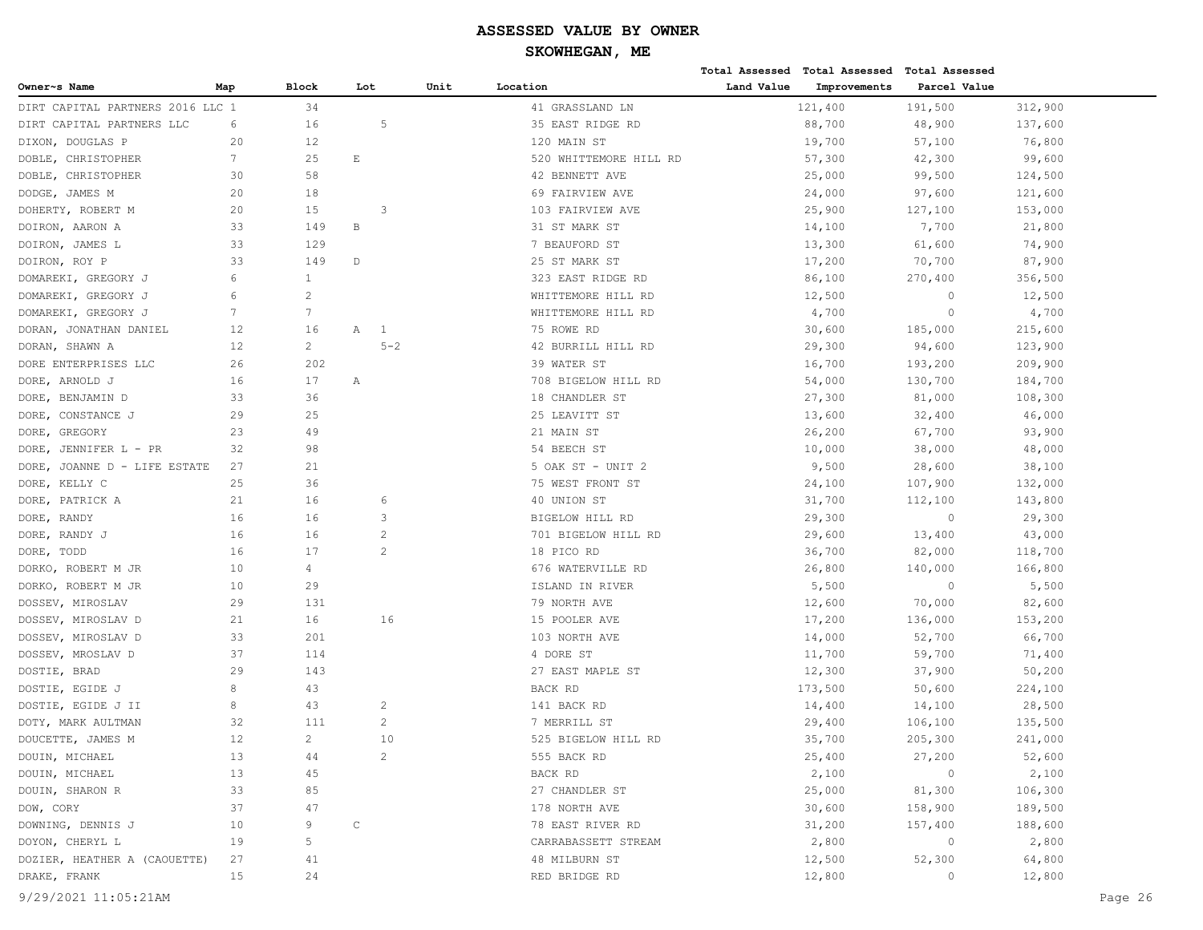|                                  |                 |                       |              |                |      |                        |            | Total Assessed Total Assessed Total Assessed |              |         |  |
|----------------------------------|-----------------|-----------------------|--------------|----------------|------|------------------------|------------|----------------------------------------------|--------------|---------|--|
| Owner~s Name                     | Map             | <b>Block</b>          | Lot          |                | Unit | Location               | Land Value | Improvements                                 | Parcel Value |         |  |
| DIRT CAPITAL PARTNERS 2016 LLC 1 |                 | 34                    |              |                |      | 41 GRASSLAND LN        |            | 121,400                                      | 191,500      | 312,900 |  |
| DIRT CAPITAL PARTNERS LLC        | 6               | 16                    |              | 5              |      | 35 EAST RIDGE RD       |            | 88,700                                       | 48,900       | 137,600 |  |
| DIXON, DOUGLAS P                 | 20              | 12                    |              |                |      | 120 MAIN ST            |            | 19,700                                       | 57,100       | 76,800  |  |
| DOBLE, CHRISTOPHER               | $7\phantom{.0}$ | 25                    | E            |                |      | 520 WHITTEMORE HILL RD |            | 57,300                                       | 42,300       | 99,600  |  |
| CHRISTOPHER<br>DOBLE,            | 30              | 58                    |              |                |      | 42 BENNETT AVE         |            | 25,000                                       | 99,500       | 124,500 |  |
| DODGE, JAMES M                   | 20              | 18                    |              |                |      | 69 FAIRVIEW AVE        |            | 24,000                                       | 97,600       | 121,600 |  |
| DOHERTY, ROBERT M                | 20              | 15                    |              | 3              |      | 103 FAIRVIEW AVE       |            | 25,900                                       | 127,100      | 153,000 |  |
| DOIRON, AARON A                  | 33              | 149                   | В            |                |      | 31 ST MARK ST          |            | 14,100                                       | 7,700        | 21,800  |  |
| DOIRON, JAMES L                  | 33              | 129                   |              |                |      | 7 BEAUFORD ST          |            | 13,300                                       | 61,600       | 74,900  |  |
| DOIRON, ROY P                    | 33              | 149                   | $\mathbb D$  |                |      | 25 ST MARK ST          |            | 17,200                                       | 70,700       | 87,900  |  |
| DOMAREKI, GREGORY J              | 6               | $\mathbf{1}$          |              |                |      | 323 EAST RIDGE RD      |            | 86,100                                       | 270,400      | 356,500 |  |
| DOMAREKI, GREGORY J              | 6               | 2                     |              |                |      | WHITTEMORE HILL RD     |            | 12,500                                       | $\circ$      | 12,500  |  |
| DOMAREKI, GREGORY J              | $7\phantom{.0}$ | $7\phantom{.0}$       |              |                |      | WHITTEMORE HILL RD     |            | 4,700                                        | $\circ$      | 4,700   |  |
| DORAN, JONATHAN DANIEL           | 12              | 16                    | Α            | 1              |      | 75 ROWE RD             |            | 30,600                                       | 185,000      | 215,600 |  |
| DORAN, SHAWN A                   | 12              | $\mathbf{2}^{\prime}$ |              | $5 - 2$        |      | 42 BURRILL HILL RD     |            | 29,300                                       | 94,600       | 123,900 |  |
| DORE ENTERPRISES LLC             | 26              | 202                   |              |                |      | 39 WATER ST            |            | 16,700                                       | 193,200      | 209,900 |  |
| DORE, ARNOLD J                   | 16              | 17                    | Α            |                |      | 708 BIGELOW HILL RD    |            | 54,000                                       | 130,700      | 184,700 |  |
| DORE, BENJAMIN D                 | 33              | 36                    |              |                |      | 18 CHANDLER ST         |            | 27,300                                       | 81,000       | 108,300 |  |
| DORE, CONSTANCE J                | 29              | 25                    |              |                |      | 25 LEAVITT ST          |            | 13,600                                       | 32,400       | 46,000  |  |
| DORE, GREGORY                    | 23              | 49                    |              |                |      | 21 MAIN ST             |            | 26,200                                       | 67,700       | 93,900  |  |
| JENNIFER L - PR<br>DORE,         | 32              | 98                    |              |                |      | 54 BEECH ST            |            | 10,000                                       | 38,000       | 48,000  |  |
| JOANNE D - LIFE ESTATE<br>DORE,  | 27              | 21                    |              |                |      | 5 OAK ST - UNIT 2      |            | 9,500                                        | 28,600       | 38,100  |  |
| DORE, KELLY C                    | 25              | 36                    |              |                |      | 75 WEST FRONT ST       |            | 24,100                                       | 107,900      | 132,000 |  |
| DORE, PATRICK A                  | 21              | 16                    |              | 6              |      | 40 UNION ST            |            | 31,700                                       | 112,100      | 143,800 |  |
| DORE, RANDY                      | 16              | 16                    |              | 3              |      | BIGELOW HILL RD        |            | 29,300                                       | $\circ$      | 29,300  |  |
| DORE, RANDY J                    | 16              | 16                    |              | $\overline{c}$ |      | 701 BIGELOW HILL RD    |            | 29,600                                       | 13,400       | 43,000  |  |
| DORE, TODD                       | 16              | 17                    |              | $\overline{2}$ |      | 18 PICO RD             |            | 36,700                                       | 82,000       | 118,700 |  |
| DORKO, ROBERT M JR               | 10              | 4                     |              |                |      | 676 WATERVILLE RD      |            | 26,800                                       | 140,000      | 166,800 |  |
| DORKO, ROBERT M JR               | 10              | 29                    |              |                |      | ISLAND IN RIVER        |            | 5,500                                        | $\circ$      | 5,500   |  |
| DOSSEV, MIROSLAV                 | 29              | 131                   |              |                |      | 79 NORTH AVE           |            | 12,600                                       | 70,000       | 82,600  |  |
| DOSSEV, MIROSLAV D               | 21              | 16                    |              | 16             |      | 15 POOLER AVE          |            | 17,200                                       | 136,000      | 153,200 |  |
| DOSSEV, MIROSLAV D               | 33              | 201                   |              |                |      | 103 NORTH AVE          |            | 14,000                                       | 52,700       | 66,700  |  |
| DOSSEV, MROSLAV D                | 37              | 114                   |              |                |      | 4 DORE ST              |            | 11,700                                       | 59,700       | 71,400  |  |
| DOSTIE, BRAD                     | 29              | 143                   |              |                |      | 27 EAST MAPLE ST       |            | 12,300                                       | 37,900       | 50,200  |  |
| DOSTIE, EGIDE J                  | 8               | 43                    |              |                |      | BACK RD                |            | 173,500                                      | 50,600       | 224,100 |  |
| DOSTIE, EGIDE J II               | 8               | 43                    |              | 2              |      | 141 BACK RD            |            | 14,400                                       | 14,100       | 28,500  |  |
| DOTY, MARK AULTMAN               | 32              | 111                   |              | $\overline{2}$ |      | 7 MERRILL ST           |            | 29,400                                       | 106,100      | 135,500 |  |
| DOUCETTE, JAMES M                | 12              | $\overline{2}$        |              | 10             |      | 525 BIGELOW HILL RD    |            | 35,700                                       | 205,300      | 241,000 |  |
| DOUIN, MICHAEL                   | 13              | 44                    |              | $\overline{c}$ |      | 555 BACK RD            |            | 25,400                                       | 27,200       | 52,600  |  |
| DOUIN, MICHAEL                   | 13              | 45                    |              |                |      | BACK RD                |            | 2,100                                        | $\circ$      | 2,100   |  |
| DOUIN, SHARON R                  | 33              | 85                    |              |                |      | 27 CHANDLER ST         |            | 25,000                                       | 81,300       | 106,300 |  |
| DOW, CORY                        | 37              | 47                    |              |                |      | 178 NORTH AVE          |            | 30,600                                       | 158,900      | 189,500 |  |
| DOWNING, DENNIS J                | 10              | 9                     | $\mathsf{C}$ |                |      | 78 EAST RIVER RD       |            | 31,200                                       | 157,400      | 188,600 |  |
| DOYON, CHERYL L                  | 19              | 5                     |              |                |      | CARRABASSETT STREAM    |            | 2,800                                        | $\circ$      | 2,800   |  |
| DOZIER, HEATHER A (CAOUETTE)     | 27              | 41                    |              |                |      | 48 MILBURN ST          |            | 12,500                                       | 52,300       | 64,800  |  |
| DRAKE, FRANK                     | 15              | 24                    |              |                |      | RED BRIDGE RD          |            | 12,800                                       | 0            | 12,800  |  |
|                                  |                 |                       |              |                |      |                        |            |                                              |              |         |  |
| 9/29/2021 11:05:21AM             |                 |                       |              |                |      |                        |            |                                              |              | Page 26 |  |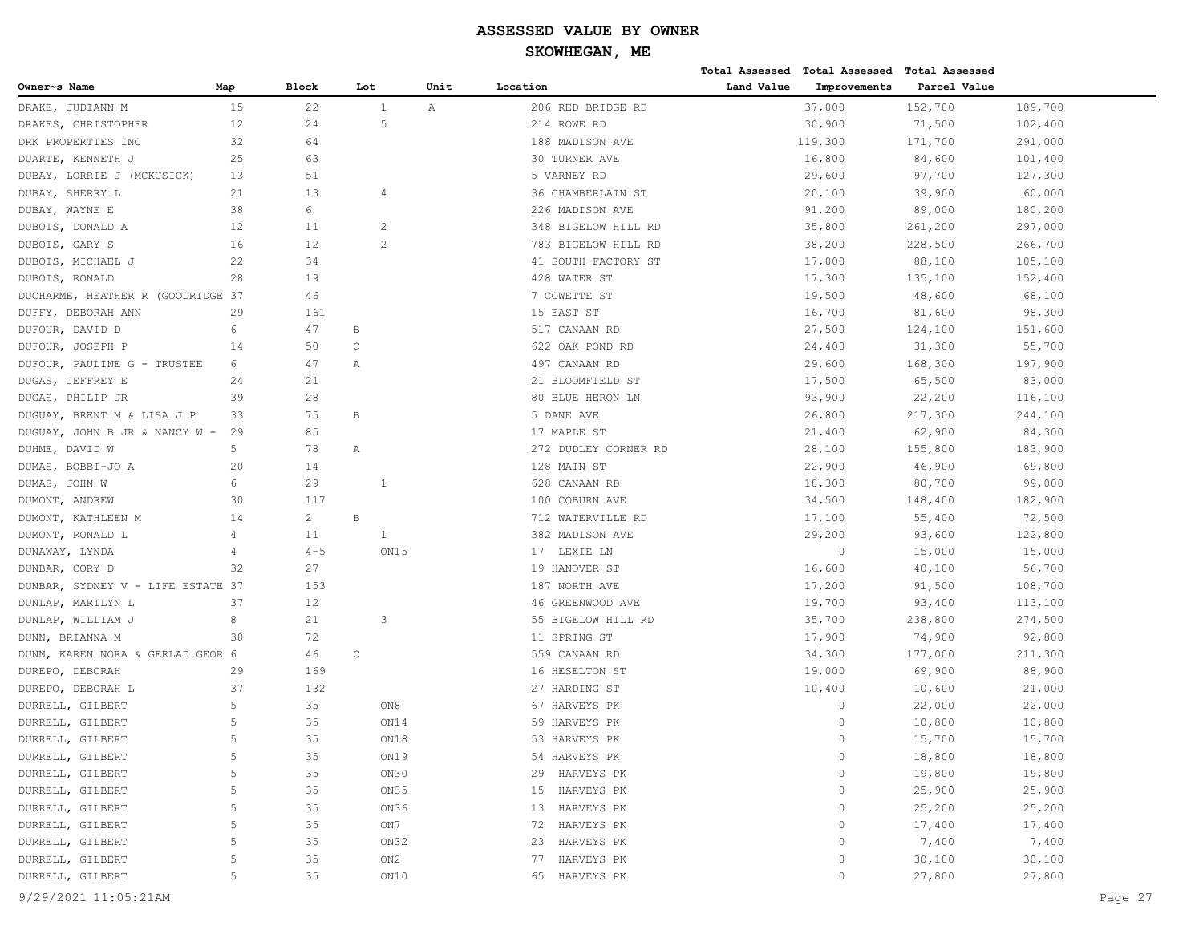|                                   |                |              |              |                   |      |                      |            | Total Assessed Total Assessed Total Assessed |              |         |
|-----------------------------------|----------------|--------------|--------------|-------------------|------|----------------------|------------|----------------------------------------------|--------------|---------|
| Owner~s Name                      | Map            | Block        | Lot          |                   | Unit | Location             | Land Value | Improvements                                 | Parcel Value |         |
| DRAKE, JUDIANN M                  | 15             | 22           |              | 1<br>$\mathbb{A}$ |      | 206 RED BRIDGE RD    |            | 37,000                                       | 152,700      | 189,700 |
| DRAKES, CHRISTOPHER               | 12             | 24           |              | 5                 |      | 214 ROWE RD          |            | 30,900                                       | 71,500       | 102,400 |
| DRK PROPERTIES INC                | 32             | 64           |              |                   |      | 188 MADISON AVE      |            | 119,300                                      | 171,700      | 291,000 |
| DUARTE, KENNETH J                 | 25             | 63           |              |                   |      | 30 TURNER AVE        |            | 16,800                                       | 84,600       | 101,400 |
| DUBAY, LORRIE J (MCKUSICK)        | 13             | 51           |              |                   |      | 5 VARNEY RD          |            | 29,600                                       | 97,700       | 127,300 |
| DUBAY, SHERRY L                   | 21             | 13           |              | 4                 |      | 36 CHAMBERLAIN ST    |            | 20,100                                       | 39,900       | 60,000  |
| DUBAY, WAYNE E                    | 38             | 6            |              |                   |      | 226 MADISON AVE      |            | 91,200                                       | 89,000       | 180,200 |
| DUBOIS, DONALD A                  | 12             | 11           |              | $\overline{c}$    |      | 348 BIGELOW HILL RD  |            | 35,800                                       | 261,200      | 297,000 |
| DUBOIS, GARY S                    | 16             | 12           |              | $\overline{2}$    |      | 783 BIGELOW HILL RD  |            | 38,200                                       | 228,500      | 266,700 |
| DUBOIS, MICHAEL J                 | 22             | 34           |              |                   |      | 41 SOUTH FACTORY ST  |            | 17,000                                       | 88,100       | 105,100 |
| DUBOIS, RONALD                    | 28             | 19           |              |                   |      | 428 WATER ST         |            | 17,300                                       | 135,100      | 152,400 |
| DUCHARME, HEATHER R (GOODRIDGE 37 |                | 46           |              |                   |      | 7 COWETTE ST         |            | 19,500                                       | 48,600       | 68,100  |
| DUFFY, DEBORAH ANN                | 29             | 161          |              |                   |      | 15 EAST ST           |            | 16,700                                       | 81,600       | 98,300  |
| DUFOUR, DAVID D                   | 6              | 47           | B            |                   |      | 517 CANAAN RD        |            | 27,500                                       | 124,100      | 151,600 |
| DUFOUR, JOSEPH P                  | 14             | 50           | $\mathsf C$  |                   |      | 622 OAK POND RD      |            | 24,400                                       | 31,300       | 55,700  |
| DUFOUR, PAULINE G - TRUSTEE       | 6              | 47           | Α            |                   |      | 497 CANAAN RD        |            | 29,600                                       | 168,300      | 197,900 |
| DUGAS, JEFFREY E                  | 24             | 21           |              |                   |      | 21 BLOOMFIELD ST     |            | 17,500                                       | 65,500       | 83,000  |
| DUGAS, PHILIP JR                  | 39             | 28           |              |                   |      | 80 BLUE HERON LN     |            | 93,900                                       | 22,200       | 116,100 |
| DUGUAY, BRENT M & LISA J P        | 33             | 75           | $\, {\bf B}$ |                   |      | 5 DANE AVE           |            | 26,800                                       | 217,300      | 244,100 |
| DUGUAY, JOHN B JR & NANCY W -     | 29             | 85           |              |                   |      | 17 MAPLE ST          |            | 21,400                                       | 62,900       | 84,300  |
| DUHME, DAVID W                    | 5              | 78           | Α            |                   |      | 272 DUDLEY CORNER RD |            | 28,100                                       | 155,800      | 183,900 |
| DUMAS, BOBBI-JO A                 | 20             | 14           |              |                   |      | 128 MAIN ST          |            | 22,900                                       | 46,900       | 69,800  |
| DUMAS, JOHN W                     | 6              | 29           |              | 1                 |      | 628 CANAAN RD        |            | 18,300                                       | 80,700       | 99,000  |
| DUMONT, ANDREW                    | 30             | 117          |              |                   |      | 100 COBURN AVE       |            | 34,500                                       | 148,400      | 182,900 |
| DUMONT, KATHLEEN M                | 14             | $\mathbf{2}$ | $\, {\bf B}$ |                   |      | 712 WATERVILLE RD    |            | 17,100                                       | 55,400       | 72,500  |
| DUMONT, RONALD L                  | 4              | 11           |              | 1                 |      | 382 MADISON AVE      |            | 29,200                                       | 93,600       | 122,800 |
| DUNAWAY, LYNDA                    | 4              | $4 - 5$      |              | ON15              |      | 17 LEXIE LN          |            | $\circ$                                      | 15,000       | 15,000  |
| DUNBAR, CORY D                    | 32             | 27           |              |                   |      | 19 HANOVER ST        |            | 16,600                                       | 40,100       | 56,700  |
| DUNBAR, SYDNEY V - LIFE ESTATE 37 |                | 153          |              |                   |      | 187 NORTH AVE        |            | 17,200                                       | 91,500       | 108,700 |
| DUNLAP, MARILYN L                 | 37             | 12           |              |                   |      | 46 GREENWOOD AVE     |            | 19,700                                       | 93,400       | 113,100 |
| DUNLAP, WILLIAM J                 | 8              | 21           |              | 3                 |      | 55 BIGELOW HILL RD   |            | 35,700                                       | 238,800      | 274,500 |
| DUNN, BRIANNA M                   | 30             | 72           |              |                   |      | 11 SPRING ST         |            | 17,900                                       | 74,900       | 92,800  |
| DUNN, KAREN NORA & GERLAD GEOR 6  |                | 46           | $\mathsf C$  |                   |      | 559 CANAAN RD        |            | 34,300                                       | 177,000      | 211,300 |
| DUREPO, DEBORAH                   | 29             | 169          |              |                   |      | 16 HESELTON ST       |            | 19,000                                       | 69,900       | 88,900  |
| DUREPO, DEBORAH L                 | 37             | 132          |              |                   |      | 27 HARDING ST        |            | 10,400                                       | 10,600       | 21,000  |
| DURRELL, GILBERT                  | 5              | 35           |              | ON8               |      | 67 HARVEYS PK        |            | $\circ$                                      | 22,000       | 22,000  |
| DURRELL, GILBERT                  | 5              | 35           |              | ON14              |      | 59 HARVEYS PK        |            | $\circ$                                      | 10,800       | 10,800  |
| DURRELL, GILBERT                  | $\overline{5}$ | 35           |              | ON18              |      | 53 HARVEYS PK        |            | $\Omega$                                     | 15,700       | 15,700  |
| DURRELL, GILBERT                  | 5              | 35           |              | ON19              |      | 54 HARVEYS PK        |            | $\circ$                                      | 18,800       | 18,800  |
| DURRELL, GILBERT                  | 5              | 35           |              | ON30              |      | 29 HARVEYS PK        |            | $\circ$                                      | 19,800       | 19,800  |
| DURRELL, GILBERT                  | 5              | 35           |              | ON35              |      | HARVEYS PK<br>15     |            | $\circ$                                      | 25,900       | 25,900  |
| DURRELL, GILBERT                  | 5              | 35           |              | ON36              |      | HARVEYS PK<br>13     |            | $\circ$                                      | 25,200       | 25,200  |
| DURRELL, GILBERT                  | 5              | 35           |              | ON7               |      | HARVEYS PK<br>72     |            | $\circ$                                      | 17,400       | 17,400  |
| DURRELL, GILBERT                  | 5              | 35           |              | ON32              |      | 23 HARVEYS PK        |            | $\circ$                                      | 7,400        | 7,400   |
| DURRELL, GILBERT                  | 5              | 35           |              | ON2               |      | HARVEYS PK<br>77     |            | $\circ$                                      | 30,100       | 30,100  |
| DURRELL, GILBERT                  | 5              | 35           |              | ON10              |      | 65 HARVEYS PK        |            | $\circ$                                      | 27,800       | 27,800  |
|                                   |                |              |              |                   |      |                      |            |                                              |              |         |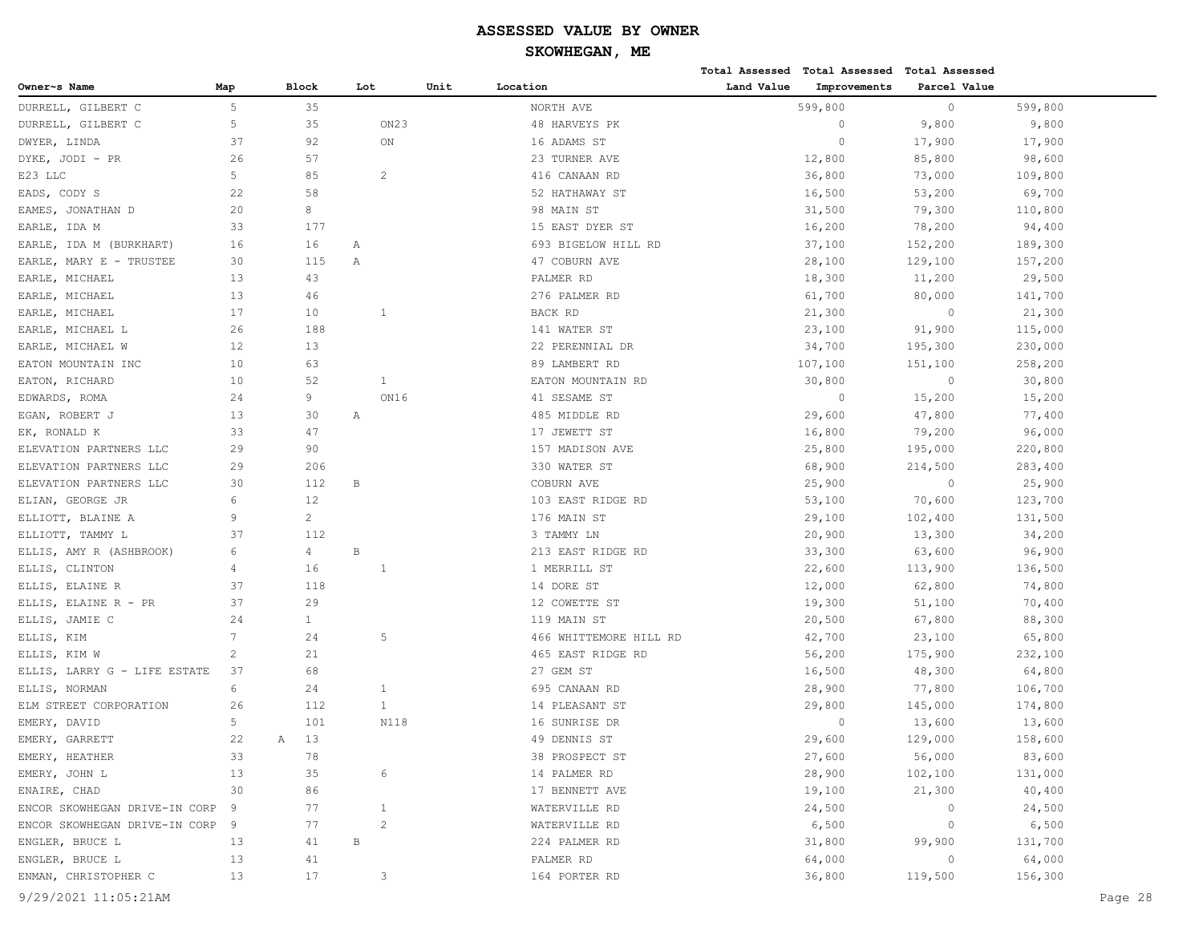|                               |                 |                |   |                  |      |                        |            | Total Assessed Total Assessed | Total Assessed |         |         |
|-------------------------------|-----------------|----------------|---|------------------|------|------------------------|------------|-------------------------------|----------------|---------|---------|
| Owner~s Name                  | Map             | Block          |   | Lot              | Unit | Location               | Land Value | Improvements                  | Parcel Value   |         |         |
| DURRELL, GILBERT C            | 5               | 35             |   |                  |      | NORTH AVE              |            | 599,800                       | $\circ$        | 599,800 |         |
| DURRELL, GILBERT C            | 5               | 35             |   | ON <sub>23</sub> |      | 48 HARVEYS PK          |            | $\circ$                       | 9,800          | 9,800   |         |
| DWYER, LINDA                  | 37              | 92             |   | ON               |      | 16 ADAMS ST            |            | $\circ$                       | 17,900         | 17,900  |         |
| DYKE, JODI - PR               | 26              | 57             |   |                  |      | 23 TURNER AVE          |            | 12,800                        | 85,800         | 98,600  |         |
| E23 LLC                       | 5               | 85             |   | $\overline{c}$   |      | 416 CANAAN RD          |            | 36,800                        | 73,000         | 109,800 |         |
| EADS, CODY S                  | 22              | 58             |   |                  |      | 52 HATHAWAY ST         |            | 16,500                        | 53,200         | 69,700  |         |
| EAMES, JONATHAN D             | 20              | 8              |   |                  |      | 98 MAIN ST             |            | 31,500                        | 79,300         | 110,800 |         |
| EARLE, IDA M                  | 33              | 177            |   |                  |      | 15 EAST DYER ST        |            | 16,200                        | 78,200         | 94,400  |         |
| EARLE, IDA M (BURKHART)       | 16              | 16             | Α |                  |      | 693 BIGELOW HILL RD    |            | 37,100                        | 152,200        | 189,300 |         |
| EARLE, MARY E - TRUSTEE       | 30              | 115            | Α |                  |      | 47 COBURN AVE          |            | 28,100                        | 129,100        | 157,200 |         |
| EARLE, MICHAEL                | 13              | 43             |   |                  |      | PALMER RD              |            | 18,300                        | 11,200         | 29,500  |         |
| EARLE, MICHAEL                | 13              | 46             |   |                  |      | 276 PALMER RD          |            | 61,700                        | 80,000         | 141,700 |         |
| EARLE, MICHAEL                | 17              | 10             |   | 1                |      | BACK RD                |            | 21,300                        | $\circ$        | 21,300  |         |
| EARLE, MICHAEL L              | 26              | 188            |   |                  |      | 141 WATER ST           |            | 23,100                        | 91,900         | 115,000 |         |
| EARLE, MICHAEL W              | 12              | 13             |   |                  |      | 22 PERENNIAL DR        |            | 34,700                        | 195,300        | 230,000 |         |
| EATON MOUNTAIN INC            | 10              | 63             |   |                  |      | 89 LAMBERT RD          |            | 107,100                       | 151,100        | 258,200 |         |
| EATON, RICHARD                | 10              | 52             |   | $\mathbf{1}$     |      | EATON MOUNTAIN RD      |            | 30,800                        | $\circ$        | 30,800  |         |
| EDWARDS, ROMA                 | 24              | 9              |   | ON16             |      | 41 SESAME ST           |            | $\circ$                       | 15,200         | 15,200  |         |
| EGAN, ROBERT J                | 13              | 30             | Α |                  |      | 485 MIDDLE RD          |            | 29,600                        | 47,800         | 77,400  |         |
| EK, RONALD K                  | 33              | 47             |   |                  |      | 17 JEWETT ST           |            | 16,800                        | 79,200         | 96,000  |         |
| ELEVATION PARTNERS LLC        | 29              | 90             |   |                  |      | 157 MADISON AVE        |            | 25,800                        | 195,000        | 220,800 |         |
| ELEVATION PARTNERS LLC        | 29              | 206            |   |                  |      | 330 WATER ST           |            | 68,900                        | 214,500        | 283,400 |         |
| ELEVATION PARTNERS LLC        | 30              | 112            | B |                  |      | COBURN AVE             |            | 25,900                        | $\circ$        | 25,900  |         |
| ELIAN, GEORGE JR              | 6               | 12             |   |                  |      | 103 EAST RIDGE RD      |            | 53,100                        | 70,600         | 123,700 |         |
| ELLIOTT, BLAINE A             | 9               | $\overline{c}$ |   |                  |      | 176 MAIN ST            |            | 29,100                        | 102,400        | 131,500 |         |
| ELLIOTT, TAMMY L              | 37              | 112            |   |                  |      | 3 TAMMY LN             |            | 20,900                        | 13,300         | 34,200  |         |
| ELLIS, AMY R (ASHBROOK)       | 6               | $\overline{4}$ | B |                  |      | 213 EAST RIDGE RD      |            | 33,300                        | 63,600         | 96,900  |         |
| ELLIS, CLINTON                | 4               | 16             |   | 1                |      | 1 MERRILL ST           |            | 22,600                        | 113,900        | 136,500 |         |
| ELLIS, ELAINE R               | 37              | 118            |   |                  |      | 14 DORE ST             |            | 12,000                        | 62,800         | 74,800  |         |
| ELLIS, ELAINE R - PR          | 37              | 29             |   |                  |      | 12 COWETTE ST          |            | 19,300                        | 51,100         | 70,400  |         |
| ELLIS, JAMIE C                | 24              | $\mathbf{1}$   |   |                  |      | 119 MAIN ST            |            | 20,500                        | 67,800         | 88,300  |         |
| ELLIS, KIM                    | $7\phantom{.0}$ | 24             |   | 5                |      | 466 WHITTEMORE HILL RD |            | 42,700                        | 23,100         | 65,800  |         |
| ELLIS, KIM W                  | $\overline{c}$  | 21             |   |                  |      | 465 EAST RIDGE RD      |            | 56,200                        | 175,900        | 232,100 |         |
| ELLIS, LARRY G - LIFE ESTATE  | 37              | 68             |   |                  |      | 27 GEM ST              |            | 16,500                        | 48,300         | 64,800  |         |
| ELLIS, NORMAN                 | 6               | 24             |   | 1                |      | 695 CANAAN RD          |            | 28,900                        | 77,800         | 106,700 |         |
| ELM STREET CORPORATION        | 26              | 112            |   | $\mathbf{1}$     |      | 14 PLEASANT ST         |            | 29,800                        | 145,000        | 174,800 |         |
| EMERY, DAVID                  | 5               | 101            |   | N118             |      | 16 SUNRISE DR          |            | $\circ$                       | 13,600         | 13,600  |         |
| EMERY, GARRETT                | 22              | 13<br>Α        |   |                  |      | 49 DENNIS ST           |            | 29,600                        | 129,000        | 158,600 |         |
| EMERY, HEATHER                | 33              | 78             |   |                  |      | 38 PROSPECT ST         |            | 27,600                        | 56,000         | 83,600  |         |
| EMERY, JOHN L                 | 13              | 35             |   | 6                |      | 14 PALMER RD           |            | 28,900                        | 102,100        | 131,000 |         |
| ENAIRE, CHAD                  | 30              | 86             |   |                  |      | 17 BENNETT AVE         |            | 19,100                        | 21,300         | 40,400  |         |
| ENCOR SKOWHEGAN DRIVE-IN CORP | 9               | 77             |   | $\mathbf{1}$     |      | WATERVILLE RD          |            | 24,500                        | $\circ$        | 24,500  |         |
| ENCOR SKOWHEGAN DRIVE-IN CORP | 9               | 77             |   | $\overline{c}$   |      | WATERVILLE RD          |            | 6,500                         | $\circ$        | 6,500   |         |
| ENGLER, BRUCE L               | 13              | 41             | В |                  |      | 224 PALMER RD          |            | 31,800                        | 99,900         | 131,700 |         |
| ENGLER, BRUCE L               | 13              | 41             |   |                  |      | PALMER RD              |            | 64,000                        | $\circ$        | 64,000  |         |
| ENMAN, CHRISTOPHER C          | 13              | 17             |   | 3                |      | 164 PORTER RD          |            | 36,800                        | 119,500        | 156,300 |         |
| 9/29/2021 11:05:21AM          |                 |                |   |                  |      |                        |            |                               |                |         | Page 28 |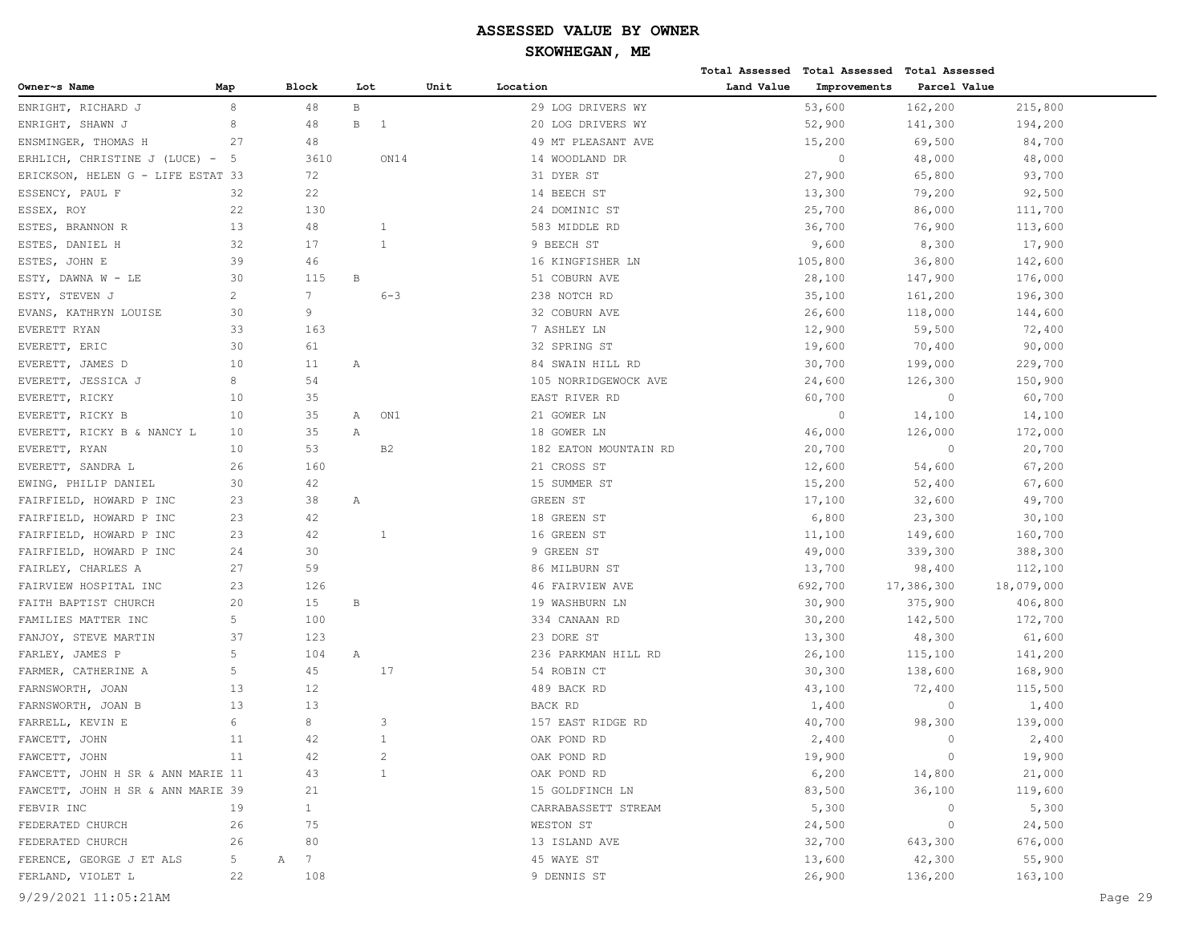|                                   |     |                      |                 |         |                       |            | Total Assessed Total Assessed Total Assessed |              |            |
|-----------------------------------|-----|----------------------|-----------------|---------|-----------------------|------------|----------------------------------------------|--------------|------------|
| Owner~s Name                      | Map | <b>Block</b>         | Lot             |         | Unit<br>Location      | Land Value | Improvements                                 | Parcel Value |            |
| ENRIGHT, RICHARD J                | 8   | 48                   | $\, {\bf B} \,$ |         | 29 LOG DRIVERS WY     |            | 53,600                                       | 162,200      | 215,800    |
| ENRIGHT, SHAWN J                  | 8   | 48                   | B<br>-1         |         | 20 LOG DRIVERS WY     |            | 52,900                                       | 141,300      | 194,200    |
| ENSMINGER, THOMAS H               | 27  | 48                   |                 |         | 49 MT PLEASANT AVE    |            | 15,200                                       | 69,500       | 84,700     |
| ERHLICH, CHRISTINE J (LUCE) - 5   |     | 3610                 |                 | ON14    | 14 WOODLAND DR        |            | $\circ$                                      | 48,000       | 48,000     |
| ERICKSON, HELEN G - LIFE ESTAT 33 |     | 72                   |                 |         | 31 DYER ST            |            | 27,900                                       | 65,800       | 93,700     |
| ESSENCY, PAUL F                   | 32  | 22                   |                 |         | 14 BEECH ST           |            | 13,300                                       | 79,200       | 92,500     |
| ESSEX, ROY                        | 22  | 130                  |                 |         | 24 DOMINIC ST         |            | 25,700                                       | 86,000       | 111,700    |
| ESTES, BRANNON R                  | 13  | 48                   | 1               |         | 583 MIDDLE RD         |            | 36,700                                       | 76,900       | 113,600    |
| ESTES, DANIEL H                   | 32  | 17                   | $\mathbf{1}$    |         | 9 BEECH ST            |            | 9,600                                        | 8,300        | 17,900     |
| ESTES,<br>JOHN E                  | 39  | 46                   |                 |         | 16 KINGFISHER LN      |            | 105,800                                      | 36,800       | 142,600    |
| ESTY, DAWNA W - LE                | 30  | 115                  | В               |         | 51 COBURN AVE         |            | 28,100                                       | 147,900      | 176,000    |
| ESTY, STEVEN J                    | 2   | $7\phantom{.0}$      |                 | $6 - 3$ | 238 NOTCH RD          |            | 35,100                                       | 161,200      | 196,300    |
| EVANS, KATHRYN LOUISE             | 30  | 9                    |                 |         | 32 COBURN AVE         |            | 26,600                                       | 118,000      | 144,600    |
| EVERETT RYAN                      | 33  | 163                  |                 |         | 7 ASHLEY LN           |            | 12,900                                       | 59,500       | 72,400     |
| EVERETT, ERIC                     | 30  | 61                   |                 |         | 32 SPRING ST          |            | 19,600                                       | 70,400       | 90,000     |
| EVERETT, JAMES D                  | 10  | 11                   | Α               |         | 84 SWAIN HILL RD      |            | 30,700                                       | 199,000      | 229,700    |
| EVERETT, JESSICA J                | 8   | 54                   |                 |         | 105 NORRIDGEWOCK AVE  |            | 24,600                                       | 126,300      | 150,900    |
| EVERETT, RICKY                    | 10  | 35                   |                 |         | EAST RIVER RD         |            | 60,700                                       | $\circ$      | 60,700     |
| EVERETT, RICKY B                  | 10  | 35                   | Α               | ON1     | 21 GOWER LN           |            | $\circ$                                      | 14,100       | 14,100     |
| EVERETT, RICKY B & NANCY L        | 10  | 35                   | Α               |         | 18 GOWER LN           |            | 46,000                                       | 126,000      | 172,000    |
| EVERETT, RYAN                     | 10  | 53                   | B <sub>2</sub>  |         | 182 EATON MOUNTAIN RD |            | 20,700                                       | $\mathbb O$  | 20,700     |
| EVERETT, SANDRA L                 | 26  | 160                  |                 |         | 21 CROSS ST           |            | 12,600                                       | 54,600       | 67,200     |
| EWING, PHILIP DANIEL              | 30  | 42                   |                 |         | 15 SUMMER ST          |            | 15,200                                       | 52,400       | 67,600     |
| FAIRFIELD, HOWARD P INC           | 23  | 38                   | Α               |         | GREEN ST              |            | 17,100                                       | 32,600       | 49,700     |
| FAIRFIELD, HOWARD P INC           | 23  | 42                   |                 |         | 18 GREEN ST           |            | 6,800                                        | 23,300       | 30,100     |
| FAIRFIELD, HOWARD P INC           | 23  | 42                   | 1               |         | 16 GREEN ST           |            | 11,100                                       | 149,600      | 160,700    |
| FAIRFIELD, HOWARD P INC           | 24  | 30                   |                 |         | 9 GREEN ST            |            | 49,000                                       | 339,300      | 388,300    |
| FAIRLEY, CHARLES A                | 27  | 59                   |                 |         | 86 MILBURN ST         |            | 13,700                                       | 98,400       | 112,100    |
| FAIRVIEW HOSPITAL INC             | 23  | 126                  |                 |         | 46 FAIRVIEW AVE       |            | 692,700                                      | 17,386,300   | 18,079,000 |
| FAITH BAPTIST CHURCH              | 20  | 15                   | B               |         | 19 WASHBURN LN        |            | 30,900                                       | 375,900      | 406,800    |
| FAMILIES MATTER INC               | 5   | 100                  |                 |         | 334 CANAAN RD         |            | 30,200                                       | 142,500      | 172,700    |
| FANJOY, STEVE MARTIN              | 37  | 123                  |                 |         | 23 DORE ST            |            | 13,300                                       | 48,300       | 61,600     |
| FARLEY, JAMES P                   | 5   | 104                  | Α               |         | 236 PARKMAN HILL RD   |            | 26,100                                       | 115,100      | 141,200    |
| FARMER, CATHERINE A               | 5   | 45                   | 17              |         | 54 ROBIN CT           |            | 30,300                                       | 138,600      | 168,900    |
| FARNSWORTH, JOAN                  | 13  | 12                   |                 |         | 489 BACK RD           |            | 43,100                                       | 72,400       | 115,500    |
| FARNSWORTH, JOAN B                | 13  | 13                   |                 |         | BACK RD               |            | 1,400                                        | $\circ$      | 1,400      |
| FARRELL, KEVIN E                  | 6   | 8                    | 3               |         | 157 EAST RIDGE RD     |            | 40,700                                       | 98,300       | 139,000    |
| FAWCETT, JOHN                     | 11  | 42                   | $\mathbf{1}$    |         | OAK POND RD           |            | 2,400                                        | $\mathbf{0}$ | 2,400      |
| FAWCETT, JOHN                     | 11  | 42                   | $\overline{c}$  |         | OAK POND RD           |            | 19,900                                       | $\circ$      | 19,900     |
| FAWCETT, JOHN H SR & ANN MARIE 11 |     | 43                   | 1               |         | OAK POND RD           |            | 6,200                                        | 14,800       | 21,000     |
| FAWCETT, JOHN H SR & ANN MARIE 39 |     | 21                   |                 |         | 15 GOLDFINCH LN       |            | 83,500                                       | 36,100       | 119,600    |
| FEBVIR INC                        | 19  | $\mathbf{1}$         |                 |         | CARRABASSETT STREAM   |            | 5,300                                        | $\circ$      | 5,300      |
| FEDERATED CHURCH                  | 26  | 75                   |                 |         | WESTON ST             |            | 24,500                                       | 0            | 24,500     |
| FEDERATED CHURCH                  | 26  | 80                   |                 |         | 13 ISLAND AVE         |            | 32,700                                       | 643,300      | 676,000    |
| FERENCE, GEORGE J ET ALS          | 5   | $7\phantom{.0}$<br>А |                 |         | 45 WAYE ST            |            | 13,600                                       | 42,300       | 55,900     |
| FERLAND, VIOLET L                 | 22  | 108                  |                 |         | 9 DENNIS ST           |            | 26,900                                       | 136,200      | 163,100    |
| 9/29/2021 11:05:21AM              |     |                      |                 |         |                       |            |                                              |              | Page 29    |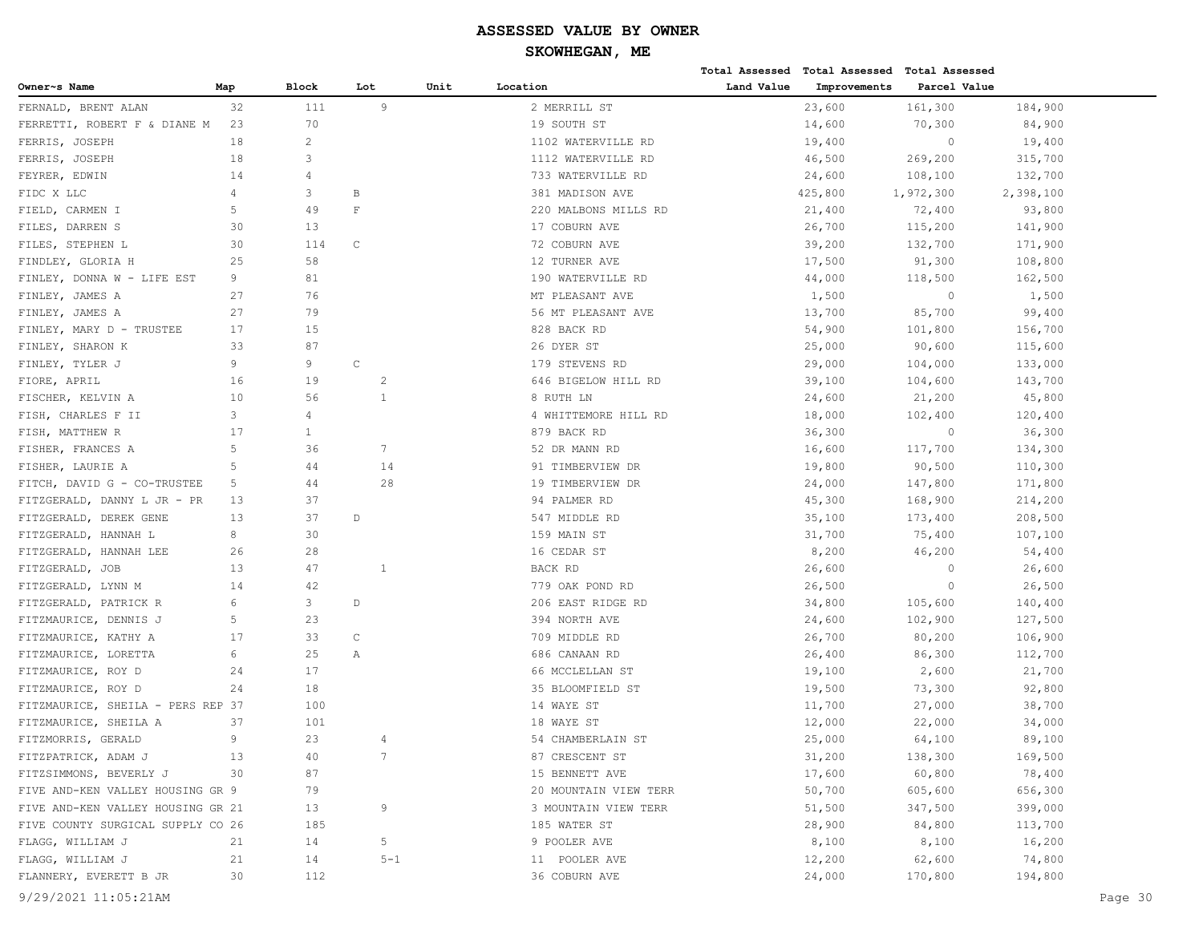|                                   |     |              |                |         |                       |            | Total Assessed Total Assessed Total Assessed |              |           |         |
|-----------------------------------|-----|--------------|----------------|---------|-----------------------|------------|----------------------------------------------|--------------|-----------|---------|
| Owner~s Name                      | Map | <b>Block</b> | Lot            | Unit    | Location              | Land Value | Improvements                                 | Parcel Value |           |         |
| FERNALD, BRENT ALAN               | 32  | 111          | 9              |         | 2 MERRILL ST          |            | 23,600                                       | 161,300      | 184,900   |         |
| FERRETTI, ROBERT F & DIANE M      | 23  | 70           |                |         | 19 SOUTH ST           |            | 14,600                                       | 70,300       | 84,900    |         |
| FERRIS, JOSEPH                    | 18  | $\mathbf{2}$ |                |         | 1102 WATERVILLE RD    |            | 19,400                                       | $\circ$      | 19,400    |         |
| FERRIS, JOSEPH                    | 18  | 3            |                |         | 1112 WATERVILLE RD    |            | 46,500                                       | 269,200      | 315,700   |         |
| FEYRER, EDWIN                     | 14  | 4            |                |         | 733 WATERVILLE RD     |            | 24,600                                       | 108,100      | 132,700   |         |
| FIDC X LLC                        | 4   | 3            | В              |         | 381 MADISON AVE       |            | 425,800                                      | 1,972,300    | 2,398,100 |         |
| FIELD, CARMEN I                   | 5   | 49           | $\mathbf{F}$   |         | 220 MALBONS MILLS RD  |            | 21,400                                       | 72,400       | 93,800    |         |
| FILES, DARREN S                   | 30  | 13           |                |         | 17 COBURN AVE         |            | 26,700                                       | 115,200      | 141,900   |         |
| STEPHEN L<br>FILES,               | 30  | 114          | $\mathsf{C}$   |         | 72 COBURN AVE         |            | 39,200                                       | 132,700      | 171,900   |         |
| FINDLEY, GLORIA H                 | 25  | 58           |                |         | 12 TURNER AVE         |            | 17,500                                       | 91,300       | 108,800   |         |
| FINLEY, DONNA W - LIFE EST        | 9   | 81           |                |         | 190 WATERVILLE RD     |            | 44,000                                       | 118,500      | 162,500   |         |
| FINLEY, JAMES A                   | 27  | 76           |                |         | MT PLEASANT AVE       |            | 1,500                                        | $\circ$      | 1,500     |         |
| FINLEY, JAMES A                   | 27  | 79           |                |         | 56 MT PLEASANT AVE    |            | 13,700                                       | 85,700       | 99,400    |         |
| FINLEY, MARY D - TRUSTEE          | 17  | 15           |                |         | 828 BACK RD           |            | 54,900                                       | 101,800      | 156,700   |         |
| FINLEY, SHARON K                  | 33  | 87           |                |         | 26 DYER ST            |            | 25,000                                       | 90,600       | 115,600   |         |
| FINLEY, TYLER J                   | 9   | 9            | $\mathsf{C}$   |         | 179 STEVENS RD        |            | 29,000                                       | 104,000      | 133,000   |         |
| FIORE, APRIL                      | 16  | 19           | 2              |         | 646 BIGELOW HILL RD   |            | 39,100                                       | 104,600      | 143,700   |         |
| FISCHER, KELVIN A                 | 10  | 56           | $\mathbf{1}$   |         | 8 RUTH LN             |            | 24,600                                       | 21,200       | 45,800    |         |
| FISH, CHARLES F II                | 3   | 4            |                |         | 4 WHITTEMORE HILL RD  |            | 18,000                                       | 102,400      | 120,400   |         |
| FISH, MATTHEW R                   | 17  | 1            |                |         | 879 BACK RD           |            | 36,300                                       | $\circ$      | 36,300    |         |
| FISHER, FRANCES A                 | 5   | 36           | 7              |         | 52 DR MANN RD         |            | 16,600                                       | 117,700      | 134,300   |         |
| FISHER, LAURIE A                  | 5   | 44           | 14             |         | 91 TIMBERVIEW DR      |            | 19,800                                       | 90,500       | 110,300   |         |
| FITCH, DAVID G - CO-TRUSTEE       | 5   | 44           | 28             |         | 19 TIMBERVIEW DR      |            | 24,000                                       | 147,800      | 171,800   |         |
| FITZGERALD, DANNY L JR - PR       | 13  | 37           |                |         | 94 PALMER RD          |            | 45,300                                       | 168,900      | 214,200   |         |
| FITZGERALD, DEREK GENE            | 13  | 37           | $\mathbb D$    |         | 547 MIDDLE RD         |            | 35,100                                       | 173,400      | 208,500   |         |
| FITZGERALD, HANNAH L              | 8   | 30           |                |         | 159 MAIN ST           |            | 31,700                                       | 75,400       | 107,100   |         |
| FITZGERALD, HANNAH LEE            | 26  | 28           |                |         | 16 CEDAR ST           |            | 8,200                                        | 46,200       | 54,400    |         |
| FITZGERALD, JOB                   | 13  | 47           | $\overline{1}$ |         | BACK RD               |            | 26,600                                       | $\circ$      | 26,600    |         |
| FITZGERALD, LYNN M                | 14  | 42           |                |         | 779 OAK POND RD       |            | 26,500                                       | $\circ$      | 26,500    |         |
| FITZGERALD, PATRICK R             | 6   | 3            | $\mathbb D$    |         | 206 EAST RIDGE RD     |            | 34,800                                       | 105,600      | 140,400   |         |
| FITZMAURICE, DENNIS J             | 5   | 23           |                |         | 394 NORTH AVE         |            | 24,600                                       | 102,900      | 127,500   |         |
| FITZMAURICE, KATHY A              | 17  | 33           | $\mathsf C$    |         | 709 MIDDLE RD         |            | 26,700                                       | 80,200       | 106,900   |         |
| FITZMAURICE, LORETTA              | 6   | 25           | Α              |         | 686 CANAAN RD         |            | 26,400                                       | 86,300       | 112,700   |         |
| FITZMAURICE, ROY D                | 24  | 17           |                |         | 66 MCCLELLAN ST       |            | 19,100                                       | 2,600        | 21,700    |         |
| FITZMAURICE, ROY D                | 24  | 18           |                |         | 35 BLOOMFIELD ST      |            | 19,500                                       | 73,300       | 92,800    |         |
| FITZMAURICE, SHEILA - PERS REP 37 |     | 100          |                |         | 14 WAYE ST            |            | 11,700                                       | 27,000       | 38,700    |         |
| FITZMAURICE, SHEILA A             | 37  | 101          |                |         | 18 WAYE ST            |            | 12,000                                       | 22,000       | 34,000    |         |
| FITZMORRIS, GERALD                | 9   | 23           | 4              |         | 54 CHAMBERLAIN ST     |            | 25,000                                       | 64,100       | 89,100    |         |
| FITZPATRICK, ADAM J               | 13  | 40           | 7              |         | 87 CRESCENT ST        |            | 31,200                                       | 138,300      | 169,500   |         |
| FITZSIMMONS, BEVERLY J            | 30  | 87           |                |         | 15 BENNETT AVE        |            | 17,600                                       | 60,800       | 78,400    |         |
| FIVE AND-KEN VALLEY HOUSING GR 9  |     | 79           |                |         | 20 MOUNTAIN VIEW TERR |            | 50,700                                       | 605,600      | 656,300   |         |
| FIVE AND-KEN VALLEY HOUSING GR 21 |     | 13           | 9              |         | 3 MOUNTAIN VIEW TERR  |            | 51,500                                       | 347,500      | 399,000   |         |
| FIVE COUNTY SURGICAL SUPPLY CO 26 |     | 185          |                |         | 185 WATER ST          |            | 28,900                                       | 84,800       | 113,700   |         |
| FLAGG, WILLIAM J                  | 21  | 14           | 5              |         | 9 POOLER AVE          |            | 8,100                                        | 8,100        | 16,200    |         |
| FLAGG, WILLIAM J                  | 21  | 14           |                | $5 - 1$ | 11 POOLER AVE         |            | 12,200                                       | 62,600       | 74,800    |         |
| FLANNERY, EVERETT B JR            | 30  | 112          |                |         | 36 COBURN AVE         |            | 24,000                                       | 170,800      | 194,800   |         |
| 9/29/2021 11:05:21AM              |     |              |                |         |                       |            |                                              |              |           | Page 30 |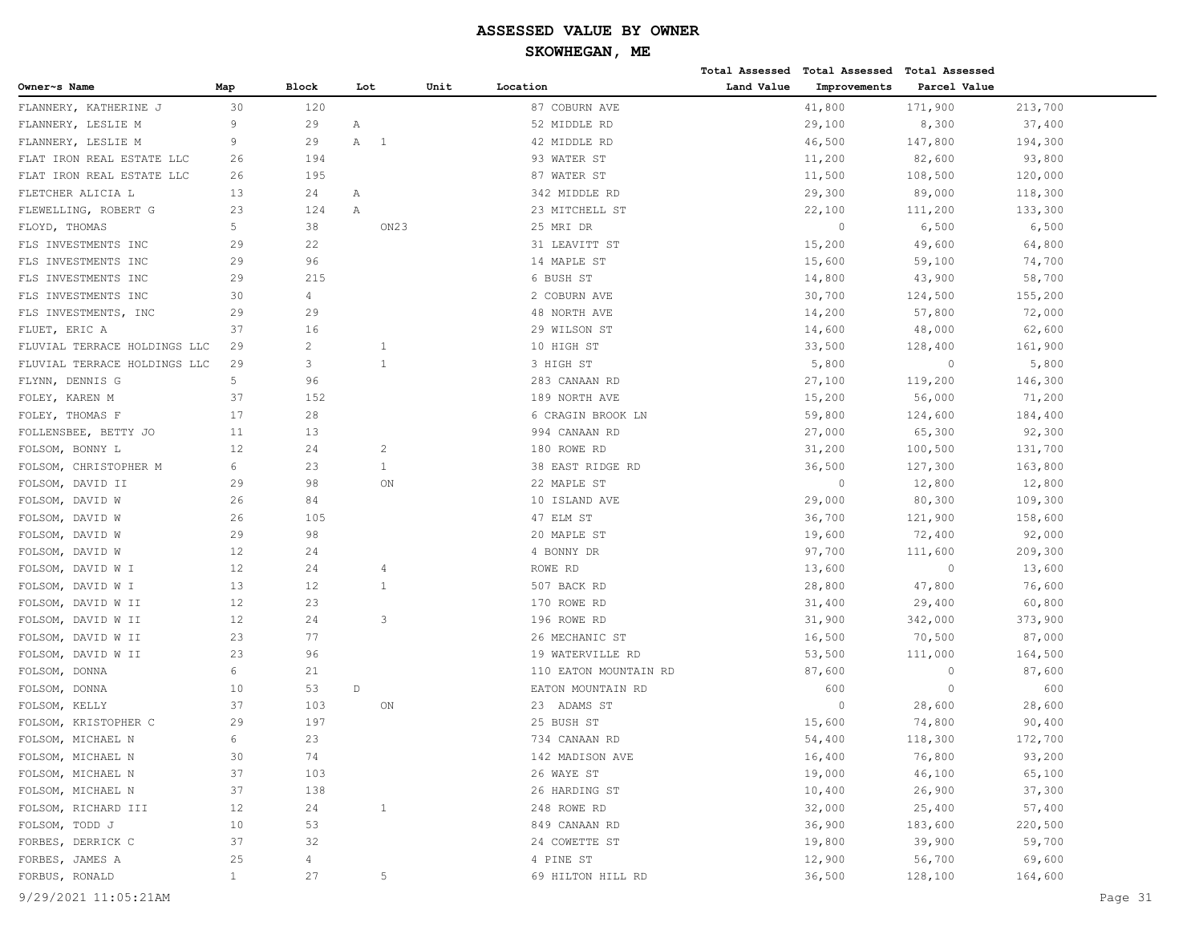|                              |              |                |                               |      |                       |            | Total Assessed Total Assessed Total Assessed |              |         |         |
|------------------------------|--------------|----------------|-------------------------------|------|-----------------------|------------|----------------------------------------------|--------------|---------|---------|
| Owner~s Name                 | Map          | Block          | Lot                           | Unit | Location              | Land Value | Improvements                                 | Parcel Value |         |         |
| FLANNERY, KATHERINE J        | 30           | 120            |                               |      | 87 COBURN AVE         |            | 41,800                                       | 171,900      | 213,700 |         |
| FLANNERY, LESLIE M           | 9            | 29             | Α                             |      | 52 MIDDLE RD          |            | 29,100                                       | 8,300        | 37,400  |         |
| FLANNERY, LESLIE M           | 9            | 29             | A<br>$\overline{\phantom{1}}$ |      | 42 MIDDLE RD          |            | 46,500                                       | 147,800      | 194,300 |         |
| FLAT IRON REAL ESTATE LLC    | 26           | 194            |                               |      | 93 WATER ST           |            | 11,200                                       | 82,600       | 93,800  |         |
| FLAT IRON REAL ESTATE LLC    | 26           | 195            |                               |      | 87 WATER ST           |            | 11,500                                       | 108,500      | 120,000 |         |
| FLETCHER ALICIA L            | 13           | 24             | Α                             |      | 342 MIDDLE RD         |            | 29,300                                       | 89,000       | 118,300 |         |
| FLEWELLING, ROBERT G         | 23           | 124            | Α                             |      | 23 MITCHELL ST        |            | 22,100                                       | 111,200      | 133,300 |         |
| FLOYD, THOMAS                | 5            | 38             | ON <sub>23</sub>              |      | 25 MRI DR             |            | $\circ$                                      | 6,500        | 6,500   |         |
| FLS INVESTMENTS INC          | 29           | 22             |                               |      | 31 LEAVITT ST         |            | 15,200                                       | 49,600       | 64,800  |         |
| FLS INVESTMENTS INC          | 29           | 96             |                               |      | 14 MAPLE ST           |            | 15,600                                       | 59,100       | 74,700  |         |
| FLS INVESTMENTS INC          | 29           | 215            |                               |      | 6 BUSH ST             |            | 14,800                                       | 43,900       | 58,700  |         |
| FLS INVESTMENTS INC          | 30           | $\overline{4}$ |                               |      | 2 COBURN AVE          |            | 30,700                                       | 124,500      | 155,200 |         |
| FLS INVESTMENTS, INC         | 29           | 29             |                               |      | 48 NORTH AVE          |            | 14,200                                       | 57,800       | 72,000  |         |
| FLUET, ERIC A                | 37           | 16             |                               |      | 29 WILSON ST          |            | 14,600                                       | 48,000       | 62,600  |         |
| FLUVIAL TERRACE HOLDINGS LLC | 29           | $\overline{c}$ | 1                             |      | 10 HIGH ST            |            | 33,500                                       | 128,400      | 161,900 |         |
| FLUVIAL TERRACE HOLDINGS LLC | 29           | 3              | $\mathbf{1}$                  |      | 3 HIGH ST             |            | 5,800                                        | $\circ$      | 5,800   |         |
| FLYNN, DENNIS G              | 5            | 96             |                               |      | 283 CANAAN RD         |            | 27,100                                       | 119,200      | 146,300 |         |
| FOLEY, KAREN M               | 37           | 152            |                               |      | 189 NORTH AVE         |            | 15,200                                       | 56,000       | 71,200  |         |
| FOLEY, THOMAS F              | 17           | 28             |                               |      | 6 CRAGIN BROOK LN     |            | 59,800                                       | 124,600      | 184,400 |         |
| FOLLENSBEE, BETTY JO         | 11           | 13             |                               |      | 994 CANAAN RD         |            | 27,000                                       | 65,300       | 92,300  |         |
| FOLSOM, BONNY L              | 12           | 24             | 2                             |      | 180 ROWE RD           |            | 31,200                                       | 100,500      | 131,700 |         |
| FOLSOM, CHRISTOPHER M        | 6            | 23             | 1                             |      | 38 EAST RIDGE RD      |            | 36,500                                       | 127,300      | 163,800 |         |
| FOLSOM, DAVID II             | 29           | 98             | ON                            |      | 22 MAPLE ST           |            | $\circ$                                      | 12,800       | 12,800  |         |
| FOLSOM, DAVID W              | 26           | 84             |                               |      | 10 ISLAND AVE         |            | 29,000                                       | 80,300       | 109,300 |         |
| FOLSOM, DAVID W              | 26           | 105            |                               |      | 47 ELM ST             |            | 36,700                                       | 121,900      | 158,600 |         |
| FOLSOM, DAVID W              | 29           | 98             |                               |      | 20 MAPLE ST           |            | 19,600                                       | 72,400       | 92,000  |         |
| FOLSOM, DAVID W              | 12           | 24             |                               |      | 4 BONNY DR            |            | 97,700                                       | 111,600      | 209,300 |         |
| FOLSOM, DAVID W I            | 12           | 24             | 4                             |      | ROWE RD               |            | 13,600                                       | $\circ$      | 13,600  |         |
| FOLSOM, DAVID W I            | 13           | 12             | 1                             |      | 507 BACK RD           |            | 28,800                                       | 47,800       | 76,600  |         |
| FOLSOM, DAVID W II           | 12           | 23             |                               |      | 170 ROWE RD           |            | 31,400                                       | 29,400       | 60,800  |         |
| FOLSOM, DAVID W II           | 12           | 24             | 3                             |      | 196 ROWE RD           |            | 31,900                                       | 342,000      | 373,900 |         |
| FOLSOM, DAVID W II           | 23           | 77             |                               |      | 26 MECHANIC ST        |            | 16,500                                       | 70,500       | 87,000  |         |
| FOLSOM, DAVID W II           | 23           | 96             |                               |      | 19 WATERVILLE RD      |            | 53,500                                       | 111,000      | 164,500 |         |
| FOLSOM, DONNA                | 6            | 21             |                               |      | 110 EATON MOUNTAIN RD |            | 87,600                                       | $\circ$      | 87,600  |         |
| FOLSOM, DONNA                | 10           | 53             | $\mathbb D$                   |      | EATON MOUNTAIN RD     |            | 600                                          | $\circ$      | 600     |         |
| FOLSOM, KELLY                | 37           | 103            | ON                            |      | 23 ADAMS ST           |            | $\circ$                                      | 28,600       | 28,600  |         |
| FOLSOM, KRISTOPHER C         | 29           | 197            |                               |      | 25 BUSH ST            |            | 15,600                                       | 74,800       | 90,400  |         |
| FOLSOM, MICHAEL N            | 6            | 23             |                               |      | 734 CANAAN RD         |            | 54,400                                       | 118,300      | 172,700 |         |
| FOLSOM, MICHAEL N            | 30           | 74             |                               |      | 142 MADISON AVE       |            | 16,400                                       | 76,800       | 93,200  |         |
| FOLSOM, MICHAEL N            | 37           | 103            |                               |      | 26 WAYE ST            |            | 19,000                                       | 46,100       | 65,100  |         |
| FOLSOM, MICHAEL N            | 37           | 138            |                               |      | 26 HARDING ST         |            | 10,400                                       | 26,900       | 37,300  |         |
| FOLSOM, RICHARD III          | 12           | 24             | $\mathbf{1}$                  |      | 248 ROWE RD           |            | 32,000                                       | 25,400       | 57,400  |         |
| FOLSOM, TODD J               | 10           | 53             |                               |      | 849 CANAAN RD         |            | 36,900                                       | 183,600      | 220,500 |         |
| FORBES, DERRICK C            | 37           | 32             |                               |      | 24 COWETTE ST         |            | 19,800                                       | 39,900       | 59,700  |         |
| FORBES, JAMES A              | 25           | 4              |                               |      | 4 PINE ST             |            | 12,900                                       | 56,700       | 69,600  |         |
| FORBUS, RONALD               | $\mathbf{1}$ | 27             | 5                             |      | 69 HILTON HILL RD     |            | 36,500                                       | 128,100      | 164,600 |         |
| 9/29/2021 11:05:21AM         |              |                |                               |      |                       |            |                                              |              |         | Page 31 |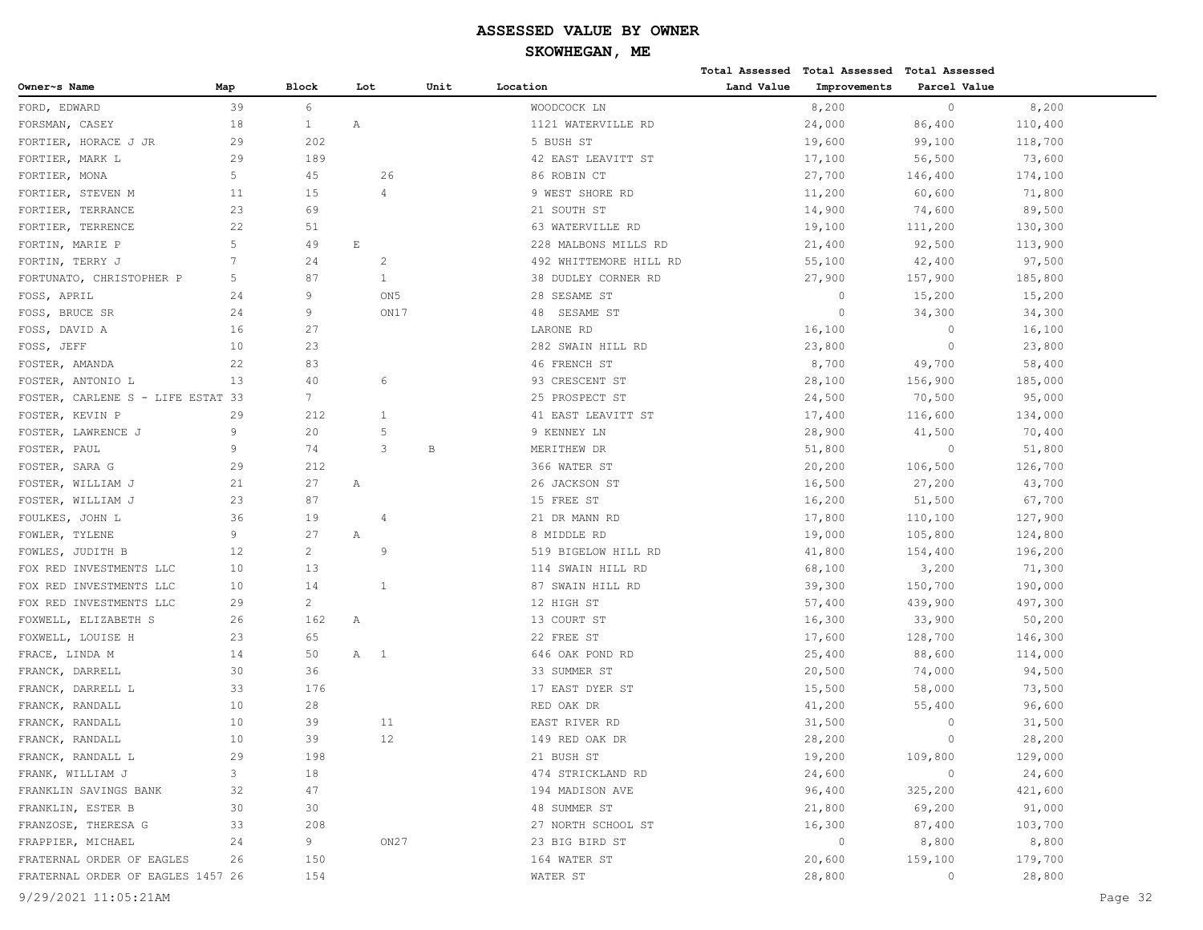**Total Assessed Total Assessed Total Assessed** 

| Owner~s Name                      | Map            | Block          | Lot                      |                 | Unit | Location               | Land Value | Improvements   | Parcel Value   |         |         |
|-----------------------------------|----------------|----------------|--------------------------|-----------------|------|------------------------|------------|----------------|----------------|---------|---------|
| FORD, EDWARD                      | 39             | 6              |                          |                 |      | WOODCOCK LN            |            | 8,200          | $\circ$        | 8,200   |         |
| FORSMAN, CASEY                    | 18             | $\mathbf{1}$   | Α                        |                 |      | 1121 WATERVILLE RD     |            | 24,000         | 86,400         | 110,400 |         |
| FORTIER, HORACE J JR              | 29             | 202            |                          |                 |      | 5 BUSH ST              |            | 19,600         | 99,100         | 118,700 |         |
| FORTIER, MARK L                   | 29             | 189            |                          |                 |      | 42 EAST LEAVITT ST     |            | 17,100         | 56,500         | 73,600  |         |
| FORTIER, MONA                     | 5 <sub>1</sub> | 45             |                          | 26              |      | 86 ROBIN CT            |            | 27,700         | 146,400        | 174,100 |         |
| FORTIER, STEVEN M                 | 11             | 15             |                          | $\overline{4}$  |      | 9 WEST SHORE RD        |            | 11,200         | 60,600         | 71,800  |         |
| FORTIER, TERRANCE                 | 23             | 69             |                          |                 |      | 21 SOUTH ST            |            | 14,900         | 74,600         | 89,500  |         |
| FORTIER, TERRENCE                 | 22             | 51             |                          |                 |      | 63 WATERVILLE RD       |            | 19,100         | 111,200        | 130,300 |         |
| FORTIN, MARIE P                   | 5              | 49             | $\mathop{}\mathopen{} E$ |                 |      | 228 MALBONS MILLS RD   |            | 21,400         | 92,500         | 113,900 |         |
| FORTIN, TERRY J                   | 7              | 24             |                          | 2               |      | 492 WHITTEMORE HILL RD |            | 55,100         | 42,400         | 97,500  |         |
| FORTUNATO, CHRISTOPHER P          | 5              | 87             |                          | $\mathbf{1}$    |      | 38 DUDLEY CORNER RD    |            | 27,900         | 157,900        | 185,800 |         |
| FOSS, APRIL                       | 24             | 9              |                          | ON <sub>5</sub> |      | 28 SESAME ST           |            | $\circ$        | 15,200         | 15,200  |         |
| FOSS, BRUCE SR                    | 24             | 9              |                          | ON17            |      | 48 SESAME ST           |            | $\circ$        | 34,300         | 34,300  |         |
| FOSS, DAVID A                     | 16             | 27             |                          |                 |      | LARONE RD              |            | 16,100         | $\circ$        | 16,100  |         |
| FOSS, JEFF                        | 10             | 23             |                          |                 |      | 282 SWAIN HILL RD      |            | 23,800         | $\circ$        | 23,800  |         |
| FOSTER, AMANDA                    | 22             | 83             |                          |                 |      | 46 FRENCH ST           |            | 8,700          | 49,700         | 58,400  |         |
| FOSTER, ANTONIO L                 | 13             | 40             |                          | 6               |      | 93 CRESCENT ST         |            | 28,100         | 156,900        | 185,000 |         |
| FOSTER, CARLENE S - LIFE ESTAT 33 |                | 7              |                          |                 |      | 25 PROSPECT ST         |            | 24,500         | 70,500         | 95,000  |         |
| FOSTER, KEVIN P                   | 29             | 212            |                          | 1               |      | 41 EAST LEAVITT ST     |            | 17,400         | 116,600        | 134,000 |         |
| FOSTER, LAWRENCE J                | 9              | 20             |                          | 5               |      | 9 KENNEY LN            |            | 28,900         | 41,500         | 70,400  |         |
| FOSTER, PAUL                      | 9              | 74             |                          | 3               | B    | MERITHEW DR            |            | 51,800         | $\circ$        | 51,800  |         |
| FOSTER, SARA G                    | 29             | 212            |                          |                 |      | 366 WATER ST           |            | 20,200         | 106,500        | 126,700 |         |
| FOSTER, WILLIAM J                 | 21             | 27             | Α                        |                 |      | 26 JACKSON ST          |            | 16,500         | 27,200         | 43,700  |         |
| FOSTER, WILLIAM J                 | 23             | 87             |                          |                 |      | 15 FREE ST             |            | 16,200         | 51,500         | 67,700  |         |
| FOULKES, JOHN L                   | 36             | 19             |                          | 4               |      | 21 DR MANN RD          |            |                |                | 127,900 |         |
|                                   | 9              | 27             |                          |                 |      |                        |            | 17,800         | 110,100        |         |         |
| FOWLER, TYLENE                    |                |                | Α                        | 9               |      | 8 MIDDLE RD            |            | 19,000         | 105,800        | 124,800 |         |
| FOWLES, JUDITH B                  | 12             | $\overline{2}$ |                          |                 |      | 519 BIGELOW HILL RD    |            | 41,800         | 154,400        | 196,200 |         |
| FOX RED INVESTMENTS LLC           | 10             | 13             |                          |                 |      | 114 SWAIN HILL RD      |            | 68,100         | 3,200          | 71,300  |         |
| FOX RED INVESTMENTS LLC           | 10             | 14             |                          | 1               |      | 87 SWAIN HILL RD       |            | 39,300         | 150,700        | 190,000 |         |
| FOX RED INVESTMENTS LLC           | 29             | $\overline{2}$ |                          |                 |      | 12 HIGH ST             |            | 57,400         | 439,900        | 497,300 |         |
| FOXWELL, ELIZABETH S              | 26             | 162            | Α                        |                 |      | 13 COURT ST            |            | 16,300         | 33,900         | 50,200  |         |
| FOXWELL, LOUISE H                 | 23             | 65             |                          |                 |      | 22 FREE ST             |            | 17,600         | 128,700        | 146,300 |         |
| FRACE, LINDA M                    | 14             | 50             | A 1                      |                 |      | 646 OAK POND RD        |            | 25,400         | 88,600         | 114,000 |         |
| FRANCK, DARRELL                   | 30             | 36             |                          |                 |      | 33 SUMMER ST           |            | 20,500         | 74,000         | 94,500  |         |
| FRANCK, DARRELL L                 | 33             | 176            |                          |                 |      | 17 EAST DYER ST        |            | 15,500         | 58,000         | 73,500  |         |
| FRANCK, RANDALL                   | 10             | 28             |                          |                 |      | RED OAK DR             |            | 41,200         | 55,400         | 96,600  |         |
| FRANCK, RANDALL                   | 10             | 39             |                          | 11              |      | EAST RIVER RD          |            | 31,500         | $\circ$        | 31,500  |         |
| FRANCK, RANDALL                   | 10             | 39             |                          | 12              |      | 149 RED OAK DR         |            | 28,200         | $\circ$        | 28,200  |         |
| FRANCK, RANDALL L                 | 29             | 198            |                          |                 |      | 21 BUSH ST             |            | 19,200         | 109,800        | 129,000 |         |
| FRANK, WILLIAM J                  | $\mathbf{3}$   | 18             |                          |                 |      | 474 STRICKLAND RD      |            | 24,600         | $\overline{0}$ | 24,600  |         |
| FRANKLIN SAVINGS BANK             | 32             | 47             |                          |                 |      | 194 MADISON AVE        |            | 96,400         | 325,200        | 421,600 |         |
| FRANKLIN, ESTER B                 | 30             | 30             |                          |                 |      | 48 SUMMER ST           |            | 21,800         | 69,200         | 91,000  |         |
| FRANZOSE, THERESA G               | 33             | 208            |                          |                 |      | 27 NORTH SCHOOL ST     |            | 16,300         | 87,400         | 103,700 |         |
| FRAPPIER, MICHAEL                 | 24             | 9              |                          | ON27            |      | 23 BIG BIRD ST         |            | $\overline{0}$ | 8,800          | 8,800   |         |
| FRATERNAL ORDER OF EAGLES         | 26             | 150            |                          |                 |      | 164 WATER ST           |            | 20,600         | 159,100        | 179,700 |         |
| FRATERNAL ORDER OF EAGLES 1457 26 |                | 154            |                          |                 |      | WATER ST               |            | 28,800         | $\overline{0}$ | 28,800  |         |
| 9/29/2021 11:05:21AM              |                |                |                          |                 |      |                        |            |                |                |         | Page 32 |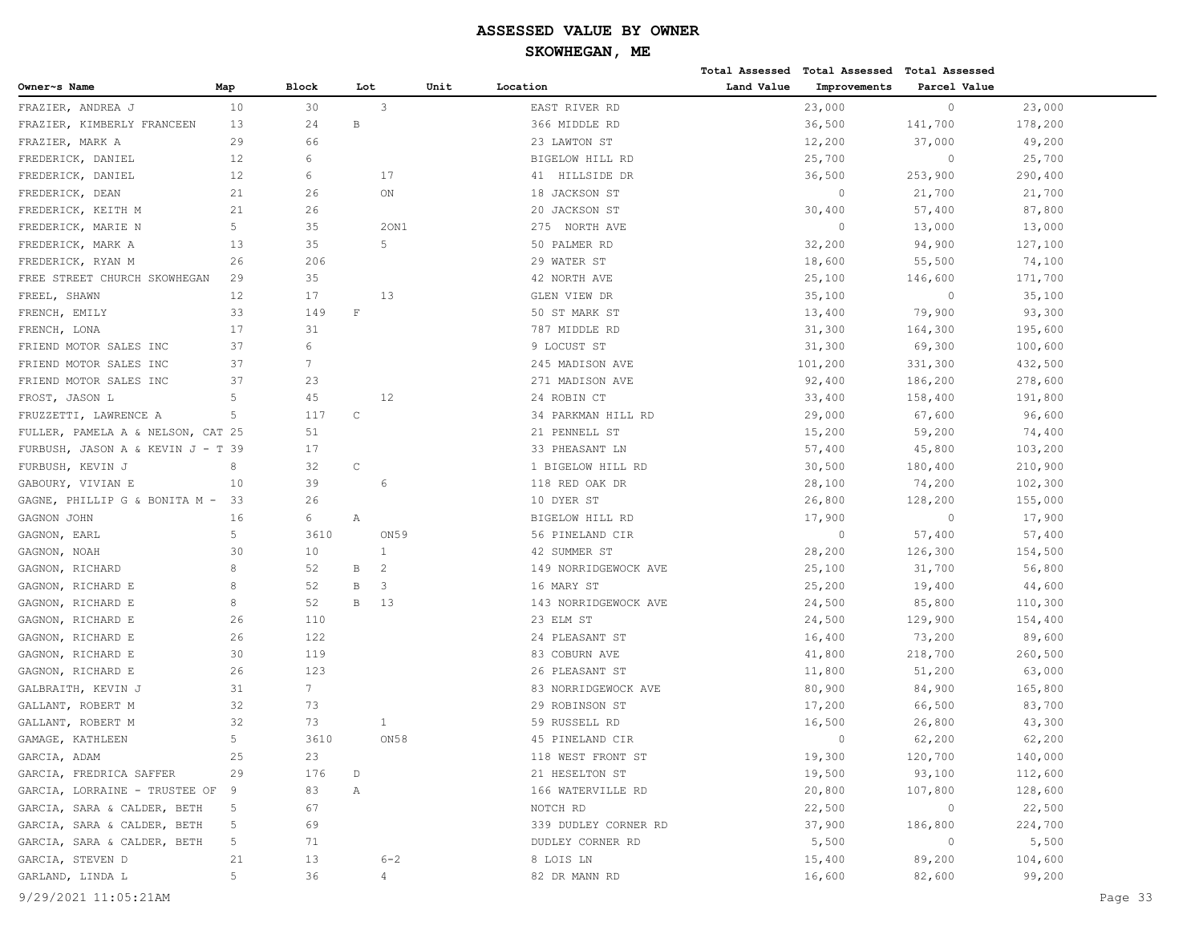|                                   |     |                |                |         |                      |            | Total Assessed Total Assessed Total Assessed |              |         |
|-----------------------------------|-----|----------------|----------------|---------|----------------------|------------|----------------------------------------------|--------------|---------|
| Owner~s Name                      | Map | Block          | Lot            | Unit    | Location             | Land Value | Improvements                                 | Parcel Value |         |
| FRAZIER, ANDREA J                 | 10  | 30             | 3              |         | EAST RIVER RD        |            | 23,000                                       | $\circ$      | 23,000  |
| FRAZIER, KIMBERLY FRANCEEN        | 13  | 24             | В              |         | 366 MIDDLE RD        |            | 36,500                                       | 141,700      | 178,200 |
| FRAZIER, MARK A                   | 29  | 66             |                |         | 23 LAWTON ST         |            | 12,200                                       | 37,000       | 49,200  |
| FREDERICK, DANIEL                 | 12  | 6              |                |         | BIGELOW HILL RD      |            | 25,700                                       | $\circ$      | 25,700  |
| FREDERICK, DANIEL                 | 12  | 6              | 17             |         | 41 HILLSIDE DR       |            | 36,500                                       | 253,900      | 290,400 |
| FREDERICK, DEAN                   | 21  | 26             | ON             |         | 18 JACKSON ST        |            | $\circ$                                      | 21,700       | 21,700  |
| FREDERICK, KEITH M                | 21  | 26             |                |         | 20 JACKSON ST        |            | 30,400                                       | 57,400       | 87,800  |
| FREDERICK, MARIE N                | 5   | 35             |                | 20N1    | 275 NORTH AVE        |            | $\circ$                                      | 13,000       | 13,000  |
| FREDERICK, MARK A                 | 13  | 35             | 5              |         | 50 PALMER RD         |            | 32,200                                       | 94,900       | 127,100 |
| FREDERICK, RYAN M                 | 26  | 206            |                |         | 29 WATER ST          |            | 18,600                                       | 55,500       | 74,100  |
| FREE STREET CHURCH SKOWHEGAN      | 29  | 35             |                |         | 42 NORTH AVE         |            | 25,100                                       | 146,600      | 171,700 |
| FREEL, SHAWN                      | 12  | 17             | 13             |         | GLEN VIEW DR         |            | 35,100                                       | $\circ$      | 35,100  |
| FRENCH, EMILY                     | 33  | 149            | $\mathbf{F}$   |         | 50 ST MARK ST        |            | 13,400                                       | 79,900       | 93,300  |
| FRENCH, LONA                      | 17  | 31             |                |         | 787 MIDDLE RD        |            | 31,300                                       | 164,300      | 195,600 |
| FRIEND MOTOR SALES INC            | 37  | 6              |                |         | 9 LOCUST ST          |            | 31,300                                       | 69,300       | 100,600 |
| FRIEND MOTOR SALES INC            | 37  | 7              |                |         | 245 MADISON AVE      |            | 101,200                                      | 331,300      | 432,500 |
| FRIEND MOTOR SALES INC            | 37  | 23             |                |         | 271 MADISON AVE      |            | 92,400                                       | 186,200      | 278,600 |
| FROST, JASON L                    | 5   | 45             | 12             |         | 24 ROBIN CT          |            | 33,400                                       | 158,400      | 191,800 |
| FRUZZETTI, LAWRENCE A             | 5   | 117            | С              |         | 34 PARKMAN HILL RD   |            | 29,000                                       | 67,600       | 96,600  |
| FULLER, PAMELA A & NELSON, CAT 25 |     | 51             |                |         | 21 PENNELL ST        |            | 15,200                                       | 59,200       | 74,400  |
| FURBUSH, JASON A & KEVIN J - T 39 |     | 17             |                |         | 33 PHEASANT LN       |            | 57,400                                       | 45,800       | 103,200 |
| FURBUSH, KEVIN J                  | 8   | 32             | $\mathtt{C}$   |         | 1 BIGELOW HILL RD    |            | 30,500                                       | 180,400      | 210,900 |
| GABOURY, VIVIAN E                 | 10  | 39             | 6              |         | 118 RED OAK DR       |            | 28,100                                       | 74,200       | 102,300 |
| GAGNE, PHILLIP G & BONITA M -     | -33 | 26             |                |         | 10 DYER ST           |            | 26,800                                       | 128,200      | 155,000 |
| GAGNON JOHN                       | 16  | 6              | Α              |         | BIGELOW HILL RD      |            | 17,900                                       | $\circ$      | 17,900  |
| GAGNON, EARL                      | 5   | 3610           |                | ON59    | 56 PINELAND CIR      |            | $\circ$                                      | 57,400       | 57,400  |
| GAGNON, NOAH                      | 30  | 10             | 1              |         | 42 SUMMER ST         |            | 28,200                                       | 126,300      | 154,500 |
| GAGNON, RICHARD                   | 8   | 52             | В<br>2         |         | 149 NORRIDGEWOCK AVE |            | 25,100                                       | 31,700       | 56,800  |
| GAGNON, RICHARD E                 | 8   | 52             | В<br>3         |         | 16 MARY ST           |            | 25,200                                       | 19,400       | 44,600  |
| GAGNON, RICHARD E                 | 8   | 52             | B<br>13        |         | 143 NORRIDGEWOCK AVE |            | 24,500                                       | 85,800       | 110,300 |
| GAGNON, RICHARD E                 | 26  | 110            |                |         | 23 ELM ST            |            | 24,500                                       | 129,900      | 154,400 |
| GAGNON, RICHARD E                 | 26  | 122            |                |         | 24 PLEASANT ST       |            | 16,400                                       | 73,200       | 89,600  |
| GAGNON, RICHARD E                 | 30  | 119            |                |         | 83 COBURN AVE        |            | 41,800                                       | 218,700      | 260,500 |
| GAGNON, RICHARD E                 | 26  | 123            |                |         | 26 PLEASANT ST       |            | 11,800                                       | 51,200       | 63,000  |
| GALBRAITH, KEVIN J                | 31  | 7 <sup>7</sup> |                |         | 83 NORRIDGEWOCK AVE  |            | 80,900                                       | 84,900       | 165,800 |
| GALLANT, ROBERT M                 | 32  | 73             |                |         | 29 ROBINSON ST       |            | 17,200                                       | 66,500       | 83,700  |
| GALLANT, ROBERT M                 | 32  | 73             | 1              |         | 59 RUSSELL RD        |            | 16,500                                       | 26,800       | 43,300  |
| GAMAGE, KATHLEEN                  | 5   | 3610           |                | ON58    | 45 PINELAND CIR      |            | $\Omega$                                     | 62,200       | 62,200  |
| GARCIA, ADAM                      | 25  | 23             |                |         | 118 WEST FRONT ST    |            | 19,300                                       | 120,700      | 140,000 |
| GARCIA, FREDRICA SAFFER           | 29  | 176            | D              |         | 21 HESELTON ST       |            | 19,500                                       | 93,100       | 112,600 |
| GARCIA, LORRAINE - TRUSTEE OF     | - 9 | 83             | Α              |         | 166 WATERVILLE RD    |            | 20,800                                       | 107,800      | 128,600 |
| GARCIA, SARA & CALDER, BETH       | 5   | 67             |                |         | NOTCH RD             |            | 22,500                                       | $\circ$      | 22,500  |
| GARCIA, SARA & CALDER, BETH       | 5   | 69             |                |         | 339 DUDLEY CORNER RD |            | 37,900                                       | 186,800      | 224,700 |
| GARCIA, SARA & CALDER, BETH       | 5   | 71             |                |         | DUDLEY CORNER RD     |            | 5,500                                        | $\circ$      | 5,500   |
| GARCIA, STEVEN D                  | 21  | 13             |                | $6 - 2$ | 8 LOIS LN            |            | 15,400                                       | 89,200       | 104,600 |
| GARLAND, LINDA L                  | 5   | 36             | $\overline{4}$ |         | 82 DR MANN RD        |            | 16,600                                       | 82,600       | 99,200  |
|                                   |     |                |                |         |                      |            |                                              |              |         |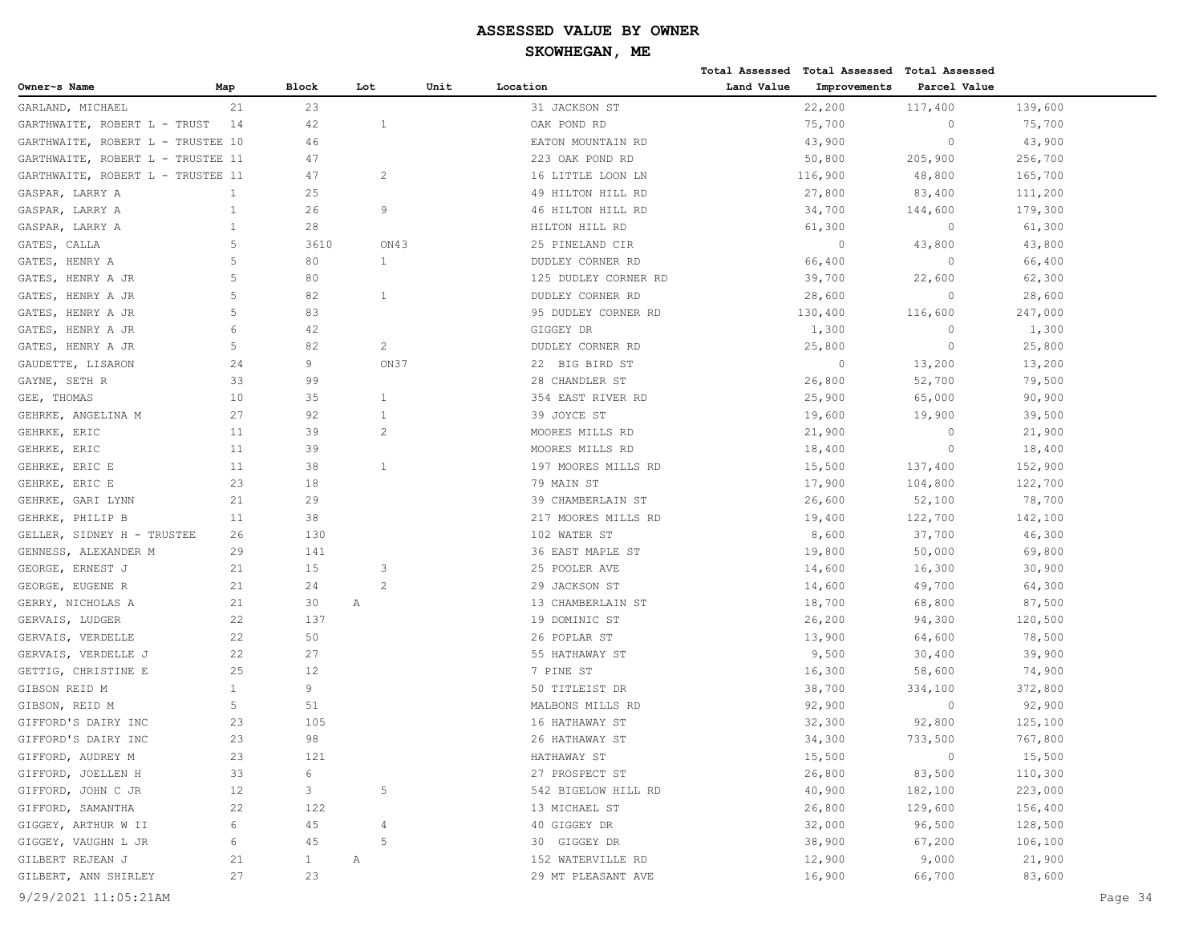|                                   |              |              |                |      |                      |            | Total Assessed Total Assessed Total Assessed |              |         |         |
|-----------------------------------|--------------|--------------|----------------|------|----------------------|------------|----------------------------------------------|--------------|---------|---------|
| Owner~s Name                      | Map          | <b>Block</b> | Lot            | Unit | Location             | Land Value | Improvements                                 | Parcel Value |         |         |
| GARLAND, MICHAEL                  | 21           | 23           |                |      | 31 JACKSON ST        |            | 22,200                                       | 117,400      | 139,600 |         |
| GARTHWAITE, ROBERT L - TRUST      | 14           | 42           | 1              |      | OAK POND RD          |            | 75,700                                       | $\circ$      | 75,700  |         |
| GARTHWAITE, ROBERT L - TRUSTEE 10 |              | 46           |                |      | EATON MOUNTAIN RD    |            | 43,900                                       | $\circ$      | 43,900  |         |
| GARTHWAITE, ROBERT L - TRUSTEE 11 |              | 47           |                |      | 223 OAK POND RD      |            | 50,800                                       | 205,900      | 256,700 |         |
| GARTHWAITE, ROBERT L - TRUSTEE 11 |              | 47           | $\overline{c}$ |      | 16 LITTLE LOON LN    |            | 116,900                                      | 48,800       | 165,700 |         |
| GASPAR, LARRY A                   | $\mathbf{1}$ | 25           |                |      | 49 HILTON HILL RD    |            | 27,800                                       | 83,400       | 111,200 |         |
| GASPAR, LARRY A                   | $\mathbf{1}$ | 26           | 9              |      | 46 HILTON HILL RD    |            | 34,700                                       | 144,600      | 179,300 |         |
| GASPAR, LARRY A                   | $\mathbf{1}$ | 28           |                |      | HILTON HILL RD       |            | 61,300                                       | $\circ$      | 61,300  |         |
| GATES, CALLA                      | 5            | 3610         | ON43           |      | 25 PINELAND CIR      |            | $\circ$                                      | 43,800       | 43,800  |         |
| GATES, HENRY A                    | 5            | 80           | $\mathbf{1}$   |      | DUDLEY CORNER RD     |            | 66,400                                       | $\circ$      | 66,400  |         |
| GATES, HENRY A JR                 | 5            | 80           |                |      | 125 DUDLEY CORNER RD |            | 39,700                                       | 22,600       | 62,300  |         |
| GATES, HENRY A JR                 | 5            | 82           | $\mathbf{1}$   |      | DUDLEY CORNER RD     |            | 28,600                                       | $\circ$      | 28,600  |         |
| GATES, HENRY A JR                 | 5            | 83           |                |      | 95 DUDLEY CORNER RD  |            | 130,400                                      | 116,600      | 247,000 |         |
| GATES, HENRY A JR                 | 6            | 42           |                |      | GIGGEY DR            |            | 1,300                                        | $\circ$      | 1,300   |         |
| GATES, HENRY A JR                 | 5            | 82           | $\overline{c}$ |      | DUDLEY CORNER RD     |            | 25,800                                       | $\circ$      | 25,800  |         |
| GAUDETTE, LISARON                 | 24           | 9            | ON37           |      | 22 BIG BIRD ST       |            | $\circ$                                      | 13,200       | 13,200  |         |
| GAYNE, SETH R                     | 33           | 99           |                |      | 28 CHANDLER ST       |            | 26,800                                       | 52,700       | 79,500  |         |
| GEE, THOMAS                       | 10           | 35           | 1              |      | 354 EAST RIVER RD    |            | 25,900                                       | 65,000       | 90,900  |         |
| GEHRKE, ANGELINA M                | 27           | 92           | 1              |      | 39 JOYCE ST          |            | 19,600                                       | 19,900       | 39,500  |         |
| GEHRKE, ERIC                      | 11           | 39           | $\overline{c}$ |      | MOORES MILLS RD      |            | 21,900                                       | $\circ$      | 21,900  |         |
| GEHRKE, ERIC                      | 11           | 39           |                |      | MOORES MILLS RD      |            | 18,400                                       | $\circ$      | 18,400  |         |
| GEHRKE, ERIC E                    | 11           | 38           | 1              |      | 197 MOORES MILLS RD  |            | 15,500                                       | 137,400      | 152,900 |         |
| GEHRKE, ERIC E                    | 23           | 18           |                |      | 79 MAIN ST           |            | 17,900                                       | 104,800      | 122,700 |         |
| GEHRKE, GARI LYNN                 | 21           | 29           |                |      | 39 CHAMBERLAIN ST    |            | 26,600                                       | 52,100       | 78,700  |         |
| GEHRKE, PHILIP B                  | 11           | 38           |                |      | 217 MOORES MILLS RD  |            | 19,400                                       | 122,700      | 142,100 |         |
| GELLER, SIDNEY H - TRUSTEE        | 26           | 130          |                |      | 102 WATER ST         |            | 8,600                                        | 37,700       | 46,300  |         |
| GENNESS, ALEXANDER M              | 29           | 141          |                |      | 36 EAST MAPLE ST     |            | 19,800                                       | 50,000       | 69,800  |         |
| GEORGE, ERNEST J                  | 21           | 15           | 3              |      | 25 POOLER AVE        |            | 14,600                                       | 16,300       | 30,900  |         |
| GEORGE, EUGENE R                  | 21           | 24           | 2              |      | 29 JACKSON ST        |            | 14,600                                       | 49,700       | 64,300  |         |
| GERRY, NICHOLAS A                 | 21           | 30           | Α              |      | 13 CHAMBERLAIN ST    |            | 18,700                                       | 68,800       | 87,500  |         |
| GERVAIS, LUDGER                   | 22           | 137          |                |      | 19 DOMINIC ST        |            | 26,200                                       | 94,300       | 120,500 |         |
| GERVAIS, VERDELLE                 | 22           | 50           |                |      | 26 POPLAR ST         |            | 13,900                                       | 64,600       | 78,500  |         |
| GERVAIS, VERDELLE J               | 22           | 27           |                |      | 55 HATHAWAY ST       |            | 9,500                                        | 30,400       | 39,900  |         |
| GETTIG, CHRISTINE E               | 25           | 12           |                |      | 7 PINE ST            |            | 16,300                                       | 58,600       | 74,900  |         |
| GIBSON REID M                     | $\mathbf{1}$ | 9            |                |      | 50 TITLEIST DR       |            | 38,700                                       | 334,100      | 372,800 |         |
| GIBSON, REID M                    | 5            | 51           |                |      | MALBONS MILLS RD     |            | 92,900                                       | $\circ$      | 92,900  |         |
| GIFFORD'S DAIRY INC               | 23           | 105          |                |      | 16 HATHAWAY ST       |            | 32,300                                       | 92,800       | 125,100 |         |
| GIFFORD'S DAIRY INC               | 23           | 98           |                |      | 26 HATHAWAY ST       |            | 34,300                                       | 733,500      | 767,800 |         |
| GIFFORD, AUDREY M                 | 23           | 121          |                |      | HATHAWAY ST          |            | 15,500                                       | $\circ$      | 15,500  |         |
| GIFFORD, JOELLEN H                | 33           | 6            |                |      | 27 PROSPECT ST       |            | 26,800                                       | 83,500       | 110,300 |         |
| GIFFORD, JOHN C JR                | 12           | $\mathbf{3}$ | 5              |      | 542 BIGELOW HILL RD  |            | 40,900                                       | 182,100      | 223,000 |         |
| GIFFORD, SAMANTHA                 | 22           | 122          |                |      | 13 MICHAEL ST        |            | 26,800                                       | 129,600      | 156,400 |         |
| GIGGEY, ARTHUR W II               | 6            | 45           | $\overline{4}$ |      | 40 GIGGEY DR         |            | 32,000                                       | 96,500       | 128,500 |         |
| GIGGEY, VAUGHN L JR               | 6            | 45           | 5              |      | 30 GIGGEY DR         |            | 38,900                                       | 67,200       | 106,100 |         |
| GILBERT REJEAN J                  | 21           | $\mathbf{1}$ | Α              |      | 152 WATERVILLE RD    |            | 12,900                                       | 9,000        | 21,900  |         |
| GILBERT, ANN SHIRLEY              | 27           | 23           |                |      | 29 MT PLEASANT AVE   |            | 16,900                                       | 66,700       | 83,600  |         |
| 9/29/2021 11:05:21AM              |              |              |                |      |                      |            |                                              |              |         | Page 34 |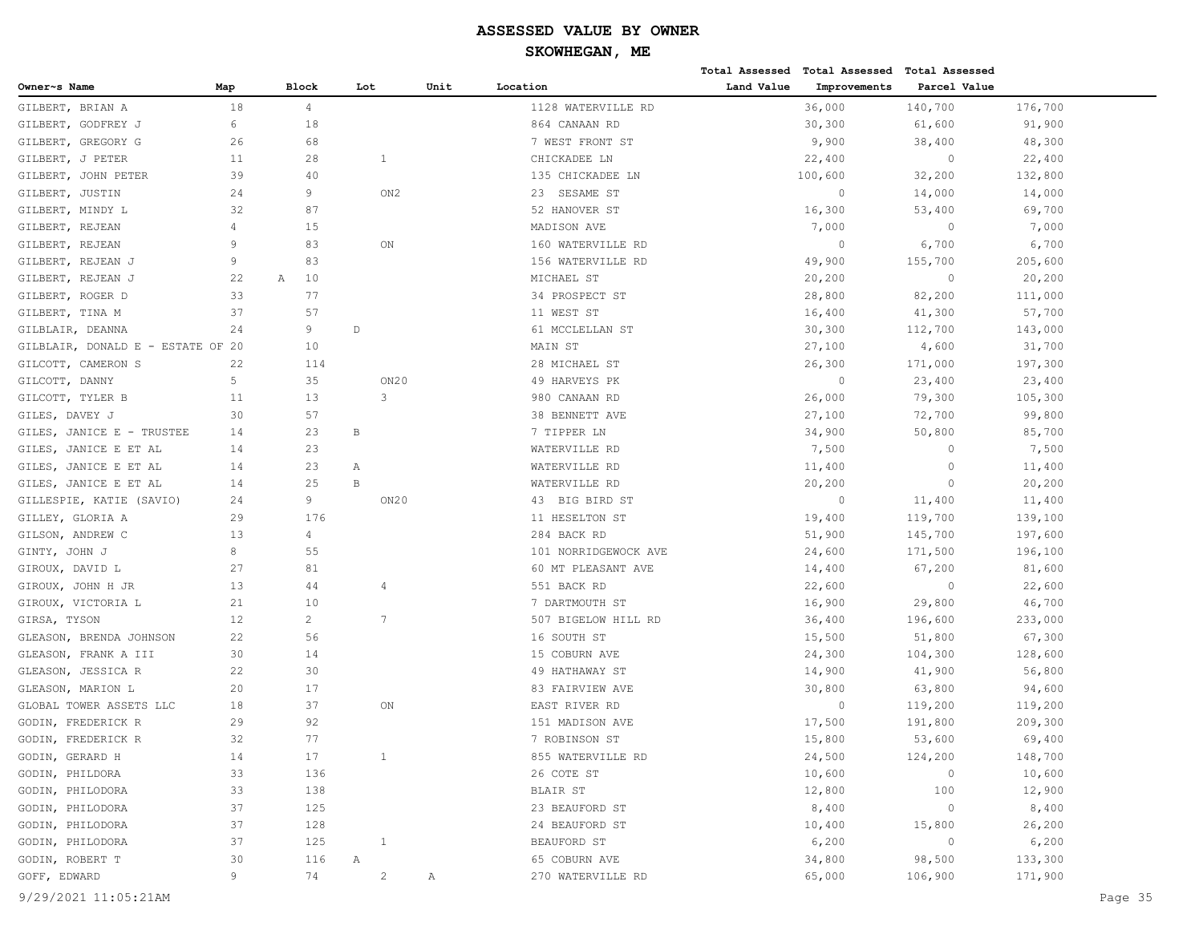|                                   |                |                |              |                 |      |                      |            | Total Assessed Total Assessed | Total Assessed |         |
|-----------------------------------|----------------|----------------|--------------|-----------------|------|----------------------|------------|-------------------------------|----------------|---------|
| Owner~s Name                      | Map            | Block          | Lot          |                 | Unit | Location             | Land Value | Improvements                  | Parcel Value   |         |
| GILBERT, BRIAN A                  | 18             | $\overline{4}$ |              |                 |      | 1128 WATERVILLE RD   |            | 36,000                        | 140,700        | 176,700 |
| GILBERT, GODFREY J                | 6              | 18             |              |                 |      | 864 CANAAN RD        |            | 30,300                        | 61,600         | 91,900  |
| GILBERT, GREGORY G                | 26             | 68             |              |                 |      | 7 WEST FRONT ST      |            | 9,900                         | 38,400         | 48,300  |
| GILBERT, J PETER                  | 11             | 28             |              | $\mathbf{1}$    |      | CHICKADEE LN         |            | 22,400                        | $\circ$        | 22,400  |
| GILBERT, JOHN PETER               | 39             | 40             |              |                 |      | 135 CHICKADEE LN     |            | 100,600                       | 32,200         | 132,800 |
| GILBERT, JUSTIN                   | 24             | 9              |              | ON2             |      | 23 SESAME ST         |            | $\circ$                       | 14,000         | 14,000  |
| GILBERT, MINDY L                  | 32             | 87             |              |                 |      | 52 HANOVER ST        |            | 16,300                        | 53,400         | 69,700  |
| GILBERT, REJEAN                   | $\overline{4}$ | 15             |              |                 |      | MADISON AVE          |            | 7,000                         | $\circ$        | 7,000   |
| GILBERT, REJEAN                   | 9              | 83             |              | ON              |      | 160 WATERVILLE RD    |            | $\circ$                       | 6,700          | 6,700   |
| GILBERT, REJEAN J                 | 9              | 83             |              |                 |      | 156 WATERVILLE RD    |            | 49,900                        | 155,700        | 205,600 |
| GILBERT, REJEAN J                 | 22             | 10<br>А        |              |                 |      | MICHAEL ST           |            | 20,200                        | $\circ$        | 20,200  |
| GILBERT, ROGER D                  | 33             | 77             |              |                 |      | 34 PROSPECT ST       |            | 28,800                        | 82,200         | 111,000 |
| GILBERT, TINA M                   | 37             | 57             |              |                 |      | 11 WEST ST           |            | 16,400                        | 41,300         | 57,700  |
| GILBLAIR, DEANNA                  | 24             | 9              | $\mathbb D$  |                 |      | 61 MCCLELLAN ST      |            | 30, 300                       | 112,700        | 143,000 |
| GILBLAIR, DONALD E - ESTATE OF 20 |                | 10             |              |                 |      | MAIN ST              |            | 27,100                        | 4,600          | 31,700  |
| GILCOTT, CAMERON S                | 22             | 114            |              |                 |      | 28 MICHAEL ST        |            | 26,300                        | 171,000        | 197,300 |
| GILCOTT, DANNY                    | 5              | 35             |              | ON20            |      | 49 HARVEYS PK        |            | $\circ$                       | 23,400         | 23,400  |
| GILCOTT, TYLER B                  | 11             | 13             |              | 3               |      | 980 CANAAN RD        |            | 26,000                        | 79,300         | 105,300 |
| GILES, DAVEY J                    | 30             | 57             |              |                 |      | 38 BENNETT AVE       |            | 27,100                        | 72,700         | 99,800  |
| GILES, JANICE E - TRUSTEE         | 14             | 23             | В            |                 |      | 7 TIPPER LN          |            | 34,900                        | 50,800         | 85,700  |
| GILES, JANICE E ET AL             | 14             | 23             |              |                 |      | WATERVILLE RD        |            | 7,500                         | $\circ$        | 7,500   |
| GILES, JANICE E ET AL             | 14             | 23             | Α            |                 |      | WATERVILLE RD        |            | 11,400                        | $\circ$        | 11,400  |
| GILES, JANICE E ET AL             | 14             | 25             | $\, {\bf B}$ |                 |      | WATERVILLE RD        |            | 20,200                        | $\circ$        | 20,200  |
| GILLESPIE, KATIE (SAVIO)          | 24             | 9              |              | ON20            |      | 43 BIG BIRD ST       |            | $\circ$                       | 11,400         | 11,400  |
| GILLEY, GLORIA A                  | 29             | 176            |              |                 |      | 11 HESELTON ST       |            | 19,400                        | 119,700        | 139,100 |
| GILSON, ANDREW C                  | 13             | $\overline{4}$ |              |                 |      | 284 BACK RD          |            | 51,900                        | 145,700        | 197,600 |
| GINTY, JOHN J                     | 8              | 55             |              |                 |      | 101 NORRIDGEWOCK AVE |            | 24,600                        | 171,500        | 196,100 |
| GIROUX, DAVID L                   | 27             | 81             |              |                 |      | 60 MT PLEASANT AVE   |            | 14,400                        | 67,200         | 81,600  |
| GIROUX, JOHN H JR                 | 13             | 44             |              | 4               |      | 551 BACK RD          |            | 22,600                        | $\circ$        | 22,600  |
| GIROUX, VICTORIA L                | 21             | 10             |              |                 |      | 7 DARTMOUTH ST       |            | 16,900                        | 29,800         | 46,700  |
| GIRSA, TYSON                      | 12             | $\overline{2}$ |              | $7\phantom{.0}$ |      | 507 BIGELOW HILL RD  |            | 36,400                        | 196,600        | 233,000 |
| GLEASON, BRENDA JOHNSON           | 22             | 56             |              |                 |      | 16 SOUTH ST          |            | 15,500                        | 51,800         | 67,300  |
| GLEASON, FRANK A III              | 30             | 14             |              |                 |      | 15 COBURN AVE        |            | 24,300                        | 104,300        | 128,600 |
| GLEASON, JESSICA R                | 22             | 30             |              |                 |      | 49 HATHAWAY ST       |            | 14,900                        | 41,900         | 56,800  |
| GLEASON, MARION L                 | 20             | 17             |              |                 |      | 83 FAIRVIEW AVE      |            | 30,800                        | 63,800         | 94,600  |
| GLOBAL TOWER ASSETS LLC           | 18             | 37             |              | ON              |      | EAST RIVER RD        |            | $\circ$                       | 119,200        | 119,200 |
| GODIN, FREDERICK R                | 29             | 92             |              |                 |      | 151 MADISON AVE      |            | 17,500                        | 191,800        | 209,300 |
| GODIN, FREDERICK R                | 32             | 77             |              |                 |      | 7 ROBINSON ST        |            | 15,800                        | 53,600         | 69,400  |
| GODIN, GERARD H                   | 14             | 17             |              | $\mathbf{1}$    |      | 855 WATERVILLE RD    |            | 24,500                        | 124,200        | 148,700 |
| GODIN, PHILDORA                   | 33             | 136            |              |                 |      | 26 COTE ST           |            | 10,600                        | $\circ$        | 10,600  |
| GODIN, PHILODORA                  | 33             | 138            |              |                 |      | BLAIR ST             |            | 12,800                        | 100            | 12,900  |
| GODIN, PHILODORA                  | 37             | 125            |              |                 |      | 23 BEAUFORD ST       |            | 8,400                         | $\circ$        | 8,400   |
| GODIN, PHILODORA                  | 37             | 128            |              |                 |      | 24 BEAUFORD ST       |            | 10,400                        | 15,800         | 26,200  |
| GODIN, PHILODORA                  | 37             | 125            |              | $\mathbf{1}$    |      | BEAUFORD ST          |            | 6,200                         | $\circ$        | 6,200   |
| GODIN, ROBERT T                   | 30             | 116            | Α            |                 |      | 65 COBURN AVE        |            | 34,800                        | 98,500         | 133,300 |
| GOFF, EDWARD                      | 9              | 74             |              | $\overline{c}$  | Α    | 270 WATERVILLE RD    |            | 65,000                        | 106,900        | 171,900 |
|                                   |                |                |              |                 |      |                      |            |                               |                |         |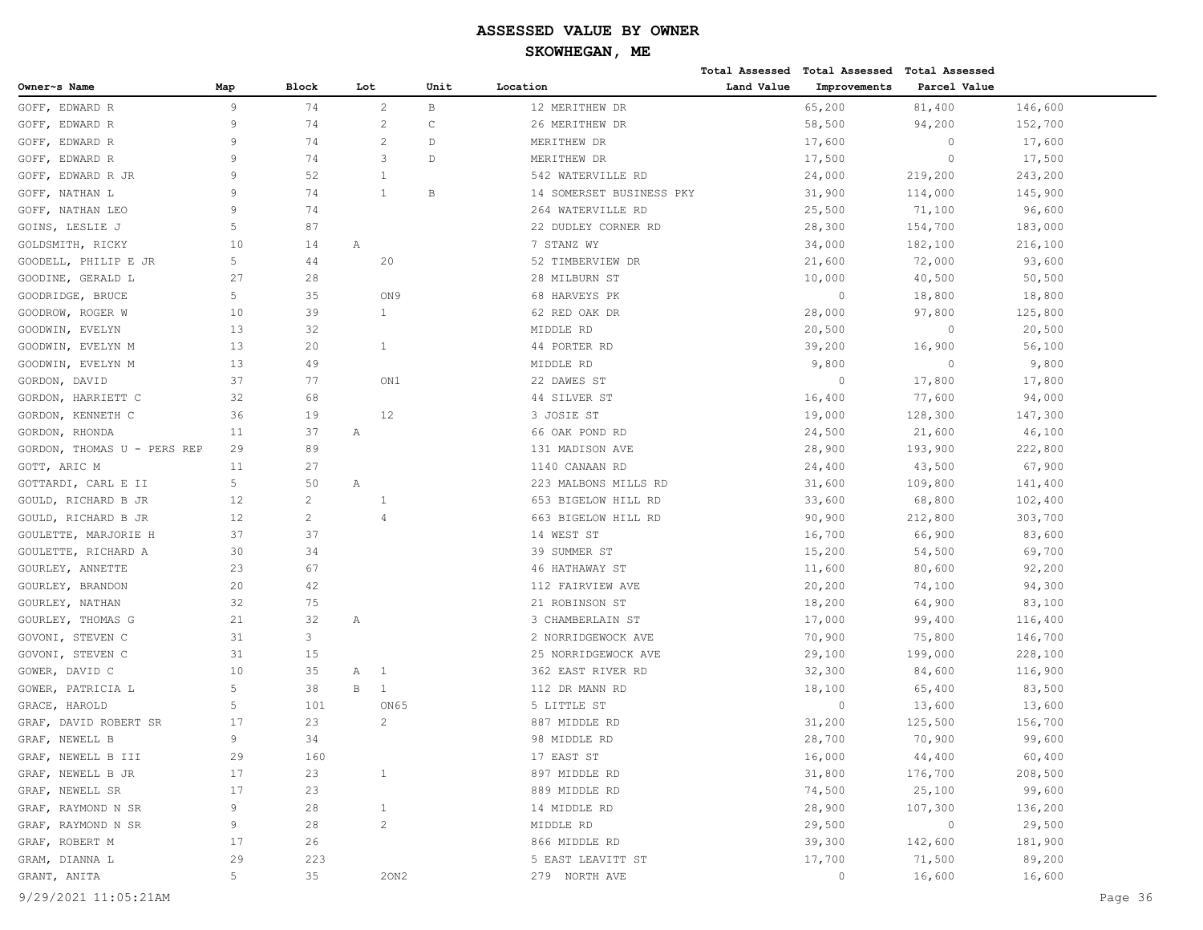# **SKOWHEGAN, ME**

|                             |     |                |     |                 |              |                          |            | Total Assessed Total Assessed Total Assessed |              |         |
|-----------------------------|-----|----------------|-----|-----------------|--------------|--------------------------|------------|----------------------------------------------|--------------|---------|
| Owner~s Name                | Map | Block          | Lot |                 | Unit         | Location                 | Land Value | Improvements                                 | Parcel Value |         |
| GOFF, EDWARD R              | 9   | 74             |     | $\overline{c}$  | $\mathbf B$  | 12 MERITHEW DR           |            | 65,200                                       | 81,400       | 146,600 |
| GOFF, EDWARD R              | 9   | 74             |     | $\overline{c}$  | $\mathsf{C}$ | 26 MERITHEW DR           |            | 58,500                                       | 94,200       | 152,700 |
| GOFF, EDWARD R              | 9   | 74             |     | 2               | D            | MERITHEW DR              |            | 17,600                                       | $\circ$      | 17,600  |
| GOFF, EDWARD R              | 9   | 74             |     | 3               | D            | MERITHEW DR              |            | 17,500                                       | $\circ$      | 17,500  |
| GOFF, EDWARD R JR           | 9   | 52             |     |                 |              | 542 WATERVILLE RD        |            | 24,000                                       | 219,200      | 243,200 |
| GOFF, NATHAN L              | 9   | 74             |     | $\mathbf{1}$    | B            | 14 SOMERSET BUSINESS PKY |            | 31,900                                       | 114,000      | 145,900 |
| GOFF, NATHAN LEO            | 9   | 74             |     |                 |              | 264 WATERVILLE RD        |            | 25,500                                       | 71,100       | 96,600  |
| GOINS, LESLIE J             | 5   | 87             |     |                 |              | 22 DUDLEY CORNER RD      |            | 28,300                                       | 154,700      | 183,000 |
| GOLDSMITH, RICKY            | 10  | 14             | Α   |                 |              | 7 STANZ WY               |            | 34,000                                       | 182,100      | 216,100 |
| GOODELL, PHILIP E JR        | 5   | 44             |     | 20              |              | 52 TIMBERVIEW DR         |            | 21,600                                       | 72,000       | 93,600  |
| GOODINE, GERALD L           | 27  | 28             |     |                 |              | 28 MILBURN ST            |            | 10,000                                       | 40,500       | 50, 500 |
| GOODRIDGE, BRUCE            | 5   | 35             |     | ON <sub>9</sub> |              | 68 HARVEYS PK            |            | $\circ$                                      | 18,800       | 18,800  |
| GOODROW, ROGER W            | 10  | 39             |     | $\mathbf{1}$    |              | 62 RED OAK DR            |            | 28,000                                       | 97,800       | 125,800 |
| GOODWIN, EVELYN             | 13  | 32             |     |                 |              | MIDDLE RD                |            | 20,500                                       | $\circ$      | 20,500  |
| GOODWIN, EVELYN M           | 13  | 20             |     | $\mathbf{1}$    |              | 44 PORTER RD             |            | 39,200                                       | 16,900       | 56,100  |
| GOODWIN, EVELYN M           | 13  | 49             |     |                 |              | MIDDLE RD                |            | 9,800                                        | $\circ$      | 9,800   |
| GORDON, DAVID               | 37  | 77             |     | ON1             |              | 22 DAWES ST              |            | $\circ$                                      | 17,800       | 17,800  |
| GORDON, HARRIETT C          | 32  | 68             |     |                 |              | 44 SILVER ST             |            | 16,400                                       | 77,600       | 94,000  |
| GORDON, KENNETH C           | 36  | 19             |     | 12              |              | 3 JOSIE ST               |            | 19,000                                       | 128,300      | 147,300 |
| GORDON, RHONDA              | 11  | 37             | Α   |                 |              | 66 OAK POND RD           |            | 24,500                                       | 21,600       | 46,100  |
| GORDON, THOMAS U - PERS REP | 29  | 89             |     |                 |              | 131 MADISON AVE          |            | 28,900                                       | 193,900      | 222,800 |
| GOTT, ARIC M                | 11  | 27             |     |                 |              | 1140 CANAAN RD           |            | 24,400                                       | 43,500       | 67,900  |
| GOTTARDI, CARL E II         | 5   | 50             | Α   |                 |              | 223 MALBONS MILLS RD     |            | 31,600                                       | 109,800      | 141,400 |
| GOULD, RICHARD B JR         | 12  | $\overline{c}$ |     | $\mathbf{1}$    |              | 653 BIGELOW HILL RD      |            | 33,600                                       | 68,800       | 102,400 |
| GOULD, RICHARD B JR         | 12  | $\overline{c}$ |     | $\overline{4}$  |              | 663 BIGELOW HILL RD      |            | 90,900                                       | 212,800      | 303,700 |
| GOULETTE, MARJORIE H        | 37  | 37             |     |                 |              | 14 WEST ST               |            | 16,700                                       | 66,900       | 83,600  |
| GOULETTE, RICHARD A         | 30  | 34             |     |                 |              | 39 SUMMER ST             |            | 15,200                                       | 54,500       | 69,700  |
| GOURLEY, ANNETTE            | 23  | 67             |     |                 |              | 46 HATHAWAY ST           |            | 11,600                                       | 80,600       | 92,200  |
| GOURLEY, BRANDON            | 20  | 42             |     |                 |              | 112 FAIRVIEW AVE         |            | 20,200                                       | 74,100       | 94,300  |
| GOURLEY, NATHAN             | 32  | 75             |     |                 |              | 21 ROBINSON ST           |            | 18,200                                       | 64,900       | 83,100  |
| GOURLEY, THOMAS G           | 21  | 32             | Α   |                 |              | 3 CHAMBERLAIN ST         |            | 17,000                                       | 99,400       | 116,400 |
| GOVONI, STEVEN C            | 31  | 3              |     |                 |              | 2 NORRIDGEWOCK AVE       |            | 70,900                                       | 75,800       | 146,700 |
| GOVONI, STEVEN C            | 31  | 15             |     |                 |              | 25 NORRIDGEWOCK AVE      |            | 29,100                                       | 199,000      | 228,100 |
| GOWER, DAVID C              | 10  | 35             | Α   | $\overline{1}$  |              | 362 EAST RIVER RD        |            | 32,300                                       | 84,600       | 116,900 |
| GOWER, PATRICIA L           | 5   | 38             | В   | 1               |              | 112 DR MANN RD           |            | 18,100                                       | 65,400       | 83,500  |
| GRACE, HAROLD               | 5   | 101            |     | ON65            |              | 5 LITTLE ST              |            | $\circ$                                      | 13,600       | 13,600  |
| GRAF, DAVID ROBERT SR       | 17  | 23             |     | 2               |              | 887 MIDDLE RD            |            | 31,200                                       | 125,500      | 156,700 |
| GRAF, NEWELL B              | 9   | 34             |     |                 |              | 98 MIDDLE RD             |            | 28,700                                       | 70,900       | 99,600  |
| GRAF, NEWELL B III          | 29  | 160            |     |                 |              | 17 EAST ST               |            | 16,000                                       | 44,400       | 60,400  |
| GRAF, NEWELL B JR           | 17  | 23             |     | $\mathbf{1}$    |              | 897 MIDDLE RD            |            | 31,800                                       | 176,700      | 208,500 |
| GRAF, NEWELL SR             | 17  | 23             |     |                 |              | 889 MIDDLE RD            |            | 74,500                                       | 25,100       | 99,600  |
| GRAF, RAYMOND N SR          | 9   | 28             |     | $\mathbf{1}$    |              | 14 MIDDLE RD             |            | 28,900                                       | 107,300      | 136,200 |
| GRAF, RAYMOND N SR          | 9   | 28             |     | $\overline{c}$  |              | MIDDLE RD                |            | 29,500                                       | $\circ$      | 29,500  |
| GRAF, ROBERT M              | 17  | 26             |     |                 |              | 866 MIDDLE RD            |            | 39,300                                       | 142,600      | 181,900 |
| GRAM, DIANNA L              | 29  | 223            |     |                 |              | 5 EAST LEAVITT ST        |            | 17,700                                       | 71,500       | 89,200  |
| GRANT, ANITA                | 5   | 35             |     | 20N2            |              | 279 NORTH AVE            |            | $\circ$                                      | 16,600       | 16,600  |
|                             |     |                |     |                 |              |                          |            |                                              |              |         |

9/29/2021 11:05:21AM Page 36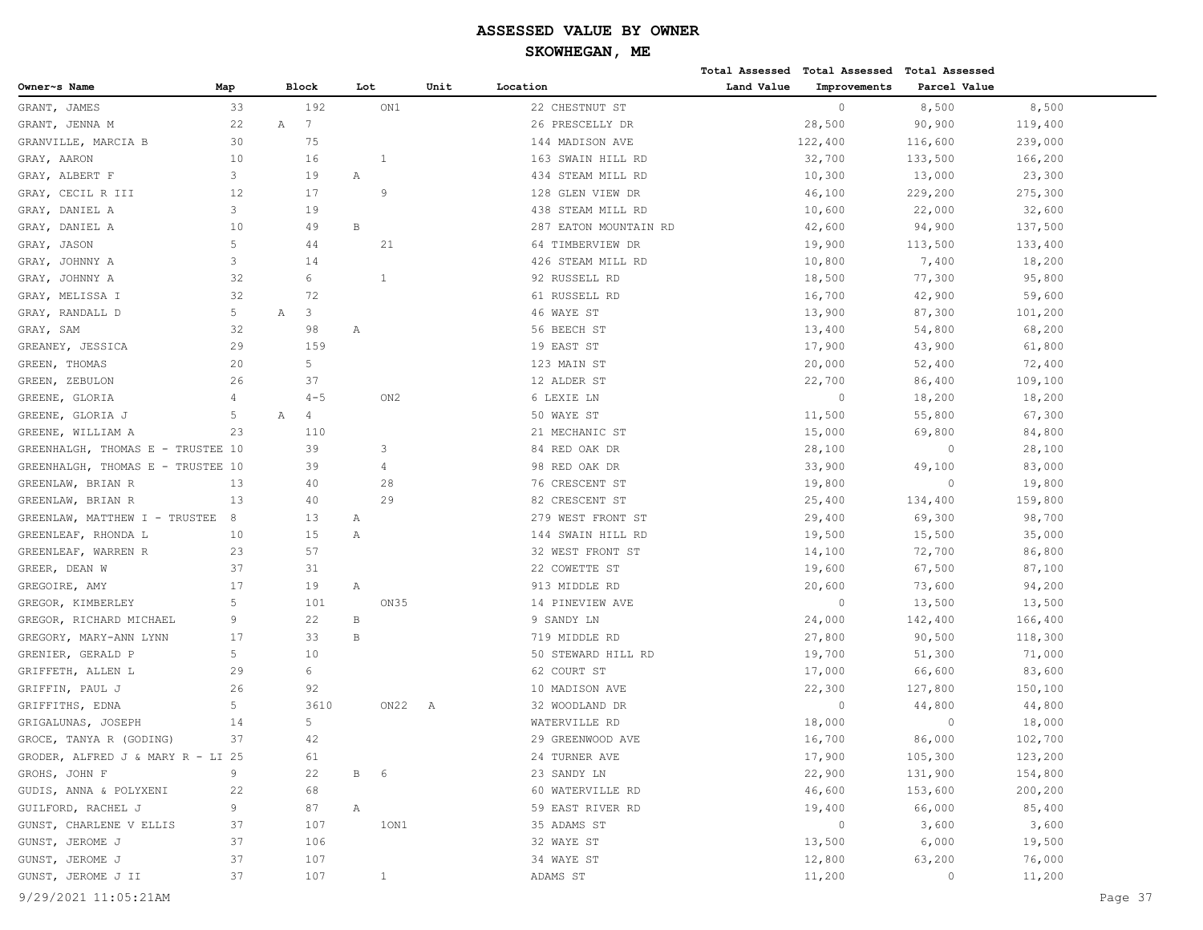**Total Assessed Total Assessed Total Assessed** 

| Owner~s Name                      | Map               | Block                         | Lot          |                 | Unit | Location              | Land Value | Improvements | Parcel Value |         |         |
|-----------------------------------|-------------------|-------------------------------|--------------|-----------------|------|-----------------------|------------|--------------|--------------|---------|---------|
| GRANT, JAMES                      | 33                | 192                           |              | ON1             |      | 22 CHESTNUT ST        |            | $\mathbf{0}$ | 8,500        | 8,500   |         |
| GRANT, JENNA M                    | 22                | $7\phantom{.0}$<br>Α          |              |                 |      | 26 PRESCELLY DR       |            | 28,500       | 90,900       | 119,400 |         |
| GRANVILLE, MARCIA B               | 30                | 75                            |              |                 |      | 144 MADISON AVE       |            | 122,400      | 116,600      | 239,000 |         |
| GRAY, AARON                       | 10                | 16                            |              | 1               |      | 163 SWAIN HILL RD     |            | 32,700       | 133,500      | 166,200 |         |
| GRAY, ALBERT F                    | 3                 | 19                            | Α            |                 |      | 434 STEAM MILL RD     |            | 10,300       | 13,000       | 23,300  |         |
| GRAY, CECIL R III                 | $12 \overline{ }$ | 17                            |              | 9               |      | 128 GLEN VIEW DR      |            | 46,100       | 229,200      | 275,300 |         |
| GRAY, DANIEL A                    | 3                 | 19                            |              |                 |      | 438 STEAM MILL RD     |            | 10,600       | 22,000       | 32,600  |         |
| GRAY, DANIEL A                    | 10                | 49                            | $\, {\bf B}$ |                 |      | 287 EATON MOUNTAIN RD |            | 42,600       | 94,900       | 137,500 |         |
| GRAY, JASON                       | 5                 | 44                            |              | 21              |      | 64 TIMBERVIEW DR      |            | 19,900       | 113,500      | 133,400 |         |
| GRAY, JOHNNY A                    | 3                 | 14                            |              |                 |      | 426 STEAM MILL RD     |            | 10,800       | 7,400        | 18,200  |         |
| GRAY, JOHNNY A                    | 32                | 6                             |              | $\mathbf{1}$    |      | 92 RUSSELL RD         |            | 18,500       | 77,300       | 95,800  |         |
| GRAY, MELISSA I                   | 32                | 72                            |              |                 |      | 61 RUSSELL RD         |            | 16,700       | 42,900       | 59,600  |         |
| GRAY, RANDALL D                   | 5                 | 3<br>Α                        |              |                 |      | 46 WAYE ST            |            | 13,900       | 87,300       | 101,200 |         |
| GRAY, SAM                         | 32                | 98                            | Α            |                 |      | 56 BEECH ST           |            | 13,400       | 54,800       | 68,200  |         |
| GREANEY, JESSICA                  | 29                | 159                           |              |                 |      | 19 EAST ST            |            | 17,900       | 43,900       | 61,800  |         |
| GREEN, THOMAS                     | 20                | 5 <sup>5</sup>                |              |                 |      | 123 MAIN ST           |            | 20,000       | 52,400       | 72,400  |         |
| GREEN, ZEBULON                    | 26                | 37                            |              |                 |      | 12 ALDER ST           |            | 22,700       | 86,400       | 109,100 |         |
| GREENE, GLORIA                    | $\overline{4}$    | $4 - 5$                       |              | ON <sub>2</sub> |      | 6 LEXIE LN            |            | $\circ$      | 18,200       | 18,200  |         |
| GREENE, GLORIA J                  | 5                 | $\mathbb A$<br>$\overline{4}$ |              |                 |      | 50 WAYE ST            |            | 11,500       | 55,800       | 67,300  |         |
| GREENE, WILLIAM A                 | 23                | 110                           |              |                 |      | 21 MECHANIC ST        |            | 15,000       | 69,800       | 84,800  |         |
| GREENHALGH, THOMAS E - TRUSTEE 10 |                   | 39                            |              | 3               |      | 84 RED OAK DR         |            | 28,100       | $\circ$      | 28,100  |         |
| GREENHALGH, THOMAS E - TRUSTEE 10 |                   | 39                            |              | 4               |      | 98 RED OAK DR         |            | 33,900       | 49,100       | 83,000  |         |
| GREENLAW, BRIAN R                 | 13                | 40                            |              | 28              |      | 76 CRESCENT ST        |            | 19,800       | $\circ$      | 19,800  |         |
| GREENLAW, BRIAN R                 | 13                | 40                            |              | 29              |      | 82 CRESCENT ST        |            | 25,400       | 134,400      | 159,800 |         |
| GREENLAW, MATTHEW I - TRUSTEE     | 8                 | 13                            | Α            |                 |      | 279 WEST FRONT ST     |            | 29,400       | 69,300       | 98,700  |         |
| GREENLEAF, RHONDA L               | 10                | 15                            | Α            |                 |      | 144 SWAIN HILL RD     |            | 19,500       | 15,500       | 35,000  |         |
| GREENLEAF, WARREN R               | 23                | 57                            |              |                 |      | 32 WEST FRONT ST      |            | 14,100       | 72,700       | 86,800  |         |
| GREER, DEAN W                     | 37                | 31                            |              |                 |      | 22 COWETTE ST         |            | 19,600       | 67,500       | 87,100  |         |
| GREGOIRE, AMY                     | 17                | 19                            | Α            |                 |      | 913 MIDDLE RD         |            | 20,600       | 73,600       | 94,200  |         |
| GREGOR, KIMBERLEY                 | 5                 | 101                           |              | ON35            |      | 14 PINEVIEW AVE       |            | $\circ$      | 13,500       | 13,500  |         |
| GREGOR, RICHARD MICHAEL           | 9                 | 22                            | В            |                 |      | 9 SANDY LN            |            | 24,000       | 142,400      | 166,400 |         |
| GREGORY, MARY-ANN LYNN            | 17                | 33                            | В            |                 |      | 719 MIDDLE RD         |            | 27,800       | 90,500       | 118,300 |         |
| GRENIER, GERALD P                 | 5                 | 10                            |              |                 |      | 50 STEWARD HILL RD    |            | 19,700       | 51,300       | 71,000  |         |
| GRIFFETH, ALLEN L                 | 29                | 6                             |              |                 |      | 62 COURT ST           |            | 17,000       | 66,600       | 83,600  |         |
| GRIFFIN, PAUL J                   | 26                | 92                            |              |                 |      | 10 MADISON AVE        |            | 22,300       | 127,800      | 150,100 |         |
| GRIFFITHS, EDNA                   | 5                 | 3610                          |              | ON22 A          |      | 32 WOODLAND DR        |            | $\circ$      | 44,800       | 44,800  |         |
| GRIGALUNAS, JOSEPH                | 14                | 5                             |              |                 |      | WATERVILLE RD         |            | 18,000       | $\circ$      | 18,000  |         |
| GROCE, TANYA R (GODING)           | 37                | 42                            |              |                 |      | 29 GREENWOOD AVE      |            | 16,700       | 86,000       | 102,700 |         |
| GRODER, ALFRED J & MARY R - LI 25 |                   | 61                            |              |                 |      | 24 TURNER AVE         |            | 17,900       | 105,300      | 123,200 |         |
| GROHS, JOHN F                     | 9                 | 22                            | B 6          |                 |      | 23 SANDY LN           |            | 22,900       | 131,900      | 154,800 |         |
| GUDIS, ANNA & POLYXENI            | 22                | 68                            |              |                 |      | 60 WATERVILLE RD      |            | 46,600       | 153,600      | 200,200 |         |
| GUILFORD, RACHEL J                | 9                 | 87                            | $\mathbb{A}$ |                 |      | 59 EAST RIVER RD      |            | 19,400       | 66,000       | 85,400  |         |
| GUNST, CHARLENE V ELLIS           | 37                | 107                           |              | 10N1            |      | 35 ADAMS ST           |            | $\circ$      | 3,600        | 3,600   |         |
| GUNST, JEROME J                   | 37                | 106                           |              |                 |      | 32 WAYE ST            |            | 13,500       | 6,000        | 19,500  |         |
| GUNST, JEROME J                   | 37                | 107                           |              |                 |      | 34 WAYE ST            |            | 12,800       | 63,200       | 76,000  |         |
| GUNST, JEROME J II                | 37                | 107                           |              | $\mathbf{1}$    |      | ADAMS ST              |            | 11,200       | $\circ$      | 11,200  |         |
| 9/29/2021 11:05:21AM              |                   |                               |              |                 |      |                       |            |              |              |         | Page 37 |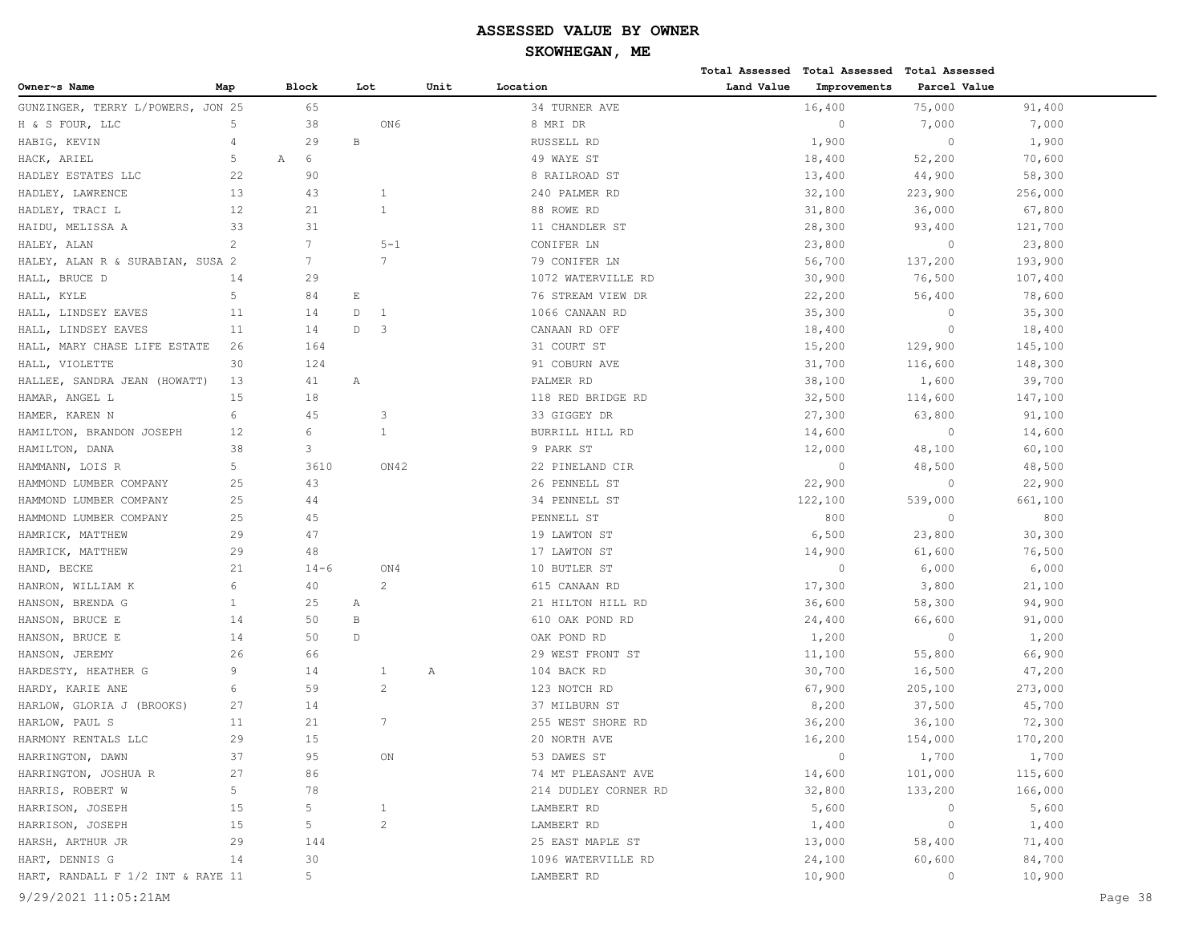| Block<br>Unit<br>Location<br>Land Value<br>Improvements<br>Parcel Value<br>Map<br>Lot<br>65<br>16,400<br>75,000<br>GUNZINGER, TERRY L/POWERS, JON 25<br>34 TURNER AVE<br>91,400<br>ON6<br>7,000<br>7,000<br>5<br>38<br>8 MRI DR<br>$\circ$<br>$\, {\bf B}$<br>4<br>29<br>RUSSELL RD<br>1,900<br>$\circ$<br>1,900<br>6<br>5<br>49 WAYE ST<br>18,400<br>52,200<br>70,600<br>Α<br>22<br>90<br>8 RAILROAD ST<br>13,400<br>44,900<br>58,300<br>13<br>43<br>$\mathbf{1}$<br>32,100<br>240 PALMER RD<br>223,900<br>256,000<br>$\mathbf{1}$<br>12<br>21<br>88 ROWE RD<br>31,800<br>36,000<br>67,800<br>33<br>31<br>11 CHANDLER ST<br>28,300<br>93,400<br>121,700<br>2<br>$7\overline{ }$<br>$5 - 1$<br>CONIFER LN<br>23,800<br>$\circ$<br>23,800<br>$\overline{7}$<br>$7\phantom{.0}$<br>56,700<br>193,900<br>HALEY, ALAN R & SURABIAN, SUSA 2<br>79 CONIFER LN<br>137,200<br>14<br>29<br>1072 WATERVILLE RD<br>30,900<br>76,500<br>107,400<br>5<br>$\mathop{}\!\textnormal{E}$<br>HALL, KYLE<br>84<br>76 STREAM VIEW DR<br>22,200<br>56,400<br>78,600<br>D<br>$\circ$<br>11<br>14<br>$\mathbf{1}$<br>1066 CANAAN RD<br>35,300<br>35,300<br>D<br>$\overline{\mathbf{3}}$<br>$\circ$<br>11<br>14<br>CANAAN RD OFF<br>18,400<br>18,400<br>164<br>31 COURT ST<br>15,200<br>129,900<br>145,100<br>26<br>30<br>124<br>91 COBURN AVE<br>31,700<br>116,600<br>148,300<br>HALLEE, SANDRA JEAN (HOWATT)<br>13<br>41<br>Α<br>PALMER RD<br>38,100<br>1,600<br>39,700<br>15<br>18<br>32,500<br>118 RED BRIDGE RD<br>114,600<br>147,100<br>6<br>45<br>HAMER, KAREN N<br>3<br>33 GIGGEY DR<br>27,300<br>63,800<br>91,100<br>6<br>$\circ$<br>HAMILTON, BRANDON JOSEPH<br>12<br>1<br>BURRILL HILL RD<br>14,600<br>14,600<br>3<br>HAMILTON, DANA<br>38<br>9 PARK ST<br>12,000<br>48,100<br>60,100<br>5<br>$\circ$<br>HAMMANN, LOIS R<br>3610<br>ON42<br>22 PINELAND CIR<br>48,500<br>48,500<br>HAMMOND LUMBER COMPANY<br>25<br>43<br>26 PENNELL ST<br>22,900<br>$\circ$<br>22,900<br>25<br>44<br>34 PENNELL ST<br>122,100<br>539,000<br>661,100<br>800<br>HAMMOND LUMBER COMPANY<br>25<br>45<br>PENNELL ST<br>800<br>$\circ$<br>47<br>23,800<br>30,300<br>HAMRICK, MATTHEW<br>29<br>19 LAWTON ST<br>6,500<br>HAMRICK, MATTHEW<br>29<br>48<br>17 LAWTON ST<br>14,900<br>61,600<br>76,500<br>21<br>$\circ$<br>6,000<br>$14 - 6$<br>ON4<br>10 BUTLER ST<br>6,000<br>HAND, BECKE<br>$\overline{c}$<br>6<br>40<br>615 CANAAN RD<br>17,300<br>3,800<br>21,100<br>HANRON, WILLIAM K<br>$\mathbf{1}$<br>25<br>21 HILTON HILL RD<br>36,600<br>58,300<br>94,900<br>А<br>14<br>50<br>B<br>610 OAK POND RD<br>24,400<br>66,600<br>91,000<br>50<br>$\mathbb D$<br>$\circ$<br>14<br>OAK POND RD<br>1,200<br>1,200<br>26<br>66<br>29 WEST FRONT ST<br>11,100<br>55,800<br>66,900<br>9<br>14<br>1<br>104 BACK RD<br>30,700<br>16,500<br>47,200<br>Α<br>$\mathbf{2}$<br>6<br>59<br>123 NOTCH RD<br>67,900<br>205,100<br>273,000<br>27<br>14<br>8,200<br>37,500<br>45,700<br>HARLOW, GLORIA J (BROOKS)<br>37 MILBURN ST<br>7<br>11<br>21<br>255 WEST SHORE RD<br>36,200<br>36,100<br>72,300<br>HARMONY RENTALS LLC<br>29<br>15<br>20 NORTH AVE<br>16,200<br>154,000<br>170,200<br>$\circ$<br>HARRINGTON, DAWN<br>37<br>95<br>ON<br>53 DAWES ST<br>1,700<br>1,700<br>27<br>86<br>101,000<br>115,600<br>74 MT PLEASANT AVE<br>14,600<br>5<br>HARRIS, ROBERT W<br>78<br>214 DUDLEY CORNER RD<br>32,800<br>133,200<br>166,000<br>5<br>15<br>$\mathbf{1}$<br>LAMBERT RD<br>5,600<br>5,600<br>0<br>$\overline{c}$<br>5<br>15<br>LAMBERT RD<br>1,400<br>$\circ$<br>1,400<br>29<br>144<br>25 EAST MAPLE ST<br>13,000<br>58,400<br>71,400<br>14<br>30<br>1096 WATERVILLE RD<br>24,100<br>60,600<br>84,700<br>5<br>HART, RANDALL F 1/2 INT & RAYE 11<br>LAMBERT RD<br>10,900<br>$\circ$<br>10,900<br>9/29/2021 11:05:21AM<br>Page 38 |                              |  |  |  | Total Assessed Total Assessed | <b>Total Assessed</b> |  |
|---------------------------------------------------------------------------------------------------------------------------------------------------------------------------------------------------------------------------------------------------------------------------------------------------------------------------------------------------------------------------------------------------------------------------------------------------------------------------------------------------------------------------------------------------------------------------------------------------------------------------------------------------------------------------------------------------------------------------------------------------------------------------------------------------------------------------------------------------------------------------------------------------------------------------------------------------------------------------------------------------------------------------------------------------------------------------------------------------------------------------------------------------------------------------------------------------------------------------------------------------------------------------------------------------------------------------------------------------------------------------------------------------------------------------------------------------------------------------------------------------------------------------------------------------------------------------------------------------------------------------------------------------------------------------------------------------------------------------------------------------------------------------------------------------------------------------------------------------------------------------------------------------------------------------------------------------------------------------------------------------------------------------------------------------------------------------------------------------------------------------------------------------------------------------------------------------------------------------------------------------------------------------------------------------------------------------------------------------------------------------------------------------------------------------------------------------------------------------------------------------------------------------------------------------------------------------------------------------------------------------------------------------------------------------------------------------------------------------------------------------------------------------------------------------------------------------------------------------------------------------------------------------------------------------------------------------------------------------------------------------------------------------------------------------------------------------------------------------------------------------------------------------------------------------------------------------------------------------------------------------------------------------------------------------------------------------------------------------------------------------------------------------------------------------------------------------------------------------------------------------------------------------------------------------------------------------------------------------------------------------------------------------------------------------------------------------------------------------------------------------------------------------------|------------------------------|--|--|--|-------------------------------|-----------------------|--|
|                                                                                                                                                                                                                                                                                                                                                                                                                                                                                                                                                                                                                                                                                                                                                                                                                                                                                                                                                                                                                                                                                                                                                                                                                                                                                                                                                                                                                                                                                                                                                                                                                                                                                                                                                                                                                                                                                                                                                                                                                                                                                                                                                                                                                                                                                                                                                                                                                                                                                                                                                                                                                                                                                                                                                                                                                                                                                                                                                                                                                                                                                                                                                                                                                                                                                                                                                                                                                                                                                                                                                                                                                                                                                                                                                                                 | Owner~s Name                 |  |  |  |                               |                       |  |
|                                                                                                                                                                                                                                                                                                                                                                                                                                                                                                                                                                                                                                                                                                                                                                                                                                                                                                                                                                                                                                                                                                                                                                                                                                                                                                                                                                                                                                                                                                                                                                                                                                                                                                                                                                                                                                                                                                                                                                                                                                                                                                                                                                                                                                                                                                                                                                                                                                                                                                                                                                                                                                                                                                                                                                                                                                                                                                                                                                                                                                                                                                                                                                                                                                                                                                                                                                                                                                                                                                                                                                                                                                                                                                                                                                                 |                              |  |  |  |                               |                       |  |
|                                                                                                                                                                                                                                                                                                                                                                                                                                                                                                                                                                                                                                                                                                                                                                                                                                                                                                                                                                                                                                                                                                                                                                                                                                                                                                                                                                                                                                                                                                                                                                                                                                                                                                                                                                                                                                                                                                                                                                                                                                                                                                                                                                                                                                                                                                                                                                                                                                                                                                                                                                                                                                                                                                                                                                                                                                                                                                                                                                                                                                                                                                                                                                                                                                                                                                                                                                                                                                                                                                                                                                                                                                                                                                                                                                                 | H & S FOUR, LLC              |  |  |  |                               |                       |  |
|                                                                                                                                                                                                                                                                                                                                                                                                                                                                                                                                                                                                                                                                                                                                                                                                                                                                                                                                                                                                                                                                                                                                                                                                                                                                                                                                                                                                                                                                                                                                                                                                                                                                                                                                                                                                                                                                                                                                                                                                                                                                                                                                                                                                                                                                                                                                                                                                                                                                                                                                                                                                                                                                                                                                                                                                                                                                                                                                                                                                                                                                                                                                                                                                                                                                                                                                                                                                                                                                                                                                                                                                                                                                                                                                                                                 | HABIG, KEVIN                 |  |  |  |                               |                       |  |
|                                                                                                                                                                                                                                                                                                                                                                                                                                                                                                                                                                                                                                                                                                                                                                                                                                                                                                                                                                                                                                                                                                                                                                                                                                                                                                                                                                                                                                                                                                                                                                                                                                                                                                                                                                                                                                                                                                                                                                                                                                                                                                                                                                                                                                                                                                                                                                                                                                                                                                                                                                                                                                                                                                                                                                                                                                                                                                                                                                                                                                                                                                                                                                                                                                                                                                                                                                                                                                                                                                                                                                                                                                                                                                                                                                                 | HACK, ARIEL                  |  |  |  |                               |                       |  |
|                                                                                                                                                                                                                                                                                                                                                                                                                                                                                                                                                                                                                                                                                                                                                                                                                                                                                                                                                                                                                                                                                                                                                                                                                                                                                                                                                                                                                                                                                                                                                                                                                                                                                                                                                                                                                                                                                                                                                                                                                                                                                                                                                                                                                                                                                                                                                                                                                                                                                                                                                                                                                                                                                                                                                                                                                                                                                                                                                                                                                                                                                                                                                                                                                                                                                                                                                                                                                                                                                                                                                                                                                                                                                                                                                                                 | HADLEY ESTATES LLC           |  |  |  |                               |                       |  |
|                                                                                                                                                                                                                                                                                                                                                                                                                                                                                                                                                                                                                                                                                                                                                                                                                                                                                                                                                                                                                                                                                                                                                                                                                                                                                                                                                                                                                                                                                                                                                                                                                                                                                                                                                                                                                                                                                                                                                                                                                                                                                                                                                                                                                                                                                                                                                                                                                                                                                                                                                                                                                                                                                                                                                                                                                                                                                                                                                                                                                                                                                                                                                                                                                                                                                                                                                                                                                                                                                                                                                                                                                                                                                                                                                                                 | HADLEY, LAWRENCE             |  |  |  |                               |                       |  |
|                                                                                                                                                                                                                                                                                                                                                                                                                                                                                                                                                                                                                                                                                                                                                                                                                                                                                                                                                                                                                                                                                                                                                                                                                                                                                                                                                                                                                                                                                                                                                                                                                                                                                                                                                                                                                                                                                                                                                                                                                                                                                                                                                                                                                                                                                                                                                                                                                                                                                                                                                                                                                                                                                                                                                                                                                                                                                                                                                                                                                                                                                                                                                                                                                                                                                                                                                                                                                                                                                                                                                                                                                                                                                                                                                                                 | HADLEY, TRACI L              |  |  |  |                               |                       |  |
|                                                                                                                                                                                                                                                                                                                                                                                                                                                                                                                                                                                                                                                                                                                                                                                                                                                                                                                                                                                                                                                                                                                                                                                                                                                                                                                                                                                                                                                                                                                                                                                                                                                                                                                                                                                                                                                                                                                                                                                                                                                                                                                                                                                                                                                                                                                                                                                                                                                                                                                                                                                                                                                                                                                                                                                                                                                                                                                                                                                                                                                                                                                                                                                                                                                                                                                                                                                                                                                                                                                                                                                                                                                                                                                                                                                 | HAIDU, MELISSA A             |  |  |  |                               |                       |  |
|                                                                                                                                                                                                                                                                                                                                                                                                                                                                                                                                                                                                                                                                                                                                                                                                                                                                                                                                                                                                                                                                                                                                                                                                                                                                                                                                                                                                                                                                                                                                                                                                                                                                                                                                                                                                                                                                                                                                                                                                                                                                                                                                                                                                                                                                                                                                                                                                                                                                                                                                                                                                                                                                                                                                                                                                                                                                                                                                                                                                                                                                                                                                                                                                                                                                                                                                                                                                                                                                                                                                                                                                                                                                                                                                                                                 | HALEY, ALAN                  |  |  |  |                               |                       |  |
|                                                                                                                                                                                                                                                                                                                                                                                                                                                                                                                                                                                                                                                                                                                                                                                                                                                                                                                                                                                                                                                                                                                                                                                                                                                                                                                                                                                                                                                                                                                                                                                                                                                                                                                                                                                                                                                                                                                                                                                                                                                                                                                                                                                                                                                                                                                                                                                                                                                                                                                                                                                                                                                                                                                                                                                                                                                                                                                                                                                                                                                                                                                                                                                                                                                                                                                                                                                                                                                                                                                                                                                                                                                                                                                                                                                 |                              |  |  |  |                               |                       |  |
|                                                                                                                                                                                                                                                                                                                                                                                                                                                                                                                                                                                                                                                                                                                                                                                                                                                                                                                                                                                                                                                                                                                                                                                                                                                                                                                                                                                                                                                                                                                                                                                                                                                                                                                                                                                                                                                                                                                                                                                                                                                                                                                                                                                                                                                                                                                                                                                                                                                                                                                                                                                                                                                                                                                                                                                                                                                                                                                                                                                                                                                                                                                                                                                                                                                                                                                                                                                                                                                                                                                                                                                                                                                                                                                                                                                 | HALL, BRUCE D                |  |  |  |                               |                       |  |
|                                                                                                                                                                                                                                                                                                                                                                                                                                                                                                                                                                                                                                                                                                                                                                                                                                                                                                                                                                                                                                                                                                                                                                                                                                                                                                                                                                                                                                                                                                                                                                                                                                                                                                                                                                                                                                                                                                                                                                                                                                                                                                                                                                                                                                                                                                                                                                                                                                                                                                                                                                                                                                                                                                                                                                                                                                                                                                                                                                                                                                                                                                                                                                                                                                                                                                                                                                                                                                                                                                                                                                                                                                                                                                                                                                                 |                              |  |  |  |                               |                       |  |
|                                                                                                                                                                                                                                                                                                                                                                                                                                                                                                                                                                                                                                                                                                                                                                                                                                                                                                                                                                                                                                                                                                                                                                                                                                                                                                                                                                                                                                                                                                                                                                                                                                                                                                                                                                                                                                                                                                                                                                                                                                                                                                                                                                                                                                                                                                                                                                                                                                                                                                                                                                                                                                                                                                                                                                                                                                                                                                                                                                                                                                                                                                                                                                                                                                                                                                                                                                                                                                                                                                                                                                                                                                                                                                                                                                                 | HALL, LINDSEY EAVES          |  |  |  |                               |                       |  |
|                                                                                                                                                                                                                                                                                                                                                                                                                                                                                                                                                                                                                                                                                                                                                                                                                                                                                                                                                                                                                                                                                                                                                                                                                                                                                                                                                                                                                                                                                                                                                                                                                                                                                                                                                                                                                                                                                                                                                                                                                                                                                                                                                                                                                                                                                                                                                                                                                                                                                                                                                                                                                                                                                                                                                                                                                                                                                                                                                                                                                                                                                                                                                                                                                                                                                                                                                                                                                                                                                                                                                                                                                                                                                                                                                                                 | HALL, LINDSEY EAVES          |  |  |  |                               |                       |  |
|                                                                                                                                                                                                                                                                                                                                                                                                                                                                                                                                                                                                                                                                                                                                                                                                                                                                                                                                                                                                                                                                                                                                                                                                                                                                                                                                                                                                                                                                                                                                                                                                                                                                                                                                                                                                                                                                                                                                                                                                                                                                                                                                                                                                                                                                                                                                                                                                                                                                                                                                                                                                                                                                                                                                                                                                                                                                                                                                                                                                                                                                                                                                                                                                                                                                                                                                                                                                                                                                                                                                                                                                                                                                                                                                                                                 | HALL, MARY CHASE LIFE ESTATE |  |  |  |                               |                       |  |
|                                                                                                                                                                                                                                                                                                                                                                                                                                                                                                                                                                                                                                                                                                                                                                                                                                                                                                                                                                                                                                                                                                                                                                                                                                                                                                                                                                                                                                                                                                                                                                                                                                                                                                                                                                                                                                                                                                                                                                                                                                                                                                                                                                                                                                                                                                                                                                                                                                                                                                                                                                                                                                                                                                                                                                                                                                                                                                                                                                                                                                                                                                                                                                                                                                                                                                                                                                                                                                                                                                                                                                                                                                                                                                                                                                                 | HALL, VIOLETTE               |  |  |  |                               |                       |  |
|                                                                                                                                                                                                                                                                                                                                                                                                                                                                                                                                                                                                                                                                                                                                                                                                                                                                                                                                                                                                                                                                                                                                                                                                                                                                                                                                                                                                                                                                                                                                                                                                                                                                                                                                                                                                                                                                                                                                                                                                                                                                                                                                                                                                                                                                                                                                                                                                                                                                                                                                                                                                                                                                                                                                                                                                                                                                                                                                                                                                                                                                                                                                                                                                                                                                                                                                                                                                                                                                                                                                                                                                                                                                                                                                                                                 |                              |  |  |  |                               |                       |  |
|                                                                                                                                                                                                                                                                                                                                                                                                                                                                                                                                                                                                                                                                                                                                                                                                                                                                                                                                                                                                                                                                                                                                                                                                                                                                                                                                                                                                                                                                                                                                                                                                                                                                                                                                                                                                                                                                                                                                                                                                                                                                                                                                                                                                                                                                                                                                                                                                                                                                                                                                                                                                                                                                                                                                                                                                                                                                                                                                                                                                                                                                                                                                                                                                                                                                                                                                                                                                                                                                                                                                                                                                                                                                                                                                                                                 | HAMAR, ANGEL L               |  |  |  |                               |                       |  |
|                                                                                                                                                                                                                                                                                                                                                                                                                                                                                                                                                                                                                                                                                                                                                                                                                                                                                                                                                                                                                                                                                                                                                                                                                                                                                                                                                                                                                                                                                                                                                                                                                                                                                                                                                                                                                                                                                                                                                                                                                                                                                                                                                                                                                                                                                                                                                                                                                                                                                                                                                                                                                                                                                                                                                                                                                                                                                                                                                                                                                                                                                                                                                                                                                                                                                                                                                                                                                                                                                                                                                                                                                                                                                                                                                                                 |                              |  |  |  |                               |                       |  |
|                                                                                                                                                                                                                                                                                                                                                                                                                                                                                                                                                                                                                                                                                                                                                                                                                                                                                                                                                                                                                                                                                                                                                                                                                                                                                                                                                                                                                                                                                                                                                                                                                                                                                                                                                                                                                                                                                                                                                                                                                                                                                                                                                                                                                                                                                                                                                                                                                                                                                                                                                                                                                                                                                                                                                                                                                                                                                                                                                                                                                                                                                                                                                                                                                                                                                                                                                                                                                                                                                                                                                                                                                                                                                                                                                                                 |                              |  |  |  |                               |                       |  |
|                                                                                                                                                                                                                                                                                                                                                                                                                                                                                                                                                                                                                                                                                                                                                                                                                                                                                                                                                                                                                                                                                                                                                                                                                                                                                                                                                                                                                                                                                                                                                                                                                                                                                                                                                                                                                                                                                                                                                                                                                                                                                                                                                                                                                                                                                                                                                                                                                                                                                                                                                                                                                                                                                                                                                                                                                                                                                                                                                                                                                                                                                                                                                                                                                                                                                                                                                                                                                                                                                                                                                                                                                                                                                                                                                                                 |                              |  |  |  |                               |                       |  |
|                                                                                                                                                                                                                                                                                                                                                                                                                                                                                                                                                                                                                                                                                                                                                                                                                                                                                                                                                                                                                                                                                                                                                                                                                                                                                                                                                                                                                                                                                                                                                                                                                                                                                                                                                                                                                                                                                                                                                                                                                                                                                                                                                                                                                                                                                                                                                                                                                                                                                                                                                                                                                                                                                                                                                                                                                                                                                                                                                                                                                                                                                                                                                                                                                                                                                                                                                                                                                                                                                                                                                                                                                                                                                                                                                                                 |                              |  |  |  |                               |                       |  |
|                                                                                                                                                                                                                                                                                                                                                                                                                                                                                                                                                                                                                                                                                                                                                                                                                                                                                                                                                                                                                                                                                                                                                                                                                                                                                                                                                                                                                                                                                                                                                                                                                                                                                                                                                                                                                                                                                                                                                                                                                                                                                                                                                                                                                                                                                                                                                                                                                                                                                                                                                                                                                                                                                                                                                                                                                                                                                                                                                                                                                                                                                                                                                                                                                                                                                                                                                                                                                                                                                                                                                                                                                                                                                                                                                                                 |                              |  |  |  |                               |                       |  |
|                                                                                                                                                                                                                                                                                                                                                                                                                                                                                                                                                                                                                                                                                                                                                                                                                                                                                                                                                                                                                                                                                                                                                                                                                                                                                                                                                                                                                                                                                                                                                                                                                                                                                                                                                                                                                                                                                                                                                                                                                                                                                                                                                                                                                                                                                                                                                                                                                                                                                                                                                                                                                                                                                                                                                                                                                                                                                                                                                                                                                                                                                                                                                                                                                                                                                                                                                                                                                                                                                                                                                                                                                                                                                                                                                                                 | HAMMOND LUMBER COMPANY       |  |  |  |                               |                       |  |
|                                                                                                                                                                                                                                                                                                                                                                                                                                                                                                                                                                                                                                                                                                                                                                                                                                                                                                                                                                                                                                                                                                                                                                                                                                                                                                                                                                                                                                                                                                                                                                                                                                                                                                                                                                                                                                                                                                                                                                                                                                                                                                                                                                                                                                                                                                                                                                                                                                                                                                                                                                                                                                                                                                                                                                                                                                                                                                                                                                                                                                                                                                                                                                                                                                                                                                                                                                                                                                                                                                                                                                                                                                                                                                                                                                                 |                              |  |  |  |                               |                       |  |
|                                                                                                                                                                                                                                                                                                                                                                                                                                                                                                                                                                                                                                                                                                                                                                                                                                                                                                                                                                                                                                                                                                                                                                                                                                                                                                                                                                                                                                                                                                                                                                                                                                                                                                                                                                                                                                                                                                                                                                                                                                                                                                                                                                                                                                                                                                                                                                                                                                                                                                                                                                                                                                                                                                                                                                                                                                                                                                                                                                                                                                                                                                                                                                                                                                                                                                                                                                                                                                                                                                                                                                                                                                                                                                                                                                                 |                              |  |  |  |                               |                       |  |
|                                                                                                                                                                                                                                                                                                                                                                                                                                                                                                                                                                                                                                                                                                                                                                                                                                                                                                                                                                                                                                                                                                                                                                                                                                                                                                                                                                                                                                                                                                                                                                                                                                                                                                                                                                                                                                                                                                                                                                                                                                                                                                                                                                                                                                                                                                                                                                                                                                                                                                                                                                                                                                                                                                                                                                                                                                                                                                                                                                                                                                                                                                                                                                                                                                                                                                                                                                                                                                                                                                                                                                                                                                                                                                                                                                                 |                              |  |  |  |                               |                       |  |
|                                                                                                                                                                                                                                                                                                                                                                                                                                                                                                                                                                                                                                                                                                                                                                                                                                                                                                                                                                                                                                                                                                                                                                                                                                                                                                                                                                                                                                                                                                                                                                                                                                                                                                                                                                                                                                                                                                                                                                                                                                                                                                                                                                                                                                                                                                                                                                                                                                                                                                                                                                                                                                                                                                                                                                                                                                                                                                                                                                                                                                                                                                                                                                                                                                                                                                                                                                                                                                                                                                                                                                                                                                                                                                                                                                                 |                              |  |  |  |                               |                       |  |
|                                                                                                                                                                                                                                                                                                                                                                                                                                                                                                                                                                                                                                                                                                                                                                                                                                                                                                                                                                                                                                                                                                                                                                                                                                                                                                                                                                                                                                                                                                                                                                                                                                                                                                                                                                                                                                                                                                                                                                                                                                                                                                                                                                                                                                                                                                                                                                                                                                                                                                                                                                                                                                                                                                                                                                                                                                                                                                                                                                                                                                                                                                                                                                                                                                                                                                                                                                                                                                                                                                                                                                                                                                                                                                                                                                                 |                              |  |  |  |                               |                       |  |
|                                                                                                                                                                                                                                                                                                                                                                                                                                                                                                                                                                                                                                                                                                                                                                                                                                                                                                                                                                                                                                                                                                                                                                                                                                                                                                                                                                                                                                                                                                                                                                                                                                                                                                                                                                                                                                                                                                                                                                                                                                                                                                                                                                                                                                                                                                                                                                                                                                                                                                                                                                                                                                                                                                                                                                                                                                                                                                                                                                                                                                                                                                                                                                                                                                                                                                                                                                                                                                                                                                                                                                                                                                                                                                                                                                                 | HANSON, BRENDA G             |  |  |  |                               |                       |  |
|                                                                                                                                                                                                                                                                                                                                                                                                                                                                                                                                                                                                                                                                                                                                                                                                                                                                                                                                                                                                                                                                                                                                                                                                                                                                                                                                                                                                                                                                                                                                                                                                                                                                                                                                                                                                                                                                                                                                                                                                                                                                                                                                                                                                                                                                                                                                                                                                                                                                                                                                                                                                                                                                                                                                                                                                                                                                                                                                                                                                                                                                                                                                                                                                                                                                                                                                                                                                                                                                                                                                                                                                                                                                                                                                                                                 | HANSON, BRUCE E              |  |  |  |                               |                       |  |
|                                                                                                                                                                                                                                                                                                                                                                                                                                                                                                                                                                                                                                                                                                                                                                                                                                                                                                                                                                                                                                                                                                                                                                                                                                                                                                                                                                                                                                                                                                                                                                                                                                                                                                                                                                                                                                                                                                                                                                                                                                                                                                                                                                                                                                                                                                                                                                                                                                                                                                                                                                                                                                                                                                                                                                                                                                                                                                                                                                                                                                                                                                                                                                                                                                                                                                                                                                                                                                                                                                                                                                                                                                                                                                                                                                                 | HANSON, BRUCE E              |  |  |  |                               |                       |  |
|                                                                                                                                                                                                                                                                                                                                                                                                                                                                                                                                                                                                                                                                                                                                                                                                                                                                                                                                                                                                                                                                                                                                                                                                                                                                                                                                                                                                                                                                                                                                                                                                                                                                                                                                                                                                                                                                                                                                                                                                                                                                                                                                                                                                                                                                                                                                                                                                                                                                                                                                                                                                                                                                                                                                                                                                                                                                                                                                                                                                                                                                                                                                                                                                                                                                                                                                                                                                                                                                                                                                                                                                                                                                                                                                                                                 | HANSON, JEREMY               |  |  |  |                               |                       |  |
|                                                                                                                                                                                                                                                                                                                                                                                                                                                                                                                                                                                                                                                                                                                                                                                                                                                                                                                                                                                                                                                                                                                                                                                                                                                                                                                                                                                                                                                                                                                                                                                                                                                                                                                                                                                                                                                                                                                                                                                                                                                                                                                                                                                                                                                                                                                                                                                                                                                                                                                                                                                                                                                                                                                                                                                                                                                                                                                                                                                                                                                                                                                                                                                                                                                                                                                                                                                                                                                                                                                                                                                                                                                                                                                                                                                 | HARDESTY, HEATHER G          |  |  |  |                               |                       |  |
|                                                                                                                                                                                                                                                                                                                                                                                                                                                                                                                                                                                                                                                                                                                                                                                                                                                                                                                                                                                                                                                                                                                                                                                                                                                                                                                                                                                                                                                                                                                                                                                                                                                                                                                                                                                                                                                                                                                                                                                                                                                                                                                                                                                                                                                                                                                                                                                                                                                                                                                                                                                                                                                                                                                                                                                                                                                                                                                                                                                                                                                                                                                                                                                                                                                                                                                                                                                                                                                                                                                                                                                                                                                                                                                                                                                 | HARDY, KARIE ANE             |  |  |  |                               |                       |  |
|                                                                                                                                                                                                                                                                                                                                                                                                                                                                                                                                                                                                                                                                                                                                                                                                                                                                                                                                                                                                                                                                                                                                                                                                                                                                                                                                                                                                                                                                                                                                                                                                                                                                                                                                                                                                                                                                                                                                                                                                                                                                                                                                                                                                                                                                                                                                                                                                                                                                                                                                                                                                                                                                                                                                                                                                                                                                                                                                                                                                                                                                                                                                                                                                                                                                                                                                                                                                                                                                                                                                                                                                                                                                                                                                                                                 |                              |  |  |  |                               |                       |  |
|                                                                                                                                                                                                                                                                                                                                                                                                                                                                                                                                                                                                                                                                                                                                                                                                                                                                                                                                                                                                                                                                                                                                                                                                                                                                                                                                                                                                                                                                                                                                                                                                                                                                                                                                                                                                                                                                                                                                                                                                                                                                                                                                                                                                                                                                                                                                                                                                                                                                                                                                                                                                                                                                                                                                                                                                                                                                                                                                                                                                                                                                                                                                                                                                                                                                                                                                                                                                                                                                                                                                                                                                                                                                                                                                                                                 | HARLOW, PAUL S               |  |  |  |                               |                       |  |
|                                                                                                                                                                                                                                                                                                                                                                                                                                                                                                                                                                                                                                                                                                                                                                                                                                                                                                                                                                                                                                                                                                                                                                                                                                                                                                                                                                                                                                                                                                                                                                                                                                                                                                                                                                                                                                                                                                                                                                                                                                                                                                                                                                                                                                                                                                                                                                                                                                                                                                                                                                                                                                                                                                                                                                                                                                                                                                                                                                                                                                                                                                                                                                                                                                                                                                                                                                                                                                                                                                                                                                                                                                                                                                                                                                                 |                              |  |  |  |                               |                       |  |
|                                                                                                                                                                                                                                                                                                                                                                                                                                                                                                                                                                                                                                                                                                                                                                                                                                                                                                                                                                                                                                                                                                                                                                                                                                                                                                                                                                                                                                                                                                                                                                                                                                                                                                                                                                                                                                                                                                                                                                                                                                                                                                                                                                                                                                                                                                                                                                                                                                                                                                                                                                                                                                                                                                                                                                                                                                                                                                                                                                                                                                                                                                                                                                                                                                                                                                                                                                                                                                                                                                                                                                                                                                                                                                                                                                                 |                              |  |  |  |                               |                       |  |
|                                                                                                                                                                                                                                                                                                                                                                                                                                                                                                                                                                                                                                                                                                                                                                                                                                                                                                                                                                                                                                                                                                                                                                                                                                                                                                                                                                                                                                                                                                                                                                                                                                                                                                                                                                                                                                                                                                                                                                                                                                                                                                                                                                                                                                                                                                                                                                                                                                                                                                                                                                                                                                                                                                                                                                                                                                                                                                                                                                                                                                                                                                                                                                                                                                                                                                                                                                                                                                                                                                                                                                                                                                                                                                                                                                                 | HARRINGTON, JOSHUA R         |  |  |  |                               |                       |  |
|                                                                                                                                                                                                                                                                                                                                                                                                                                                                                                                                                                                                                                                                                                                                                                                                                                                                                                                                                                                                                                                                                                                                                                                                                                                                                                                                                                                                                                                                                                                                                                                                                                                                                                                                                                                                                                                                                                                                                                                                                                                                                                                                                                                                                                                                                                                                                                                                                                                                                                                                                                                                                                                                                                                                                                                                                                                                                                                                                                                                                                                                                                                                                                                                                                                                                                                                                                                                                                                                                                                                                                                                                                                                                                                                                                                 |                              |  |  |  |                               |                       |  |
|                                                                                                                                                                                                                                                                                                                                                                                                                                                                                                                                                                                                                                                                                                                                                                                                                                                                                                                                                                                                                                                                                                                                                                                                                                                                                                                                                                                                                                                                                                                                                                                                                                                                                                                                                                                                                                                                                                                                                                                                                                                                                                                                                                                                                                                                                                                                                                                                                                                                                                                                                                                                                                                                                                                                                                                                                                                                                                                                                                                                                                                                                                                                                                                                                                                                                                                                                                                                                                                                                                                                                                                                                                                                                                                                                                                 | HARRISON, JOSEPH             |  |  |  |                               |                       |  |
|                                                                                                                                                                                                                                                                                                                                                                                                                                                                                                                                                                                                                                                                                                                                                                                                                                                                                                                                                                                                                                                                                                                                                                                                                                                                                                                                                                                                                                                                                                                                                                                                                                                                                                                                                                                                                                                                                                                                                                                                                                                                                                                                                                                                                                                                                                                                                                                                                                                                                                                                                                                                                                                                                                                                                                                                                                                                                                                                                                                                                                                                                                                                                                                                                                                                                                                                                                                                                                                                                                                                                                                                                                                                                                                                                                                 | HARRISON, JOSEPH             |  |  |  |                               |                       |  |
|                                                                                                                                                                                                                                                                                                                                                                                                                                                                                                                                                                                                                                                                                                                                                                                                                                                                                                                                                                                                                                                                                                                                                                                                                                                                                                                                                                                                                                                                                                                                                                                                                                                                                                                                                                                                                                                                                                                                                                                                                                                                                                                                                                                                                                                                                                                                                                                                                                                                                                                                                                                                                                                                                                                                                                                                                                                                                                                                                                                                                                                                                                                                                                                                                                                                                                                                                                                                                                                                                                                                                                                                                                                                                                                                                                                 | HARSH, ARTHUR JR             |  |  |  |                               |                       |  |
|                                                                                                                                                                                                                                                                                                                                                                                                                                                                                                                                                                                                                                                                                                                                                                                                                                                                                                                                                                                                                                                                                                                                                                                                                                                                                                                                                                                                                                                                                                                                                                                                                                                                                                                                                                                                                                                                                                                                                                                                                                                                                                                                                                                                                                                                                                                                                                                                                                                                                                                                                                                                                                                                                                                                                                                                                                                                                                                                                                                                                                                                                                                                                                                                                                                                                                                                                                                                                                                                                                                                                                                                                                                                                                                                                                                 | HART, DENNIS G               |  |  |  |                               |                       |  |
|                                                                                                                                                                                                                                                                                                                                                                                                                                                                                                                                                                                                                                                                                                                                                                                                                                                                                                                                                                                                                                                                                                                                                                                                                                                                                                                                                                                                                                                                                                                                                                                                                                                                                                                                                                                                                                                                                                                                                                                                                                                                                                                                                                                                                                                                                                                                                                                                                                                                                                                                                                                                                                                                                                                                                                                                                                                                                                                                                                                                                                                                                                                                                                                                                                                                                                                                                                                                                                                                                                                                                                                                                                                                                                                                                                                 |                              |  |  |  |                               |                       |  |
|                                                                                                                                                                                                                                                                                                                                                                                                                                                                                                                                                                                                                                                                                                                                                                                                                                                                                                                                                                                                                                                                                                                                                                                                                                                                                                                                                                                                                                                                                                                                                                                                                                                                                                                                                                                                                                                                                                                                                                                                                                                                                                                                                                                                                                                                                                                                                                                                                                                                                                                                                                                                                                                                                                                                                                                                                                                                                                                                                                                                                                                                                                                                                                                                                                                                                                                                                                                                                                                                                                                                                                                                                                                                                                                                                                                 |                              |  |  |  |                               |                       |  |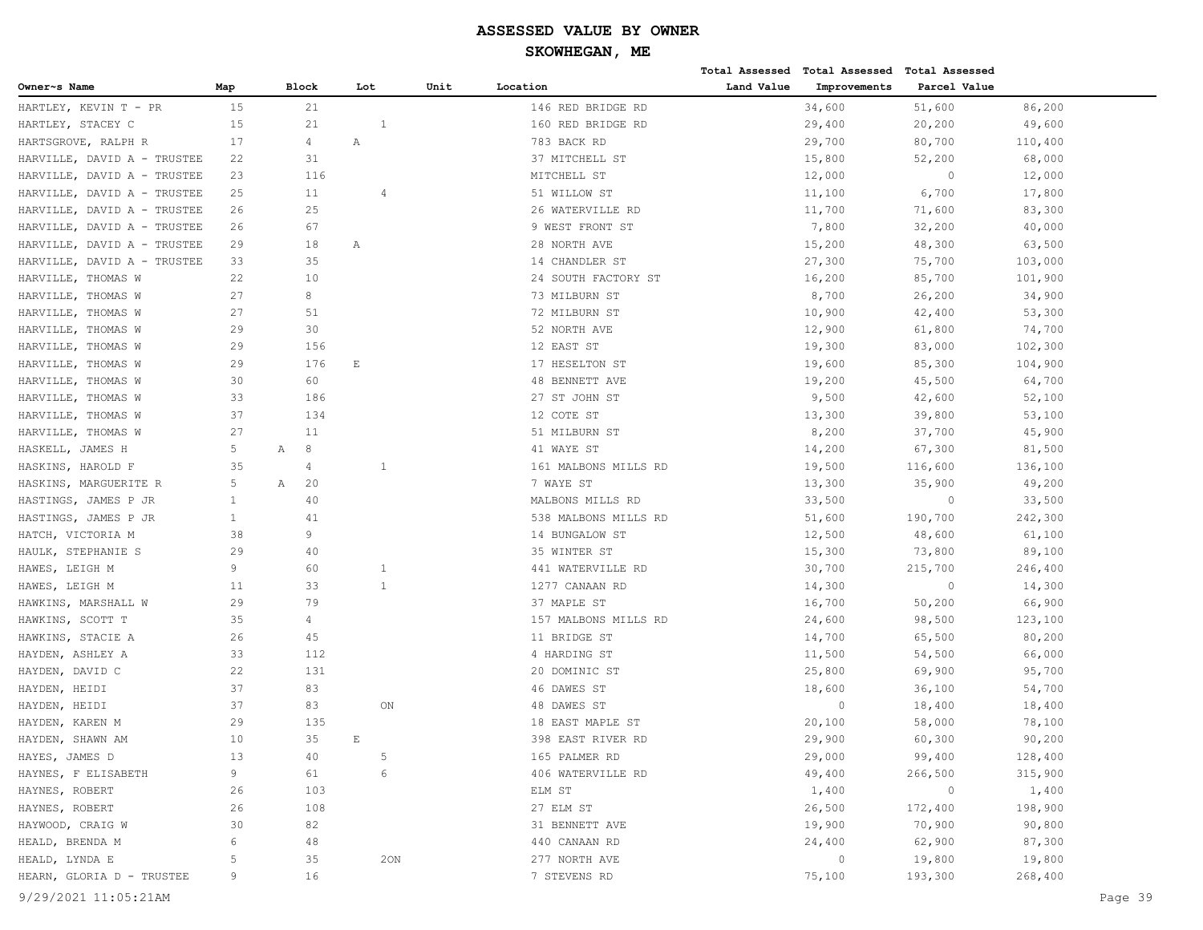| Owner~s Name<br><b>Block</b><br>Unit<br>Location<br>Land Value<br>Improvements<br>Parcel Value<br>Map<br>Lot<br>15<br>21<br>34,600<br>86,200<br>HARTLEY, KEVIN T - PR<br>146 RED BRIDGE RD<br>51,600<br>15<br>21<br>$\overline{1}$<br>29,400<br>HARTLEY, STACEY C<br>160 RED BRIDGE RD<br>20,200<br>49,600<br>17<br>4<br>Α<br>783 BACK RD<br>29,700<br>80,700<br>110,400<br>HARTSGROVE, RALPH R<br>31<br>37 MITCHELL ST<br>HARVILLE, DAVID A - TRUSTEE<br>22<br>15,800<br>52,200<br>68,000<br>12,000<br>12,000<br>HARVILLE, DAVID A - TRUSTEE<br>23<br>116<br>MITCHELL ST<br>$\circ$<br>6,700<br>17,800<br>HARVILLE, DAVID A - TRUSTEE<br>25<br>11<br>51 WILLOW ST<br>11,100<br>$\overline{4}$<br>HARVILLE, DAVID A - TRUSTEE<br>25<br>26 WATERVILLE RD<br>11,700<br>71,600<br>83,300<br>26<br>HARVILLE, DAVID A - TRUSTEE<br>67<br>9 WEST FRONT ST<br>7,800<br>32,200<br>40,000<br>26<br>HARVILLE, DAVID A - TRUSTEE<br>29<br>18<br>28 NORTH AVE<br>15,200<br>48,300<br>63,500<br>Α<br>33<br>35<br>HARVILLE, DAVID A - TRUSTEE<br>14 CHANDLER ST<br>27,300<br>75,700<br>103,000<br>10<br>HARVILLE, THOMAS W<br>22<br>24 SOUTH FACTORY ST<br>16,200<br>85,700<br>101,900<br>8<br>HARVILLE, THOMAS W<br>27<br>73 MILBURN ST<br>8,700<br>26,200<br>34,900<br>53,300<br>HARVILLE, THOMAS W<br>27<br>51<br>72 MILBURN ST<br>10,900<br>42,400<br>29<br>30<br>52 NORTH AVE<br>12,900<br>74,700<br>HARVILLE, THOMAS W<br>61,800<br>HARVILLE, THOMAS W<br>29<br>156<br>12 EAST ST<br>19,300<br>83,000<br>102,300<br>29<br>176<br>HARVILLE, THOMAS W<br>Ε<br>17 HESELTON ST<br>19,600<br>85,300<br>104,900<br>60<br>HARVILLE, THOMAS W<br>30<br><b>48 BENNETT AVE</b><br>19,200<br>45,500<br>64,700<br>33<br>186<br>9,500<br>52,100<br>HARVILLE, THOMAS W<br>27 ST JOHN ST<br>42,600<br>37<br>HARVILLE, THOMAS W<br>134<br>12 COTE ST<br>13,300<br>39,800<br>53,100<br>27<br>11<br>51 MILBURN ST<br>37,700<br>45,900<br>HARVILLE, THOMAS W<br>8,200<br>5<br>8<br>67,300<br>HASKELL, JAMES H<br>$\mathbb{A}$<br>41 WAYE ST<br>14,200<br>81,500<br>35<br>$\mathbf{1}$<br>19,500<br>HASKINS, HAROLD F<br>4<br>161 MALBONS MILLS RD<br>116,600<br>136,100<br>5<br>20<br>HASKINS, MARGUERITE R<br>$\mathbb{A}$<br>7 WAYE ST<br>13,300<br>35,900<br>49,200<br>HASTINGS, JAMES P JR<br>$\mathbf{1}$<br>40<br>MALBONS MILLS RD<br>33,500<br>$\circ$<br>33,500<br>$\mathbf{1}$<br>HASTINGS, JAMES P JR<br>41<br>538 MALBONS MILLS RD<br>51,600<br>190,700<br>242,300<br>38<br>9<br>HATCH, VICTORIA M<br>14 BUNGALOW ST<br>12,500<br>48,600<br>61,100<br>HAULK, STEPHANIE S<br>29<br>40<br>35 WINTER ST<br>15,300<br>73,800<br>89,100<br>9<br>30,700<br>246,400<br>HAWES, LEIGH M<br>60<br>441 WATERVILLE RD<br>215,700<br>1<br>$\mathbf{1}$<br>14,300<br>HAWES, LEIGH M<br>11<br>33<br>1277 CANAAN RD<br>14,300<br>$\circ$<br>79<br>16,700<br>66,900<br>HAWKINS, MARSHALL W<br>29<br>37 MAPLE ST<br>50,200<br>HAWKINS, SCOTT T<br>35<br>4<br>157 MALBONS MILLS RD<br>24,600<br>98,500<br>123,100<br>45<br>HAWKINS, STACIE A<br>26<br>11 BRIDGE ST<br>14,700<br>65,500<br>80,200<br>HAYDEN, ASHLEY A<br>33<br>112<br>4 HARDING ST<br>11,500<br>54,500<br>66,000<br>22<br>131<br>20 DOMINIC ST<br>HAYDEN, DAVID C<br>25,800<br>69,900<br>95,700<br>37<br>HAYDEN, HEIDI<br>83<br>46 DAWES ST<br>18,600<br>36,100<br>54,700<br>37<br>83<br>$\circ$<br>HAYDEN, HEIDI<br>ON<br>48 DAWES ST<br>18,400<br>18,400<br>18 EAST MAPLE ST<br>HAYDEN, KAREN M<br>29<br>135<br>20,100<br>58,000<br>78,100<br>HAYDEN, SHAWN AM<br>10<br>35<br>29,900<br>60,300<br>90,200<br>E<br>398 EAST RIVER RD<br>5<br>99,400<br>HAYES, JAMES D<br>13<br>40<br>165 PALMER RD<br>29,000<br>128,400<br>6<br>HAYNES, F ELISABETH<br>9<br>61<br>406 WATERVILLE RD<br>49,400<br>266,500<br>315,900<br>$\circ$<br>HAYNES, ROBERT<br>26<br>103<br>ELM ST<br>1,400<br>1,400<br>HAYNES, ROBERT<br>26<br>27 ELM ST<br>26,500<br>198,900<br>108<br>172,400<br>HAYWOOD, CRAIG W<br>30<br>82<br>31 BENNETT AVE<br>19,900<br>70,900<br>90,800<br>6<br>62,900<br>87,300<br>HEALD, BRENDA M<br>48<br>440 CANAAN RD<br>24,400<br>$\circ$<br>19,800<br>19,800<br>HEALD, LYNDA E<br>5<br>35<br>20N<br>277 NORTH AVE<br>HEARN, GLORIA D - TRUSTEE<br>75,100<br>193,300<br>268,400<br>9<br>16<br>7 STEVENS RD<br>9/29/2021 11:05:21AM<br>Page 39 |  |  |  | Total Assessed Total Assessed Total Assessed |  |  |
|-------------------------------------------------------------------------------------------------------------------------------------------------------------------------------------------------------------------------------------------------------------------------------------------------------------------------------------------------------------------------------------------------------------------------------------------------------------------------------------------------------------------------------------------------------------------------------------------------------------------------------------------------------------------------------------------------------------------------------------------------------------------------------------------------------------------------------------------------------------------------------------------------------------------------------------------------------------------------------------------------------------------------------------------------------------------------------------------------------------------------------------------------------------------------------------------------------------------------------------------------------------------------------------------------------------------------------------------------------------------------------------------------------------------------------------------------------------------------------------------------------------------------------------------------------------------------------------------------------------------------------------------------------------------------------------------------------------------------------------------------------------------------------------------------------------------------------------------------------------------------------------------------------------------------------------------------------------------------------------------------------------------------------------------------------------------------------------------------------------------------------------------------------------------------------------------------------------------------------------------------------------------------------------------------------------------------------------------------------------------------------------------------------------------------------------------------------------------------------------------------------------------------------------------------------------------------------------------------------------------------------------------------------------------------------------------------------------------------------------------------------------------------------------------------------------------------------------------------------------------------------------------------------------------------------------------------------------------------------------------------------------------------------------------------------------------------------------------------------------------------------------------------------------------------------------------------------------------------------------------------------------------------------------------------------------------------------------------------------------------------------------------------------------------------------------------------------------------------------------------------------------------------------------------------------------------------------------------------------------------------------------------------------------------------------------------------------------------------------------------------------------------------------------------------------------------------------------------------------------------------------------------------------------------------------------------------------------------------------------------------------------------------------------------------------------------------------------------------------------------------------------------------------------------------------------------------------------------------------------------------------------------------------|--|--|--|----------------------------------------------|--|--|
|                                                                                                                                                                                                                                                                                                                                                                                                                                                                                                                                                                                                                                                                                                                                                                                                                                                                                                                                                                                                                                                                                                                                                                                                                                                                                                                                                                                                                                                                                                                                                                                                                                                                                                                                                                                                                                                                                                                                                                                                                                                                                                                                                                                                                                                                                                                                                                                                                                                                                                                                                                                                                                                                                                                                                                                                                                                                                                                                                                                                                                                                                                                                                                                                                                                                                                                                                                                                                                                                                                                                                                                                                                                                                                                                                                                                                                                                                                                                                                                                                                                                                                                                                                                                                                                                               |  |  |  |                                              |  |  |
|                                                                                                                                                                                                                                                                                                                                                                                                                                                                                                                                                                                                                                                                                                                                                                                                                                                                                                                                                                                                                                                                                                                                                                                                                                                                                                                                                                                                                                                                                                                                                                                                                                                                                                                                                                                                                                                                                                                                                                                                                                                                                                                                                                                                                                                                                                                                                                                                                                                                                                                                                                                                                                                                                                                                                                                                                                                                                                                                                                                                                                                                                                                                                                                                                                                                                                                                                                                                                                                                                                                                                                                                                                                                                                                                                                                                                                                                                                                                                                                                                                                                                                                                                                                                                                                                               |  |  |  |                                              |  |  |
|                                                                                                                                                                                                                                                                                                                                                                                                                                                                                                                                                                                                                                                                                                                                                                                                                                                                                                                                                                                                                                                                                                                                                                                                                                                                                                                                                                                                                                                                                                                                                                                                                                                                                                                                                                                                                                                                                                                                                                                                                                                                                                                                                                                                                                                                                                                                                                                                                                                                                                                                                                                                                                                                                                                                                                                                                                                                                                                                                                                                                                                                                                                                                                                                                                                                                                                                                                                                                                                                                                                                                                                                                                                                                                                                                                                                                                                                                                                                                                                                                                                                                                                                                                                                                                                                               |  |  |  |                                              |  |  |
|                                                                                                                                                                                                                                                                                                                                                                                                                                                                                                                                                                                                                                                                                                                                                                                                                                                                                                                                                                                                                                                                                                                                                                                                                                                                                                                                                                                                                                                                                                                                                                                                                                                                                                                                                                                                                                                                                                                                                                                                                                                                                                                                                                                                                                                                                                                                                                                                                                                                                                                                                                                                                                                                                                                                                                                                                                                                                                                                                                                                                                                                                                                                                                                                                                                                                                                                                                                                                                                                                                                                                                                                                                                                                                                                                                                                                                                                                                                                                                                                                                                                                                                                                                                                                                                                               |  |  |  |                                              |  |  |
|                                                                                                                                                                                                                                                                                                                                                                                                                                                                                                                                                                                                                                                                                                                                                                                                                                                                                                                                                                                                                                                                                                                                                                                                                                                                                                                                                                                                                                                                                                                                                                                                                                                                                                                                                                                                                                                                                                                                                                                                                                                                                                                                                                                                                                                                                                                                                                                                                                                                                                                                                                                                                                                                                                                                                                                                                                                                                                                                                                                                                                                                                                                                                                                                                                                                                                                                                                                                                                                                                                                                                                                                                                                                                                                                                                                                                                                                                                                                                                                                                                                                                                                                                                                                                                                                               |  |  |  |                                              |  |  |
|                                                                                                                                                                                                                                                                                                                                                                                                                                                                                                                                                                                                                                                                                                                                                                                                                                                                                                                                                                                                                                                                                                                                                                                                                                                                                                                                                                                                                                                                                                                                                                                                                                                                                                                                                                                                                                                                                                                                                                                                                                                                                                                                                                                                                                                                                                                                                                                                                                                                                                                                                                                                                                                                                                                                                                                                                                                                                                                                                                                                                                                                                                                                                                                                                                                                                                                                                                                                                                                                                                                                                                                                                                                                                                                                                                                                                                                                                                                                                                                                                                                                                                                                                                                                                                                                               |  |  |  |                                              |  |  |
|                                                                                                                                                                                                                                                                                                                                                                                                                                                                                                                                                                                                                                                                                                                                                                                                                                                                                                                                                                                                                                                                                                                                                                                                                                                                                                                                                                                                                                                                                                                                                                                                                                                                                                                                                                                                                                                                                                                                                                                                                                                                                                                                                                                                                                                                                                                                                                                                                                                                                                                                                                                                                                                                                                                                                                                                                                                                                                                                                                                                                                                                                                                                                                                                                                                                                                                                                                                                                                                                                                                                                                                                                                                                                                                                                                                                                                                                                                                                                                                                                                                                                                                                                                                                                                                                               |  |  |  |                                              |  |  |
|                                                                                                                                                                                                                                                                                                                                                                                                                                                                                                                                                                                                                                                                                                                                                                                                                                                                                                                                                                                                                                                                                                                                                                                                                                                                                                                                                                                                                                                                                                                                                                                                                                                                                                                                                                                                                                                                                                                                                                                                                                                                                                                                                                                                                                                                                                                                                                                                                                                                                                                                                                                                                                                                                                                                                                                                                                                                                                                                                                                                                                                                                                                                                                                                                                                                                                                                                                                                                                                                                                                                                                                                                                                                                                                                                                                                                                                                                                                                                                                                                                                                                                                                                                                                                                                                               |  |  |  |                                              |  |  |
|                                                                                                                                                                                                                                                                                                                                                                                                                                                                                                                                                                                                                                                                                                                                                                                                                                                                                                                                                                                                                                                                                                                                                                                                                                                                                                                                                                                                                                                                                                                                                                                                                                                                                                                                                                                                                                                                                                                                                                                                                                                                                                                                                                                                                                                                                                                                                                                                                                                                                                                                                                                                                                                                                                                                                                                                                                                                                                                                                                                                                                                                                                                                                                                                                                                                                                                                                                                                                                                                                                                                                                                                                                                                                                                                                                                                                                                                                                                                                                                                                                                                                                                                                                                                                                                                               |  |  |  |                                              |  |  |
|                                                                                                                                                                                                                                                                                                                                                                                                                                                                                                                                                                                                                                                                                                                                                                                                                                                                                                                                                                                                                                                                                                                                                                                                                                                                                                                                                                                                                                                                                                                                                                                                                                                                                                                                                                                                                                                                                                                                                                                                                                                                                                                                                                                                                                                                                                                                                                                                                                                                                                                                                                                                                                                                                                                                                                                                                                                                                                                                                                                                                                                                                                                                                                                                                                                                                                                                                                                                                                                                                                                                                                                                                                                                                                                                                                                                                                                                                                                                                                                                                                                                                                                                                                                                                                                                               |  |  |  |                                              |  |  |
|                                                                                                                                                                                                                                                                                                                                                                                                                                                                                                                                                                                                                                                                                                                                                                                                                                                                                                                                                                                                                                                                                                                                                                                                                                                                                                                                                                                                                                                                                                                                                                                                                                                                                                                                                                                                                                                                                                                                                                                                                                                                                                                                                                                                                                                                                                                                                                                                                                                                                                                                                                                                                                                                                                                                                                                                                                                                                                                                                                                                                                                                                                                                                                                                                                                                                                                                                                                                                                                                                                                                                                                                                                                                                                                                                                                                                                                                                                                                                                                                                                                                                                                                                                                                                                                                               |  |  |  |                                              |  |  |
|                                                                                                                                                                                                                                                                                                                                                                                                                                                                                                                                                                                                                                                                                                                                                                                                                                                                                                                                                                                                                                                                                                                                                                                                                                                                                                                                                                                                                                                                                                                                                                                                                                                                                                                                                                                                                                                                                                                                                                                                                                                                                                                                                                                                                                                                                                                                                                                                                                                                                                                                                                                                                                                                                                                                                                                                                                                                                                                                                                                                                                                                                                                                                                                                                                                                                                                                                                                                                                                                                                                                                                                                                                                                                                                                                                                                                                                                                                                                                                                                                                                                                                                                                                                                                                                                               |  |  |  |                                              |  |  |
|                                                                                                                                                                                                                                                                                                                                                                                                                                                                                                                                                                                                                                                                                                                                                                                                                                                                                                                                                                                                                                                                                                                                                                                                                                                                                                                                                                                                                                                                                                                                                                                                                                                                                                                                                                                                                                                                                                                                                                                                                                                                                                                                                                                                                                                                                                                                                                                                                                                                                                                                                                                                                                                                                                                                                                                                                                                                                                                                                                                                                                                                                                                                                                                                                                                                                                                                                                                                                                                                                                                                                                                                                                                                                                                                                                                                                                                                                                                                                                                                                                                                                                                                                                                                                                                                               |  |  |  |                                              |  |  |
|                                                                                                                                                                                                                                                                                                                                                                                                                                                                                                                                                                                                                                                                                                                                                                                                                                                                                                                                                                                                                                                                                                                                                                                                                                                                                                                                                                                                                                                                                                                                                                                                                                                                                                                                                                                                                                                                                                                                                                                                                                                                                                                                                                                                                                                                                                                                                                                                                                                                                                                                                                                                                                                                                                                                                                                                                                                                                                                                                                                                                                                                                                                                                                                                                                                                                                                                                                                                                                                                                                                                                                                                                                                                                                                                                                                                                                                                                                                                                                                                                                                                                                                                                                                                                                                                               |  |  |  |                                              |  |  |
|                                                                                                                                                                                                                                                                                                                                                                                                                                                                                                                                                                                                                                                                                                                                                                                                                                                                                                                                                                                                                                                                                                                                                                                                                                                                                                                                                                                                                                                                                                                                                                                                                                                                                                                                                                                                                                                                                                                                                                                                                                                                                                                                                                                                                                                                                                                                                                                                                                                                                                                                                                                                                                                                                                                                                                                                                                                                                                                                                                                                                                                                                                                                                                                                                                                                                                                                                                                                                                                                                                                                                                                                                                                                                                                                                                                                                                                                                                                                                                                                                                                                                                                                                                                                                                                                               |  |  |  |                                              |  |  |
|                                                                                                                                                                                                                                                                                                                                                                                                                                                                                                                                                                                                                                                                                                                                                                                                                                                                                                                                                                                                                                                                                                                                                                                                                                                                                                                                                                                                                                                                                                                                                                                                                                                                                                                                                                                                                                                                                                                                                                                                                                                                                                                                                                                                                                                                                                                                                                                                                                                                                                                                                                                                                                                                                                                                                                                                                                                                                                                                                                                                                                                                                                                                                                                                                                                                                                                                                                                                                                                                                                                                                                                                                                                                                                                                                                                                                                                                                                                                                                                                                                                                                                                                                                                                                                                                               |  |  |  |                                              |  |  |
|                                                                                                                                                                                                                                                                                                                                                                                                                                                                                                                                                                                                                                                                                                                                                                                                                                                                                                                                                                                                                                                                                                                                                                                                                                                                                                                                                                                                                                                                                                                                                                                                                                                                                                                                                                                                                                                                                                                                                                                                                                                                                                                                                                                                                                                                                                                                                                                                                                                                                                                                                                                                                                                                                                                                                                                                                                                                                                                                                                                                                                                                                                                                                                                                                                                                                                                                                                                                                                                                                                                                                                                                                                                                                                                                                                                                                                                                                                                                                                                                                                                                                                                                                                                                                                                                               |  |  |  |                                              |  |  |
|                                                                                                                                                                                                                                                                                                                                                                                                                                                                                                                                                                                                                                                                                                                                                                                                                                                                                                                                                                                                                                                                                                                                                                                                                                                                                                                                                                                                                                                                                                                                                                                                                                                                                                                                                                                                                                                                                                                                                                                                                                                                                                                                                                                                                                                                                                                                                                                                                                                                                                                                                                                                                                                                                                                                                                                                                                                                                                                                                                                                                                                                                                                                                                                                                                                                                                                                                                                                                                                                                                                                                                                                                                                                                                                                                                                                                                                                                                                                                                                                                                                                                                                                                                                                                                                                               |  |  |  |                                              |  |  |
|                                                                                                                                                                                                                                                                                                                                                                                                                                                                                                                                                                                                                                                                                                                                                                                                                                                                                                                                                                                                                                                                                                                                                                                                                                                                                                                                                                                                                                                                                                                                                                                                                                                                                                                                                                                                                                                                                                                                                                                                                                                                                                                                                                                                                                                                                                                                                                                                                                                                                                                                                                                                                                                                                                                                                                                                                                                                                                                                                                                                                                                                                                                                                                                                                                                                                                                                                                                                                                                                                                                                                                                                                                                                                                                                                                                                                                                                                                                                                                                                                                                                                                                                                                                                                                                                               |  |  |  |                                              |  |  |
|                                                                                                                                                                                                                                                                                                                                                                                                                                                                                                                                                                                                                                                                                                                                                                                                                                                                                                                                                                                                                                                                                                                                                                                                                                                                                                                                                                                                                                                                                                                                                                                                                                                                                                                                                                                                                                                                                                                                                                                                                                                                                                                                                                                                                                                                                                                                                                                                                                                                                                                                                                                                                                                                                                                                                                                                                                                                                                                                                                                                                                                                                                                                                                                                                                                                                                                                                                                                                                                                                                                                                                                                                                                                                                                                                                                                                                                                                                                                                                                                                                                                                                                                                                                                                                                                               |  |  |  |                                              |  |  |
|                                                                                                                                                                                                                                                                                                                                                                                                                                                                                                                                                                                                                                                                                                                                                                                                                                                                                                                                                                                                                                                                                                                                                                                                                                                                                                                                                                                                                                                                                                                                                                                                                                                                                                                                                                                                                                                                                                                                                                                                                                                                                                                                                                                                                                                                                                                                                                                                                                                                                                                                                                                                                                                                                                                                                                                                                                                                                                                                                                                                                                                                                                                                                                                                                                                                                                                                                                                                                                                                                                                                                                                                                                                                                                                                                                                                                                                                                                                                                                                                                                                                                                                                                                                                                                                                               |  |  |  |                                              |  |  |
|                                                                                                                                                                                                                                                                                                                                                                                                                                                                                                                                                                                                                                                                                                                                                                                                                                                                                                                                                                                                                                                                                                                                                                                                                                                                                                                                                                                                                                                                                                                                                                                                                                                                                                                                                                                                                                                                                                                                                                                                                                                                                                                                                                                                                                                                                                                                                                                                                                                                                                                                                                                                                                                                                                                                                                                                                                                                                                                                                                                                                                                                                                                                                                                                                                                                                                                                                                                                                                                                                                                                                                                                                                                                                                                                                                                                                                                                                                                                                                                                                                                                                                                                                                                                                                                                               |  |  |  |                                              |  |  |
|                                                                                                                                                                                                                                                                                                                                                                                                                                                                                                                                                                                                                                                                                                                                                                                                                                                                                                                                                                                                                                                                                                                                                                                                                                                                                                                                                                                                                                                                                                                                                                                                                                                                                                                                                                                                                                                                                                                                                                                                                                                                                                                                                                                                                                                                                                                                                                                                                                                                                                                                                                                                                                                                                                                                                                                                                                                                                                                                                                                                                                                                                                                                                                                                                                                                                                                                                                                                                                                                                                                                                                                                                                                                                                                                                                                                                                                                                                                                                                                                                                                                                                                                                                                                                                                                               |  |  |  |                                              |  |  |
|                                                                                                                                                                                                                                                                                                                                                                                                                                                                                                                                                                                                                                                                                                                                                                                                                                                                                                                                                                                                                                                                                                                                                                                                                                                                                                                                                                                                                                                                                                                                                                                                                                                                                                                                                                                                                                                                                                                                                                                                                                                                                                                                                                                                                                                                                                                                                                                                                                                                                                                                                                                                                                                                                                                                                                                                                                                                                                                                                                                                                                                                                                                                                                                                                                                                                                                                                                                                                                                                                                                                                                                                                                                                                                                                                                                                                                                                                                                                                                                                                                                                                                                                                                                                                                                                               |  |  |  |                                              |  |  |
|                                                                                                                                                                                                                                                                                                                                                                                                                                                                                                                                                                                                                                                                                                                                                                                                                                                                                                                                                                                                                                                                                                                                                                                                                                                                                                                                                                                                                                                                                                                                                                                                                                                                                                                                                                                                                                                                                                                                                                                                                                                                                                                                                                                                                                                                                                                                                                                                                                                                                                                                                                                                                                                                                                                                                                                                                                                                                                                                                                                                                                                                                                                                                                                                                                                                                                                                                                                                                                                                                                                                                                                                                                                                                                                                                                                                                                                                                                                                                                                                                                                                                                                                                                                                                                                                               |  |  |  |                                              |  |  |
|                                                                                                                                                                                                                                                                                                                                                                                                                                                                                                                                                                                                                                                                                                                                                                                                                                                                                                                                                                                                                                                                                                                                                                                                                                                                                                                                                                                                                                                                                                                                                                                                                                                                                                                                                                                                                                                                                                                                                                                                                                                                                                                                                                                                                                                                                                                                                                                                                                                                                                                                                                                                                                                                                                                                                                                                                                                                                                                                                                                                                                                                                                                                                                                                                                                                                                                                                                                                                                                                                                                                                                                                                                                                                                                                                                                                                                                                                                                                                                                                                                                                                                                                                                                                                                                                               |  |  |  |                                              |  |  |
|                                                                                                                                                                                                                                                                                                                                                                                                                                                                                                                                                                                                                                                                                                                                                                                                                                                                                                                                                                                                                                                                                                                                                                                                                                                                                                                                                                                                                                                                                                                                                                                                                                                                                                                                                                                                                                                                                                                                                                                                                                                                                                                                                                                                                                                                                                                                                                                                                                                                                                                                                                                                                                                                                                                                                                                                                                                                                                                                                                                                                                                                                                                                                                                                                                                                                                                                                                                                                                                                                                                                                                                                                                                                                                                                                                                                                                                                                                                                                                                                                                                                                                                                                                                                                                                                               |  |  |  |                                              |  |  |
|                                                                                                                                                                                                                                                                                                                                                                                                                                                                                                                                                                                                                                                                                                                                                                                                                                                                                                                                                                                                                                                                                                                                                                                                                                                                                                                                                                                                                                                                                                                                                                                                                                                                                                                                                                                                                                                                                                                                                                                                                                                                                                                                                                                                                                                                                                                                                                                                                                                                                                                                                                                                                                                                                                                                                                                                                                                                                                                                                                                                                                                                                                                                                                                                                                                                                                                                                                                                                                                                                                                                                                                                                                                                                                                                                                                                                                                                                                                                                                                                                                                                                                                                                                                                                                                                               |  |  |  |                                              |  |  |
|                                                                                                                                                                                                                                                                                                                                                                                                                                                                                                                                                                                                                                                                                                                                                                                                                                                                                                                                                                                                                                                                                                                                                                                                                                                                                                                                                                                                                                                                                                                                                                                                                                                                                                                                                                                                                                                                                                                                                                                                                                                                                                                                                                                                                                                                                                                                                                                                                                                                                                                                                                                                                                                                                                                                                                                                                                                                                                                                                                                                                                                                                                                                                                                                                                                                                                                                                                                                                                                                                                                                                                                                                                                                                                                                                                                                                                                                                                                                                                                                                                                                                                                                                                                                                                                                               |  |  |  |                                              |  |  |
|                                                                                                                                                                                                                                                                                                                                                                                                                                                                                                                                                                                                                                                                                                                                                                                                                                                                                                                                                                                                                                                                                                                                                                                                                                                                                                                                                                                                                                                                                                                                                                                                                                                                                                                                                                                                                                                                                                                                                                                                                                                                                                                                                                                                                                                                                                                                                                                                                                                                                                                                                                                                                                                                                                                                                                                                                                                                                                                                                                                                                                                                                                                                                                                                                                                                                                                                                                                                                                                                                                                                                                                                                                                                                                                                                                                                                                                                                                                                                                                                                                                                                                                                                                                                                                                                               |  |  |  |                                              |  |  |
|                                                                                                                                                                                                                                                                                                                                                                                                                                                                                                                                                                                                                                                                                                                                                                                                                                                                                                                                                                                                                                                                                                                                                                                                                                                                                                                                                                                                                                                                                                                                                                                                                                                                                                                                                                                                                                                                                                                                                                                                                                                                                                                                                                                                                                                                                                                                                                                                                                                                                                                                                                                                                                                                                                                                                                                                                                                                                                                                                                                                                                                                                                                                                                                                                                                                                                                                                                                                                                                                                                                                                                                                                                                                                                                                                                                                                                                                                                                                                                                                                                                                                                                                                                                                                                                                               |  |  |  |                                              |  |  |
|                                                                                                                                                                                                                                                                                                                                                                                                                                                                                                                                                                                                                                                                                                                                                                                                                                                                                                                                                                                                                                                                                                                                                                                                                                                                                                                                                                                                                                                                                                                                                                                                                                                                                                                                                                                                                                                                                                                                                                                                                                                                                                                                                                                                                                                                                                                                                                                                                                                                                                                                                                                                                                                                                                                                                                                                                                                                                                                                                                                                                                                                                                                                                                                                                                                                                                                                                                                                                                                                                                                                                                                                                                                                                                                                                                                                                                                                                                                                                                                                                                                                                                                                                                                                                                                                               |  |  |  |                                              |  |  |
|                                                                                                                                                                                                                                                                                                                                                                                                                                                                                                                                                                                                                                                                                                                                                                                                                                                                                                                                                                                                                                                                                                                                                                                                                                                                                                                                                                                                                                                                                                                                                                                                                                                                                                                                                                                                                                                                                                                                                                                                                                                                                                                                                                                                                                                                                                                                                                                                                                                                                                                                                                                                                                                                                                                                                                                                                                                                                                                                                                                                                                                                                                                                                                                                                                                                                                                                                                                                                                                                                                                                                                                                                                                                                                                                                                                                                                                                                                                                                                                                                                                                                                                                                                                                                                                                               |  |  |  |                                              |  |  |
|                                                                                                                                                                                                                                                                                                                                                                                                                                                                                                                                                                                                                                                                                                                                                                                                                                                                                                                                                                                                                                                                                                                                                                                                                                                                                                                                                                                                                                                                                                                                                                                                                                                                                                                                                                                                                                                                                                                                                                                                                                                                                                                                                                                                                                                                                                                                                                                                                                                                                                                                                                                                                                                                                                                                                                                                                                                                                                                                                                                                                                                                                                                                                                                                                                                                                                                                                                                                                                                                                                                                                                                                                                                                                                                                                                                                                                                                                                                                                                                                                                                                                                                                                                                                                                                                               |  |  |  |                                              |  |  |
|                                                                                                                                                                                                                                                                                                                                                                                                                                                                                                                                                                                                                                                                                                                                                                                                                                                                                                                                                                                                                                                                                                                                                                                                                                                                                                                                                                                                                                                                                                                                                                                                                                                                                                                                                                                                                                                                                                                                                                                                                                                                                                                                                                                                                                                                                                                                                                                                                                                                                                                                                                                                                                                                                                                                                                                                                                                                                                                                                                                                                                                                                                                                                                                                                                                                                                                                                                                                                                                                                                                                                                                                                                                                                                                                                                                                                                                                                                                                                                                                                                                                                                                                                                                                                                                                               |  |  |  |                                              |  |  |
|                                                                                                                                                                                                                                                                                                                                                                                                                                                                                                                                                                                                                                                                                                                                                                                                                                                                                                                                                                                                                                                                                                                                                                                                                                                                                                                                                                                                                                                                                                                                                                                                                                                                                                                                                                                                                                                                                                                                                                                                                                                                                                                                                                                                                                                                                                                                                                                                                                                                                                                                                                                                                                                                                                                                                                                                                                                                                                                                                                                                                                                                                                                                                                                                                                                                                                                                                                                                                                                                                                                                                                                                                                                                                                                                                                                                                                                                                                                                                                                                                                                                                                                                                                                                                                                                               |  |  |  |                                              |  |  |
|                                                                                                                                                                                                                                                                                                                                                                                                                                                                                                                                                                                                                                                                                                                                                                                                                                                                                                                                                                                                                                                                                                                                                                                                                                                                                                                                                                                                                                                                                                                                                                                                                                                                                                                                                                                                                                                                                                                                                                                                                                                                                                                                                                                                                                                                                                                                                                                                                                                                                                                                                                                                                                                                                                                                                                                                                                                                                                                                                                                                                                                                                                                                                                                                                                                                                                                                                                                                                                                                                                                                                                                                                                                                                                                                                                                                                                                                                                                                                                                                                                                                                                                                                                                                                                                                               |  |  |  |                                              |  |  |
|                                                                                                                                                                                                                                                                                                                                                                                                                                                                                                                                                                                                                                                                                                                                                                                                                                                                                                                                                                                                                                                                                                                                                                                                                                                                                                                                                                                                                                                                                                                                                                                                                                                                                                                                                                                                                                                                                                                                                                                                                                                                                                                                                                                                                                                                                                                                                                                                                                                                                                                                                                                                                                                                                                                                                                                                                                                                                                                                                                                                                                                                                                                                                                                                                                                                                                                                                                                                                                                                                                                                                                                                                                                                                                                                                                                                                                                                                                                                                                                                                                                                                                                                                                                                                                                                               |  |  |  |                                              |  |  |
|                                                                                                                                                                                                                                                                                                                                                                                                                                                                                                                                                                                                                                                                                                                                                                                                                                                                                                                                                                                                                                                                                                                                                                                                                                                                                                                                                                                                                                                                                                                                                                                                                                                                                                                                                                                                                                                                                                                                                                                                                                                                                                                                                                                                                                                                                                                                                                                                                                                                                                                                                                                                                                                                                                                                                                                                                                                                                                                                                                                                                                                                                                                                                                                                                                                                                                                                                                                                                                                                                                                                                                                                                                                                                                                                                                                                                                                                                                                                                                                                                                                                                                                                                                                                                                                                               |  |  |  |                                              |  |  |
|                                                                                                                                                                                                                                                                                                                                                                                                                                                                                                                                                                                                                                                                                                                                                                                                                                                                                                                                                                                                                                                                                                                                                                                                                                                                                                                                                                                                                                                                                                                                                                                                                                                                                                                                                                                                                                                                                                                                                                                                                                                                                                                                                                                                                                                                                                                                                                                                                                                                                                                                                                                                                                                                                                                                                                                                                                                                                                                                                                                                                                                                                                                                                                                                                                                                                                                                                                                                                                                                                                                                                                                                                                                                                                                                                                                                                                                                                                                                                                                                                                                                                                                                                                                                                                                                               |  |  |  |                                              |  |  |
|                                                                                                                                                                                                                                                                                                                                                                                                                                                                                                                                                                                                                                                                                                                                                                                                                                                                                                                                                                                                                                                                                                                                                                                                                                                                                                                                                                                                                                                                                                                                                                                                                                                                                                                                                                                                                                                                                                                                                                                                                                                                                                                                                                                                                                                                                                                                                                                                                                                                                                                                                                                                                                                                                                                                                                                                                                                                                                                                                                                                                                                                                                                                                                                                                                                                                                                                                                                                                                                                                                                                                                                                                                                                                                                                                                                                                                                                                                                                                                                                                                                                                                                                                                                                                                                                               |  |  |  |                                              |  |  |
|                                                                                                                                                                                                                                                                                                                                                                                                                                                                                                                                                                                                                                                                                                                                                                                                                                                                                                                                                                                                                                                                                                                                                                                                                                                                                                                                                                                                                                                                                                                                                                                                                                                                                                                                                                                                                                                                                                                                                                                                                                                                                                                                                                                                                                                                                                                                                                                                                                                                                                                                                                                                                                                                                                                                                                                                                                                                                                                                                                                                                                                                                                                                                                                                                                                                                                                                                                                                                                                                                                                                                                                                                                                                                                                                                                                                                                                                                                                                                                                                                                                                                                                                                                                                                                                                               |  |  |  |                                              |  |  |
|                                                                                                                                                                                                                                                                                                                                                                                                                                                                                                                                                                                                                                                                                                                                                                                                                                                                                                                                                                                                                                                                                                                                                                                                                                                                                                                                                                                                                                                                                                                                                                                                                                                                                                                                                                                                                                                                                                                                                                                                                                                                                                                                                                                                                                                                                                                                                                                                                                                                                                                                                                                                                                                                                                                                                                                                                                                                                                                                                                                                                                                                                                                                                                                                                                                                                                                                                                                                                                                                                                                                                                                                                                                                                                                                                                                                                                                                                                                                                                                                                                                                                                                                                                                                                                                                               |  |  |  |                                              |  |  |
|                                                                                                                                                                                                                                                                                                                                                                                                                                                                                                                                                                                                                                                                                                                                                                                                                                                                                                                                                                                                                                                                                                                                                                                                                                                                                                                                                                                                                                                                                                                                                                                                                                                                                                                                                                                                                                                                                                                                                                                                                                                                                                                                                                                                                                                                                                                                                                                                                                                                                                                                                                                                                                                                                                                                                                                                                                                                                                                                                                                                                                                                                                                                                                                                                                                                                                                                                                                                                                                                                                                                                                                                                                                                                                                                                                                                                                                                                                                                                                                                                                                                                                                                                                                                                                                                               |  |  |  |                                              |  |  |
|                                                                                                                                                                                                                                                                                                                                                                                                                                                                                                                                                                                                                                                                                                                                                                                                                                                                                                                                                                                                                                                                                                                                                                                                                                                                                                                                                                                                                                                                                                                                                                                                                                                                                                                                                                                                                                                                                                                                                                                                                                                                                                                                                                                                                                                                                                                                                                                                                                                                                                                                                                                                                                                                                                                                                                                                                                                                                                                                                                                                                                                                                                                                                                                                                                                                                                                                                                                                                                                                                                                                                                                                                                                                                                                                                                                                                                                                                                                                                                                                                                                                                                                                                                                                                                                                               |  |  |  |                                              |  |  |
|                                                                                                                                                                                                                                                                                                                                                                                                                                                                                                                                                                                                                                                                                                                                                                                                                                                                                                                                                                                                                                                                                                                                                                                                                                                                                                                                                                                                                                                                                                                                                                                                                                                                                                                                                                                                                                                                                                                                                                                                                                                                                                                                                                                                                                                                                                                                                                                                                                                                                                                                                                                                                                                                                                                                                                                                                                                                                                                                                                                                                                                                                                                                                                                                                                                                                                                                                                                                                                                                                                                                                                                                                                                                                                                                                                                                                                                                                                                                                                                                                                                                                                                                                                                                                                                                               |  |  |  |                                              |  |  |
|                                                                                                                                                                                                                                                                                                                                                                                                                                                                                                                                                                                                                                                                                                                                                                                                                                                                                                                                                                                                                                                                                                                                                                                                                                                                                                                                                                                                                                                                                                                                                                                                                                                                                                                                                                                                                                                                                                                                                                                                                                                                                                                                                                                                                                                                                                                                                                                                                                                                                                                                                                                                                                                                                                                                                                                                                                                                                                                                                                                                                                                                                                                                                                                                                                                                                                                                                                                                                                                                                                                                                                                                                                                                                                                                                                                                                                                                                                                                                                                                                                                                                                                                                                                                                                                                               |  |  |  |                                              |  |  |
|                                                                                                                                                                                                                                                                                                                                                                                                                                                                                                                                                                                                                                                                                                                                                                                                                                                                                                                                                                                                                                                                                                                                                                                                                                                                                                                                                                                                                                                                                                                                                                                                                                                                                                                                                                                                                                                                                                                                                                                                                                                                                                                                                                                                                                                                                                                                                                                                                                                                                                                                                                                                                                                                                                                                                                                                                                                                                                                                                                                                                                                                                                                                                                                                                                                                                                                                                                                                                                                                                                                                                                                                                                                                                                                                                                                                                                                                                                                                                                                                                                                                                                                                                                                                                                                                               |  |  |  |                                              |  |  |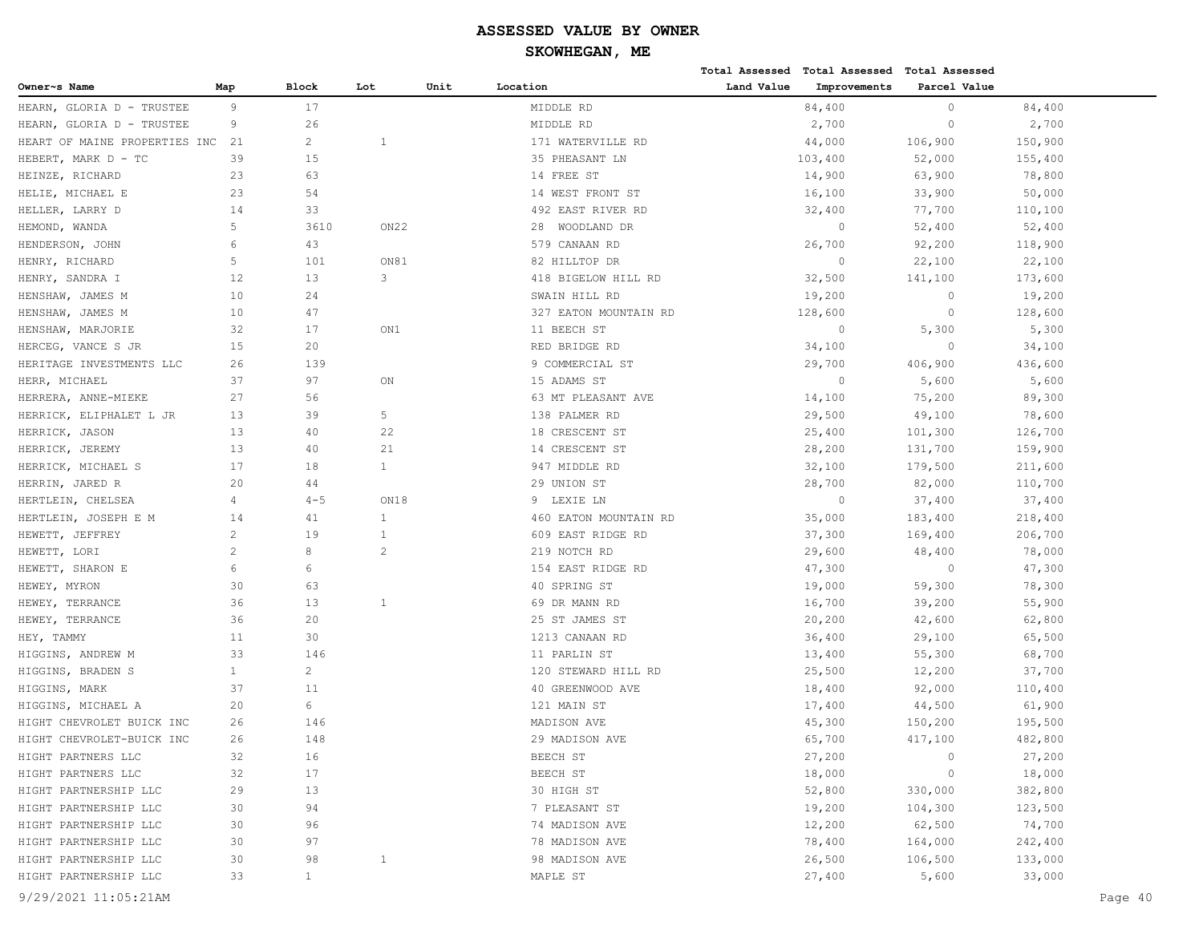|                               |              |                |              |      |                       |            | Total Assessed Total Assessed Total Assessed |              |         |         |
|-------------------------------|--------------|----------------|--------------|------|-----------------------|------------|----------------------------------------------|--------------|---------|---------|
| Owner~s Name                  | Map          | Block          | Lot          | Unit | Location              | Land Value | Improvements                                 | Parcel Value |         |         |
| HEARN, GLORIA D - TRUSTEE     | 9            | 17             |              |      | MIDDLE RD             |            | 84,400                                       | $\circ$      | 84,400  |         |
| HEARN, GLORIA D - TRUSTEE     | 9            | 26             |              |      | MIDDLE RD             |            | 2,700                                        | $\circ$      | 2,700   |         |
| HEART OF MAINE PROPERTIES INC | 21           | $\overline{c}$ | 1            |      | 171 WATERVILLE RD     |            | 44,000                                       | 106,900      | 150,900 |         |
| HEBERT, MARK D - TC           | 39           | 15             |              |      | 35 PHEASANT LN        |            | 103,400                                      | 52,000       | 155,400 |         |
| HEINZE, RICHARD               | 23           | 63             |              |      | 14 FREE ST            |            | 14,900                                       | 63,900       | 78,800  |         |
| HELIE, MICHAEL E              | 23           | 54             |              |      | 14 WEST FRONT ST      |            | 16,100                                       | 33,900       | 50,000  |         |
| HELLER, LARRY D               | 14           | 33             |              |      | 492 EAST RIVER RD     |            | 32,400                                       | 77,700       | 110,100 |         |
| HEMOND, WANDA                 | 5            | 3610           | ON22         |      | 28 WOODLAND DR        |            | $\circ$                                      | 52,400       | 52,400  |         |
| HENDERSON, JOHN               | 6            | 43             |              |      | 579 CANAAN RD         |            | 26,700                                       | 92,200       | 118,900 |         |
| HENRY, RICHARD                | 5            | 101            | ON81         |      | 82 HILLTOP DR         |            | $\circ$                                      | 22,100       | 22,100  |         |
| HENRY, SANDRA I               | 12           | 13             | 3            |      | 418 BIGELOW HILL RD   |            | 32,500                                       | 141,100      | 173,600 |         |
| HENSHAW, JAMES M              | 10           | 24             |              |      | SWAIN HILL RD         |            | 19,200                                       | $\circ$      | 19,200  |         |
| HENSHAW, JAMES M              | 10           | 47             |              |      | 327 EATON MOUNTAIN RD |            | 128,600                                      | $\circ$      | 128,600 |         |
| HENSHAW, MARJORIE             | 32           | 17             | ON1          |      | 11 BEECH ST           |            | $\circ$                                      | 5,300        | 5,300   |         |
| HERCEG, VANCE S JR            | 15           | 20             |              |      | RED BRIDGE RD         |            | 34,100                                       | $\circ$      | 34,100  |         |
| HERITAGE INVESTMENTS LLC      | 26           | 139            |              |      | 9 COMMERCIAL ST       |            | 29,700                                       | 406,900      | 436,600 |         |
| HERR, MICHAEL                 | 37           | 97             | ON           |      | 15 ADAMS ST           |            | $\circ$                                      | 5,600        | 5,600   |         |
| HERRERA, ANNE-MIEKE           | 27           | 56             |              |      | 63 MT PLEASANT AVE    |            | 14,100                                       | 75,200       | 89,300  |         |
| HERRICK, ELIPHALET L JR       | 13           | 39             | 5            |      | 138 PALMER RD         |            | 29,500                                       | 49,100       | 78,600  |         |
| HERRICK, JASON                | 13           | 40             | 22           |      | 18 CRESCENT ST        |            | 25,400                                       | 101,300      | 126,700 |         |
| HERRICK, JEREMY               | 13           | 40             | 21           |      | 14 CRESCENT ST        |            | 28,200                                       | 131,700      | 159,900 |         |
| HERRICK, MICHAEL S            | 17           | 18             | $\mathbf{1}$ |      | 947 MIDDLE RD         |            | 32,100                                       | 179,500      | 211,600 |         |
| HERRIN, JARED R               | 20           | 44             |              |      | 29 UNION ST           |            | 28,700                                       | 82,000       | 110,700 |         |
| HERTLEIN, CHELSEA             | 4            | $4 - 5$        | ON18         |      | LEXIE LN<br>9         |            | $\circ$                                      | 37,400       | 37,400  |         |
| HERTLEIN, JOSEPH E M          | 14           | 41             | $\mathbf{1}$ |      | 460 EATON MOUNTAIN RD |            | 35,000                                       | 183,400      | 218,400 |         |
| HEWETT, JEFFREY               | 2            | 19             | $\mathbf{1}$ |      | 609 EAST RIDGE RD     |            | 37,300                                       | 169,400      | 206,700 |         |
| HEWETT, LORI                  | 2            | 8              | 2            |      | 219 NOTCH RD          |            | 29,600                                       | 48,400       | 78,000  |         |
| HEWETT, SHARON E              | 6            | 6              |              |      | 154 EAST RIDGE RD     |            | 47,300                                       | $\circ$      | 47,300  |         |
| HEWEY, MYRON                  | 30           | 63             |              |      | 40 SPRING ST          |            | 19,000                                       | 59,300       | 78,300  |         |
| HEWEY, TERRANCE               | 36           | 13             | $\mathbf{1}$ |      | 69 DR MANN RD         |            | 16,700                                       | 39,200       | 55,900  |         |
| HEWEY, TERRANCE               | 36           | 20             |              |      | 25 ST JAMES ST        |            | 20,200                                       | 42,600       | 62,800  |         |
| HEY, TAMMY                    | 11           | 30             |              |      | 1213 CANAAN RD        |            | 36,400                                       | 29,100       | 65,500  |         |
| HIGGINS, ANDREW M             | 33           | 146            |              |      | 11 PARLIN ST          |            | 13,400                                       | 55,300       | 68,700  |         |
| HIGGINS, BRADEN S             | $\mathbf{1}$ | $\overline{c}$ |              |      | 120 STEWARD HILL RD   |            | 25,500                                       | 12,200       | 37,700  |         |
| HIGGINS, MARK                 | 37           | 11             |              |      | 40 GREENWOOD AVE      |            | 18,400                                       | 92,000       | 110,400 |         |
| HIGGINS, MICHAEL A            | 20           | 6              |              |      | 121 MAIN ST           |            | 17,400                                       | 44,500       | 61,900  |         |
| HIGHT CHEVROLET BUICK INC     | 26           | 146            |              |      | MADISON AVE           |            | 45,300                                       | 150,200      | 195,500 |         |
| HIGHT CHEVROLET-BUICK INC     | 26           | 148            |              |      | 29 MADISON AVE        |            | 65,700                                       | 417,100      | 482,800 |         |
| HIGHT PARTNERS LLC            | 32           | 16             |              |      | BEECH ST              |            | 27,200                                       | $\circ$      | 27,200  |         |
| HIGHT PARTNERS LLC            | 32           | 17             |              |      | BEECH ST              |            | 18,000                                       | 0            | 18,000  |         |
| HIGHT PARTNERSHIP LLC         | 29           | 13             |              |      | 30 HIGH ST            |            | 52,800                                       | 330,000      | 382,800 |         |
| HIGHT PARTNERSHIP LLC         | 30           | 94             |              |      | 7 PLEASANT ST         |            | 19,200                                       | 104,300      | 123,500 |         |
| HIGHT PARTNERSHIP LLC         | 30           | 96             |              |      | 74 MADISON AVE        |            | 12,200                                       | 62,500       | 74,700  |         |
| HIGHT PARTNERSHIP LLC         | 30           | 97             |              |      | 78 MADISON AVE        |            | 78,400                                       | 164,000      | 242,400 |         |
| HIGHT PARTNERSHIP LLC         | 30           | 98             | 1            |      | 98 MADISON AVE        |            | 26,500                                       | 106,500      | 133,000 |         |
| HIGHT PARTNERSHIP LLC         | 33           | $\mathbf{1}$   |              |      | MAPLE ST              |            | 27,400                                       | 5,600        | 33,000  |         |
| 9/29/2021 11:05:21AM          |              |                |              |      |                       |            |                                              |              |         | Page 40 |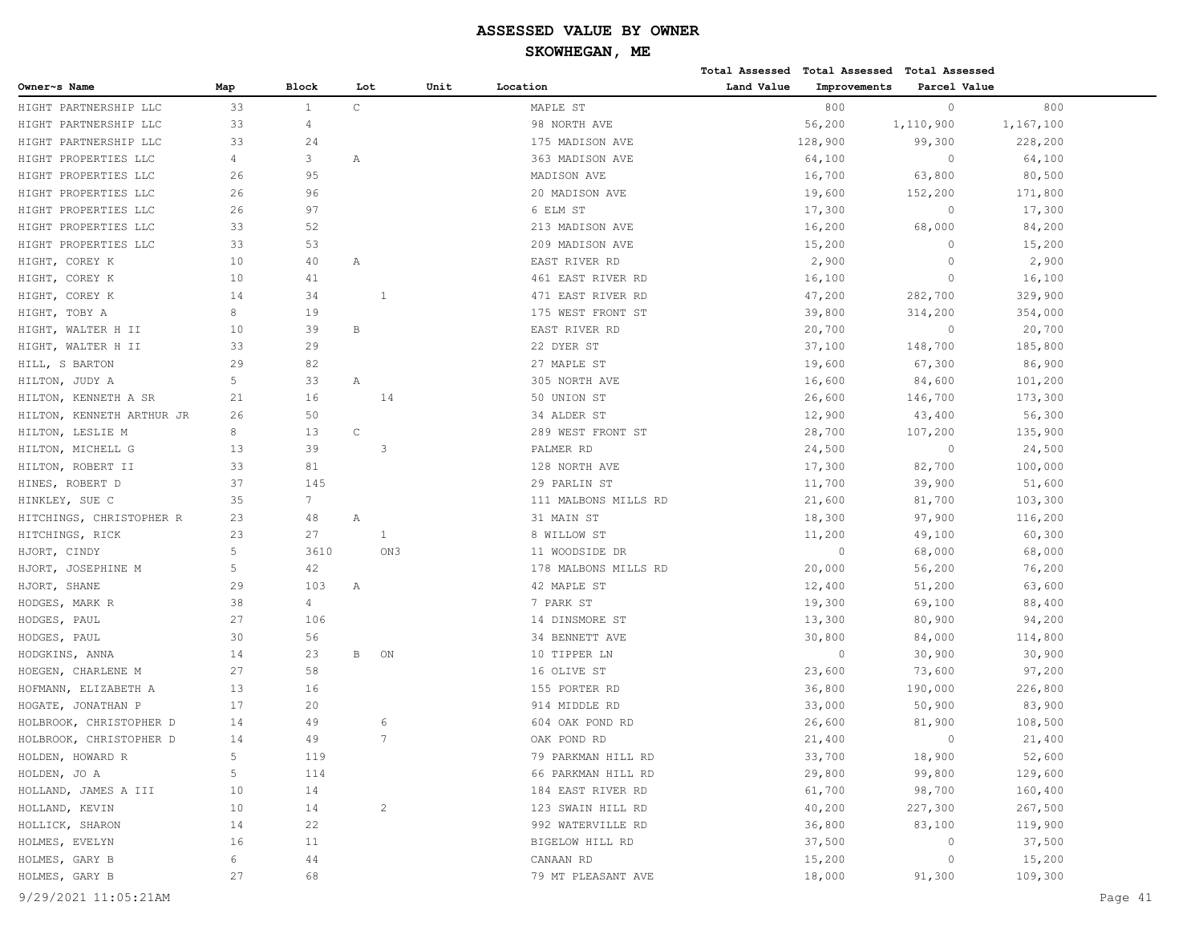|                           |                |                 |              |                |      |                      |            |              | Total Assessed Total Assessed Total Assessed |           |         |
|---------------------------|----------------|-----------------|--------------|----------------|------|----------------------|------------|--------------|----------------------------------------------|-----------|---------|
| Owner~s Name              | Map            | <b>Block</b>    | Lot          |                | Unit | Location             | Land Value | Improvements | Parcel Value                                 |           |         |
| HIGHT PARTNERSHIP LLC     | 33             | $\mathbf{1}$    | $\mathtt{C}$ |                |      | MAPLE ST             |            | 800          | $\circ$                                      | 800       |         |
| HIGHT PARTNERSHIP LLC     | 33             | 4               |              |                |      | 98 NORTH AVE         |            | 56,200       | 1,110,900                                    | 1,167,100 |         |
| HIGHT PARTNERSHIP LLC     | 33             | 24              |              |                |      | 175 MADISON AVE      |            | 128,900      | 99,300                                       | 228,200   |         |
| HIGHT PROPERTIES LLC      | $\overline{4}$ | 3               | Α            |                |      | 363 MADISON AVE      |            | 64,100       | $\circ$                                      | 64,100    |         |
| HIGHT PROPERTIES LLC      | 26             | 95              |              |                |      | MADISON AVE          |            | 16,700       | 63,800                                       | 80,500    |         |
| HIGHT PROPERTIES LLC      | 26             | 96              |              |                |      | 20 MADISON AVE       |            | 19,600       | 152,200                                      | 171,800   |         |
| HIGHT PROPERTIES LLC      | 26             | 97              |              |                |      | 6 ELM ST             |            | 17,300       | $\circ$                                      | 17,300    |         |
| HIGHT PROPERTIES LLC      | 33             | 52              |              |                |      | 213 MADISON AVE      |            | 16,200       | 68,000                                       | 84,200    |         |
| HIGHT PROPERTIES LLC      | 33             | 53              |              |                |      | 209 MADISON AVE      |            | 15,200       | $\circ$                                      | 15,200    |         |
| HIGHT, COREY K            | 10             | 40              | Α            |                |      | EAST RIVER RD        |            | 2,900        | $\circ$                                      | 2,900     |         |
| HIGHT, COREY K            | 10             | 41              |              |                |      | 461 EAST RIVER RD    |            | 16,100       | $\circ$                                      | 16,100    |         |
| HIGHT, COREY K            | 14             | 34              |              | 1              |      | 471 EAST RIVER RD    |            | 47,200       | 282,700                                      | 329,900   |         |
| HIGHT, TOBY A             | 8              | 19              |              |                |      | 175 WEST FRONT ST    |            | 39,800       | 314,200                                      | 354,000   |         |
| HIGHT, WALTER H II        | 10             | 39              | $\, {\bf B}$ |                |      | EAST RIVER RD        |            | 20,700       | $\circ$                                      | 20,700    |         |
| HIGHT, WALTER H II        | 33             | 29              |              |                |      | 22 DYER ST           |            | 37,100       | 148,700                                      | 185,800   |         |
| HILL, S BARTON            | 29             | 82              |              |                |      | 27 MAPLE ST          |            | 19,600       | 67,300                                       | 86,900    |         |
| HILTON, JUDY A            | 5              | 33              | Α            |                |      | 305 NORTH AVE        |            | 16,600       | 84,600                                       | 101,200   |         |
| HILTON, KENNETH A SR      | 21             | 16              |              | 14             |      | 50 UNION ST          |            | 26,600       | 146,700                                      | 173,300   |         |
| HILTON, KENNETH ARTHUR JR | 26             | 50              |              |                |      | 34 ALDER ST          |            | 12,900       | 43,400                                       | 56,300    |         |
| HILTON, LESLIE M          | 8              | 13              | $\mathsf C$  |                |      | 289 WEST FRONT ST    |            | 28,700       | 107,200                                      | 135,900   |         |
| HILTON, MICHELL G         | 13             | 39              |              | 3              |      | PALMER RD            |            | 24,500       | $\circ$                                      | 24,500    |         |
| HILTON, ROBERT II         | 33             | 81              |              |                |      | 128 NORTH AVE        |            | 17,300       | 82,700                                       | 100,000   |         |
| HINES, ROBERT D           | 37             | 145             |              |                |      | 29 PARLIN ST         |            | 11,700       | 39,900                                       | 51,600    |         |
| HINKLEY, SUE C            | 35             | $7\overline{ }$ |              |                |      | 111 MALBONS MILLS RD |            | 21,600       | 81,700                                       | 103,300   |         |
| HITCHINGS, CHRISTOPHER R  | 23             | 48              | Α            |                |      | 31 MAIN ST           |            | 18,300       | 97,900                                       | 116,200   |         |
| HITCHINGS, RICK           | 23             | 27              |              | $\mathbf{1}$   |      | 8 WILLOW ST          |            | 11,200       | 49,100                                       | 60,300    |         |
| HJORT, CINDY              | 5              | 3610            |              | ON3            |      | 11 WOODSIDE DR       |            | $\circ$      | 68,000                                       | 68,000    |         |
| HJORT, JOSEPHINE M        | 5              | 42              |              |                |      | 178 MALBONS MILLS RD |            | 20,000       | 56,200                                       | 76,200    |         |
| HJORT, SHANE              | 29             | 103             | Α            |                |      | 42 MAPLE ST          |            | 12,400       | 51,200                                       | 63,600    |         |
| HODGES, MARK R            | 38             | 4               |              |                |      | 7 PARK ST            |            | 19,300       | 69,100                                       | 88,400    |         |
| HODGES, PAUL              | 27             | 106             |              |                |      | 14 DINSMORE ST       |            | 13,300       | 80,900                                       | 94,200    |         |
| HODGES, PAUL              | 30             | 56              |              |                |      | 34 BENNETT AVE       |            | 30,800       | 84,000                                       | 114,800   |         |
| HODGKINS, ANNA            | 14             | 23              | В            | ON             |      | 10 TIPPER LN         |            | $\circ$      | 30,900                                       | 30,900    |         |
| HOEGEN, CHARLENE M        | 27             | 58              |              |                |      | 16 OLIVE ST          |            | 23,600       | 73,600                                       | 97,200    |         |
| HOFMANN, ELIZABETH A      | 13             | 16              |              |                |      | 155 PORTER RD        |            | 36,800       | 190,000                                      | 226,800   |         |
| HOGATE, JONATHAN P        | 17             | 20              |              |                |      | 914 MIDDLE RD        |            | 33,000       | 50,900                                       | 83,900    |         |
| HOLBROOK, CHRISTOPHER D   | 14             | 49              |              | -6             |      | 604 OAK POND RD      |            | 26,600       | 81,900                                       | 108,500   |         |
| HOLBROOK, CHRISTOPHER D   | 14             | 49              |              | 7              |      | OAK POND RD          |            | 21,400       | $\circ$                                      | 21,400    |         |
| HOLDEN, HOWARD R          | 5              | 119             |              |                |      | 79 PARKMAN HILL RD   |            | 33,700       | 18,900                                       | 52,600    |         |
| HOLDEN, JO A              | 5              | 114             |              |                |      | 66 PARKMAN HILL RD   |            | 29,800       | 99,800                                       | 129,600   |         |
| HOLLAND, JAMES A III      | 10             | 14              |              |                |      | 184 EAST RIVER RD    |            | 61,700       | 98,700                                       | 160,400   |         |
| HOLLAND, KEVIN            | 10             | 14              |              | $\overline{c}$ |      | 123 SWAIN HILL RD    |            | 40,200       | 227,300                                      | 267,500   |         |
| HOLLICK, SHARON           | 14             | 22              |              |                |      | 992 WATERVILLE RD    |            | 36,800       | 83,100                                       | 119,900   |         |
| HOLMES, EVELYN            | 16             | 11              |              |                |      | BIGELOW HILL RD      |            | 37,500       | $\circ$                                      | 37,500    |         |
| HOLMES, GARY B            | 6              | 44              |              |                |      | CANAAN RD            |            | 15,200       | $\circ$                                      | 15,200    |         |
| HOLMES, GARY B            | 27             | 68              |              |                |      | 79 MT PLEASANT AVE   |            | 18,000       | 91,300                                       | 109,300   |         |
| 9/29/2021 11:05:21AM      |                |                 |              |                |      |                      |            |              |                                              |           | Page 41 |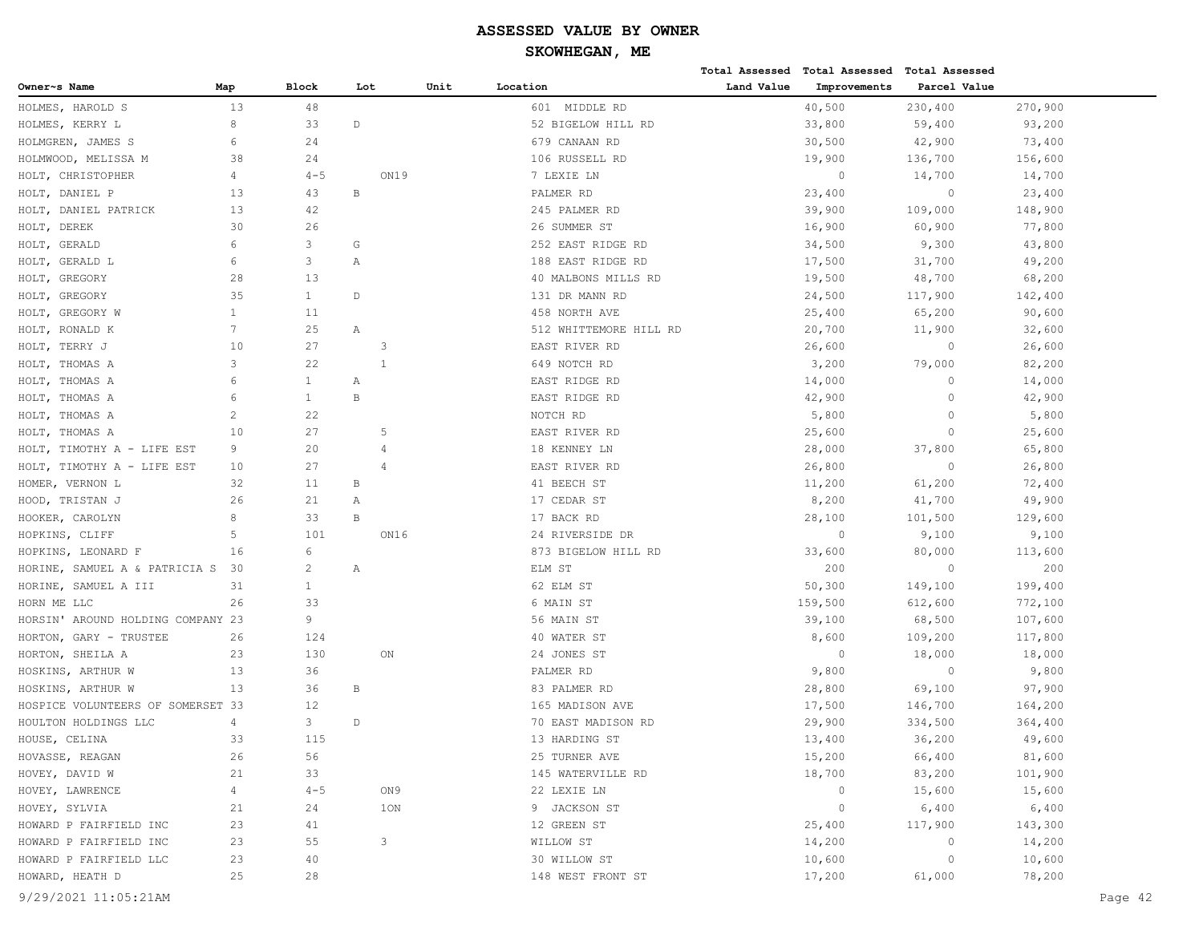|                                   |                |                       |                |      |                        |            | Total Assessed Total Assessed Total Assessed |              |         |         |
|-----------------------------------|----------------|-----------------------|----------------|------|------------------------|------------|----------------------------------------------|--------------|---------|---------|
| Owner~s Name                      | Map            | <b>Block</b>          | Lot            | Unit | Location               | Land Value | Improvements                                 | Parcel Value |         |         |
| HOLMES, HAROLD S                  | 13             | 48                    |                |      | 601 MIDDLE RD          |            | 40,500                                       | 230,400      | 270,900 |         |
| HOLMES, KERRY L                   | 8              | 33                    | $\mathbb D$    |      | 52 BIGELOW HILL RD     |            | 33,800                                       | 59,400       | 93,200  |         |
| HOLMGREN, JAMES S                 | 6              | 24                    |                |      | 679 CANAAN RD          |            | 30,500                                       | 42,900       | 73,400  |         |
| HOLMWOOD, MELISSA M               | 38             | 24                    |                |      | 106 RUSSELL RD         |            | 19,900                                       | 136,700      | 156,600 |         |
| HOLT, CHRISTOPHER                 | 4              | $4 - 5$               | ON19           |      | 7 LEXIE LN             |            | $\circ$                                      | 14,700       | 14,700  |         |
| HOLT, DANIEL P                    | 13             | 43                    | $\, {\bf B}$   |      | PALMER RD              |            | 23,400                                       | $\circ$      | 23,400  |         |
| HOLT, DANIEL PATRICK              | 13             | 42                    |                |      | 245 PALMER RD          |            | 39,900                                       | 109,000      | 148,900 |         |
| HOLT, DEREK                       | 30             | 26                    |                |      | 26 SUMMER ST           |            | 16,900                                       | 60,900       | 77,800  |         |
| HOLT, GERALD                      | 6              | 3                     | G              |      | 252 EAST RIDGE RD      |            | 34,500                                       | 9,300        | 43,800  |         |
| HOLT, GERALD L                    | 6              | 3                     | Α              |      | 188 EAST RIDGE RD      |            | 17,500                                       | 31,700       | 49,200  |         |
| HOLT, GREGORY                     | 28             | 13                    |                |      | 40 MALBONS MILLS RD    |            | 19,500                                       | 48,700       | 68,200  |         |
| HOLT, GREGORY                     | 35             | $\mathbf{1}$          | D              |      | 131 DR MANN RD         |            | 24,500                                       | 117,900      | 142,400 |         |
| HOLT, GREGORY W                   | 1              | 11                    |                |      | 458 NORTH AVE          |            | 25,400                                       | 65,200       | 90,600  |         |
| HOLT, RONALD K                    | 7              | 25                    | Α              |      | 512 WHITTEMORE HILL RD |            | 20,700                                       | 11,900       | 32,600  |         |
| HOLT, TERRY J                     | 10             | 27                    | 3              |      | EAST RIVER RD          |            | 26,600                                       | $\circ$      | 26,600  |         |
| HOLT, THOMAS A                    | 3              | 22                    | $\overline{1}$ |      | 649 NOTCH RD           |            | 3,200                                        | 79,000       | 82,200  |         |
| HOLT, THOMAS A                    | 6              | $\mathbf{1}$          | Α              |      | EAST RIDGE RD          |            | 14,000                                       | $\circ$      | 14,000  |         |
| HOLT, THOMAS A                    | 6              | $\mathbf{1}$          | $\, {\bf B}$   |      | EAST RIDGE RD          |            | 42,900                                       | $\circ$      | 42,900  |         |
| HOLT, THOMAS A                    | 2              | 22                    |                |      | NOTCH RD               |            | 5,800                                        | $\circ$      | 5,800   |         |
| HOLT, THOMAS A                    | 10             | 27                    | 5              |      | EAST RIVER RD          |            | 25,600                                       | $\circ$      | 25,600  |         |
| HOLT, TIMOTHY A - LIFE EST        | 9              | 20                    | 4              |      | 18 KENNEY LN           |            | 28,000                                       | 37,800       | 65,800  |         |
| HOLT, TIMOTHY A - LIFE EST        | 10             | 27                    | 4              |      | EAST RIVER RD          |            | 26,800                                       | $\circ$      | 26,800  |         |
| HOMER, VERNON L                   | 32             | 11                    | B              |      | 41 BEECH ST            |            | 11,200                                       | 61,200       | 72,400  |         |
| HOOD, TRISTAN J                   | 26             | 21                    | Α              |      | 17 CEDAR ST            |            | 8,200                                        | 41,700       | 49,900  |         |
| HOOKER, CAROLYN                   | 8              | 33                    | $\, {\bf B}$   |      | 17 BACK RD             |            | 28,100                                       | 101,500      | 129,600 |         |
| HOPKINS, CLIFF                    | 5              | 101                   | ON16           |      | 24 RIVERSIDE DR        |            | $\circ$                                      | 9,100        | 9,100   |         |
| HOPKINS, LEONARD F                | 16             | 6                     |                |      | 873 BIGELOW HILL RD    |            | 33,600                                       | 80,000       | 113,600 |         |
| HORINE, SAMUEL A & PATRICIA S     | 30             | $\mathbf{2}^{\prime}$ | Α              |      | ELM ST                 |            | 200                                          | $\circ$      | 200     |         |
| HORINE, SAMUEL A III              | 31             | $\mathbf{1}$          |                |      | 62 ELM ST              |            | 50,300                                       | 149,100      | 199,400 |         |
| HORN ME LLC                       | 26             | 33                    |                |      | 6 MAIN ST              |            | 159,500                                      | 612,600      | 772,100 |         |
| HORSIN' AROUND HOLDING COMPANY 23 |                | 9                     |                |      | 56 MAIN ST             |            | 39,100                                       | 68,500       | 107,600 |         |
| HORTON, GARY - TRUSTEE            | 26             | 124                   |                |      | 40 WATER ST            |            | 8,600                                        | 109,200      | 117,800 |         |
| HORTON, SHEILA A                  | 23             | 130                   | ON             |      | 24 JONES ST            |            | $\circ$                                      | 18,000       | 18,000  |         |
| HOSKINS, ARTHUR W                 | 13             | 36                    |                |      | PALMER RD              |            | 9,800                                        | $\circ$      | 9,800   |         |
| HOSKINS, ARTHUR W                 | 13             | 36                    | В              |      | 83 PALMER RD           |            | 28,800                                       | 69,100       | 97,900  |         |
| HOSPICE VOLUNTEERS OF SOMERSET 33 |                | 12                    |                |      | 165 MADISON AVE        |            | 17,500                                       | 146,700      | 164,200 |         |
| HOULTON HOLDINGS LLC              | $\overline{4}$ | 3                     | $\mathbb D$    |      | 70 EAST MADISON RD     |            | 29,900                                       | 334,500      | 364,400 |         |
| HOUSE, CELINA                     | 33             | 115                   |                |      | 13 HARDING ST          |            | 13,400                                       | 36,200       | 49,600  |         |
| HOVASSE, REAGAN                   | 26             | 56                    |                |      | 25 TURNER AVE          |            | 15,200                                       | 66,400       | 81,600  |         |
| HOVEY, DAVID W                    | 21             | 33                    |                |      | 145 WATERVILLE RD      |            | 18,700                                       | 83,200       | 101,900 |         |
| HOVEY, LAWRENCE                   | $\overline{4}$ | $4 - 5$               | ON 9           |      | 22 LEXIE LN            |            | $\circ$                                      | 15,600       | 15,600  |         |
| HOVEY, SYLVIA                     | 21             | 24                    | 10N            |      | 9 JACKSON ST           |            | $\circ$                                      | 6,400        | 6,400   |         |
| HOWARD P FAIRFIELD INC            | 23             | 41                    |                |      | 12 GREEN ST            |            | 25,400                                       | 117,900      | 143,300 |         |
| HOWARD P FAIRFIELD INC            | 23             | 55                    | 3              |      | WILLOW ST              |            | 14,200                                       | $\circ$      | 14,200  |         |
| HOWARD P FAIRFIELD LLC            | 23             | 40                    |                |      | 30 WILLOW ST           |            | 10,600                                       | $\circ$      | 10,600  |         |
| HOWARD, HEATH D                   | 25             | 28                    |                |      | 148 WEST FRONT ST      |            | 17,200                                       | 61,000       | 78,200  |         |
| 9/29/2021 11:05:21AM              |                |                       |                |      |                        |            |                                              |              |         | Page 42 |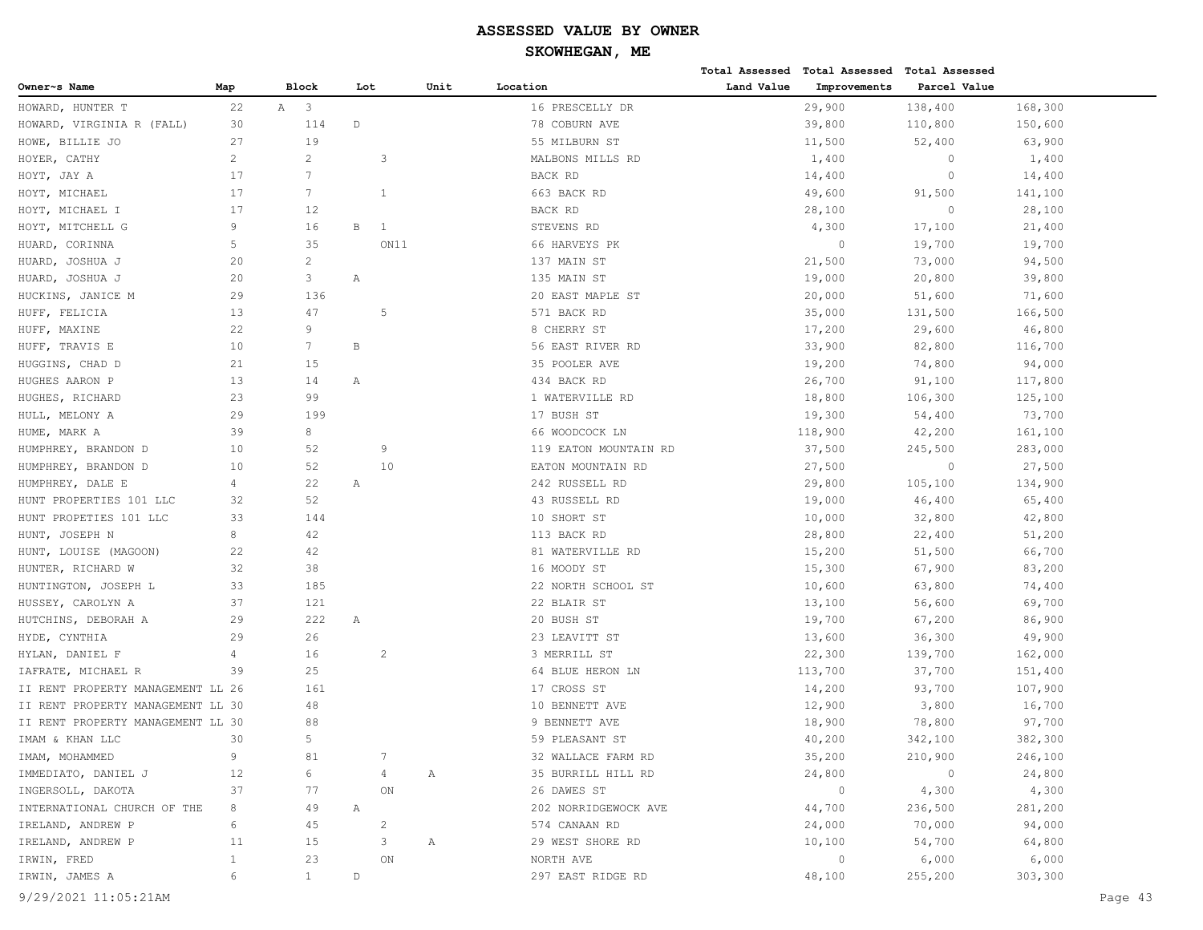|                                   |                |                              |             |                |      |                       |            | Total Assessed Total Assessed Total Assessed |              |         |
|-----------------------------------|----------------|------------------------------|-------------|----------------|------|-----------------------|------------|----------------------------------------------|--------------|---------|
| Owner~s Name                      | Map            | Block                        |             | Lot            | Unit | Location              | Land Value | Improvements                                 | Parcel Value |         |
| HOWARD, HUNTER T                  | 22             | $\mathbb{A}$<br>$\mathbf{3}$ |             |                |      | 16 PRESCELLY DR       |            | 29,900                                       | 138,400      | 168,300 |
| HOWARD, VIRGINIA R (FALL)         | 30             | 114                          | $\mathbb D$ |                |      | 78 COBURN AVE         |            | 39,800                                       | 110,800      | 150,600 |
| HOWE, BILLIE JO                   | 27             | 19                           |             |                |      | 55 MILBURN ST         |            | 11,500                                       | 52,400       | 63,900  |
| HOYER, CATHY                      | $\overline{c}$ | $\overline{c}$               |             | 3              |      | MALBONS MILLS RD      |            | 1,400                                        | $\circ$      | 1,400   |
| HOYT, JAY A                       | 17             | 7                            |             |                |      | BACK RD               |            | 14,400                                       | $\circ$      | 14,400  |
| HOYT, MICHAEL                     | 17             | $7\phantom{.0}$              |             | 1              |      | 663 BACK RD           |            | 49,600                                       | 91,500       | 141,100 |
| HOYT, MICHAEL I                   | 17             | 12                           |             |                |      | BACK RD               |            | 28,100                                       | $\circ$      | 28,100  |
| HOYT, MITCHELL G                  | 9              | 16                           | В           | 1              |      | STEVENS RD            |            | 4,300                                        | 17,100       | 21,400  |
| HUARD, CORINNA                    | 5              | 35                           |             | ON11           |      | 66 HARVEYS PK         |            | $\circ$                                      | 19,700       | 19,700  |
| HUARD, JOSHUA J                   | 20             | $\overline{c}$               |             |                |      | 137 MAIN ST           |            | 21,500                                       | 73,000       | 94,500  |
| HUARD, JOSHUA J                   | 20             | 3                            | Α           |                |      | 135 MAIN ST           |            | 19,000                                       | 20,800       | 39,800  |
| HUCKINS, JANICE M                 | 29             | 136                          |             |                |      | 20 EAST MAPLE ST      |            | 20,000                                       | 51,600       | 71,600  |
| HUFF, FELICIA                     | 13             | 47                           |             | 5              |      | 571 BACK RD           |            | 35,000                                       | 131,500      | 166,500 |
| HUFF, MAXINE                      | 22             | 9                            |             |                |      | 8 CHERRY ST           |            | 17,200                                       | 29,600       | 46,800  |
| HUFF, TRAVIS E                    | 10             | $7\phantom{.0}$              | В           |                |      | 56 EAST RIVER RD      |            | 33,900                                       | 82,800       | 116,700 |
| HUGGINS, CHAD D                   | 21             | 15                           |             |                |      | 35 POOLER AVE         |            | 19,200                                       | 74,800       | 94,000  |
| HUGHES AARON P                    | 13             | 14                           | Α           |                |      | 434 BACK RD           |            | 26,700                                       | 91,100       | 117,800 |
| HUGHES, RICHARD                   | 23             | 99                           |             |                |      | 1 WATERVILLE RD       |            | 18,800                                       | 106,300      | 125,100 |
| HULL, MELONY A                    | 29             | 199                          |             |                |      | 17 BUSH ST            |            | 19,300                                       | 54,400       | 73,700  |
| HUME, MARK A                      | 39             | 8                            |             |                |      | 66 WOODCOCK LN        |            | 118,900                                      | 42,200       | 161,100 |
| HUMPHREY, BRANDON D               | 10             | 52                           |             | 9              |      | 119 EATON MOUNTAIN RD |            | 37,500                                       | 245,500      | 283,000 |
| HUMPHREY, BRANDON D               | 10             | 52                           |             | 10             |      | EATON MOUNTAIN RD     |            | 27,500                                       | $\circ$      | 27,500  |
| HUMPHREY, DALE E                  | 4              | 22                           | Α           |                |      | 242 RUSSELL RD        |            | 29,800                                       | 105,100      | 134,900 |
| HUNT PROPERTIES 101 LLC           | 32             | 52                           |             |                |      | 43 RUSSELL RD         |            | 19,000                                       | 46,400       | 65,400  |
| HUNT PROPETIES 101 LLC            | 33             | 144                          |             |                |      | 10 SHORT ST           |            | 10,000                                       | 32,800       | 42,800  |
| HUNT, JOSEPH N                    | 8              | 42                           |             |                |      | 113 BACK RD           |            | 28,800                                       | 22,400       | 51,200  |
| HUNT, LOUISE (MAGOON)             | 22             | 42                           |             |                |      | 81 WATERVILLE RD      |            | 15,200                                       | 51,500       | 66,700  |
| HUNTER, RICHARD W                 | 32             | 38                           |             |                |      | 16 MOODY ST           |            | 15,300                                       | 67,900       | 83,200  |
| HUNTINGTON, JOSEPH L              | 33             | 185                          |             |                |      | 22 NORTH SCHOOL ST    |            | 10,600                                       | 63,800       | 74,400  |
| HUSSEY, CAROLYN A                 | 37             | 121                          |             |                |      | 22 BLAIR ST           |            | 13,100                                       | 56,600       | 69,700  |
| HUTCHINS, DEBORAH A               | 29             | 222                          | Α           |                |      | 20 BUSH ST            |            | 19,700                                       | 67,200       | 86,900  |
| HYDE, CYNTHIA                     | 29             | 26                           |             |                |      | 23 LEAVITT ST         |            | 13,600                                       | 36,300       | 49,900  |
| HYLAN, DANIEL F                   | 4              | 16                           |             | $\overline{c}$ |      | 3 MERRILL ST          |            | 22,300                                       | 139,700      | 162,000 |
| IAFRATE, MICHAEL R                | 39             | 25                           |             |                |      | 64 BLUE HERON LN      |            | 113,700                                      | 37,700       | 151,400 |
| II RENT PROPERTY MANAGEMENT LL 26 |                | 161                          |             |                |      | 17 CROSS ST           |            | 14,200                                       | 93,700       | 107,900 |
| II RENT PROPERTY MANAGEMENT LL 30 |                | 48                           |             |                |      | 10 BENNETT AVE        |            | 12,900                                       | 3,800        | 16,700  |
| II RENT PROPERTY MANAGEMENT LL 30 |                | 88                           |             |                |      | 9 BENNETT AVE         |            | 18,900                                       | 78,800       | 97,700  |
| IMAM & KHAN LLC                   | 30             | 5                            |             |                |      | 59 PLEASANT ST        |            | 40,200                                       | 342,100      | 382,300 |
| IMAM, MOHAMMED                    | 9              | $8\,1$                       |             |                |      | 32 WALLACE FARM RD    |            | 35,200                                       | 210,900      | 246,100 |
| IMMEDIATO, DANIEL J               | 12             | 6                            |             |                | Α    | 35 BURRILL HILL RD    |            | 24,800                                       | $\circ$      | 24,800  |
| INGERSOLL, DAKOTA                 | 37             | 77                           |             | $\mathsf{ON}$  |      | 26 DAWES ST           |            | $\overline{0}$                               | 4,300        | 4,300   |
| INTERNATIONAL CHURCH OF THE       | 8              | 49                           | Α           |                |      | 202 NORRIDGEWOCK AVE  |            | 44,700                                       | 236,500      | 281,200 |
| IRELAND, ANDREW P                 | 6              | 45                           |             | $\overline{c}$ |      | 574 CANAAN RD         |            | 24,000                                       | 70,000       | 94,000  |
| IRELAND, ANDREW P                 | 11             | 15                           |             | 3              | Α    | 29 WEST SHORE RD      |            | 10,100                                       | 54,700       | 64,800  |
| IRWIN, FRED                       | $\mathbf{1}$   | 23                           |             | ON             |      | NORTH AVE             |            | $\circ$                                      | 6,000        | 6,000   |
| IRWIN, JAMES A                    | 6              | $\mathbf{1}$                 | $\mathbb D$ |                |      | 297 EAST RIDGE RD     |            | 48,100                                       | 255,200      | 303,300 |
|                                   |                |                              |             |                |      |                       |            |                                              |              |         |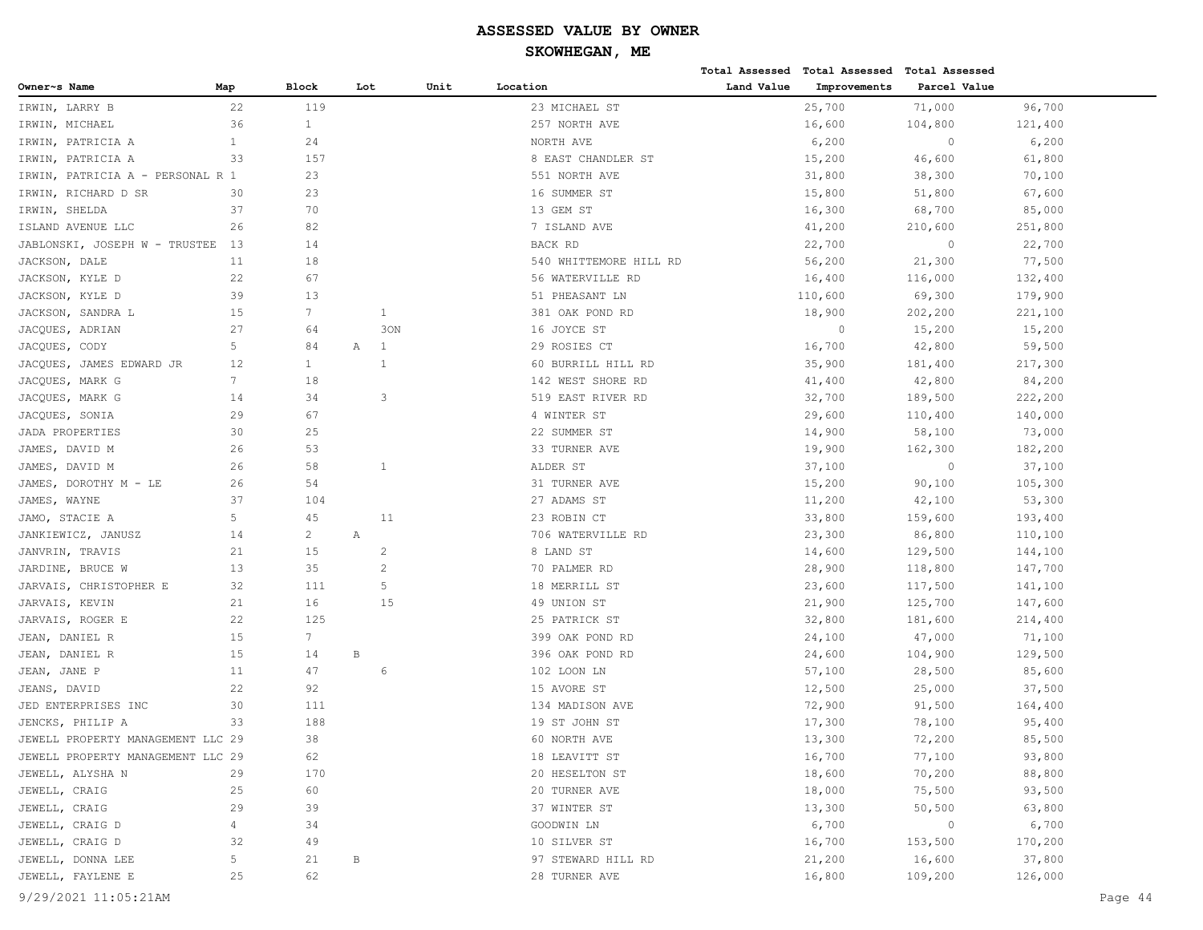|                                   |                |                 |              |              |      |                        |            | Total Assessed Total Assessed Total Assessed |              |         |
|-----------------------------------|----------------|-----------------|--------------|--------------|------|------------------------|------------|----------------------------------------------|--------------|---------|
| Owner~s Name                      | Map            | Block           | Lot          |              | Unit | Location               | Land Value | Improvements                                 | Parcel Value |         |
| IRWIN, LARRY B                    | 22             | 119             |              |              |      | 23 MICHAEL ST          |            | 25,700                                       | 71,000       | 96,700  |
| IRWIN, MICHAEL                    | 36             | $\mathbf{1}$    |              |              |      | 257 NORTH AVE          |            | 16,600                                       | 104,800      | 121,400 |
| IRWIN, PATRICIA A                 | $\mathbf{1}$   | 24              |              |              |      | NORTH AVE              |            | 6,200                                        | $\circ$      | 6,200   |
| IRWIN, PATRICIA A                 | 33             | 157             |              |              |      | 8 EAST CHANDLER ST     |            | 15,200                                       | 46,600       | 61,800  |
| IRWIN, PATRICIA A - PERSONAL R 1  |                | 23              |              |              |      | 551 NORTH AVE          |            | 31,800                                       | 38,300       | 70,100  |
| IRWIN, RICHARD D SR               | 30             | 23              |              |              |      | 16 SUMMER ST           |            | 15,800                                       | 51,800       | 67,600  |
| IRWIN, SHELDA                     | 37             | 70              |              |              |      | 13 GEM ST              |            | 16,300                                       | 68,700       | 85,000  |
| ISLAND AVENUE LLC                 | 26             | 82              |              |              |      | 7 ISLAND AVE           |            | 41,200                                       | 210,600      | 251,800 |
| JABLONSKI, JOSEPH W - TRUSTEE     | 13             | 14              |              |              |      | BACK RD                |            | 22,700                                       | $\circ$      | 22,700  |
| JACKSON, DALE                     | 11             | 18              |              |              |      | 540 WHITTEMORE HILL RD |            | 56,200                                       | 21,300       | 77,500  |
| JACKSON, KYLE D                   | 22             | 67              |              |              |      | 56 WATERVILLE RD       |            | 16,400                                       | 116,000      | 132,400 |
| JACKSON, KYLE D                   | 39             | 13              |              |              |      | 51 PHEASANT LN         |            | 110,600                                      | 69,300       | 179,900 |
| JACKSON, SANDRA L                 | 15             | $7\overline{ }$ |              | $\mathbf{1}$ |      | 381 OAK POND RD        |            | 18,900                                       | 202,200      | 221,100 |
| JACQUES, ADRIAN                   | 27             | 64              |              | 30N          |      | 16 JOYCE ST            |            | $\circ$                                      | 15,200       | 15,200  |
| JACQUES, CODY                     | 5              | 84              | Α            | 1            |      | 29 ROSIES CT           |            | 16,700                                       | 42,800       | 59,500  |
| JACQUES, JAMES EDWARD JR          | 12             | $\mathbf{1}$    |              | $\mathbf{1}$ |      | 60 BURRILL HILL RD     |            | 35,900                                       | 181,400      | 217,300 |
| JACQUES, MARK G                   | $7\phantom{.}$ | 18              |              |              |      | 142 WEST SHORE RD      |            | 41,400                                       | 42,800       | 84,200  |
| JACQUES, MARK G                   | 14             | 34              |              | 3            |      | 519 EAST RIVER RD      |            | 32,700                                       | 189,500      | 222,200 |
| JACQUES, SONIA                    | 29             | 67              |              |              |      | 4 WINTER ST            |            | 29,600                                       | 110,400      | 140,000 |
| <b>JADA PROPERTIES</b>            | 30             | 25              |              |              |      | 22 SUMMER ST           |            | 14,900                                       | 58,100       | 73,000  |
| JAMES, DAVID M                    | 26             | 53              |              |              |      | 33 TURNER AVE          |            | 19,900                                       | 162,300      | 182,200 |
| JAMES, DAVID M                    | 26             | 58              |              | <sup>1</sup> |      | ALDER ST               |            | 37,100                                       | $\circ$      | 37,100  |
| JAMES, DOROTHY M - LE             | 26             | 54              |              |              |      | 31 TURNER AVE          |            | 15,200                                       | 90,100       | 105,300 |
| JAMES, WAYNE                      | 37             | 104             |              |              |      | 27 ADAMS ST            |            | 11,200                                       | 42,100       | 53,300  |
| JAMO, STACIE A                    | 5              | 45              |              | 11           |      | 23 ROBIN CT            |            | 33,800                                       | 159,600      | 193,400 |
| JANKIEWICZ, JANUSZ                | 14             | $\overline{c}$  | Α            |              |      | 706 WATERVILLE RD      |            | 23,300                                       | 86,800       | 110,100 |
| JANVRIN, TRAVIS                   | 21             | 15              |              | 2            |      | 8 LAND ST              |            | 14,600                                       | 129,500      | 144,100 |
| JARDINE, BRUCE W                  | 13             | 35              |              | 2            |      | 70 PALMER RD           |            | 28,900                                       | 118,800      | 147,700 |
| JARVAIS, CHRISTOPHER E            | 32             | 111             |              | 5            |      | 18 MERRILL ST          |            | 23,600                                       | 117,500      | 141,100 |
| JARVAIS, KEVIN                    | 21             | 16              |              | 15           |      | 49 UNION ST            |            | 21,900                                       | 125,700      | 147,600 |
| JARVAIS, ROGER E                  | 22             | 125             |              |              |      | 25 PATRICK ST          |            | 32,800                                       | 181,600      | 214,400 |
| JEAN, DANIEL R                    | 15             | $7\phantom{.}$  |              |              |      | 399 OAK POND RD        |            | 24,100                                       | 47,000       | 71,100  |
| JEAN, DANIEL R                    | 15             | 14              | $\, {\bf B}$ |              |      | 396 OAK POND RD        |            | 24,600                                       | 104,900      | 129,500 |
| JEAN, JANE P                      | 11             | 47              |              | 6            |      | 102 LOON LN            |            | 57,100                                       | 28,500       | 85,600  |
| JEANS, DAVID                      | 22             | 92              |              |              |      | 15 AVORE ST            |            | 12,500                                       | 25,000       | 37,500  |
| JED ENTERPRISES INC               | 30             | 111             |              |              |      | 134 MADISON AVE        |            | 72,900                                       | 91,500       | 164,400 |
| JENCKS, PHILIP A                  | 33             | 188             |              |              |      | 19 ST JOHN ST          |            | 17,300                                       | 78,100       | 95,400  |
| JEWELL PROPERTY MANAGEMENT LLC 29 |                | 38              |              |              |      | 60 NORTH AVE           |            | 13,300                                       | 72,200       | 85,500  |
| JEWELL PROPERTY MANAGEMENT LLC 29 |                | 62              |              |              |      | 18 LEAVITT ST          |            | 16,700                                       | 77,100       | 93,800  |
| JEWELL, ALYSHA N                  | 29             | 170             |              |              |      | 20 HESELTON ST         |            | 18,600                                       | 70,200       | 88,800  |
| JEWELL, CRAIG                     | 25             | 60              |              |              |      | 20 TURNER AVE          |            | 18,000                                       | 75,500       | 93,500  |
| JEWELL, CRAIG                     | 29             | 39              |              |              |      | 37 WINTER ST           |            | 13,300                                       | 50,500       | 63,800  |
| JEWELL, CRAIG D                   | $\overline{4}$ | 34              |              |              |      | GOODWIN LN             |            | 6,700                                        | $\circ$      | 6,700   |
| JEWELL, CRAIG D                   | 32             | 49              |              |              |      | 10 SILVER ST           |            | 16,700                                       | 153,500      | 170,200 |
| JEWELL, DONNA LEE                 | 5              | 21              | В            |              |      | 97 STEWARD HILL RD     |            | 21,200                                       | 16,600       | 37,800  |
| JEWELL, FAYLENE E                 | 25             | 62              |              |              |      | 28 TURNER AVE          |            | 16,800                                       | 109,200      | 126,000 |
|                                   |                |                 |              |              |      |                        |            |                                              |              |         |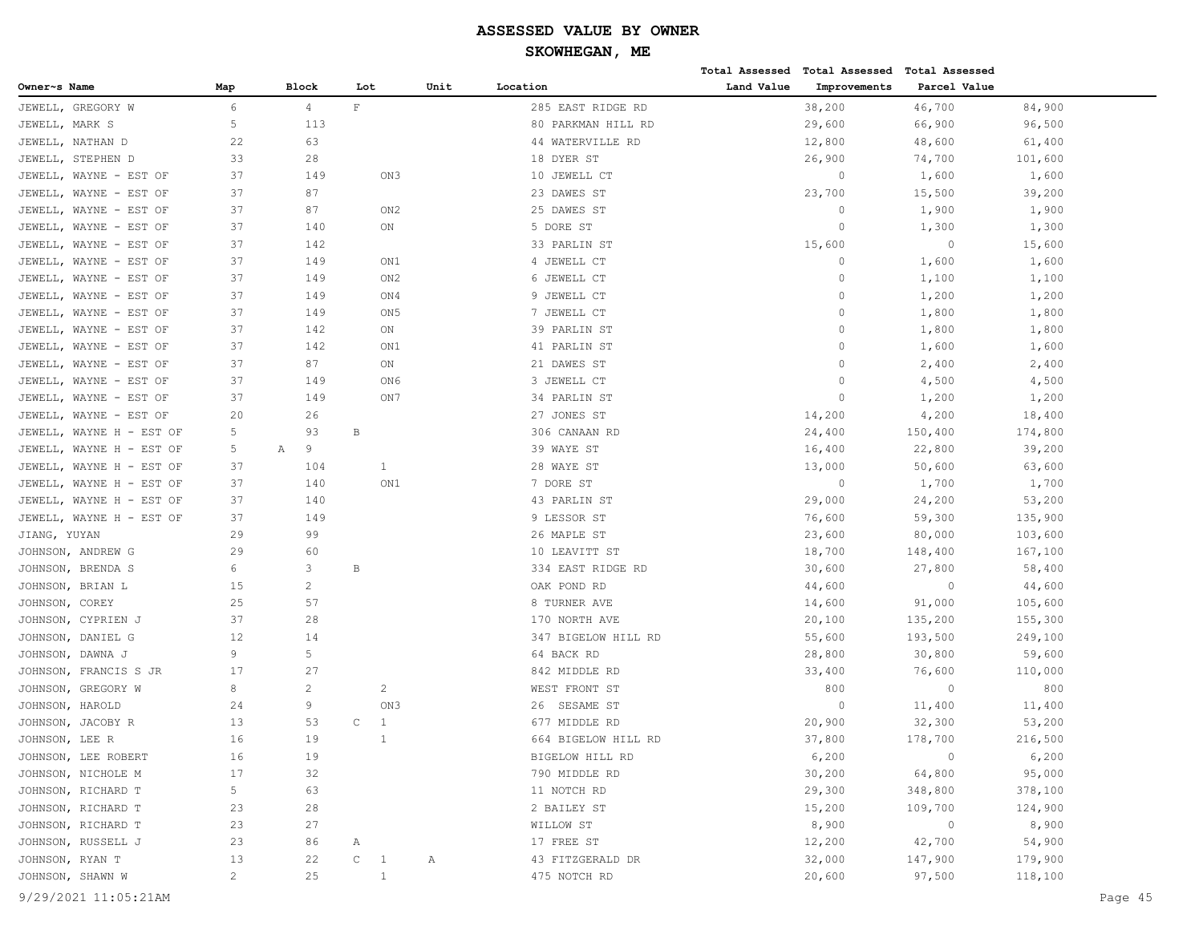|                          |                |                |                              |      |                     |            | Total Assessed Total Assessed Total Assessed |              |         |
|--------------------------|----------------|----------------|------------------------------|------|---------------------|------------|----------------------------------------------|--------------|---------|
| Owner~s Name             | Map            | <b>Block</b>   | Lot                          | Unit | Location            | Land Value | Improvements                                 | Parcel Value |         |
| JEWELL, GREGORY W        | 6              | $\overline{4}$ | $\mathbf{F}$                 |      | 285 EAST RIDGE RD   |            | 38,200                                       | 46,700       | 84,900  |
| JEWELL, MARK S           | 5              | 113            |                              |      | 80 PARKMAN HILL RD  |            | 29,600                                       | 66,900       | 96,500  |
| JEWELL, NATHAN D         | 22             | 63             |                              |      | 44 WATERVILLE RD    |            | 12,800                                       | 48,600       | 61,400  |
| JEWELL, STEPHEN D        | 33             | 28             |                              |      | 18 DYER ST          |            | 26,900                                       | 74,700       | 101,600 |
| JEWELL, WAYNE - EST OF   | 37             | 149            | ON3                          |      | 10 JEWELL CT        |            | 0                                            | 1,600        | 1,600   |
| JEWELL, WAYNE - EST OF   | 37             | 87             |                              |      | 23 DAWES ST         |            | 23,700                                       | 15,500       | 39,200  |
| JEWELL, WAYNE - EST OF   | 37             | 87             | ON <sub>2</sub>              |      | 25 DAWES ST         |            | 0                                            | 1,900        | 1,900   |
| JEWELL, WAYNE - EST OF   | 37             | 140            | ON                           |      | 5 DORE ST           |            | $\circ$                                      | 1,300        | 1,300   |
| JEWELL, WAYNE - EST OF   | 37             | 142            |                              |      | 33 PARLIN ST        |            | 15,600                                       | $\circ$      | 15,600  |
| JEWELL, WAYNE - EST OF   | 37             | 149            | ON1                          |      | 4 JEWELL CT         |            | $\circ$                                      | 1,600        | 1,600   |
| JEWELL, WAYNE - EST OF   | 37             | 149            | ON2                          |      | 6 JEWELL CT         |            | 0                                            | 1,100        | 1,100   |
| JEWELL, WAYNE - EST OF   | 37             | 149            | ON4                          |      | 9 JEWELL CT         |            | 0                                            | 1,200        | 1,200   |
| JEWELL, WAYNE - EST OF   | 37             | 149            | ON <sub>5</sub>              |      | 7 JEWELL CT         |            | $\Omega$                                     | 1,800        | 1,800   |
| JEWELL, WAYNE - EST OF   | 37             | 142            | ON                           |      | 39 PARLIN ST        |            | $\Omega$                                     | 1,800        | 1,800   |
| JEWELL, WAYNE - EST OF   | 37             | 142            | ON1                          |      | 41 PARLIN ST        |            | 0                                            | 1,600        | 1,600   |
| JEWELL, WAYNE - EST OF   | 37             | 87             | ON                           |      | 21 DAWES ST         |            | 0                                            | 2,400        | 2,400   |
| JEWELL, WAYNE - EST OF   | 37             | 149            | ON6                          |      | 3 JEWELL CT         |            | $\mathbf 0$                                  | 4,500        | 4,500   |
| JEWELL, WAYNE - EST OF   | 37             | 149            | ON7                          |      | 34 PARLIN ST        |            | $\circ$                                      | 1,200        | 1,200   |
| JEWELL, WAYNE - EST OF   | 20             | 26             |                              |      | 27 JONES ST         |            | 14,200                                       | 4,200        | 18,400  |
| JEWELL, WAYNE H - EST OF | 5              | 93             | В                            |      | 306 CANAAN RD       |            | 24,400                                       | 150,400      | 174,800 |
| JEWELL, WAYNE H - EST OF | 5              | 9<br>Α         |                              |      | 39 WAYE ST          |            | 16,400                                       | 22,800       | 39,200  |
| JEWELL, WAYNE H - EST OF | 37             | 104            | 1                            |      | 28 WAYE ST          |            | 13,000                                       | 50,600       | 63,600  |
| JEWELL, WAYNE H - EST OF | 37             | 140            | ON1                          |      | 7 DORE ST           |            | $\circ$                                      | 1,700        | 1,700   |
| JEWELL, WAYNE H - EST OF | 37             | 140            |                              |      | 43 PARLIN ST        |            | 29,000                                       | 24,200       | 53,200  |
| JEWELL, WAYNE H - EST OF | 37             | 149            |                              |      | 9 LESSOR ST         |            | 76,600                                       | 59,300       | 135,900 |
| JIANG, YUYAN             | 29             | 99             |                              |      | 26 MAPLE ST         |            | 23,600                                       | 80,000       | 103,600 |
| JOHNSON, ANDREW G        | 29             | 60             |                              |      | 10 LEAVITT ST       |            | 18,700                                       | 148,400      | 167,100 |
| JOHNSON, BRENDA S        | 6              | 3              | $\, {\bf B}$                 |      | 334 EAST RIDGE RD   |            | 30,600                                       | 27,800       | 58,400  |
| JOHNSON, BRIAN L         | 15             | $\overline{c}$ |                              |      | OAK POND RD         |            | 44,600                                       | $\circ$      | 44,600  |
| JOHNSON, COREY           | 25             | 57             |                              |      | 8 TURNER AVE        |            | 14,600                                       | 91,000       | 105,600 |
| JOHNSON, CYPRIEN J       | 37             | 28             |                              |      | 170 NORTH AVE       |            | 20,100                                       | 135,200      | 155,300 |
| JOHNSON, DANIEL G        | 12             | 14             |                              |      | 347 BIGELOW HILL RD |            | 55,600                                       | 193,500      | 249,100 |
| JOHNSON, DAWNA J         | 9              | 5              |                              |      | 64 BACK RD          |            | 28,800                                       | 30,800       | 59,600  |
| JOHNSON, FRANCIS S JR    | 17             | 27             |                              |      | 842 MIDDLE RD       |            | 33,400                                       | 76,600       | 110,000 |
| JOHNSON, GREGORY W       | 8              | $\overline{c}$ | 2                            |      | WEST FRONT ST       |            | 800                                          | $\circ$      | 800     |
| JOHNSON, HAROLD          | 24             | 9              | ON3                          |      | 26 SESAME ST        |            | $\circ$                                      | 11,400       | 11,400  |
| JOHNSON, JACOBY R        | 13             | 53             | $\mathsf C$<br>1             |      | 677 MIDDLE RD       |            | 20,900                                       | 32,300       | 53,200  |
| JOHNSON, LEE R           | 16             | 19             | $\mathbf{1}$                 |      | 664 BIGELOW HILL RD |            | 37,800                                       | 178,700      | 216,500 |
| JOHNSON, LEE ROBERT      | 16             | 19             |                              |      | BIGELOW HILL RD     |            | 6,200                                        | $\circ$      | 6,200   |
| JOHNSON, NICHOLE M       | 17             | 32             |                              |      | 790 MIDDLE RD       |            | 30,200                                       | 64,800       | 95,000  |
| JOHNSON, RICHARD T       | 5              | 63             |                              |      | 11 NOTCH RD         |            | 29,300                                       | 348,800      | 378,100 |
| JOHNSON, RICHARD T       | 23             | 28             |                              |      | 2 BAILEY ST         |            | 15,200                                       | 109,700      | 124,900 |
| JOHNSON, RICHARD T       | 23             | 27             |                              |      | WILLOW ST           |            | 8,900                                        | $\circ$      | 8,900   |
| JOHNSON, RUSSELL J       | 23             | 86             | Α                            |      | 17 FREE ST          |            | 12,200                                       | 42,700       | 54,900  |
| JOHNSON, RYAN T          | 13             | 22             | $\mathtt{C}$<br>$\mathbf{1}$ | Α    | 43 FITZGERALD DR    |            | 32,000                                       | 147,900      | 179,900 |
| JOHNSON, SHAWN W         | $\overline{2}$ | 25             | $\mathbf{1}$                 |      | 475 NOTCH RD        |            | 20,600                                       | 97,500       | 118,100 |
|                          |                |                |                              |      |                     |            |                                              |              |         |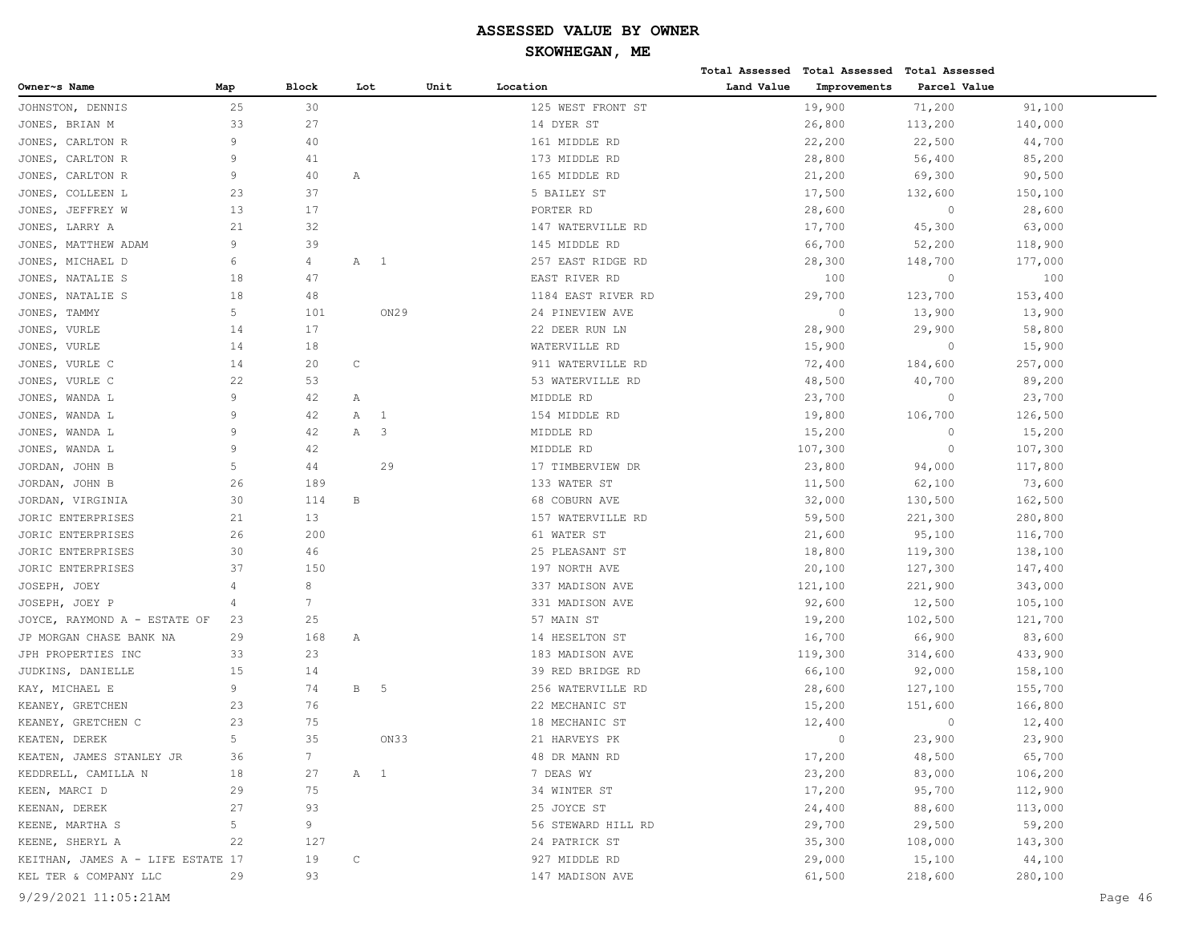|                                   |                |                 |              |                |      |                    |            | Total Assessed Total Assessed Total Assessed |              |         |         |
|-----------------------------------|----------------|-----------------|--------------|----------------|------|--------------------|------------|----------------------------------------------|--------------|---------|---------|
| Owner~s Name                      | Map            | Block           | Lot          |                | Unit | Location           | Land Value | Improvements                                 | Parcel Value |         |         |
| JOHNSTON, DENNIS                  | 25             | 30              |              |                |      | 125 WEST FRONT ST  |            | 19,900                                       | 71,200       | 91,100  |         |
| JONES, BRIAN M                    | 33             | 27              |              |                |      | 14 DYER ST         |            | 26,800                                       | 113,200      | 140,000 |         |
| CARLTON R<br>JONES,               | 9              | 40              |              |                |      | 161 MIDDLE RD      |            | 22,200                                       | 22,500       | 44,700  |         |
| JONES, CARLTON R                  | $\overline{9}$ | 41              |              |                |      | 173 MIDDLE RD      |            | 28,800                                       | 56,400       | 85,200  |         |
| JONES,<br>CARLTON R               | 9              | 40              | Α            |                |      | 165 MIDDLE RD      |            | 21,200                                       | 69,300       | 90,500  |         |
| JONES, COLLEEN L                  | 23             | 37              |              |                |      | 5 BAILEY ST        |            | 17,500                                       | 132,600      | 150,100 |         |
| JONES, JEFFREY W                  | 13             | 17              |              |                |      | PORTER RD          |            | 28,600                                       | $\circ$      | 28,600  |         |
| JONES, LARRY A                    | 21             | 32              |              |                |      | 147 WATERVILLE RD  |            | 17,700                                       | 45,300       | 63,000  |         |
| MATTHEW ADAM<br>JONES,            | 9              | 39              |              |                |      | 145 MIDDLE RD      |            | 66,700                                       | 52,200       | 118,900 |         |
| JONES, MICHAEL D                  | 6              | 4               | Α            | $\overline{1}$ |      | 257 EAST RIDGE RD  |            | 28,300                                       | 148,700      | 177,000 |         |
| JONES, NATALIE S                  | 18             | 47              |              |                |      | EAST RIVER RD      |            | 100                                          | $\circ$      | 100     |         |
| JONES, NATALIE S                  | 18             | 48              |              |                |      | 1184 EAST RIVER RD |            | 29,700                                       | 123,700      | 153,400 |         |
| JONES, TAMMY                      | 5              | 101             |              | ON29           |      | 24 PINEVIEW AVE    |            | $\circ$                                      | 13,900       | 13,900  |         |
| JONES, VURLE                      | 14             | 17              |              |                |      | 22 DEER RUN LN     |            | 28,900                                       | 29,900       | 58,800  |         |
| JONES, VURLE                      | 14             | 18              |              |                |      | WATERVILLE RD      |            | 15,900                                       | $\circ$      | 15,900  |         |
| JONES, VURLE C                    | 14             | 20              | $\mathsf C$  |                |      | 911 WATERVILLE RD  |            | 72,400                                       | 184,600      | 257,000 |         |
| JONES,<br>VURLE C                 | 22             | 53              |              |                |      | 53 WATERVILLE RD   |            | 48,500                                       | 40,700       | 89,200  |         |
| JONES, WANDA L                    | 9              | 42              | Α            |                |      | MIDDLE RD          |            | 23,700                                       | $\circ$      | 23,700  |         |
| JONES, WANDA L                    | $\overline{9}$ | 42              | А            | - 1            |      | 154 MIDDLE RD      |            | 19,800                                       | 106,700      | 126,500 |         |
| JONES, WANDA L                    | 9              | 42              | Α            | 3              |      | MIDDLE RD          |            | 15,200                                       | $\circ$      | 15,200  |         |
| JONES, WANDA L                    | 9              | 42              |              |                |      | MIDDLE RD          |            | 107,300                                      | $\circ$      | 107,300 |         |
| JORDAN, JOHN B                    | 5              | 44              |              | 29             |      | 17 TIMBERVIEW DR   |            | 23,800                                       | 94,000       | 117,800 |         |
| JORDAN, JOHN B                    | 26             | 189             |              |                |      | 133 WATER ST       |            | 11,500                                       | 62,100       | 73,600  |         |
| JORDAN, VIRGINIA                  | 30             | 114             | B            |                |      | 68 COBURN AVE      |            | 32,000                                       | 130,500      | 162,500 |         |
| JORIC ENTERPRISES                 | 21             | 13              |              |                |      | 157 WATERVILLE RD  |            | 59,500                                       | 221,300      | 280,800 |         |
| JORIC ENTERPRISES                 | 26             | 200             |              |                |      | 61 WATER ST        |            | 21,600                                       | 95,100       | 116,700 |         |
| JORIC ENTERPRISES                 | 30             | 46              |              |                |      | 25 PLEASANT ST     |            | 18,800                                       | 119,300      | 138,100 |         |
| JORIC ENTERPRISES                 | 37             | 150             |              |                |      | 197 NORTH AVE      |            | 20,100                                       | 127,300      | 147,400 |         |
| JOSEPH, JOEY                      | 4              | 8               |              |                |      | 337 MADISON AVE    |            | 121,100                                      | 221,900      | 343,000 |         |
| JOSEPH, JOEY P                    | 4              | $7\overline{ }$ |              |                |      | 331 MADISON AVE    |            | 92,600                                       | 12,500       | 105,100 |         |
| JOYCE, RAYMOND A - ESTATE OF      | 23             | 25              |              |                |      | 57 MAIN ST         |            | 19,200                                       | 102,500      | 121,700 |         |
| JP MORGAN CHASE BANK NA           | 29             | 168             | Α            |                |      | 14 HESELTON ST     |            | 16,700                                       | 66,900       | 83,600  |         |
| JPH PROPERTIES INC                | 33             | 23              |              |                |      | 183 MADISON AVE    |            | 119,300                                      | 314,600      | 433,900 |         |
| JUDKINS, DANIELLE                 | 15             | 14              |              |                |      | 39 RED BRIDGE RD   |            | 66,100                                       | 92,000       | 158,100 |         |
| KAY, MICHAEL E                    | 9              | 74              | $\mathbf{B}$ | - 5            |      | 256 WATERVILLE RD  |            | 28,600                                       | 127,100      | 155,700 |         |
| KEANEY, GRETCHEN                  | 23             | 76              |              |                |      | 22 MECHANIC ST     |            | 15,200                                       | 151,600      | 166,800 |         |
| KEANEY, GRETCHEN C                | 23             | 75              |              |                |      | 18 MECHANIC ST     |            | 12,400                                       | $\circ$      | 12,400  |         |
| KEATEN, DEREK                     | 5              | 35              |              | ON33           |      | 21 HARVEYS PK      |            | $\Omega$                                     | 23,900       | 23,900  |         |
| KEATEN, JAMES STANLEY JR          | 36             | $7\phantom{.0}$ |              |                |      | 48 DR MANN RD      |            | 17,200                                       | 48,500       | 65,700  |         |
| KEDDRELL, CAMILLA N               | 18             | 27              | A 1          |                |      | 7 DEAS WY          |            | 23,200                                       | 83,000       | 106,200 |         |
| KEEN, MARCI D                     | 29             | 75              |              |                |      | 34 WINTER ST       |            | 17,200                                       | 95,700       | 112,900 |         |
| KEENAN, DEREK                     | 27             | 93              |              |                |      | 25 JOYCE ST        |            | 24,400                                       | 88,600       | 113,000 |         |
| KEENE, MARTHA S                   | 5 <sub>1</sub> | 9               |              |                |      | 56 STEWARD HILL RD |            | 29,700                                       | 29,500       | 59,200  |         |
| KEENE, SHERYL A                   | 22             | 127             |              |                |      | 24 PATRICK ST      |            | 35,300                                       | 108,000      | 143,300 |         |
| KEITHAN, JAMES A - LIFE ESTATE 17 |                | 19              | C            |                |      | 927 MIDDLE RD      |            | 29,000                                       | 15,100       | 44,100  |         |
| KEL TER & COMPANY LLC             | 29             | 93              |              |                |      | 147 MADISON AVE    |            | 61,500                                       | 218,600      | 280,100 |         |
| 9/29/2021 11:05:21AM              |                |                 |              |                |      |                    |            |                                              |              |         | Page 46 |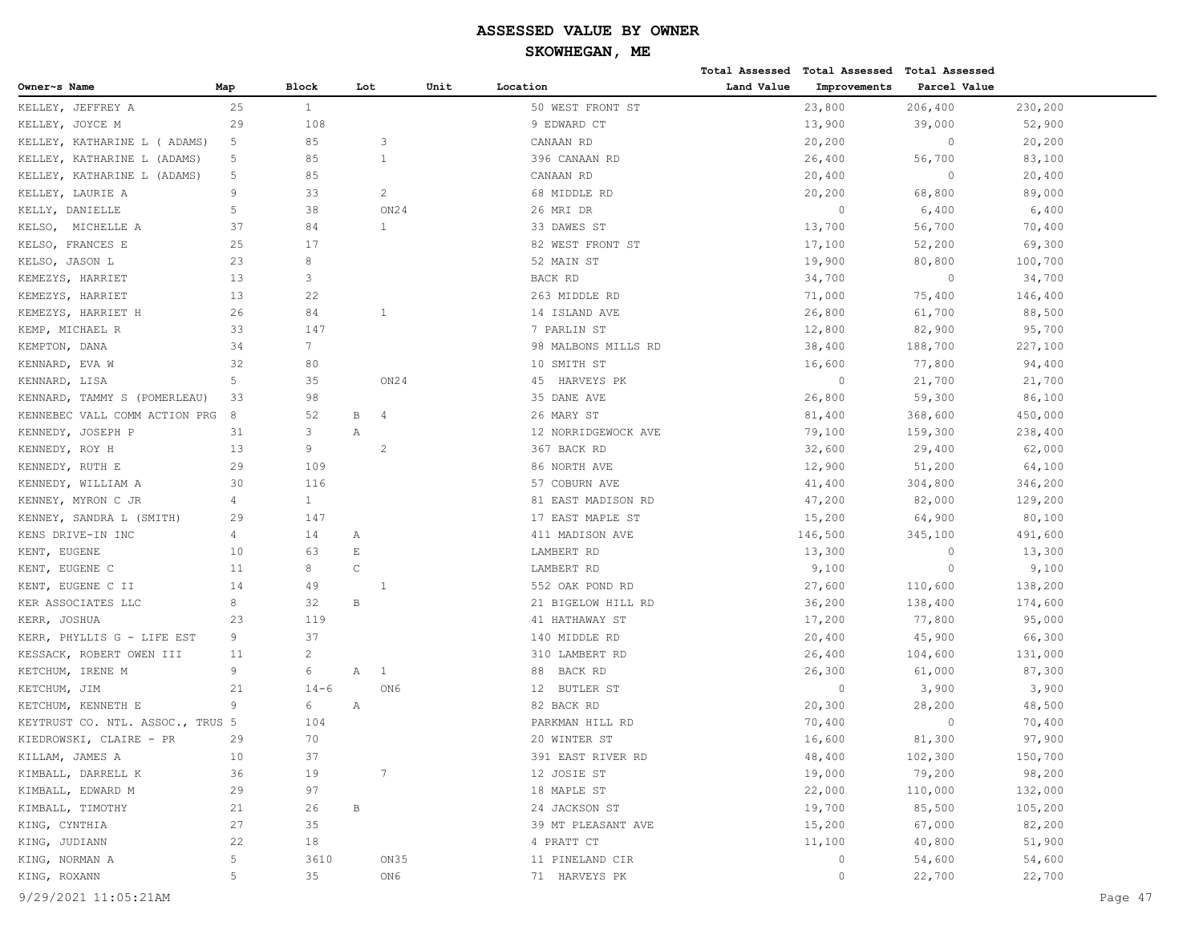# **SKOWHEGAN, ME**

|                                  |                |              |                             |      |                     |            | Total Assessed Total Assessed Total Assessed |              |         |
|----------------------------------|----------------|--------------|-----------------------------|------|---------------------|------------|----------------------------------------------|--------------|---------|
| Owner~s Name                     | Map            | <b>Block</b> | Lot                         | Unit | Location            | Land Value | Improvements                                 | Parcel Value |         |
| KELLEY, JEFFREY A                | 25             | $\mathbf{1}$ |                             |      | 50 WEST FRONT ST    |            | 23,800                                       | 206,400      | 230,200 |
| KELLEY, JOYCE M                  | 29             | 108          |                             |      | 9 EDWARD CT         |            | 13,900                                       | 39,000       | 52,900  |
| KELLEY, KATHARINE L ( ADAMS)     | 5              | 85           | 3                           |      | CANAAN RD           |            | 20,200                                       | $\circ$      | 20,200  |
| KELLEY, KATHARINE L (ADAMS)      | 5              | 85           | 1                           |      | 396 CANAAN RD       |            | 26,400                                       | 56,700       | 83,100  |
| KELLEY, KATHARINE L (ADAMS)      | 5              | 85           |                             |      | CANAAN RD           |            | 20,400                                       | $\circ$      | 20,400  |
| KELLEY, LAURIE A                 | 9              | 33           | $\overline{2}$              |      | 68 MIDDLE RD        |            | 20,200                                       | 68,800       | 89,000  |
| KELLY, DANIELLE                  | 5              | 38           | ON24                        |      | 26 MRI DR           |            | $\circ$                                      | 6,400        | 6,400   |
| MICHELLE A<br>KELSO,             | 37             | 84           | $\mathbf{1}$                |      | 33 DAWES ST         |            | 13,700                                       | 56,700       | 70,400  |
| KELSO, FRANCES E                 | 25             | 17           |                             |      | 82 WEST FRONT ST    |            | 17,100                                       | 52,200       | 69,300  |
| KELSO, JASON L                   | 23             | 8            |                             |      | 52 MAIN ST          |            | 19,900                                       | 80,800       | 100,700 |
| KEMEZYS, HARRIET                 | 13             | 3            |                             |      | BACK RD             |            | 34,700                                       | $\circ$      | 34,700  |
| KEMEZYS, HARRIET                 | 13             | 22           |                             |      | 263 MIDDLE RD       |            | 71,000                                       | 75,400       | 146,400 |
| KEMEZYS, HARRIET H               | 26             | 84           | $\mathbf{1}$                |      | 14 ISLAND AVE       |            | 26,800                                       | 61,700       | 88,500  |
| KEMP, MICHAEL R                  | 33             | 147          |                             |      | 7 PARLIN ST         |            | 12,800                                       | 82,900       | 95,700  |
| KEMPTON, DANA                    | 34             | $7^{\circ}$  |                             |      | 98 MALBONS MILLS RD |            | 38,400                                       | 188,700      | 227,100 |
| KENNARD, EVA W                   | 32             | 80           |                             |      | 10 SMITH ST         |            | 16,600                                       | 77,800       | 94,400  |
| KENNARD, LISA                    | 5              | 35           | ON24                        |      | 45 HARVEYS PK       |            | $\circ$                                      | 21,700       | 21,700  |
| KENNARD, TAMMY S (POMERLEAU)     | 33             | 98           |                             |      | 35 DANE AVE         |            | 26,800                                       | 59,300       | 86,100  |
| KENNEBEC VALL COMM ACTION PRG    | 8              | 52           | В<br>4                      |      | 26 MARY ST          |            | 81,400                                       | 368,600      | 450,000 |
| KENNEDY, JOSEPH P                | 31             | 3            | Α                           |      | 12 NORRIDGEWOCK AVE |            | 79,100                                       | 159,300      | 238,400 |
| KENNEDY, ROY H                   | 13             | 9            | 2                           |      | 367 BACK RD         |            | 32,600                                       | 29,400       | 62,000  |
| KENNEDY, RUTH E                  | 29             | 109          |                             |      | 86 NORTH AVE        |            | 12,900                                       | 51,200       | 64,100  |
| KENNEDY, WILLIAM A               | 30             | 116          |                             |      | 57 COBURN AVE       |            | 41,400                                       | 304,800      | 346,200 |
| KENNEY, MYRON C JR               | 4              | $\mathbf{1}$ |                             |      | 81 EAST MADISON RD  |            | 47,200                                       | 82,000       | 129,200 |
| KENNEY, SANDRA L (SMITH)         | 29             | 147          |                             |      | 17 EAST MAPLE ST    |            | 15,200                                       | 64,900       | 80,100  |
| KENS DRIVE-IN INC                | 4              | 14           | Α                           |      | 411 MADISON AVE     |            | 146,500                                      | 345,100      | 491,600 |
| KENT, EUGENE                     | 10             | 63           | $\mathop{}\!\textnormal{E}$ |      | LAMBERT RD          |            | 13,300                                       | $\circ$      | 13,300  |
| KENT, EUGENE C                   | 11             | 8            | $\mathsf C$                 |      | LAMBERT RD          |            | 9,100                                        | $\circ$      | 9,100   |
| KENT, EUGENE C II                | 14             | 49           |                             |      | 552 OAK POND RD     |            | 27,600                                       | 110,600      | 138,200 |
| KER ASSOCIATES LLC               | 8              | 32           | $\, {\bf B}$                |      | 21 BIGELOW HILL RD  |            | 36,200                                       | 138,400      | 174,600 |
| KERR, JOSHUA                     | 23             | 119          |                             |      | 41 HATHAWAY ST      |            | 17,200                                       | 77,800       | 95,000  |
| KERR, PHYLLIS G - LIFE EST       | 9              | 37           |                             |      | 140 MIDDLE RD       |            | 20,400                                       | 45,900       | 66,300  |
| KESSACK, ROBERT OWEN III         | 11             | 2            |                             |      | 310 LAMBERT RD      |            | 26,400                                       | 104,600      | 131,000 |
| KETCHUM, IRENE M                 | 9              | 6            | Α<br>$\mathbf{1}$           |      | BACK RD<br>88       |            | 26,300                                       | 61,000       | 87,300  |
| KETCHUM, JIM                     | 21             | $14 - 6$     | ON6                         |      | 12 BUTLER ST        |            | $\circ$                                      | 3,900        | 3,900   |
| KETCHUM, KENNETH E               | 9              | 6            | Α                           |      | 82 BACK RD          |            | 20,300                                       | 28,200       | 48,500  |
| KEYTRUST CO. NTL. ASSOC., TRUS 5 |                | 104          |                             |      | PARKMAN HILL RD     |            | 70,400                                       | $\circ$      | 70,400  |
| KIEDROWSKI, CLAIRE - PR          | 29             | 70           |                             |      | 20 WINTER ST        |            | 16,600                                       | 81,300       | 97,900  |
| KILLAM, JAMES A                  | 10             | 37           |                             |      | 391 EAST RIVER RD   |            | 48,400                                       | 102,300      | 150,700 |
| KIMBALL, DARRELL K               | 36             | 19           | $7\phantom{.0}$             |      | 12 JOSIE ST         |            | 19,000                                       | 79,200       | 98,200  |
| KIMBALL, EDWARD M                | 29             | 97           |                             |      | 18 MAPLE ST         |            | 22,000                                       | 110,000      | 132,000 |
| KIMBALL, TIMOTHY                 | 21             | 26           | $\, {\bf B}$                |      | 24 JACKSON ST       |            | 19,700                                       | 85,500       | 105,200 |
| KING, CYNTHIA                    | 27             | 35           |                             |      | 39 MT PLEASANT AVE  |            | 15,200                                       | 67,000       | 82,200  |
| KING, JUDIANN                    | 22             | 18           |                             |      | 4 PRATT CT          |            | 11,100                                       | 40,800       | 51,900  |
| KING, NORMAN A                   | $\overline{5}$ | 3610         | ON35                        |      | 11 PINELAND CIR     |            | $\circ$                                      | 54,600       | 54,600  |
| KING, ROXANN                     | 5              | 35           | ON6                         |      | 71 HARVEYS PK       |            | $\circ$                                      | 22,700       | 22,700  |
|                                  |                |              |                             |      |                     |            |                                              |              |         |

9/29/2021 11:05:21AM Page 47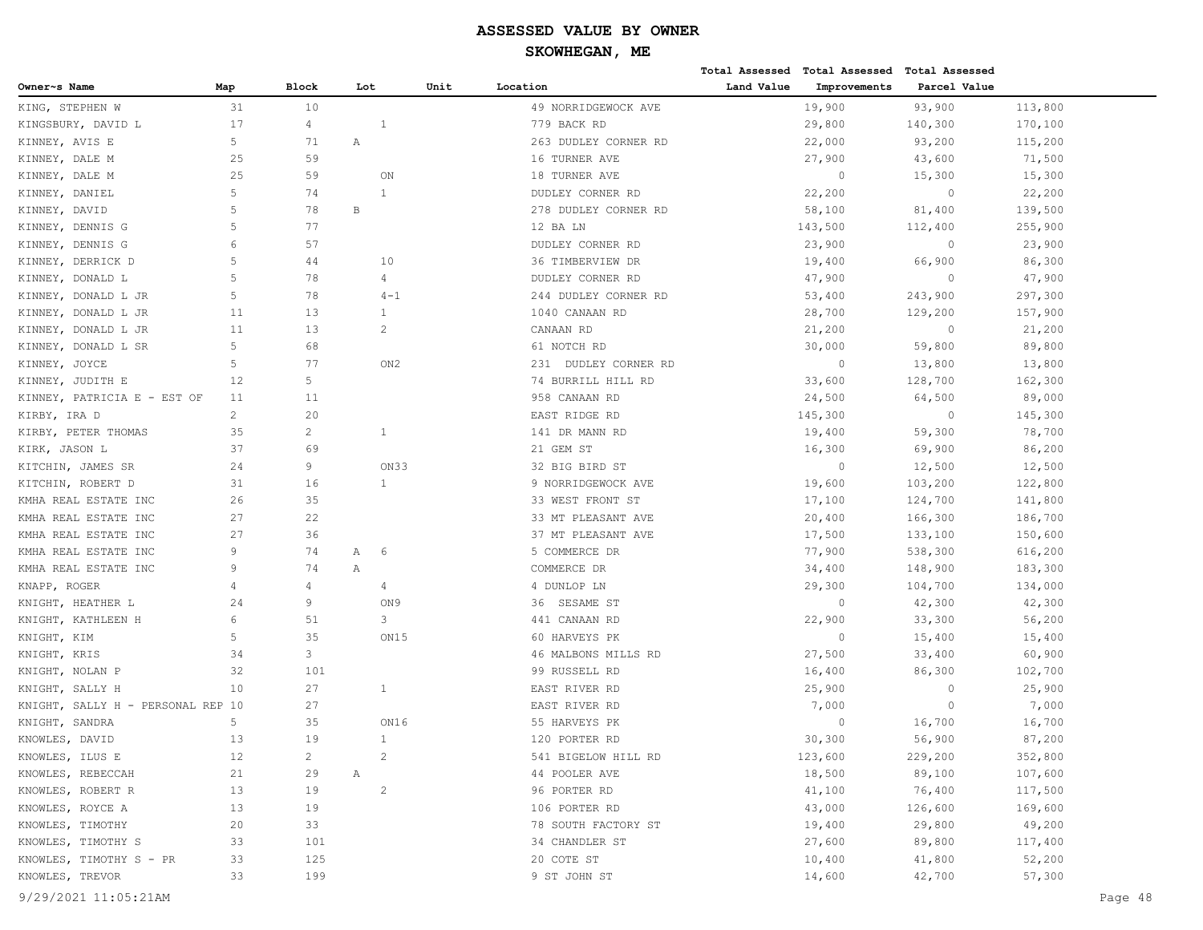**Total Assessed Total Assessed Total Assessed** 

| 31<br>93,900<br>10<br>19,900<br>113,800<br>KING, STEPHEN W<br>49 NORRIDGEWOCK AVE<br>17<br>29,800<br>KINGSBURY, DAVID L<br>$\overline{4}$<br>1<br>779 BACK RD<br>140,300<br>170,100<br>5<br>KINNEY, AVIS E<br>71<br>Α<br>263 DUDLEY CORNER RD<br>22,000<br>93,200<br>115,200<br>59<br>KINNEY, DALE M<br>25<br>16 TURNER AVE<br>27,900<br>43,600<br>71,500<br>25<br>59<br>KINNEY, DALE M<br>ON<br>18 TURNER AVE<br>$\circ$<br>15,300<br>15,300<br>5<br>74<br>$\mathbf{1}$<br>22,200<br>$\circ$<br>KINNEY, DANIEL<br>DUDLEY CORNER RD<br>22,200<br>5<br>78<br>$\, {\bf B}$<br>KINNEY, DAVID<br>278 DUDLEY CORNER RD<br>58,100<br>81,400<br>139,500<br>5<br>77<br>143,500<br>255,900<br>KINNEY, DENNIS G<br>12 BA LN<br>112,400<br>6<br>57<br>23,900<br>23,900<br>KINNEY, DENNIS G<br>DUDLEY CORNER RD<br>$\circ$<br>5<br>10<br>KINNEY, DERRICK D<br>44<br>36 TIMBERVIEW DR<br>19,400<br>66,900<br>86,300<br>5<br>78<br>KINNEY, DONALD L<br>$\overline{4}$<br>DUDLEY CORNER RD<br>47,900<br>$\circ$<br>47,900<br>5<br>78<br>KINNEY, DONALD L JR<br>$4 - 1$<br>244 DUDLEY CORNER RD<br>53,400<br>243,900<br>297,300<br>13<br>$\mathbf{1}$<br>KINNEY, DONALD L JR<br>11<br>1040 CANAAN RD<br>28,700<br>129,200<br>157,900<br>11<br>13<br>$\overline{2}$<br>KINNEY, DONALD L JR<br>CANAAN RD<br>21,200<br>$\overline{0}$<br>21,200<br>5<br>KINNEY, DONALD L SR<br>68<br>61 NOTCH RD<br>30,000<br>59,800<br>89,800<br>KINNEY, JOYCE<br>5<br>77<br>ON2<br>231 DUDLEY CORNER RD<br>$\circ$<br>13,800<br>13,800<br>5<br>128,700<br>KINNEY, JUDITH E<br>12<br>74 BURRILL HILL RD<br>33,600<br>162,300<br>11<br>24,500<br>KINNEY, PATRICIA E - EST OF<br>11<br>958 CANAAN RD<br>64,500<br>89,000<br>$\overline{2}$<br>20<br>EAST RIDGE RD<br>145,300<br>$\overline{0}$<br>145,300<br>KIRBY, IRA D<br>$\overline{c}$<br>KIRBY, PETER THOMAS<br>35<br>$\mathbf{1}$<br>141 DR MANN RD<br>19,400<br>59,300<br>78,700<br>37<br>69<br>86,200<br>KIRK, JASON L<br>21 GEM ST<br>16,300<br>69,900<br>24<br>9<br>$\circ$<br>12,500<br>KITCHIN, JAMES SR<br>ON33<br>32 BIG BIRD ST<br>12,500<br>16<br>$\mathbf{1}$<br>KITCHIN, ROBERT D<br>31<br>9 NORRIDGEWOCK AVE<br>19,600<br>103,200<br>122,800<br>35<br>17,100<br>KMHA REAL ESTATE INC<br>26<br>33 WEST FRONT ST<br>124,700<br>141,800<br>27<br>22<br>186,700<br>KMHA REAL ESTATE INC<br>33 MT PLEASANT AVE<br>20,400<br>166,300<br>KMHA REAL ESTATE INC<br>27<br>36<br>37 MT PLEASANT AVE<br>17,500<br>133,100<br>150,600<br>9<br>74<br>KMHA REAL ESTATE INC<br>Α<br>6<br>5 COMMERCE DR<br>77,900<br>538,300<br>616,200<br>9<br>74<br>KMHA REAL ESTATE INC<br>Α<br>COMMERCE DR<br>34,400<br>183,300<br>148,900<br>$\overline{4}$<br>KNAPP, ROGER<br>4<br>4<br>4 DUNLOP LN<br>29,300<br>104,700<br>134,000<br>9<br>KNIGHT, HEATHER L<br>24<br>ON9<br>36 SESAME ST<br>$\circ$<br>42,300<br>42,300<br>6<br>3<br>22,900<br>KNIGHT, KATHLEEN H<br>51<br>441 CANAAN RD<br>33,300<br>56,200<br>5<br>35<br>KNIGHT, KIM<br>ON15<br>60 HARVEYS PK<br>$\circ$<br>15,400<br>15,400<br>3<br>KNIGHT, KRIS<br>34<br>46 MALBONS MILLS RD<br>27,500<br>33,400<br>60,900<br>KNIGHT, NOLAN P<br>32<br>101<br>99 RUSSELL RD<br>16,400<br>86,300<br>102,700<br>27<br>KNIGHT, SALLY H<br>10<br>$\mathbf{1}$<br>EAST RIVER RD<br>25,900<br>$\circ$<br>25,900<br>27<br>7,000<br>7,000<br>KNIGHT, SALLY H - PERSONAL REP 10<br>EAST RIVER RD<br>$\circ$<br>5<br>35<br>16,700<br>KNIGHT, SANDRA<br>ON16<br>55 HARVEYS PK<br>$\circ$<br>16,700<br>13<br>19<br>$\mathbf{1}$<br>30,300<br>KNOWLES, DAVID<br>120 PORTER RD<br>56,900<br>87,200<br>KNOWLES, ILUS E<br>12<br>$2^{\circ}$<br>541 BIGELOW HILL RD<br>123,600<br>229,200<br>352,800<br>2<br>18,500<br>89,100<br>107,600<br>KNOWLES, REBECCAH<br>21<br>44 POOLER AVE<br>29<br>A<br>76,400<br>KNOWLES, ROBERT R<br>$\overline{2}$<br>96 PORTER RD<br>41,100<br>117,500<br>13<br>19<br>KNOWLES, ROYCE A<br>13<br>19<br>106 PORTER RD<br>43,000<br>126,600<br>169,600<br>KNOWLES, TIMOTHY<br>29,800<br>49,200<br>20<br>33<br>78 SOUTH FACTORY ST<br>19,400<br>KNOWLES, TIMOTHY S<br>27,600<br>89,800<br>33<br>101<br>34 CHANDLER ST<br>117,400<br>KNOWLES, TIMOTHY S - PR<br>33<br>125<br>20 COTE ST<br>10,400<br>41,800<br>52,200 | Owner~s Name    | Map | Block | Lot | Unit | Location     | Land Value | Improvements | Parcel Value |        |         |
|--------------------------------------------------------------------------------------------------------------------------------------------------------------------------------------------------------------------------------------------------------------------------------------------------------------------------------------------------------------------------------------------------------------------------------------------------------------------------------------------------------------------------------------------------------------------------------------------------------------------------------------------------------------------------------------------------------------------------------------------------------------------------------------------------------------------------------------------------------------------------------------------------------------------------------------------------------------------------------------------------------------------------------------------------------------------------------------------------------------------------------------------------------------------------------------------------------------------------------------------------------------------------------------------------------------------------------------------------------------------------------------------------------------------------------------------------------------------------------------------------------------------------------------------------------------------------------------------------------------------------------------------------------------------------------------------------------------------------------------------------------------------------------------------------------------------------------------------------------------------------------------------------------------------------------------------------------------------------------------------------------------------------------------------------------------------------------------------------------------------------------------------------------------------------------------------------------------------------------------------------------------------------------------------------------------------------------------------------------------------------------------------------------------------------------------------------------------------------------------------------------------------------------------------------------------------------------------------------------------------------------------------------------------------------------------------------------------------------------------------------------------------------------------------------------------------------------------------------------------------------------------------------------------------------------------------------------------------------------------------------------------------------------------------------------------------------------------------------------------------------------------------------------------------------------------------------------------------------------------------------------------------------------------------------------------------------------------------------------------------------------------------------------------------------------------------------------------------------------------------------------------------------------------------------------------------------------------------------------------------------------------------------------------------------------------------------------------------------------------------------------------------------------------------------------------------------------------------------------------------------------------------------------------------------------------------------------------------------------------------------------------------------------------------------------------------------------------------------------------------------------------------------------------------------------------------|-----------------|-----|-------|-----|------|--------------|------------|--------------|--------------|--------|---------|
|                                                                                                                                                                                                                                                                                                                                                                                                                                                                                                                                                                                                                                                                                                                                                                                                                                                                                                                                                                                                                                                                                                                                                                                                                                                                                                                                                                                                                                                                                                                                                                                                                                                                                                                                                                                                                                                                                                                                                                                                                                                                                                                                                                                                                                                                                                                                                                                                                                                                                                                                                                                                                                                                                                                                                                                                                                                                                                                                                                                                                                                                                                                                                                                                                                                                                                                                                                                                                                                                                                                                                                                                                                                                                                                                                                                                                                                                                                                                                                                                                                                                                                                                                                                            |                 |     |       |     |      |              |            |              |              |        |         |
|                                                                                                                                                                                                                                                                                                                                                                                                                                                                                                                                                                                                                                                                                                                                                                                                                                                                                                                                                                                                                                                                                                                                                                                                                                                                                                                                                                                                                                                                                                                                                                                                                                                                                                                                                                                                                                                                                                                                                                                                                                                                                                                                                                                                                                                                                                                                                                                                                                                                                                                                                                                                                                                                                                                                                                                                                                                                                                                                                                                                                                                                                                                                                                                                                                                                                                                                                                                                                                                                                                                                                                                                                                                                                                                                                                                                                                                                                                                                                                                                                                                                                                                                                                                            |                 |     |       |     |      |              |            |              |              |        |         |
|                                                                                                                                                                                                                                                                                                                                                                                                                                                                                                                                                                                                                                                                                                                                                                                                                                                                                                                                                                                                                                                                                                                                                                                                                                                                                                                                                                                                                                                                                                                                                                                                                                                                                                                                                                                                                                                                                                                                                                                                                                                                                                                                                                                                                                                                                                                                                                                                                                                                                                                                                                                                                                                                                                                                                                                                                                                                                                                                                                                                                                                                                                                                                                                                                                                                                                                                                                                                                                                                                                                                                                                                                                                                                                                                                                                                                                                                                                                                                                                                                                                                                                                                                                                            |                 |     |       |     |      |              |            |              |              |        |         |
|                                                                                                                                                                                                                                                                                                                                                                                                                                                                                                                                                                                                                                                                                                                                                                                                                                                                                                                                                                                                                                                                                                                                                                                                                                                                                                                                                                                                                                                                                                                                                                                                                                                                                                                                                                                                                                                                                                                                                                                                                                                                                                                                                                                                                                                                                                                                                                                                                                                                                                                                                                                                                                                                                                                                                                                                                                                                                                                                                                                                                                                                                                                                                                                                                                                                                                                                                                                                                                                                                                                                                                                                                                                                                                                                                                                                                                                                                                                                                                                                                                                                                                                                                                                            |                 |     |       |     |      |              |            |              |              |        |         |
|                                                                                                                                                                                                                                                                                                                                                                                                                                                                                                                                                                                                                                                                                                                                                                                                                                                                                                                                                                                                                                                                                                                                                                                                                                                                                                                                                                                                                                                                                                                                                                                                                                                                                                                                                                                                                                                                                                                                                                                                                                                                                                                                                                                                                                                                                                                                                                                                                                                                                                                                                                                                                                                                                                                                                                                                                                                                                                                                                                                                                                                                                                                                                                                                                                                                                                                                                                                                                                                                                                                                                                                                                                                                                                                                                                                                                                                                                                                                                                                                                                                                                                                                                                                            |                 |     |       |     |      |              |            |              |              |        |         |
|                                                                                                                                                                                                                                                                                                                                                                                                                                                                                                                                                                                                                                                                                                                                                                                                                                                                                                                                                                                                                                                                                                                                                                                                                                                                                                                                                                                                                                                                                                                                                                                                                                                                                                                                                                                                                                                                                                                                                                                                                                                                                                                                                                                                                                                                                                                                                                                                                                                                                                                                                                                                                                                                                                                                                                                                                                                                                                                                                                                                                                                                                                                                                                                                                                                                                                                                                                                                                                                                                                                                                                                                                                                                                                                                                                                                                                                                                                                                                                                                                                                                                                                                                                                            |                 |     |       |     |      |              |            |              |              |        |         |
|                                                                                                                                                                                                                                                                                                                                                                                                                                                                                                                                                                                                                                                                                                                                                                                                                                                                                                                                                                                                                                                                                                                                                                                                                                                                                                                                                                                                                                                                                                                                                                                                                                                                                                                                                                                                                                                                                                                                                                                                                                                                                                                                                                                                                                                                                                                                                                                                                                                                                                                                                                                                                                                                                                                                                                                                                                                                                                                                                                                                                                                                                                                                                                                                                                                                                                                                                                                                                                                                                                                                                                                                                                                                                                                                                                                                                                                                                                                                                                                                                                                                                                                                                                                            |                 |     |       |     |      |              |            |              |              |        |         |
|                                                                                                                                                                                                                                                                                                                                                                                                                                                                                                                                                                                                                                                                                                                                                                                                                                                                                                                                                                                                                                                                                                                                                                                                                                                                                                                                                                                                                                                                                                                                                                                                                                                                                                                                                                                                                                                                                                                                                                                                                                                                                                                                                                                                                                                                                                                                                                                                                                                                                                                                                                                                                                                                                                                                                                                                                                                                                                                                                                                                                                                                                                                                                                                                                                                                                                                                                                                                                                                                                                                                                                                                                                                                                                                                                                                                                                                                                                                                                                                                                                                                                                                                                                                            |                 |     |       |     |      |              |            |              |              |        |         |
|                                                                                                                                                                                                                                                                                                                                                                                                                                                                                                                                                                                                                                                                                                                                                                                                                                                                                                                                                                                                                                                                                                                                                                                                                                                                                                                                                                                                                                                                                                                                                                                                                                                                                                                                                                                                                                                                                                                                                                                                                                                                                                                                                                                                                                                                                                                                                                                                                                                                                                                                                                                                                                                                                                                                                                                                                                                                                                                                                                                                                                                                                                                                                                                                                                                                                                                                                                                                                                                                                                                                                                                                                                                                                                                                                                                                                                                                                                                                                                                                                                                                                                                                                                                            |                 |     |       |     |      |              |            |              |              |        |         |
|                                                                                                                                                                                                                                                                                                                                                                                                                                                                                                                                                                                                                                                                                                                                                                                                                                                                                                                                                                                                                                                                                                                                                                                                                                                                                                                                                                                                                                                                                                                                                                                                                                                                                                                                                                                                                                                                                                                                                                                                                                                                                                                                                                                                                                                                                                                                                                                                                                                                                                                                                                                                                                                                                                                                                                                                                                                                                                                                                                                                                                                                                                                                                                                                                                                                                                                                                                                                                                                                                                                                                                                                                                                                                                                                                                                                                                                                                                                                                                                                                                                                                                                                                                                            |                 |     |       |     |      |              |            |              |              |        |         |
|                                                                                                                                                                                                                                                                                                                                                                                                                                                                                                                                                                                                                                                                                                                                                                                                                                                                                                                                                                                                                                                                                                                                                                                                                                                                                                                                                                                                                                                                                                                                                                                                                                                                                                                                                                                                                                                                                                                                                                                                                                                                                                                                                                                                                                                                                                                                                                                                                                                                                                                                                                                                                                                                                                                                                                                                                                                                                                                                                                                                                                                                                                                                                                                                                                                                                                                                                                                                                                                                                                                                                                                                                                                                                                                                                                                                                                                                                                                                                                                                                                                                                                                                                                                            |                 |     |       |     |      |              |            |              |              |        |         |
|                                                                                                                                                                                                                                                                                                                                                                                                                                                                                                                                                                                                                                                                                                                                                                                                                                                                                                                                                                                                                                                                                                                                                                                                                                                                                                                                                                                                                                                                                                                                                                                                                                                                                                                                                                                                                                                                                                                                                                                                                                                                                                                                                                                                                                                                                                                                                                                                                                                                                                                                                                                                                                                                                                                                                                                                                                                                                                                                                                                                                                                                                                                                                                                                                                                                                                                                                                                                                                                                                                                                                                                                                                                                                                                                                                                                                                                                                                                                                                                                                                                                                                                                                                                            |                 |     |       |     |      |              |            |              |              |        |         |
|                                                                                                                                                                                                                                                                                                                                                                                                                                                                                                                                                                                                                                                                                                                                                                                                                                                                                                                                                                                                                                                                                                                                                                                                                                                                                                                                                                                                                                                                                                                                                                                                                                                                                                                                                                                                                                                                                                                                                                                                                                                                                                                                                                                                                                                                                                                                                                                                                                                                                                                                                                                                                                                                                                                                                                                                                                                                                                                                                                                                                                                                                                                                                                                                                                                                                                                                                                                                                                                                                                                                                                                                                                                                                                                                                                                                                                                                                                                                                                                                                                                                                                                                                                                            |                 |     |       |     |      |              |            |              |              |        |         |
|                                                                                                                                                                                                                                                                                                                                                                                                                                                                                                                                                                                                                                                                                                                                                                                                                                                                                                                                                                                                                                                                                                                                                                                                                                                                                                                                                                                                                                                                                                                                                                                                                                                                                                                                                                                                                                                                                                                                                                                                                                                                                                                                                                                                                                                                                                                                                                                                                                                                                                                                                                                                                                                                                                                                                                                                                                                                                                                                                                                                                                                                                                                                                                                                                                                                                                                                                                                                                                                                                                                                                                                                                                                                                                                                                                                                                                                                                                                                                                                                                                                                                                                                                                                            |                 |     |       |     |      |              |            |              |              |        |         |
|                                                                                                                                                                                                                                                                                                                                                                                                                                                                                                                                                                                                                                                                                                                                                                                                                                                                                                                                                                                                                                                                                                                                                                                                                                                                                                                                                                                                                                                                                                                                                                                                                                                                                                                                                                                                                                                                                                                                                                                                                                                                                                                                                                                                                                                                                                                                                                                                                                                                                                                                                                                                                                                                                                                                                                                                                                                                                                                                                                                                                                                                                                                                                                                                                                                                                                                                                                                                                                                                                                                                                                                                                                                                                                                                                                                                                                                                                                                                                                                                                                                                                                                                                                                            |                 |     |       |     |      |              |            |              |              |        |         |
|                                                                                                                                                                                                                                                                                                                                                                                                                                                                                                                                                                                                                                                                                                                                                                                                                                                                                                                                                                                                                                                                                                                                                                                                                                                                                                                                                                                                                                                                                                                                                                                                                                                                                                                                                                                                                                                                                                                                                                                                                                                                                                                                                                                                                                                                                                                                                                                                                                                                                                                                                                                                                                                                                                                                                                                                                                                                                                                                                                                                                                                                                                                                                                                                                                                                                                                                                                                                                                                                                                                                                                                                                                                                                                                                                                                                                                                                                                                                                                                                                                                                                                                                                                                            |                 |     |       |     |      |              |            |              |              |        |         |
|                                                                                                                                                                                                                                                                                                                                                                                                                                                                                                                                                                                                                                                                                                                                                                                                                                                                                                                                                                                                                                                                                                                                                                                                                                                                                                                                                                                                                                                                                                                                                                                                                                                                                                                                                                                                                                                                                                                                                                                                                                                                                                                                                                                                                                                                                                                                                                                                                                                                                                                                                                                                                                                                                                                                                                                                                                                                                                                                                                                                                                                                                                                                                                                                                                                                                                                                                                                                                                                                                                                                                                                                                                                                                                                                                                                                                                                                                                                                                                                                                                                                                                                                                                                            |                 |     |       |     |      |              |            |              |              |        |         |
|                                                                                                                                                                                                                                                                                                                                                                                                                                                                                                                                                                                                                                                                                                                                                                                                                                                                                                                                                                                                                                                                                                                                                                                                                                                                                                                                                                                                                                                                                                                                                                                                                                                                                                                                                                                                                                                                                                                                                                                                                                                                                                                                                                                                                                                                                                                                                                                                                                                                                                                                                                                                                                                                                                                                                                                                                                                                                                                                                                                                                                                                                                                                                                                                                                                                                                                                                                                                                                                                                                                                                                                                                                                                                                                                                                                                                                                                                                                                                                                                                                                                                                                                                                                            |                 |     |       |     |      |              |            |              |              |        |         |
|                                                                                                                                                                                                                                                                                                                                                                                                                                                                                                                                                                                                                                                                                                                                                                                                                                                                                                                                                                                                                                                                                                                                                                                                                                                                                                                                                                                                                                                                                                                                                                                                                                                                                                                                                                                                                                                                                                                                                                                                                                                                                                                                                                                                                                                                                                                                                                                                                                                                                                                                                                                                                                                                                                                                                                                                                                                                                                                                                                                                                                                                                                                                                                                                                                                                                                                                                                                                                                                                                                                                                                                                                                                                                                                                                                                                                                                                                                                                                                                                                                                                                                                                                                                            |                 |     |       |     |      |              |            |              |              |        |         |
|                                                                                                                                                                                                                                                                                                                                                                                                                                                                                                                                                                                                                                                                                                                                                                                                                                                                                                                                                                                                                                                                                                                                                                                                                                                                                                                                                                                                                                                                                                                                                                                                                                                                                                                                                                                                                                                                                                                                                                                                                                                                                                                                                                                                                                                                                                                                                                                                                                                                                                                                                                                                                                                                                                                                                                                                                                                                                                                                                                                                                                                                                                                                                                                                                                                                                                                                                                                                                                                                                                                                                                                                                                                                                                                                                                                                                                                                                                                                                                                                                                                                                                                                                                                            |                 |     |       |     |      |              |            |              |              |        |         |
|                                                                                                                                                                                                                                                                                                                                                                                                                                                                                                                                                                                                                                                                                                                                                                                                                                                                                                                                                                                                                                                                                                                                                                                                                                                                                                                                                                                                                                                                                                                                                                                                                                                                                                                                                                                                                                                                                                                                                                                                                                                                                                                                                                                                                                                                                                                                                                                                                                                                                                                                                                                                                                                                                                                                                                                                                                                                                                                                                                                                                                                                                                                                                                                                                                                                                                                                                                                                                                                                                                                                                                                                                                                                                                                                                                                                                                                                                                                                                                                                                                                                                                                                                                                            |                 |     |       |     |      |              |            |              |              |        |         |
|                                                                                                                                                                                                                                                                                                                                                                                                                                                                                                                                                                                                                                                                                                                                                                                                                                                                                                                                                                                                                                                                                                                                                                                                                                                                                                                                                                                                                                                                                                                                                                                                                                                                                                                                                                                                                                                                                                                                                                                                                                                                                                                                                                                                                                                                                                                                                                                                                                                                                                                                                                                                                                                                                                                                                                                                                                                                                                                                                                                                                                                                                                                                                                                                                                                                                                                                                                                                                                                                                                                                                                                                                                                                                                                                                                                                                                                                                                                                                                                                                                                                                                                                                                                            |                 |     |       |     |      |              |            |              |              |        |         |
|                                                                                                                                                                                                                                                                                                                                                                                                                                                                                                                                                                                                                                                                                                                                                                                                                                                                                                                                                                                                                                                                                                                                                                                                                                                                                                                                                                                                                                                                                                                                                                                                                                                                                                                                                                                                                                                                                                                                                                                                                                                                                                                                                                                                                                                                                                                                                                                                                                                                                                                                                                                                                                                                                                                                                                                                                                                                                                                                                                                                                                                                                                                                                                                                                                                                                                                                                                                                                                                                                                                                                                                                                                                                                                                                                                                                                                                                                                                                                                                                                                                                                                                                                                                            |                 |     |       |     |      |              |            |              |              |        |         |
|                                                                                                                                                                                                                                                                                                                                                                                                                                                                                                                                                                                                                                                                                                                                                                                                                                                                                                                                                                                                                                                                                                                                                                                                                                                                                                                                                                                                                                                                                                                                                                                                                                                                                                                                                                                                                                                                                                                                                                                                                                                                                                                                                                                                                                                                                                                                                                                                                                                                                                                                                                                                                                                                                                                                                                                                                                                                                                                                                                                                                                                                                                                                                                                                                                                                                                                                                                                                                                                                                                                                                                                                                                                                                                                                                                                                                                                                                                                                                                                                                                                                                                                                                                                            |                 |     |       |     |      |              |            |              |              |        |         |
|                                                                                                                                                                                                                                                                                                                                                                                                                                                                                                                                                                                                                                                                                                                                                                                                                                                                                                                                                                                                                                                                                                                                                                                                                                                                                                                                                                                                                                                                                                                                                                                                                                                                                                                                                                                                                                                                                                                                                                                                                                                                                                                                                                                                                                                                                                                                                                                                                                                                                                                                                                                                                                                                                                                                                                                                                                                                                                                                                                                                                                                                                                                                                                                                                                                                                                                                                                                                                                                                                                                                                                                                                                                                                                                                                                                                                                                                                                                                                                                                                                                                                                                                                                                            |                 |     |       |     |      |              |            |              |              |        |         |
|                                                                                                                                                                                                                                                                                                                                                                                                                                                                                                                                                                                                                                                                                                                                                                                                                                                                                                                                                                                                                                                                                                                                                                                                                                                                                                                                                                                                                                                                                                                                                                                                                                                                                                                                                                                                                                                                                                                                                                                                                                                                                                                                                                                                                                                                                                                                                                                                                                                                                                                                                                                                                                                                                                                                                                                                                                                                                                                                                                                                                                                                                                                                                                                                                                                                                                                                                                                                                                                                                                                                                                                                                                                                                                                                                                                                                                                                                                                                                                                                                                                                                                                                                                                            |                 |     |       |     |      |              |            |              |              |        |         |
|                                                                                                                                                                                                                                                                                                                                                                                                                                                                                                                                                                                                                                                                                                                                                                                                                                                                                                                                                                                                                                                                                                                                                                                                                                                                                                                                                                                                                                                                                                                                                                                                                                                                                                                                                                                                                                                                                                                                                                                                                                                                                                                                                                                                                                                                                                                                                                                                                                                                                                                                                                                                                                                                                                                                                                                                                                                                                                                                                                                                                                                                                                                                                                                                                                                                                                                                                                                                                                                                                                                                                                                                                                                                                                                                                                                                                                                                                                                                                                                                                                                                                                                                                                                            |                 |     |       |     |      |              |            |              |              |        |         |
|                                                                                                                                                                                                                                                                                                                                                                                                                                                                                                                                                                                                                                                                                                                                                                                                                                                                                                                                                                                                                                                                                                                                                                                                                                                                                                                                                                                                                                                                                                                                                                                                                                                                                                                                                                                                                                                                                                                                                                                                                                                                                                                                                                                                                                                                                                                                                                                                                                                                                                                                                                                                                                                                                                                                                                                                                                                                                                                                                                                                                                                                                                                                                                                                                                                                                                                                                                                                                                                                                                                                                                                                                                                                                                                                                                                                                                                                                                                                                                                                                                                                                                                                                                                            |                 |     |       |     |      |              |            |              |              |        |         |
|                                                                                                                                                                                                                                                                                                                                                                                                                                                                                                                                                                                                                                                                                                                                                                                                                                                                                                                                                                                                                                                                                                                                                                                                                                                                                                                                                                                                                                                                                                                                                                                                                                                                                                                                                                                                                                                                                                                                                                                                                                                                                                                                                                                                                                                                                                                                                                                                                                                                                                                                                                                                                                                                                                                                                                                                                                                                                                                                                                                                                                                                                                                                                                                                                                                                                                                                                                                                                                                                                                                                                                                                                                                                                                                                                                                                                                                                                                                                                                                                                                                                                                                                                                                            |                 |     |       |     |      |              |            |              |              |        |         |
|                                                                                                                                                                                                                                                                                                                                                                                                                                                                                                                                                                                                                                                                                                                                                                                                                                                                                                                                                                                                                                                                                                                                                                                                                                                                                                                                                                                                                                                                                                                                                                                                                                                                                                                                                                                                                                                                                                                                                                                                                                                                                                                                                                                                                                                                                                                                                                                                                                                                                                                                                                                                                                                                                                                                                                                                                                                                                                                                                                                                                                                                                                                                                                                                                                                                                                                                                                                                                                                                                                                                                                                                                                                                                                                                                                                                                                                                                                                                                                                                                                                                                                                                                                                            |                 |     |       |     |      |              |            |              |              |        |         |
|                                                                                                                                                                                                                                                                                                                                                                                                                                                                                                                                                                                                                                                                                                                                                                                                                                                                                                                                                                                                                                                                                                                                                                                                                                                                                                                                                                                                                                                                                                                                                                                                                                                                                                                                                                                                                                                                                                                                                                                                                                                                                                                                                                                                                                                                                                                                                                                                                                                                                                                                                                                                                                                                                                                                                                                                                                                                                                                                                                                                                                                                                                                                                                                                                                                                                                                                                                                                                                                                                                                                                                                                                                                                                                                                                                                                                                                                                                                                                                                                                                                                                                                                                                                            |                 |     |       |     |      |              |            |              |              |        |         |
|                                                                                                                                                                                                                                                                                                                                                                                                                                                                                                                                                                                                                                                                                                                                                                                                                                                                                                                                                                                                                                                                                                                                                                                                                                                                                                                                                                                                                                                                                                                                                                                                                                                                                                                                                                                                                                                                                                                                                                                                                                                                                                                                                                                                                                                                                                                                                                                                                                                                                                                                                                                                                                                                                                                                                                                                                                                                                                                                                                                                                                                                                                                                                                                                                                                                                                                                                                                                                                                                                                                                                                                                                                                                                                                                                                                                                                                                                                                                                                                                                                                                                                                                                                                            |                 |     |       |     |      |              |            |              |              |        |         |
|                                                                                                                                                                                                                                                                                                                                                                                                                                                                                                                                                                                                                                                                                                                                                                                                                                                                                                                                                                                                                                                                                                                                                                                                                                                                                                                                                                                                                                                                                                                                                                                                                                                                                                                                                                                                                                                                                                                                                                                                                                                                                                                                                                                                                                                                                                                                                                                                                                                                                                                                                                                                                                                                                                                                                                                                                                                                                                                                                                                                                                                                                                                                                                                                                                                                                                                                                                                                                                                                                                                                                                                                                                                                                                                                                                                                                                                                                                                                                                                                                                                                                                                                                                                            |                 |     |       |     |      |              |            |              |              |        |         |
|                                                                                                                                                                                                                                                                                                                                                                                                                                                                                                                                                                                                                                                                                                                                                                                                                                                                                                                                                                                                                                                                                                                                                                                                                                                                                                                                                                                                                                                                                                                                                                                                                                                                                                                                                                                                                                                                                                                                                                                                                                                                                                                                                                                                                                                                                                                                                                                                                                                                                                                                                                                                                                                                                                                                                                                                                                                                                                                                                                                                                                                                                                                                                                                                                                                                                                                                                                                                                                                                                                                                                                                                                                                                                                                                                                                                                                                                                                                                                                                                                                                                                                                                                                                            |                 |     |       |     |      |              |            |              |              |        |         |
|                                                                                                                                                                                                                                                                                                                                                                                                                                                                                                                                                                                                                                                                                                                                                                                                                                                                                                                                                                                                                                                                                                                                                                                                                                                                                                                                                                                                                                                                                                                                                                                                                                                                                                                                                                                                                                                                                                                                                                                                                                                                                                                                                                                                                                                                                                                                                                                                                                                                                                                                                                                                                                                                                                                                                                                                                                                                                                                                                                                                                                                                                                                                                                                                                                                                                                                                                                                                                                                                                                                                                                                                                                                                                                                                                                                                                                                                                                                                                                                                                                                                                                                                                                                            |                 |     |       |     |      |              |            |              |              |        |         |
|                                                                                                                                                                                                                                                                                                                                                                                                                                                                                                                                                                                                                                                                                                                                                                                                                                                                                                                                                                                                                                                                                                                                                                                                                                                                                                                                                                                                                                                                                                                                                                                                                                                                                                                                                                                                                                                                                                                                                                                                                                                                                                                                                                                                                                                                                                                                                                                                                                                                                                                                                                                                                                                                                                                                                                                                                                                                                                                                                                                                                                                                                                                                                                                                                                                                                                                                                                                                                                                                                                                                                                                                                                                                                                                                                                                                                                                                                                                                                                                                                                                                                                                                                                                            |                 |     |       |     |      |              |            |              |              |        |         |
|                                                                                                                                                                                                                                                                                                                                                                                                                                                                                                                                                                                                                                                                                                                                                                                                                                                                                                                                                                                                                                                                                                                                                                                                                                                                                                                                                                                                                                                                                                                                                                                                                                                                                                                                                                                                                                                                                                                                                                                                                                                                                                                                                                                                                                                                                                                                                                                                                                                                                                                                                                                                                                                                                                                                                                                                                                                                                                                                                                                                                                                                                                                                                                                                                                                                                                                                                                                                                                                                                                                                                                                                                                                                                                                                                                                                                                                                                                                                                                                                                                                                                                                                                                                            |                 |     |       |     |      |              |            |              |              |        |         |
|                                                                                                                                                                                                                                                                                                                                                                                                                                                                                                                                                                                                                                                                                                                                                                                                                                                                                                                                                                                                                                                                                                                                                                                                                                                                                                                                                                                                                                                                                                                                                                                                                                                                                                                                                                                                                                                                                                                                                                                                                                                                                                                                                                                                                                                                                                                                                                                                                                                                                                                                                                                                                                                                                                                                                                                                                                                                                                                                                                                                                                                                                                                                                                                                                                                                                                                                                                                                                                                                                                                                                                                                                                                                                                                                                                                                                                                                                                                                                                                                                                                                                                                                                                                            |                 |     |       |     |      |              |            |              |              |        |         |
|                                                                                                                                                                                                                                                                                                                                                                                                                                                                                                                                                                                                                                                                                                                                                                                                                                                                                                                                                                                                                                                                                                                                                                                                                                                                                                                                                                                                                                                                                                                                                                                                                                                                                                                                                                                                                                                                                                                                                                                                                                                                                                                                                                                                                                                                                                                                                                                                                                                                                                                                                                                                                                                                                                                                                                                                                                                                                                                                                                                                                                                                                                                                                                                                                                                                                                                                                                                                                                                                                                                                                                                                                                                                                                                                                                                                                                                                                                                                                                                                                                                                                                                                                                                            |                 |     |       |     |      |              |            |              |              |        |         |
|                                                                                                                                                                                                                                                                                                                                                                                                                                                                                                                                                                                                                                                                                                                                                                                                                                                                                                                                                                                                                                                                                                                                                                                                                                                                                                                                                                                                                                                                                                                                                                                                                                                                                                                                                                                                                                                                                                                                                                                                                                                                                                                                                                                                                                                                                                                                                                                                                                                                                                                                                                                                                                                                                                                                                                                                                                                                                                                                                                                                                                                                                                                                                                                                                                                                                                                                                                                                                                                                                                                                                                                                                                                                                                                                                                                                                                                                                                                                                                                                                                                                                                                                                                                            |                 |     |       |     |      |              |            |              |              |        |         |
|                                                                                                                                                                                                                                                                                                                                                                                                                                                                                                                                                                                                                                                                                                                                                                                                                                                                                                                                                                                                                                                                                                                                                                                                                                                                                                                                                                                                                                                                                                                                                                                                                                                                                                                                                                                                                                                                                                                                                                                                                                                                                                                                                                                                                                                                                                                                                                                                                                                                                                                                                                                                                                                                                                                                                                                                                                                                                                                                                                                                                                                                                                                                                                                                                                                                                                                                                                                                                                                                                                                                                                                                                                                                                                                                                                                                                                                                                                                                                                                                                                                                                                                                                                                            |                 |     |       |     |      |              |            |              |              |        |         |
|                                                                                                                                                                                                                                                                                                                                                                                                                                                                                                                                                                                                                                                                                                                                                                                                                                                                                                                                                                                                                                                                                                                                                                                                                                                                                                                                                                                                                                                                                                                                                                                                                                                                                                                                                                                                                                                                                                                                                                                                                                                                                                                                                                                                                                                                                                                                                                                                                                                                                                                                                                                                                                                                                                                                                                                                                                                                                                                                                                                                                                                                                                                                                                                                                                                                                                                                                                                                                                                                                                                                                                                                                                                                                                                                                                                                                                                                                                                                                                                                                                                                                                                                                                                            |                 |     |       |     |      |              |            |              |              |        |         |
|                                                                                                                                                                                                                                                                                                                                                                                                                                                                                                                                                                                                                                                                                                                                                                                                                                                                                                                                                                                                                                                                                                                                                                                                                                                                                                                                                                                                                                                                                                                                                                                                                                                                                                                                                                                                                                                                                                                                                                                                                                                                                                                                                                                                                                                                                                                                                                                                                                                                                                                                                                                                                                                                                                                                                                                                                                                                                                                                                                                                                                                                                                                                                                                                                                                                                                                                                                                                                                                                                                                                                                                                                                                                                                                                                                                                                                                                                                                                                                                                                                                                                                                                                                                            |                 |     |       |     |      |              |            |              |              |        |         |
|                                                                                                                                                                                                                                                                                                                                                                                                                                                                                                                                                                                                                                                                                                                                                                                                                                                                                                                                                                                                                                                                                                                                                                                                                                                                                                                                                                                                                                                                                                                                                                                                                                                                                                                                                                                                                                                                                                                                                                                                                                                                                                                                                                                                                                                                                                                                                                                                                                                                                                                                                                                                                                                                                                                                                                                                                                                                                                                                                                                                                                                                                                                                                                                                                                                                                                                                                                                                                                                                                                                                                                                                                                                                                                                                                                                                                                                                                                                                                                                                                                                                                                                                                                                            |                 |     |       |     |      |              |            |              |              |        |         |
|                                                                                                                                                                                                                                                                                                                                                                                                                                                                                                                                                                                                                                                                                                                                                                                                                                                                                                                                                                                                                                                                                                                                                                                                                                                                                                                                                                                                                                                                                                                                                                                                                                                                                                                                                                                                                                                                                                                                                                                                                                                                                                                                                                                                                                                                                                                                                                                                                                                                                                                                                                                                                                                                                                                                                                                                                                                                                                                                                                                                                                                                                                                                                                                                                                                                                                                                                                                                                                                                                                                                                                                                                                                                                                                                                                                                                                                                                                                                                                                                                                                                                                                                                                                            |                 |     |       |     |      |              |            |              |              |        |         |
|                                                                                                                                                                                                                                                                                                                                                                                                                                                                                                                                                                                                                                                                                                                                                                                                                                                                                                                                                                                                                                                                                                                                                                                                                                                                                                                                                                                                                                                                                                                                                                                                                                                                                                                                                                                                                                                                                                                                                                                                                                                                                                                                                                                                                                                                                                                                                                                                                                                                                                                                                                                                                                                                                                                                                                                                                                                                                                                                                                                                                                                                                                                                                                                                                                                                                                                                                                                                                                                                                                                                                                                                                                                                                                                                                                                                                                                                                                                                                                                                                                                                                                                                                                                            |                 |     |       |     |      |              |            |              |              |        |         |
|                                                                                                                                                                                                                                                                                                                                                                                                                                                                                                                                                                                                                                                                                                                                                                                                                                                                                                                                                                                                                                                                                                                                                                                                                                                                                                                                                                                                                                                                                                                                                                                                                                                                                                                                                                                                                                                                                                                                                                                                                                                                                                                                                                                                                                                                                                                                                                                                                                                                                                                                                                                                                                                                                                                                                                                                                                                                                                                                                                                                                                                                                                                                                                                                                                                                                                                                                                                                                                                                                                                                                                                                                                                                                                                                                                                                                                                                                                                                                                                                                                                                                                                                                                                            | KNOWLES, TREVOR | 33  | 199   |     |      | 9 ST JOHN ST |            | 14,600       | 42,700       | 57,300 |         |
| 9/29/2021 11:05:21AM                                                                                                                                                                                                                                                                                                                                                                                                                                                                                                                                                                                                                                                                                                                                                                                                                                                                                                                                                                                                                                                                                                                                                                                                                                                                                                                                                                                                                                                                                                                                                                                                                                                                                                                                                                                                                                                                                                                                                                                                                                                                                                                                                                                                                                                                                                                                                                                                                                                                                                                                                                                                                                                                                                                                                                                                                                                                                                                                                                                                                                                                                                                                                                                                                                                                                                                                                                                                                                                                                                                                                                                                                                                                                                                                                                                                                                                                                                                                                                                                                                                                                                                                                                       |                 |     |       |     |      |              |            |              |              |        | Page 48 |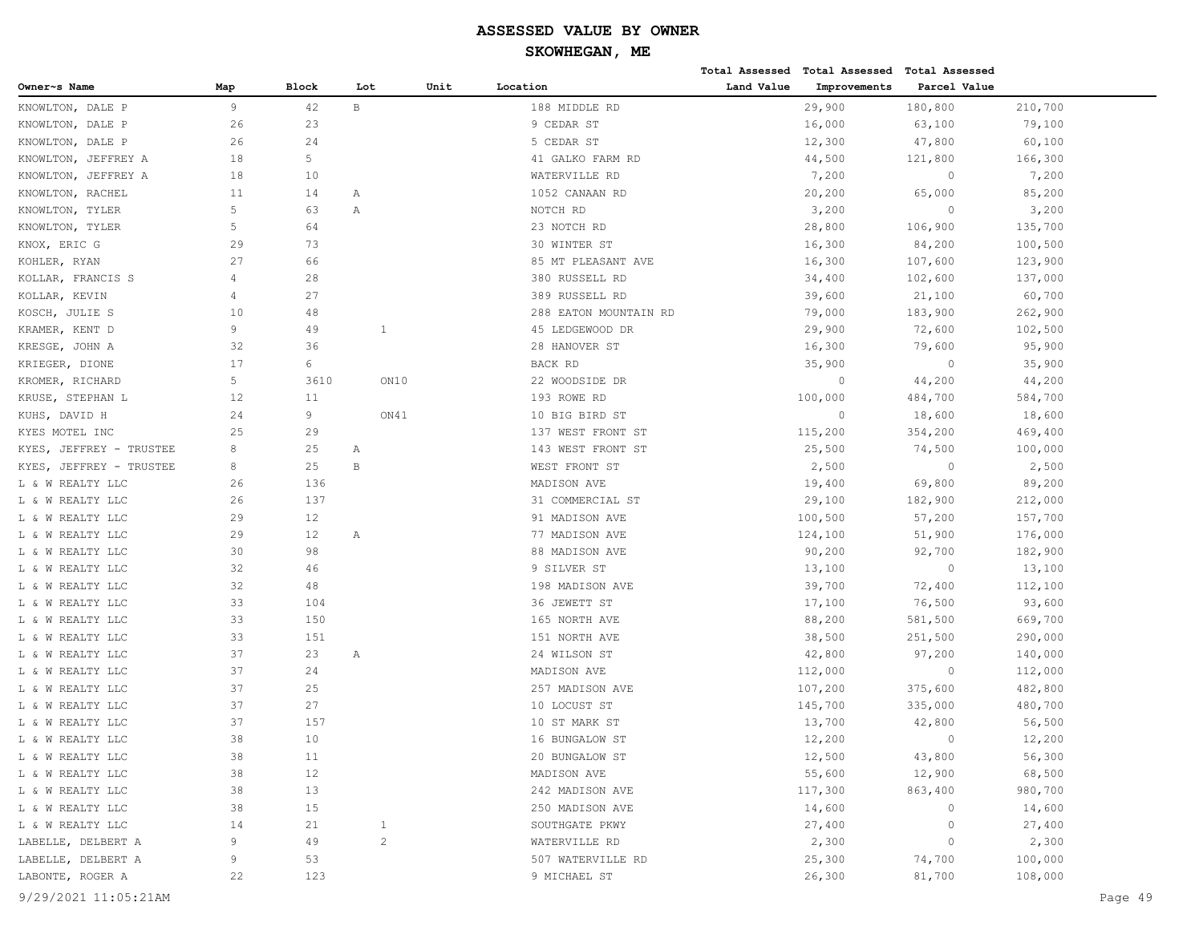|                         |     |       |                |      |                       |            | Total Assessed Total Assessed Total Assessed |                |         |
|-------------------------|-----|-------|----------------|------|-----------------------|------------|----------------------------------------------|----------------|---------|
| Owner~s Name            | Map | Block | Lot            | Unit | Location              | Land Value | Improvements                                 | Parcel Value   |         |
| KNOWLTON, DALE P        | 9   | 42    | B              |      | 188 MIDDLE RD         |            | 29,900                                       | 180,800        | 210,700 |
| KNOWLTON,<br>DALE P     | 26  | 23    |                |      | 9 CEDAR ST            |            | 16,000                                       | 63,100         | 79,100  |
| KNOWLTON, DALE P        | 26  | 24    |                |      | 5 CEDAR ST            |            | 12,300                                       | 47,800         | 60,100  |
| KNOWLTON, JEFFREY A     | 18  | 5     |                |      | 41 GALKO FARM RD      |            | 44,500                                       | 121,800        | 166,300 |
| KNOWLTON, JEFFREY A     | 18  | 10    |                |      | WATERVILLE RD         |            | 7,200                                        | $\circ$        | 7,200   |
| KNOWLTON, RACHEL        | 11  | 14    | Α              |      | 1052 CANAAN RD        |            | 20,200                                       | 65,000         | 85,200  |
| KNOWLTON, TYLER         | 5   | 63    | Α              |      | NOTCH RD              |            | 3,200                                        | $\circ$        | 3,200   |
| KNOWLTON, TYLER         | 5   | 64    |                |      | 23 NOTCH RD           |            | 28,800                                       | 106,900        | 135,700 |
| KNOX, ERIC G            | 29  | 73    |                |      | 30 WINTER ST          |            | 16,300                                       | 84,200         | 100,500 |
| KOHLER, RYAN            | 27  | 66    |                |      | 85 MT PLEASANT AVE    |            | 16,300                                       | 107,600        | 123,900 |
| KOLLAR, FRANCIS S       | 4   | 28    |                |      | 380 RUSSELL RD        |            | 34,400                                       | 102,600        | 137,000 |
| KOLLAR, KEVIN           | 4   | 27    |                |      | 389 RUSSELL RD        |            | 39,600                                       | 21,100         | 60,700  |
| KOSCH, JULIE S          | 10  | 48    |                |      | 288 EATON MOUNTAIN RD |            | 79,000                                       | 183,900        | 262,900 |
| KRAMER, KENT D          | 9   | 49    | <sup>1</sup>   |      | 45 LEDGEWOOD DR       |            | 29,900                                       | 72,600         | 102,500 |
| KRESGE, JOHN A          | 32  | 36    |                |      | 28 HANOVER ST         |            | 16,300                                       | 79,600         | 95,900  |
| KRIEGER, DIONE          | 17  | 6     |                |      | BACK RD               |            | 35,900                                       | $\circ$        | 35,900  |
| KROMER, RICHARD         | 5   | 3610  | ON10           |      | 22 WOODSIDE DR        |            | $\circ$                                      | 44,200         | 44,200  |
| KRUSE, STEPHAN L        | 12  | 11    |                |      | 193 ROWE RD           |            | 100,000                                      | 484,700        | 584,700 |
| KUHS, DAVID H           | 24  | 9     | ON41           |      | 10 BIG BIRD ST        |            | $\circ$                                      | 18,600         | 18,600  |
| KYES MOTEL INC          | 25  | 29    |                |      | 137 WEST FRONT ST     |            | 115,200                                      | 354,200        | 469,400 |
| KYES, JEFFREY - TRUSTEE | 8   | 25    | Α              |      | 143 WEST FRONT ST     |            | 25,500                                       | 74,500         | 100,000 |
| KYES, JEFFREY - TRUSTEE | 8   | 25    | В              |      | WEST FRONT ST         |            | 2,500                                        | $\overline{0}$ | 2,500   |
| L & W REALTY LLC        | 26  | 136   |                |      | MADISON AVE           |            | 19,400                                       | 69,800         | 89,200  |
| L & W REALTY LLC        | 26  | 137   |                |      | 31 COMMERCIAL ST      |            | 29,100                                       | 182,900        | 212,000 |
| L & W REALTY LLC        | 29  | 12    |                |      | 91 MADISON AVE        |            | 100,500                                      | 57,200         | 157,700 |
| L & W REALTY LLC        | 29  | 12    | Α              |      | 77 MADISON AVE        |            | 124,100                                      | 51,900         | 176,000 |
| L & W REALTY LLC        | 30  | 98    |                |      | 88 MADISON AVE        |            | 90,200                                       | 92,700         | 182,900 |
| L & W REALTY LLC        | 32  | 46    |                |      | 9 SILVER ST           |            | 13,100                                       | $\circ$        | 13,100  |
| L & W REALTY LLC        | 32  | 48    |                |      | 198 MADISON AVE       |            | 39,700                                       | 72,400         | 112,100 |
| L & W REALTY LLC        | 33  | 104   |                |      | 36 JEWETT ST          |            | 17,100                                       | 76,500         | 93,600  |
| L & W REALTY LLC        | 33  | 150   |                |      | 165 NORTH AVE         |            | 88,200                                       | 581,500        | 669,700 |
| L & W REALTY LLC        | 33  | 151   |                |      | 151 NORTH AVE         |            | 38,500                                       | 251,500        | 290,000 |
| L & W REALTY LLC        | 37  | 23    | Α              |      | 24 WILSON ST          |            | 42,800                                       | 97,200         | 140,000 |
| L & W REALTY LLC        | 37  | 24    |                |      | MADISON AVE           |            | 112,000                                      | $\circ$        | 112,000 |
| L & W REALTY LLC        | 37  | 25    |                |      | 257 MADISON AVE       |            | 107,200                                      | 375,600        | 482,800 |
| L & W REALTY LLC        | 37  | 27    |                |      | 10 LOCUST ST          |            | 145,700                                      | 335,000        | 480,700 |
| L & W REALTY LLC        | 37  | 157   |                |      | 10 ST MARK ST         |            | 13,700                                       | 42,800         | 56,500  |
| L & W REALTY LLC        | 38  | 10    |                |      | 16 BUNGALOW ST        |            | 12,200                                       | $\bigcap$      | 12,200  |
| L & W REALTY LLC        | 38  | 11    |                |      | 20 BUNGALOW ST        |            | 12,500                                       | 43,800         | 56,300  |
| L & W REALTY LLC        | 38  | 12    |                |      | MADISON AVE           |            | 55,600                                       | 12,900         | 68,500  |
| L & W REALTY LLC        | 38  | 13    |                |      | 242 MADISON AVE       |            | 117,300                                      | 863,400        | 980,700 |
| L & W REALTY LLC        | 38  | 15    |                |      | 250 MADISON AVE       |            | 14,600                                       | $\circ$        | 14,600  |
| L & W REALTY LLC        | 14  | 21    | $\mathbf{1}$   |      | SOUTHGATE PKWY        |            | 27,400                                       | 0              | 27,400  |
| LABELLE, DELBERT A      | 9   | 49    | $\overline{c}$ |      | WATERVILLE RD         |            | 2,300                                        | $\circ$        | 2,300   |
| LABELLE, DELBERT A      | 9   | 53    |                |      | 507 WATERVILLE RD     |            | 25,300                                       | 74,700         | 100,000 |
| LABONTE, ROGER A        | 22  | 123   |                |      | 9 MICHAEL ST          |            | 26,300                                       | 81,700         | 108,000 |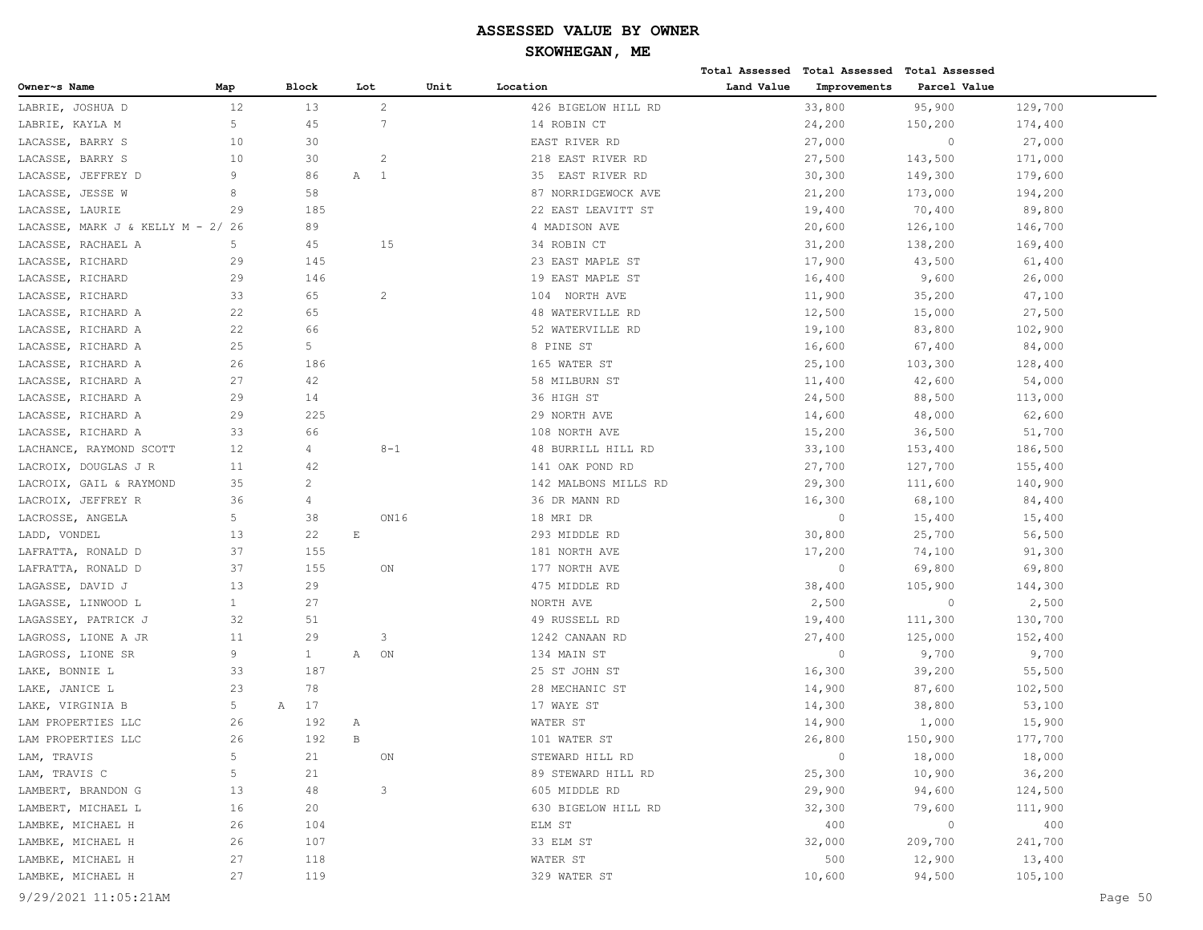**Total Assessed Total Assessed Total Assessed** 

| Owner~s Name                      | Map            | Block             |                             | Lot             | Unit | Location             | Land Value | Improvements   | Parcel Value   |         |         |
|-----------------------------------|----------------|-------------------|-----------------------------|-----------------|------|----------------------|------------|----------------|----------------|---------|---------|
| LABRIE, JOSHUA D                  | 12             | 13                |                             | $\overline{2}$  |      | 426 BIGELOW HILL RD  |            | 33,800         | 95,900         | 129,700 |         |
| LABRIE, KAYLA M                   | 5              | 45                |                             | $7\phantom{.0}$ |      | 14 ROBIN CT          |            | 24,200         | 150,200        | 174,400 |         |
| LACASSE, BARRY S                  | 10             | 30                |                             |                 |      | EAST RIVER RD        |            | 27,000         | $\circ$        | 27,000  |         |
| LACASSE, BARRY S                  | 10             | 30                |                             | $\overline{c}$  |      | 218 EAST RIVER RD    |            | 27,500         | 143,500        | 171,000 |         |
| LACASSE, JEFFREY D                | 9              | 86                |                             | A 1             |      | 35 EAST RIVER RD     |            | 30,300         | 149,300        | 179,600 |         |
| LACASSE, JESSE W                  | 8              | 58                |                             |                 |      | 87 NORRIDGEWOCK AVE  |            | 21,200         | 173,000        | 194,200 |         |
| LACASSE, LAURIE                   | 29             | 185               |                             |                 |      | 22 EAST LEAVITT ST   |            | 19,400         | 70,400         | 89,800  |         |
| LACASSE, MARK J & KELLY M - 2/ 26 |                | 89                |                             |                 |      | 4 MADISON AVE        |            | 20,600         | 126,100        | 146,700 |         |
| LACASSE, RACHAEL A                | 5              | 45                |                             | 15              |      | 34 ROBIN CT          |            | 31,200         | 138,200        | 169,400 |         |
| LACASSE, RICHARD                  | 29             | 145               |                             |                 |      | 23 EAST MAPLE ST     |            | 17,900         | 43,500         | 61,400  |         |
| LACASSE, RICHARD                  | 29             | 146               |                             |                 |      | 19 EAST MAPLE ST     |            | 16,400         | 9,600          | 26,000  |         |
| LACASSE, RICHARD                  | 33             | 65                |                             | $\overline{c}$  |      | 104 NORTH AVE        |            | 11,900         | 35,200         | 47,100  |         |
| LACASSE, RICHARD A                | 22             | 65                |                             |                 |      | 48 WATERVILLE RD     |            | 12,500         | 15,000         | 27,500  |         |
| LACASSE, RICHARD A                | 22             | 66                |                             |                 |      | 52 WATERVILLE RD     |            | 19,100         | 83,800         | 102,900 |         |
| LACASSE, RICHARD A                | 25             | 5                 |                             |                 |      | 8 PINE ST            |            | 16,600         | 67,400         | 84,000  |         |
| LACASSE, RICHARD A                | 26             | 186               |                             |                 |      | 165 WATER ST         |            | 25,100         | 103,300        | 128,400 |         |
| LACASSE, RICHARD A                | 27             | 42                |                             |                 |      | 58 MILBURN ST        |            | 11,400         | 42,600         | 54,000  |         |
| LACASSE, RICHARD A                | 29             | 14                |                             |                 |      | 36 HIGH ST           |            | 24,500         | 88,500         | 113,000 |         |
| LACASSE, RICHARD A                | 29             | 225               |                             |                 |      | 29 NORTH AVE         |            | 14,600         | 48,000         | 62,600  |         |
| LACASSE, RICHARD A                | 33             | 66                |                             |                 |      | 108 NORTH AVE        |            | 15,200         | 36,500         | 51,700  |         |
| LACHANCE, RAYMOND SCOTT           | 12             | $\overline{4}$    |                             | $8 - 1$         |      | 48 BURRILL HILL RD   |            | 33,100         | 153,400        | 186,500 |         |
| LACROIX, DOUGLAS J R              | 11             | 42                |                             |                 |      | 141 OAK POND RD      |            | 27,700         | 127,700        | 155,400 |         |
| LACROIX, GAIL & RAYMOND           | 35             | $\overline{c}$    |                             |                 |      | 142 MALBONS MILLS RD |            |                |                |         |         |
|                                   |                |                   |                             |                 |      |                      |            | 29,300         | 111,600        | 140,900 |         |
| LACROIX, JEFFREY R                | 36             | 4                 |                             |                 |      | 36 DR MANN RD        |            | 16,300         | 68,100         | 84,400  |         |
| LACROSSE, ANGELA                  | 5              | 38                |                             | ON16            |      | 18 MRI DR            |            | $\circ$        | 15,400         | 15,400  |         |
| LADD, VONDEL                      | 13             | 22                | $\mathop{}\!\textnormal{E}$ |                 |      | 293 MIDDLE RD        |            | 30,800         | 25,700         | 56,500  |         |
| LAFRATTA, RONALD D                | 37             | 155               |                             |                 |      | 181 NORTH AVE        |            | 17,200         | 74,100         | 91,300  |         |
| LAFRATTA, RONALD D                | 37             | 155               |                             | ON              |      | 177 NORTH AVE        |            | $\circ$        | 69,800         | 69,800  |         |
| LAGASSE, DAVID J                  | 13             | 29                |                             |                 |      | 475 MIDDLE RD        |            | 38,400         | 105,900        | 144,300 |         |
| LAGASSE, LINWOOD L                | $\mathbf{1}$   | 27                |                             |                 |      | NORTH AVE            |            | 2,500          | $\circ$        | 2,500   |         |
| LAGASSEY, PATRICK J               | 32             | 51                |                             |                 |      | 49 RUSSELL RD        |            | 19,400         | 111,300        | 130,700 |         |
| LAGROSS, LIONE A JR               | 11             | 29                |                             | 3               |      | 1242 CANAAN RD       |            | 27,400         | 125,000        | 152,400 |         |
| LAGROSS, LIONE SR                 | 9              | $\mathbf{1}$      | Α                           | ON              |      | 134 MAIN ST          |            | $\circ$        | 9,700          | 9,700   |         |
| LAKE, BONNIE L                    | 33             | 187               |                             |                 |      | 25 ST JOHN ST        |            | 16,300         | 39,200         | 55,500  |         |
| LAKE, JANICE L                    | 23             | 78                |                             |                 |      | 28 MECHANIC ST       |            | 14,900         | 87,600         | 102,500 |         |
| LAKE, VIRGINIA B                  | 5              | 17<br>$\mathbb A$ |                             |                 |      | 17 WAYE ST           |            | 14,300         | 38,800         | 53,100  |         |
| LAM PROPERTIES LLC                | 26             | 192               | Α                           |                 |      | WATER ST             |            | 14,900         | 1,000          | 15,900  |         |
| LAM PROPERTIES LLC                | 26             | 192               | $\, {\bf B}$                |                 |      | 101 WATER ST         |            | 26,800         | 150,900        | 177,700 |         |
| LAM, TRAVIS                       | 5              | 21                |                             | ON              |      | STEWARD HILL RD      |            | $\overline{0}$ | 18,000         | 18,000  |         |
| LAM, TRAVIS C                     | 5 <sup>5</sup> | 21                |                             |                 |      | 89 STEWARD HILL RD   |            | 25,300         | 10,900         | 36,200  |         |
| LAMBERT, BRANDON G                | 13             | 48                |                             | 3               |      | 605 MIDDLE RD        |            | 29,900         | 94,600         | 124,500 |         |
| LAMBERT, MICHAEL L                | 16             | 20                |                             |                 |      | 630 BIGELOW HILL RD  |            | 32,300         | 79,600         | 111,900 |         |
| LAMBKE, MICHAEL H                 | 26             | 104               |                             |                 |      | ELM ST               |            | 400            | $\overline{0}$ | 400     |         |
| LAMBKE, MICHAEL H                 | 26             | 107               |                             |                 |      | 33 ELM ST            |            | 32,000         | 209,700        | 241,700 |         |
| LAMBKE, MICHAEL H                 | 27             | 118               |                             |                 |      | WATER ST             |            | 500            | 12,900         | 13,400  |         |
| LAMBKE, MICHAEL H                 | 27             | 119               |                             |                 |      | 329 WATER ST         |            | 10,600         | 94,500         | 105,100 |         |
| 9/29/2021 11:05:21AM              |                |                   |                             |                 |      |                      |            |                |                |         | Page 50 |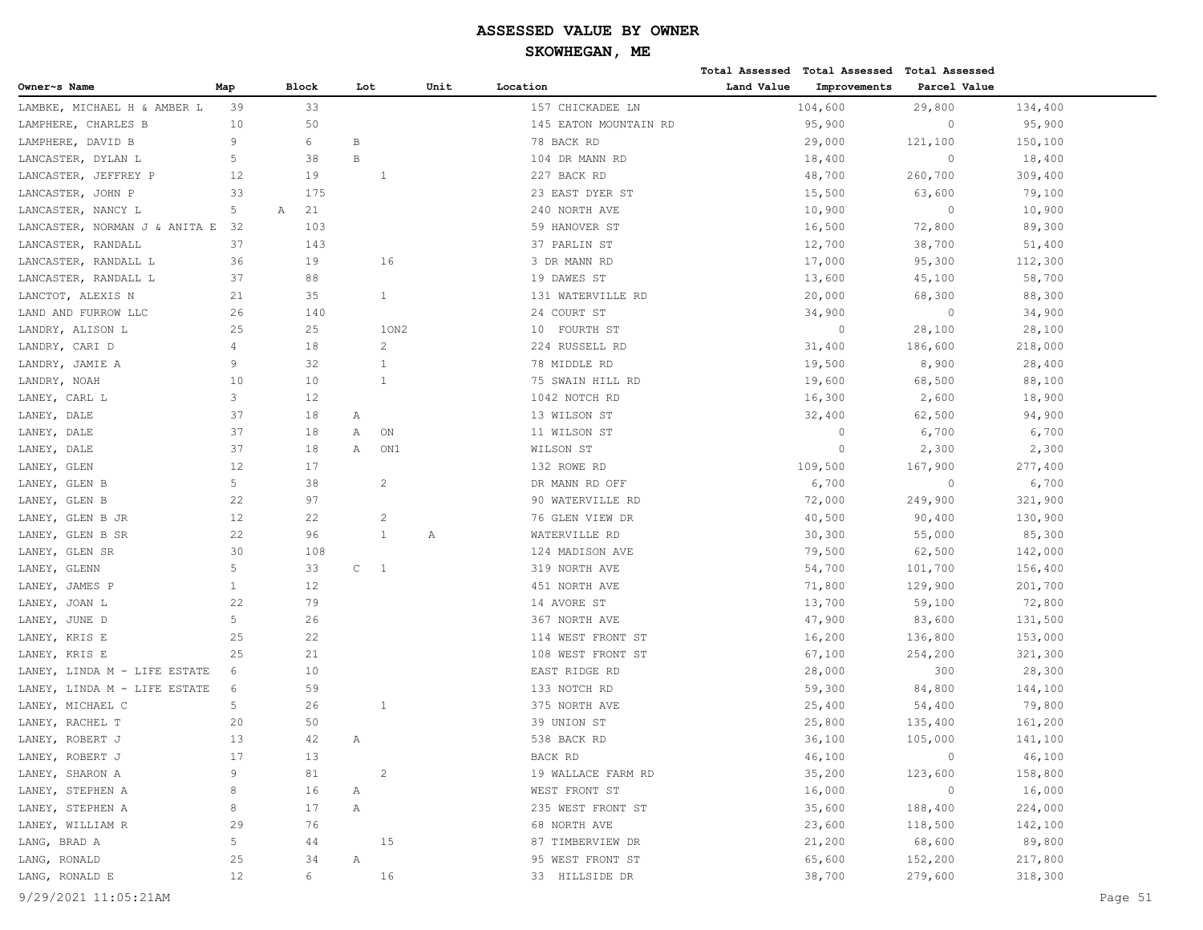|                               |      |              |              |                |      |                       |            | Total Assessed Total Assessed | Total Assessed |         |
|-------------------------------|------|--------------|--------------|----------------|------|-----------------------|------------|-------------------------------|----------------|---------|
| Owner~s Name                  | Map  | <b>Block</b> | Lot          |                | Unit | Location              | Land Value | Improvements                  | Parcel Value   |         |
| LAMBKE, MICHAEL H & AMBER L   | 39   | 33           |              |                |      | 157 CHICKADEE LN      |            | 104,600                       | 29,800         | 134,400 |
| LAMPHERE, CHARLES B           | 10   | 50           |              |                |      | 145 EATON MOUNTAIN RD |            | 95,900                        | $\circ$        | 95,900  |
| LAMPHERE, DAVID B             | 9    | 6            | B            |                |      | 78 BACK RD            |            | 29,000                        | 121,100        | 150,100 |
| LANCASTER, DYLAN L            | 5    | 38           | $\, {\bf B}$ |                |      | 104 DR MANN RD        |            | 18,400                        | $\circ$        | 18,400  |
| LANCASTER, JEFFREY P          | 12   | 19           |              | -1             |      | 227 BACK RD           |            | 48,700                        | 260,700        | 309,400 |
| LANCASTER, JOHN P             | 33   | 175          |              |                |      | 23 EAST DYER ST       |            | 15,500                        | 63,600         | 79,100  |
| LANCASTER, NANCY L            | 5    | Α<br>21      |              |                |      | 240 NORTH AVE         |            | 10,900                        | $\circ$        | 10,900  |
| LANCASTER, NORMAN J & ANITA E | -32  | 103          |              |                |      | 59 HANOVER ST         |            | 16,500                        | 72,800         | 89,300  |
| LANCASTER, RANDALL            | 37   | 143          |              |                |      | 37 PARLIN ST          |            | 12,700                        | 38,700         | 51,400  |
| LANCASTER, RANDALL L          | 36   | 19           |              | 16             |      | 3 DR MANN RD          |            | 17,000                        | 95,300         | 112,300 |
| LANCASTER, RANDALL L          | 37   | 88           |              |                |      | 19 DAWES ST           |            | 13,600                        | 45,100         | 58,700  |
| LANCTOT, ALEXIS N             | 21   | 35           |              | $\mathbf{1}$   |      | 131 WATERVILLE RD     |            | 20,000                        | 68,300         | 88,300  |
| LAND AND FURROW LLC           | 26   | 140          |              |                |      | 24 COURT ST           |            | 34,900                        | $\circ$        | 34,900  |
| LANDRY, ALISON L              | 25   | 25           |              | 10N2           |      | 10 FOURTH ST          |            | $\overline{0}$                | 28,100         | 28,100  |
| LANDRY, CARI D                | 4    | 18           |              | $\overline{c}$ |      | 224 RUSSELL RD        |            | 31,400                        | 186,600        | 218,000 |
| LANDRY, JAMIE A               | 9    | 32           |              | 1              |      | 78 MIDDLE RD          |            | 19,500                        | 8,900          | 28,400  |
| LANDRY, NOAH                  | 10   | 10           |              | $\mathbf{1}$   |      | 75 SWAIN HILL RD      |            | 19,600                        | 68,500         | 88,100  |
| LANEY, CARL L                 | 3    | 12           |              |                |      | 1042 NOTCH RD         |            | 16,300                        | 2,600          | 18,900  |
| LANEY, DALE                   | 37   | 18           | Α            |                |      | 13 WILSON ST          |            | 32,400                        | 62,500         | 94,900  |
| LANEY, DALE                   | 37   | 18           | Α            | ON             |      | 11 WILSON ST          |            | $\overline{0}$                | 6,700          | 6,700   |
| LANEY, DALE                   | 37   | 18           | Α            | ON1            |      | WILSON ST             |            | $\overline{0}$                | 2,300          | 2,300   |
| LANEY, GLEN                   | 12   | 17           |              |                |      | 132 ROWE RD           |            | 109,500                       | 167,900        | 277,400 |
| LANEY, GLEN B                 | 5    | 38           |              | $\overline{c}$ |      | DR MANN RD OFF        |            | 6,700                         | $\circ$        | 6,700   |
| LANEY, GLEN B                 | 22   | 97           |              |                |      | 90 WATERVILLE RD      |            | 72,000                        | 249,900        | 321,900 |
| LANEY, GLEN B JR              | 12   | 22           |              | $\sqrt{2}$     |      | 76 GLEN VIEW DR       |            | 40,500                        | 90,400         | 130,900 |
| LANEY, GLEN B SR              | 22   | 96           |              | $\mathbf{1}$   | Α    | WATERVILLE RD         |            | 30,300                        | 55,000         | 85,300  |
| LANEY, GLEN SR                | 30   | 108          |              |                |      | 124 MADISON AVE       |            | 79,500                        | 62,500         | 142,000 |
| LANEY, GLENN                  | 5    | 33           | $\mathtt{C}$ | $\overline{1}$ |      | 319 NORTH AVE         |            | 54,700                        | 101,700        | 156,400 |
| LANEY, JAMES P                | 1    | 12           |              |                |      | 451 NORTH AVE         |            | 71,800                        | 129,900        | 201,700 |
| LANEY, JOAN L                 | 22   | 79           |              |                |      | 14 AVORE ST           |            | 13,700                        | 59,100         | 72,800  |
| LANEY, JUNE D                 | 5    | 26           |              |                |      | 367 NORTH AVE         |            | 47,900                        | 83,600         | 131,500 |
| LANEY, KRIS E                 | 25   | 22           |              |                |      | 114 WEST FRONT ST     |            | 16,200                        | 136,800        | 153,000 |
| LANEY, KRIS E                 | 25   | 21           |              |                |      | 108 WEST FRONT ST     |            | 67,100                        | 254,200        | 321,300 |
| LANEY, LINDA M - LIFE ESTATE  | 6    | 10           |              |                |      | EAST RIDGE RD         |            | 28,000                        | 300            | 28,300  |
| LANEY, LINDA M - LIFE ESTATE  | 6    | 59           |              |                |      | 133 NOTCH RD          |            | 59,300                        | 84,800         | 144,100 |
| LANEY, MICHAEL C              | 5    | 26           |              | 1              |      | 375 NORTH AVE         |            | 25,400                        | 54,400         | 79,800  |
| LANEY, RACHEL T               | 20   | 50           |              |                |      | 39 UNION ST           |            | 25,800                        | 135,400        | 161,200 |
| LANEY, ROBERT J               | $13$ | 42           | Α            |                |      | 538 BACK RD           |            | 36,100                        | 105,000        | 141,100 |
| LANEY, ROBERT J               | 17   | 13           |              |                |      | BACK RD               |            | 46,100                        | $\circ$        | 46,100  |
| LANEY, SHARON A               | 9    | 81           |              | $\overline{c}$ |      | 19 WALLACE FARM RD    |            | 35,200                        | 123,600        | 158,800 |
| LANEY, STEPHEN A              | 8    | 16           | Α            |                |      | WEST FRONT ST         |            | 16,000                        | $\circ$        | 16,000  |
| LANEY, STEPHEN A              | 8    | 17           | Α            |                |      | 235 WEST FRONT ST     |            | 35,600                        | 188,400        | 224,000 |
| LANEY, WILLIAM R              | 29   | 76           |              |                |      | 68 NORTH AVE          |            | 23,600                        | 118,500        | 142,100 |
| LANG, BRAD A                  | 5    | 44           |              | 15             |      | 87 TIMBERVIEW DR      |            | 21,200                        | 68,600         | 89,800  |
| LANG, RONALD                  | 25   | 34           | Α            |                |      | 95 WEST FRONT ST      |            | 65,600                        | 152,200        | 217,800 |
| LANG, RONALD E                | 12   | 6            |              | 16             |      | 33 HILLSIDE DR        |            | 38,700                        | 279,600        | 318,300 |
|                               |      |              |              |                |      |                       |            |                               |                |         |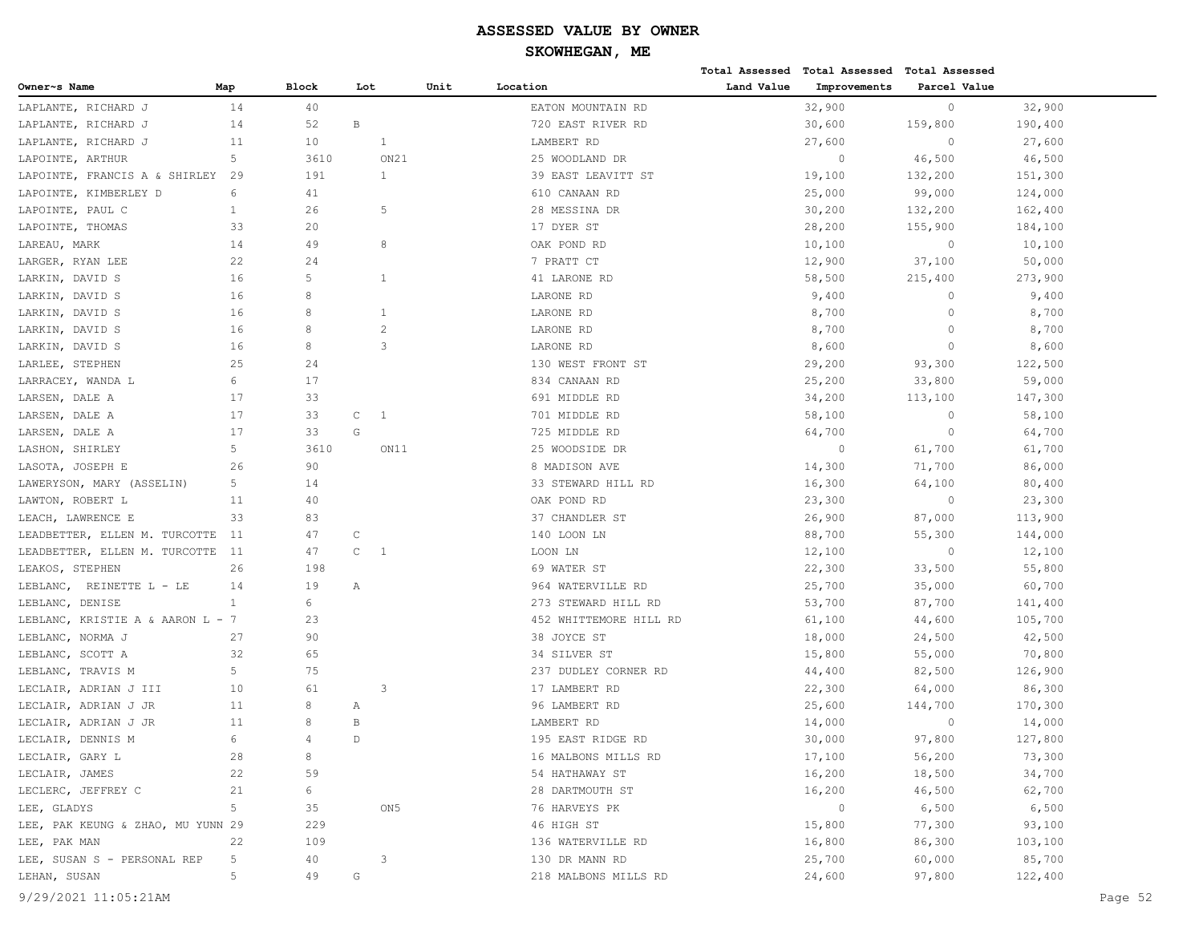# **SKOWHEGAN, ME**

|                                   |                |              |                              |      |                        |            | Total Assessed Total Assessed Total Assessed |              |         |
|-----------------------------------|----------------|--------------|------------------------------|------|------------------------|------------|----------------------------------------------|--------------|---------|
| Owner~s Name                      | Map            | <b>Block</b> | Lot                          | Unit | Location               | Land Value | Improvements                                 | Parcel Value |         |
| LAPLANTE, RICHARD J               | 14             | 40           |                              |      | EATON MOUNTAIN RD      |            | 32,900                                       | $\circ$      | 32,900  |
| LAPLANTE, RICHARD J               | 14             | 52           | B                            |      | 720 EAST RIVER RD      |            | 30,600                                       | 159,800      | 190,400 |
| LAPLANTE, RICHARD J               | 11             | 10           | 1                            |      | LAMBERT RD             |            | 27,600                                       | $\circ$      | 27,600  |
| LAPOINTE, ARTHUR                  | 5              | 3610         | ON21                         |      | 25 WOODLAND DR         |            | $\circ$                                      | 46,500       | 46,500  |
| LAPOINTE, FRANCIS A & SHIRLEY     | 29             | 191          | $\mathbf{1}$                 |      | 39 EAST LEAVITT ST     |            | 19,100                                       | 132,200      | 151,300 |
| LAPOINTE, KIMBERLEY D             | 6              | 41           |                              |      | 610 CANAAN RD          |            | 25,000                                       | 99,000       | 124,000 |
| LAPOINTE, PAUL C                  | $\mathbf{1}$   | 26           | 5                            |      | 28 MESSINA DR          |            | 30,200                                       | 132,200      | 162,400 |
| LAPOINTE, THOMAS                  | 33             | 20           |                              |      | 17 DYER ST             |            | 28,200                                       | 155,900      | 184,100 |
| LAREAU, MARK                      | 14             | 49           | 8                            |      | OAK POND RD            |            | 10,100                                       | $\circ$      | 10,100  |
| LARGER, RYAN LEE                  | 22             | 24           |                              |      | 7 PRATT CT             |            | 12,900                                       | 37,100       | 50,000  |
| LARKIN, DAVID S                   | 16             | 5            | 1                            |      | 41 LARONE RD           |            | 58,500                                       | 215,400      | 273,900 |
| LARKIN, DAVID S                   | 16             | 8            |                              |      | LARONE RD              |            | 9,400                                        | $\circ$      | 9,400   |
| LARKIN, DAVID S                   | 16             | 8            | $\mathbf{1}$                 |      | LARONE RD              |            | 8,700                                        | $\circ$      | 8,700   |
| LARKIN, DAVID S                   | 16             | 8            | $\overline{2}$               |      | LARONE RD              |            | 8,700                                        | $\circ$      | 8,700   |
| LARKIN, DAVID S                   | 16             | 8            | 3                            |      | LARONE RD              |            | 8,600                                        | $\circ$      | 8,600   |
| LARLEE, STEPHEN                   | 25             | 24           |                              |      | 130 WEST FRONT ST      |            | 29,200                                       | 93,300       | 122,500 |
| LARRACEY, WANDA L                 | 6              | 17           |                              |      | 834 CANAAN RD          |            | 25,200                                       | 33,800       | 59,000  |
| LARSEN, DALE A                    | 17             | 33           |                              |      | 691 MIDDLE RD          |            | 34,200                                       | 113,100      | 147,300 |
| LARSEN, DALE A                    | 17             | 33           | $\mathsf C$<br>-1            |      | 701 MIDDLE RD          |            | 58,100                                       | $\circ$      | 58,100  |
| LARSEN, DALE A                    | 17             | 33           | G                            |      | 725 MIDDLE RD          |            | 64,700                                       | $\circ$      | 64,700  |
| LASHON, SHIRLEY                   | 5              | 3610         | ON11                         |      | 25 WOODSIDE DR         |            | $\circ$                                      | 61,700       | 61,700  |
| LASOTA, JOSEPH E                  | 26             | 90           |                              |      | 8 MADISON AVE          |            | 14,300                                       | 71,700       | 86,000  |
| LAWERYSON, MARY (ASSELIN)         | 5              | 14           |                              |      | 33 STEWARD HILL RD     |            | 16,300                                       | 64,100       | 80,400  |
| LAWTON, ROBERT L                  | 11             | 40           |                              |      | OAK POND RD            |            | 23,300                                       | $\circ$      | 23,300  |
| LEACH, LAWRENCE E                 | 33             | 83           |                              |      | 37 CHANDLER ST         |            | 26,900                                       | 87,000       | 113,900 |
| LEADBETTER, ELLEN M. TURCOTTE     | 11             | 47           | C                            |      | 140 LOON LN            |            | 88,700                                       | 55,300       | 144,000 |
| LEADBETTER, ELLEN M. TURCOTTE     | 11             | 47           | $\mathsf{C}$<br>$\mathbf{1}$ |      | LOON LN                |            | 12,100                                       | $\circ$      | 12,100  |
| LEAKOS, STEPHEN                   | 26             | 198          |                              |      | 69 WATER ST            |            | 22,300                                       | 33,500       | 55,800  |
| LEBLANC,<br>REINETTE L - LE       | 14             | 19           | Α                            |      | 964 WATERVILLE RD      |            | 25,700                                       | 35,000       | 60,700  |
| LEBLANC, DENISE                   | $\mathbf{1}$   | 6            |                              |      | 273 STEWARD HILL RD    |            | 53,700                                       | 87,700       | 141,400 |
| LEBLANC, KRISTIE A & AARON L - 7  |                | 23           |                              |      | 452 WHITTEMORE HILL RD |            | 61,100                                       | 44,600       | 105,700 |
| LEBLANC, NORMA J                  | 27             | 90           |                              |      | 38 JOYCE ST            |            | 18,000                                       | 24,500       | 42,500  |
| LEBLANC, SCOTT A                  | 32             | 65           |                              |      | 34 SILVER ST           |            | 15,800                                       | 55,000       | 70,800  |
| LEBLANC, TRAVIS M                 | 5              | 75           |                              |      | 237 DUDLEY CORNER RD   |            | 44,400                                       | 82,500       | 126,900 |
| LECLAIR, ADRIAN J III             | 10             | 61           | 3                            |      | 17 LAMBERT RD          |            | 22,300                                       | 64,000       | 86,300  |
| LECLAIR, ADRIAN J JR              | 11             | 8            | Α                            |      | 96 LAMBERT RD          |            | 25,600                                       | 144,700      | 170,300 |
| LECLAIR, ADRIAN J JR              | 11             | 8            | B                            |      | LAMBERT RD             |            | 14,000                                       | $\circ$      | 14,000  |
| LECLAIR, DENNIS M                 | 6              | 4            | $\mathsf{D}$                 |      | 195 EAST RIDGE RD      |            | 30,000                                       | 97,800       | 127,800 |
| LECLAIR, GARY L                   | 28             | 8            |                              |      | 16 MALBONS MILLS RD    |            | 17,100                                       | 56,200       | 73,300  |
| LECLAIR, JAMES                    | 22             | 59           |                              |      | 54 HATHAWAY ST         |            | 16,200                                       | 18,500       | 34,700  |
| LECLERC, JEFFREY C                | 21             | 6            |                              |      | 28 DARTMOUTH ST        |            | 16,200                                       | 46,500       | 62,700  |
| LEE, GLADYS                       | 5 <sub>1</sub> | 35           | ON 5                         |      | 76 HARVEYS PK          |            | $\circ$                                      | 6,500        | 6,500   |
| LEE, PAK KEUNG & ZHAO, MU YUNN 29 |                | 229          |                              |      | 46 HIGH ST             |            | 15,800                                       | 77,300       | 93,100  |
| LEE, PAK MAN                      | 22             | 109          |                              |      | 136 WATERVILLE RD      |            | 16,800                                       | 86,300       | 103,100 |
| LEE, SUSAN S - PERSONAL REP       | 5              | 40           | 3                            |      | 130 DR MANN RD         |            | 25,700                                       | 60,000       | 85,700  |
| LEHAN, SUSAN                      | 5              | 49           | G                            |      | 218 MALBONS MILLS RD   |            | 24,600                                       | 97,800       | 122,400 |
|                                   |                |              |                              |      |                        |            |                                              |              |         |

9/29/2021 11:05:21AM Page 52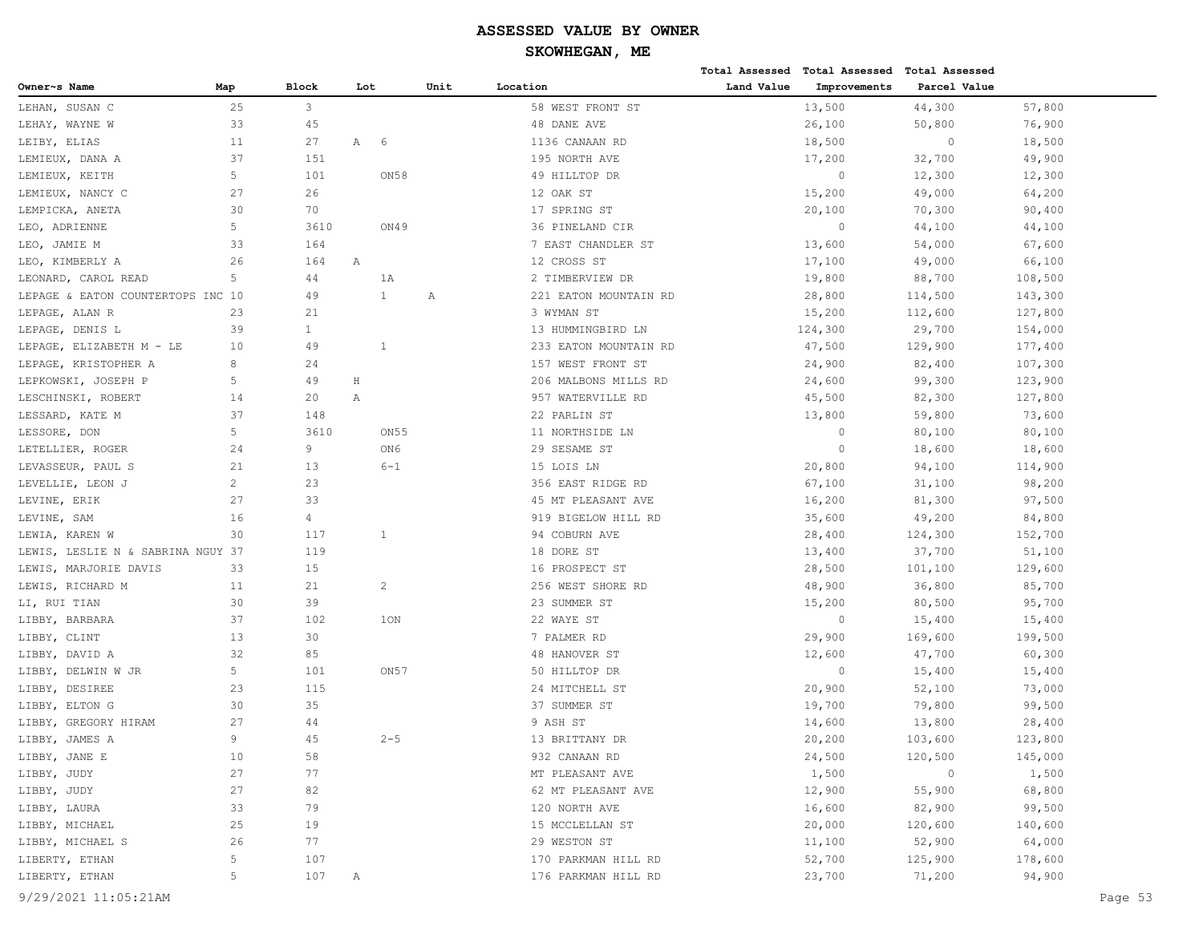|                                   |                |                |         |                  |      |                       |            | Total Assessed Total Assessed Total Assessed |              |         |
|-----------------------------------|----------------|----------------|---------|------------------|------|-----------------------|------------|----------------------------------------------|--------------|---------|
| Owner~s Name                      | Map            | <b>Block</b>   | Lot     |                  | Unit | Location              | Land Value | Improvements                                 | Parcel Value |         |
| LEHAN, SUSAN C                    | 25             | $\mathbf{3}$   |         |                  |      | 58 WEST FRONT ST      |            | 13,500                                       | 44,300       | 57,800  |
| LEHAY, WAYNE W                    | 33             | 45             |         |                  |      | 48 DANE AVE           |            | 26,100                                       | 50,800       | 76,900  |
| LEIBY, ELIAS                      | 11             | 27             | Α       | - 6              |      | 1136 CANAAN RD        |            | 18,500                                       | $\circ$      | 18,500  |
| LEMIEUX, DANA A                   | 37             | 151            |         |                  |      | 195 NORTH AVE         |            | 17,200                                       | 32,700       | 49,900  |
| LEMIEUX, KEITH                    | 5              | 101            |         | ON58             |      | 49 HILLTOP DR         |            | $\circ$                                      | 12,300       | 12,300  |
| LEMIEUX, NANCY C                  | 27             | 26             |         |                  |      | 12 OAK ST             |            | 15,200                                       | 49,000       | 64,200  |
| LEMPICKA, ANETA                   | 30             | 70             |         |                  |      | 17 SPRING ST          |            | 20,100                                       | 70,300       | 90,400  |
| LEO, ADRIENNE                     | 5              | 3610           |         | ON49             |      | 36 PINELAND CIR       |            | $\circ$                                      | 44,100       | 44,100  |
| LEO, JAMIE M                      | 33             | 164            |         |                  |      | 7 EAST CHANDLER ST    |            | 13,600                                       | 54,000       | 67,600  |
| LEO, KIMBERLY A                   | 26             | 164            | Α       |                  |      | 12 CROSS ST           |            | 17,100                                       | 49,000       | 66,100  |
| LEONARD, CAROL READ               | 5              | 44             |         | 1A               |      | 2 TIMBERVIEW DR       |            | 19,800                                       | 88,700       | 108,500 |
| LEPAGE & EATON COUNTERTOPS INC 10 |                | 49             |         | $\mathbf{1}$     | Α    | 221 EATON MOUNTAIN RD |            | 28,800                                       | 114,500      | 143,300 |
| LEPAGE, ALAN R                    | 23             | 21             |         |                  |      | 3 WYMAN ST            |            | 15,200                                       | 112,600      | 127,800 |
| LEPAGE, DENIS L                   | 39             | $\mathbf{1}$   |         |                  |      | 13 HUMMINGBIRD LN     |            | 124,300                                      | 29,700       | 154,000 |
| LEPAGE, ELIZABETH M - LE          | 10             | 49             |         | 1                |      | 233 EATON MOUNTAIN RD |            | 47,500                                       | 129,900      | 177,400 |
| LEPAGE, KRISTOPHER A              | 8              | 24             |         |                  |      | 157 WEST FRONT ST     |            | 24,900                                       | 82,400       | 107,300 |
| LEPKOWSKI, JOSEPH P               | 5              | 49             | $\rm H$ |                  |      | 206 MALBONS MILLS RD  |            | 24,600                                       | 99,300       | 123,900 |
| LESCHINSKI, ROBERT                | 14             | 20             | Α       |                  |      | 957 WATERVILLE RD     |            | 45,500                                       | 82,300       | 127,800 |
| LESSARD, KATE M                   | 37             | 148            |         |                  |      | 22 PARLIN ST          |            | 13,800                                       | 59,800       | 73,600  |
| LESSORE, DON                      | 5              | 3610           |         | ON <sub>55</sub> |      | 11 NORTHSIDE LN       |            | $\circ$                                      | 80,100       | 80,100  |
| LETELLIER, ROGER                  | 24             | 9              |         | ON6              |      | 29 SESAME ST          |            | $\circ$                                      | 18,600       | 18,600  |
| LEVASSEUR, PAUL S                 | 21             | 13             |         | $6 - 1$          |      | 15 LOIS LN            |            | 20,800                                       | 94,100       | 114,900 |
| LEVELLIE, LEON J                  | $\overline{c}$ | 23             |         |                  |      | 356 EAST RIDGE RD     |            | 67,100                                       | 31,100       | 98,200  |
| LEVINE, ERIK                      | 27             | 33             |         |                  |      | 45 MT PLEASANT AVE    |            | 16,200                                       | 81,300       | 97,500  |
| LEVINE, SAM                       | 16             | $\overline{4}$ |         |                  |      | 919 BIGELOW HILL RD   |            | 35,600                                       | 49,200       | 84,800  |
| LEWIA, KAREN W                    | 30             | 117            |         | 1                |      | 94 COBURN AVE         |            | 28,400                                       | 124,300      | 152,700 |
| LEWIS, LESLIE N & SABRINA NGUY 37 |                | 119            |         |                  |      | 18 DORE ST            |            | 13,400                                       | 37,700       | 51,100  |
| LEWIS, MARJORIE DAVIS             | 33             | 15             |         |                  |      | 16 PROSPECT ST        |            | 28,500                                       | 101,100      | 129,600 |
| LEWIS, RICHARD M                  | 11             | 21             |         | $\overline{c}$   |      | 256 WEST SHORE RD     |            | 48,900                                       | 36,800       | 85,700  |
| LI, RUI TIAN                      | 30             | 39             |         |                  |      | 23 SUMMER ST          |            | 15,200                                       | 80,500       | 95,700  |
| LIBBY, BARBARA                    | 37             | 102            |         | 1ON              |      | 22 WAYE ST            |            | $\circ$                                      | 15,400       | 15,400  |
| LIBBY, CLINT                      | 13             | 30             |         |                  |      | 7 PALMER RD           |            | 29,900                                       | 169,600      | 199,500 |
| LIBBY, DAVID A                    | 32             | 85             |         |                  |      | 48 HANOVER ST         |            | 12,600                                       | 47,700       | 60,300  |
| LIBBY, DELWIN W JR                | 5              | 101            |         | ON <sub>57</sub> |      | 50 HILLTOP DR         |            | $\circ$                                      | 15,400       | 15,400  |
| LIBBY, DESIREE                    | 23             | 115            |         |                  |      | 24 MITCHELL ST        |            | 20,900                                       | 52,100       | 73,000  |
| LIBBY, ELTON G                    | 30             | 35             |         |                  |      | 37 SUMMER ST          |            | 19,700                                       | 79,800       | 99,500  |
| LIBBY, GREGORY HIRAM              | 27             | 44             |         |                  |      | 9 ASH ST              |            | 14,600                                       | 13,800       | 28,400  |
| LIBBY, JAMES A                    | 9              | 45             |         | $2 - 5$          |      | 13 BRITTANY DR        |            | 20,200                                       | 103,600      | 123,800 |
| LIBBY, JANE E                     | 10             | 58             |         |                  |      | 932 CANAAN RD         |            | 24,500                                       | 120,500      | 145,000 |
| LIBBY, JUDY                       | 27             | 77             |         |                  |      | MT PLEASANT AVE       |            | 1,500                                        | $\circ$      | 1,500   |
| LIBBY, JUDY                       | 27             | 82             |         |                  |      | 62 MT PLEASANT AVE    |            | 12,900                                       | 55,900       | 68,800  |
| LIBBY, LAURA                      | 33             | 79             |         |                  |      | 120 NORTH AVE         |            | 16,600                                       | 82,900       | 99,500  |
| LIBBY, MICHAEL                    | 25             | 19             |         |                  |      | 15 MCCLELLAN ST       |            | 20,000                                       | 120,600      | 140,600 |
| LIBBY, MICHAEL S                  | 26             | 77             |         |                  |      | 29 WESTON ST          |            | 11,100                                       | 52,900       | 64,000  |
| LIBERTY, ETHAN                    | 5              | 107            |         |                  |      | 170 PARKMAN HILL RD   |            | 52,700                                       | 125,900      | 178,600 |
| LIBERTY, ETHAN                    | 5              | 107            | Α       |                  |      | 176 PARKMAN HILL RD   |            | 23,700                                       | 71,200       | 94,900  |
| 9/29/2021 11:05:21AM              |                |                |         |                  |      |                       |            |                                              |              | Page 53 |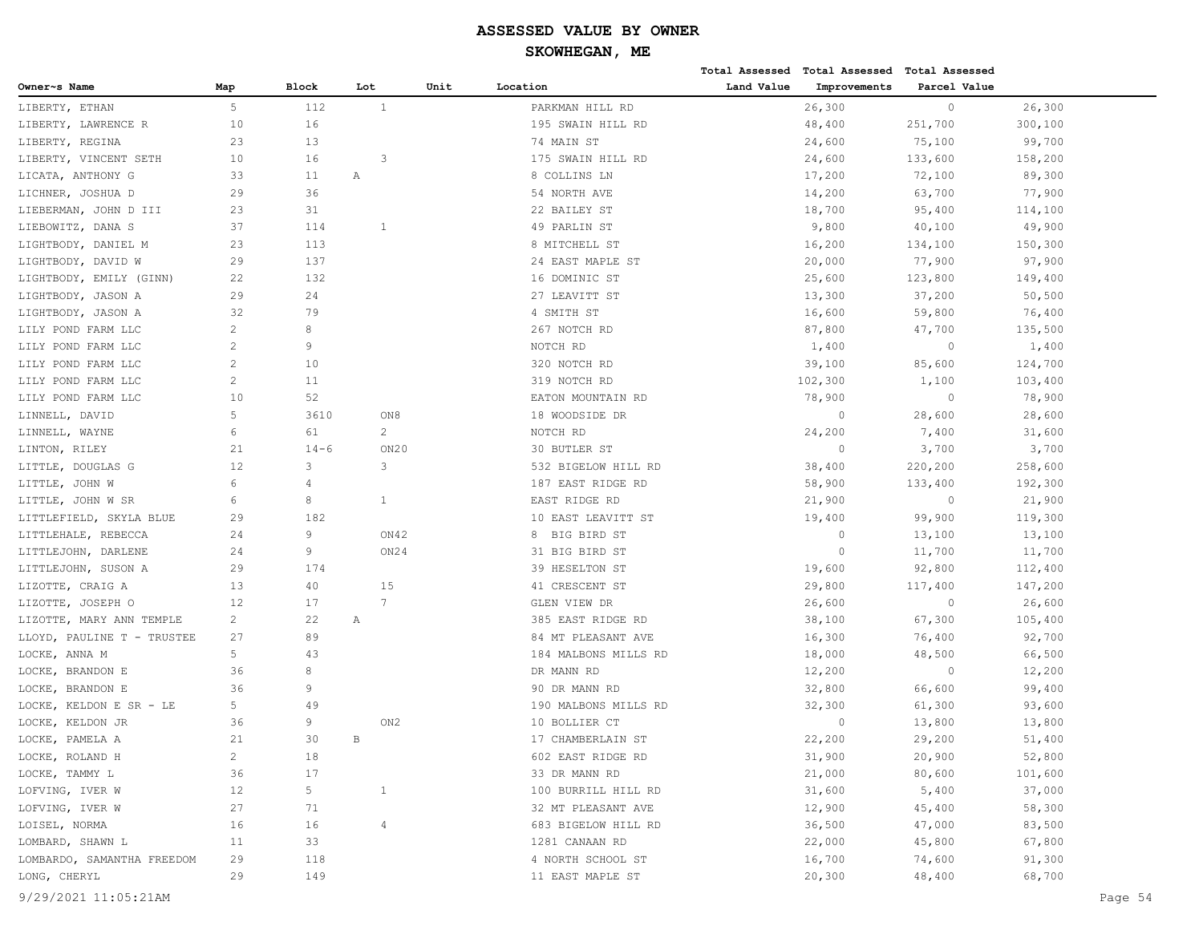|                            |                |          |                 |      |                      |            | Total Assessed Total Assessed Total Assessed |              |         |         |
|----------------------------|----------------|----------|-----------------|------|----------------------|------------|----------------------------------------------|--------------|---------|---------|
| Owner~s Name               | Map            | Block    | Lot             | Unit | Location             | Land Value | Improvements                                 | Parcel Value |         |         |
| LIBERTY, ETHAN             | 5              | 112      | $\mathbf{1}$    |      | PARKMAN HILL RD      |            | 26,300                                       | $\circ$      | 26,300  |         |
| LIBERTY, LAWRENCE R        | 10             | 16       |                 |      | 195 SWAIN HILL RD    |            | 48,400                                       | 251,700      | 300,100 |         |
| LIBERTY, REGINA            | 23             | 13       |                 |      | 74 MAIN ST           |            | 24,600                                       | 75,100       | 99,700  |         |
| LIBERTY, VINCENT SETH      | 10             | 16       | 3               |      | 175 SWAIN HILL RD    |            | 24,600                                       | 133,600      | 158,200 |         |
| LICATA, ANTHONY G          | 33             | 11       | Α               |      | 8 COLLINS LN         |            | 17,200                                       | 72,100       | 89,300  |         |
| LICHNER, JOSHUA D          | 29             | 36       |                 |      | 54 NORTH AVE         |            | 14,200                                       | 63,700       | 77,900  |         |
| LIEBERMAN, JOHN D III      | 23             | 31       |                 |      | 22 BAILEY ST         |            | 18,700                                       | 95,400       | 114,100 |         |
| LIEBOWITZ, DANA S          | 37             | 114      | 1               |      | 49 PARLIN ST         |            | 9,800                                        | 40,100       | 49,900  |         |
| LIGHTBODY, DANIEL M        | 23             | 113      |                 |      | 8 MITCHELL ST        |            | 16,200                                       | 134,100      | 150,300 |         |
| LIGHTBODY, DAVID W         | 29             | 137      |                 |      | 24 EAST MAPLE ST     |            | 20,000                                       | 77,900       | 97,900  |         |
| LIGHTBODY, EMILY (GINN)    | 22             | 132      |                 |      | 16 DOMINIC ST        |            | 25,600                                       | 123,800      | 149,400 |         |
| LIGHTBODY, JASON A         | 29             | 24       |                 |      | 27 LEAVITT ST        |            | 13,300                                       | 37,200       | 50,500  |         |
| LIGHTBODY, JASON A         | 32             | 79       |                 |      | 4 SMITH ST           |            | 16,600                                       | 59,800       | 76,400  |         |
| LILY POND FARM LLC         | 2              | 8        |                 |      | 267 NOTCH RD         |            | 87,800                                       | 47,700       | 135,500 |         |
| LILY POND FARM LLC         | 2              | 9        |                 |      | NOTCH RD             |            | 1,400                                        | $\circ$      | 1,400   |         |
| LILY POND FARM LLC         | 2              | 10       |                 |      | 320 NOTCH RD         |            | 39,100                                       | 85,600       | 124,700 |         |
| LILY POND FARM LLC         | $\overline{c}$ | 11       |                 |      | 319 NOTCH RD         |            | 102,300                                      | 1,100        | 103,400 |         |
| LILY POND FARM LLC         | 10             | 52       |                 |      | EATON MOUNTAIN RD    |            | 78,900                                       | $\circ$      | 78,900  |         |
| LINNELL, DAVID             | 5              | 3610     | ON8             |      | 18 WOODSIDE DR       |            | $\circ$                                      | 28,600       | 28,600  |         |
| LINNELL, WAYNE             | 6              | 61       | $\mathbf{2}$    |      | NOTCH RD             |            | 24,200                                       | 7,400        | 31,600  |         |
| LINTON, RILEY              | 21             | $14 - 6$ | ON20            |      | 30 BUTLER ST         |            | $\circ$                                      | 3,700        | 3,700   |         |
| LITTLE, DOUGLAS G          | 12             | 3        | 3               |      | 532 BIGELOW HILL RD  |            | 38,400                                       | 220,200      | 258,600 |         |
| LITTLE, JOHN W             | 6              | 4        |                 |      | 187 EAST RIDGE RD    |            | 58,900                                       | 133,400      | 192,300 |         |
| LITTLE, JOHN W SR          | 6              | 8        | $\mathbf{1}$    |      | EAST RIDGE RD        |            | 21,900                                       | $\circ$      | 21,900  |         |
| LITTLEFIELD, SKYLA BLUE    | 29             | 182      |                 |      | 10 EAST LEAVITT ST   |            | 19,400                                       | 99,900       | 119,300 |         |
| LITTLEHALE, REBECCA        | 24             | 9        | ON42            |      | BIG BIRD ST<br>8     |            | $\circ$                                      | 13,100       | 13,100  |         |
| LITTLEJOHN, DARLENE        | 24             | 9        | ON24            |      | 31 BIG BIRD ST       |            | $\circ$                                      | 11,700       | 11,700  |         |
| LITTLEJOHN, SUSON A        | 29             | 174      |                 |      | 39 HESELTON ST       |            | 19,600                                       | 92,800       | 112,400 |         |
| LIZOTTE, CRAIG A           | 13             | 40       | 15              |      | 41 CRESCENT ST       |            | 29,800                                       | 117,400      | 147,200 |         |
| LIZOTTE, JOSEPH O          | 12             | 17       | $7\phantom{.0}$ |      | GLEN VIEW DR         |            | 26,600                                       | $\circ$      | 26,600  |         |
| LIZOTTE, MARY ANN TEMPLE   | 2              | 22       | Α               |      | 385 EAST RIDGE RD    |            | 38,100                                       | 67,300       | 105,400 |         |
| LLOYD, PAULINE T - TRUSTEE | 27             | 89       |                 |      | 84 MT PLEASANT AVE   |            | 16,300                                       | 76,400       | 92,700  |         |
| LOCKE, ANNA M              | 5              | 43       |                 |      | 184 MALBONS MILLS RD |            | 18,000                                       | 48,500       | 66,500  |         |
| LOCKE,<br>BRANDON E        | 36             | 8        |                 |      | DR MANN RD           |            | 12,200                                       | $\circ$      | 12,200  |         |
| LOCKE, BRANDON E           | 36             | 9        |                 |      | 90 DR MANN RD        |            | 32,800                                       | 66,600       | 99,400  |         |
| LOCKE, KELDON E SR - LE    | 5              | 49       |                 |      | 190 MALBONS MILLS RD |            | 32,300                                       | 61,300       | 93,600  |         |
| LOCKE, KELDON JR           | 36             | 9        | ON2             |      | 10 BOLLIER CT        |            | $\mathbf{0}$                                 | 13,800       | 13,800  |         |
| LOCKE, PAMELA A            | 21             | 30       | B               |      | 17 CHAMBERLAIN ST    |            | 22,200                                       | 29,200       | 51,400  |         |
| LOCKE, ROLAND H            | $\overline{c}$ | 18       |                 |      | 602 EAST RIDGE RD    |            | 31,900                                       | 20,900       | 52,800  |         |
| LOCKE, TAMMY L             | 36             | 17       |                 |      | 33 DR MANN RD        |            | 21,000                                       | 80,600       | 101,600 |         |
| LOFVING, IVER W            | 12             | 5        | $\mathbf{1}$    |      | 100 BURRILL HILL RD  |            | 31,600                                       | 5,400        | 37,000  |         |
| LOFVING, IVER W            | 27             | 71       |                 |      | 32 MT PLEASANT AVE   |            | 12,900                                       | 45,400       | 58,300  |         |
| LOISEL, NORMA              | 16             | 16       | $\overline{4}$  |      | 683 BIGELOW HILL RD  |            | 36,500                                       | 47,000       | 83,500  |         |
| LOMBARD, SHAWN L           | 11             | 33       |                 |      | 1281 CANAAN RD       |            | 22,000                                       | 45,800       | 67,800  |         |
| LOMBARDO, SAMANTHA FREEDOM | 29             | 118      |                 |      | 4 NORTH SCHOOL ST    |            | 16,700                                       | 74,600       | 91,300  |         |
| LONG, CHERYL               | 29             | 149      |                 |      | 11 EAST MAPLE ST     |            | 20,300                                       | 48,400       | 68,700  |         |
| 9/29/2021 11:05:21AM       |                |          |                 |      |                      |            |                                              |              |         | Page 54 |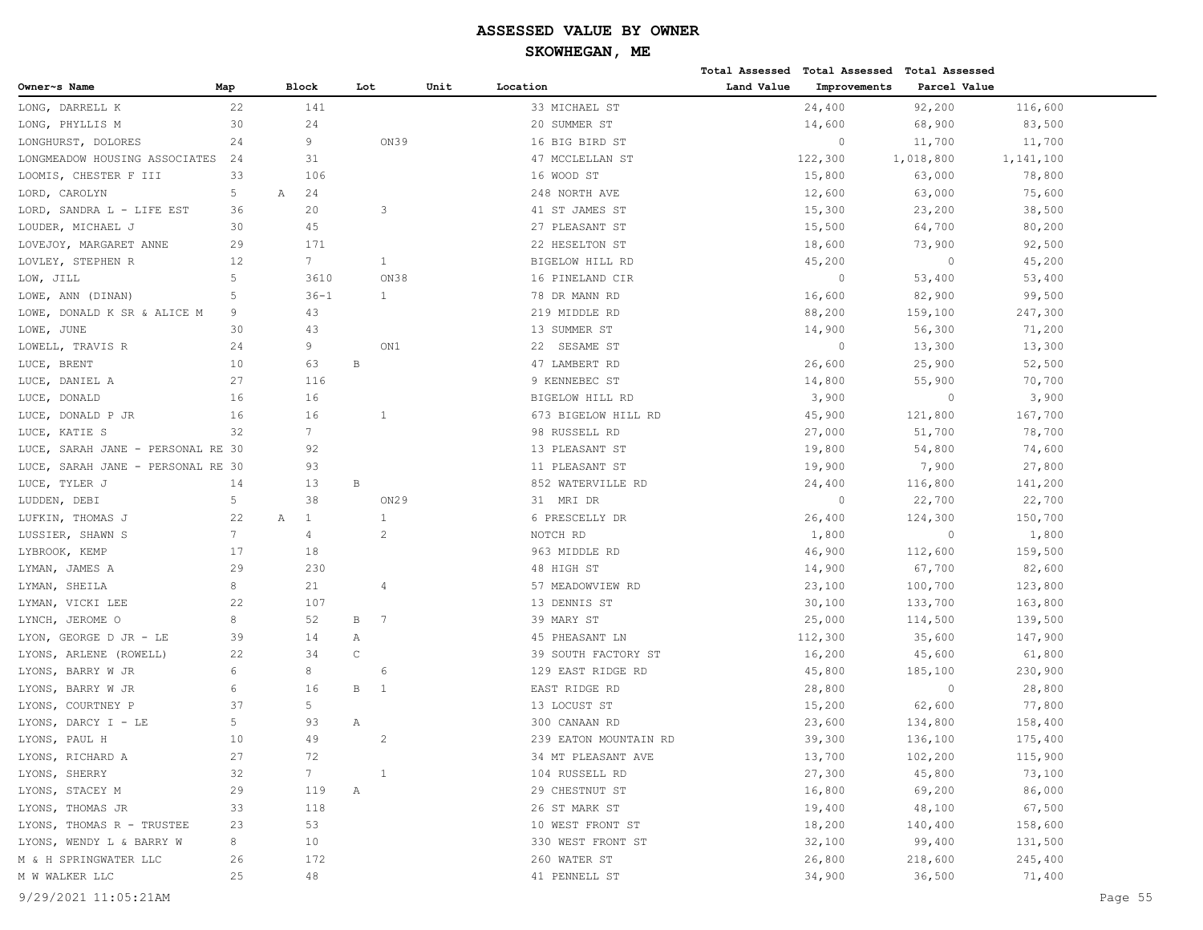|                                      |                 |                   |                |      |                       |            | Total Assessed Total Assessed | <b>Total Assessed</b> |           |         |
|--------------------------------------|-----------------|-------------------|----------------|------|-----------------------|------------|-------------------------------|-----------------------|-----------|---------|
| Owner~s Name                         | Map             | Block             | Lot            | Unit | Location              | Land Value | Improvements                  | Parcel Value          |           |         |
| LONG, DARRELL K                      | 22              | 141               |                |      | 33 MICHAEL ST         |            | 24,400                        | 92,200                | 116,600   |         |
| LONG, PHYLLIS M                      | 30              | 24                |                |      | 20 SUMMER ST          |            | 14,600                        | 68,900                | 83,500    |         |
| LONGHURST, DOLORES                   | 24              | 9                 |                | ON39 | 16 BIG BIRD ST        |            | $\circ$                       | 11,700                | 11,700    |         |
| LONGMEADOW HOUSING ASSOCIATES        | 24              | 31                |                |      | 47 MCCLELLAN ST       |            | 122,300                       | 1,018,800             | 1,141,100 |         |
| LOOMIS, CHESTER F III                | 33              | 106               |                |      | 16 WOOD ST            |            | 15,800                        | 63,000                | 78,800    |         |
| LORD, CAROLYN                        | 5               | 24<br>Α           |                |      | 248 NORTH AVE         |            | 12,600                        | 63,000                | 75,600    |         |
| LORD, SANDRA L - LIFE EST            | 36              | 20                | 3              |      | 41 ST JAMES ST        |            | 15,300                        | 23,200                | 38,500    |         |
| LOUDER, MICHAEL J                    | 30              | 45                |                |      | 27 PLEASANT ST        |            | 15,500                        | 64,700                | 80,200    |         |
| LOVEJOY, MARGARET ANNE               | 29              | 171               |                |      | 22 HESELTON ST        |            | 18,600                        | 73,900                | 92,500    |         |
| LOVLEY, STEPHEN R                    | 12              | 7 <sup>7</sup>    | $\mathbf{1}$   |      | BIGELOW HILL RD       |            | 45,200                        | $\circ$               | 45,200    |         |
| LOW, JILL                            | 5               | 3610              |                | ON38 | 16 PINELAND CIR       |            | $\circ$                       | 53,400                | 53,400    |         |
| LOWE, ANN (DINAN)                    | 5               | $36 - 1$          | $\mathbf{1}$   |      | 78 DR MANN RD         |            | 16,600                        | 82,900                | 99,500    |         |
| DONALD K SR & ALICE M<br>LOWE,       | 9               | 43                |                |      | 219 MIDDLE RD         |            | 88,200                        | 159,100               | 247,300   |         |
| LOWE, JUNE                           | 30              | 43                |                |      | 13 SUMMER ST          |            | 14,900                        | 56,300                | 71,200    |         |
| LOWELL, TRAVIS R                     | 24              | 9                 |                | ON1  | SESAME ST<br>22       |            | $\mathbf{0}$                  | 13,300                | 13,300    |         |
| LUCE, BRENT                          | 10              | 63                | $\, {\bf B}$   |      | 47 LAMBERT RD         |            | 26,600                        | 25,900                | 52,500    |         |
| LUCE, DANIEL A                       | 27              | 116               |                |      | 9 KENNEBEC ST         |            | 14,800                        | 55,900                | 70,700    |         |
| LUCE, DONALD                         | 16              | 16                |                |      | BIGELOW HILL RD       |            | 3,900                         | $\circ$               | 3,900     |         |
| DONALD P JR<br>LUCE,                 | 16              | 16                | 1              |      | 673 BIGELOW HILL RD   |            | 45,900                        | 121,800               | 167,700   |         |
| LUCE, KATIE S                        | 32              | $7\overline{ }$   |                |      | 98 RUSSELL RD         |            | 27,000                        | 51,700                | 78,700    |         |
| SARAH JANE - PERSONAL RE 30<br>LUCE, |                 | 92                |                |      | 13 PLEASANT ST        |            | 19,800                        | 54,800                | 74,600    |         |
| SARAH JANE - PERSONAL RE 30<br>LUCE, |                 | 93                |                |      | 11 PLEASANT ST        |            | 19,900                        | 7,900                 | 27,800    |         |
| LUCE, TYLER J                        | 14              | 13                | В              |      | 852 WATERVILLE RD     |            | 24,400                        | 116,800               | 141,200   |         |
| LUDDEN, DEBI                         | 5               | 38                |                | ON29 | 31 MRI DR             |            | $\circ$                       | 22,700                | 22,700    |         |
| LUFKIN, THOMAS J                     | 22              | $\mathbf{1}$<br>Α | 1              |      | 6 PRESCELLY DR        |            | 26,400                        | 124,300               | 150,700   |         |
| LUSSIER, SHAWN S                     | $7\overline{ }$ | $\overline{4}$    | 2              |      | NOTCH RD              |            | 1,800                         | $\circ$               | 1,800     |         |
| LYBROOK, KEMP                        | 17              | 18                |                |      | 963 MIDDLE RD         |            | 46,900                        | 112,600               | 159,500   |         |
| LYMAN, JAMES A                       | 29              | 230               |                |      | 48 HIGH ST            |            | 14,900                        | 67,700                | 82,600    |         |
| LYMAN, SHEILA                        | 8               | 21                | 4              |      | 57 MEADOWVIEW RD      |            | 23,100                        | 100,700               | 123,800   |         |
| LYMAN,<br>VICKI LEE                  | 22              | 107               |                |      | 13 DENNIS ST          |            | 30,100                        | 133,700               | 163,800   |         |
| JEROME O<br>LYNCH,                   | 8               | 52                | В<br>7         |      | 39 MARY ST            |            | 25,000                        | 114,500               | 139,500   |         |
| LYON, GEORGE D JR - LE               | 39              | 14                | Α              |      | 45 PHEASANT LN        |            | 112,300                       | 35,600                | 147,900   |         |
| LYONS, ARLENE (ROWELL)               | 22              | 34                | $\mathsf C$    |      | 39 SOUTH FACTORY ST   |            | 16,200                        | 45,600                | 61,800    |         |
| LYONS,<br>BARRY W JR                 | 6               | 8                 | 6              |      | 129 EAST RIDGE RD     |            | 45,800                        | 185,100               | 230,900   |         |
| LYONS, BARRY W JR                    | 6               | 16                | В<br>-1        |      | EAST RIDGE RD         |            | 28,800                        | $\circ$               | 28,800    |         |
| LYONS,<br>COURTNEY P                 | 37              | 5                 |                |      | 13 LOCUST ST          |            | 15,200                        | 62,600                | 77,800    |         |
| LYONS,<br>DARCY I - LE               | 5               | 93                | Α              |      | 300 CANAAN RD         |            | 23,600                        | 134,800               | 158,400   |         |
| LYONS, PAUL H                        | 10              | 49                | $\overline{c}$ |      | 239 EATON MOUNTAIN RD |            | 39,300                        | 136,100               | 175,400   |         |
| LYONS, RICHARD A                     | 27              | 72                |                |      | 34 MT PLEASANT AVE    |            | 13,700                        | 102,200               | 115,900   |         |
| LYONS, SHERRY                        | 32              | $7\phantom{.0}$   | 1              |      | 104 RUSSELL RD        |            | 27,300                        | 45,800                | 73,100    |         |
| LYONS, STACEY M                      | 29              | 119               | Α              |      | 29 CHESTNUT ST        |            | 16,800                        | 69,200                | 86,000    |         |
| LYONS, THOMAS JR                     | 33              | 118               |                |      | 26 ST MARK ST         |            | 19,400                        | 48,100                | 67,500    |         |
| LYONS, THOMAS R - TRUSTEE            | 23              | 53                |                |      | 10 WEST FRONT ST      |            | 18,200                        | 140,400               | 158,600   |         |
| LYONS, WENDY L & BARRY W             | 8               | 10                |                |      | 330 WEST FRONT ST     |            | 32,100                        | 99,400                | 131,500   |         |
| M & H SPRINGWATER LLC                | 26              | 172               |                |      | 260 WATER ST          |            | 26,800                        | 218,600               | 245,400   |         |
| M W WALKER LLC                       | 25              | 48                |                |      | 41 PENNELL ST         |            | 34,900                        | 36,500                | 71,400    |         |
| 9/29/2021 11:05:21AM                 |                 |                   |                |      |                       |            |                               |                       |           | Page 55 |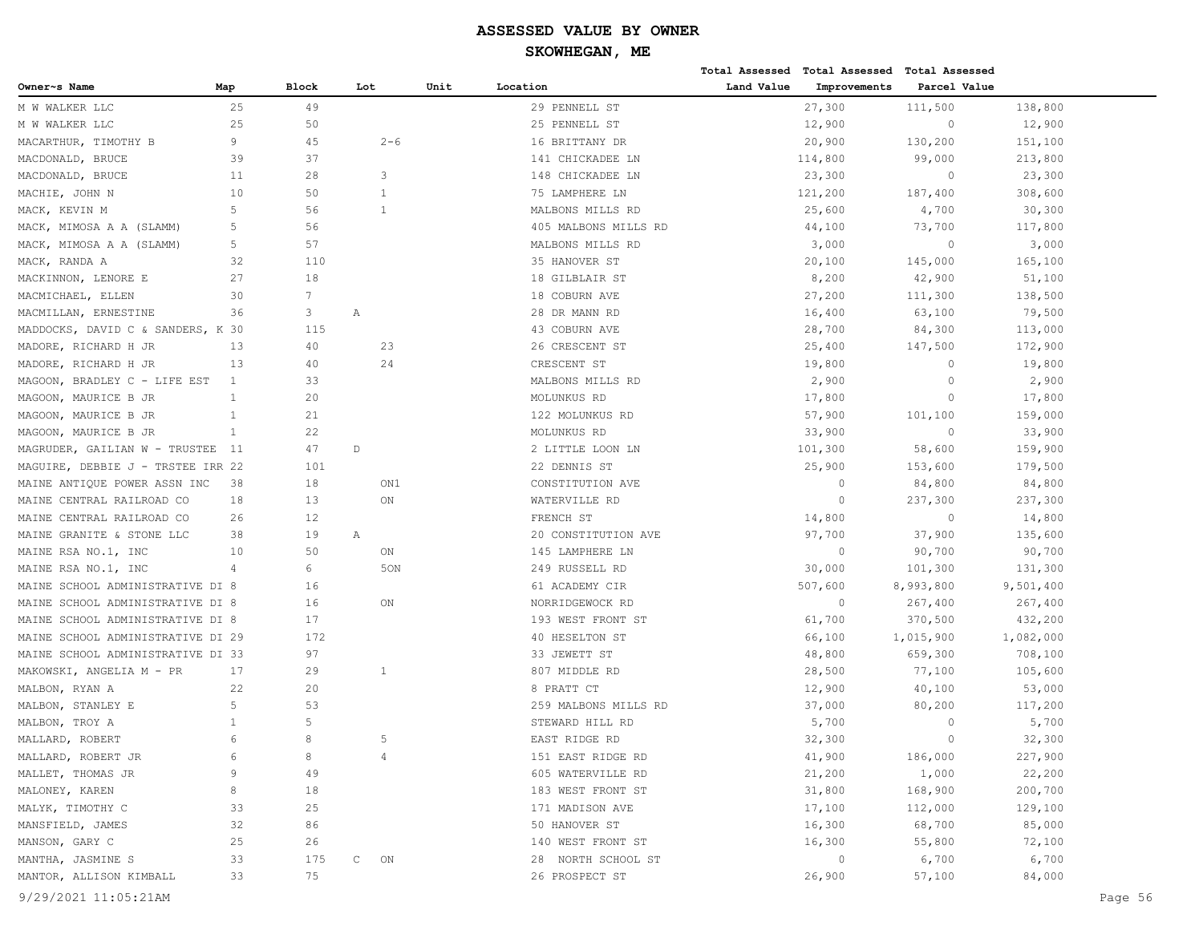|                                   |              |                |                   |         |                      |            | Total Assessed Total Assessed Total Assessed |              |           |         |
|-----------------------------------|--------------|----------------|-------------------|---------|----------------------|------------|----------------------------------------------|--------------|-----------|---------|
| Owner~s Name                      | Map          | <b>Block</b>   | Lot               | Unit    | Location             | Land Value | Improvements                                 | Parcel Value |           |         |
| M W WALKER LLC                    | 25           | 49             |                   |         | 29 PENNELL ST        |            | 27,300                                       | 111,500      | 138,800   |         |
| M W WALKER LLC                    | 25           | 50             |                   |         | 25 PENNELL ST        |            | 12,900                                       | $\circ$      | 12,900    |         |
| MACARTHUR, TIMOTHY B              | 9            | 45             |                   | $2 - 6$ | 16 BRITTANY DR       |            | 20,900                                       | 130,200      | 151,100   |         |
| MACDONALD, BRUCE                  | 39           | 37             |                   |         | 141 CHICKADEE LN     |            | 114,800                                      | 99,000       | 213,800   |         |
| MACDONALD, BRUCE                  | 11           | 28             | 3                 |         | 148 CHICKADEE LN     |            | 23,300                                       | $\circ$      | 23,300    |         |
| MACHIE, JOHN N                    | 10           | 50             | 1                 |         | 75 LAMPHERE LN       |            | 121,200                                      | 187,400      | 308,600   |         |
| MACK, KEVIN M                     | 5            | 56             | 1                 |         | MALBONS MILLS RD     |            | 25,600                                       | 4,700        | 30,300    |         |
| MACK, MIMOSA A A (SLAMM)          | 5            | 56             |                   |         | 405 MALBONS MILLS RD |            | 44,100                                       | 73,700       | 117,800   |         |
| MACK, MIMOSA A A (SLAMM)          | 5            | 57             |                   |         | MALBONS MILLS RD     |            | 3,000                                        | $\circ$      | 3,000     |         |
| MACK, RANDA A                     | 32           | 110            |                   |         | 35 HANOVER ST        |            | 20,100                                       | 145,000      | 165,100   |         |
| MACKINNON, LENORE E               | 27           | 18             |                   |         | 18 GILBLAIR ST       |            | 8,200                                        | 42,900       | 51,100    |         |
| MACMICHAEL, ELLEN                 | 30           | $7\phantom{.}$ |                   |         | 18 COBURN AVE        |            | 27,200                                       | 111,300      | 138,500   |         |
| MACMILLAN, ERNESTINE              | 36           | 3              | Α                 |         | 28 DR MANN RD        |            | 16,400                                       | 63,100       | 79,500    |         |
| MADDOCKS, DAVID C & SANDERS, K 30 |              | 115            |                   |         | 43 COBURN AVE        |            | 28,700                                       | 84,300       | 113,000   |         |
| MADORE, RICHARD H JR              | 13           | 40             | 23                |         | 26 CRESCENT ST       |            | 25,400                                       | 147,500      | 172,900   |         |
| MADORE, RICHARD H JR              | 13           | 40             | 24                |         | CRESCENT ST          |            | 19,800                                       | $\circ$      | 19,800    |         |
| MAGOON, BRADLEY C - LIFE EST      | 1            | 33             |                   |         | MALBONS MILLS RD     |            | 2,900                                        | $\circ$      | 2,900     |         |
| MAGOON, MAURICE B JR              | $\mathbf{1}$ | 20             |                   |         | MOLUNKUS RD          |            | 17,800                                       | $\circ$      | 17,800    |         |
| MAGOON, MAURICE B JR              | $\mathbf{1}$ | 21             |                   |         | 122 MOLUNKUS RD      |            | 57,900                                       | 101,100      | 159,000   |         |
| MAGOON, MAURICE B JR              | $\mathbf{1}$ | 22             |                   |         | MOLUNKUS RD          |            | 33,900                                       | $\circ$      | 33,900    |         |
| MAGRUDER, GAILIAN W - TRUSTEE     | - 11         | 47             | $\mathbb D$       |         | 2 LITTLE LOON LN     |            | 101,300                                      | 58,600       | 159,900   |         |
| MAGUIRE, DEBBIE J - TRSTEE IRR 22 |              | 101            |                   |         | 22 DENNIS ST         |            | 25,900                                       | 153,600      | 179,500   |         |
| MAINE ANTIOUE POWER ASSN INC      | 38           | 18             |                   | ON1     | CONSTITUTION AVE     |            | $\circ$                                      | 84,800       | 84,800    |         |
| MAINE CENTRAL RAILROAD CO         | 18           | 13             | ON                |         | WATERVILLE RD        |            | $\circ$                                      | 237,300      | 237,300   |         |
| MAINE CENTRAL RAILROAD CO         | 26           | 12             |                   |         | FRENCH ST            |            | 14,800                                       | $\circ$      | 14,800    |         |
| MAINE GRANITE & STONE LLC         | 38           | 19             | Α                 |         | 20 CONSTITUTION AVE  |            | 97,700                                       | 37,900       | 135,600   |         |
| MAINE RSA NO.1, INC               | 10           | 50             | ON                |         | 145 LAMPHERE LN      |            | $\circ$                                      | 90,700       | 90,700    |         |
| MAINE RSA NO.1, INC               | 4            | 6              |                   | 50N     | 249 RUSSELL RD       |            | 30,000                                       | 101,300      | 131,300   |         |
| MAINE SCHOOL ADMINISTRATIVE DI 8  |              | 16             |                   |         | 61 ACADEMY CIR       |            | 507,600                                      | 8,993,800    | 9,501,400 |         |
| MAINE SCHOOL ADMINISTRATIVE DI 8  |              | 16             | ON                |         | NORRIDGEWOCK RD      |            | $\circ$                                      | 267,400      | 267,400   |         |
| MAINE SCHOOL ADMINISTRATIVE DI 8  |              | 17             |                   |         | 193 WEST FRONT ST    |            | 61,700                                       | 370,500      | 432,200   |         |
| MAINE SCHOOL ADMINISTRATIVE DI 29 |              | 172            |                   |         | 40 HESELTON ST       |            | 66,100                                       | 1,015,900    | 1,082,000 |         |
| MAINE SCHOOL ADMINISTRATIVE DI 33 |              | 97             |                   |         | 33 JEWETT ST         |            | 48,800                                       | 659,300      | 708,100   |         |
| MAKOWSKI, ANGELIA M - PR          | 17           | 29             | 1                 |         | 807 MIDDLE RD        |            | 28,500                                       | 77,100       | 105,600   |         |
| MALBON, RYAN A                    | 22           | 20             |                   |         | 8 PRATT CT           |            | 12,900                                       | 40,100       | 53,000    |         |
| MALBON, STANLEY E                 | 5            | 53             |                   |         | 259 MALBONS MILLS RD |            | 37,000                                       | 80,200       | 117,200   |         |
| MALBON, TROY A                    | $\mathbf{1}$ | 5              |                   |         | STEWARD HILL RD      |            | 5,700                                        | $\mathbf{0}$ | 5,700     |         |
| MALLARD, ROBERT                   | 6            | 8              | 5                 |         | EAST RIDGE RD        |            | 32,300                                       | $\Omega$     | 32,300    |         |
| MALLARD, ROBERT JR                | 6            | 8              | 4                 |         | 151 EAST RIDGE RD    |            | 41,900                                       | 186,000      | 227,900   |         |
| MALLET, THOMAS JR                 | 9            | 49             |                   |         | 605 WATERVILLE RD    |            | 21,200                                       | 1,000        | 22,200    |         |
| MALONEY, KAREN                    | 8            | 18             |                   |         | 183 WEST FRONT ST    |            | 31,800                                       | 168,900      | 200,700   |         |
| MALYK, TIMOTHY C                  | 33           | 25             |                   |         | 171 MADISON AVE      |            | 17,100                                       | 112,000      | 129,100   |         |
| MANSFIELD, JAMES                  | 32           | 86             |                   |         | 50 HANOVER ST        |            | 16,300                                       | 68,700       | 85,000    |         |
| MANSON, GARY C                    | 25           | 26             |                   |         | 140 WEST FRONT ST    |            | 16,300                                       | 55,800       | 72,100    |         |
| MANTHA, JASMINE S                 | 33           | 175            | $\mathbb C$<br>ON |         | 28 NORTH SCHOOL ST   |            | $\circ$                                      | 6,700        | 6,700     |         |
| MANTOR, ALLISON KIMBALL           | 33           | 75             |                   |         | 26 PROSPECT ST       |            | 26,900                                       | 57,100       | 84,000    |         |
| 9/29/2021 11:05:21AM              |              |                |                   |         |                      |            |                                              |              |           | Page 56 |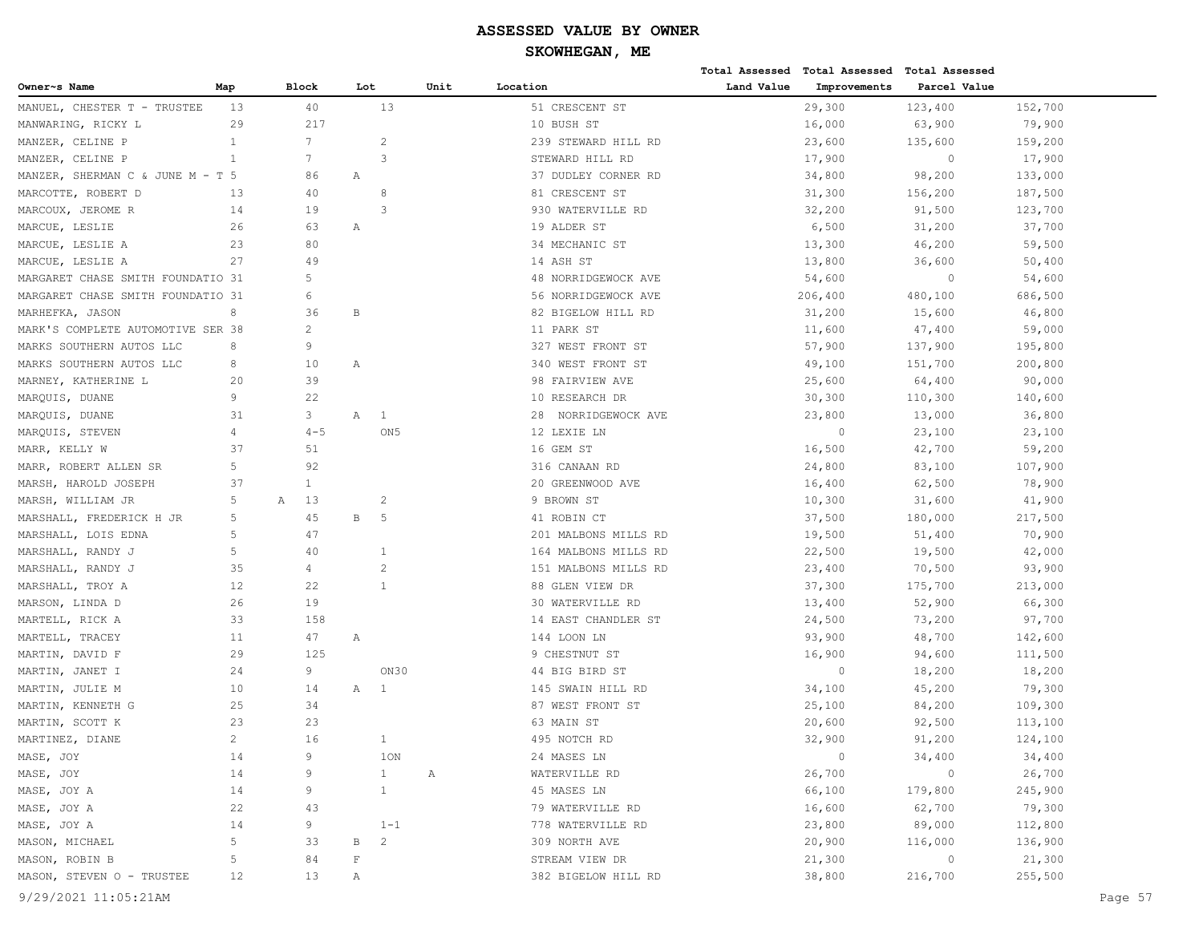|                                   |              |                 |              |                 |      |                      |            | Total Assessed Total Assessed Total Assessed |                |         |
|-----------------------------------|--------------|-----------------|--------------|-----------------|------|----------------------|------------|----------------------------------------------|----------------|---------|
| Owner~s Name                      | Map          | Block           | Lot          |                 | Unit | Location             | Land Value | Improvements                                 | Parcel Value   |         |
| MANUEL, CHESTER T - TRUSTEE       | 13           | 40              |              | 13              |      | 51 CRESCENT ST       |            | 29,300                                       | 123,400        | 152,700 |
| MANWARING, RICKY L                | 29           | 217             |              |                 |      | 10 BUSH ST           |            | 16,000                                       | 63,900         | 79,900  |
| MANZER, CELINE P                  | $\mathbf{1}$ | $7\phantom{.0}$ |              | $\overline{c}$  |      | 239 STEWARD HILL RD  |            | 23,600                                       | 135,600        | 159,200 |
| MANZER, CELINE P                  | $\mathbf{1}$ | 7               |              | 3               |      | STEWARD HILL RD      |            | 17,900                                       | $\circ$        | 17,900  |
| MANZER, SHERMAN C & JUNE M - T 5  |              | 86              | Α            |                 |      | 37 DUDLEY CORNER RD  |            | 34,800                                       | 98,200         | 133,000 |
| MARCOTTE, ROBERT D                | 13           | 40              |              | 8               |      | 81 CRESCENT ST       |            | 31,300                                       | 156,200        | 187,500 |
| MARCOUX, JEROME R                 | 14           | 19              |              | 3               |      | 930 WATERVILLE RD    |            | 32,200                                       | 91,500         | 123,700 |
| MARCUE, LESLIE                    | 26           | 63              | Α            |                 |      | 19 ALDER ST          |            | 6,500                                        | 31,200         | 37,700  |
| MARCUE, LESLIE A                  | 23           | 80              |              |                 |      | 34 MECHANIC ST       |            | 13,300                                       | 46,200         | 59,500  |
| MARCUE, LESLIE A                  | 27           | 49              |              |                 |      | 14 ASH ST            |            | 13,800                                       | 36,600         | 50,400  |
| MARGARET CHASE SMITH FOUNDATIO 31 |              | 5               |              |                 |      | 48 NORRIDGEWOCK AVE  |            | 54,600                                       | $\circ$        | 54,600  |
| MARGARET CHASE SMITH FOUNDATIO 31 |              | 6               |              |                 |      | 56 NORRIDGEWOCK AVE  |            | 206,400                                      | 480,100        | 686,500 |
| MARHEFKA, JASON                   | 8            | 36              | B            |                 |      | 82 BIGELOW HILL RD   |            | 31,200                                       | 15,600         | 46,800  |
| MARK'S COMPLETE AUTOMOTIVE SER 38 |              | $\overline{c}$  |              |                 |      | 11 PARK ST           |            | 11,600                                       | 47,400         | 59,000  |
| MARKS SOUTHERN AUTOS LLC          | 8            | 9               |              |                 |      | 327 WEST FRONT ST    |            | 57,900                                       | 137,900        | 195,800 |
| MARKS SOUTHERN AUTOS LLC          | 8            | 10              | Α            |                 |      | 340 WEST FRONT ST    |            | 49,100                                       | 151,700        | 200,800 |
| MARNEY, KATHERINE L               | 20           | 39              |              |                 |      | 98 FAIRVIEW AVE      |            | 25,600                                       | 64,400         | 90,000  |
| MARQUIS, DUANE                    | 9            | 22              |              |                 |      | 10 RESEARCH DR       |            | 30,300                                       | 110,300        | 140,600 |
| MARQUIS, DUANE                    | 31           | 3               | Α            | 1               |      | 28 NORRIDGEWOCK AVE  |            | 23,800                                       | 13,000         | 36,800  |
| MARQUIS, STEVEN                   | 4            | $4 - 5$         |              | ON <sub>5</sub> |      | 12 LEXIE LN          |            | $\circ$                                      | 23,100         | 23,100  |
| MARR, KELLY W                     | 37           | 51              |              |                 |      | 16 GEM ST            |            | 16,500                                       | 42,700         | 59,200  |
| MARR, ROBERT ALLEN SR             | 5            | 92              |              |                 |      | 316 CANAAN RD        |            | 24,800                                       | 83,100         | 107,900 |
| MARSH, HAROLD JOSEPH              | 37           | $\mathbf{1}$    |              |                 |      | 20 GREENWOOD AVE     |            | 16,400                                       | 62,500         | 78,900  |
| MARSH, WILLIAM JR                 | 5            | 13<br>А         |              | $\overline{c}$  |      | 9 BROWN ST           |            | 10,300                                       | 31,600         | 41,900  |
| MARSHALL, FREDERICK H JR          | 5            | 45              | $\mathbf{B}$ | 5               |      | 41 ROBIN CT          |            | 37,500                                       | 180,000        | 217,500 |
| MARSHALL, LOIS EDNA               | 5            | 47              |              |                 |      | 201 MALBONS MILLS RD |            | 19,500                                       | 51,400         | 70,900  |
| MARSHALL, RANDY J                 | 5            | 40              |              | 1               |      | 164 MALBONS MILLS RD |            | 22,500                                       | 19,500         | 42,000  |
| MARSHALL, RANDY J                 | 35           | 4               |              | $\overline{c}$  |      | 151 MALBONS MILLS RD |            | 23,400                                       | 70,500         | 93,900  |
| MARSHALL, TROY A                  | 12           | 22              |              | $\mathbf{1}$    |      | 88 GLEN VIEW DR      |            | 37,300                                       | 175,700        | 213,000 |
| MARSON, LINDA D                   | 26           | 19              |              |                 |      | 30 WATERVILLE RD     |            | 13,400                                       | 52,900         | 66,300  |
| MARTELL, RICK A                   | 33           | 158             |              |                 |      | 14 EAST CHANDLER ST  |            | 24,500                                       | 73,200         | 97,700  |
| MARTELL, TRACEY                   | 11           | 47              | Α            |                 |      | 144 LOON LN          |            | 93,900                                       | 48,700         | 142,600 |
| MARTIN, DAVID F                   | 29           | 125             |              |                 |      | 9 CHESTNUT ST        |            | 16,900                                       | 94,600         | 111,500 |
| MARTIN, JANET I                   | 24           | 9               |              | ON30            |      | 44 BIG BIRD ST       |            | $\circ$                                      | 18,200         | 18,200  |
| MARTIN, JULIE M                   | 10           | 14              | Α            | $\mathbf{1}$    |      | 145 SWAIN HILL RD    |            | 34,100                                       | 45,200         | 79,300  |
| MARTIN, KENNETH G                 | 25           | 34              |              |                 |      | 87 WEST FRONT ST     |            | 25,100                                       | 84,200         | 109,300 |
| MARTIN, SCOTT K                   | 23           | 23              |              |                 |      | 63 MAIN ST           |            | 20,600                                       | 92,500         | 113,100 |
| MARTINEZ, DIANE                   | 2            | 16              |              | 1               |      | 495 NOTCH RD         |            | 32,900                                       | 91,200         | 124,100 |
| MASE, JOY                         | 14           | 9               |              | 10N             |      | 24 MASES LN          |            | $\circ$                                      | 34,400         | 34,400  |
| MASE, JOY                         | 14           | 9               |              | $\mathbf{1}$    | Α    | WATERVILLE RD        |            | 26,700                                       | $\circ$        | 26,700  |
| MASE, JOY A                       | 14           | 9               |              | $\mathbf{1}$    |      | 45 MASES LN          |            | 66,100                                       | 179,800        | 245,900 |
| MASE, JOY A                       | 22           | 43              |              |                 |      | 79 WATERVILLE RD     |            | 16,600                                       | 62,700         | 79,300  |
| MASE, JOY A                       | 14           | 9               |              | $1 - 1$         |      | 778 WATERVILLE RD    |            | 23,800                                       | 89,000         | 112,800 |
| MASON, MICHAEL                    | 5            | 33              | В            | $\overline{c}$  |      | 309 NORTH AVE        |            | 20,900                                       | 116,000        | 136,900 |
| MASON, ROBIN B                    | 5            | 84              | $\mathbf F$  |                 |      | STREAM VIEW DR       |            | 21,300                                       | $\overline{0}$ | 21,300  |
| MASON, STEVEN O - TRUSTEE         | 12           | 13              | Α            |                 |      | 382 BIGELOW HILL RD  |            | 38,800                                       | 216,700        | 255,500 |
| 9/29/2021 11:05:21AM              |              |                 |              |                 |      |                      |            |                                              |                | Page 57 |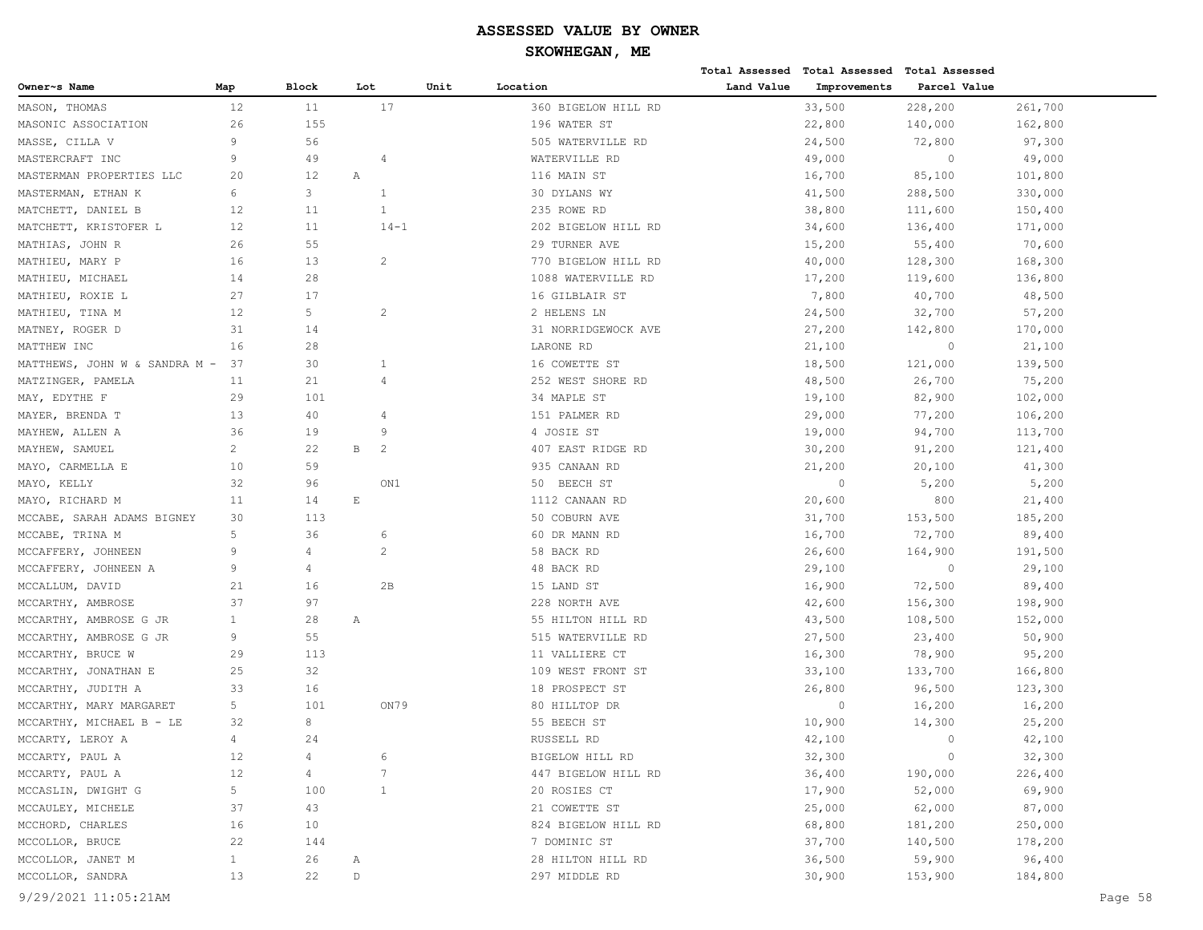|                               |                |                |                |      |                     |            | Total Assessed Total Assessed Total Assessed |              |         |
|-------------------------------|----------------|----------------|----------------|------|---------------------|------------|----------------------------------------------|--------------|---------|
| Owner~s Name                  | Map            | <b>Block</b>   | Lot            | Unit | Location            | Land Value | Improvements                                 | Parcel Value |         |
| MASON, THOMAS                 | 12             | 11             | 17             |      | 360 BIGELOW HILL RD |            | 33,500                                       | 228,200      | 261,700 |
| MASONIC ASSOCIATION           | 26             | 155            |                |      | 196 WATER ST        |            | 22,800                                       | 140,000      | 162,800 |
| MASSE, CILLA V                | 9              | 56             |                |      | 505 WATERVILLE RD   |            | 24,500                                       | 72,800       | 97,300  |
| MASTERCRAFT INC               | 9              | 49             | 4              |      | WATERVILLE RD       |            | 49,000                                       | $\mathbf{0}$ | 49,000  |
| MASTERMAN PROPERTIES LLC      | 20             | 12             | $\mathbb{A}$   |      | 116 MAIN ST         |            | 16,700                                       | 85,100       | 101,800 |
| MASTERMAN, ETHAN K            | 6              | 3              | 1              |      | 30 DYLANS WY        |            | 41,500                                       | 288,500      | 330,000 |
| MATCHETT, DANIEL B            | 12             | 11             | $\mathbf{1}$   |      | 235 ROWE RD         |            | 38,800                                       | 111,600      | 150,400 |
| MATCHETT, KRISTOFER L         | 12             | 11             | $14 - 1$       |      | 202 BIGELOW HILL RD |            | 34,600                                       | 136,400      | 171,000 |
| MATHIAS, JOHN R               | 26             | 55             |                |      | 29 TURNER AVE       |            | 15,200                                       | 55,400       | 70,600  |
| MATHIEU, MARY P               | 16             | 13             | $\overline{c}$ |      | 770 BIGELOW HILL RD |            | 40,000                                       | 128,300      | 168,300 |
| MATHIEU, MICHAEL              | 14             | 28             |                |      | 1088 WATERVILLE RD  |            | 17,200                                       | 119,600      | 136,800 |
| MATHIEU, ROXIE L              | 27             | 17             |                |      | 16 GILBLAIR ST      |            | 7,800                                        | 40,700       | 48,500  |
| MATHIEU, TINA M               | 12             | 5              | 2              |      | 2 HELENS LN         |            | 24,500                                       | 32,700       | 57,200  |
| MATNEY, ROGER D               | 31             | 14             |                |      | 31 NORRIDGEWOCK AVE |            | 27,200                                       | 142,800      | 170,000 |
| MATTHEW INC                   | 16             | 28             |                |      | LARONE RD           |            | 21,100                                       | $\circ$      | 21,100  |
| MATTHEWS, JOHN W & SANDRA M - | 37             | 30             | $\mathbf{1}$   |      | 16 COWETTE ST       |            | 18,500                                       | 121,000      | 139,500 |
| MATZINGER, PAMELA             | 11             | 21             | 4              |      | 252 WEST SHORE RD   |            | 48,500                                       | 26,700       | 75,200  |
| MAY, EDYTHE F                 | 29             | 101            |                |      | 34 MAPLE ST         |            | 19,100                                       | 82,900       | 102,000 |
| MAYER, BRENDA T               | 13             | 40             | 4              |      | 151 PALMER RD       |            | 29,000                                       | 77,200       | 106,200 |
| MAYHEW, ALLEN A               | 36             | 19             | 9              |      | 4 JOSIE ST          |            | 19,000                                       | 94,700       | 113,700 |
| MAYHEW, SAMUEL                | 2              | 22             | $\,$ B<br>2    |      | 407 EAST RIDGE RD   |            | 30,200                                       | 91,200       | 121,400 |
| MAYO, CARMELLA E              | 10             | 59             |                |      | 935 CANAAN RD       |            | 21,200                                       | 20,100       | 41,300  |
| MAYO, KELLY                   | 32             | 96             | ON1            |      | 50 BEECH ST         |            | $\circ$                                      | 5,200        | 5,200   |
| MAYO, RICHARD M               | 11             | 14             | $\mathbf E$    |      | 1112 CANAAN RD      |            | 20,600                                       | 800          | 21,400  |
| MCCABE, SARAH ADAMS BIGNEY    | 30             | 113            |                |      | 50 COBURN AVE       |            | 31,700                                       | 153,500      | 185,200 |
| MCCABE, TRINA M               | 5              | 36             | 6              |      | 60 DR MANN RD       |            | 16,700                                       | 72,700       | 89,400  |
| MCCAFFERY, JOHNEEN            | 9              | $\overline{4}$ | 2              |      | 58 BACK RD          |            | 26,600                                       | 164,900      | 191,500 |
| MCCAFFERY, JOHNEEN A          | 9              | 4              |                |      | 48 BACK RD          |            | 29,100                                       | $\mathbf{0}$ | 29,100  |
| MCCALLUM, DAVID               | 21             | 16             | 2B             |      | 15 LAND ST          |            | 16,900                                       | 72,500       | 89,400  |
| MCCARTHY, AMBROSE             | 37             | 97             |                |      | 228 NORTH AVE       |            | 42,600                                       | 156,300      | 198,900 |
| MCCARTHY, AMBROSE G JR        | $\mathbf{1}$   | 28             | Α              |      | 55 HILTON HILL RD   |            | 43,500                                       | 108,500      | 152,000 |
| MCCARTHY, AMBROSE G JR        | 9              | 55             |                |      | 515 WATERVILLE RD   |            | 27,500                                       | 23,400       | 50,900  |
| MCCARTHY, BRUCE W             | 29             | 113            |                |      | 11 VALLIERE CT      |            | 16,300                                       | 78,900       | 95,200  |
| MCCARTHY, JONATHAN E          | 25             | 32             |                |      | 109 WEST FRONT ST   |            | 33,100                                       | 133,700      | 166,800 |
| MCCARTHY, JUDITH A            | 33             | 16             |                |      | 18 PROSPECT ST      |            | 26,800                                       | 96,500       | 123,300 |
| MCCARTHY, MARY MARGARET       | 5              | 101            | ON79           |      | 80 HILLTOP DR       |            | $\circ$                                      | 16,200       | 16,200  |
| MCCARTHY, MICHAEL B - LE      | 32             | 8              |                |      | 55 BEECH ST         |            | 10,900                                       | 14,300       | 25,200  |
| MCCARTY, LEROY A              | $\overline{4}$ | 24             |                |      | RUSSELL RD          |            | 42,100                                       | $\Omega$     | 42,100  |
| MCCARTY, PAUL A               | 12             | 4              | 6              |      | BIGELOW HILL RD     |            | 32,300                                       | $\circ$      | 32,300  |
| MCCARTY, PAUL A               | 12             | $\overline{4}$ | 7              |      | 447 BIGELOW HILL RD |            | 36,400                                       | 190,000      | 226,400 |
| MCCASLIN, DWIGHT G            | 5 <sub>1</sub> | 100            | $\mathbf{1}$   |      | 20 ROSIES CT        |            | 17,900                                       | 52,000       | 69,900  |
| MCCAULEY, MICHELE             | 37             | 43             |                |      | 21 COWETTE ST       |            | 25,000                                       | 62,000       | 87,000  |
| MCCHORD, CHARLES              | 16             | 10             |                |      | 824 BIGELOW HILL RD |            | 68,800                                       | 181,200      | 250,000 |
| MCCOLLOR, BRUCE               | 22             | 144            |                |      | 7 DOMINIC ST        |            | 37,700                                       | 140,500      | 178,200 |
| MCCOLLOR, JANET M             | $\mathbf{1}$   | 26             | Α              |      | 28 HILTON HILL RD   |            | 36,500                                       | 59,900       | 96,400  |
| MCCOLLOR, SANDRA              | 13             | 22             | D              |      | 297 MIDDLE RD       |            | 30,900                                       | 153,900      | 184,800 |
| 9/29/2021 11:05:21AM          |                |                |                |      |                     |            |                                              |              | Page 58 |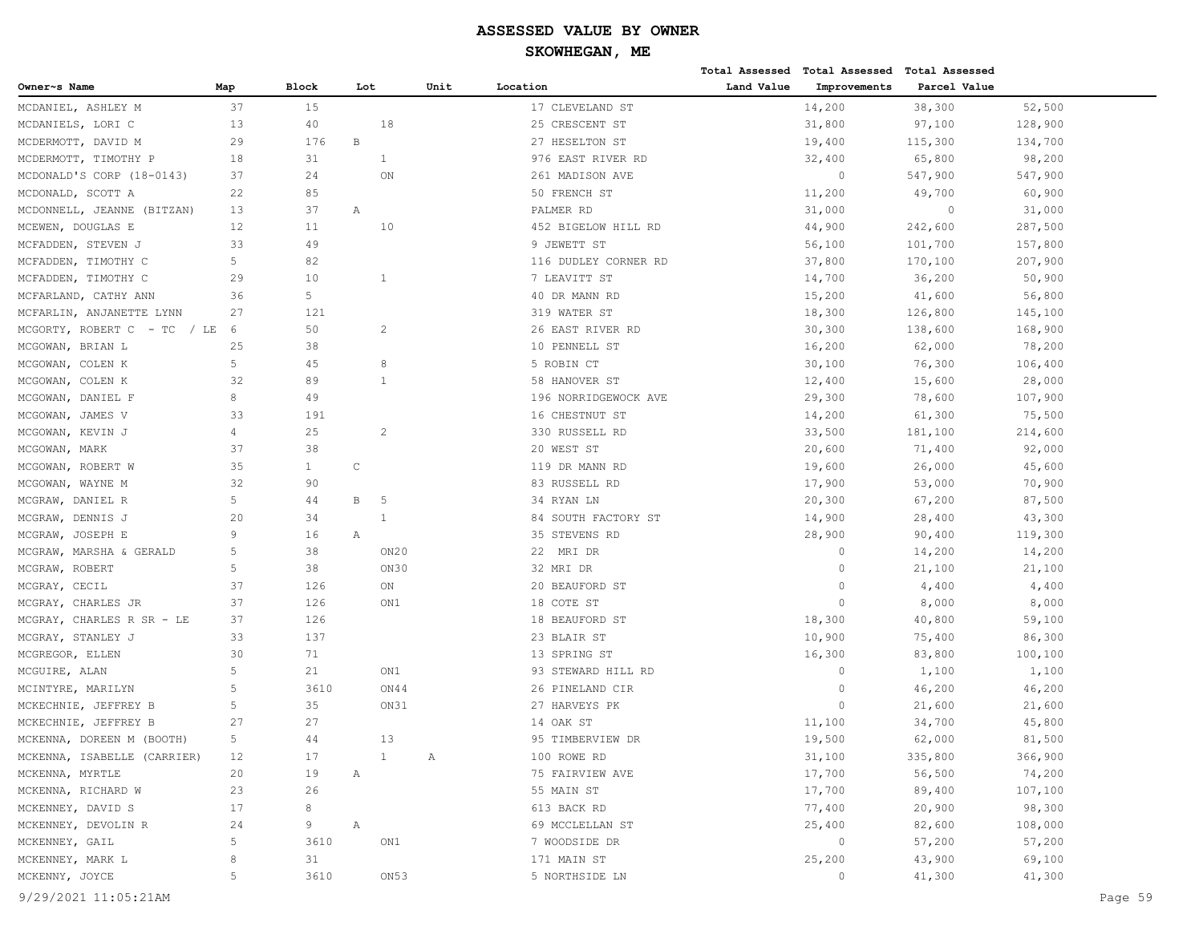# **SKOWHEGAN, ME**

|                                |             |              |              |              |              |                      |            | Total Assessed Total Assessed Total Assessed |              |         |
|--------------------------------|-------------|--------------|--------------|--------------|--------------|----------------------|------------|----------------------------------------------|--------------|---------|
| Owner~s Name                   | Map         | Block        | Lot          |              | Unit         | Location             | Land Value | Improvements                                 | Parcel Value |         |
| MCDANIEL, ASHLEY M             | 37          | 15           |              |              |              | 17 CLEVELAND ST      |            | 14,200                                       | 38,300       | 52,500  |
| MCDANIELS, LORI C              | 13          | 40           |              | 18           |              | 25 CRESCENT ST       |            | 31,800                                       | 97,100       | 128,900 |
| MCDERMOTT, DAVID M             | 29          | 176          | $\, {\bf B}$ |              |              | 27 HESELTON ST       |            | 19,400                                       | 115,300      | 134,700 |
| MCDERMOTT, TIMOTHY P           | 18          | 31           |              | $\mathbf{1}$ |              | 976 EAST RIVER RD    |            | 32,400                                       | 65,800       | 98,200  |
| MCDONALD'S CORP (18-0143)      | 37          | 24           |              | ON           |              | 261 MADISON AVE      |            | $\circ$                                      | 547,900      | 547,900 |
| MCDONALD, SCOTT A              | 22          | 85           |              |              |              | 50 FRENCH ST         |            | 11,200                                       | 49,700       | 60,900  |
| MCDONNELL, JEANNE (BITZAN)     | 13          | 37           | Α            |              |              | PALMER RD            |            | 31,000                                       | $\circ$      | 31,000  |
| MCEWEN, DOUGLAS E              | 12          | 11           |              | 10           |              | 452 BIGELOW HILL RD  |            | 44,900                                       | 242,600      | 287,500 |
| MCFADDEN, STEVEN J             | 33          | 49           |              |              |              | 9 JEWETT ST          |            | 56,100                                       | 101,700      | 157,800 |
| MCFADDEN, TIMOTHY C            | 5           | 82           |              |              |              | 116 DUDLEY CORNER RD |            | 37,800                                       | 170,100      | 207,900 |
| MCFADDEN, TIMOTHY C            | 29          | 10           |              | 1            |              | 7 LEAVITT ST         |            | 14,700                                       | 36,200       | 50,900  |
| MCFARLAND, CATHY ANN           | 36          | 5            |              |              |              | 40 DR MANN RD        |            | 15,200                                       | 41,600       | 56,800  |
| MCFARLIN, ANJANETTE LYNN       | 27          | 121          |              |              |              | 319 WATER ST         |            | 18,300                                       | 126,800      | 145,100 |
| MCGORTY, ROBERT C - TC<br>/ LE | 6           | 50           |              | 2            |              | 26 EAST RIVER RD     |            | 30,300                                       | 138,600      | 168,900 |
| MCGOWAN, BRIAN L               | 25          | 38           |              |              |              | 10 PENNELL ST        |            | 16,200                                       | 62,000       | 78,200  |
| MCGOWAN, COLEN K               | 5           | 45           |              | 8            |              | 5 ROBIN CT           |            | 30,100                                       | 76,300       | 106,400 |
| MCGOWAN, COLEN K               | 32          | 89           |              | $\mathbf{1}$ |              | 58 HANOVER ST        |            | 12,400                                       | 15,600       | 28,000  |
| MCGOWAN, DANIEL F              | 8           | 49           |              |              |              | 196 NORRIDGEWOCK AVE |            | 29,300                                       | 78,600       | 107,900 |
| MCGOWAN, JAMES V               | 33          | 191          |              |              |              | 16 CHESTNUT ST       |            | 14,200                                       | 61,300       | 75,500  |
| MCGOWAN, KEVIN J               | 4           | 25           |              | 2            |              | 330 RUSSELL RD       |            | 33,500                                       | 181,100      | 214,600 |
| MCGOWAN, MARK                  | 37          | 38           |              |              |              | 20 WEST ST           |            | 20,600                                       | 71,400       | 92,000  |
| MCGOWAN, ROBERT W              | 35          | $\mathbf{1}$ | $\mathsf{C}$ |              |              | 119 DR MANN RD       |            | 19,600                                       | 26,000       | 45,600  |
| MCGOWAN, WAYNE M               | 32          | 90           |              |              |              | 83 RUSSELL RD        |            | 17,900                                       | 53,000       | 70,900  |
| MCGRAW, DANIEL R               | 5           | 44           | $\, {\bf B}$ | -5           |              | 34 RYAN LN           |            | 20,300                                       | 67,200       | 87,500  |
| MCGRAW, DENNIS J               | 20          | 34           |              | 1            |              | 84 SOUTH FACTORY ST  |            | 14,900                                       | 28,400       | 43,300  |
| JOSEPH E<br>MCGRAW,            | 9           | 16           | Α            |              |              | 35 STEVENS RD        |            | 28,900                                       | 90,400       | 119,300 |
| MCGRAW, MARSHA & GERALD        | 5           | 38           |              | ON20         |              | 22 MRI DR            |            | $\circ$                                      | 14,200       | 14,200  |
| MCGRAW, ROBERT                 | 5           | 38           |              | ON30         |              | 32 MRI DR            |            | $\circ$                                      | 21,100       | 21,100  |
| MCGRAY, CECIL                  | 37          | 126          |              | ON           |              | 20 BEAUFORD ST       |            | $\Omega$                                     | 4,400        | 4,400   |
| MCGRAY, CHARLES JR             | 37          | 126          |              | ON1          |              | 18 COTE ST           |            | $\Omega$                                     | 8,000        | 8,000   |
| MCGRAY, CHARLES R SR - LE      | 37          | 126          |              |              |              | 18 BEAUFORD ST       |            | 18,300                                       | 40,800       | 59,100  |
| MCGRAY, STANLEY J              | 33          | 137          |              |              |              | 23 BLAIR ST          |            | 10,900                                       | 75,400       | 86,300  |
| MCGREGOR, ELLEN                | 30          | 71           |              |              |              | 13 SPRING ST         |            | 16,300                                       | 83,800       | 100,100 |
| MCGUIRE, ALAN                  | 5           | 21           |              | ON1          |              | 93 STEWARD HILL RD   |            | $\circ$                                      | 1,100        | 1,100   |
| MCINTYRE, MARILYN              | 5           | 3610         |              | ON44         |              | 26 PINELAND CIR      |            | $\circ$                                      | 46,200       | 46,200  |
| MCKECHNIE, JEFFREY B           | 5           | 35           |              | ON31         |              | 27 HARVEYS PK        |            | $\Omega$                                     | 21,600       | 21,600  |
| MCKECHNIE, JEFFREY B           | 27          | 27           |              |              |              | 14 OAK ST            |            | 11,100                                       | 34,700       | 45,800  |
| MCKENNA, DOREEN M (BOOTH)      | 5           | 44           |              | 13           |              | 95 TIMBERVIEW DR     |            | 19,500                                       | 62,000       | 81,500  |
| MCKENNA, ISABELLE (CARRIER)    | 12          | 17           |              | $\mathbf{1}$ | $\mathbb{A}$ | 100 ROWE RD          |            | 31,100                                       | 335,800      | 366,900 |
| MCKENNA, MYRTLE                | 20          | 19           | Α            |              |              | 75 FAIRVIEW AVE      |            | 17,700                                       | 56,500       | 74,200  |
| MCKENNA, RICHARD W             | 23          | 26           |              |              |              | 55 MAIN ST           |            | 17,700                                       | 89,400       | 107,100 |
| MCKENNEY, DAVID S              | 17          | 8            |              |              |              | 613 BACK RD          |            | 77,400                                       | 20,900       | 98,300  |
| MCKENNEY, DEVOLIN R            | 24          | 9            | Α            |              |              | 69 MCCLELLAN ST      |            | 25,400                                       | 82,600       | 108,000 |
| MCKENNEY, GAIL                 | $\mathsf S$ | 3610         |              | ON1          |              | 7 WOODSIDE DR        |            | $\circ$                                      | 57,200       | 57,200  |
| MCKENNEY, MARK L               | 8           | 31           |              |              |              | 171 MAIN ST          |            | 25,200                                       | 43,900       | 69,100  |
| MCKENNY, JOYCE                 | 5           | 3610         |              | ON53         |              | 5 NORTHSIDE LN       |            | $\circ$                                      | 41,300       | 41,300  |
|                                |             |              |              |              |              |                      |            |                                              |              |         |

9/29/2021 11:05:21AM Page 59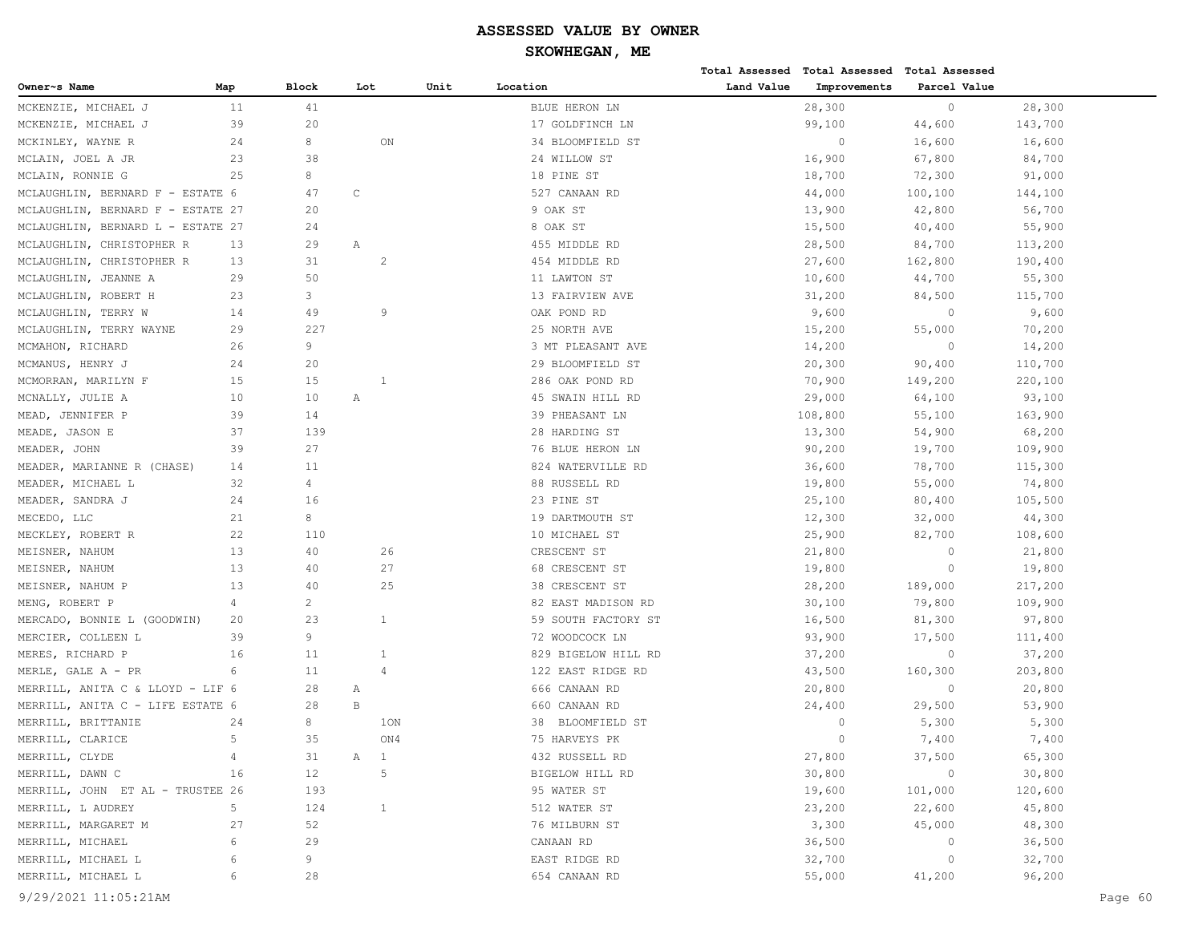|                                   |                |                |              |                          |      |                     |            | Total Assessed Total Assessed Total Assessed |              |         |         |
|-----------------------------------|----------------|----------------|--------------|--------------------------|------|---------------------|------------|----------------------------------------------|--------------|---------|---------|
| Owner~s Name                      | Map            | <b>Block</b>   | Lot          |                          | Unit | Location            | Land Value | Improvements                                 | Parcel Value |         |         |
| MCKENZIE, MICHAEL J               | 11             | 41             |              |                          |      | BLUE HERON LN       |            | 28,300                                       | $\circ$      | 28,300  |         |
| MCKENZIE, MICHAEL J               | 39             | 20             |              |                          |      | 17 GOLDFINCH LN     |            | 99,100                                       | 44,600       | 143,700 |         |
| MCKINLEY, WAYNE R                 | 24             | 8              |              | ON                       |      | 34 BLOOMFIELD ST    |            | 0                                            | 16,600       | 16,600  |         |
| MCLAIN, JOEL A JR                 | 23             | 38             |              |                          |      | 24 WILLOW ST        |            | 16,900                                       | 67,800       | 84,700  |         |
| MCLAIN, RONNIE G                  | 25             | 8              |              |                          |      | 18 PINE ST          |            | 18,700                                       | 72,300       | 91,000  |         |
| MCLAUGHLIN, BERNARD F - ESTATE 6  |                | 47             | $\mathsf{C}$ |                          |      | 527 CANAAN RD       |            | 44,000                                       | 100,100      | 144,100 |         |
| MCLAUGHLIN, BERNARD F - ESTATE 27 |                | 20             |              |                          |      | 9 OAK ST            |            | 13,900                                       | 42,800       | 56,700  |         |
| MCLAUGHLIN, BERNARD L - ESTATE 27 |                | 24             |              |                          |      | 8 OAK ST            |            | 15,500                                       | 40,400       | 55,900  |         |
| MCLAUGHLIN, CHRISTOPHER R         | 13             | 29             | Α            |                          |      | 455 MIDDLE RD       |            | 28,500                                       | 84,700       | 113,200 |         |
| MCLAUGHLIN, CHRISTOPHER R         | 13             | 31             |              | 2                        |      | 454 MIDDLE RD       |            | 27,600                                       | 162,800      | 190,400 |         |
| MCLAUGHLIN, JEANNE A              | 29             | 50             |              |                          |      | 11 LAWTON ST        |            | 10,600                                       | 44,700       | 55,300  |         |
| MCLAUGHLIN, ROBERT H              | 23             | 3              |              |                          |      | 13 FAIRVIEW AVE     |            | 31,200                                       | 84,500       | 115,700 |         |
| MCLAUGHLIN, TERRY W               | 14             | 49             |              | $\overline{9}$           |      | OAK POND RD         |            | 9,600                                        | $\Omega$     | 9,600   |         |
| MCLAUGHLIN, TERRY WAYNE           | 29             | 227            |              |                          |      | 25 NORTH AVE        |            | 15,200                                       | 55,000       | 70,200  |         |
| MCMAHON, RICHARD                  | 26             | 9              |              |                          |      | 3 MT PLEASANT AVE   |            | 14,200                                       | $\circ$      | 14,200  |         |
| MCMANUS, HENRY J                  | 24             | 20             |              |                          |      | 29 BLOOMFIELD ST    |            | 20,300                                       | 90,400       | 110,700 |         |
| MCMORRAN, MARILYN F               | 15             | 15             |              | 1                        |      | 286 OAK POND RD     |            | 70,900                                       | 149,200      | 220,100 |         |
| MCNALLY, JULIE A                  | 10             | 10             | Α            |                          |      | 45 SWAIN HILL RD    |            | 29,000                                       | 64,100       | 93,100  |         |
| MEAD, JENNIFER P                  | 39             | 14             |              |                          |      | 39 PHEASANT LN      |            | 108,800                                      | 55,100       | 163,900 |         |
| MEADE, JASON E                    | 37             | 139            |              |                          |      | 28 HARDING ST       |            | 13,300                                       | 54,900       | 68,200  |         |
| MEADER, JOHN                      | 39             | 27             |              |                          |      | 76 BLUE HERON LN    |            | 90,200                                       | 19,700       | 109,900 |         |
| MEADER, MARIANNE R (CHASE)        | 14             | 11             |              |                          |      | 824 WATERVILLE RD   |            | 36,600                                       | 78,700       | 115,300 |         |
| MEADER, MICHAEL L                 | 32             | 4              |              |                          |      | 88 RUSSELL RD       |            | 19,800                                       | 55,000       | 74,800  |         |
| MEADER, SANDRA J                  | 24             | 16             |              |                          |      | 23 PINE ST          |            | 25,100                                       | 80,400       | 105,500 |         |
| MECEDO, LLC                       | 21             | 8              |              |                          |      | 19 DARTMOUTH ST     |            | 12,300                                       | 32,000       | 44,300  |         |
| MECKLEY, ROBERT R                 | 22             | 110            |              |                          |      | 10 MICHAEL ST       |            | 25,900                                       | 82,700       | 108,600 |         |
| MEISNER, NAHUM                    | 13             | 40             |              | 26                       |      | CRESCENT ST         |            | 21,800                                       | $\Omega$     | 21,800  |         |
| MEISNER, NAHUM                    | 13             | 40             |              | 27                       |      | 68 CRESCENT ST      |            | 19,800                                       | $\circ$      | 19,800  |         |
| MEISNER, NAHUM P                  | 13             | 40             |              | 25                       |      | 38 CRESCENT ST      |            | 28,200                                       | 189,000      | 217,200 |         |
| MENG, ROBERT P                    | $\overline{4}$ | $\overline{2}$ |              |                          |      | 82 EAST MADISON RD  |            | 30,100                                       | 79,800       | 109,900 |         |
| MERCADO, BONNIE L (GOODWIN)       | 20             | 23             |              | 1                        |      | 59 SOUTH FACTORY ST |            | 16,500                                       | 81,300       | 97,800  |         |
| MERCIER, COLLEEN L                | 39             | 9              |              |                          |      | 72 WOODCOCK LN      |            | 93,900                                       | 17,500       | 111,400 |         |
| MERES, RICHARD P                  | 16             | 11             |              | 1                        |      | 829 BIGELOW HILL RD |            | 37,200                                       | $\mathbb O$  | 37,200  |         |
| MERLE, GALE A - PR                | 6              | 11             |              | $\overline{4}$           |      | 122 EAST RIDGE RD   |            | 43,500                                       | 160,300      | 203,800 |         |
| MERRILL, ANITA C & LLOYD - LIF 6  |                | 28             | Α            |                          |      | 666 CANAAN RD       |            | 20,800                                       | $\circ$      | 20,800  |         |
| MERRILL, ANITA C - LIFE ESTATE 6  |                | 28             | $\, {\bf B}$ |                          |      | 660 CANAAN RD       |            | 24,400                                       | 29,500       | 53,900  |         |
| MERRILL, BRITTANIE                | 24             | 8              |              | 10N                      |      | 38 BLOOMFIELD ST    |            | $\Omega$                                     | 5,300        | 5,300   |         |
| MERRILL, CLARICE                  | 5              | 35             |              | ON4                      |      | 75 HARVEYS PK       |            | $\Omega$                                     | 7,400        | 7,400   |         |
| MERRILL, CLYDE                    | 4              | 31             | $\mathbb A$  | $\overline{\phantom{0}}$ |      | 432 RUSSELL RD      |            | 27,800                                       | 37,500       | 65,300  |         |
| MERRILL, DAWN C                   | 16             | 12             |              | 5                        |      | BIGELOW HILL RD     |            | 30,800                                       | $\circ$      | 30,800  |         |
| MERRILL, JOHN ET AL - TRUSTEE 26  |                | 193            |              |                          |      | 95 WATER ST         |            | 19,600                                       | 101,000      | 120,600 |         |
| MERRILL, L AUDREY                 | 5              | 124            |              | $\mathbf{1}$             |      | 512 WATER ST        |            | 23,200                                       | 22,600       | 45,800  |         |
| MERRILL, MARGARET M               | 27             | 52             |              |                          |      | 76 MILBURN ST       |            | 3,300                                        | 45,000       | 48,300  |         |
| MERRILL, MICHAEL                  | 6              | 29             |              |                          |      | CANAAN RD           |            | 36,500                                       | 0            | 36,500  |         |
| MERRILL, MICHAEL L                | 6              | 9              |              |                          |      | EAST RIDGE RD       |            | 32,700                                       | $\circ$      | 32,700  |         |
| MERRILL, MICHAEL L                | 6              | 28             |              |                          |      | 654 CANAAN RD       |            | 55,000                                       | 41,200       | 96,200  |         |
| 9/29/2021 11:05:21AM              |                |                |              |                          |      |                     |            |                                              |              |         | Page 60 |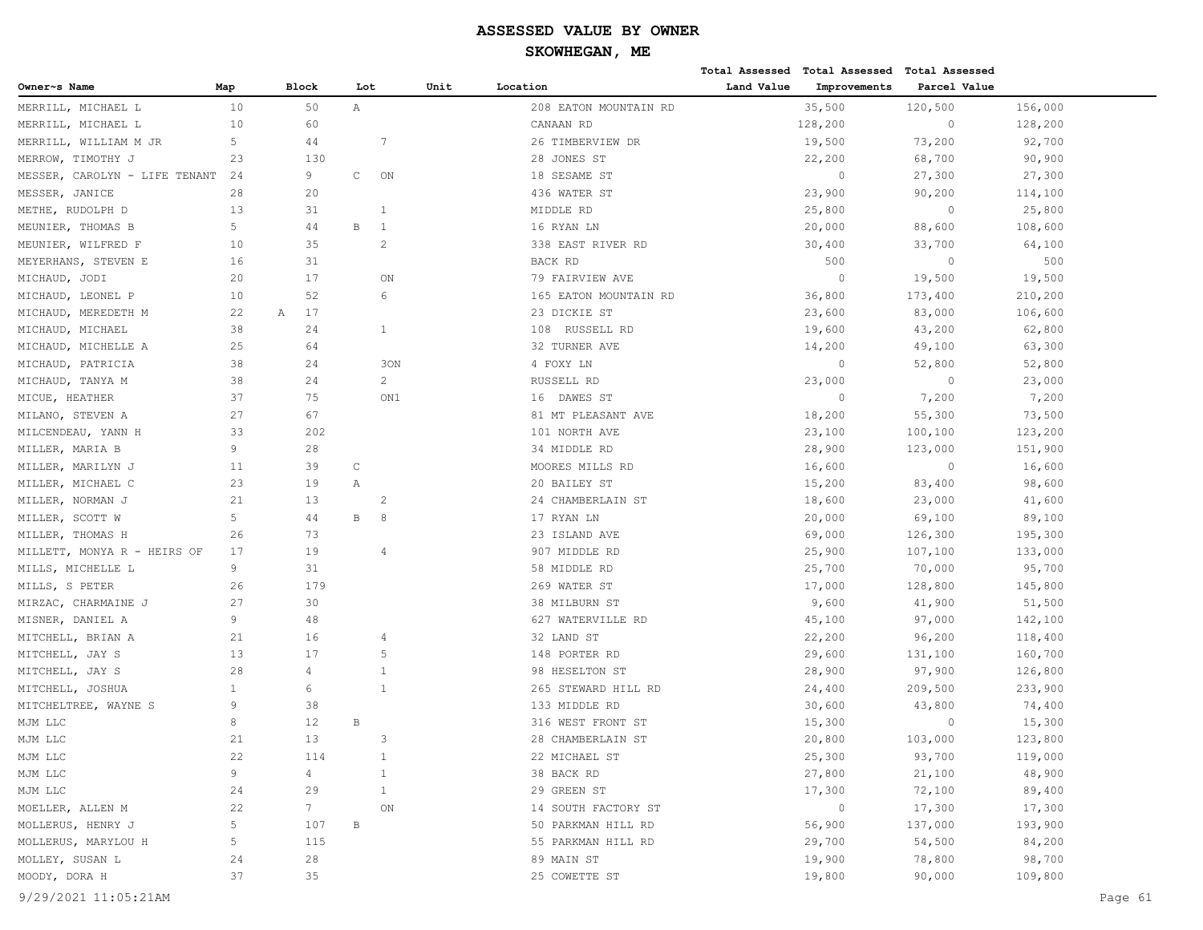|                               |                |              |              |                |      |                       |            | Total Assessed Total Assessed | Total Assessed |         |
|-------------------------------|----------------|--------------|--------------|----------------|------|-----------------------|------------|-------------------------------|----------------|---------|
| Owner~s Name                  | Map            | <b>Block</b> | Lot          |                | Unit | Location              | Land Value | Improvements                  | Parcel Value   |         |
| MERRILL, MICHAEL L            | 10             | 50           | Α            |                |      | 208 EATON MOUNTAIN RD |            | 35,500                        | 120,500        | 156,000 |
| MERRILL, MICHAEL L            | 10             | 60           |              |                |      | CANAAN RD             |            | 128,200                       | $\mathbb O$    | 128,200 |
| MERRILL, WILLIAM M JR         | 5              | 44           |              | 7              |      | 26 TIMBERVIEW DR      |            | 19,500                        | 73,200         | 92,700  |
| MERROW, TIMOTHY J             | 23             | 130          |              |                |      | 28 JONES ST           |            | 22,200                        | 68,700         | 90,900  |
| MESSER, CAROLYN - LIFE TENANT | 24             | 9            | $\mathtt{C}$ | ON             |      | 18 SESAME ST          |            | $\circ$                       | 27,300         | 27,300  |
| MESSER, JANICE                | 28             | 20           |              |                |      | 436 WATER ST          |            | 23,900                        | 90,200         | 114,100 |
| METHE, RUDOLPH D              | 13             | 31           |              | $\overline{1}$ |      | MIDDLE RD             |            | 25,800                        | $\mathbb O$    | 25,800  |
| MEUNIER, THOMAS B             | 5              | 44           | $\, {\bf B}$ | -1             |      | 16 RYAN LN            |            | 20,000                        | 88,600         | 108,600 |
| MEUNIER, WILFRED F            | 10             | 35           |              | $\overline{2}$ |      | 338 EAST RIVER RD     |            | 30,400                        | 33,700         | 64,100  |
| MEYERHANS, STEVEN E           | 16             | 31           |              |                |      | BACK RD               |            | 500                           | $\circ$        | 500     |
| MICHAUD, JODI                 | 20             | 17           |              | ON             |      | 79 FAIRVIEW AVE       |            | $\circ$                       | 19,500         | 19,500  |
| MICHAUD, LEONEL P             | 10             | 52           |              | 6              |      | 165 EATON MOUNTAIN RD |            | 36,800                        | 173,400        | 210,200 |
| MICHAUD, MEREDETH M           | 22             | 17<br>Α      |              |                |      | 23 DICKIE ST          |            | 23,600                        | 83,000         | 106,600 |
| MICHAUD, MICHAEL              | 38             | 24           |              | $\mathbf{1}$   |      | 108 RUSSELL RD        |            | 19,600                        | 43,200         | 62,800  |
| MICHAUD, MICHELLE A           | 25             | 64           |              |                |      | 32 TURNER AVE         |            | 14,200                        | 49,100         | 63,300  |
| MICHAUD, PATRICIA             | 38             | 24           |              | 30N            |      | 4 FOXY LN             |            | $\circ$                       | 52,800         | 52,800  |
| MICHAUD, TANYA M              | 38             | 24           |              | $\overline{2}$ |      | RUSSELL RD            |            | 23,000                        | $\mathbb O$    | 23,000  |
| MICUE, HEATHER                | 37             | 75           |              | ON1            |      | 16 DAWES ST           |            | $\overline{0}$                | 7,200          | 7,200   |
| MILANO, STEVEN A              | 27             | 67           |              |                |      | 81 MT PLEASANT AVE    |            | 18,200                        | 55,300         | 73,500  |
| MILCENDEAU, YANN H            | 33             | 202          |              |                |      | 101 NORTH AVE         |            | 23,100                        | 100,100        | 123,200 |
| MILLER, MARIA B               | 9              | 28           |              |                |      | 34 MIDDLE RD          |            | 28,900                        | 123,000        | 151,900 |
| MILLER, MARILYN J             | 11             | 39           | $\mathbb C$  |                |      | MOORES MILLS RD       |            | 16,600                        | $\circ$        | 16,600  |
| MILLER, MICHAEL C             | 23             | 19           | Α            |                |      | 20 BAILEY ST          |            | 15,200                        | 83,400         | 98,600  |
| MILLER, NORMAN J              | 21             | 13           |              | $\overline{2}$ |      | 24 CHAMBERLAIN ST     |            | 18,600                        | 23,000         | 41,600  |
| MILLER, SCOTT W               | 5              | 44           | $\, {\bf B}$ | 8              |      | 17 RYAN LN            |            | 20,000                        | 69,100         | 89,100  |
| MILLER, THOMAS H              | 26             | 73           |              |                |      | 23 ISLAND AVE         |            | 69,000                        | 126,300        | 195,300 |
| MILLETT, MONYA R - HEIRS OF   | 17             | 19           |              | 4              |      | 907 MIDDLE RD         |            | 25,900                        | 107,100        | 133,000 |
| MILLS, MICHELLE L             | 9              | 31           |              |                |      | 58 MIDDLE RD          |            | 25,700                        | 70,000         | 95,700  |
| MILLS, S PETER                | 26             | 179          |              |                |      | 269 WATER ST          |            | 17,000                        | 128,800        | 145,800 |
| MIRZAC, CHARMAINE J           | 27             | 30           |              |                |      | 38 MILBURN ST         |            | 9,600                         | 41,900         | 51,500  |
| MISNER, DANIEL A              | 9              | 48           |              |                |      | 627 WATERVILLE RD     |            | 45,100                        | 97,000         | 142,100 |
| MITCHELL, BRIAN A             | 21             | 16           |              | 4              |      | 32 LAND ST            |            | 22,200                        | 96,200         | 118,400 |
| MITCHELL, JAY S               | 13             | 17           |              | 5              |      | 148 PORTER RD         |            | 29,600                        | 131,100        | 160,700 |
| MITCHELL, JAY S               | 28             | 4            |              | $\mathbf{1}$   |      | 98 HESELTON ST        |            | 28,900                        | 97,900         | 126,800 |
| MITCHELL, JOSHUA              | $\mathbf{1}$   | 6            |              | 1              |      | 265 STEWARD HILL RD   |            | 24,400                        | 209,500        | 233,900 |
| MITCHELTREE, WAYNE S          | 9              | 38           |              |                |      | 133 MIDDLE RD         |            | 30,600                        | 43,800         | 74,400  |
| MJM LLC                       | 8              | 12           | $\, {\bf B}$ |                |      | 316 WEST FRONT ST     |            | 15,300                        | $\circ$        | 15,300  |
| MJM LLC                       | 21             | 13           |              | 3              |      | 28 CHAMBERLAIN ST     |            | 20,800                        | 103,000        | 123,800 |
| MJM LLC                       | 22             | 114          |              | $\mathbf{1}$   |      | 22 MICHAEL ST         |            | 25,300                        | 93,700         | 119,000 |
| MJM LLC                       | 9              | 4            |              | $\mathbf{1}$   |      | 38 BACK RD            |            | 27,800                        | 21,100         | 48,900  |
| MJM LLC                       | 24             | 29           |              | $\mathbf{1}$   |      | 29 GREEN ST           |            | 17,300                        | 72,100         | 89,400  |
| MOELLER, ALLEN M              | 22             | 7            |              | ON             |      | 14 SOUTH FACTORY ST   |            | $\circ$                       | 17,300         | 17,300  |
| MOLLERUS, HENRY J             | $\overline{5}$ | 107          | $\, {\bf B}$ |                |      | 50 PARKMAN HILL RD    |            | 56,900                        | 137,000        | 193,900 |
| MOLLERUS, MARYLOU H           | 5              | 115          |              |                |      | 55 PARKMAN HILL RD    |            | 29,700                        | 54,500         | 84,200  |
| MOLLEY, SUSAN L               | 24             | 28           |              |                |      | 89 MAIN ST            |            | 19,900                        | 78,800         | 98,700  |
| MOODY, DORA H                 | 37             | 35           |              |                |      | 25 COWETTE ST         |            | 19,800                        | 90,000         | 109,800 |
| 9/29/2021 11:05:21AM          |                |              |              |                |      |                       |            |                               |                | Page 61 |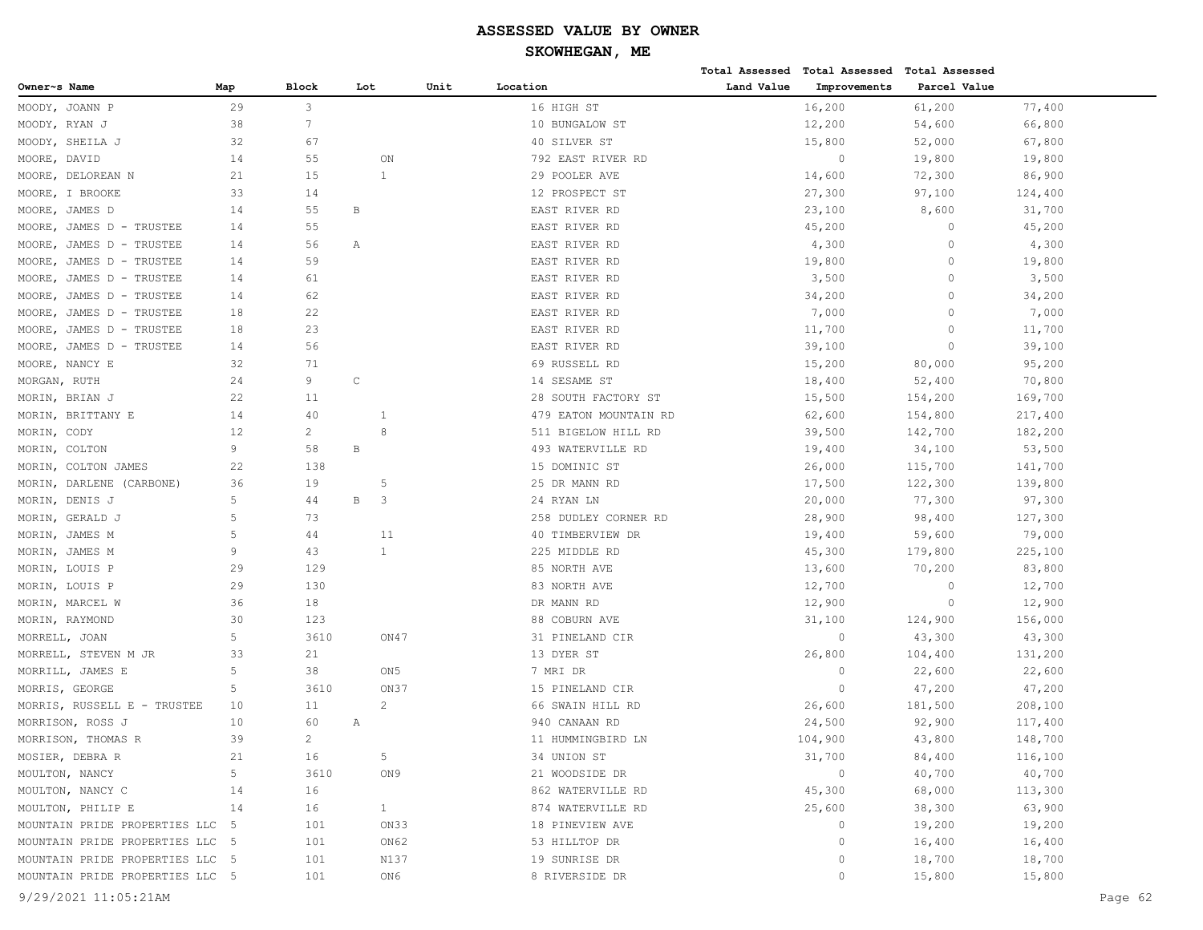|                                 |             |                 |              |                 |                       |            | Total Assessed Total Assessed | <b>Total Assessed</b> |         |
|---------------------------------|-------------|-----------------|--------------|-----------------|-----------------------|------------|-------------------------------|-----------------------|---------|
| Owner~s Name                    | Map         | <b>Block</b>    | Lot          |                 | Unit<br>Location      | Land Value | Improvements                  | Parcel Value          |         |
| MOODY, JOANN P                  | 29          | 3               |              |                 | 16 HIGH ST            |            | 16,200                        | 61,200                | 77,400  |
| MOODY,<br>RYAN J                | 38          | $7\phantom{.0}$ |              |                 | 10 BUNGALOW ST        |            | 12,200                        | 54,600                | 66,800  |
| SHEILA J<br>MOODY,              | 32          | 67              |              |                 | 40 SILVER ST          |            | 15,800                        | 52,000                | 67,800  |
| DAVID<br>MOORE,                 | 14          | 55              |              | ON              | 792 EAST RIVER RD     |            | $\overline{0}$                | 19,800                | 19,800  |
| DELOREAN N<br>MOORE,            | 21          | 15              |              | $\mathbf{1}$    | 29 POOLER AVE         |            | 14,600                        | 72,300                | 86,900  |
| MOORE, I BROOKE                 | 33          | 14              |              |                 | 12 PROSPECT ST        |            | 27,300                        | 97,100                | 124,400 |
| MOORE,<br>JAMES D               | 14          | 55              | В            |                 | EAST RIVER RD         |            | 23,100                        | 8,600                 | 31,700  |
| JAMES D - TRUSTEE<br>MOORE,     | 14          | 55              |              |                 | EAST RIVER RD         |            | 45,200                        | $\circ$               | 45,200  |
| MOORE,<br>JAMES D - TRUSTEE     | 14          | 56              | Α            |                 | EAST RIVER RD         |            | 4,300                         | $\circ$               | 4,300   |
| JAMES D - TRUSTEE<br>MOORE,     | 14          | 59              |              |                 | EAST RIVER RD         |            | 19,800                        | $\circ$               | 19,800  |
| JAMES D - TRUSTEE<br>MOORE,     | 14          | 61              |              |                 | EAST RIVER RD         |            | 3,500                         | $\Omega$              | 3,500   |
| JAMES D - TRUSTEE<br>MOORE,     | 14          | 62              |              |                 | EAST RIVER RD         |            | 34,200                        | $\Omega$              | 34,200  |
| JAMES D - TRUSTEE<br>MOORE,     | 18          | 22              |              |                 | EAST RIVER RD         |            | 7,000                         | $\Omega$              | 7,000   |
| MOORE,<br>JAMES D - TRUSTEE     | 18          | 23              |              |                 | EAST RIVER RD         |            | 11,700                        | $\circ$               | 11,700  |
| JAMES D - TRUSTEE<br>MOORE,     | 14          | 56              |              |                 | EAST RIVER RD         |            | 39,100                        | $\circ$               | 39,100  |
| MOORE, NANCY E                  | 32          | 71              |              |                 | 69 RUSSELL RD         |            | 15,200                        | 80,000                | 95,200  |
| MORGAN, RUTH                    | 24          | 9               | $\mathbb C$  |                 | 14 SESAME ST          |            | 18,400                        | 52,400                | 70,800  |
| MORIN,<br>BRIAN J               | 22          | 11              |              |                 | 28 SOUTH FACTORY ST   |            | 15,500                        | 154,200               | 169,700 |
| BRITTANY E<br>MORIN,            | 14          | 40              |              | 1               | 479 EATON MOUNTAIN RD |            | 62,600                        | 154,800               | 217,400 |
| MORIN,<br>CODY                  | 12          | $\overline{c}$  |              | 8               | 511 BIGELOW HILL RD   |            | 39,500                        | 142,700               | 182,200 |
| COLTON<br>MORIN,                | 9           | 58              | $\, {\bf B}$ |                 | 493 WATERVILLE RD     |            | 19,400                        | 34,100                | 53,500  |
| COLTON JAMES<br>MORIN,          | 22          | 138             |              |                 | 15 DOMINIC ST         |            | 26,000                        | 115,700               | 141,700 |
| DARLENE (CARBONE)<br>MORIN,     | 36          | 19              |              | 5               | 25 DR MANN RD         |            | 17,500                        | 122,300               | 139,800 |
| DENIS J<br>MORIN,               | 5           | 44              | $\, {\bf B}$ | 3               | 24 RYAN LN            |            | 20,000                        | 77,300                | 97,300  |
| MORIN,<br>GERALD J              | $\mathsf S$ | 73              |              |                 | 258 DUDLEY CORNER RD  |            | 28,900                        | 98,400                | 127,300 |
| JAMES M<br>MORIN,               | 5           | 44              |              | 11              | 40 TIMBERVIEW DR      |            | 19,400                        | 59,600                | 79,000  |
| JAMES M<br>MORIN,               | 9           | 43              |              | $\mathbf{1}$    | 225 MIDDLE RD         |            | 45,300                        | 179,800               | 225,100 |
| MORIN, LOUIS P                  | 29          | 129             |              |                 | 85 NORTH AVE          |            | 13,600                        | 70,200                | 83,800  |
| MORIN, LOUIS P                  | 29          | 130             |              |                 | 83 NORTH AVE          |            | 12,700                        | $\circ$               | 12,700  |
| MORIN, MARCEL W                 | 36          | 18              |              |                 | DR MANN RD            |            | 12,900                        | $\circ$               | 12,900  |
| MORIN, RAYMOND                  | 30          | 123             |              |                 | 88 COBURN AVE         |            | 31,100                        | 124,900               | 156,000 |
| MORRELL, JOAN                   | 5           | 3610            |              | ON47            | 31 PINELAND CIR       |            | $\circ$                       | 43,300                | 43,300  |
| MORRELL, STEVEN M JR            | 33          | 21              |              |                 | 13 DYER ST            |            | 26,800                        | 104,400               | 131,200 |
| MORRILL, JAMES E                | 5           | 38              |              | ON <sub>5</sub> | 7 MRI DR              |            | $\circ$                       | 22,600                | 22,600  |
| MORRIS, GEORGE                  | 5           | 3610            |              | ON37            | 15 PINELAND CIR       |            | $\overline{0}$                | 47,200                | 47,200  |
| MORRIS, RUSSELL E - TRUSTEE     | 10          | 11              |              | $\overline{2}$  | 66 SWAIN HILL RD      |            | 26,600                        | 181,500               | 208,100 |
| MORRISON, ROSS J                | 10          | 60              | Α            |                 | 940 CANAAN RD         |            | 24,500                        | 92,900                | 117,400 |
| MORRISON, THOMAS R              | 39          | $\overline{2}$  |              |                 | 11 HUMMINGBIRD LN     |            | 104,900                       | 43,800                | 148,700 |
| MOSIER, DEBRA R                 | 21          | 16              |              | $5 -$           | 34 UNION ST           |            | 31,700                        | 84,400                | 116,100 |
| MOULTON, NANCY                  | 5           | 3610            |              | ON9             | 21 WOODSIDE DR        |            | $\circ$                       | 40,700                | 40,700  |
| MOULTON, NANCY C                | 14          | 16              |              |                 | 862 WATERVILLE RD     |            | 45,300                        | 68,000                | 113,300 |
| MOULTON, PHILIP E               | 14          | 16              |              | 1               | 874 WATERVILLE RD     |            | 25,600                        | 38,300                | 63,900  |
| MOUNTAIN PRIDE PROPERTIES LLC   | $-5$        | 101             |              | ON33            | 18 PINEVIEW AVE       |            | $\circ$                       | 19,200                | 19,200  |
| MOUNTAIN PRIDE PROPERTIES LLC 5 |             | 101             |              | ON62            | 53 HILLTOP DR         |            | $\circ$                       | 16,400                | 16,400  |
| MOUNTAIN PRIDE PROPERTIES LLC 5 |             | 101             |              | N137            | 19 SUNRISE DR         |            | $\circ$                       | 18,700                | 18,700  |
| MOUNTAIN PRIDE PROPERTIES LLC 5 |             | 101             |              | ON6             | 8 RIVERSIDE DR        |            | $\circ$                       | 15,800                | 15,800  |
| 9/29/2021 11:05:21AM            |             |                 |              |                 |                       |            |                               |                       | Page 62 |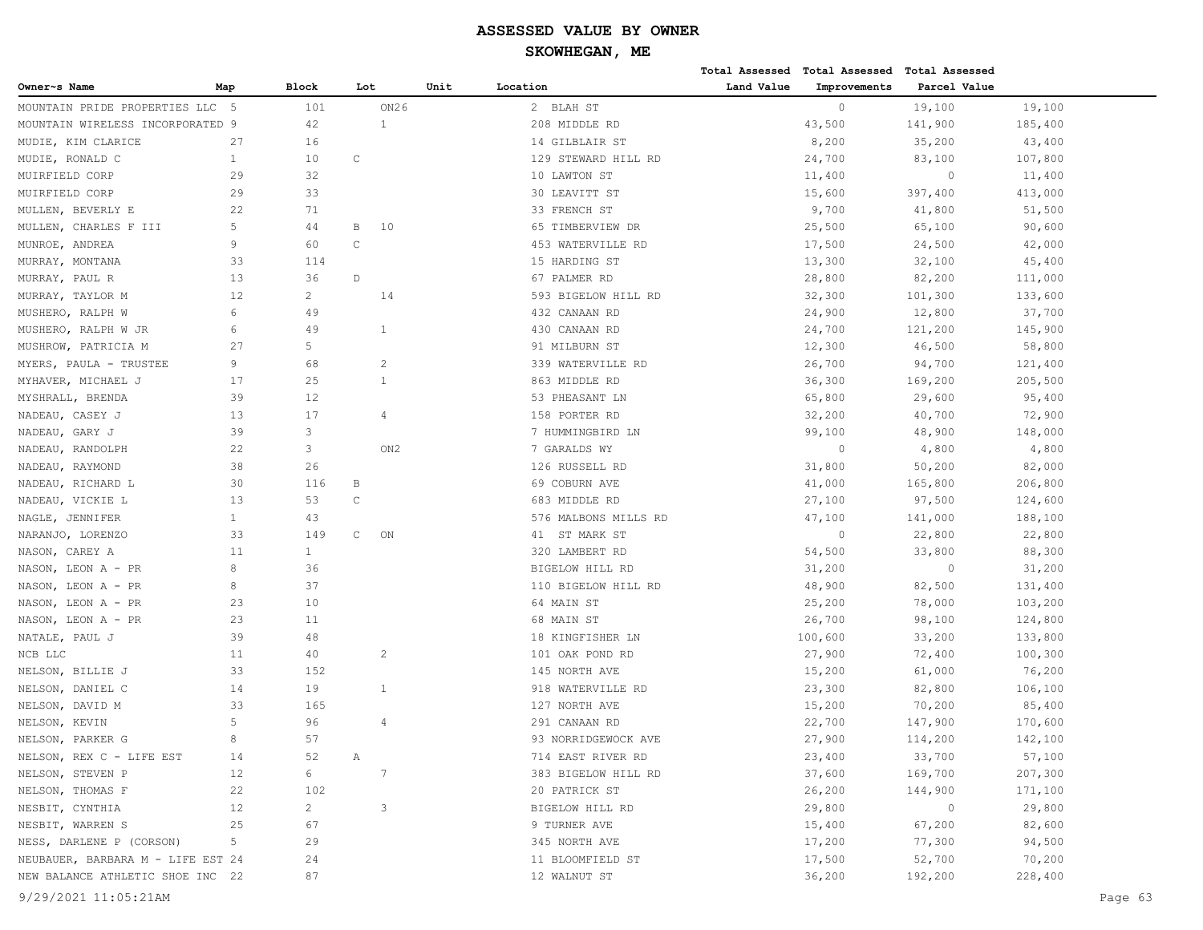|                                   |              |                |              |                 |      |                      |            | Total Assessed Total Assessed Total Assessed |              |         |         |
|-----------------------------------|--------------|----------------|--------------|-----------------|------|----------------------|------------|----------------------------------------------|--------------|---------|---------|
| Owner~s Name                      | Map          | <b>Block</b>   | Lot          |                 | Unit | Location             | Land Value | Improvements                                 | Parcel Value |         |         |
| MOUNTAIN PRIDE PROPERTIES LLC 5   |              | 101            |              | ON26            |      | 2 BLAH ST            |            | $\circ$                                      | 19,100       | 19,100  |         |
| MOUNTAIN WIRELESS INCORPORATED 9  |              | 42             |              | 1               |      | 208 MIDDLE RD        |            | 43,500                                       | 141,900      | 185,400 |         |
| MUDIE, KIM CLARICE                | 27           | 16             |              |                 |      | 14 GILBLAIR ST       |            | 8,200                                        | 35,200       | 43,400  |         |
| MUDIE, RONALD C                   | $\mathbf{1}$ | 10             | C            |                 |      | 129 STEWARD HILL RD  |            | 24,700                                       | 83,100       | 107,800 |         |
| MUIRFIELD CORP                    | 29           | 32             |              |                 |      | 10 LAWTON ST         |            | 11,400                                       | $\circ$      | 11,400  |         |
| MUIRFIELD CORP                    | 29           | 33             |              |                 |      | 30 LEAVITT ST        |            | 15,600                                       | 397,400      | 413,000 |         |
| MULLEN, BEVERLY E                 | 22           | 71             |              |                 |      | 33 FRENCH ST         |            | 9,700                                        | 41,800       | 51,500  |         |
| MULLEN, CHARLES F III             | 5            | 44             | В            | 10              |      | 65 TIMBERVIEW DR     |            | 25,500                                       | 65,100       | 90,600  |         |
| MUNROE, ANDREA                    | 9            | 60             | $\mathsf{C}$ |                 |      | 453 WATERVILLE RD    |            | 17,500                                       | 24,500       | 42,000  |         |
| MURRAY, MONTANA                   | 33           | 114            |              |                 |      | 15 HARDING ST        |            | 13,300                                       | 32,100       | 45,400  |         |
| MURRAY, PAUL R                    | 13           | 36             | D            |                 |      | 67 PALMER RD         |            | 28,800                                       | 82,200       | 111,000 |         |
| MURRAY, TAYLOR M                  | 12           | $\overline{c}$ |              | 14              |      | 593 BIGELOW HILL RD  |            | 32,300                                       | 101,300      | 133,600 |         |
| MUSHERO, RALPH W                  | 6            | 49             |              |                 |      | 432 CANAAN RD        |            | 24,900                                       | 12,800       | 37,700  |         |
| MUSHERO, RALPH W JR               | 6            | 49             |              | $\mathbf{1}$    |      | 430 CANAAN RD        |            | 24,700                                       | 121,200      | 145,900 |         |
| MUSHROW, PATRICIA M               | 27           | 5              |              |                 |      | 91 MILBURN ST        |            | 12,300                                       | 46,500       | 58,800  |         |
| MYERS, PAULA - TRUSTEE            | 9            | 68             |              | 2               |      | 339 WATERVILLE RD    |            | 26,700                                       | 94,700       | 121,400 |         |
| MYHAVER, MICHAEL J                | 17           | 25             |              | $\mathbf{1}$    |      | 863 MIDDLE RD        |            | 36,300                                       | 169,200      | 205,500 |         |
| MYSHRALL, BRENDA                  | 39           | 12             |              |                 |      | 53 PHEASANT LN       |            | 65,800                                       | 29,600       | 95,400  |         |
| NADEAU, CASEY J                   | 13           | 17             |              | 4               |      | 158 PORTER RD        |            | 32,200                                       | 40,700       | 72,900  |         |
| NADEAU, GARY J                    | 39           | 3              |              |                 |      | 7 HUMMINGBIRD LN     |            | 99,100                                       | 48,900       | 148,000 |         |
| NADEAU, RANDOLPH                  | 22           | 3              |              | ON <sub>2</sub> |      | 7 GARALDS WY         |            | $\circ$                                      | 4,800        | 4,800   |         |
| NADEAU, RAYMOND                   | 38           | 26             |              |                 |      | 126 RUSSELL RD       |            | 31,800                                       | 50,200       | 82,000  |         |
| NADEAU, RICHARD L                 | 30           | 116            | B            |                 |      | 69 COBURN AVE        |            | 41,000                                       | 165,800      | 206,800 |         |
| NADEAU, VICKIE L                  | 13           | 53             | $\mathsf{C}$ |                 |      | 683 MIDDLE RD        |            | 27,100                                       | 97,500       | 124,600 |         |
| NAGLE, JENNIFER                   | $\mathbf{1}$ | 43             |              |                 |      | 576 MALBONS MILLS RD |            | 47,100                                       | 141,000      | 188,100 |         |
| NARANJO, LORENZO                  | 33           | 149            | C            | ON              |      | 41 ST MARK ST        |            | $\circ$                                      | 22,800       | 22,800  |         |
| NASON, CAREY A                    | 11           | $\mathbf{1}$   |              |                 |      | 320 LAMBERT RD       |            | 54,500                                       | 33,800       | 88,300  |         |
| NASON, LEON A - PR                | 8            | 36             |              |                 |      | BIGELOW HILL RD      |            | 31,200                                       | $\circ$      | 31,200  |         |
| NASON, LEON A - PR                | 8            | 37             |              |                 |      | 110 BIGELOW HILL RD  |            | 48,900                                       | 82,500       | 131,400 |         |
| NASON, LEON A - PR                | 23           | 10             |              |                 |      | 64 MAIN ST           |            | 25,200                                       | 78,000       | 103,200 |         |
| NASON, LEON A - PR                | 23           | 11             |              |                 |      | 68 MAIN ST           |            | 26,700                                       | 98,100       | 124,800 |         |
| NATALE, PAUL J                    | 39           | 48             |              |                 |      | 18 KINGFISHER LN     |            | 100,600                                      | 33,200       | 133,800 |         |
| NCB LLC                           | 11           | 40             |              | $\overline{c}$  |      | 101 OAK POND RD      |            | 27,900                                       | 72,400       | 100,300 |         |
| NELSON, BILLIE J                  | 33           | 152            |              |                 |      | 145 NORTH AVE        |            | 15,200                                       | 61,000       | 76,200  |         |
| NELSON, DANIEL C                  | 14           | 19             |              | $\mathbf{1}$    |      | 918 WATERVILLE RD    |            | 23,300                                       | 82,800       | 106,100 |         |
| NELSON, DAVID M                   | 33           | 165            |              |                 |      | 127 NORTH AVE        |            | 15,200                                       | 70,200       | 85,400  |         |
| NELSON, KEVIN                     | 5            | 96             |              | 4               |      | 291 CANAAN RD        |            | 22,700                                       | 147,900      | 170,600 |         |
| NELSON, PARKER G                  | 8            | 57             |              |                 |      | 93 NORRIDGEWOCK AVE  |            | 27,900                                       | 114,200      | 142,100 |         |
| NELSON, REX C - LIFE EST          | 14           | 52             | Α            |                 |      | 714 EAST RIVER RD    |            | 23,400                                       | 33,700       | 57,100  |         |
| NELSON, STEVEN P                  | 12           | 6              |              | 7               |      | 383 BIGELOW HILL RD  |            | 37,600                                       | 169,700      | 207,300 |         |
| NELSON, THOMAS F                  | 22           | 102            |              |                 |      | 20 PATRICK ST        |            | 26,200                                       | 144,900      | 171,100 |         |
| NESBIT, CYNTHIA                   | 12           | $\overline{c}$ |              | 3               |      | BIGELOW HILL RD      |            | 29,800                                       | $\circ$      | 29,800  |         |
| NESBIT, WARREN S                  | 25           | 67             |              |                 |      | 9 TURNER AVE         |            | 15,400                                       | 67,200       | 82,600  |         |
| NESS, DARLENE P (CORSON)          | 5            | 29             |              |                 |      | 345 NORTH AVE        |            | 17,200                                       | 77,300       | 94,500  |         |
| NEUBAUER, BARBARA M - LIFE EST 24 |              | 24             |              |                 |      | 11 BLOOMFIELD ST     |            | 17,500                                       | 52,700       | 70,200  |         |
| NEW BALANCE ATHLETIC SHOE INC 22  |              | 87             |              |                 |      | 12 WALNUT ST         |            | 36,200                                       | 192,200      | 228,400 |         |
| 9/29/2021 11:05:21AM              |              |                |              |                 |      |                      |            |                                              |              |         | Page 63 |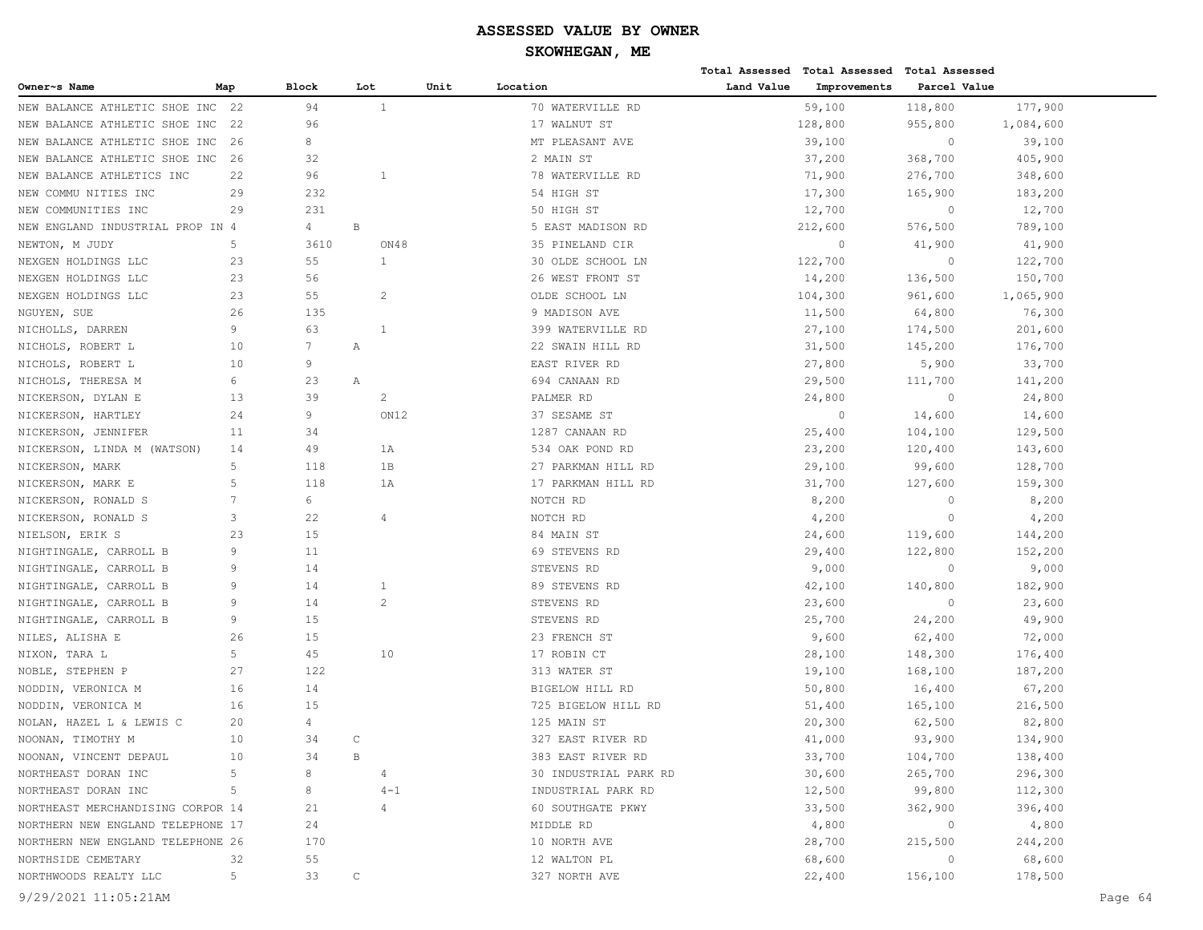# **SKOWHEGAN, ME**

|                                   |     |              |              |                |      |                       |            | Total Assessed Total Assessed Total Assessed |              |           |
|-----------------------------------|-----|--------------|--------------|----------------|------|-----------------------|------------|----------------------------------------------|--------------|-----------|
| Owner~s Name                      | Map | <b>Block</b> | Lot          |                | Unit | Location              | Land Value | Improvements                                 | Parcel Value |           |
| NEW BALANCE ATHLETIC SHOE INC     | 22  | 94           |              | 1              |      | 70 WATERVILLE RD      |            | 59,100                                       | 118,800      | 177,900   |
| NEW BALANCE ATHLETIC SHOE INC     | 22  | 96           |              |                |      | 17 WALNUT ST          |            | 128,800                                      | 955,800      | 1,084,600 |
| NEW BALANCE ATHLETIC SHOE INC     | -26 | 8            |              |                |      | MT PLEASANT AVE       |            | 39,100                                       | $\circ$      | 39,100    |
| NEW BALANCE ATHLETIC SHOE INC     | 26  | 32           |              |                |      | 2 MAIN ST             |            | 37,200                                       | 368,700      | 405,900   |
| NEW BALANCE ATHLETICS INC         | 22  | 96           |              | $\mathbf{1}$   |      | 78 WATERVILLE RD      |            | 71,900                                       | 276,700      | 348,600   |
| NEW COMMU NITIES INC              | 29  | 232          |              |                |      | 54 HIGH ST            |            | 17,300                                       | 165,900      | 183,200   |
| NEW COMMUNITIES INC               | 29  | 231          |              |                |      | 50 HIGH ST            |            | 12,700                                       | $\circ$      | 12,700    |
| NEW ENGLAND INDUSTRIAL PROP IN 4  |     | 4            | $\, {\bf B}$ |                |      | 5 EAST MADISON RD     |            | 212,600                                      | 576,500      | 789,100   |
| NEWTON, M JUDY                    | 5   | 3610         |              | ON48           |      | 35 PINELAND CIR       |            | $\circ$                                      | 41,900       | 41,900    |
| NEXGEN HOLDINGS LLC               | 23  | 55           |              | $\mathbf{1}$   |      | 30 OLDE SCHOOL LN     |            | 122,700                                      | $\circ$      | 122,700   |
| NEXGEN HOLDINGS LLC               | 23  | 56           |              |                |      | 26 WEST FRONT ST      |            | 14,200                                       | 136,500      | 150,700   |
| NEXGEN HOLDINGS LLC               | 23  | 55           |              | 2              |      | OLDE SCHOOL LN        |            | 104,300                                      | 961,600      | 1,065,900 |
| NGUYEN, SUE                       | 26  | 135          |              |                |      | 9 MADISON AVE         |            | 11,500                                       | 64,800       | 76,300    |
| NICHOLLS, DARREN                  | 9   | 63           |              | 1              |      | 399 WATERVILLE RD     |            | 27,100                                       | 174,500      | 201,600   |
| NICHOLS, ROBERT L                 | 10  | 7            | Α            |                |      | 22 SWAIN HILL RD      |            | 31,500                                       | 145,200      | 176,700   |
| NICHOLS, ROBERT L                 | 10  | 9            |              |                |      | EAST RIVER RD         |            | 27,800                                       | 5,900        | 33,700    |
| NICHOLS, THERESA M                | 6   | 23           | Α            |                |      | 694 CANAAN RD         |            | 29,500                                       | 111,700      | 141,200   |
| NICKERSON, DYLAN E                | 13  | 39           |              | $\overline{c}$ |      | PALMER RD             |            | 24,800                                       | $\circ$      | 24,800    |
| NICKERSON, HARTLEY                | 24  | 9            |              | ON12           |      | 37 SESAME ST          |            | $\circ$                                      | 14,600       | 14,600    |
| NICKERSON, JENNIFER               | 11  | 34           |              |                |      | 1287 CANAAN RD        |            | 25,400                                       | 104,100      | 129,500   |
| NICKERSON, LINDA M (WATSON)       | 14  | 49           |              | 1A             |      | 534 OAK POND RD       |            | 23,200                                       | 120,400      | 143,600   |
| NICKERSON, MARK                   | 5   | 118          |              | 1B             |      | 27 PARKMAN HILL RD    |            | 29,100                                       | 99,600       | 128,700   |
| NICKERSON, MARK E                 | 5   | 118          |              | 1 A            |      | 17 PARKMAN HILL RD    |            | 31,700                                       | 127,600      | 159,300   |
| NICKERSON, RONALD S               | 7   | 6            |              |                |      | NOTCH RD              |            | 8,200                                        | $\circ$      | 8,200     |
| NICKERSON, RONALD S               | 3   | 22           |              | $\overline{4}$ |      | NOTCH RD              |            | 4,200                                        | $\circ$      | 4,200     |
| NIELSON, ERIK S                   | 23  | 15           |              |                |      | 84 MAIN ST            |            | 24,600                                       | 119,600      | 144,200   |
| NIGHTINGALE, CARROLL B            | 9   | 11           |              |                |      | 69 STEVENS RD         |            | 29,400                                       | 122,800      | 152,200   |
| NIGHTINGALE, CARROLL B            | 9   | 14           |              |                |      | STEVENS RD            |            | 9,000                                        | $\circ$      | 9,000     |
| NIGHTINGALE, CARROLL B            | 9   | 14           |              | 1              |      | 89 STEVENS RD         |            | 42,100                                       | 140,800      | 182,900   |
| NIGHTINGALE, CARROLL B            | 9   | 14           |              | 2              |      | STEVENS RD            |            | 23,600                                       | $\circ$      | 23,600    |
| NIGHTINGALE, CARROLL B            | 9   | 15           |              |                |      | STEVENS RD            |            | 25,700                                       | 24,200       | 49,900    |
| NILES, ALISHA E                   | 26  | 15           |              |                |      | 23 FRENCH ST          |            | 9,600                                        | 62,400       | 72,000    |
| NIXON, TARA L                     | 5   | 45           |              | 10             |      | 17 ROBIN CT           |            | 28,100                                       | 148,300      | 176,400   |
| NOBLE, STEPHEN P                  | 27  | 122          |              |                |      | 313 WATER ST          |            | 19,100                                       | 168,100      | 187,200   |
| NODDIN, VERONICA M                | 16  | 14           |              |                |      | BIGELOW HILL RD       |            | 50,800                                       | 16,400       | 67,200    |
| NODDIN, VERONICA M                | 16  | 15           |              |                |      | 725 BIGELOW HILL RD   |            | 51,400                                       | 165,100      | 216,500   |
| NOLAN, HAZEL L & LEWIS C          | 20  | 4            |              |                |      | 125 MAIN ST           |            | 20,300                                       | 62,500       | 82,800    |
| NOONAN, TIMOTHY M                 | 10  | 34           | $\mathsf{C}$ |                |      | 327 EAST RIVER RD     |            | 41,000                                       | 93,900       | 134,900   |
| NOONAN, VINCENT DEPAUL            | 10  | 34           | В            |                |      | 383 EAST RIVER RD     |            | 33,700                                       | 104,700      | 138,400   |
| NORTHEAST DORAN INC               | 5   | 8            |              |                |      | 30 INDUSTRIAL PARK RD |            | 30,600                                       | 265,700      | 296,300   |
| NORTHEAST DORAN INC               | 5   | 8            |              | $4 - 1$        |      | INDUSTRIAL PARK RD    |            | 12,500                                       | 99,800       | 112,300   |
| NORTHEAST MERCHANDISING CORPOR 14 |     | 21           |              | 4              |      | 60 SOUTHGATE PKWY     |            | 33,500                                       | 362,900      | 396,400   |
| NORTHERN NEW ENGLAND TELEPHONE 17 |     | 24           |              |                |      | MIDDLE RD             |            | 4,800                                        | $\circ$      | 4,800     |
| NORTHERN NEW ENGLAND TELEPHONE 26 |     | 170          |              |                |      | 10 NORTH AVE          |            | 28,700                                       | 215,500      | 244,200   |
| NORTHSIDE CEMETARY                | 32  | 55           |              |                |      | 12 WALTON PL          |            | 68,600                                       | $\circ$      | 68,600    |
| NORTHWOODS REALTY LLC             | 5   | 33           | C            |                |      | 327 NORTH AVE         |            | 22,400                                       | 156,100      | 178,500   |
|                                   |     |              |              |                |      |                       |            |                                              |              |           |

9/29/2021 11:05:21AM Page 64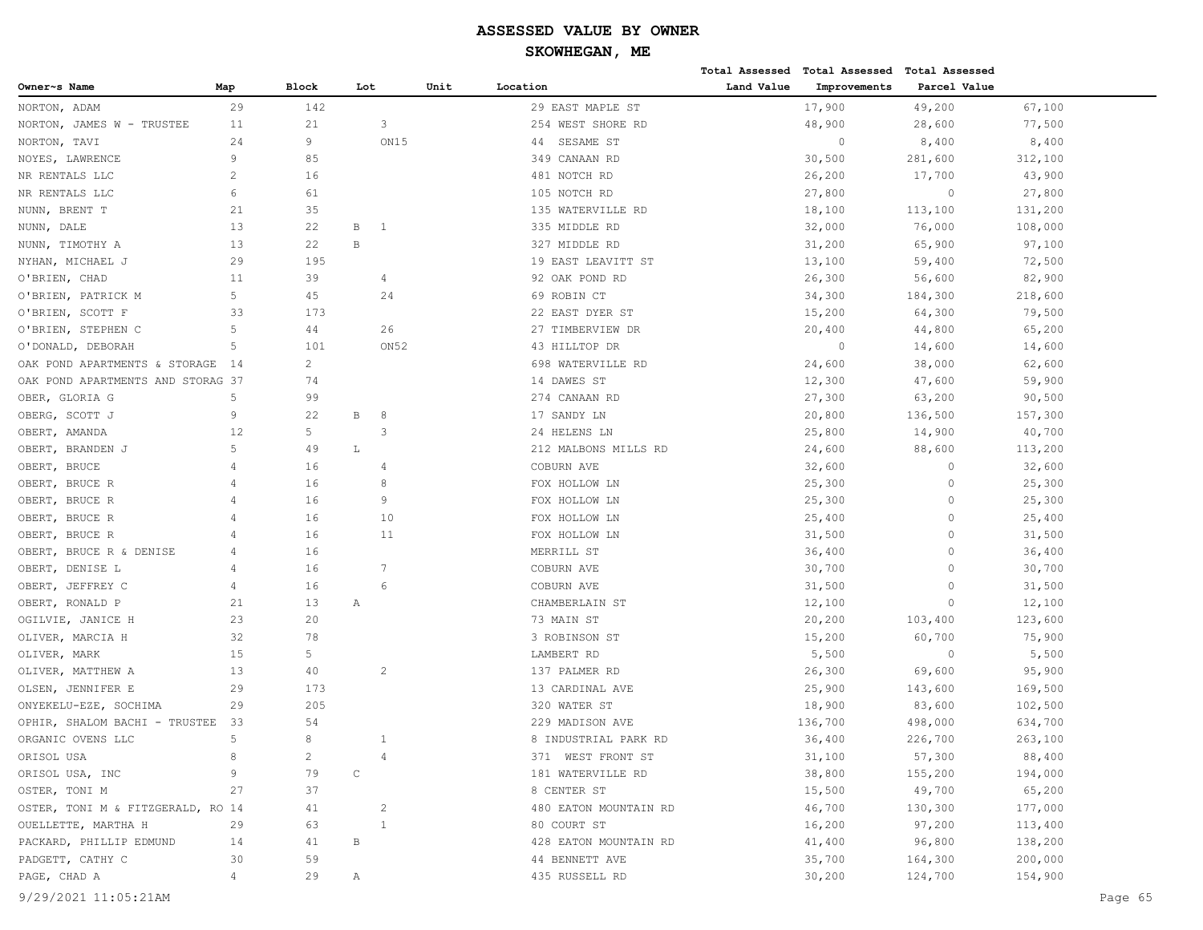|                                   |                |                |              |                         |      |                       |            | Total Assessed Total Assessed Total Assessed |              |         |         |
|-----------------------------------|----------------|----------------|--------------|-------------------------|------|-----------------------|------------|----------------------------------------------|--------------|---------|---------|
| Owner~s Name                      | Map            | <b>Block</b>   | Lot          |                         | Unit | Location              | Land Value | Improvements                                 | Parcel Value |         |         |
| NORTON, ADAM                      | 29             | 142            |              |                         |      | 29 EAST MAPLE ST      |            | 17,900                                       | 49,200       | 67,100  |         |
| NORTON, JAMES W - TRUSTEE         | 11             | 21             |              | 3                       |      | 254 WEST SHORE RD     |            | 48,900                                       | 28,600       | 77,500  |         |
| NORTON, TAVI                      | 24             | 9              |              | ON15                    |      | SESAME ST<br>44       |            | $\circ$                                      | 8,400        | 8,400   |         |
| NOYES, LAWRENCE                   | 9              | 85             |              |                         |      | 349 CANAAN RD         |            | 30,500                                       | 281,600      | 312,100 |         |
| NR RENTALS LLC                    | $\overline{c}$ | 16             |              |                         |      | 481 NOTCH RD          |            | 26,200                                       | 17,700       | 43,900  |         |
| NR RENTALS LLC                    | 6              | 61             |              |                         |      | 105 NOTCH RD          |            | 27,800                                       | $\circ$      | 27,800  |         |
| NUNN, BRENT T                     | 21             | 35             |              |                         |      | 135 WATERVILLE RD     |            | 18,100                                       | 113,100      | 131,200 |         |
| NUNN, DALE                        | 13             | 22             | В            | -1                      |      | 335 MIDDLE RD         |            | 32,000                                       | 76,000       | 108,000 |         |
| NUNN, TIMOTHY A                   | 13             | 22             | $\, {\bf B}$ |                         |      | 327 MIDDLE RD         |            | 31,200                                       | 65,900       | 97,100  |         |
| NYHAN, MICHAEL J                  | 29             | 195            |              |                         |      | 19 EAST LEAVITT ST    |            | 13,100                                       | 59,400       | 72,500  |         |
| O'BRIEN, CHAD                     | 11             | 39             |              | 4                       |      | 92 OAK POND RD        |            | 26,300                                       | 56,600       | 82,900  |         |
| O'BRIEN, PATRICK M                | 5              | 45             |              | 24                      |      | 69 ROBIN CT           |            | 34,300                                       | 184,300      | 218,600 |         |
| O'BRIEN, SCOTT F                  | 33             | 173            |              |                         |      | 22 EAST DYER ST       |            | 15,200                                       | 64,300       | 79,500  |         |
| O'BRIEN, STEPHEN C                | 5              | 44             |              | 26                      |      | 27 TIMBERVIEW DR      |            | 20,400                                       | 44,800       | 65,200  |         |
| O'DONALD, DEBORAH                 | 5              | 101            |              | ON <sub>52</sub>        |      | 43 HILLTOP DR         |            | $\circ$                                      | 14,600       | 14,600  |         |
| OAK POND APARTMENTS & STORAGE     | 14             | $\overline{2}$ |              |                         |      | 698 WATERVILLE RD     |            | 24,600                                       | 38,000       | 62,600  |         |
| OAK POND APARTMENTS AND STORAG 37 |                | 74             |              |                         |      | 14 DAWES ST           |            | 12,300                                       | 47,600       | 59,900  |         |
| OBER, GLORIA G                    | 5              | 99             |              |                         |      | 274 CANAAN RD         |            | 27,300                                       | 63,200       | 90,500  |         |
| OBERG, SCOTT J                    | 9              | 22             | В            | 8                       |      | 17 SANDY LN           |            | 20,800                                       | 136,500      | 157,300 |         |
| OBERT, AMANDA                     | 12             | 5              |              | 3                       |      | 24 HELENS LN          |            | 25,800                                       | 14,900       | 40,700  |         |
| OBERT, BRANDEN J                  | 5              | 49             | L            |                         |      | 212 MALBONS MILLS RD  |            | 24,600                                       | 88,600       | 113,200 |         |
| OBERT, BRUCE                      | $\overline{4}$ | 16             |              |                         |      | COBURN AVE            |            | 32,600                                       | $\circ$      | 32,600  |         |
| OBERT, BRUCE R                    | 4              | 16             |              | 8                       |      | FOX HOLLOW LN         |            | 25,300                                       | $\circ$      | 25,300  |         |
| OBERT, BRUCE R                    | 4              | 16             |              | 9                       |      | FOX HOLLOW LN         |            | 25,300                                       | $\circ$      | 25,300  |         |
| OBERT, BRUCE R                    | 4              | 16             |              | 10                      |      | FOX HOLLOW LN         |            | 25,400                                       | $\circ$      | 25,400  |         |
| BRUCE R<br>OBERT,                 | $\overline{4}$ | 16             |              | 11                      |      | FOX HOLLOW LN         |            | 31,500                                       | $\circ$      | 31,500  |         |
| OBERT, BRUCE R & DENISE           | 4              | 16             |              |                         |      | MERRILL ST            |            | 36,400                                       | $\Omega$     | 36,400  |         |
| OBERT, DENISE L                   | $\overline{4}$ | 16             |              | 7                       |      | COBURN AVE            |            | 30,700                                       | $\circ$      | 30,700  |         |
| OBERT, JEFFREY C                  | 4              | 16             |              | 6                       |      | COBURN AVE            |            | 31,500                                       | $\circ$      | 31,500  |         |
| OBERT, RONALD P                   | 21             | 13             | Α            |                         |      | CHAMBERLAIN ST        |            | 12,100                                       | $\circ$      | 12,100  |         |
| OGILVIE, JANICE H                 | 23             | 20             |              |                         |      | 73 MAIN ST            |            | 20,200                                       | 103,400      | 123,600 |         |
| OLIVER, MARCIA H                  | 32             | 78             |              |                         |      | 3 ROBINSON ST         |            | 15,200                                       | 60,700       | 75,900  |         |
| OLIVER, MARK                      | 15             | 5              |              |                         |      | LAMBERT RD            |            | 5,500                                        | $\circ$      | 5,500   |         |
| OLIVER, MATTHEW A                 | 13             | 40             |              | $\overline{c}$          |      | 137 PALMER RD         |            | 26,300                                       | 69,600       | 95,900  |         |
| OLSEN, JENNIFER E                 | 29             | 173            |              |                         |      | 13 CARDINAL AVE       |            | 25,900                                       | 143,600      | 169,500 |         |
| ONYEKELU-EZE, SOCHIMA             | 29             | 205            |              |                         |      | 320 WATER ST          |            | 18,900                                       | 83,600       | 102,500 |         |
| OPHIR, SHALOM BACHI - TRUSTEE     | 33             | 54             |              |                         |      | 229 MADISON AVE       |            | 136,700                                      | 498,000      | 634,700 |         |
| ORGANIC OVENS LLC                 | 5              | 8              |              |                         |      | 8 INDUSTRIAL PARK RD  |            | 36,400                                       | 226,700      | 263,100 |         |
| ORISOL USA                        | 8              | $\overline{c}$ |              | 4                       |      | 371 WEST FRONT ST     |            | 31,100                                       | 57,300       | 88,400  |         |
| ORISOL USA, INC                   | 9              | 79             | $\mathsf C$  |                         |      | 181 WATERVILLE RD     |            | 38,800                                       | 155,200      | 194,000 |         |
| OSTER, TONI M                     | 27             | 37             |              |                         |      | 8 CENTER ST           |            | 15,500                                       | 49,700       | 65,200  |         |
| OSTER, TONI M & FITZGERALD, RO 14 |                | 41             |              | $\overline{\mathbf{c}}$ |      | 480 EATON MOUNTAIN RD |            | 46,700                                       | 130,300      | 177,000 |         |
| OUELLETTE, MARTHA H               | 29             | 63             |              | 1                       |      | 80 COURT ST           |            | 16,200                                       | 97,200       | 113,400 |         |
| PACKARD, PHILLIP EDMUND           | 14             | 41             | B            |                         |      | 428 EATON MOUNTAIN RD |            | 41,400                                       | 96,800       | 138,200 |         |
| PADGETT, CATHY C                  | 30             | 59             |              |                         |      | 44 BENNETT AVE        |            | 35,700                                       | 164,300      | 200,000 |         |
| PAGE, CHAD A                      | 4              | 29             | Α            |                         |      | 435 RUSSELL RD        |            | 30,200                                       | 124,700      | 154,900 |         |
| 9/29/2021 11:05:21AM              |                |                |              |                         |      |                       |            |                                              |              |         | Page 65 |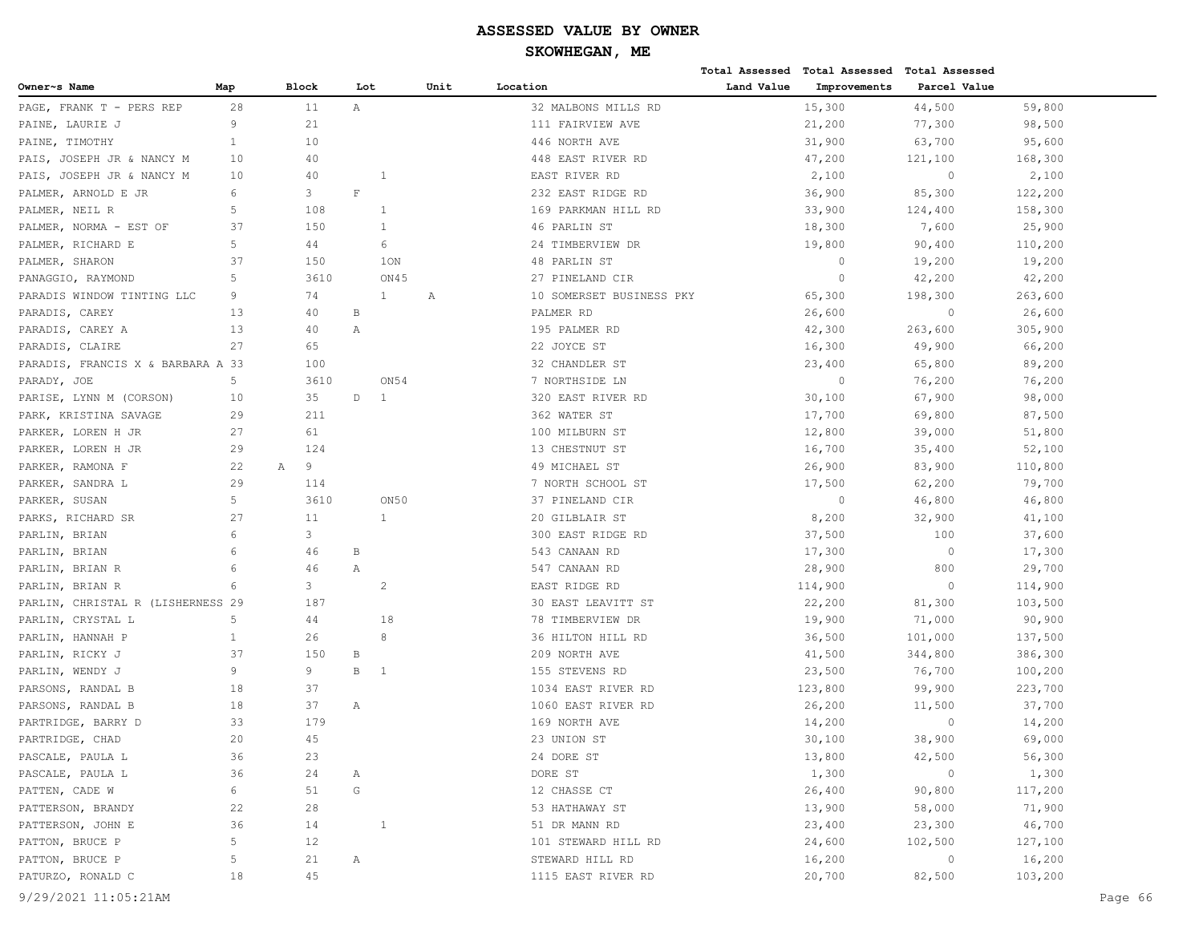|                                   |              |              |               |                |      |                          |            | Total Assessed Total Assessed Total Assessed |              |         |         |
|-----------------------------------|--------------|--------------|---------------|----------------|------|--------------------------|------------|----------------------------------------------|--------------|---------|---------|
| Owner~s Name                      | Map          | <b>Block</b> | Lot           |                | Unit | Location                 | Land Value | Improvements                                 | Parcel Value |         |         |
| PAGE, FRANK T - PERS REP          | 28           | 11           | $\mathbb{A}$  |                |      | 32 MALBONS MILLS RD      |            | 15,300                                       | 44,500       | 59,800  |         |
| PAINE, LAURIE J                   | 9            | 21           |               |                |      | 111 FAIRVIEW AVE         |            | 21,200                                       | 77,300       | 98,500  |         |
| PAINE, TIMOTHY                    | $\mathbf{1}$ | 10           |               |                |      | 446 NORTH AVE            |            | 31,900                                       | 63,700       | 95,600  |         |
| PAIS, JOSEPH JR & NANCY M         | 10           | 40           |               |                |      | 448 EAST RIVER RD        |            | 47,200                                       | 121,100      | 168,300 |         |
| PAIS, JOSEPH JR & NANCY M         | 10           | 40           |               |                |      | EAST RIVER RD            |            | 2,100                                        | $\circ$      | 2,100   |         |
| PALMER, ARNOLD E JR               | 6            | 3            | $\mathbf F$   |                |      | 232 EAST RIDGE RD        |            | 36,900                                       | 85,300       | 122,200 |         |
| PALMER, NEIL R                    | 5            | 108          |               | $\mathbf{1}$   |      | 169 PARKMAN HILL RD      |            | 33,900                                       | 124,400      | 158,300 |         |
| PALMER, NORMA - EST OF            | 37           | 150          |               | 1              |      | 46 PARLIN ST             |            | 18,300                                       | 7,600        | 25,900  |         |
| PALMER, RICHARD E                 | 5            | 44           |               | 6              |      | 24 TIMBERVIEW DR         |            | 19,800                                       | 90,400       | 110,200 |         |
| PALMER, SHARON                    | 37           | 150          |               | 1ON            |      | 48 PARLIN ST             |            | $\circ$                                      | 19,200       | 19,200  |         |
| PANAGGIO, RAYMOND                 | 5            | 3610         |               | ON45           |      | 27 PINELAND CIR          |            | $\circ$                                      | 42,200       | 42,200  |         |
| PARADIS WINDOW TINTING LLC        | 9            | 74           |               | $\mathbf{1}$   | А    | 10 SOMERSET BUSINESS PKY |            | 65,300                                       | 198,300      | 263,600 |         |
| PARADIS, CAREY                    | 13           | 40           | В             |                |      | PALMER RD                |            | 26,600                                       | $\circ$      | 26,600  |         |
| PARADIS, CAREY A                  | 13           | 40           | Α             |                |      | 195 PALMER RD            |            | 42,300                                       | 263,600      | 305,900 |         |
| PARADIS, CLAIRE                   | 27           | 65           |               |                |      | 22 JOYCE ST              |            | 16,300                                       | 49,900       | 66,200  |         |
| PARADIS, FRANCIS X & BARBARA A 33 |              | 100          |               |                |      | 32 CHANDLER ST           |            | 23,400                                       | 65,800       | 89,200  |         |
| PARADY, JOE                       | 5            | 3610         |               | ON54           |      | 7 NORTHSIDE LN           |            | $\circ$                                      | 76,200       | 76,200  |         |
| PARISE, LYNN M (CORSON)           | 10           | 35           | D             | 1              |      | 320 EAST RIVER RD        |            | 30,100                                       | 67,900       | 98,000  |         |
| PARK, KRISTINA SAVAGE             | 29           | 211          |               |                |      | 362 WATER ST             |            | 17,700                                       | 69,800       | 87,500  |         |
| PARKER, LOREN H JR                | 27           | 61           |               |                |      | 100 MILBURN ST           |            | 12,800                                       | 39,000       | 51,800  |         |
| PARKER, LOREN H JR                | 29           | 124          |               |                |      | 13 CHESTNUT ST           |            | 16,700                                       | 35,400       | 52,100  |         |
| PARKER, RAMONA F                  | 22           | 9<br>Α       |               |                |      | 49 MICHAEL ST            |            | 26,900                                       | 83,900       | 110,800 |         |
| PARKER, SANDRA L                  | 29           | 114          |               |                |      | 7 NORTH SCHOOL ST        |            | 17,500                                       | 62,200       | 79,700  |         |
| PARKER, SUSAN                     | 5            | 3610         |               | ON50           |      | 37 PINELAND CIR          |            | $\circ$                                      | 46,800       | 46,800  |         |
| PARKS, RICHARD SR                 | 27           | 11           |               | 1              |      | 20 GILBLAIR ST           |            | 8,200                                        | 32,900       | 41,100  |         |
| PARLIN, BRIAN                     | 6            | 3            |               |                |      | 300 EAST RIDGE RD        |            | 37,500                                       | 100          | 37,600  |         |
| PARLIN, BRIAN                     | 6            | 46           | В             |                |      | 543 CANAAN RD            |            | 17,300                                       | $\circ$      | 17,300  |         |
| PARLIN, BRIAN R                   | 6            | 46           | Α             |                |      | 547 CANAAN RD            |            | 28,900                                       | 800          | 29,700  |         |
| PARLIN, BRIAN R                   | 6            | 3            |               | 2              |      | EAST RIDGE RD            |            | 114,900                                      | $\circ$      | 114,900 |         |
| PARLIN, CHRISTAL R (LISHERNESS 29 |              | 187          |               |                |      | 30 EAST LEAVITT ST       |            | 22,200                                       | 81,300       | 103,500 |         |
| PARLIN, CRYSTAL L                 | 5            | 44           |               | 18             |      | 78 TIMBERVIEW DR         |            | 19,900                                       | 71,000       | 90,900  |         |
| PARLIN, HANNAH P                  | $\mathbf{1}$ | 26           |               | 8              |      | 36 HILTON HILL RD        |            | 36,500                                       | 101,000      | 137,500 |         |
| PARLIN, RICKY J                   | 37           | 150          | В             |                |      | 209 NORTH AVE            |            | 41,500                                       | 344,800      | 386,300 |         |
| PARLIN, WENDY J                   | 9            | 9            | $\mathbf B$   | $\overline{1}$ |      | 155 STEVENS RD           |            | 23,500                                       | 76,700       | 100,200 |         |
| PARSONS, RANDAL B                 | 18           | 37           |               |                |      | 1034 EAST RIVER RD       |            | 123,800                                      | 99,900       | 223,700 |         |
| PARSONS, RANDAL B                 | 18           | 37           | Α             |                |      | 1060 EAST RIVER RD       |            | 26,200                                       | 11,500       | 37,700  |         |
| PARTRIDGE, BARRY D                | 33           | 179          |               |                |      | 169 NORTH AVE            |            | 14,200                                       | $\circ$      | 14,200  |         |
| PARTRIDGE, CHAD                   | 20           | 45           |               |                |      | 23 UNION ST              |            | 30,100                                       | 38,900       | 69,000  |         |
| PASCALE, PAULA L                  | 36           | 23           |               |                |      | 24 DORE ST               |            | 13,800                                       | 42,500       | 56,300  |         |
| PASCALE, PAULA L                  | 36           | 24           | Α             |                |      | DORE ST                  |            | 1,300                                        | $\circ$      | 1,300   |         |
| PATTEN, CADE W                    | 6            | 51           | ${\mathbb G}$ |                |      | 12 CHASSE CT             |            | 26,400                                       | 90,800       | 117,200 |         |
| PATTERSON, BRANDY                 | 22           | 28           |               |                |      | 53 HATHAWAY ST           |            | 13,900                                       | 58,000       | 71,900  |         |
| PATTERSON, JOHN E                 | 36           | 14           |               | 1              |      | 51 DR MANN RD            |            | 23,400                                       | 23,300       | 46,700  |         |
| PATTON, BRUCE P                   | 5            | 12           |               |                |      | 101 STEWARD HILL RD      |            | 24,600                                       | 102,500      | 127,100 |         |
| PATTON, BRUCE P                   | 5            | 21           | Α             |                |      | STEWARD HILL RD          |            | 16,200                                       | $\circ$      | 16,200  |         |
| PATURZO, RONALD C                 | 18           | 45           |               |                |      | 1115 EAST RIVER RD       |            | 20,700                                       | 82,500       | 103,200 |         |
| 9/29/2021 11:05:21AM              |              |              |               |                |      |                          |            |                                              |              |         | Page 66 |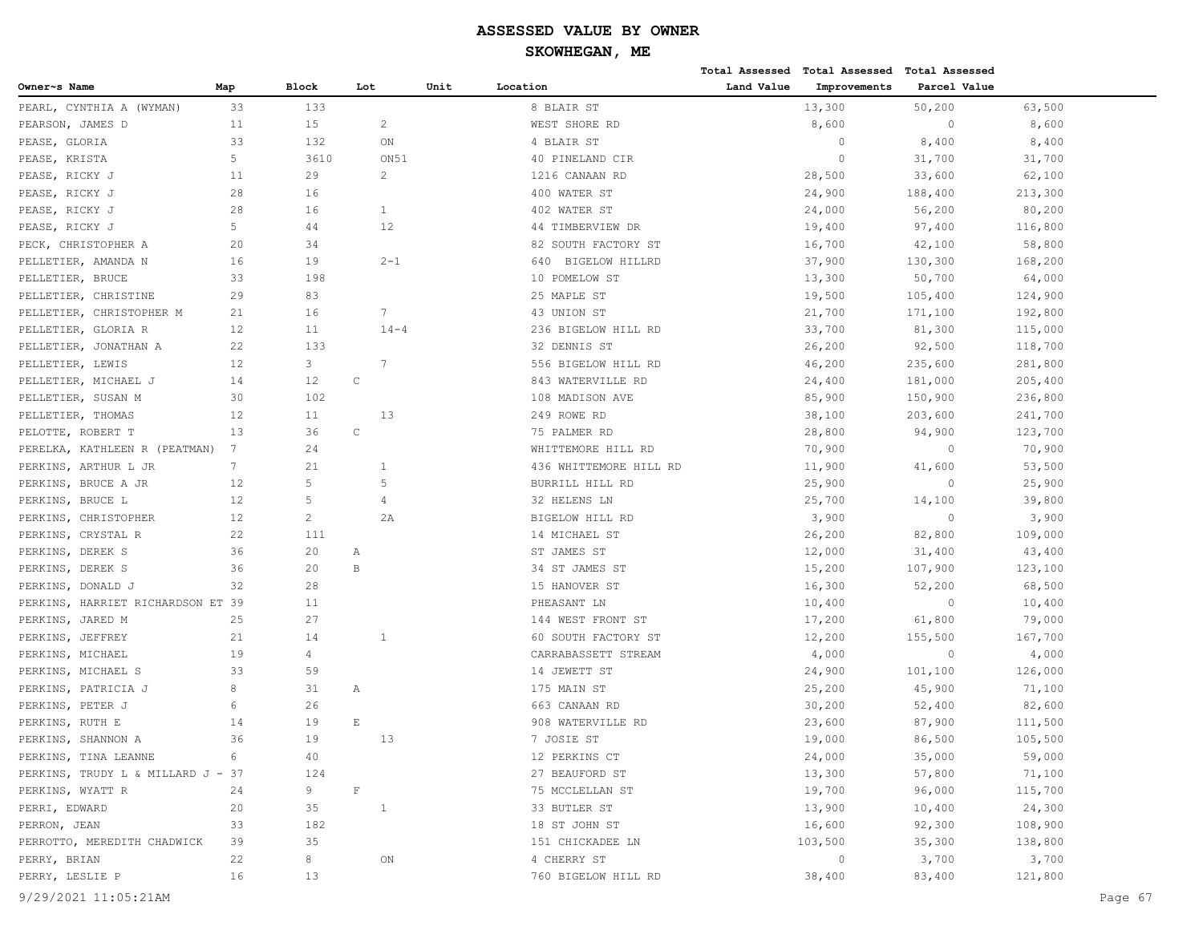# **SKOWHEGAN, ME**

|                                   |     |                |              |      |                        | Total Assessed | <b>Total Assessed</b> | Total Assessed |         |
|-----------------------------------|-----|----------------|--------------|------|------------------------|----------------|-----------------------|----------------|---------|
| Owner~s Name                      | Map | Block          | Lot          | Unit | Location               | Land Value     | Improvements          | Parcel Value   |         |
| PEARL, CYNTHIA A (WYMAN)          | 33  | 133            |              |      | 8 BLAIR ST             |                | 13,300                | 50,200         | 63,500  |
| PEARSON, JAMES D                  | 11  | 15             | 2            |      | WEST SHORE RD          |                | 8,600                 | $\circ$        | 8,600   |
| PEASE, GLORIA                     | 33  | 132            | ON           |      | 4 BLAIR ST             |                | $\circ$               | 8,400          | 8,400   |
| PEASE, KRISTA                     | 5   | 3610           | ON51         |      | 40 PINELAND CIR        |                | $\circ$               | 31,700         | 31,700  |
| PEASE, RICKY J                    | 11  | 29             | 2            |      | 1216 CANAAN RD         |                | 28,500                | 33,600         | 62,100  |
| PEASE,<br>RICKY J                 | 28  | 16             |              |      | 400 WATER ST           |                | 24,900                | 188,400        | 213,300 |
| PEASE, RICKY J                    | 28  | 16             | 1            |      | 402 WATER ST           |                | 24,000                | 56,200         | 80,200  |
| PEASE, RICKY J                    | 5   | 44             | 12           |      | 44 TIMBERVIEW DR       |                | 19,400                | 97,400         | 116,800 |
| PECK, CHRISTOPHER A               | 20  | 34             |              |      | 82 SOUTH FACTORY ST    |                | 16,700                | 42,100         | 58,800  |
| PELLETIER, AMANDA N               | 16  | 19             | $2 - 1$      |      | 640 BIGELOW HILLRD     |                | 37,900                | 130,300        | 168,200 |
| PELLETIER, BRUCE                  | 33  | 198            |              |      | 10 POMELOW ST          |                | 13,300                | 50,700         | 64,000  |
| PELLETIER, CHRISTINE              | 29  | 83             |              |      | 25 MAPLE ST            |                | 19,500                | 105,400        | 124,900 |
| PELLETIER, CHRISTOPHER M          | 21  | 16             | 7            |      | 43 UNION ST            |                | 21,700                | 171,100        | 192,800 |
| PELLETIER, GLORIA R               | 12  | 11             | $14 - 4$     |      | 236 BIGELOW HILL RD    |                | 33,700                | 81,300         | 115,000 |
| PELLETIER, JONATHAN A             | 22  | 133            |              |      | 32 DENNIS ST           |                | 26,200                | 92,500         | 118,700 |
| PELLETIER, LEWIS                  | 12  | 3              | 7            |      | 556 BIGELOW HILL RD    |                | 46,200                | 235,600        | 281,800 |
| PELLETIER, MICHAEL J              | 14  | 12             | $\mathbb C$  |      | 843 WATERVILLE RD      |                | 24,400                | 181,000        | 205,400 |
| PELLETIER, SUSAN M                | 30  | 102            |              |      | 108 MADISON AVE        |                | 85,900                | 150,900        | 236,800 |
| PELLETIER, THOMAS                 | 12  | 11             | 13           |      | 249 ROWE RD            |                | 38,100                | 203,600        | 241,700 |
| PELOTTE, ROBERT T                 | 13  | 36             | $\mathbb C$  |      | 75 PALMER RD           |                | 28,800                | 94,900         | 123,700 |
| PERELKA, KATHLEEN R (PEATMAN)     | 7   | 24             |              |      | WHITTEMORE HILL RD     |                | 70,900                | $\circ$        | 70,900  |
| PERKINS, ARTHUR L JR              | 7   | 21             | 1            |      | 436 WHITTEMORE HILL RD |                | 11,900                | 41,600         | 53,500  |
| PERKINS, BRUCE A JR               | 12  | 5              | 5            |      | BURRILL HILL RD        |                | 25,900                | $\circ$        | 25,900  |
| PERKINS, BRUCE L                  | 12  | 5              | 4            |      | 32 HELENS LN           |                | 25,700                | 14,100         | 39,800  |
| PERKINS, CHRISTOPHER              | 12  | $\overline{c}$ | 2A           |      | BIGELOW HILL RD        |                | 3,900                 | $\circ$        | 3,900   |
| PERKINS, CRYSTAL R                | 22  | 111            |              |      | 14 MICHAEL ST          |                | 26,200                | 82,800         | 109,000 |
| PERKINS, DEREK S                  | 36  | 20             | Α            |      | ST JAMES ST            |                | 12,000                | 31,400         | 43,400  |
| PERKINS, DEREK S                  | 36  | 20             | $\, {\bf B}$ |      | 34 ST JAMES ST         |                | 15,200                | 107,900        | 123,100 |
| PERKINS, DONALD J                 | 32  | 28             |              |      | 15 HANOVER ST          |                | 16,300                | 52,200         | 68,500  |
| PERKINS, HARRIET RICHARDSON ET 39 |     | 11             |              |      | PHEASANT LN            |                | 10,400                | $\circ$        | 10,400  |
| PERKINS, JARED M                  | 25  | 27             |              |      | 144 WEST FRONT ST      |                | 17,200                | 61,800         | 79,000  |
| PERKINS, JEFFREY                  | 21  | 14             | 1            |      | 60 SOUTH FACTORY ST    |                | 12,200                | 155,500        | 167,700 |
| PERKINS, MICHAEL                  | 19  | 4              |              |      | CARRABASSETT STREAM    |                | 4,000                 | $\circ$        | 4,000   |
| PERKINS, MICHAEL S                | 33  | 59             |              |      | 14 JEWETT ST           |                | 24,900                | 101,100        | 126,000 |
| PERKINS, PATRICIA J               | 8   | 31             | Α            |      | 175 MAIN ST            |                | 25,200                | 45,900         | 71,100  |
| PERKINS, PETER J                  | 6   | 26             |              |      | 663 CANAAN RD          |                | 30,200                | 52,400         | 82,600  |
| PERKINS, RUTH E                   | 14  | 19             | $\mathbf E$  |      | 908 WATERVILLE RD      |                | 23,600                | 87,900         | 111,500 |
| PERKINS, SHANNON A                | 36  | 19             | 13           |      | 7 JOSIE ST             |                | 19,000                | 86,500         | 105,500 |
| PERKINS, TINA LEANNE              | 6   | 40             |              |      | 12 PERKINS CT          |                | 24,000                | 35,000         | 59,000  |
| PERKINS, TRUDY L & MILLARD J - 37 |     | 124            |              |      | 27 BEAUFORD ST         |                | 13,300                | 57,800         | 71,100  |
| PERKINS, WYATT R                  | 24  | 9              | $\mathbf F$  |      | 75 MCCLELLAN ST        |                | 19,700                | 96,000         | 115,700 |
| PERRI, EDWARD                     | 20  | 35             | $\mathbf{1}$ |      | 33 BUTLER ST           |                | 13,900                | 10,400         | 24,300  |
| PERRON, JEAN                      | 33  | 182            |              |      | 18 ST JOHN ST          |                | 16,600                | 92,300         | 108,900 |
| PERROTTO, MEREDITH CHADWICK       | 39  | 35             |              |      | 151 CHICKADEE LN       |                | 103,500               | 35,300         | 138,800 |
| PERRY, BRIAN                      | 22  | 8              | ON           |      | 4 CHERRY ST            |                | $\circ$               | 3,700          | 3,700   |
| PERRY, LESLIE P                   | 16  | 13             |              |      | 760 BIGELOW HILL RD    |                | 38,400                | 83,400         | 121,800 |
|                                   |     |                |              |      |                        |                |                       |                |         |

9/29/2021 11:05:21AM Page 67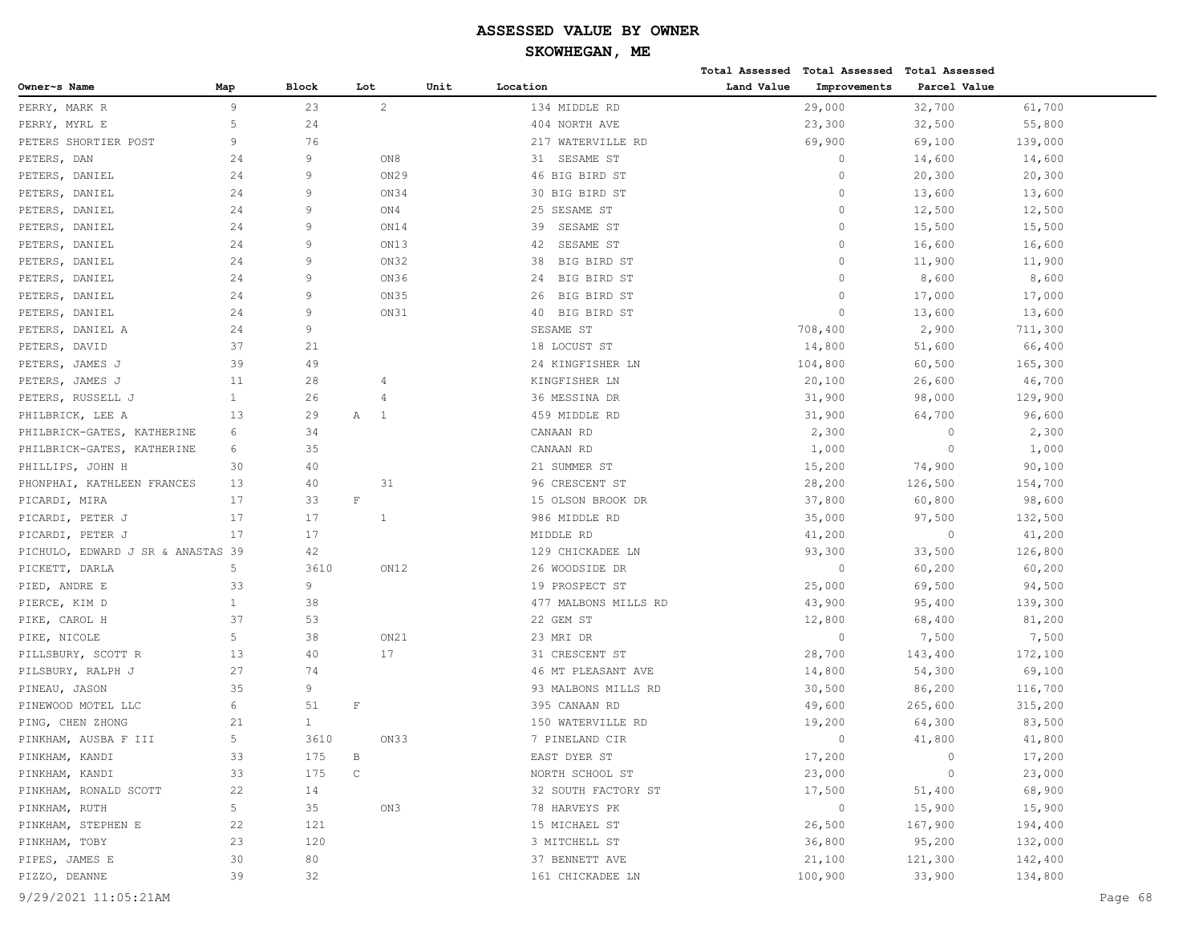|                                   |              |              |                |      |                      |            | Total Assessed Total Assessed Total Assessed |              |         |         |
|-----------------------------------|--------------|--------------|----------------|------|----------------------|------------|----------------------------------------------|--------------|---------|---------|
| Owner~s Name                      | Map          | <b>Block</b> | Lot            | Unit | Location             | Land Value | Improvements                                 | Parcel Value |         |         |
| PERRY, MARK R                     | 9            | 23           | $\overline{c}$ |      | 134 MIDDLE RD        |            | 29,000                                       | 32,700       | 61,700  |         |
| PERRY, MYRL E                     | 5            | 24           |                |      | 404 NORTH AVE        |            | 23,300                                       | 32,500       | 55,800  |         |
| PETERS SHORTIER POST              | 9            | 76           |                |      | 217 WATERVILLE RD    |            | 69,900                                       | 69,100       | 139,000 |         |
| PETERS, DAN                       | 24           | 9            | ON8            |      | 31<br>SESAME ST      |            | $\circ$                                      | 14,600       | 14,600  |         |
| PETERS, DANIEL                    | 24           | 9            | ON29           |      | 46 BIG BIRD ST       |            | $\Omega$                                     | 20,300       | 20,300  |         |
| PETERS, DANIEL                    | 24           | 9            | ON34           |      | 30 BIG BIRD ST       |            | $\mathbf{0}$                                 | 13,600       | 13,600  |         |
| PETERS, DANIEL                    | 24           | 9            | ON4            |      | 25 SESAME ST         |            | $\circ$                                      | 12,500       | 12,500  |         |
| PETERS, DANIEL                    | 24           | 9            | ON14           |      | SESAME ST<br>39      |            | $\circ$                                      | 15,500       | 15,500  |         |
| PETERS, DANIEL                    | 24           | 9            | ON13           |      | SESAME ST<br>42      |            | $\mathbf{0}$                                 | 16,600       | 16,600  |         |
| PETERS, DANIEL                    | 24           | 9            | ON32           |      | 38<br>BIG BIRD ST    |            | $\mathbf{0}$                                 | 11,900       | 11,900  |         |
| PETERS, DANIEL                    | 24           | 9            | ON36           |      | BIG BIRD ST<br>24    |            | $\Omega$                                     | 8,600        | 8,600   |         |
| PETERS, DANIEL                    | 24           | 9            | ON35           |      | BIG BIRD ST<br>26    |            | $\Omega$                                     | 17,000       | 17,000  |         |
| PETERS, DANIEL                    | 24           | 9            | ON31           |      | 40 BIG BIRD ST       |            | $\bigcap$                                    | 13,600       | 13,600  |         |
| PETERS, DANIEL A                  | 24           | 9            |                |      | SESAME ST            |            | 708,400                                      | 2,900        | 711,300 |         |
| PETERS, DAVID                     | 37           | 21           |                |      | 18 LOCUST ST         |            | 14,800                                       | 51,600       | 66,400  |         |
| PETERS, JAMES J                   | 39           | 49           |                |      | 24 KINGFISHER LN     |            | 104,800                                      | 60,500       | 165,300 |         |
| PETERS, JAMES J                   | 11           | 28           | 4              |      | KINGFISHER LN        |            | 20,100                                       | 26,600       | 46,700  |         |
| PETERS, RUSSELL J                 | $\mathbf{1}$ | 26           | 4              |      | 36 MESSINA DR        |            | 31,900                                       | 98,000       | 129,900 |         |
| PHILBRICK, LEE A                  | 13           | 29           | Α<br>- 1       |      | 459 MIDDLE RD        |            | 31,900                                       | 64,700       | 96,600  |         |
| PHILBRICK-GATES, KATHERINE        | 6            | 34           |                |      | CANAAN RD            |            | 2,300                                        | $\circ$      | 2,300   |         |
| PHILBRICK-GATES, KATHERINE        | 6            | 35           |                |      | CANAAN RD            |            | 1,000                                        | $\circ$      | 1,000   |         |
| PHILLIPS, JOHN H                  | 30           | 40           |                |      | 21 SUMMER ST         |            | 15,200                                       | 74,900       | 90,100  |         |
| PHONPHAI, KATHLEEN FRANCES        | 13           | 40           | 31             |      | 96 CRESCENT ST       |            | 28,200                                       | 126,500      | 154,700 |         |
| PICARDI, MIRA                     | 17           | 33           | $\mathbf{F}$   |      | 15 OLSON BROOK DR    |            | 37,800                                       | 60,800       | 98,600  |         |
| PICARDI, PETER J                  | 17           | 17           | 1              |      | 986 MIDDLE RD        |            | 35,000                                       | 97,500       | 132,500 |         |
| PICARDI, PETER J                  | 17           | 17           |                |      | MIDDLE RD            |            | 41,200                                       | $\circ$      | 41,200  |         |
| PICHULO, EDWARD J SR & ANASTAS 39 |              | 42           |                |      | 129 CHICKADEE LN     |            | 93,300                                       | 33,500       | 126,800 |         |
| PICKETT, DARLA                    | 5            | 3610         | ON12           |      | 26 WOODSIDE DR       |            | $\circ$                                      | 60,200       | 60,200  |         |
| PIED, ANDRE E                     | 33           | 9            |                |      | 19 PROSPECT ST       |            | 25,000                                       | 69,500       | 94,500  |         |
| PIERCE, KIM D                     | $\mathbf{1}$ | 38           |                |      | 477 MALBONS MILLS RD |            | 43,900                                       | 95,400       | 139,300 |         |
| PIKE, CAROL H                     | 37           | 53           |                |      | 22 GEM ST            |            | 12,800                                       | 68,400       | 81,200  |         |
| PIKE, NICOLE                      | 5            | 38           | ON21           |      | 23 MRI DR            |            | $\circ$                                      | 7,500        | 7,500   |         |
| PILLSBURY, SCOTT R                | 13           | 40           | 17             |      | 31 CRESCENT ST       |            | 28,700                                       | 143,400      | 172,100 |         |
| PILSBURY, RALPH J                 | 27           | 74           |                |      | 46 MT PLEASANT AVE   |            | 14,800                                       | 54,300       | 69,100  |         |
| PINEAU, JASON                     | 35           | 9            |                |      | 93 MALBONS MILLS RD  |            | 30,500                                       | 86,200       | 116,700 |         |
| PINEWOOD MOTEL LLC                | 6            | 51           | $\mathbb F$    |      | 395 CANAAN RD        |            | 49,600                                       | 265,600      | 315,200 |         |
| PING, CHEN ZHONG                  | 21           | $\mathbf{1}$ |                |      | 150 WATERVILLE RD    |            | 19,200                                       | 64,300       | 83,500  |         |
| PINKHAM, AUSBA F III              | 5            | 3610         | ON33           |      | 7 PINELAND CIR       |            | $\Omega$                                     | 41,800       | 41,800  |         |
| PINKHAM, KANDI                    | 33           | 175          | В              |      | EAST DYER ST         |            | 17,200                                       | $\circ$      | 17,200  |         |
| PINKHAM, KANDI                    | 33           | 175          | $\mathsf C$    |      | NORTH SCHOOL ST      |            | 23,000                                       | $\circ$      | 23,000  |         |
| PINKHAM, RONALD SCOTT             | 22           | 14           |                |      | 32 SOUTH FACTORY ST  |            | 17,500                                       | 51,400       | 68,900  |         |
| PINKHAM, RUTH                     | 5            | 35           | ON3            |      | 78 HARVEYS PK        |            | $\circ$                                      | 15,900       | 15,900  |         |
| PINKHAM, STEPHEN E                | 22           | 121          |                |      | 15 MICHAEL ST        |            | 26,500                                       | 167,900      | 194,400 |         |
| PINKHAM, TOBY                     | 23           | 120          |                |      | 3 MITCHELL ST        |            | 36,800                                       | 95,200       | 132,000 |         |
| PIPES, JAMES E                    | 30           | 80           |                |      | 37 BENNETT AVE       |            | 21,100                                       | 121,300      | 142,400 |         |
| PIZZO, DEANNE                     | 39           | 32           |                |      | 161 CHICKADEE LN     |            | 100,900                                      | 33,900       | 134,800 |         |
| 9/29/2021 11:05:21AM              |              |              |                |      |                      |            |                                              |              |         | Page 68 |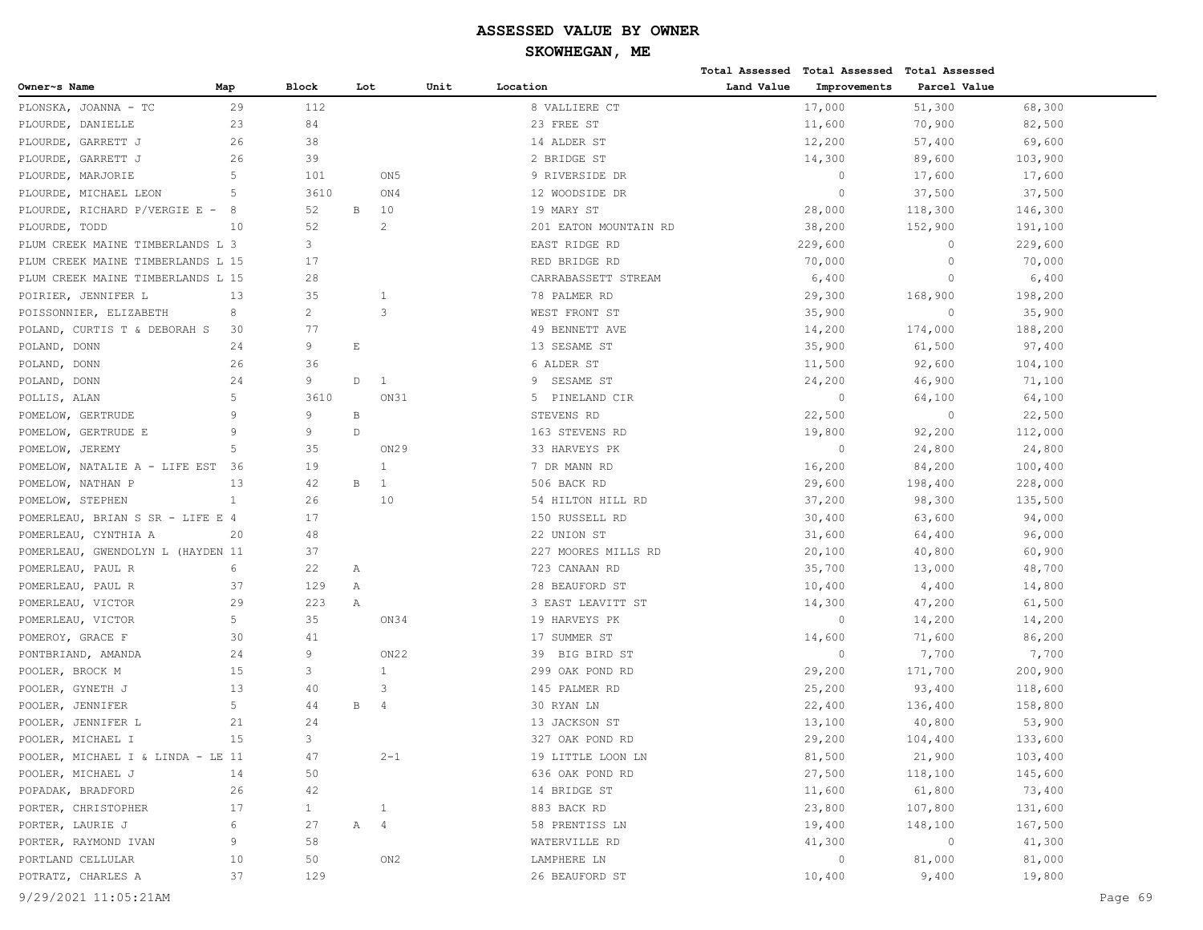|                                   |              |                |              |                  |      |                       |            | Total Assessed Total Assessed Total Assessed |              |         |         |
|-----------------------------------|--------------|----------------|--------------|------------------|------|-----------------------|------------|----------------------------------------------|--------------|---------|---------|
| Owner~s Name                      | Map          | <b>Block</b>   | Lot          |                  | Unit | Location              | Land Value | Improvements                                 | Parcel Value |         |         |
| PLONSKA, JOANNA - TC              | 29           | 112            |              |                  |      | 8 VALLIERE CT         |            | 17,000                                       | 51,300       | 68,300  |         |
| PLOURDE, DANIELLE                 | 23           | 84             |              |                  |      | 23 FREE ST            |            | 11,600                                       | 70,900       | 82,500  |         |
| PLOURDE, GARRETT J                | 26           | 38             |              |                  |      | 14 ALDER ST           |            | 12,200                                       | 57,400       | 69,600  |         |
| PLOURDE, GARRETT J                | 26           | 39             |              |                  |      | 2 BRIDGE ST           |            | 14,300                                       | 89,600       | 103,900 |         |
| PLOURDE, MARJORIE                 | 5            | 101            |              | ON <sub>5</sub>  |      | 9 RIVERSIDE DR        |            | $\circ$                                      | 17,600       | 17,600  |         |
| PLOURDE, MICHAEL LEON             | 5            | 3610           |              | ON4              |      | 12 WOODSIDE DR        |            | $\overline{0}$                               | 37,500       | 37,500  |         |
| PLOURDE, RICHARD P/VERGIE E -     | 8            | 52             | В            | 10               |      | 19 MARY ST            |            | 28,000                                       | 118,300      | 146,300 |         |
| PLOURDE, TODD                     | 10           | 52             |              | 2                |      | 201 EATON MOUNTAIN RD |            | 38,200                                       | 152,900      | 191,100 |         |
| PLUM CREEK MAINE TIMBERLANDS L 3  |              | 3              |              |                  |      | EAST RIDGE RD         |            | 229,600                                      | $\circ$      | 229,600 |         |
| PLUM CREEK MAINE TIMBERLANDS L 15 |              | 17             |              |                  |      | RED BRIDGE RD         |            | 70,000                                       | $\circ$      | 70,000  |         |
| PLUM CREEK MAINE TIMBERLANDS L 15 |              | 28             |              |                  |      | CARRABASSETT STREAM   |            | 6,400                                        | $\circ$      | 6,400   |         |
| POIRIER, JENNIFER L               | 13           | 35             |              | 1                |      | 78 PALMER RD          |            | 29,300                                       | 168,900      | 198,200 |         |
| POISSONNIER, ELIZABETH            | 8            | $\overline{2}$ |              | 3                |      | WEST FRONT ST         |            | 35,900                                       | $\circ$      | 35,900  |         |
| POLAND, CURTIS T & DEBORAH S      | 30           | 77             |              |                  |      | 49 BENNETT AVE        |            | 14,200                                       | 174,000      | 188,200 |         |
| POLAND, DONN                      | 24           | 9              | Ε            |                  |      | 13 SESAME ST          |            | 35,900                                       | 61,500       | 97,400  |         |
| POLAND, DONN                      | 26           | 36             |              |                  |      | 6 ALDER ST            |            | 11,500                                       | 92,600       | 104,100 |         |
| POLAND, DONN                      | 24           | 9              | D            | 1                |      | 9<br>SESAME ST        |            | 24,200                                       | 46,900       | 71,100  |         |
| POLLIS, ALAN                      | 5            | 3610           |              | ON31             |      | 5<br>PINELAND CIR     |            | $\circ$                                      | 64,100       | 64,100  |         |
| POMELOW, GERTRUDE                 | 9            | 9              | $\, {\bf B}$ |                  |      | STEVENS RD            |            | 22,500                                       | $\circ$      | 22,500  |         |
| POMELOW, GERTRUDE E               | 9            | 9              | $\mathbb D$  |                  |      | 163 STEVENS RD        |            | 19,800                                       | 92,200       | 112,000 |         |
| POMELOW, JEREMY                   | .5           | 35             |              | ON29             |      | 33 HARVEYS PK         |            | $\circ$                                      | 24,800       | 24,800  |         |
| POMELOW, NATALIE A - LIFE EST     | 36           | 19             |              | $\overline{1}$   |      | 7 DR MANN RD          |            | 16,200                                       | 84,200       | 100,400 |         |
| POMELOW, NATHAN P                 | 13           | 42             | В            | 1                |      | 506 BACK RD           |            | 29,600                                       | 198,400      | 228,000 |         |
| POMELOW, STEPHEN                  | $\mathbf{1}$ | 26             |              | 10               |      | 54 HILTON HILL RD     |            | 37,200                                       | 98,300       | 135,500 |         |
| POMERLEAU, BRIAN S SR - LIFE E 4  |              | 17             |              |                  |      | 150 RUSSELL RD        |            | 30,400                                       | 63,600       | 94,000  |         |
| POMERLEAU,<br>CYNTHIA A           | 20           | 48             |              |                  |      | 22 UNION ST           |            | 31,600                                       | 64,400       | 96,000  |         |
| POMERLEAU, GWENDOLYN L (HAYDEN 11 |              | 37             |              |                  |      | 227 MOORES MILLS RD   |            | 20,100                                       | 40,800       | 60,900  |         |
| POMERLEAU, PAUL R                 | 6            | 22             | Α            |                  |      | 723 CANAAN RD         |            | 35,700                                       | 13,000       | 48,700  |         |
| POMERLEAU, PAUL R                 | 37           | 129            | Α            |                  |      | 28 BEAUFORD ST        |            | 10,400                                       | 4,400        | 14,800  |         |
| POMERLEAU, VICTOR                 | 29           | 223            | Α            |                  |      | 3 EAST LEAVITT ST     |            | 14,300                                       | 47,200       | 61,500  |         |
| POMERLEAU, VICTOR                 | 5            | 35             |              | ON34             |      | 19 HARVEYS PK         |            | $\overline{0}$                               | 14,200       | 14,200  |         |
| POMEROY, GRACE F                  | 30           | 41             |              |                  |      | 17 SUMMER ST          |            | 14,600                                       | 71,600       | 86,200  |         |
| PONTBRIAND, AMANDA                | 24           | 9              |              | ON <sub>22</sub> |      | BIG BIRD ST<br>39     |            | $\circ$                                      | 7,700        | 7,700   |         |
| POOLER, BROCK M                   | 15           | 3              |              | 1                |      | 299 OAK POND RD       |            | 29,200                                       | 171,700      | 200,900 |         |
| POOLER, GYNETH J                  | 13           | 40             |              | 3                |      | 145 PALMER RD         |            | 25,200                                       | 93,400       | 118,600 |         |
| POOLER, JENNIFER                  | 5            | 44             | В            | 4                |      | 30 RYAN LN            |            | 22,400                                       | 136,400      | 158,800 |         |
| POOLER, JENNIFER L                | 21           | 24             |              |                  |      | 13 JACKSON ST         |            | 13,100                                       | 40,800       | 53,900  |         |
| POOLER, MICHAEL I                 | $15$         | 3              |              |                  |      | 327 OAK POND RD       |            | 29,200                                       | 104,400      | 133,600 |         |
| POOLER, MICHAEL I & LINDA - LE 11 |              | 47             |              | $2 - 1$          |      | 19 LITTLE LOON LN     |            | 81,500                                       | 21,900       | 103,400 |         |
| POOLER, MICHAEL J                 | 14           | 50             |              |                  |      | 636 OAK POND RD       |            | 27,500                                       | 118,100      | 145,600 |         |
| POPADAK, BRADFORD                 | 26           | 42             |              |                  |      | 14 BRIDGE ST          |            | 11,600                                       | 61,800       | 73,400  |         |
| PORTER, CHRISTOPHER               | 17           | $\mathbf{1}$   |              | $\mathbf{1}$     |      | 883 BACK RD           |            | 23,800                                       | 107,800      | 131,600 |         |
| PORTER, LAURIE J                  | 6            | 27             | $\mathbb A$  | $\overline{4}$   |      | 58 PRENTISS LN        |            | 19,400                                       | 148,100      | 167,500 |         |
| PORTER, RAYMOND IVAN              | 9            | 58             |              |                  |      | WATERVILLE RD         |            | 41,300                                       | $\circ$      | 41,300  |         |
| PORTLAND CELLULAR                 | 10           | 50             |              | ON2              |      | LAMPHERE LN           |            | $\circ$                                      | 81,000       | 81,000  |         |
| POTRATZ, CHARLES A                | 37           | 129            |              |                  |      | 26 BEAUFORD ST        |            | 10,400                                       | 9,400        | 19,800  |         |
| 9/29/2021 11:05:21AM              |              |                |              |                  |      |                       |            |                                              |              |         | Page 69 |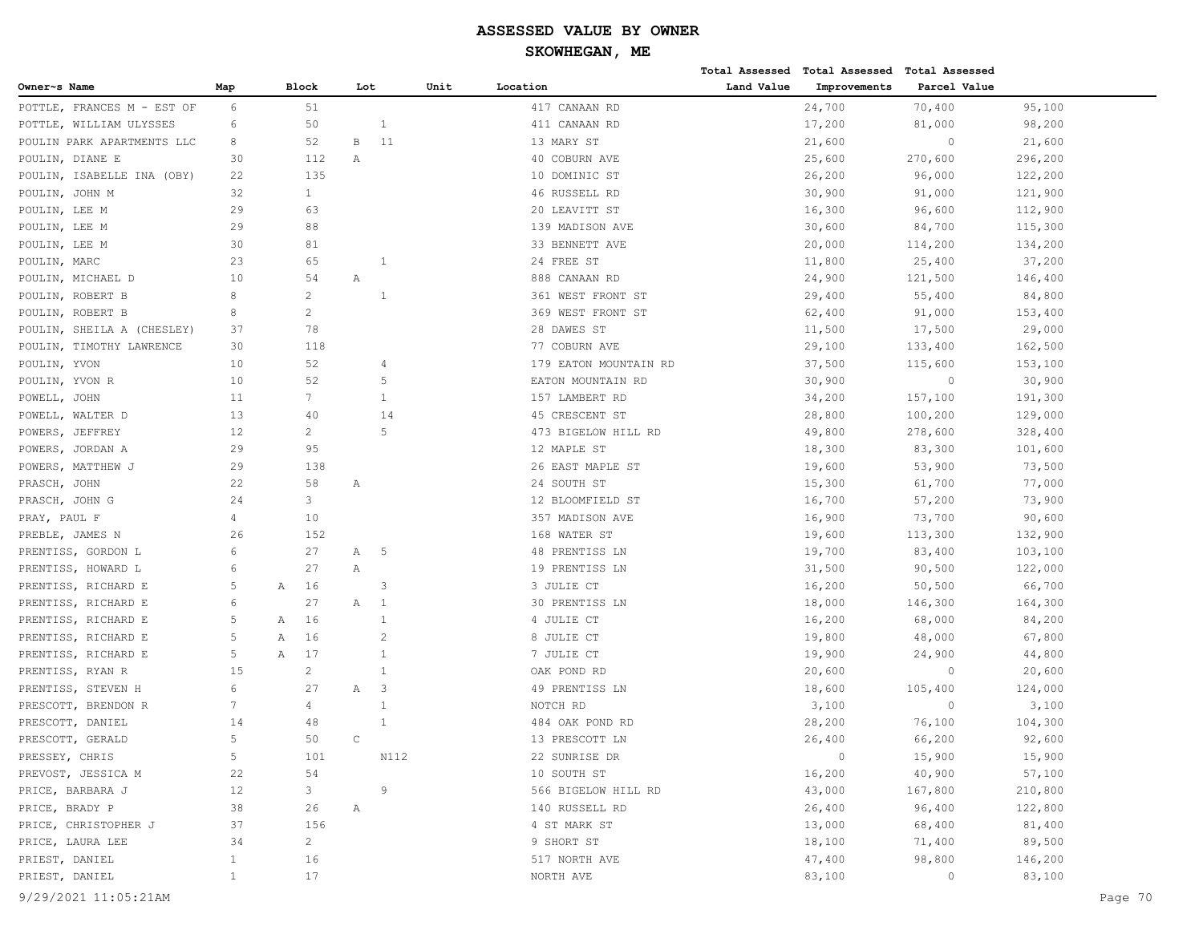|                            |                 |                |              |                |      |                       |            | Total Assessed Total Assessed Total Assessed |              |         |         |
|----------------------------|-----------------|----------------|--------------|----------------|------|-----------------------|------------|----------------------------------------------|--------------|---------|---------|
| Owner~s Name               | Map             | Block          |              | Lot            | Unit | Location              | Land Value | Improvements                                 | Parcel Value |         |         |
| POTTLE, FRANCES M - EST OF | 6               | 51             |              |                |      | 417 CANAAN RD         |            | 24,700                                       | 70,400       | 95,100  |         |
| POTTLE, WILLIAM ULYSSES    | 6               | 50             |              | $\mathbf{1}$   |      | 411 CANAAN RD         |            | 17,200                                       | 81,000       | 98,200  |         |
| POULIN PARK APARTMENTS LLC | 8               | 52             | В            | 11             |      | 13 MARY ST            |            | 21,600                                       | $\circ$      | 21,600  |         |
| POULIN, DIANE E            | 30              | 112            | Α            |                |      | 40 COBURN AVE         |            | 25,600                                       | 270,600      | 296,200 |         |
| POULIN, ISABELLE INA (OBY) | 22              | 135            |              |                |      | 10 DOMINIC ST         |            | 26,200                                       | 96,000       | 122,200 |         |
| POULIN, JOHN M             | 32              | $\mathbf{1}$   |              |                |      | 46 RUSSELL RD         |            | 30,900                                       | 91,000       | 121,900 |         |
| POULIN, LEE M              | 29              | 63             |              |                |      | 20 LEAVITT ST         |            | 16,300                                       | 96,600       | 112,900 |         |
| POULIN, LEE M              | 29              | 88             |              |                |      | 139 MADISON AVE       |            | 30,600                                       | 84,700       | 115,300 |         |
| POULIN, LEE M              | 30              | 81             |              |                |      | 33 BENNETT AVE        |            | 20,000                                       | 114,200      | 134,200 |         |
| POULIN, MARC               | 23              | 65             |              | 1              |      | 24 FREE ST            |            | 11,800                                       | 25,400       | 37,200  |         |
| POULIN, MICHAEL D          | 10              | 54             | Α            |                |      | 888 CANAAN RD         |            | 24,900                                       | 121,500      | 146,400 |         |
| POULIN, ROBERT B           | 8               | $\overline{c}$ |              | -1             |      | 361 WEST FRONT ST     |            | 29,400                                       | 55,400       | 84,800  |         |
| POULIN, ROBERT B           | 8               | 2              |              |                |      | 369 WEST FRONT ST     |            | 62,400                                       | 91,000       | 153,400 |         |
| POULIN, SHEILA A (CHESLEY) | 37              | 78             |              |                |      | 28 DAWES ST           |            | 11,500                                       | 17,500       | 29,000  |         |
| POULIN, TIMOTHY LAWRENCE   | 30              | 118            |              |                |      | 77 COBURN AVE         |            | 29,100                                       | 133,400      | 162,500 |         |
| POULIN, YVON               | 10              | 52             |              | 4              |      | 179 EATON MOUNTAIN RD |            | 37,500                                       | 115,600      | 153,100 |         |
| POULIN, YVON R             | 10              | 52             |              | 5              |      | EATON MOUNTAIN RD     |            | 30,900                                       | $\mathbb O$  | 30,900  |         |
| POWELL, JOHN               | 11              | $7^{\circ}$    |              | $\mathbf{1}$   |      | 157 LAMBERT RD        |            | 34,200                                       | 157,100      | 191,300 |         |
| POWELL, WALTER D           | 13              | 40             |              | 14             |      | 45 CRESCENT ST        |            | 28,800                                       | 100,200      | 129,000 |         |
| POWERS, JEFFREY            | 12              | $\overline{2}$ |              | 5              |      | 473 BIGELOW HILL RD   |            | 49,800                                       | 278,600      | 328,400 |         |
| POWERS, JORDAN A           | 29              | 95             |              |                |      | 12 MAPLE ST           |            | 18,300                                       | 83,300       | 101,600 |         |
| POWERS, MATTHEW J          | 29              | 138            |              |                |      | 26 EAST MAPLE ST      |            | 19,600                                       | 53,900       | 73,500  |         |
| PRASCH, JOHN               | 22              | 58             | Α            |                |      | 24 SOUTH ST           |            | 15,300                                       | 61,700       | 77,000  |         |
| PRASCH, JOHN G             | 24              | 3              |              |                |      | 12 BLOOMFIELD ST      |            | 16,700                                       | 57,200       | 73,900  |         |
| PRAY, PAUL F               | 4               | 10             |              |                |      | 357 MADISON AVE       |            | 16,900                                       | 73,700       | 90,600  |         |
| PREBLE, JAMES N            | 26              | 152            |              |                |      | 168 WATER ST          |            | 19,600                                       | 113,300      | 132,900 |         |
| PRENTISS, GORDON L         | 6               | 27             | Α            | -5             |      | 48 PRENTISS LN        |            | 19,700                                       | 83,400       | 103,100 |         |
| PRENTISS, HOWARD L         | 6               | 27             | Α            |                |      | 19 PRENTISS LN        |            | 31,500                                       | 90,500       | 122,000 |         |
| PRENTISS, RICHARD E        | 5               | 16<br>Α        |              | 3              |      | 3 JULIE CT            |            | 16,200                                       | 50,500       | 66,700  |         |
| PRENTISS, RICHARD E        | 6               | 27             | Α            | -1             |      | 30 PRENTISS LN        |            | 18,000                                       | 146,300      | 164,300 |         |
| PRENTISS, RICHARD E        | 5               | 16<br>Α        |              | 1              |      | 4 JULIE CT            |            | 16,200                                       | 68,000       | 84,200  |         |
| PRENTISS, RICHARD E        | 5               | 16<br>А        |              | $\overline{2}$ |      | 8 JULIE CT            |            | 19,800                                       | 48,000       | 67,800  |         |
| PRENTISS, RICHARD E        | 5               | Α<br>17        |              | 1              |      | 7 JULIE CT            |            | 19,900                                       | 24,900       | 44,800  |         |
| PRENTISS, RYAN R           | 15              | $\overline{2}$ |              | $\mathbf{1}$   |      | OAK POND RD           |            | 20,600                                       | $\circ$      | 20,600  |         |
| PRENTISS, STEVEN H         | 6               | 27             | Α            | 3              |      | 49 PRENTISS LN        |            | 18,600                                       | 105,400      | 124,000 |         |
| PRESCOTT, BRENDON R        | $7\phantom{.0}$ | 4              |              | 1              |      | NOTCH RD              |            | 3,100                                        | $\mathbf{0}$ | 3,100   |         |
| PRESCOTT, DANIEL           | 14              | 48             |              | $\mathbf{1}$   |      | 484 OAK POND RD       |            | 28,200                                       | 76,100       | 104,300 |         |
| PRESCOTT, GERALD           | 5               | 50             | $\mathsf{C}$ |                |      | 13 PRESCOTT LN        |            | 26,400                                       | 66,200       | 92,600  |         |
| PRESSEY, CHRIS             | 5               | 101            |              | N112           |      | 22 SUNRISE DR         |            | $\circ$                                      | 15,900       | 15,900  |         |
| PREVOST, JESSICA M         | 22              | 54             |              |                |      | 10 SOUTH ST           |            | 16,200                                       | 40,900       | 57,100  |         |
| PRICE, BARBARA J           | 12              | 3              |              | 9              |      | 566 BIGELOW HILL RD   |            | 43,000                                       | 167,800      | 210,800 |         |
| PRICE, BRADY P             | 38              | 26             | Α            |                |      | 140 RUSSELL RD        |            | 26,400                                       | 96,400       | 122,800 |         |
| PRICE, CHRISTOPHER J       | 37              | 156            |              |                |      | 4 ST MARK ST          |            | 13,000                                       | 68,400       | 81,400  |         |
| PRICE, LAURA LEE           | 34              | $\overline{2}$ |              |                |      | 9 SHORT ST            |            | 18,100                                       | 71,400       | 89,500  |         |
| PRIEST, DANIEL             | $\mathbf{1}$    | 16             |              |                |      | 517 NORTH AVE         |            | 47,400                                       | 98,800       | 146,200 |         |
| PRIEST, DANIEL             | $\mathbf{1}$    | 17             |              |                |      | NORTH AVE             |            | 83,100                                       | 0            | 83,100  |         |
|                            |                 |                |              |                |      |                       |            |                                              |              |         |         |
| 9/29/2021 11:05:21AM       |                 |                |              |                |      |                       |            |                                              |              |         | Page 70 |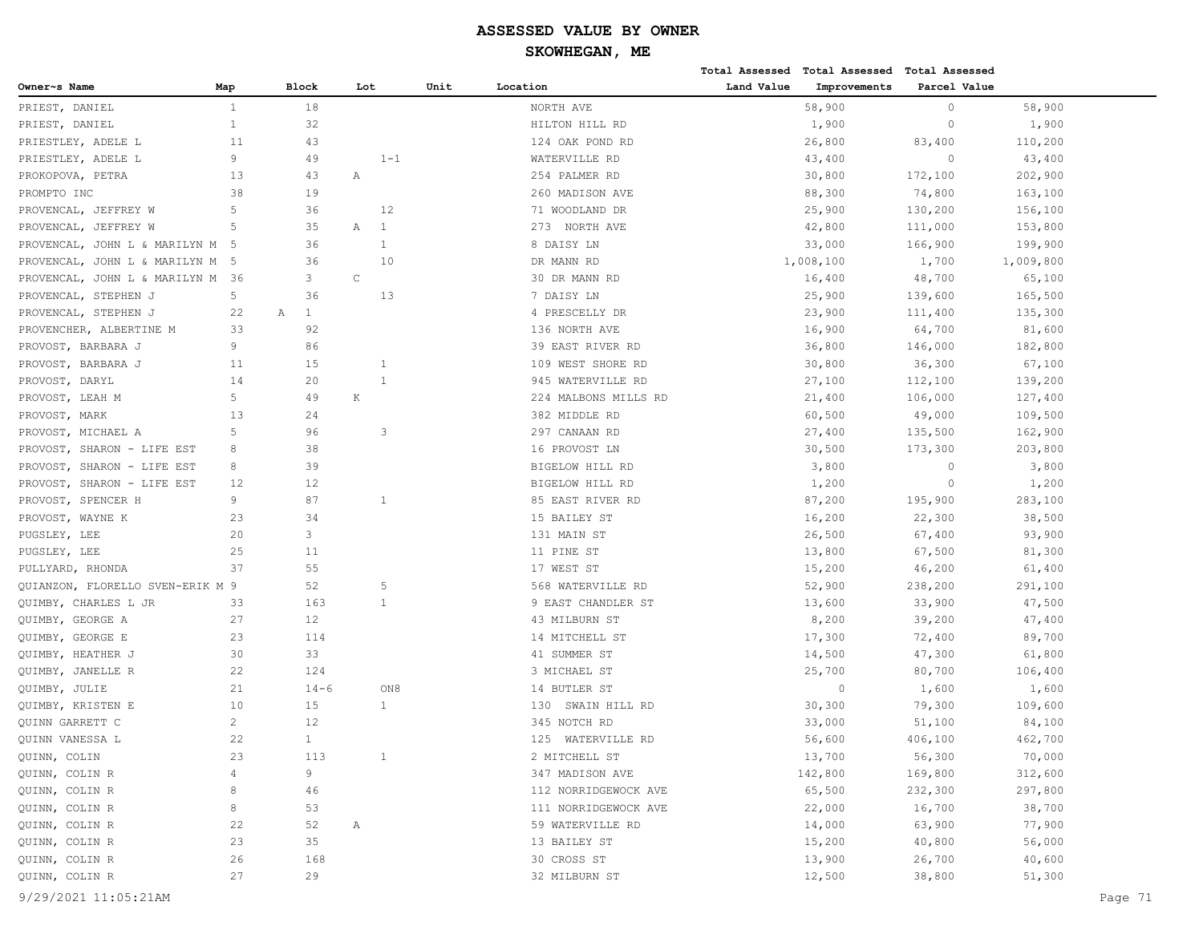|                                                      |              |                   |                     |      |                                         |            | Total Assessed Total Assessed Total Assessed |              |                   |  |
|------------------------------------------------------|--------------|-------------------|---------------------|------|-----------------------------------------|------------|----------------------------------------------|--------------|-------------------|--|
| Owner~s Name                                         | Map          | Block             | Lot                 | Unit | Location                                | Land Value | Improvements                                 | Parcel Value |                   |  |
| PRIEST, DANIEL                                       | $\mathbf{1}$ | 18                |                     |      | NORTH AVE                               |            | 58,900                                       | $\circ$      | 58,900            |  |
| PRIEST, DANIEL                                       | $\mathbf{1}$ | 32                |                     |      | HILTON HILL RD                          |            | 1,900                                        | $\circ$      | 1,900             |  |
| PRIESTLEY, ADELE L                                   | 11           | 43                |                     |      | 124 OAK POND RD                         |            | 26,800                                       | 83,400       | 110,200           |  |
| PRIESTLEY, ADELE L                                   | 9            | 49                | $1 - 1$             |      | WATERVILLE RD                           |            | 43,400                                       | $\circ$      | 43,400            |  |
| PROKOPOVA, PETRA                                     | 13           | 43                | Α                   |      | 254 PALMER RD                           |            | 30,800                                       | 172,100      | 202,900           |  |
| PROMPTO INC                                          | 38           | 19                |                     |      | 260 MADISON AVE                         |            | 88,300                                       | 74,800       | 163,100           |  |
| PROVENCAL, JEFFREY W                                 | 5            | 36                | 12                  |      | 71 WOODLAND DR                          |            | 25,900                                       | 130,200      | 156,100           |  |
| PROVENCAL, JEFFREY W                                 | 5            | 35                | 1<br>Α              |      | 273 NORTH AVE                           |            | 42,800                                       | 111,000      | 153,800           |  |
| PROVENCAL, JOHN L & MARILYN M 5                      |              | 36                | $\mathbf{1}$        |      | 8 DAISY LN                              |            | 33,000                                       | 166,900      | 199,900           |  |
| PROVENCAL, JOHN L & MARILYN M 5                      |              | 36                | 10                  |      | DR MANN RD                              |            | 1,008,100                                    | 1,700        | 1,009,800         |  |
| PROVENCAL, JOHN L & MARILYN M                        | - 36         | 3                 | $\mathsf C$         |      | 30 DR MANN RD                           |            | 16,400                                       | 48,700       | 65,100            |  |
| PROVENCAL, STEPHEN J                                 | 5            | 36                | 13                  |      | 7 DAISY LN                              |            | 25,900                                       | 139,600      | 165,500           |  |
| PROVENCAL, STEPHEN J                                 | 22           | $\mathbf{1}$<br>Α |                     |      | 4 PRESCELLY DR                          |            | 23,900                                       | 111,400      | 135,300           |  |
| PROVENCHER, ALBERTINE M                              | 33           | 92                |                     |      | 136 NORTH AVE                           |            | 16,900                                       | 64,700       | 81,600            |  |
| PROVOST, BARBARA J                                   | 9            | 86                |                     |      | 39 EAST RIVER RD                        |            | 36,800                                       | 146,000      | 182,800           |  |
| PROVOST, BARBARA J                                   | 11           | 15                | 1                   |      | 109 WEST SHORE RD                       |            | 30,800                                       | 36,300       | 67,100            |  |
| PROVOST, DARYL                                       | 14           | 20                | $\mathbf{1}$        |      | 945 WATERVILLE RD                       |            | 27,100                                       | 112,100      | 139,200           |  |
| PROVOST, LEAH M                                      | 5            | 49                | $\rm K$             |      | 224 MALBONS MILLS RD                    |            | 21,400                                       | 106,000      | 127,400           |  |
| PROVOST, MARK                                        | 13           | 24                |                     |      | 382 MIDDLE RD                           |            | 60,500                                       | 49,000       | 109,500           |  |
| PROVOST, MICHAEL A                                   | 5            | 96                | 3                   |      | 297 CANAAN RD                           |            | 27,400                                       | 135,500      | 162,900           |  |
| PROVOST, SHARON - LIFE EST                           | 8            | 38                |                     |      | 16 PROVOST LN                           |            | 30,500                                       | 173,300      | 203,800           |  |
| PROVOST, SHARON - LIFE EST                           | 8            | 39                |                     |      | BIGELOW HILL RD                         |            | 3,800                                        | $\circ$      | 3,800             |  |
| PROVOST, SHARON - LIFE EST                           | 12           | 12                |                     |      | BIGELOW HILL RD                         |            | 1,200                                        | $\circ$      | 1,200             |  |
| PROVOST, SPENCER H                                   | 9            | 87                | $\mathbf{1}$        |      | 85 EAST RIVER RD                        |            | 87,200                                       | 195,900      | 283,100           |  |
| PROVOST, WAYNE K                                     | 23           | 34                |                     |      | 15 BAILEY ST                            |            | 16,200                                       | 22,300       | 38,500            |  |
| PUGSLEY, LEE                                         | 20           | 3                 |                     |      | 131 MAIN ST                             |            | 26,500                                       | 67,400       | 93,900            |  |
|                                                      | 25           | 11                |                     |      | 11 PINE ST                              |            |                                              |              |                   |  |
| PUGSLEY, LEE                                         | 37           | 55                |                     |      | 17 WEST ST                              |            | 13,800                                       | 67,500       | 81,300            |  |
| PULLYARD, RHONDA<br>QUIANZON, FLORELLO SVEN-ERIK M 9 |              | 52                | 5                   |      |                                         |            | 15,200                                       | 46,200       | 61,400            |  |
|                                                      | 33           | 163               | $\mathbf{1}$        |      | 568 WATERVILLE RD                       |            | 52,900                                       | 238,200      | 291,100           |  |
| QUIMBY, CHARLES L JR                                 |              |                   |                     |      | 9 EAST CHANDLER ST                      |            | 13,600                                       | 33,900       | 47,500            |  |
| QUIMBY, GEORGE A                                     | 27           | 12                |                     |      | 43 MILBURN ST                           |            | 8,200                                        | 39,200       | 47,400            |  |
| QUIMBY, GEORGE E                                     | 23           | 114               |                     |      | 14 MITCHELL ST                          |            | 17,300                                       | 72,400       | 89,700            |  |
| QUIMBY, HEATHER J                                    | 30           | 33<br>124         |                     |      | 41 SUMMER ST<br>3 MICHAEL ST            |            | 14,500                                       | 47,300       | 61,800            |  |
| QUIMBY, JANELLE R                                    | 22<br>21     |                   |                     |      |                                         |            | 25,700<br>$\circ$                            | 80,700       | 106,400           |  |
| QUIMBY, JULIE                                        | 10           | $14 - 6$<br>15    | ON8<br>$\mathbf{1}$ |      | 14 BUTLER ST                            |            |                                              | 1,600        | 1,600             |  |
| QUIMBY, KRISTEN E<br>QUINN GARRETT C                 | $\mathbf{2}$ | 12                |                     |      | 130 SWAIN HILL RD<br>345 NOTCH RD       |            | 30,300                                       | 79,300       | 109,600           |  |
|                                                      | 22           | $\mathbf{1}$      |                     |      | 125 WATERVILLE RD                       |            | 33,000<br>56,600                             | 51,100       | 84,100<br>462,700 |  |
| QUINN VANESSA L<br>QUINN, COLIN                      |              |                   | $\mathbf{1}$        |      |                                         |            |                                              | 406,100      |                   |  |
|                                                      | 23           | 113               |                     |      | 2 MITCHELL ST                           |            | 13,700                                       | 56,300       | 70,000            |  |
| QUINN, COLIN R                                       | 4<br>8       | 9                 |                     |      | 347 MADISON AVE<br>112 NORRIDGEWOCK AVE |            | 142,800                                      | 169,800      | 312,600           |  |
| QUINN, COLIN R                                       |              | 46                |                     |      |                                         |            | 65,500                                       | 232,300      | 297,800           |  |
| QUINN, COLIN R                                       | 8            | 53                |                     |      | 111 NORRIDGEWOCK AVE                    |            | 22,000                                       | 16,700       | 38,700            |  |
| QUINN, COLIN R                                       | 22           | 52                | Α                   |      | 59 WATERVILLE RD                        |            | 14,000                                       | 63,900       | 77,900            |  |
| QUINN, COLIN R                                       | 23           | 35                |                     |      | 13 BAILEY ST                            |            | 15,200                                       | 40,800       | 56,000            |  |
| QUINN, COLIN R                                       | 26           | 168               |                     |      | 30 CROSS ST                             |            | 13,900                                       | 26,700       | 40,600            |  |
| QUINN, COLIN R                                       | 27           | 29                |                     |      | 32 MILBURN ST                           |            | 12,500                                       | 38,800       | 51,300            |  |
| 9/29/2021 11:05:21AM                                 |              |                   |                     |      |                                         |            |                                              |              | Page 71           |  |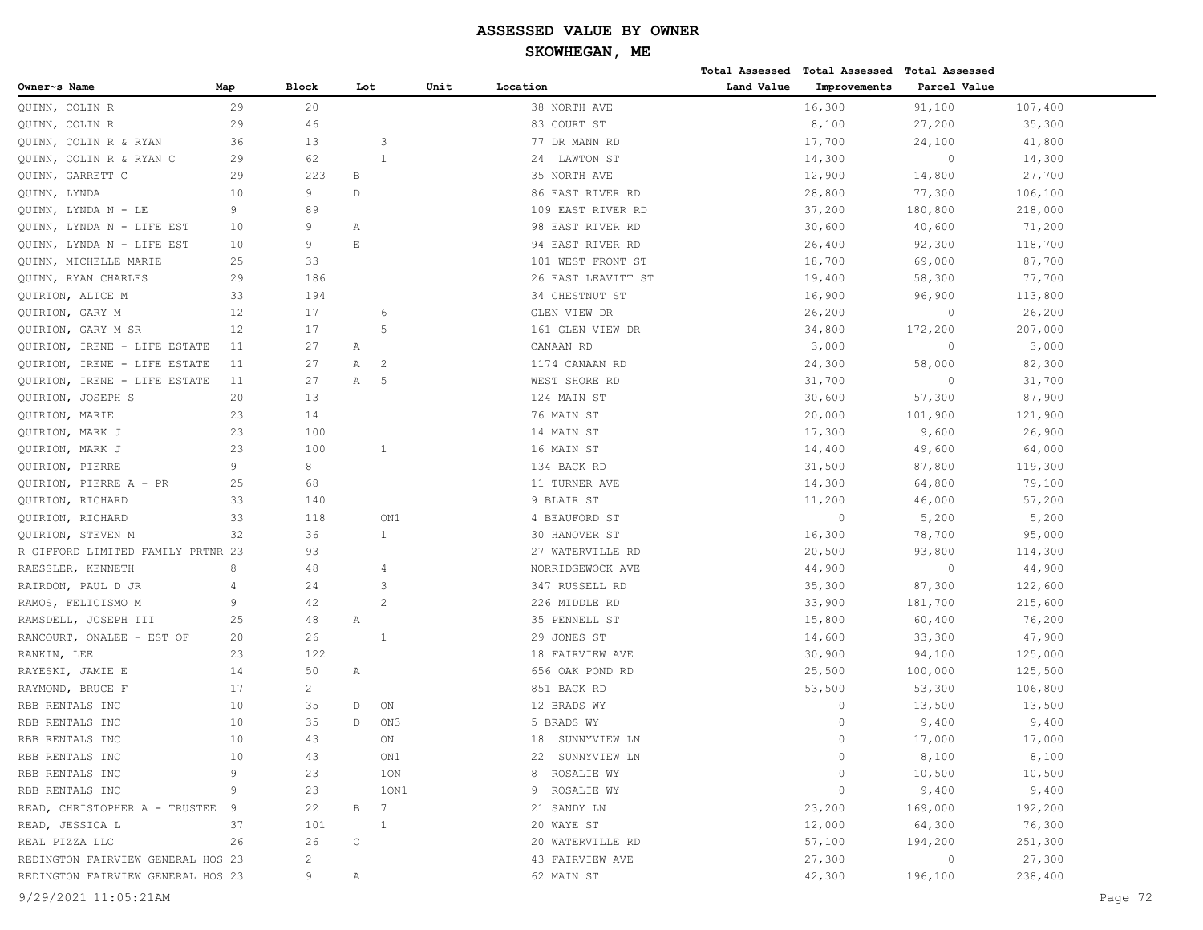| Land Value<br>Parcel Value<br>Block<br>Unit<br>Location<br>Improvements<br>Owner~s Name<br>Map<br>Lot<br>29<br>20<br>38 NORTH AVE<br>16,300<br>107,400<br>91,100<br>QUINN, COLIN R<br>COLIN R<br>29<br>46<br>83 COURT ST<br>8,100<br>27,200<br>35,300<br>QUINN,<br>13<br>17,700<br>QUINN, COLIN R & RYAN<br>36<br>3<br>77 DR MANN RD<br>24,100<br>41,800<br>$\mathbf{1}$<br>QUINN, COLIN R & RYAN C<br>29<br>62<br>24 LAWTON ST<br>14,300<br>$\circ$<br>14,300<br>223<br>12,900<br>27,700<br>QUINN,<br>GARRETT C<br>29<br>B<br>35 NORTH AVE<br>14,800<br>9<br>QUINN, LYNDA<br>10<br>D<br>86 EAST RIVER RD<br>28,800<br>77,300<br>106,100<br>9<br>89<br>37,200<br>180,800<br>218,000<br>QUINN, LYNDA N - LE<br>109 EAST RIVER RD<br>9<br>10<br>98 EAST RIVER RD<br>30,600<br>40,600<br>71,200<br>QUINN, LYNDA N - LIFE EST<br>Α<br>9<br>E<br>10<br>94 EAST RIVER RD<br>26,400<br>92,300<br>118,700<br>QUINN,<br>LYNDA N - LIFE EST<br>QUINN, MICHELLE MARIE<br>25<br>33<br>101 WEST FRONT ST<br>18,700<br>69,000<br>87,700<br>QUINN, RYAN CHARLES<br>29<br>186<br>26 EAST LEAVITT ST<br>19,400<br>58,300<br>77,700<br>QUIRION, ALICE M<br>33<br>194<br>34 CHESTNUT ST<br>16,900<br>96,900<br>113,800<br>12<br>GLEN VIEW DR<br>26,200<br>QUIRION, GARY M<br>17<br>6<br>26,200<br>$\circ$<br>17<br>12<br>.5<br>161 GLEN VIEW DR<br>34,800<br>172,200<br>207,000<br>QUIRION, GARY M SR<br>11<br>27<br>CANAAN RD<br>3,000<br>$\circ$<br>3,000<br>QUIRION, IRENE - LIFE ESTATE<br>Α<br>11<br>27<br>Α<br>2<br>1174 CANAAN RD<br>24,300<br>58,000<br>82,300<br>QUIRION, IRENE - LIFE ESTATE<br>27<br>Α<br>5<br>WEST SHORE RD<br>$\circ$<br>QUIRION, IRENE - LIFE ESTATE<br>11<br>31,700<br>31,700<br>QUIRION, JOSEPH S<br>20<br>13<br>124 MAIN ST<br>30,600<br>57,300<br>87,900<br>23<br>14<br>76 MAIN ST<br>20,000<br>QUIRION, MARIE<br>101,900<br>121,900<br>17,300<br>QUIRION, MARK J<br>23<br>100<br>14 MAIN ST<br>9,600<br>26,900<br>23<br>QUIRION, MARK J<br>100<br>$\mathbf{1}$<br>16 MAIN ST<br>14,400<br>49,600<br>64,000<br>9<br>8<br>134 BACK RD<br>31,500<br>87,800<br>119,300<br>QUIRION, PIERRE<br>68<br>25<br>11 TURNER AVE<br>14,300<br>64,800<br>79,100<br>QUIRION, PIERRE A - PR<br>QUIRION, RICHARD<br>33<br>140<br>9 BLAIR ST<br>11,200<br>46,000<br>57,200<br>33<br>ON1<br>$\circ$<br>QUIRION, RICHARD<br>118<br>4 BEAUFORD ST<br>5,200<br>5,200<br>32<br>36<br>30 HANOVER ST<br>16,300<br>78,700<br>95,000<br>QUIRION, STEVEN M<br>1<br>R GIFFORD LIMITED FAMILY PRTNR 23<br>93<br>27 WATERVILLE RD<br>20,500<br>93,800<br>114,300<br>8<br>RAESSLER, KENNETH<br>48<br>NORRIDGEWOCK AVE<br>44,900<br>$\circ$<br>44,900<br>4<br>347 RUSSELL RD<br>RAIRDON, PAUL D JR<br>4<br>24<br>3<br>35,300<br>87,300<br>122,600<br>$\mathcal{L}$<br>RAMOS, FELICISMO M<br>9<br>42<br>226 MIDDLE RD<br>33,900<br>181,700<br>215,600<br>48<br>25<br>35 PENNELL ST<br>15,800<br>60,400<br>76,200<br>RAMSDELL, JOSEPH III<br>Α<br>29 JONES ST<br>RANCOURT, ONALEE - EST OF<br>20<br>26<br>$\overline{1}$<br>14,600<br>33,300<br>47,900<br>23<br>122<br>RANKIN, LEE<br>18 FAIRVIEW AVE<br>30,900<br>94,100<br>125,000<br>14<br>50<br>656 OAK POND RD<br>25,500<br>100,000<br>125,500<br>RAYESKI, JAMIE E<br>Α<br>17<br>$\overline{c}$<br>851 BACK RD<br>53,500<br>53,300<br>106,800<br>RAYMOND, BRUCE F<br>RBB RENTALS INC<br>10<br>35<br>ON<br>12 BRADS WY<br>$\circ$<br>13,500<br>13,500<br>D<br>10<br>35<br>$\mathbb D$<br>ON3<br>RBB RENTALS INC<br>5 BRADS WY<br>$\circ$<br>9,400<br>9,400<br>10<br>43<br>17,000<br>17,000<br>RBB RENTALS INC<br>ON<br>18<br>SUNNYVIEW LN<br>$\bigcap$<br>8,100<br>10<br>43<br>ON1<br>0<br>8,100<br>RBB RENTALS INC<br>22 SUNNYVIEW LN<br>RBB RENTALS INC<br>9<br>23<br>1ON<br>ROSALIE WY<br>10,500<br>10,500<br>8<br>0<br>RBB RENTALS INC<br>9<br>ROSALIE WY<br>$\circ$<br>9,400<br>9,400<br>23<br>10N1<br>9<br>READ, CHRISTOPHER A - TRUSTEE<br>22<br>В<br>7<br>21 SANDY LN<br>23,200<br>169,000<br>192,200<br>9<br>20 WAYE ST<br>12,000<br>READ, JESSICA L<br>37<br>101<br>64,300<br>76,300<br>1<br>$\mathsf{C}$<br>REAL PIZZA LLC<br>26<br>26<br>20 WATERVILLE RD<br>57,100<br>194,200<br>251,300<br>$\overline{c}$<br>27,300<br>27,300<br>REDINGTON FAIRVIEW GENERAL HOS 23<br>43 FAIRVIEW AVE<br>$\circ$<br>REDINGTON FAIRVIEW GENERAL HOS 23<br>9<br>62 MAIN ST<br>42,300<br>196,100<br>238,400<br>Α |                      |  |  |  | Total Assessed Total Assessed | <b>Total Assessed</b> |         |
|---------------------------------------------------------------------------------------------------------------------------------------------------------------------------------------------------------------------------------------------------------------------------------------------------------------------------------------------------------------------------------------------------------------------------------------------------------------------------------------------------------------------------------------------------------------------------------------------------------------------------------------------------------------------------------------------------------------------------------------------------------------------------------------------------------------------------------------------------------------------------------------------------------------------------------------------------------------------------------------------------------------------------------------------------------------------------------------------------------------------------------------------------------------------------------------------------------------------------------------------------------------------------------------------------------------------------------------------------------------------------------------------------------------------------------------------------------------------------------------------------------------------------------------------------------------------------------------------------------------------------------------------------------------------------------------------------------------------------------------------------------------------------------------------------------------------------------------------------------------------------------------------------------------------------------------------------------------------------------------------------------------------------------------------------------------------------------------------------------------------------------------------------------------------------------------------------------------------------------------------------------------------------------------------------------------------------------------------------------------------------------------------------------------------------------------------------------------------------------------------------------------------------------------------------------------------------------------------------------------------------------------------------------------------------------------------------------------------------------------------------------------------------------------------------------------------------------------------------------------------------------------------------------------------------------------------------------------------------------------------------------------------------------------------------------------------------------------------------------------------------------------------------------------------------------------------------------------------------------------------------------------------------------------------------------------------------------------------------------------------------------------------------------------------------------------------------------------------------------------------------------------------------------------------------------------------------------------------------------------------------------------------------------------------------------------------------------------------------------------------------------------------------------------------------------------------------------------------------------------------------------------------------------------------------------------------------------------------------------------------------------------------------------------------------------------------------------------------------------------------------------------------------------------------------------------------------------------------------------------------------------------------------------------------------------------------------------------------|----------------------|--|--|--|-------------------------------|-----------------------|---------|
|                                                                                                                                                                                                                                                                                                                                                                                                                                                                                                                                                                                                                                                                                                                                                                                                                                                                                                                                                                                                                                                                                                                                                                                                                                                                                                                                                                                                                                                                                                                                                                                                                                                                                                                                                                                                                                                                                                                                                                                                                                                                                                                                                                                                                                                                                                                                                                                                                                                                                                                                                                                                                                                                                                                                                                                                                                                                                                                                                                                                                                                                                                                                                                                                                                                                                                                                                                                                                                                                                                                                                                                                                                                                                                                                                                                                                                                                                                                                                                                                                                                                                                                                                                                                                                                                                                                                             |                      |  |  |  |                               |                       |         |
|                                                                                                                                                                                                                                                                                                                                                                                                                                                                                                                                                                                                                                                                                                                                                                                                                                                                                                                                                                                                                                                                                                                                                                                                                                                                                                                                                                                                                                                                                                                                                                                                                                                                                                                                                                                                                                                                                                                                                                                                                                                                                                                                                                                                                                                                                                                                                                                                                                                                                                                                                                                                                                                                                                                                                                                                                                                                                                                                                                                                                                                                                                                                                                                                                                                                                                                                                                                                                                                                                                                                                                                                                                                                                                                                                                                                                                                                                                                                                                                                                                                                                                                                                                                                                                                                                                                                             |                      |  |  |  |                               |                       |         |
|                                                                                                                                                                                                                                                                                                                                                                                                                                                                                                                                                                                                                                                                                                                                                                                                                                                                                                                                                                                                                                                                                                                                                                                                                                                                                                                                                                                                                                                                                                                                                                                                                                                                                                                                                                                                                                                                                                                                                                                                                                                                                                                                                                                                                                                                                                                                                                                                                                                                                                                                                                                                                                                                                                                                                                                                                                                                                                                                                                                                                                                                                                                                                                                                                                                                                                                                                                                                                                                                                                                                                                                                                                                                                                                                                                                                                                                                                                                                                                                                                                                                                                                                                                                                                                                                                                                                             |                      |  |  |  |                               |                       |         |
|                                                                                                                                                                                                                                                                                                                                                                                                                                                                                                                                                                                                                                                                                                                                                                                                                                                                                                                                                                                                                                                                                                                                                                                                                                                                                                                                                                                                                                                                                                                                                                                                                                                                                                                                                                                                                                                                                                                                                                                                                                                                                                                                                                                                                                                                                                                                                                                                                                                                                                                                                                                                                                                                                                                                                                                                                                                                                                                                                                                                                                                                                                                                                                                                                                                                                                                                                                                                                                                                                                                                                                                                                                                                                                                                                                                                                                                                                                                                                                                                                                                                                                                                                                                                                                                                                                                                             |                      |  |  |  |                               |                       |         |
|                                                                                                                                                                                                                                                                                                                                                                                                                                                                                                                                                                                                                                                                                                                                                                                                                                                                                                                                                                                                                                                                                                                                                                                                                                                                                                                                                                                                                                                                                                                                                                                                                                                                                                                                                                                                                                                                                                                                                                                                                                                                                                                                                                                                                                                                                                                                                                                                                                                                                                                                                                                                                                                                                                                                                                                                                                                                                                                                                                                                                                                                                                                                                                                                                                                                                                                                                                                                                                                                                                                                                                                                                                                                                                                                                                                                                                                                                                                                                                                                                                                                                                                                                                                                                                                                                                                                             |                      |  |  |  |                               |                       |         |
|                                                                                                                                                                                                                                                                                                                                                                                                                                                                                                                                                                                                                                                                                                                                                                                                                                                                                                                                                                                                                                                                                                                                                                                                                                                                                                                                                                                                                                                                                                                                                                                                                                                                                                                                                                                                                                                                                                                                                                                                                                                                                                                                                                                                                                                                                                                                                                                                                                                                                                                                                                                                                                                                                                                                                                                                                                                                                                                                                                                                                                                                                                                                                                                                                                                                                                                                                                                                                                                                                                                                                                                                                                                                                                                                                                                                                                                                                                                                                                                                                                                                                                                                                                                                                                                                                                                                             |                      |  |  |  |                               |                       |         |
|                                                                                                                                                                                                                                                                                                                                                                                                                                                                                                                                                                                                                                                                                                                                                                                                                                                                                                                                                                                                                                                                                                                                                                                                                                                                                                                                                                                                                                                                                                                                                                                                                                                                                                                                                                                                                                                                                                                                                                                                                                                                                                                                                                                                                                                                                                                                                                                                                                                                                                                                                                                                                                                                                                                                                                                                                                                                                                                                                                                                                                                                                                                                                                                                                                                                                                                                                                                                                                                                                                                                                                                                                                                                                                                                                                                                                                                                                                                                                                                                                                                                                                                                                                                                                                                                                                                                             |                      |  |  |  |                               |                       |         |
|                                                                                                                                                                                                                                                                                                                                                                                                                                                                                                                                                                                                                                                                                                                                                                                                                                                                                                                                                                                                                                                                                                                                                                                                                                                                                                                                                                                                                                                                                                                                                                                                                                                                                                                                                                                                                                                                                                                                                                                                                                                                                                                                                                                                                                                                                                                                                                                                                                                                                                                                                                                                                                                                                                                                                                                                                                                                                                                                                                                                                                                                                                                                                                                                                                                                                                                                                                                                                                                                                                                                                                                                                                                                                                                                                                                                                                                                                                                                                                                                                                                                                                                                                                                                                                                                                                                                             |                      |  |  |  |                               |                       |         |
|                                                                                                                                                                                                                                                                                                                                                                                                                                                                                                                                                                                                                                                                                                                                                                                                                                                                                                                                                                                                                                                                                                                                                                                                                                                                                                                                                                                                                                                                                                                                                                                                                                                                                                                                                                                                                                                                                                                                                                                                                                                                                                                                                                                                                                                                                                                                                                                                                                                                                                                                                                                                                                                                                                                                                                                                                                                                                                                                                                                                                                                                                                                                                                                                                                                                                                                                                                                                                                                                                                                                                                                                                                                                                                                                                                                                                                                                                                                                                                                                                                                                                                                                                                                                                                                                                                                                             |                      |  |  |  |                               |                       |         |
|                                                                                                                                                                                                                                                                                                                                                                                                                                                                                                                                                                                                                                                                                                                                                                                                                                                                                                                                                                                                                                                                                                                                                                                                                                                                                                                                                                                                                                                                                                                                                                                                                                                                                                                                                                                                                                                                                                                                                                                                                                                                                                                                                                                                                                                                                                                                                                                                                                                                                                                                                                                                                                                                                                                                                                                                                                                                                                                                                                                                                                                                                                                                                                                                                                                                                                                                                                                                                                                                                                                                                                                                                                                                                                                                                                                                                                                                                                                                                                                                                                                                                                                                                                                                                                                                                                                                             |                      |  |  |  |                               |                       |         |
|                                                                                                                                                                                                                                                                                                                                                                                                                                                                                                                                                                                                                                                                                                                                                                                                                                                                                                                                                                                                                                                                                                                                                                                                                                                                                                                                                                                                                                                                                                                                                                                                                                                                                                                                                                                                                                                                                                                                                                                                                                                                                                                                                                                                                                                                                                                                                                                                                                                                                                                                                                                                                                                                                                                                                                                                                                                                                                                                                                                                                                                                                                                                                                                                                                                                                                                                                                                                                                                                                                                                                                                                                                                                                                                                                                                                                                                                                                                                                                                                                                                                                                                                                                                                                                                                                                                                             |                      |  |  |  |                               |                       |         |
|                                                                                                                                                                                                                                                                                                                                                                                                                                                                                                                                                                                                                                                                                                                                                                                                                                                                                                                                                                                                                                                                                                                                                                                                                                                                                                                                                                                                                                                                                                                                                                                                                                                                                                                                                                                                                                                                                                                                                                                                                                                                                                                                                                                                                                                                                                                                                                                                                                                                                                                                                                                                                                                                                                                                                                                                                                                                                                                                                                                                                                                                                                                                                                                                                                                                                                                                                                                                                                                                                                                                                                                                                                                                                                                                                                                                                                                                                                                                                                                                                                                                                                                                                                                                                                                                                                                                             |                      |  |  |  |                               |                       |         |
|                                                                                                                                                                                                                                                                                                                                                                                                                                                                                                                                                                                                                                                                                                                                                                                                                                                                                                                                                                                                                                                                                                                                                                                                                                                                                                                                                                                                                                                                                                                                                                                                                                                                                                                                                                                                                                                                                                                                                                                                                                                                                                                                                                                                                                                                                                                                                                                                                                                                                                                                                                                                                                                                                                                                                                                                                                                                                                                                                                                                                                                                                                                                                                                                                                                                                                                                                                                                                                                                                                                                                                                                                                                                                                                                                                                                                                                                                                                                                                                                                                                                                                                                                                                                                                                                                                                                             |                      |  |  |  |                               |                       |         |
|                                                                                                                                                                                                                                                                                                                                                                                                                                                                                                                                                                                                                                                                                                                                                                                                                                                                                                                                                                                                                                                                                                                                                                                                                                                                                                                                                                                                                                                                                                                                                                                                                                                                                                                                                                                                                                                                                                                                                                                                                                                                                                                                                                                                                                                                                                                                                                                                                                                                                                                                                                                                                                                                                                                                                                                                                                                                                                                                                                                                                                                                                                                                                                                                                                                                                                                                                                                                                                                                                                                                                                                                                                                                                                                                                                                                                                                                                                                                                                                                                                                                                                                                                                                                                                                                                                                                             |                      |  |  |  |                               |                       |         |
|                                                                                                                                                                                                                                                                                                                                                                                                                                                                                                                                                                                                                                                                                                                                                                                                                                                                                                                                                                                                                                                                                                                                                                                                                                                                                                                                                                                                                                                                                                                                                                                                                                                                                                                                                                                                                                                                                                                                                                                                                                                                                                                                                                                                                                                                                                                                                                                                                                                                                                                                                                                                                                                                                                                                                                                                                                                                                                                                                                                                                                                                                                                                                                                                                                                                                                                                                                                                                                                                                                                                                                                                                                                                                                                                                                                                                                                                                                                                                                                                                                                                                                                                                                                                                                                                                                                                             |                      |  |  |  |                               |                       |         |
|                                                                                                                                                                                                                                                                                                                                                                                                                                                                                                                                                                                                                                                                                                                                                                                                                                                                                                                                                                                                                                                                                                                                                                                                                                                                                                                                                                                                                                                                                                                                                                                                                                                                                                                                                                                                                                                                                                                                                                                                                                                                                                                                                                                                                                                                                                                                                                                                                                                                                                                                                                                                                                                                                                                                                                                                                                                                                                                                                                                                                                                                                                                                                                                                                                                                                                                                                                                                                                                                                                                                                                                                                                                                                                                                                                                                                                                                                                                                                                                                                                                                                                                                                                                                                                                                                                                                             |                      |  |  |  |                               |                       |         |
|                                                                                                                                                                                                                                                                                                                                                                                                                                                                                                                                                                                                                                                                                                                                                                                                                                                                                                                                                                                                                                                                                                                                                                                                                                                                                                                                                                                                                                                                                                                                                                                                                                                                                                                                                                                                                                                                                                                                                                                                                                                                                                                                                                                                                                                                                                                                                                                                                                                                                                                                                                                                                                                                                                                                                                                                                                                                                                                                                                                                                                                                                                                                                                                                                                                                                                                                                                                                                                                                                                                                                                                                                                                                                                                                                                                                                                                                                                                                                                                                                                                                                                                                                                                                                                                                                                                                             |                      |  |  |  |                               |                       |         |
|                                                                                                                                                                                                                                                                                                                                                                                                                                                                                                                                                                                                                                                                                                                                                                                                                                                                                                                                                                                                                                                                                                                                                                                                                                                                                                                                                                                                                                                                                                                                                                                                                                                                                                                                                                                                                                                                                                                                                                                                                                                                                                                                                                                                                                                                                                                                                                                                                                                                                                                                                                                                                                                                                                                                                                                                                                                                                                                                                                                                                                                                                                                                                                                                                                                                                                                                                                                                                                                                                                                                                                                                                                                                                                                                                                                                                                                                                                                                                                                                                                                                                                                                                                                                                                                                                                                                             |                      |  |  |  |                               |                       |         |
|                                                                                                                                                                                                                                                                                                                                                                                                                                                                                                                                                                                                                                                                                                                                                                                                                                                                                                                                                                                                                                                                                                                                                                                                                                                                                                                                                                                                                                                                                                                                                                                                                                                                                                                                                                                                                                                                                                                                                                                                                                                                                                                                                                                                                                                                                                                                                                                                                                                                                                                                                                                                                                                                                                                                                                                                                                                                                                                                                                                                                                                                                                                                                                                                                                                                                                                                                                                                                                                                                                                                                                                                                                                                                                                                                                                                                                                                                                                                                                                                                                                                                                                                                                                                                                                                                                                                             |                      |  |  |  |                               |                       |         |
|                                                                                                                                                                                                                                                                                                                                                                                                                                                                                                                                                                                                                                                                                                                                                                                                                                                                                                                                                                                                                                                                                                                                                                                                                                                                                                                                                                                                                                                                                                                                                                                                                                                                                                                                                                                                                                                                                                                                                                                                                                                                                                                                                                                                                                                                                                                                                                                                                                                                                                                                                                                                                                                                                                                                                                                                                                                                                                                                                                                                                                                                                                                                                                                                                                                                                                                                                                                                                                                                                                                                                                                                                                                                                                                                                                                                                                                                                                                                                                                                                                                                                                                                                                                                                                                                                                                                             |                      |  |  |  |                               |                       |         |
|                                                                                                                                                                                                                                                                                                                                                                                                                                                                                                                                                                                                                                                                                                                                                                                                                                                                                                                                                                                                                                                                                                                                                                                                                                                                                                                                                                                                                                                                                                                                                                                                                                                                                                                                                                                                                                                                                                                                                                                                                                                                                                                                                                                                                                                                                                                                                                                                                                                                                                                                                                                                                                                                                                                                                                                                                                                                                                                                                                                                                                                                                                                                                                                                                                                                                                                                                                                                                                                                                                                                                                                                                                                                                                                                                                                                                                                                                                                                                                                                                                                                                                                                                                                                                                                                                                                                             |                      |  |  |  |                               |                       |         |
|                                                                                                                                                                                                                                                                                                                                                                                                                                                                                                                                                                                                                                                                                                                                                                                                                                                                                                                                                                                                                                                                                                                                                                                                                                                                                                                                                                                                                                                                                                                                                                                                                                                                                                                                                                                                                                                                                                                                                                                                                                                                                                                                                                                                                                                                                                                                                                                                                                                                                                                                                                                                                                                                                                                                                                                                                                                                                                                                                                                                                                                                                                                                                                                                                                                                                                                                                                                                                                                                                                                                                                                                                                                                                                                                                                                                                                                                                                                                                                                                                                                                                                                                                                                                                                                                                                                                             |                      |  |  |  |                               |                       |         |
|                                                                                                                                                                                                                                                                                                                                                                                                                                                                                                                                                                                                                                                                                                                                                                                                                                                                                                                                                                                                                                                                                                                                                                                                                                                                                                                                                                                                                                                                                                                                                                                                                                                                                                                                                                                                                                                                                                                                                                                                                                                                                                                                                                                                                                                                                                                                                                                                                                                                                                                                                                                                                                                                                                                                                                                                                                                                                                                                                                                                                                                                                                                                                                                                                                                                                                                                                                                                                                                                                                                                                                                                                                                                                                                                                                                                                                                                                                                                                                                                                                                                                                                                                                                                                                                                                                                                             |                      |  |  |  |                               |                       |         |
|                                                                                                                                                                                                                                                                                                                                                                                                                                                                                                                                                                                                                                                                                                                                                                                                                                                                                                                                                                                                                                                                                                                                                                                                                                                                                                                                                                                                                                                                                                                                                                                                                                                                                                                                                                                                                                                                                                                                                                                                                                                                                                                                                                                                                                                                                                                                                                                                                                                                                                                                                                                                                                                                                                                                                                                                                                                                                                                                                                                                                                                                                                                                                                                                                                                                                                                                                                                                                                                                                                                                                                                                                                                                                                                                                                                                                                                                                                                                                                                                                                                                                                                                                                                                                                                                                                                                             |                      |  |  |  |                               |                       |         |
|                                                                                                                                                                                                                                                                                                                                                                                                                                                                                                                                                                                                                                                                                                                                                                                                                                                                                                                                                                                                                                                                                                                                                                                                                                                                                                                                                                                                                                                                                                                                                                                                                                                                                                                                                                                                                                                                                                                                                                                                                                                                                                                                                                                                                                                                                                                                                                                                                                                                                                                                                                                                                                                                                                                                                                                                                                                                                                                                                                                                                                                                                                                                                                                                                                                                                                                                                                                                                                                                                                                                                                                                                                                                                                                                                                                                                                                                                                                                                                                                                                                                                                                                                                                                                                                                                                                                             |                      |  |  |  |                               |                       |         |
|                                                                                                                                                                                                                                                                                                                                                                                                                                                                                                                                                                                                                                                                                                                                                                                                                                                                                                                                                                                                                                                                                                                                                                                                                                                                                                                                                                                                                                                                                                                                                                                                                                                                                                                                                                                                                                                                                                                                                                                                                                                                                                                                                                                                                                                                                                                                                                                                                                                                                                                                                                                                                                                                                                                                                                                                                                                                                                                                                                                                                                                                                                                                                                                                                                                                                                                                                                                                                                                                                                                                                                                                                                                                                                                                                                                                                                                                                                                                                                                                                                                                                                                                                                                                                                                                                                                                             |                      |  |  |  |                               |                       |         |
|                                                                                                                                                                                                                                                                                                                                                                                                                                                                                                                                                                                                                                                                                                                                                                                                                                                                                                                                                                                                                                                                                                                                                                                                                                                                                                                                                                                                                                                                                                                                                                                                                                                                                                                                                                                                                                                                                                                                                                                                                                                                                                                                                                                                                                                                                                                                                                                                                                                                                                                                                                                                                                                                                                                                                                                                                                                                                                                                                                                                                                                                                                                                                                                                                                                                                                                                                                                                                                                                                                                                                                                                                                                                                                                                                                                                                                                                                                                                                                                                                                                                                                                                                                                                                                                                                                                                             |                      |  |  |  |                               |                       |         |
|                                                                                                                                                                                                                                                                                                                                                                                                                                                                                                                                                                                                                                                                                                                                                                                                                                                                                                                                                                                                                                                                                                                                                                                                                                                                                                                                                                                                                                                                                                                                                                                                                                                                                                                                                                                                                                                                                                                                                                                                                                                                                                                                                                                                                                                                                                                                                                                                                                                                                                                                                                                                                                                                                                                                                                                                                                                                                                                                                                                                                                                                                                                                                                                                                                                                                                                                                                                                                                                                                                                                                                                                                                                                                                                                                                                                                                                                                                                                                                                                                                                                                                                                                                                                                                                                                                                                             |                      |  |  |  |                               |                       |         |
|                                                                                                                                                                                                                                                                                                                                                                                                                                                                                                                                                                                                                                                                                                                                                                                                                                                                                                                                                                                                                                                                                                                                                                                                                                                                                                                                                                                                                                                                                                                                                                                                                                                                                                                                                                                                                                                                                                                                                                                                                                                                                                                                                                                                                                                                                                                                                                                                                                                                                                                                                                                                                                                                                                                                                                                                                                                                                                                                                                                                                                                                                                                                                                                                                                                                                                                                                                                                                                                                                                                                                                                                                                                                                                                                                                                                                                                                                                                                                                                                                                                                                                                                                                                                                                                                                                                                             |                      |  |  |  |                               |                       |         |
|                                                                                                                                                                                                                                                                                                                                                                                                                                                                                                                                                                                                                                                                                                                                                                                                                                                                                                                                                                                                                                                                                                                                                                                                                                                                                                                                                                                                                                                                                                                                                                                                                                                                                                                                                                                                                                                                                                                                                                                                                                                                                                                                                                                                                                                                                                                                                                                                                                                                                                                                                                                                                                                                                                                                                                                                                                                                                                                                                                                                                                                                                                                                                                                                                                                                                                                                                                                                                                                                                                                                                                                                                                                                                                                                                                                                                                                                                                                                                                                                                                                                                                                                                                                                                                                                                                                                             |                      |  |  |  |                               |                       |         |
|                                                                                                                                                                                                                                                                                                                                                                                                                                                                                                                                                                                                                                                                                                                                                                                                                                                                                                                                                                                                                                                                                                                                                                                                                                                                                                                                                                                                                                                                                                                                                                                                                                                                                                                                                                                                                                                                                                                                                                                                                                                                                                                                                                                                                                                                                                                                                                                                                                                                                                                                                                                                                                                                                                                                                                                                                                                                                                                                                                                                                                                                                                                                                                                                                                                                                                                                                                                                                                                                                                                                                                                                                                                                                                                                                                                                                                                                                                                                                                                                                                                                                                                                                                                                                                                                                                                                             |                      |  |  |  |                               |                       |         |
|                                                                                                                                                                                                                                                                                                                                                                                                                                                                                                                                                                                                                                                                                                                                                                                                                                                                                                                                                                                                                                                                                                                                                                                                                                                                                                                                                                                                                                                                                                                                                                                                                                                                                                                                                                                                                                                                                                                                                                                                                                                                                                                                                                                                                                                                                                                                                                                                                                                                                                                                                                                                                                                                                                                                                                                                                                                                                                                                                                                                                                                                                                                                                                                                                                                                                                                                                                                                                                                                                                                                                                                                                                                                                                                                                                                                                                                                                                                                                                                                                                                                                                                                                                                                                                                                                                                                             |                      |  |  |  |                               |                       |         |
|                                                                                                                                                                                                                                                                                                                                                                                                                                                                                                                                                                                                                                                                                                                                                                                                                                                                                                                                                                                                                                                                                                                                                                                                                                                                                                                                                                                                                                                                                                                                                                                                                                                                                                                                                                                                                                                                                                                                                                                                                                                                                                                                                                                                                                                                                                                                                                                                                                                                                                                                                                                                                                                                                                                                                                                                                                                                                                                                                                                                                                                                                                                                                                                                                                                                                                                                                                                                                                                                                                                                                                                                                                                                                                                                                                                                                                                                                                                                                                                                                                                                                                                                                                                                                                                                                                                                             |                      |  |  |  |                               |                       |         |
|                                                                                                                                                                                                                                                                                                                                                                                                                                                                                                                                                                                                                                                                                                                                                                                                                                                                                                                                                                                                                                                                                                                                                                                                                                                                                                                                                                                                                                                                                                                                                                                                                                                                                                                                                                                                                                                                                                                                                                                                                                                                                                                                                                                                                                                                                                                                                                                                                                                                                                                                                                                                                                                                                                                                                                                                                                                                                                                                                                                                                                                                                                                                                                                                                                                                                                                                                                                                                                                                                                                                                                                                                                                                                                                                                                                                                                                                                                                                                                                                                                                                                                                                                                                                                                                                                                                                             |                      |  |  |  |                               |                       |         |
|                                                                                                                                                                                                                                                                                                                                                                                                                                                                                                                                                                                                                                                                                                                                                                                                                                                                                                                                                                                                                                                                                                                                                                                                                                                                                                                                                                                                                                                                                                                                                                                                                                                                                                                                                                                                                                                                                                                                                                                                                                                                                                                                                                                                                                                                                                                                                                                                                                                                                                                                                                                                                                                                                                                                                                                                                                                                                                                                                                                                                                                                                                                                                                                                                                                                                                                                                                                                                                                                                                                                                                                                                                                                                                                                                                                                                                                                                                                                                                                                                                                                                                                                                                                                                                                                                                                                             |                      |  |  |  |                               |                       |         |
|                                                                                                                                                                                                                                                                                                                                                                                                                                                                                                                                                                                                                                                                                                                                                                                                                                                                                                                                                                                                                                                                                                                                                                                                                                                                                                                                                                                                                                                                                                                                                                                                                                                                                                                                                                                                                                                                                                                                                                                                                                                                                                                                                                                                                                                                                                                                                                                                                                                                                                                                                                                                                                                                                                                                                                                                                                                                                                                                                                                                                                                                                                                                                                                                                                                                                                                                                                                                                                                                                                                                                                                                                                                                                                                                                                                                                                                                                                                                                                                                                                                                                                                                                                                                                                                                                                                                             |                      |  |  |  |                               |                       |         |
|                                                                                                                                                                                                                                                                                                                                                                                                                                                                                                                                                                                                                                                                                                                                                                                                                                                                                                                                                                                                                                                                                                                                                                                                                                                                                                                                                                                                                                                                                                                                                                                                                                                                                                                                                                                                                                                                                                                                                                                                                                                                                                                                                                                                                                                                                                                                                                                                                                                                                                                                                                                                                                                                                                                                                                                                                                                                                                                                                                                                                                                                                                                                                                                                                                                                                                                                                                                                                                                                                                                                                                                                                                                                                                                                                                                                                                                                                                                                                                                                                                                                                                                                                                                                                                                                                                                                             |                      |  |  |  |                               |                       |         |
|                                                                                                                                                                                                                                                                                                                                                                                                                                                                                                                                                                                                                                                                                                                                                                                                                                                                                                                                                                                                                                                                                                                                                                                                                                                                                                                                                                                                                                                                                                                                                                                                                                                                                                                                                                                                                                                                                                                                                                                                                                                                                                                                                                                                                                                                                                                                                                                                                                                                                                                                                                                                                                                                                                                                                                                                                                                                                                                                                                                                                                                                                                                                                                                                                                                                                                                                                                                                                                                                                                                                                                                                                                                                                                                                                                                                                                                                                                                                                                                                                                                                                                                                                                                                                                                                                                                                             |                      |  |  |  |                               |                       |         |
|                                                                                                                                                                                                                                                                                                                                                                                                                                                                                                                                                                                                                                                                                                                                                                                                                                                                                                                                                                                                                                                                                                                                                                                                                                                                                                                                                                                                                                                                                                                                                                                                                                                                                                                                                                                                                                                                                                                                                                                                                                                                                                                                                                                                                                                                                                                                                                                                                                                                                                                                                                                                                                                                                                                                                                                                                                                                                                                                                                                                                                                                                                                                                                                                                                                                                                                                                                                                                                                                                                                                                                                                                                                                                                                                                                                                                                                                                                                                                                                                                                                                                                                                                                                                                                                                                                                                             |                      |  |  |  |                               |                       |         |
|                                                                                                                                                                                                                                                                                                                                                                                                                                                                                                                                                                                                                                                                                                                                                                                                                                                                                                                                                                                                                                                                                                                                                                                                                                                                                                                                                                                                                                                                                                                                                                                                                                                                                                                                                                                                                                                                                                                                                                                                                                                                                                                                                                                                                                                                                                                                                                                                                                                                                                                                                                                                                                                                                                                                                                                                                                                                                                                                                                                                                                                                                                                                                                                                                                                                                                                                                                                                                                                                                                                                                                                                                                                                                                                                                                                                                                                                                                                                                                                                                                                                                                                                                                                                                                                                                                                                             |                      |  |  |  |                               |                       |         |
|                                                                                                                                                                                                                                                                                                                                                                                                                                                                                                                                                                                                                                                                                                                                                                                                                                                                                                                                                                                                                                                                                                                                                                                                                                                                                                                                                                                                                                                                                                                                                                                                                                                                                                                                                                                                                                                                                                                                                                                                                                                                                                                                                                                                                                                                                                                                                                                                                                                                                                                                                                                                                                                                                                                                                                                                                                                                                                                                                                                                                                                                                                                                                                                                                                                                                                                                                                                                                                                                                                                                                                                                                                                                                                                                                                                                                                                                                                                                                                                                                                                                                                                                                                                                                                                                                                                                             |                      |  |  |  |                               |                       |         |
|                                                                                                                                                                                                                                                                                                                                                                                                                                                                                                                                                                                                                                                                                                                                                                                                                                                                                                                                                                                                                                                                                                                                                                                                                                                                                                                                                                                                                                                                                                                                                                                                                                                                                                                                                                                                                                                                                                                                                                                                                                                                                                                                                                                                                                                                                                                                                                                                                                                                                                                                                                                                                                                                                                                                                                                                                                                                                                                                                                                                                                                                                                                                                                                                                                                                                                                                                                                                                                                                                                                                                                                                                                                                                                                                                                                                                                                                                                                                                                                                                                                                                                                                                                                                                                                                                                                                             |                      |  |  |  |                               |                       |         |
|                                                                                                                                                                                                                                                                                                                                                                                                                                                                                                                                                                                                                                                                                                                                                                                                                                                                                                                                                                                                                                                                                                                                                                                                                                                                                                                                                                                                                                                                                                                                                                                                                                                                                                                                                                                                                                                                                                                                                                                                                                                                                                                                                                                                                                                                                                                                                                                                                                                                                                                                                                                                                                                                                                                                                                                                                                                                                                                                                                                                                                                                                                                                                                                                                                                                                                                                                                                                                                                                                                                                                                                                                                                                                                                                                                                                                                                                                                                                                                                                                                                                                                                                                                                                                                                                                                                                             |                      |  |  |  |                               |                       |         |
|                                                                                                                                                                                                                                                                                                                                                                                                                                                                                                                                                                                                                                                                                                                                                                                                                                                                                                                                                                                                                                                                                                                                                                                                                                                                                                                                                                                                                                                                                                                                                                                                                                                                                                                                                                                                                                                                                                                                                                                                                                                                                                                                                                                                                                                                                                                                                                                                                                                                                                                                                                                                                                                                                                                                                                                                                                                                                                                                                                                                                                                                                                                                                                                                                                                                                                                                                                                                                                                                                                                                                                                                                                                                                                                                                                                                                                                                                                                                                                                                                                                                                                                                                                                                                                                                                                                                             |                      |  |  |  |                               |                       |         |
|                                                                                                                                                                                                                                                                                                                                                                                                                                                                                                                                                                                                                                                                                                                                                                                                                                                                                                                                                                                                                                                                                                                                                                                                                                                                                                                                                                                                                                                                                                                                                                                                                                                                                                                                                                                                                                                                                                                                                                                                                                                                                                                                                                                                                                                                                                                                                                                                                                                                                                                                                                                                                                                                                                                                                                                                                                                                                                                                                                                                                                                                                                                                                                                                                                                                                                                                                                                                                                                                                                                                                                                                                                                                                                                                                                                                                                                                                                                                                                                                                                                                                                                                                                                                                                                                                                                                             |                      |  |  |  |                               |                       |         |
|                                                                                                                                                                                                                                                                                                                                                                                                                                                                                                                                                                                                                                                                                                                                                                                                                                                                                                                                                                                                                                                                                                                                                                                                                                                                                                                                                                                                                                                                                                                                                                                                                                                                                                                                                                                                                                                                                                                                                                                                                                                                                                                                                                                                                                                                                                                                                                                                                                                                                                                                                                                                                                                                                                                                                                                                                                                                                                                                                                                                                                                                                                                                                                                                                                                                                                                                                                                                                                                                                                                                                                                                                                                                                                                                                                                                                                                                                                                                                                                                                                                                                                                                                                                                                                                                                                                                             |                      |  |  |  |                               |                       |         |
|                                                                                                                                                                                                                                                                                                                                                                                                                                                                                                                                                                                                                                                                                                                                                                                                                                                                                                                                                                                                                                                                                                                                                                                                                                                                                                                                                                                                                                                                                                                                                                                                                                                                                                                                                                                                                                                                                                                                                                                                                                                                                                                                                                                                                                                                                                                                                                                                                                                                                                                                                                                                                                                                                                                                                                                                                                                                                                                                                                                                                                                                                                                                                                                                                                                                                                                                                                                                                                                                                                                                                                                                                                                                                                                                                                                                                                                                                                                                                                                                                                                                                                                                                                                                                                                                                                                                             |                      |  |  |  |                               |                       |         |
|                                                                                                                                                                                                                                                                                                                                                                                                                                                                                                                                                                                                                                                                                                                                                                                                                                                                                                                                                                                                                                                                                                                                                                                                                                                                                                                                                                                                                                                                                                                                                                                                                                                                                                                                                                                                                                                                                                                                                                                                                                                                                                                                                                                                                                                                                                                                                                                                                                                                                                                                                                                                                                                                                                                                                                                                                                                                                                                                                                                                                                                                                                                                                                                                                                                                                                                                                                                                                                                                                                                                                                                                                                                                                                                                                                                                                                                                                                                                                                                                                                                                                                                                                                                                                                                                                                                                             | 9/29/2021 11:05:21AM |  |  |  |                               |                       | Page 72 |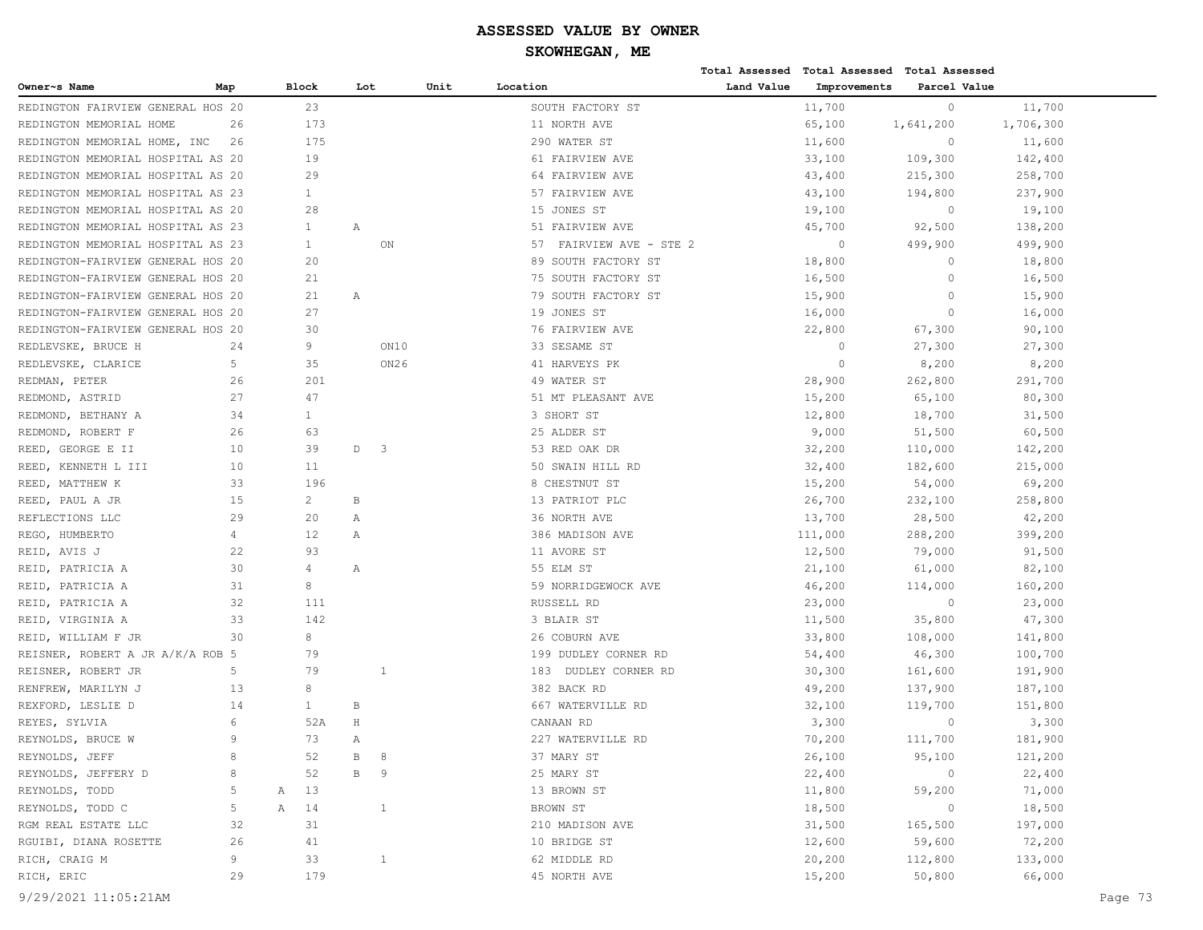|                                   |              |   |              |              |                         |      |                            |            | Total Assessed Total Assessed Total Assessed |              |           |         |
|-----------------------------------|--------------|---|--------------|--------------|-------------------------|------|----------------------------|------------|----------------------------------------------|--------------|-----------|---------|
| Owner~s Name                      | Map          |   | <b>Block</b> | Lot          |                         | Unit | Location                   | Land Value | Improvements                                 | Parcel Value |           |         |
| REDINGTON FAIRVIEW GENERAL HOS 20 |              |   | 23           |              |                         |      | SOUTH FACTORY ST           |            | 11,700                                       | $\circ$      | 11,700    |         |
| REDINGTON MEMORIAL HOME           | 26           |   | 173          |              |                         |      | 11 NORTH AVE               |            | 65,100                                       | 1,641,200    | 1,706,300 |         |
| REDINGTON MEMORIAL HOME, INC      | 26           |   | 175          |              |                         |      | 290 WATER ST               |            | 11,600                                       | $\circ$      | 11,600    |         |
| REDINGTON MEMORIAL HOSPITAL AS 20 |              |   | 19           |              |                         |      | 61 FAIRVIEW AVE            |            | 33,100                                       | 109,300      | 142,400   |         |
| REDINGTON MEMORIAL HOSPITAL AS 20 |              |   | 29           |              |                         |      | 64 FAIRVIEW AVE            |            | 43,400                                       | 215,300      | 258,700   |         |
| REDINGTON MEMORIAL HOSPITAL AS 23 |              |   | $\mathbf{1}$ |              |                         |      | 57 FAIRVIEW AVE            |            | 43,100                                       | 194,800      | 237,900   |         |
| REDINGTON MEMORIAL HOSPITAL AS 20 |              |   | 28           |              |                         |      | 15 JONES ST                |            | 19,100                                       | $\circ$      | 19,100    |         |
| REDINGTON MEMORIAL HOSPITAL AS 23 |              |   | $\mathbf{1}$ | Α            |                         |      | 51 FAIRVIEW AVE            |            | 45,700                                       | 92,500       | 138,200   |         |
| REDINGTON MEMORIAL HOSPITAL AS 23 |              |   | $\mathbf{1}$ |              | ON                      |      | FAIRVIEW AVE - STE 2<br>57 |            | $\circ$                                      | 499,900      | 499,900   |         |
| REDINGTON-FAIRVIEW GENERAL HOS 20 |              |   | 20           |              |                         |      | 89 SOUTH FACTORY ST        |            | 18,800                                       | $\circ$      | 18,800    |         |
| REDINGTON-FAIRVIEW GENERAL HOS 20 |              |   | 21           |              |                         |      | 75 SOUTH FACTORY ST        |            | 16,500                                       | $\circ$      | 16,500    |         |
| REDINGTON-FAIRVIEW GENERAL HOS 20 |              |   | 21           | Α            |                         |      | 79 SOUTH FACTORY ST        |            | 15,900                                       | $\circ$      | 15,900    |         |
| REDINGTON-FAIRVIEW GENERAL HOS 20 |              |   | 27           |              |                         |      | 19 JONES ST                |            | 16,000                                       | $\circ$      | 16,000    |         |
| REDINGTON-FAIRVIEW GENERAL HOS 20 |              |   | 30           |              |                         |      | 76 FAIRVIEW AVE            |            | 22,800                                       | 67,300       | 90,100    |         |
| REDLEVSKE, BRUCE H                | 24           |   | 9            |              | ON10                    |      | 33 SESAME ST               |            | $\circ$                                      | 27,300       | 27,300    |         |
| REDLEVSKE, CLARICE                | 5            |   | 35           |              | ON26                    |      | 41 HARVEYS PK              |            | $\circ$                                      | 8,200        | 8,200     |         |
| REDMAN, PETER                     | 26           |   | 201          |              |                         |      | 49 WATER ST                |            | 28,900                                       | 262,800      | 291,700   |         |
| REDMOND, ASTRID                   | 27           |   | 47           |              |                         |      | 51 MT PLEASANT AVE         |            | 15,200                                       | 65,100       | 80,300    |         |
| REDMOND, BETHANY A                | 34           |   | $\mathbf{1}$ |              |                         |      | 3 SHORT ST                 |            | 12,800                                       | 18,700       | 31,500    |         |
| REDMOND, ROBERT F                 | 26           |   | 63           |              |                         |      | 25 ALDER ST                |            | 9,000                                        | 51,500       | 60,500    |         |
| REED, GEORGE E II                 | 10           |   | 39           | $\mathbb D$  | $\overline{\mathbf{3}}$ |      | 53 RED OAK DR              |            | 32,200                                       | 110,000      | 142,200   |         |
| REED, KENNETH L III               | 10           |   | 11           |              |                         |      | 50 SWAIN HILL RD           |            | 32,400                                       | 182,600      | 215,000   |         |
| REED, MATTHEW K                   | 33           |   | 196          |              |                         |      | 8 CHESTNUT ST              |            | 15,200                                       | 54,000       | 69,200    |         |
| REED, PAUL A JR                   | 15           |   | $\mathbf{2}$ | B            |                         |      | 13 PATRIOT PLC             |            | 26,700                                       | 232,100      | 258,800   |         |
| REFLECTIONS LLC                   | 29           |   | 20           | Α            |                         |      | 36 NORTH AVE               |            | 13,700                                       | 28,500       | 42,200    |         |
| REGO, HUMBERTO                    | 4            |   | 12           | Α            |                         |      | 386 MADISON AVE            |            | 111,000                                      | 288,200      | 399,200   |         |
| REID, AVIS J                      | 22           |   | 93           |              |                         |      | 11 AVORE ST                |            | 12,500                                       | 79,000       | 91,500    |         |
| REID, PATRICIA A                  | 30           |   | 4            | Α            |                         |      | 55 ELM ST                  |            | 21,100                                       | 61,000       | 82,100    |         |
| REID, PATRICIA A                  | 31           |   | 8            |              |                         |      | 59 NORRIDGEWOCK AVE        |            | 46,200                                       | 114,000      | 160,200   |         |
| REID, PATRICIA A                  | 32           |   | 111          |              |                         |      | RUSSELL RD                 |            | 23,000                                       | $\circ$      | 23,000    |         |
| REID, VIRGINIA A                  | 33           |   | 142          |              |                         |      | 3 BLAIR ST                 |            | 11,500                                       | 35,800       | 47,300    |         |
| REID, WILLIAM F JR                | 30           |   | 8            |              |                         |      | 26 COBURN AVE              |            | 33,800                                       | 108,000      | 141,800   |         |
| REISNER, ROBERT A JR A/K/A ROB 5  |              |   | 79           |              |                         |      | 199 DUDLEY CORNER RD       |            | 54,400                                       | 46,300       | 100,700   |         |
| REISNER, ROBERT JR                | 5            |   | 79           |              | 1                       |      | DUDLEY CORNER RD<br>183    |            | 30,300                                       | 161,600      | 191,900   |         |
| RENFREW, MARILYN J                | 13           |   | 8            |              |                         |      | 382 BACK RD                |            | 49,200                                       | 137,900      | 187,100   |         |
| REXFORD, LESLIE D                 | 14           |   | $\mathbf{1}$ | В            |                         |      | 667 WATERVILLE RD          |            | 32,100                                       | 119,700      | 151,800   |         |
| REYES, SYLVIA                     | 6            |   | 52A          | $\rm H$      |                         |      | CANAAN RD                  |            | 3,300                                        | $\circ$      | 3,300     |         |
| REYNOLDS, BRUCE W                 | $\mathbf{Q}$ |   | 73           | Α            |                         |      | 227 WATERVILLE RD          |            | 70,200                                       | 111,700      | 181,900   |         |
| REYNOLDS, JEFF                    | 8            |   | 52           | $\, {\bf B}$ | 8                       |      | 37 MARY ST                 |            | 26,100                                       | 95,100       | 121,200   |         |
| REYNOLDS, JEFFERY D               | 8            |   | 52           | В            | - 9                     |      | 25 MARY ST                 |            | 22,400                                       | $\circ$      | 22,400    |         |
| REYNOLDS, TODD                    | 5            | Α | 13           |              |                         |      | 13 BROWN ST                |            | 11,800                                       | 59,200       | 71,000    |         |
| REYNOLDS, TODD C                  | 5            | A | 14           |              | 1                       |      | BROWN ST                   |            | 18,500                                       | $\circ$      | 18,500    |         |
| RGM REAL ESTATE LLC               | 32           |   | 31           |              |                         |      | 210 MADISON AVE            |            | 31,500                                       | 165,500      | 197,000   |         |
| RGUIBI, DIANA ROSETTE             | 26           |   | 41           |              |                         |      | 10 BRIDGE ST               |            | 12,600                                       | 59,600       | 72,200    |         |
| RICH, CRAIG M                     | 9            |   | 33           |              | $\mathbf{1}$            |      | 62 MIDDLE RD               |            | 20,200                                       | 112,800      | 133,000   |         |
| RICH, ERIC                        | 29           |   | 179          |              |                         |      | 45 NORTH AVE               |            | 15,200                                       | 50,800       | 66,000    |         |
| 9/29/2021 11:05:21AM              |              |   |              |              |                         |      |                            |            |                                              |              |           | Page 73 |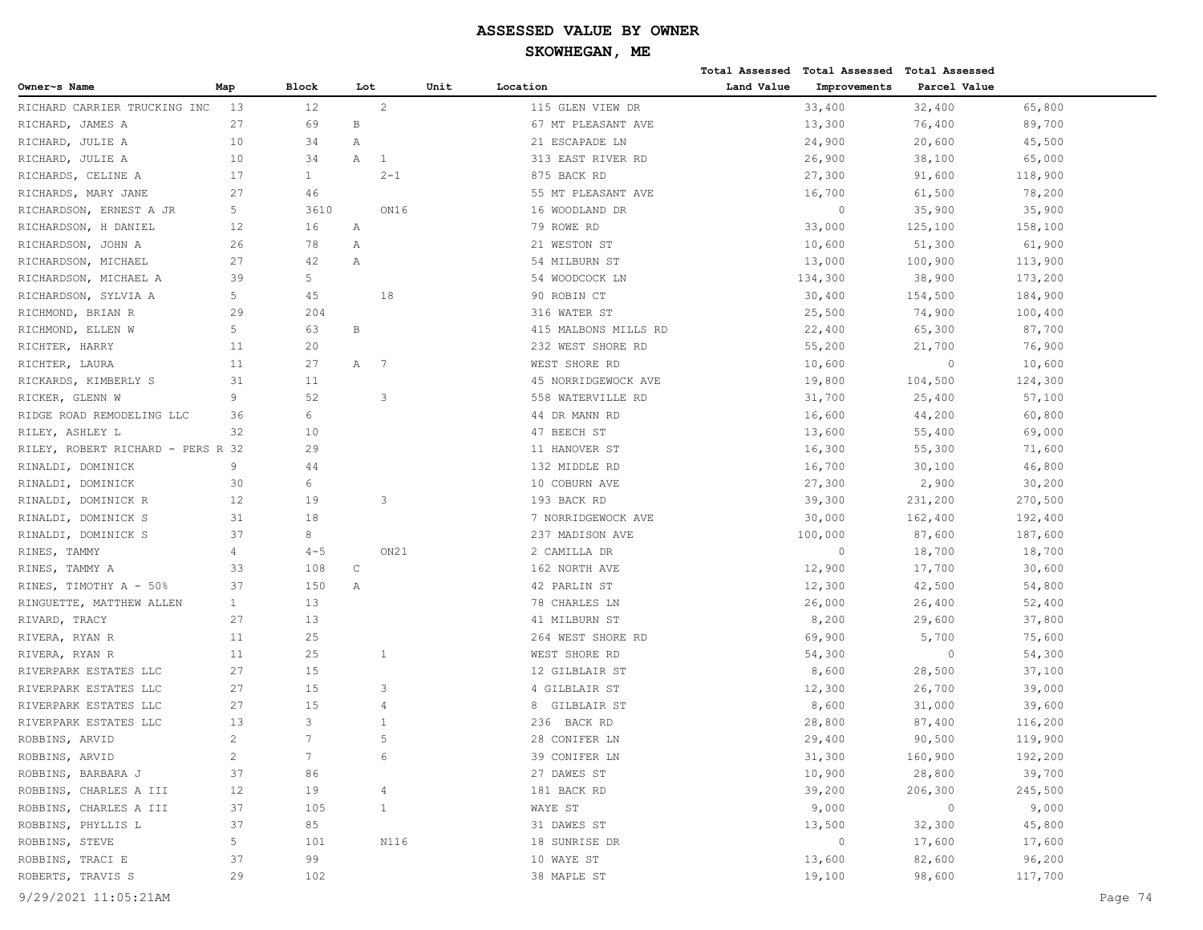|                                   |                |                   |              |                |      |                      |            | Total Assessed Total Assessed Total Assessed |                |         |
|-----------------------------------|----------------|-------------------|--------------|----------------|------|----------------------|------------|----------------------------------------------|----------------|---------|
| Owner~s Name                      | Map            | Block             | Lot          |                | Unit | Location             | Land Value | Improvements                                 | Parcel Value   |         |
| RICHARD CARRIER TRUCKING INC      | 13             | $12 \overline{ }$ |              | 2              |      | 115 GLEN VIEW DR     |            | 33,400                                       | 32,400         | 65,800  |
| RICHARD, JAMES A                  | 27             | 69                | $\, {\bf B}$ |                |      | 67 MT PLEASANT AVE   |            | 13,300                                       | 76,400         | 89,700  |
| RICHARD, JULIE A                  | 10             | 34                | Α            |                |      | 21 ESCAPADE LN       |            | 24,900                                       | 20,600         | 45,500  |
| RICHARD, JULIE A                  | 10             | 34                | Α            | 1              |      | 313 EAST RIVER RD    |            | 26,900                                       | 38,100         | 65,000  |
| RICHARDS, CELINE A                | 17             | $\mathbf{1}$      |              | $2 - 1$        |      | 875 BACK RD          |            | 27,300                                       | 91,600         | 118,900 |
| RICHARDS, MARY JANE               | 27             | 46                |              |                |      | 55 MT PLEASANT AVE   |            | 16,700                                       | 61,500         | 78,200  |
| RICHARDSON, ERNEST A JR           | 5              | 3610              |              | ON16           |      | 16 WOODLAND DR       |            | $\circ$                                      | 35,900         | 35,900  |
| RICHARDSON, H DANIEL              | 12             | 16                | Α            |                |      | 79 ROWE RD           |            | 33,000                                       | 125,100        | 158,100 |
| RICHARDSON, JOHN A                | 26             | 78                | Α            |                |      | 21 WESTON ST         |            | 10,600                                       | 51,300         | 61,900  |
| RICHARDSON, MICHAEL               | 27             | 42                | Α            |                |      | 54 MILBURN ST        |            | 13,000                                       | 100,900        | 113,900 |
| RICHARDSON, MICHAEL A             | 39             | 5                 |              |                |      | 54 WOODCOCK LN       |            | 134,300                                      | 38,900         | 173,200 |
| RICHARDSON, SYLVIA A              | 5              | 45                |              | 18             |      | 90 ROBIN CT          |            | 30,400                                       | 154,500        | 184,900 |
| RICHMOND, BRIAN R                 | 29             | 204               |              |                |      | 316 WATER ST         |            | 25,500                                       | 74,900         | 100,400 |
| RICHMOND, ELLEN W                 | 5              | 63                | $\, {\bf B}$ |                |      | 415 MALBONS MILLS RD |            | 22,400                                       | 65,300         | 87,700  |
| RICHTER, HARRY                    | 11             | 20                |              |                |      | 232 WEST SHORE RD    |            | 55,200                                       | 21,700         | 76,900  |
| RICHTER, LAURA                    | 11             | 27                | Α            | $\overline{7}$ |      | WEST SHORE RD        |            | 10,600                                       | $\circ$        | 10,600  |
| RICKARDS, KIMBERLY S              | 31             | 11                |              |                |      | 45 NORRIDGEWOCK AVE  |            | 19,800                                       | 104,500        | 124,300 |
| RICKER, GLENN W                   | 9              | 52                |              | 3              |      | 558 WATERVILLE RD    |            | 31,700                                       | 25,400         | 57,100  |
| RIDGE ROAD REMODELING LLC         | 36             | 6                 |              |                |      | 44 DR MANN RD        |            | 16,600                                       | 44,200         | 60,800  |
| RILEY, ASHLEY L                   | 32             | 10                |              |                |      | 47 BEECH ST          |            | 13,600                                       | 55,400         | 69,000  |
| RILEY, ROBERT RICHARD - PERS R 32 |                | 29                |              |                |      | 11 HANOVER ST        |            | 16,300                                       | 55,300         | 71,600  |
| RINALDI, DOMINICK                 | 9              | 44                |              |                |      | 132 MIDDLE RD        |            | 16,700                                       | 30,100         | 46,800  |
| RINALDI, DOMINICK                 | 30             | 6                 |              |                |      | 10 COBURN AVE        |            | 27,300                                       | 2,900          | 30,200  |
| RINALDI, DOMINICK R               | 12             | 19                |              | 3              |      | 193 BACK RD          |            | 39,300                                       | 231,200        | 270,500 |
| RINALDI, DOMINICK S               | 31             | 18                |              |                |      | 7 NORRIDGEWOCK AVE   |            | 30,000                                       | 162,400        | 192,400 |
| RINALDI, DOMINICK S               | 37             | 8                 |              |                |      | 237 MADISON AVE      |            | 100,000                                      | 87,600         | 187,600 |
| RINES, TAMMY                      | 4              | $4 - 5$           |              | ON21           |      | 2 CAMILLA DR         |            | $\overline{0}$                               | 18,700         | 18,700  |
| RINES, TAMMY A                    | 33             | 108               | $\mathsf C$  |                |      | 162 NORTH AVE        |            | 12,900                                       | 17,700         | 30,600  |
| RINES, TIMOTHY A - 50%            | 37             | 150               | Α            |                |      | 42 PARLIN ST         |            | 12,300                                       | 42,500         | 54,800  |
| RINGUETTE, MATTHEW ALLEN          | $\mathbf{1}$   | 13                |              |                |      | 78 CHARLES LN        |            | 26,000                                       | 26,400         | 52,400  |
| RIVARD, TRACY                     | 27             | 13                |              |                |      | 41 MILBURN ST        |            | 8,200                                        | 29,600         | 37,800  |
| RIVERA, RYAN R                    | 11             | 25                |              |                |      | 264 WEST SHORE RD    |            | 69,900                                       | 5,700          | 75,600  |
| RIVERA, RYAN R                    | 11             | 25                |              | $\mathbf{1}$   |      | WEST SHORE RD        |            | 54,300                                       | $\circ$        | 54,300  |
| RIVERPARK ESTATES LLC             | 27             | 15                |              |                |      | 12 GILBLAIR ST       |            | 8,600                                        | 28,500         | 37,100  |
| RIVERPARK ESTATES LLC             | 27             | 15                |              | 3              |      | 4 GILBLAIR ST        |            | 12,300                                       | 26,700         | 39,000  |
| RIVERPARK ESTATES LLC             | 27             | 15                |              | 4              |      | 8 GILBLAIR ST        |            | 8,600                                        | 31,000         | 39,600  |
| RIVERPARK ESTATES LLC             | 13             | 3                 |              | 1              |      | 236 BACK RD          |            | 28,800                                       | 87,400         | 116,200 |
| ROBBINS, ARVID                    | 2              | $\overline{7}$    |              | 5              |      | 28 CONIFER LN        |            | 29,400                                       | 90,500         | 119,900 |
| ROBBINS, ARVID                    | $\overline{c}$ | $7\phantom{.}$    |              | 6              |      | 39 CONIFER LN        |            | 31,300                                       | 160,900        | 192,200 |
| ROBBINS, BARBARA J                | 37             | 86                |              |                |      | 27 DAWES ST          |            | 10,900                                       | 28,800         | 39,700  |
| ROBBINS, CHARLES A III            | 12             | 19                |              | 4              |      | 181 BACK RD          |            | 39,200                                       | 206,300        | 245,500 |
| ROBBINS, CHARLES A III            | 37             | 105               |              | $\mathbf{1}$   |      | WAYE ST              |            | 9,000                                        | $\overline{0}$ | 9,000   |
| ROBBINS, PHYLLIS L                | 37             | 85                |              |                |      | 31 DAWES ST          |            | 13,500                                       | 32,300         | 45,800  |
| ROBBINS, STEVE                    | 5              | 101               |              | N116           |      | 18 SUNRISE DR        |            | $\circ$                                      | 17,600         | 17,600  |
| ROBBINS, TRACI E                  | 37             | 99                |              |                |      | 10 WAYE ST           |            | 13,600                                       | 82,600         | 96,200  |
| ROBERTS, TRAVIS S                 | 29             | 102               |              |                |      | 38 MAPLE ST          |            | 19,100                                       | 98,600         | 117,700 |
|                                   |                |                   |              |                |      |                      |            |                                              |                |         |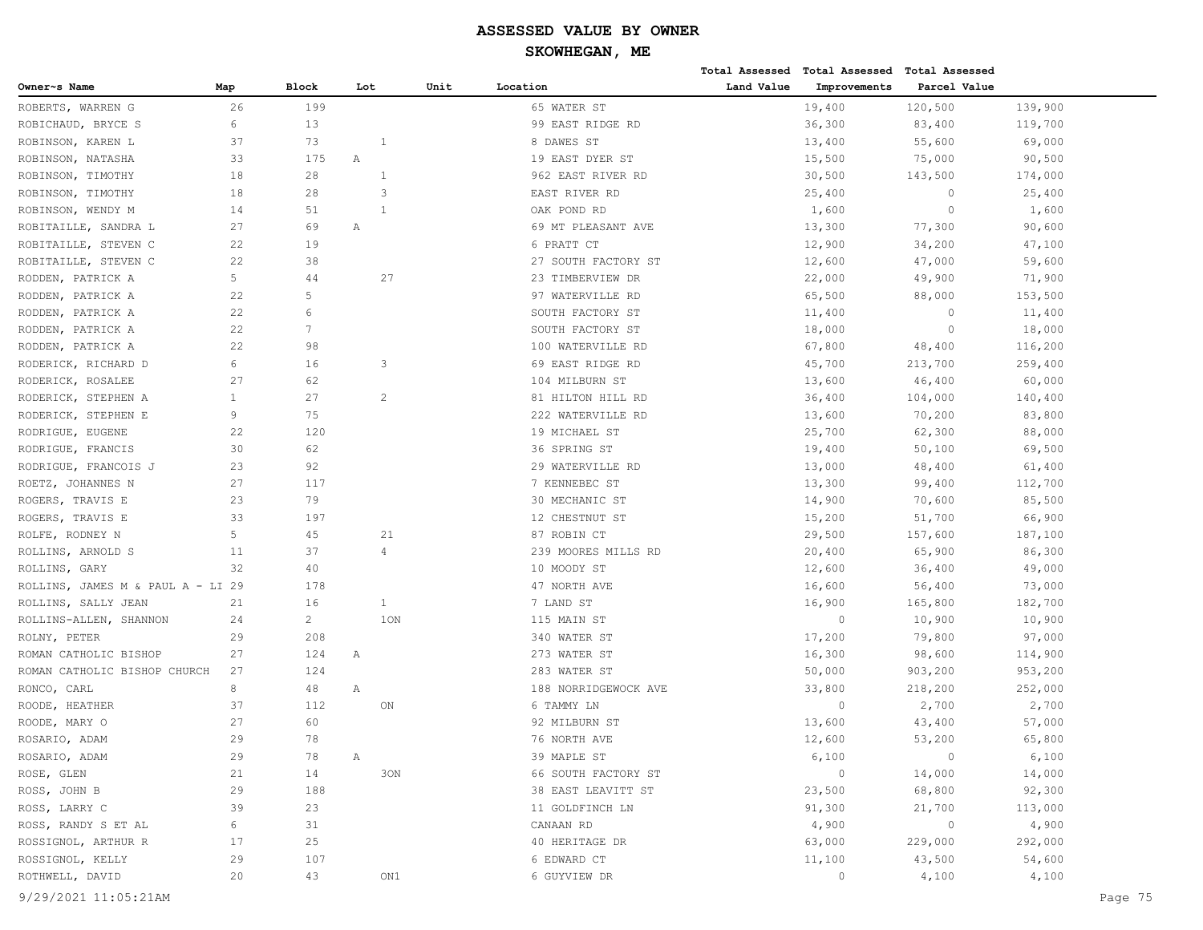**Total Assessed Total Assessed Total Assessed** 

| 26<br>199<br>19,400<br>120,500<br>ROBERTS, WARREN G<br>65 WATER ST<br>139,900<br>6<br>13<br>99 EAST RIDGE RD<br>36,300<br>ROBICHAUD, BRYCE S<br>83,400<br>119,700<br>ROBINSON, KAREN L<br>37<br>73<br>8 DAWES ST<br>13,400<br>55,600<br>69,000<br>1<br>33<br>175<br>15,500<br>ROBINSON, NATASHA<br>Α<br>19 EAST DYER ST<br>75,000<br>90,500<br>18<br>28<br>$\mathbf{1}$<br>ROBINSON, TIMOTHY<br>962 EAST RIVER RD<br>30,500<br>174,000<br>143,500<br>18<br>28<br>3<br>$\circ$<br>ROBINSON, TIMOTHY<br>EAST RIVER RD<br>25,400<br>25,400<br>$\circ$<br>ROBINSON, WENDY M<br>14<br>51<br>OAK POND RD<br>1,600<br>1,600<br>$\mathbf{1}$<br>13,300<br>77,300<br>90,600<br>ROBITAILLE, SANDRA L<br>27<br>69<br>69 MT PLEASANT AVE<br>Α<br>12,900<br>34,200<br>47,100<br>ROBITAILLE, STEVEN C<br>22<br>19<br>6 PRATT CT<br>38<br>ROBITAILLE, STEVEN C<br>22<br>27 SOUTH FACTORY ST<br>12,600<br>47,000<br>59,600<br>5<br>44<br>27<br>23 TIMBERVIEW DR<br>22,000<br>49,900<br>71,900<br>RODDEN, PATRICK A<br>22<br>5<br>RODDEN, PATRICK A<br>97 WATERVILLE RD<br>65,500<br>88,000<br>153,500<br>6<br>22<br>$\circ$<br>RODDEN, PATRICK A<br>SOUTH FACTORY ST<br>11,400<br>11,400<br>22<br>$7\phantom{.0}$<br>$\circ$<br>RODDEN, PATRICK A<br>SOUTH FACTORY ST<br>18,000<br>18,000<br>22<br>67,800<br>RODDEN, PATRICK A<br>98<br>100 WATERVILLE RD<br>48,400<br>116,200<br>6<br>16<br>45,700<br>213,700<br>259,400<br>RODERICK, RICHARD D<br>3<br>69 EAST RIDGE RD<br>62<br>RODERICK, ROSALEE<br>27<br>104 MILBURN ST<br>13,600<br>46,400<br>60,000<br>27<br>$\overline{c}$<br>RODERICK, STEPHEN A<br>$\mathbf{1}$<br>81 HILTON HILL RD<br>36,400<br>104,000<br>140,400<br>9<br>75<br>RODERICK, STEPHEN E<br>222 WATERVILLE RD<br>13,600<br>70,200<br>83,800<br>120<br>RODRIGUE, EUGENE<br>22<br>19 MICHAEL ST<br>25,700<br>62,300<br>88,000<br>30<br>62<br>RODRIGUE, FRANCIS<br>36 SPRING ST<br>19,400<br>50,100<br>69,500<br>92<br>RODRIGUE, FRANCOIS J<br>23<br>29 WATERVILLE RD<br>13,000<br>48,400<br>61,400<br>ROETZ, JOHANNES N<br>27<br>117<br>7 KENNEBEC ST<br>13,300<br>99,400<br>112,700<br>23<br>79<br>14,900<br>70,600<br>85,500<br>ROGERS, TRAVIS E<br>30 MECHANIC ST<br>33<br>12 CHESTNUT ST<br>15,200<br>51,700<br>ROGERS, TRAVIS E<br>197<br>66,900<br>5<br>45<br>ROLFE, RODNEY N<br>21<br>87 ROBIN CT<br>29,500<br>157,600<br>187,100<br>ROLLINS, ARNOLD S<br>11<br>37<br>239 MOORES MILLS RD<br>20,400<br>65,900<br>86,300<br>4<br>40<br>ROLLINS, GARY<br>32<br>10 MOODY ST<br>12,600<br>36,400<br>49,000<br>ROLLINS, JAMES M & PAUL A - LI 29<br>178<br>47 NORTH AVE<br>16,600<br>56,400<br>73,000<br>16<br>ROLLINS, SALLY JEAN<br>21<br>$\mathbf{1}$<br>7 LAND ST<br>16,900<br>165,800<br>182,700<br>$\overline{c}$<br>1ON<br>ROLLINS-ALLEN, SHANNON<br>115 MAIN ST<br>$\circ$<br>10,900<br>10,900<br>24<br>17,200<br>79,800<br>97,000<br>ROLNY, PETER<br>29<br>208<br>340 WATER ST<br>16,300<br>ROMAN CATHOLIC BISHOP<br>27<br>124<br>273 WATER ST<br>98,600<br>114,900<br>Α<br>ROMAN CATHOLIC BISHOP CHURCH<br>27<br>124<br>283 WATER ST<br>50,000<br>903,200<br>953,200<br>8<br>RONCO, CARL<br>48<br>Α<br>33,800<br>218,200<br>252,000<br>188 NORRIDGEWOCK AVE<br>112<br>2,700<br>2,700<br>ROODE, HEATHER<br>37<br>ON<br>6 TAMMY LN<br>$\circ$<br>27<br>60<br>ROODE, MARY O<br>92 MILBURN ST<br>13,600<br>43,400<br>57,000<br>29<br>78<br>ROSARIO, ADAM<br>76 NORTH AVE<br>12,600<br>53,200<br>65,800<br>29<br>78<br>39 MAPLE ST<br>6,100<br>6,100<br>ROSARIO, ADAM<br>$\overline{0}$<br>Α<br>ROSE, GLEN<br>30N<br>66 SOUTH FACTORY ST<br>$\overline{0}$<br>14,000<br>14,000<br>21<br>14<br>68,800<br>92,300<br>ROSS, JOHN B<br>23,500<br>29<br>188<br>38 EAST LEAVITT ST<br>ROSS, LARRY C<br>39<br>91,300<br>23<br>11 GOLDFINCH LN<br>21,700<br>113,000<br>ROSS, RANDY S ET AL<br>4,900<br>$\overline{0}$<br>4,900<br>6<br>31<br>CANAAN RD<br>ROSSIGNOL, ARTHUR R<br>63,000<br>292,000<br>17<br>25<br>40 HERITAGE DR<br>229,000<br>ROSSIGNOL, KELLY<br>29<br>107<br>6 EDWARD CT<br>43,500<br>54,600<br>11,100<br>ROTHWELL, DAVID<br>20<br>43<br>6 GUYVIEW DR<br>$\circ$<br>4,100<br>4,100<br>ON1<br>9/29/2021 11:05:21AM | Owner~s Name | Map | Block | Lot | Unit | Location | Land Value | Improvements | Parcel Value |  |
|------------------------------------------------------------------------------------------------------------------------------------------------------------------------------------------------------------------------------------------------------------------------------------------------------------------------------------------------------------------------------------------------------------------------------------------------------------------------------------------------------------------------------------------------------------------------------------------------------------------------------------------------------------------------------------------------------------------------------------------------------------------------------------------------------------------------------------------------------------------------------------------------------------------------------------------------------------------------------------------------------------------------------------------------------------------------------------------------------------------------------------------------------------------------------------------------------------------------------------------------------------------------------------------------------------------------------------------------------------------------------------------------------------------------------------------------------------------------------------------------------------------------------------------------------------------------------------------------------------------------------------------------------------------------------------------------------------------------------------------------------------------------------------------------------------------------------------------------------------------------------------------------------------------------------------------------------------------------------------------------------------------------------------------------------------------------------------------------------------------------------------------------------------------------------------------------------------------------------------------------------------------------------------------------------------------------------------------------------------------------------------------------------------------------------------------------------------------------------------------------------------------------------------------------------------------------------------------------------------------------------------------------------------------------------------------------------------------------------------------------------------------------------------------------------------------------------------------------------------------------------------------------------------------------------------------------------------------------------------------------------------------------------------------------------------------------------------------------------------------------------------------------------------------------------------------------------------------------------------------------------------------------------------------------------------------------------------------------------------------------------------------------------------------------------------------------------------------------------------------------------------------------------------------------------------------------------------------------------------------------------------------------------------------------------------------------------------------------------------------------------------------------------------------------------------------------------------------------------------------------------------------------------------------------------------------------------------------------------------------------------------------------------------------------------------------------------------------------------------------------------------------|--------------|-----|-------|-----|------|----------|------------|--------------|--------------|--|
|                                                                                                                                                                                                                                                                                                                                                                                                                                                                                                                                                                                                                                                                                                                                                                                                                                                                                                                                                                                                                                                                                                                                                                                                                                                                                                                                                                                                                                                                                                                                                                                                                                                                                                                                                                                                                                                                                                                                                                                                                                                                                                                                                                                                                                                                                                                                                                                                                                                                                                                                                                                                                                                                                                                                                                                                                                                                                                                                                                                                                                                                                                                                                                                                                                                                                                                                                                                                                                                                                                                                                                                                                                                                                                                                                                                                                                                                                                                                                                                                                                                                                                                                          |              |     |       |     |      |          |            |              |              |  |
|                                                                                                                                                                                                                                                                                                                                                                                                                                                                                                                                                                                                                                                                                                                                                                                                                                                                                                                                                                                                                                                                                                                                                                                                                                                                                                                                                                                                                                                                                                                                                                                                                                                                                                                                                                                                                                                                                                                                                                                                                                                                                                                                                                                                                                                                                                                                                                                                                                                                                                                                                                                                                                                                                                                                                                                                                                                                                                                                                                                                                                                                                                                                                                                                                                                                                                                                                                                                                                                                                                                                                                                                                                                                                                                                                                                                                                                                                                                                                                                                                                                                                                                                          |              |     |       |     |      |          |            |              |              |  |
|                                                                                                                                                                                                                                                                                                                                                                                                                                                                                                                                                                                                                                                                                                                                                                                                                                                                                                                                                                                                                                                                                                                                                                                                                                                                                                                                                                                                                                                                                                                                                                                                                                                                                                                                                                                                                                                                                                                                                                                                                                                                                                                                                                                                                                                                                                                                                                                                                                                                                                                                                                                                                                                                                                                                                                                                                                                                                                                                                                                                                                                                                                                                                                                                                                                                                                                                                                                                                                                                                                                                                                                                                                                                                                                                                                                                                                                                                                                                                                                                                                                                                                                                          |              |     |       |     |      |          |            |              |              |  |
| Page 75                                                                                                                                                                                                                                                                                                                                                                                                                                                                                                                                                                                                                                                                                                                                                                                                                                                                                                                                                                                                                                                                                                                                                                                                                                                                                                                                                                                                                                                                                                                                                                                                                                                                                                                                                                                                                                                                                                                                                                                                                                                                                                                                                                                                                                                                                                                                                                                                                                                                                                                                                                                                                                                                                                                                                                                                                                                                                                                                                                                                                                                                                                                                                                                                                                                                                                                                                                                                                                                                                                                                                                                                                                                                                                                                                                                                                                                                                                                                                                                                                                                                                                                                  |              |     |       |     |      |          |            |              |              |  |
|                                                                                                                                                                                                                                                                                                                                                                                                                                                                                                                                                                                                                                                                                                                                                                                                                                                                                                                                                                                                                                                                                                                                                                                                                                                                                                                                                                                                                                                                                                                                                                                                                                                                                                                                                                                                                                                                                                                                                                                                                                                                                                                                                                                                                                                                                                                                                                                                                                                                                                                                                                                                                                                                                                                                                                                                                                                                                                                                                                                                                                                                                                                                                                                                                                                                                                                                                                                                                                                                                                                                                                                                                                                                                                                                                                                                                                                                                                                                                                                                                                                                                                                                          |              |     |       |     |      |          |            |              |              |  |
|                                                                                                                                                                                                                                                                                                                                                                                                                                                                                                                                                                                                                                                                                                                                                                                                                                                                                                                                                                                                                                                                                                                                                                                                                                                                                                                                                                                                                                                                                                                                                                                                                                                                                                                                                                                                                                                                                                                                                                                                                                                                                                                                                                                                                                                                                                                                                                                                                                                                                                                                                                                                                                                                                                                                                                                                                                                                                                                                                                                                                                                                                                                                                                                                                                                                                                                                                                                                                                                                                                                                                                                                                                                                                                                                                                                                                                                                                                                                                                                                                                                                                                                                          |              |     |       |     |      |          |            |              |              |  |
|                                                                                                                                                                                                                                                                                                                                                                                                                                                                                                                                                                                                                                                                                                                                                                                                                                                                                                                                                                                                                                                                                                                                                                                                                                                                                                                                                                                                                                                                                                                                                                                                                                                                                                                                                                                                                                                                                                                                                                                                                                                                                                                                                                                                                                                                                                                                                                                                                                                                                                                                                                                                                                                                                                                                                                                                                                                                                                                                                                                                                                                                                                                                                                                                                                                                                                                                                                                                                                                                                                                                                                                                                                                                                                                                                                                                                                                                                                                                                                                                                                                                                                                                          |              |     |       |     |      |          |            |              |              |  |
|                                                                                                                                                                                                                                                                                                                                                                                                                                                                                                                                                                                                                                                                                                                                                                                                                                                                                                                                                                                                                                                                                                                                                                                                                                                                                                                                                                                                                                                                                                                                                                                                                                                                                                                                                                                                                                                                                                                                                                                                                                                                                                                                                                                                                                                                                                                                                                                                                                                                                                                                                                                                                                                                                                                                                                                                                                                                                                                                                                                                                                                                                                                                                                                                                                                                                                                                                                                                                                                                                                                                                                                                                                                                                                                                                                                                                                                                                                                                                                                                                                                                                                                                          |              |     |       |     |      |          |            |              |              |  |
|                                                                                                                                                                                                                                                                                                                                                                                                                                                                                                                                                                                                                                                                                                                                                                                                                                                                                                                                                                                                                                                                                                                                                                                                                                                                                                                                                                                                                                                                                                                                                                                                                                                                                                                                                                                                                                                                                                                                                                                                                                                                                                                                                                                                                                                                                                                                                                                                                                                                                                                                                                                                                                                                                                                                                                                                                                                                                                                                                                                                                                                                                                                                                                                                                                                                                                                                                                                                                                                                                                                                                                                                                                                                                                                                                                                                                                                                                                                                                                                                                                                                                                                                          |              |     |       |     |      |          |            |              |              |  |
|                                                                                                                                                                                                                                                                                                                                                                                                                                                                                                                                                                                                                                                                                                                                                                                                                                                                                                                                                                                                                                                                                                                                                                                                                                                                                                                                                                                                                                                                                                                                                                                                                                                                                                                                                                                                                                                                                                                                                                                                                                                                                                                                                                                                                                                                                                                                                                                                                                                                                                                                                                                                                                                                                                                                                                                                                                                                                                                                                                                                                                                                                                                                                                                                                                                                                                                                                                                                                                                                                                                                                                                                                                                                                                                                                                                                                                                                                                                                                                                                                                                                                                                                          |              |     |       |     |      |          |            |              |              |  |
|                                                                                                                                                                                                                                                                                                                                                                                                                                                                                                                                                                                                                                                                                                                                                                                                                                                                                                                                                                                                                                                                                                                                                                                                                                                                                                                                                                                                                                                                                                                                                                                                                                                                                                                                                                                                                                                                                                                                                                                                                                                                                                                                                                                                                                                                                                                                                                                                                                                                                                                                                                                                                                                                                                                                                                                                                                                                                                                                                                                                                                                                                                                                                                                                                                                                                                                                                                                                                                                                                                                                                                                                                                                                                                                                                                                                                                                                                                                                                                                                                                                                                                                                          |              |     |       |     |      |          |            |              |              |  |
|                                                                                                                                                                                                                                                                                                                                                                                                                                                                                                                                                                                                                                                                                                                                                                                                                                                                                                                                                                                                                                                                                                                                                                                                                                                                                                                                                                                                                                                                                                                                                                                                                                                                                                                                                                                                                                                                                                                                                                                                                                                                                                                                                                                                                                                                                                                                                                                                                                                                                                                                                                                                                                                                                                                                                                                                                                                                                                                                                                                                                                                                                                                                                                                                                                                                                                                                                                                                                                                                                                                                                                                                                                                                                                                                                                                                                                                                                                                                                                                                                                                                                                                                          |              |     |       |     |      |          |            |              |              |  |
|                                                                                                                                                                                                                                                                                                                                                                                                                                                                                                                                                                                                                                                                                                                                                                                                                                                                                                                                                                                                                                                                                                                                                                                                                                                                                                                                                                                                                                                                                                                                                                                                                                                                                                                                                                                                                                                                                                                                                                                                                                                                                                                                                                                                                                                                                                                                                                                                                                                                                                                                                                                                                                                                                                                                                                                                                                                                                                                                                                                                                                                                                                                                                                                                                                                                                                                                                                                                                                                                                                                                                                                                                                                                                                                                                                                                                                                                                                                                                                                                                                                                                                                                          |              |     |       |     |      |          |            |              |              |  |
|                                                                                                                                                                                                                                                                                                                                                                                                                                                                                                                                                                                                                                                                                                                                                                                                                                                                                                                                                                                                                                                                                                                                                                                                                                                                                                                                                                                                                                                                                                                                                                                                                                                                                                                                                                                                                                                                                                                                                                                                                                                                                                                                                                                                                                                                                                                                                                                                                                                                                                                                                                                                                                                                                                                                                                                                                                                                                                                                                                                                                                                                                                                                                                                                                                                                                                                                                                                                                                                                                                                                                                                                                                                                                                                                                                                                                                                                                                                                                                                                                                                                                                                                          |              |     |       |     |      |          |            |              |              |  |
|                                                                                                                                                                                                                                                                                                                                                                                                                                                                                                                                                                                                                                                                                                                                                                                                                                                                                                                                                                                                                                                                                                                                                                                                                                                                                                                                                                                                                                                                                                                                                                                                                                                                                                                                                                                                                                                                                                                                                                                                                                                                                                                                                                                                                                                                                                                                                                                                                                                                                                                                                                                                                                                                                                                                                                                                                                                                                                                                                                                                                                                                                                                                                                                                                                                                                                                                                                                                                                                                                                                                                                                                                                                                                                                                                                                                                                                                                                                                                                                                                                                                                                                                          |              |     |       |     |      |          |            |              |              |  |
|                                                                                                                                                                                                                                                                                                                                                                                                                                                                                                                                                                                                                                                                                                                                                                                                                                                                                                                                                                                                                                                                                                                                                                                                                                                                                                                                                                                                                                                                                                                                                                                                                                                                                                                                                                                                                                                                                                                                                                                                                                                                                                                                                                                                                                                                                                                                                                                                                                                                                                                                                                                                                                                                                                                                                                                                                                                                                                                                                                                                                                                                                                                                                                                                                                                                                                                                                                                                                                                                                                                                                                                                                                                                                                                                                                                                                                                                                                                                                                                                                                                                                                                                          |              |     |       |     |      |          |            |              |              |  |
|                                                                                                                                                                                                                                                                                                                                                                                                                                                                                                                                                                                                                                                                                                                                                                                                                                                                                                                                                                                                                                                                                                                                                                                                                                                                                                                                                                                                                                                                                                                                                                                                                                                                                                                                                                                                                                                                                                                                                                                                                                                                                                                                                                                                                                                                                                                                                                                                                                                                                                                                                                                                                                                                                                                                                                                                                                                                                                                                                                                                                                                                                                                                                                                                                                                                                                                                                                                                                                                                                                                                                                                                                                                                                                                                                                                                                                                                                                                                                                                                                                                                                                                                          |              |     |       |     |      |          |            |              |              |  |
|                                                                                                                                                                                                                                                                                                                                                                                                                                                                                                                                                                                                                                                                                                                                                                                                                                                                                                                                                                                                                                                                                                                                                                                                                                                                                                                                                                                                                                                                                                                                                                                                                                                                                                                                                                                                                                                                                                                                                                                                                                                                                                                                                                                                                                                                                                                                                                                                                                                                                                                                                                                                                                                                                                                                                                                                                                                                                                                                                                                                                                                                                                                                                                                                                                                                                                                                                                                                                                                                                                                                                                                                                                                                                                                                                                                                                                                                                                                                                                                                                                                                                                                                          |              |     |       |     |      |          |            |              |              |  |
|                                                                                                                                                                                                                                                                                                                                                                                                                                                                                                                                                                                                                                                                                                                                                                                                                                                                                                                                                                                                                                                                                                                                                                                                                                                                                                                                                                                                                                                                                                                                                                                                                                                                                                                                                                                                                                                                                                                                                                                                                                                                                                                                                                                                                                                                                                                                                                                                                                                                                                                                                                                                                                                                                                                                                                                                                                                                                                                                                                                                                                                                                                                                                                                                                                                                                                                                                                                                                                                                                                                                                                                                                                                                                                                                                                                                                                                                                                                                                                                                                                                                                                                                          |              |     |       |     |      |          |            |              |              |  |
|                                                                                                                                                                                                                                                                                                                                                                                                                                                                                                                                                                                                                                                                                                                                                                                                                                                                                                                                                                                                                                                                                                                                                                                                                                                                                                                                                                                                                                                                                                                                                                                                                                                                                                                                                                                                                                                                                                                                                                                                                                                                                                                                                                                                                                                                                                                                                                                                                                                                                                                                                                                                                                                                                                                                                                                                                                                                                                                                                                                                                                                                                                                                                                                                                                                                                                                                                                                                                                                                                                                                                                                                                                                                                                                                                                                                                                                                                                                                                                                                                                                                                                                                          |              |     |       |     |      |          |            |              |              |  |
|                                                                                                                                                                                                                                                                                                                                                                                                                                                                                                                                                                                                                                                                                                                                                                                                                                                                                                                                                                                                                                                                                                                                                                                                                                                                                                                                                                                                                                                                                                                                                                                                                                                                                                                                                                                                                                                                                                                                                                                                                                                                                                                                                                                                                                                                                                                                                                                                                                                                                                                                                                                                                                                                                                                                                                                                                                                                                                                                                                                                                                                                                                                                                                                                                                                                                                                                                                                                                                                                                                                                                                                                                                                                                                                                                                                                                                                                                                                                                                                                                                                                                                                                          |              |     |       |     |      |          |            |              |              |  |
|                                                                                                                                                                                                                                                                                                                                                                                                                                                                                                                                                                                                                                                                                                                                                                                                                                                                                                                                                                                                                                                                                                                                                                                                                                                                                                                                                                                                                                                                                                                                                                                                                                                                                                                                                                                                                                                                                                                                                                                                                                                                                                                                                                                                                                                                                                                                                                                                                                                                                                                                                                                                                                                                                                                                                                                                                                                                                                                                                                                                                                                                                                                                                                                                                                                                                                                                                                                                                                                                                                                                                                                                                                                                                                                                                                                                                                                                                                                                                                                                                                                                                                                                          |              |     |       |     |      |          |            |              |              |  |
|                                                                                                                                                                                                                                                                                                                                                                                                                                                                                                                                                                                                                                                                                                                                                                                                                                                                                                                                                                                                                                                                                                                                                                                                                                                                                                                                                                                                                                                                                                                                                                                                                                                                                                                                                                                                                                                                                                                                                                                                                                                                                                                                                                                                                                                                                                                                                                                                                                                                                                                                                                                                                                                                                                                                                                                                                                                                                                                                                                                                                                                                                                                                                                                                                                                                                                                                                                                                                                                                                                                                                                                                                                                                                                                                                                                                                                                                                                                                                                                                                                                                                                                                          |              |     |       |     |      |          |            |              |              |  |
|                                                                                                                                                                                                                                                                                                                                                                                                                                                                                                                                                                                                                                                                                                                                                                                                                                                                                                                                                                                                                                                                                                                                                                                                                                                                                                                                                                                                                                                                                                                                                                                                                                                                                                                                                                                                                                                                                                                                                                                                                                                                                                                                                                                                                                                                                                                                                                                                                                                                                                                                                                                                                                                                                                                                                                                                                                                                                                                                                                                                                                                                                                                                                                                                                                                                                                                                                                                                                                                                                                                                                                                                                                                                                                                                                                                                                                                                                                                                                                                                                                                                                                                                          |              |     |       |     |      |          |            |              |              |  |
|                                                                                                                                                                                                                                                                                                                                                                                                                                                                                                                                                                                                                                                                                                                                                                                                                                                                                                                                                                                                                                                                                                                                                                                                                                                                                                                                                                                                                                                                                                                                                                                                                                                                                                                                                                                                                                                                                                                                                                                                                                                                                                                                                                                                                                                                                                                                                                                                                                                                                                                                                                                                                                                                                                                                                                                                                                                                                                                                                                                                                                                                                                                                                                                                                                                                                                                                                                                                                                                                                                                                                                                                                                                                                                                                                                                                                                                                                                                                                                                                                                                                                                                                          |              |     |       |     |      |          |            |              |              |  |
|                                                                                                                                                                                                                                                                                                                                                                                                                                                                                                                                                                                                                                                                                                                                                                                                                                                                                                                                                                                                                                                                                                                                                                                                                                                                                                                                                                                                                                                                                                                                                                                                                                                                                                                                                                                                                                                                                                                                                                                                                                                                                                                                                                                                                                                                                                                                                                                                                                                                                                                                                                                                                                                                                                                                                                                                                                                                                                                                                                                                                                                                                                                                                                                                                                                                                                                                                                                                                                                                                                                                                                                                                                                                                                                                                                                                                                                                                                                                                                                                                                                                                                                                          |              |     |       |     |      |          |            |              |              |  |
|                                                                                                                                                                                                                                                                                                                                                                                                                                                                                                                                                                                                                                                                                                                                                                                                                                                                                                                                                                                                                                                                                                                                                                                                                                                                                                                                                                                                                                                                                                                                                                                                                                                                                                                                                                                                                                                                                                                                                                                                                                                                                                                                                                                                                                                                                                                                                                                                                                                                                                                                                                                                                                                                                                                                                                                                                                                                                                                                                                                                                                                                                                                                                                                                                                                                                                                                                                                                                                                                                                                                                                                                                                                                                                                                                                                                                                                                                                                                                                                                                                                                                                                                          |              |     |       |     |      |          |            |              |              |  |
|                                                                                                                                                                                                                                                                                                                                                                                                                                                                                                                                                                                                                                                                                                                                                                                                                                                                                                                                                                                                                                                                                                                                                                                                                                                                                                                                                                                                                                                                                                                                                                                                                                                                                                                                                                                                                                                                                                                                                                                                                                                                                                                                                                                                                                                                                                                                                                                                                                                                                                                                                                                                                                                                                                                                                                                                                                                                                                                                                                                                                                                                                                                                                                                                                                                                                                                                                                                                                                                                                                                                                                                                                                                                                                                                                                                                                                                                                                                                                                                                                                                                                                                                          |              |     |       |     |      |          |            |              |              |  |
|                                                                                                                                                                                                                                                                                                                                                                                                                                                                                                                                                                                                                                                                                                                                                                                                                                                                                                                                                                                                                                                                                                                                                                                                                                                                                                                                                                                                                                                                                                                                                                                                                                                                                                                                                                                                                                                                                                                                                                                                                                                                                                                                                                                                                                                                                                                                                                                                                                                                                                                                                                                                                                                                                                                                                                                                                                                                                                                                                                                                                                                                                                                                                                                                                                                                                                                                                                                                                                                                                                                                                                                                                                                                                                                                                                                                                                                                                                                                                                                                                                                                                                                                          |              |     |       |     |      |          |            |              |              |  |
|                                                                                                                                                                                                                                                                                                                                                                                                                                                                                                                                                                                                                                                                                                                                                                                                                                                                                                                                                                                                                                                                                                                                                                                                                                                                                                                                                                                                                                                                                                                                                                                                                                                                                                                                                                                                                                                                                                                                                                                                                                                                                                                                                                                                                                                                                                                                                                                                                                                                                                                                                                                                                                                                                                                                                                                                                                                                                                                                                                                                                                                                                                                                                                                                                                                                                                                                                                                                                                                                                                                                                                                                                                                                                                                                                                                                                                                                                                                                                                                                                                                                                                                                          |              |     |       |     |      |          |            |              |              |  |
|                                                                                                                                                                                                                                                                                                                                                                                                                                                                                                                                                                                                                                                                                                                                                                                                                                                                                                                                                                                                                                                                                                                                                                                                                                                                                                                                                                                                                                                                                                                                                                                                                                                                                                                                                                                                                                                                                                                                                                                                                                                                                                                                                                                                                                                                                                                                                                                                                                                                                                                                                                                                                                                                                                                                                                                                                                                                                                                                                                                                                                                                                                                                                                                                                                                                                                                                                                                                                                                                                                                                                                                                                                                                                                                                                                                                                                                                                                                                                                                                                                                                                                                                          |              |     |       |     |      |          |            |              |              |  |
|                                                                                                                                                                                                                                                                                                                                                                                                                                                                                                                                                                                                                                                                                                                                                                                                                                                                                                                                                                                                                                                                                                                                                                                                                                                                                                                                                                                                                                                                                                                                                                                                                                                                                                                                                                                                                                                                                                                                                                                                                                                                                                                                                                                                                                                                                                                                                                                                                                                                                                                                                                                                                                                                                                                                                                                                                                                                                                                                                                                                                                                                                                                                                                                                                                                                                                                                                                                                                                                                                                                                                                                                                                                                                                                                                                                                                                                                                                                                                                                                                                                                                                                                          |              |     |       |     |      |          |            |              |              |  |
|                                                                                                                                                                                                                                                                                                                                                                                                                                                                                                                                                                                                                                                                                                                                                                                                                                                                                                                                                                                                                                                                                                                                                                                                                                                                                                                                                                                                                                                                                                                                                                                                                                                                                                                                                                                                                                                                                                                                                                                                                                                                                                                                                                                                                                                                                                                                                                                                                                                                                                                                                                                                                                                                                                                                                                                                                                                                                                                                                                                                                                                                                                                                                                                                                                                                                                                                                                                                                                                                                                                                                                                                                                                                                                                                                                                                                                                                                                                                                                                                                                                                                                                                          |              |     |       |     |      |          |            |              |              |  |
|                                                                                                                                                                                                                                                                                                                                                                                                                                                                                                                                                                                                                                                                                                                                                                                                                                                                                                                                                                                                                                                                                                                                                                                                                                                                                                                                                                                                                                                                                                                                                                                                                                                                                                                                                                                                                                                                                                                                                                                                                                                                                                                                                                                                                                                                                                                                                                                                                                                                                                                                                                                                                                                                                                                                                                                                                                                                                                                                                                                                                                                                                                                                                                                                                                                                                                                                                                                                                                                                                                                                                                                                                                                                                                                                                                                                                                                                                                                                                                                                                                                                                                                                          |              |     |       |     |      |          |            |              |              |  |
|                                                                                                                                                                                                                                                                                                                                                                                                                                                                                                                                                                                                                                                                                                                                                                                                                                                                                                                                                                                                                                                                                                                                                                                                                                                                                                                                                                                                                                                                                                                                                                                                                                                                                                                                                                                                                                                                                                                                                                                                                                                                                                                                                                                                                                                                                                                                                                                                                                                                                                                                                                                                                                                                                                                                                                                                                                                                                                                                                                                                                                                                                                                                                                                                                                                                                                                                                                                                                                                                                                                                                                                                                                                                                                                                                                                                                                                                                                                                                                                                                                                                                                                                          |              |     |       |     |      |          |            |              |              |  |
|                                                                                                                                                                                                                                                                                                                                                                                                                                                                                                                                                                                                                                                                                                                                                                                                                                                                                                                                                                                                                                                                                                                                                                                                                                                                                                                                                                                                                                                                                                                                                                                                                                                                                                                                                                                                                                                                                                                                                                                                                                                                                                                                                                                                                                                                                                                                                                                                                                                                                                                                                                                                                                                                                                                                                                                                                                                                                                                                                                                                                                                                                                                                                                                                                                                                                                                                                                                                                                                                                                                                                                                                                                                                                                                                                                                                                                                                                                                                                                                                                                                                                                                                          |              |     |       |     |      |          |            |              |              |  |
|                                                                                                                                                                                                                                                                                                                                                                                                                                                                                                                                                                                                                                                                                                                                                                                                                                                                                                                                                                                                                                                                                                                                                                                                                                                                                                                                                                                                                                                                                                                                                                                                                                                                                                                                                                                                                                                                                                                                                                                                                                                                                                                                                                                                                                                                                                                                                                                                                                                                                                                                                                                                                                                                                                                                                                                                                                                                                                                                                                                                                                                                                                                                                                                                                                                                                                                                                                                                                                                                                                                                                                                                                                                                                                                                                                                                                                                                                                                                                                                                                                                                                                                                          |              |     |       |     |      |          |            |              |              |  |
|                                                                                                                                                                                                                                                                                                                                                                                                                                                                                                                                                                                                                                                                                                                                                                                                                                                                                                                                                                                                                                                                                                                                                                                                                                                                                                                                                                                                                                                                                                                                                                                                                                                                                                                                                                                                                                                                                                                                                                                                                                                                                                                                                                                                                                                                                                                                                                                                                                                                                                                                                                                                                                                                                                                                                                                                                                                                                                                                                                                                                                                                                                                                                                                                                                                                                                                                                                                                                                                                                                                                                                                                                                                                                                                                                                                                                                                                                                                                                                                                                                                                                                                                          |              |     |       |     |      |          |            |              |              |  |
|                                                                                                                                                                                                                                                                                                                                                                                                                                                                                                                                                                                                                                                                                                                                                                                                                                                                                                                                                                                                                                                                                                                                                                                                                                                                                                                                                                                                                                                                                                                                                                                                                                                                                                                                                                                                                                                                                                                                                                                                                                                                                                                                                                                                                                                                                                                                                                                                                                                                                                                                                                                                                                                                                                                                                                                                                                                                                                                                                                                                                                                                                                                                                                                                                                                                                                                                                                                                                                                                                                                                                                                                                                                                                                                                                                                                                                                                                                                                                                                                                                                                                                                                          |              |     |       |     |      |          |            |              |              |  |
|                                                                                                                                                                                                                                                                                                                                                                                                                                                                                                                                                                                                                                                                                                                                                                                                                                                                                                                                                                                                                                                                                                                                                                                                                                                                                                                                                                                                                                                                                                                                                                                                                                                                                                                                                                                                                                                                                                                                                                                                                                                                                                                                                                                                                                                                                                                                                                                                                                                                                                                                                                                                                                                                                                                                                                                                                                                                                                                                                                                                                                                                                                                                                                                                                                                                                                                                                                                                                                                                                                                                                                                                                                                                                                                                                                                                                                                                                                                                                                                                                                                                                                                                          |              |     |       |     |      |          |            |              |              |  |
|                                                                                                                                                                                                                                                                                                                                                                                                                                                                                                                                                                                                                                                                                                                                                                                                                                                                                                                                                                                                                                                                                                                                                                                                                                                                                                                                                                                                                                                                                                                                                                                                                                                                                                                                                                                                                                                                                                                                                                                                                                                                                                                                                                                                                                                                                                                                                                                                                                                                                                                                                                                                                                                                                                                                                                                                                                                                                                                                                                                                                                                                                                                                                                                                                                                                                                                                                                                                                                                                                                                                                                                                                                                                                                                                                                                                                                                                                                                                                                                                                                                                                                                                          |              |     |       |     |      |          |            |              |              |  |
|                                                                                                                                                                                                                                                                                                                                                                                                                                                                                                                                                                                                                                                                                                                                                                                                                                                                                                                                                                                                                                                                                                                                                                                                                                                                                                                                                                                                                                                                                                                                                                                                                                                                                                                                                                                                                                                                                                                                                                                                                                                                                                                                                                                                                                                                                                                                                                                                                                                                                                                                                                                                                                                                                                                                                                                                                                                                                                                                                                                                                                                                                                                                                                                                                                                                                                                                                                                                                                                                                                                                                                                                                                                                                                                                                                                                                                                                                                                                                                                                                                                                                                                                          |              |     |       |     |      |          |            |              |              |  |
|                                                                                                                                                                                                                                                                                                                                                                                                                                                                                                                                                                                                                                                                                                                                                                                                                                                                                                                                                                                                                                                                                                                                                                                                                                                                                                                                                                                                                                                                                                                                                                                                                                                                                                                                                                                                                                                                                                                                                                                                                                                                                                                                                                                                                                                                                                                                                                                                                                                                                                                                                                                                                                                                                                                                                                                                                                                                                                                                                                                                                                                                                                                                                                                                                                                                                                                                                                                                                                                                                                                                                                                                                                                                                                                                                                                                                                                                                                                                                                                                                                                                                                                                          |              |     |       |     |      |          |            |              |              |  |
|                                                                                                                                                                                                                                                                                                                                                                                                                                                                                                                                                                                                                                                                                                                                                                                                                                                                                                                                                                                                                                                                                                                                                                                                                                                                                                                                                                                                                                                                                                                                                                                                                                                                                                                                                                                                                                                                                                                                                                                                                                                                                                                                                                                                                                                                                                                                                                                                                                                                                                                                                                                                                                                                                                                                                                                                                                                                                                                                                                                                                                                                                                                                                                                                                                                                                                                                                                                                                                                                                                                                                                                                                                                                                                                                                                                                                                                                                                                                                                                                                                                                                                                                          |              |     |       |     |      |          |            |              |              |  |
|                                                                                                                                                                                                                                                                                                                                                                                                                                                                                                                                                                                                                                                                                                                                                                                                                                                                                                                                                                                                                                                                                                                                                                                                                                                                                                                                                                                                                                                                                                                                                                                                                                                                                                                                                                                                                                                                                                                                                                                                                                                                                                                                                                                                                                                                                                                                                                                                                                                                                                                                                                                                                                                                                                                                                                                                                                                                                                                                                                                                                                                                                                                                                                                                                                                                                                                                                                                                                                                                                                                                                                                                                                                                                                                                                                                                                                                                                                                                                                                                                                                                                                                                          |              |     |       |     |      |          |            |              |              |  |
|                                                                                                                                                                                                                                                                                                                                                                                                                                                                                                                                                                                                                                                                                                                                                                                                                                                                                                                                                                                                                                                                                                                                                                                                                                                                                                                                                                                                                                                                                                                                                                                                                                                                                                                                                                                                                                                                                                                                                                                                                                                                                                                                                                                                                                                                                                                                                                                                                                                                                                                                                                                                                                                                                                                                                                                                                                                                                                                                                                                                                                                                                                                                                                                                                                                                                                                                                                                                                                                                                                                                                                                                                                                                                                                                                                                                                                                                                                                                                                                                                                                                                                                                          |              |     |       |     |      |          |            |              |              |  |
|                                                                                                                                                                                                                                                                                                                                                                                                                                                                                                                                                                                                                                                                                                                                                                                                                                                                                                                                                                                                                                                                                                                                                                                                                                                                                                                                                                                                                                                                                                                                                                                                                                                                                                                                                                                                                                                                                                                                                                                                                                                                                                                                                                                                                                                                                                                                                                                                                                                                                                                                                                                                                                                                                                                                                                                                                                                                                                                                                                                                                                                                                                                                                                                                                                                                                                                                                                                                                                                                                                                                                                                                                                                                                                                                                                                                                                                                                                                                                                                                                                                                                                                                          |              |     |       |     |      |          |            |              |              |  |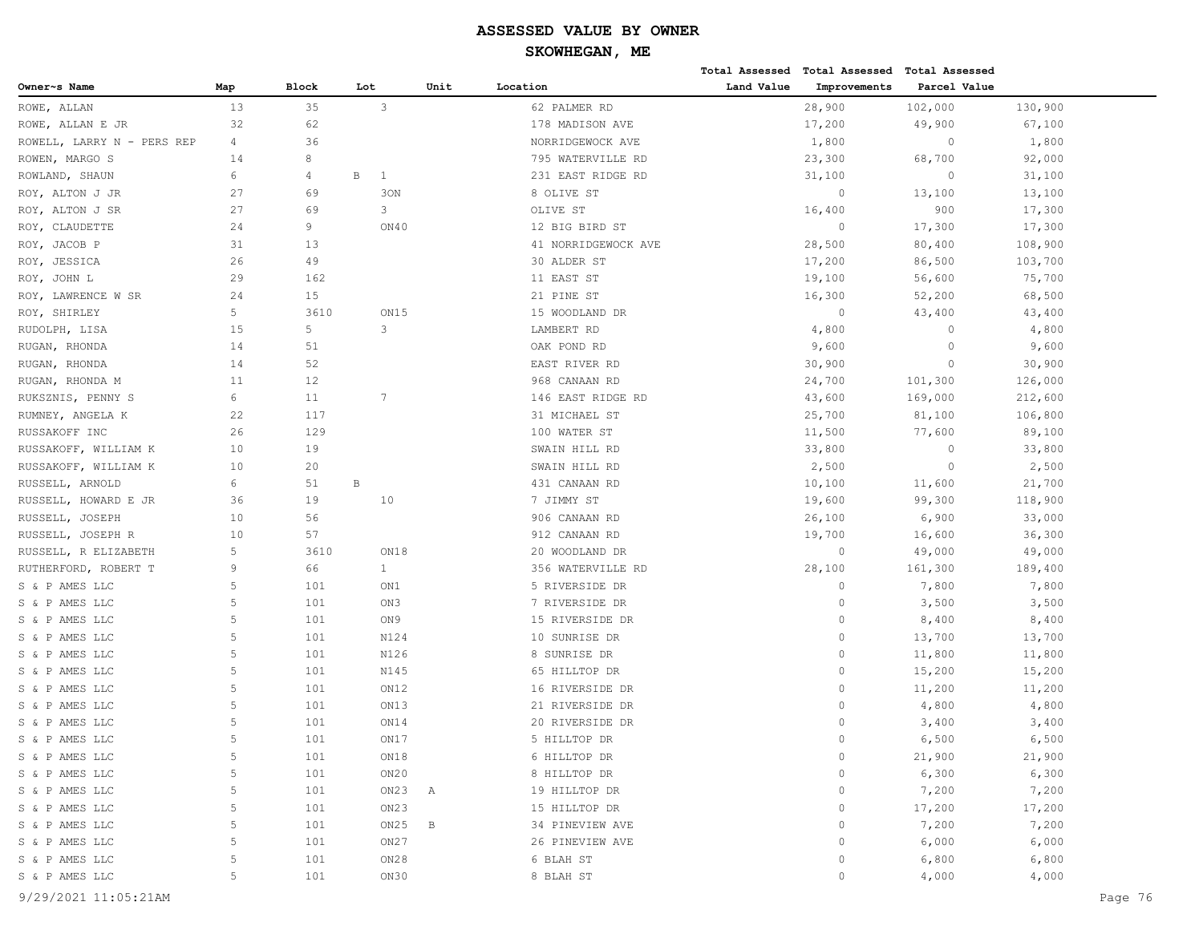|                            |                |       |                              |      |                     |            | Total Assessed Total Assessed | <b>Total Assessed</b> |         |
|----------------------------|----------------|-------|------------------------------|------|---------------------|------------|-------------------------------|-----------------------|---------|
| Owner~s Name               | Map            | Block | Lot                          | Unit | Location            | Land Value | Improvements                  | Parcel Value          |         |
| ROWE, ALLAN                | 13             | 35    | 3                            |      | 62 PALMER RD        |            | 28,900                        | 102,000               | 130,900 |
| ROWE, ALLAN E JR           | 32             | 62    |                              |      | 178 MADISON AVE     |            | 17,200                        | 49,900                | 67,100  |
| ROWELL, LARRY N - PERS REP | 4              | 36    |                              |      | NORRIDGEWOCK AVE    |            | 1,800                         | $\circ$               | 1,800   |
| ROWEN, MARGO S             | 14             | 8     |                              |      | 795 WATERVILLE RD   |            | 23,300                        | 68,700                | 92,000  |
| ROWLAND, SHAUN             | 6              | 4     | $\, {\bf B}$<br>$\mathbf{1}$ |      | 231 EAST RIDGE RD   |            | 31,100                        | $\circ$               | 31,100  |
| ROY, ALTON J JR            | 27             | 69    | 30N                          |      | 8 OLIVE ST          |            | $\circ$                       | 13,100                | 13,100  |
| ROY, ALTON J SR            | 27             | 69    | 3                            |      | OLIVE ST            |            | 16,400                        | 900                   | 17,300  |
| ROY, CLAUDETTE             | 24             | 9     | ON40                         |      | 12 BIG BIRD ST      |            | $\circ$                       | 17,300                | 17,300  |
| ROY, JACOB P               | 31             | 13    |                              |      | 41 NORRIDGEWOCK AVE |            | 28,500                        | 80,400                | 108,900 |
| ROY, JESSICA               | 26             | 49    |                              |      | 30 ALDER ST         |            | 17,200                        | 86,500                | 103,700 |
| ROY, JOHN L                | 29             | 162   |                              |      | 11 EAST ST          |            | 19,100                        | 56,600                | 75,700  |
| ROY, LAWRENCE W SR         | 24             | 15    |                              |      | 21 PINE ST          |            | 16,300                        | 52,200                | 68,500  |
| ROY, SHIRLEY               | 5              | 3610  | ON15                         |      | 15 WOODLAND DR      |            | $\circ$                       | 43,400                | 43,400  |
| RUDOLPH, LISA              | 15             | 5     | 3                            |      | LAMBERT RD          |            | 4,800                         | $\circ$               | 4,800   |
| RUGAN, RHONDA              | 14             | 51    |                              |      | OAK POND RD         |            | 9,600                         | $\circ$               | 9,600   |
| RUGAN, RHONDA              | 14             | 52    |                              |      | EAST RIVER RD       |            | 30,900                        | $\circ$               | 30,900  |
| RUGAN, RHONDA M            | 11             | 12    |                              |      | 968 CANAAN RD       |            | 24,700                        | 101,300               | 126,000 |
| RUKSZNIS, PENNY S          | 6              | 11    | $7\phantom{.0}$              |      | 146 EAST RIDGE RD   |            | 43,600                        | 169,000               | 212,600 |
| RUMNEY, ANGELA K           | 22             | 117   |                              |      | 31 MICHAEL ST       |            | 25,700                        | 81,100                | 106,800 |
| RUSSAKOFF INC              | 26             | 129   |                              |      | 100 WATER ST        |            | 11,500                        | 77,600                | 89,100  |
| RUSSAKOFF, WILLIAM K       | 10             | 19    |                              |      | SWAIN HILL RD       |            | 33,800                        | $\circ$               | 33,800  |
| RUSSAKOFF, WILLIAM K       | 10             | 20    |                              |      | SWAIN HILL RD       |            | 2,500                         | $\circ$               | 2,500   |
| RUSSELL, ARNOLD            | 6              | 51    | $\, {\bf B}$                 |      | 431 CANAAN RD       |            | 10,100                        | 11,600                | 21,700  |
| RUSSELL, HOWARD E JR       | 36             | 19    | 10                           |      | 7 JIMMY ST          |            | 19,600                        | 99,300                | 118,900 |
| RUSSELL, JOSEPH            | 10             | 56    |                              |      | 906 CANAAN RD       |            | 26,100                        | 6,900                 | 33,000  |
| RUSSELL, JOSEPH R          | 10             | 57    |                              |      | 912 CANAAN RD       |            | 19,700                        | 16,600                | 36,300  |
| RUSSELL, R ELIZABETH       | 5              | 3610  | ON18                         |      | 20 WOODLAND DR      |            | $\circ$                       | 49,000                | 49,000  |
| RUTHERFORD, ROBERT T       | 9              | 66    | $\mathbf{1}$                 |      | 356 WATERVILLE RD   |            | 28,100                        | 161,300               | 189,400 |
| S & P AMES LLC             | 5              | 101   | ON1                          |      | 5 RIVERSIDE DR      |            | $\circ$                       | 7,800                 | 7,800   |
| S & P AMES LLC             | 5              | 101   | ON3                          |      | 7 RIVERSIDE DR      |            | $\circ$                       | 3,500                 | 3,500   |
| S & P AMES LLC             | 5              | 101   | ON9                          |      | 15 RIVERSIDE DR     |            | $\circ$                       | 8,400                 | 8,400   |
| S & P AMES LLC             | 5              | 101   | N124                         |      | 10 SUNRISE DR       |            | $\circ$                       | 13,700                | 13,700  |
| S & P AMES LLC             | 5              | 101   | N126                         |      | 8 SUNRISE DR        |            | $\circ$                       | 11,800                | 11,800  |
| S & P AMES LLC             | 5              | 101   | N145                         |      | 65 HILLTOP DR       |            | $\circ$                       | 15,200                | 15,200  |
| S & P AMES LLC             | 5              | 101   | ON12                         |      | 16 RIVERSIDE DR     |            | $\circ$                       | 11,200                | 11,200  |
| S & P AMES LLC             | 5              | 101   | ON13                         |      | 21 RIVERSIDE DR     |            | $\circ$                       | 4,800                 | 4,800   |
| S & P AMES LLC             | 5              | 101   | ON14                         |      | 20 RIVERSIDE DR     |            | $\circ$                       | 3,400                 | 3,400   |
| S & P AMES LLC             | $\overline{5}$ | 101   | ON17                         |      | 5 HILLTOP DR        |            | $\circ$                       | 6,500                 | 6,500   |
| S & P AMES LLC             | 5              | 101   | ON18                         |      | 6 HILLTOP DR        |            | $\circ$                       | 21,900                | 21,900  |
| S & P AMES LLC             | 5              | 101   | ON20                         |      | 8 HILLTOP DR        |            | $\circ$                       | 6,300                 | 6,300   |
| S & P AMES LLC             | 5              | 101   | ON23                         | Α    | 19 HILLTOP DR       |            | $\circ$                       | 7,200                 | 7,200   |
| S & P AMES LLC             | 5              | 101   | ON23                         |      | 15 HILLTOP DR       |            | $\circ$                       | 17,200                | 17,200  |
| S & P AMES LLC             | 5              | 101   | ON25                         | B    | 34 PINEVIEW AVE     |            | $\circ$                       | 7,200                 | 7,200   |
| S & P AMES LLC             | 5              | 101   | ON27                         |      | 26 PINEVIEW AVE     |            | $\circ$                       | 6,000                 | 6,000   |
| S & P AMES LLC             | 5              | 101   | ON28                         |      | 6 BLAH ST           |            | $\circ$                       | 6,800                 | 6,800   |
| S & P AMES LLC             | 5              | 101   | ON30                         |      | 8 BLAH ST           |            | $\circ$                       | 4,000                 | 4,000   |
|                            |                |       |                              |      |                     |            |                               |                       |         |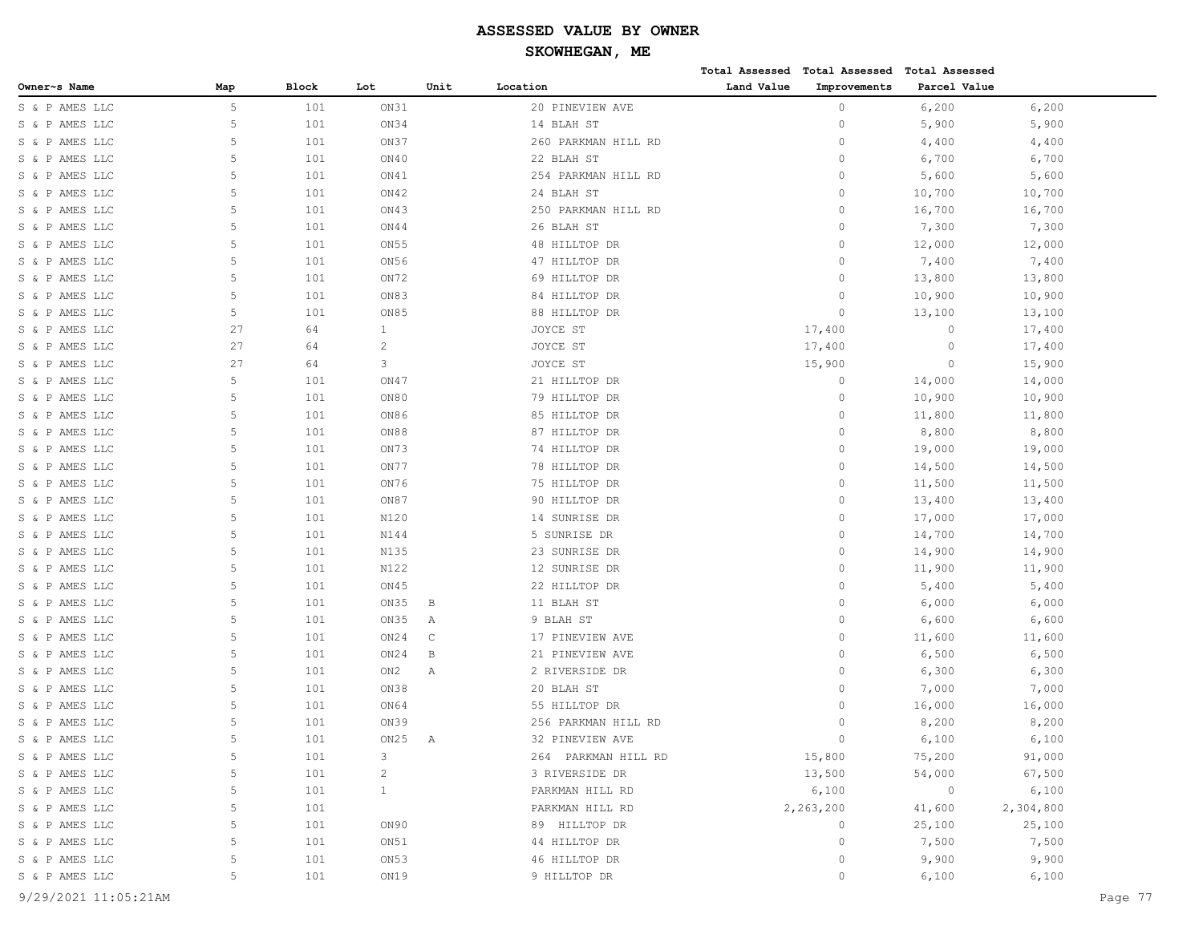# **SKOWHEGAN, ME**

|                |     |       |      |      |                     |            | Total Assessed Total Assessed Total Assessed |              |           |
|----------------|-----|-------|------|------|---------------------|------------|----------------------------------------------|--------------|-----------|
| Owner~s Name   | Map | Block | Lot  | Unit | Location            | Land Value | Improvements                                 | Parcel Value |           |
| S & P AMES LLC | 5   | 101   | ON31 |      | 20 PINEVIEW AVE     |            | 0                                            | 6,200        | 6,200     |
| S & P AMES LLC | 5   | 101   | ON34 |      | 14 BLAH ST          |            | 0                                            | 5,900        | 5,900     |
| S & P AMES LLC | 5   | 101   | ON37 |      | 260 PARKMAN HILL RD |            | $\circ$                                      | 4,400        | 4,400     |
| S & P AMES LLC | 5   | 101   | ON40 |      | 22 BLAH ST          |            | $\circ$                                      | 6,700        | 6,700     |
| S & P AMES LLC | 5   | 101   | ON41 |      | 254 PARKMAN HILL RD |            | $\circ$                                      | 5,600        | 5,600     |
| S & P AMES LLC | 5   | 101   | ON42 |      | 24 BLAH ST          |            | 0                                            | 10,700       | 10,700    |
| S & P AMES LLC | 5   | 101   | ON43 |      | 250 PARKMAN HILL RD |            | 0                                            | 16,700       | 16,700    |
| S & P AMES LLC | 5   | 101   | ON44 |      | 26 BLAH ST          |            | 0                                            | 7,300        | 7,300     |
| S & P AMES LLC | 5   | 101   | ON55 |      | 48 HILLTOP DR       |            | $\circ$                                      | 12,000       | 12,000    |
| S & P AMES LLC | 5   | 101   | ON56 |      | 47 HILLTOP DR       |            | 0                                            | 7,400        | 7,400     |
| S & P AMES LLC | 5   | 101   | ON72 |      | 69 HILLTOP DR       |            | 0                                            | 13,800       | 13,800    |
| S & P AMES LLC | 5   | 101   | ON83 |      | 84 HILLTOP DR       |            | 0                                            | 10,900       | 10,900    |
| S & P AMES LLC | 5   | 101   | ON85 |      | 88 HILLTOP DR       |            | $\circ$                                      | 13,100       | 13,100    |
| S & P AMES LLC | 27  | 64    | 1    |      | JOYCE ST            |            | 17,400                                       | $\circ$      | 17,400    |
| S & P AMES LLC | 27  | 64    | 2    |      | JOYCE ST            |            | 17,400                                       | $\circ$      | 17,400    |
| S & P AMES LLC | 27  | 64    | 3    |      | JOYCE ST            |            | 15,900                                       | $\circ$      | 15,900    |
| S & P AMES LLC | 5   | 101   | ON47 |      | 21 HILLTOP DR       |            | 0                                            | 14,000       | 14,000    |
| S & P AMES LLC | 5   | 101   | ON80 |      | 79 HILLTOP DR       |            | 0                                            | 10,900       | 10,900    |
| S & P AMES LLC | 5   | 101   | ON86 |      | 85 HILLTOP DR       |            | $\circ$                                      | 11,800       | 11,800    |
| S & P AMES LLC | 5   | 101   | ON88 |      | 87 HILLTOP DR       |            | 0                                            | 8,800        | 8,800     |
| S & P AMES LLC | 5   | 101   | ON73 |      | 74 HILLTOP DR       |            | 0                                            | 19,000       | 19,000    |
| S & P AMES LLC | 5   | 101   | ON77 |      | 78 HILLTOP DR       |            | 0                                            | 14,500       | 14,500    |
| S & P AMES LLC | 5   | 101   | ON76 |      | 75 HILLTOP DR       |            | 0                                            | 11,500       | 11,500    |
| S & P AMES LLC | 5   | 101   | ON87 |      | 90 HILLTOP DR       |            | 0                                            | 13,400       | 13,400    |
| S & P AMES LLC | 5   | 101   | N120 |      | 14 SUNRISE DR       |            | $\circ$                                      | 17,000       | 17,000    |
| S & P AMES LLC | 5   | 101   | N144 |      | 5 SUNRISE DR        |            | 0                                            | 14,700       | 14,700    |
| S & P AMES LLC | 5   | 101   | N135 |      | 23 SUNRISE DR       |            | 0                                            | 14,900       | 14,900    |
| S & P AMES LLC | 5   | 101   | N122 |      | 12 SUNRISE DR       |            | 0                                            | 11,900       | 11,900    |
| S & P AMES LLC | 5   | 101   | ON45 |      | 22 HILLTOP DR       |            | $\circ$                                      | 5,400        | 5,400     |
| S & P AMES LLC | 5   | 101   | ON35 | В    | 11 BLAH ST          |            | 0                                            | 6,000        | 6,000     |
| S & P AMES LLC | 5   | 101   | ON35 | Α    | 9 BLAH ST           |            | 0                                            | 6,600        | 6,600     |
| S & P AMES LLC | 5   | 101   | ON24 | C    | 17 PINEVIEW AVE     |            | 0                                            | 11,600       | 11,600    |
| S & P AMES LLC | 5   | 101   | ON24 | В    | 21 PINEVIEW AVE     |            | $\circ$                                      | 6,500        | 6,500     |
| S & P AMES LLC | 5   | 101   | ON2  | Α    | 2 RIVERSIDE DR      |            | 0                                            | 6,300        | 6,300     |
| S & P AMES LLC | 5   | 101   | ON38 |      | 20 BLAH ST          |            | 0                                            | 7,000        | 7,000     |
| S & P AMES LLC | 5   | 101   | ON64 |      | 55 HILLTOP DR       |            | 0                                            | 16,000       | 16,000    |
| S & P AMES LLC | 5   | 101   | ON39 |      | 256 PARKMAN HILL RD |            | 0                                            | 8,200        | 8,200     |
| S & P AMES LLC | 5   | 101   | ON25 | Α    | 32 PINEVIEW AVE     |            | $\Omega$                                     | 6,100        | 6,100     |
| S & P AMES LLC | 5   | 101   | 3    |      | 264 PARKMAN HILL RD |            | 15,800                                       | 75,200       | 91,000    |
| S & P AMES LLC | 5   | 101   | 2    |      | 3 RIVERSIDE DR      |            | 13,500                                       | 54,000       | 67,500    |
| S & P AMES LLC | 5   | 101   | 1    |      | PARKMAN HILL RD     |            | 6,100                                        | $\circ$      | 6,100     |
| S & P AMES LLC | 5   | 101   |      |      | PARKMAN HILL RD     |            | 2,263,200                                    | 41,600       | 2,304,800 |
| S & P AMES LLC | 5   | 101   | ON90 |      | 89 HILLTOP DR       |            | 0                                            | 25,100       | 25,100    |
| S & P AMES LLC | 5   | 101   | ON51 |      | 44 HILLTOP DR       |            | 0                                            | 7,500        | 7,500     |
| S & P AMES LLC | 5   | 101   | ON53 |      | 46 HILLTOP DR       |            | 0                                            | 9,900        | 9,900     |
| S & P AMES LLC | 5   | 101   | ON19 |      | 9 HILLTOP DR        |            | 0                                            | 6,100        | 6,100     |
|                |     |       |      |      |                     |            |                                              |              |           |

9/29/2021 11:05:21AM Page 77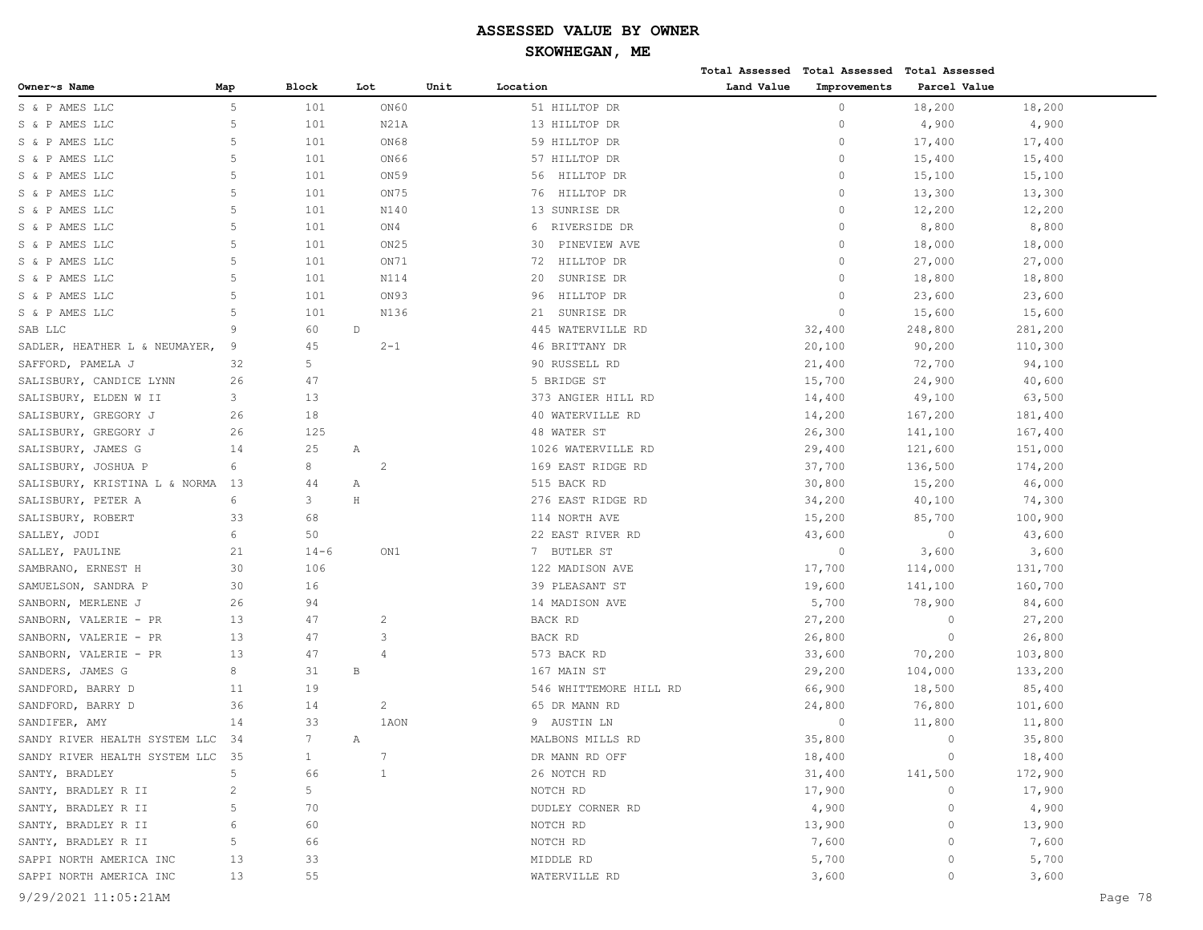|                                  |                |                 |                  |      |                        |            | Total Assessed Total Assessed Total Assessed |              |         |         |
|----------------------------------|----------------|-----------------|------------------|------|------------------------|------------|----------------------------------------------|--------------|---------|---------|
| Owner~s Name                     | Map            | Block           | Lot              | Unit | Location               | Land Value | Improvements                                 | Parcel Value |         |         |
| S & P AMES LLC                   | $\overline{5}$ | 101             | ON60             |      | 51 HILLTOP DR          |            | $\circ$                                      | 18,200       | 18,200  |         |
| S & P AMES LLC                   | $\overline{5}$ | 101             | N21A             |      | 13 HILLTOP DR          |            | $\circ$                                      | 4,900        | 4,900   |         |
| S & P AMES LLC                   | 5              | 101             | ON68             |      | 59 HILLTOP DR          |            | $\circ$                                      | 17,400       | 17,400  |         |
| S & P AMES LLC                   | 5              | 101             | ON66             |      | 57 HILLTOP DR          |            | $\circ$                                      | 15,400       | 15,400  |         |
| S & P AMES LLC                   | 5              | 101             | ON59             |      | HILLTOP DR<br>56       |            | $\circ$                                      | 15,100       | 15,100  |         |
| S & P AMES LLC                   | 5              | 101             | ON75             |      | HILLTOP DR<br>76       |            | $\circ$                                      | 13,300       | 13,300  |         |
| S & P AMES LLC                   | $\overline{5}$ | 101             | N140             |      | 13 SUNRISE DR          |            | $\circ$                                      | 12,200       | 12,200  |         |
| S & P AMES LLC                   | 5              | 101             | ON4              |      | RIVERSIDE DR<br>6      |            | $\circ$                                      | 8,800        | 8,800   |         |
| S & P AMES LLC                   | $\overline{5}$ | 101             | ON <sub>25</sub> |      | PINEVIEW AVE<br>30     |            | $\circ$                                      | 18,000       | 18,000  |         |
| S & P AMES LLC                   | 5              | 101             | ON71             |      | HILLTOP DR<br>72       |            | $\circ$                                      | 27,000       | 27,000  |         |
| S & P AMES LLC                   | 5              | 101             | N114             |      | SUNRISE DR<br>20       |            | $\Omega$                                     | 18,800       | 18,800  |         |
| S & P AMES LLC                   | 5              | 101             | ON93             |      | HILLTOP DR<br>96       |            | $\circ$                                      | 23,600       | 23,600  |         |
| S & P AMES LLC                   | 5              | 101             | N136             |      | SUNRISE DR<br>21       |            | $\Omega$                                     | 15,600       | 15,600  |         |
| SAB LLC                          | 9              | 60              | $\mathbb D$      |      | 445 WATERVILLE RD      |            | 32,400                                       | 248,800      | 281,200 |         |
| SADLER, HEATHER L & NEUMAYER,    | 9              | 45              | $2 - 1$          |      | 46 BRITTANY DR         |            | 20,100                                       | 90,200       | 110,300 |         |
| SAFFORD, PAMELA J                | 32             | 5               |                  |      | 90 RUSSELL RD          |            | 21,400                                       | 72,700       | 94,100  |         |
| SALISBURY, CANDICE LYNN          | 26             | 47              |                  |      | 5 BRIDGE ST            |            | 15,700                                       | 24,900       | 40,600  |         |
| SALISBURY, ELDEN W II            | 3              | 13              |                  |      | 373 ANGIER HILL RD     |            | 14,400                                       | 49,100       | 63,500  |         |
| SALISBURY, GREGORY J             | 26             | 18              |                  |      | 40 WATERVILLE RD       |            | 14,200                                       | 167,200      | 181,400 |         |
| SALISBURY, GREGORY J             | 26             | 125             |                  |      | 48 WATER ST            |            | 26,300                                       | 141,100      | 167,400 |         |
| SALISBURY, JAMES G               | 14             | 25              | Α                |      | 1026 WATERVILLE RD     |            | 29,400                                       | 121,600      | 151,000 |         |
| SALISBURY, JOSHUA P              | 6              | 8               | -2               |      | 169 EAST RIDGE RD      |            | 37,700                                       | 136,500      | 174,200 |         |
| SALISBURY, KRISTINA L & NORMA    | 13             | 44              | Α                |      | 515 BACK RD            |            | 30,800                                       | 15,200       | 46,000  |         |
| SALISBURY, PETER A               | 6              | 3               | $\rm H$          |      | 276 EAST RIDGE RD      |            | 34,200                                       | 40,100       | 74,300  |         |
| SALISBURY, ROBERT                | 33             | 68              |                  |      | 114 NORTH AVE          |            | 15,200                                       | 85,700       | 100,900 |         |
| SALLEY, JODI                     | 6              | 50              |                  |      | 22 EAST RIVER RD       |            | 43,600                                       | $\circ$      | 43,600  |         |
| SALLEY, PAULINE                  | 21             | $14 - 6$        | ON1              |      | 7 BUTLER ST            |            | $\circ$                                      | 3,600        | 3,600   |         |
| SAMBRANO, ERNEST H               | 30             | 106             |                  |      | 122 MADISON AVE        |            | 17,700                                       | 114,000      | 131,700 |         |
| SAMUELSON, SANDRA P              | 30             | 16              |                  |      | 39 PLEASANT ST         |            | 19,600                                       | 141,100      | 160,700 |         |
| SANBORN, MERLENE J               | 26             | 94              |                  |      | 14 MADISON AVE         |            | 5,700                                        | 78,900       | 84,600  |         |
| SANBORN, VALERIE - PR            | 13             | 47              | 2                |      | BACK RD                |            | 27,200                                       | $\circ$      | 27,200  |         |
| SANBORN, VALERIE - PR            | 13             | 47              | 3                |      | BACK RD                |            | 26,800                                       | $\circ$      | 26,800  |         |
| SANBORN, VALERIE - PR            | 13             | 47              | $\overline{4}$   |      | 573 BACK RD            |            | 33,600                                       | 70,200       | 103,800 |         |
| SANDERS, JAMES G                 | 8              | 31              | $\, {\bf B}$     |      | 167 MAIN ST            |            | 29,200                                       | 104,000      | 133,200 |         |
| SANDFORD, BARRY D                | 11             | 19              |                  |      | 546 WHITTEMORE HILL RD |            | 66,900                                       | 18,500       | 85,400  |         |
| SANDFORD, BARRY D                | 36             | 14              | $\overline{c}$   |      | 65 DR MANN RD          |            | 24,800                                       | 76,800       | 101,600 |         |
| SANDIFER, AMY                    | 14             | 33              | 1AON             |      | 9 AUSTIN LN            |            | $\circ$                                      | 11,800       | 11,800  |         |
| SANDY RIVER HEALTH SYSTEM LLC    | 34             | $7\phantom{.0}$ | Α                |      | MALBONS MILLS RD       |            | 35,800                                       | $\circ$      | 35,800  |         |
| SANDY RIVER HEALTH SYSTEM LLC 35 |                | $\mathbf{1}$    | $7\phantom{.0}$  |      | DR MANN RD OFF         |            | 18,400                                       | $\circ$      | 18,400  |         |
| SANTY, BRADLEY                   | 5              | 66              | 1                |      | 26 NOTCH RD            |            | 31,400                                       | 141,500      | 172,900 |         |
| SANTY, BRADLEY R II              | $\overline{c}$ | 5               |                  |      | NOTCH RD               |            | 17,900                                       | $\circ$      | 17,900  |         |
| SANTY, BRADLEY R II              | 5              | 70              |                  |      | DUDLEY CORNER RD       |            | 4,900                                        | $\circ$      | 4,900   |         |
| SANTY, BRADLEY R II              | 6              | 60              |                  |      | NOTCH RD               |            | 13,900                                       | $\circ$      | 13,900  |         |
| SANTY, BRADLEY R II              | 5              | 66              |                  |      | NOTCH RD               |            | 7,600                                        | 0            | 7,600   |         |
| SAPPI NORTH AMERICA INC          | 13             | 33              |                  |      | MIDDLE RD              |            | 5,700                                        | $\circ$      | 5,700   |         |
| SAPPI NORTH AMERICA INC          | 13             | 55              |                  |      | WATERVILLE RD          |            | 3,600                                        | 0            | 3,600   |         |
| 9/29/2021 11:05:21AM             |                |                 |                  |      |                        |            |                                              |              |         | Page 78 |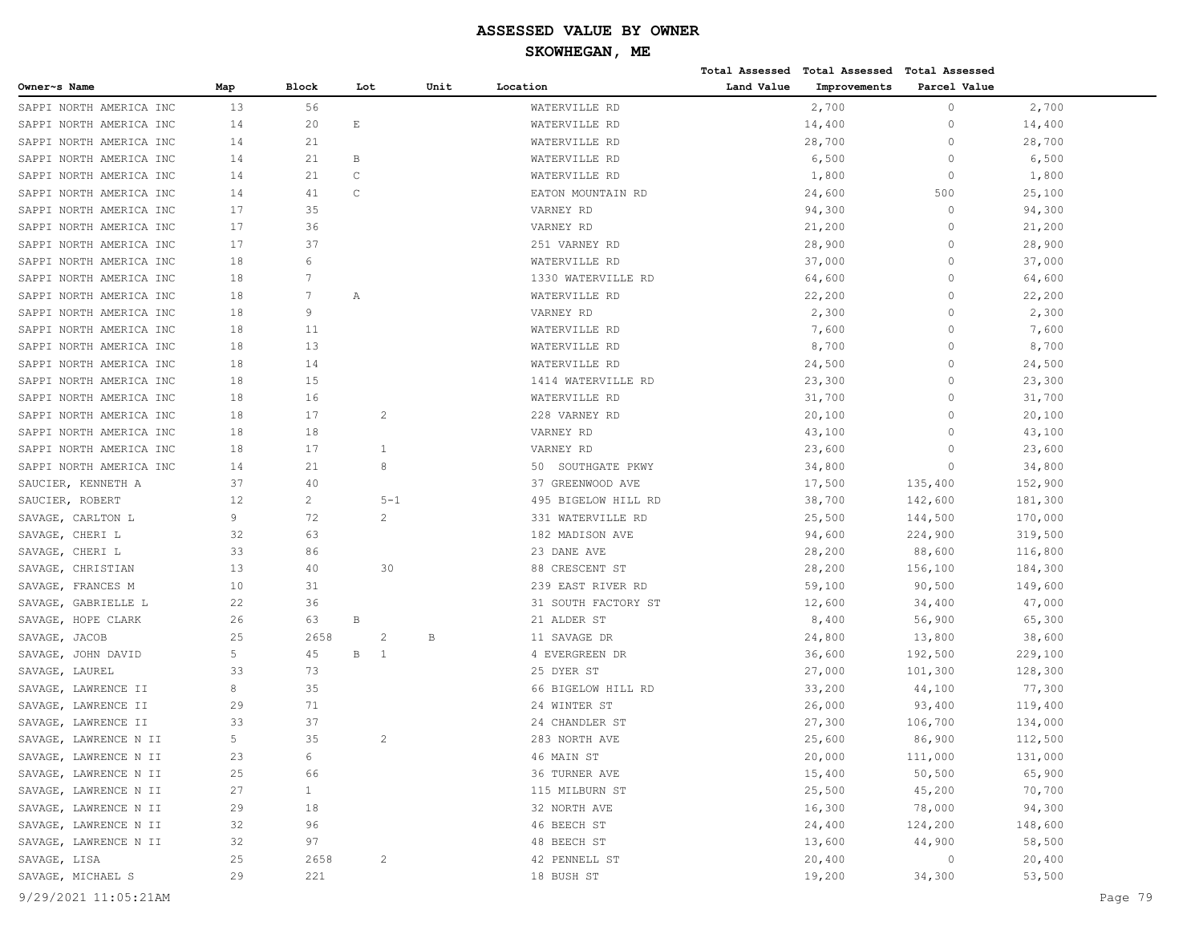| <b>Block</b><br>Unit<br>Location<br>Land Value<br>Improvements<br>Parcel Value<br>Map<br>Lot<br>$\circ$<br>WATERVILLE RD<br>2,700<br>SAPPI NORTH AMERICA INC<br>13<br>56<br>2,700<br>$\mathop{}\!\textnormal{E}$<br>$\mathbf{0}$<br>SAPPI NORTH AMERICA INC<br>14<br>20<br>WATERVILLE RD<br>14,400<br>14,400<br>14<br>21<br>WATERVILLE RD<br>28,700<br>$\Omega$<br>28,700<br>SAPPI NORTH AMERICA INC<br>21<br>B<br>6,500<br>$\Omega$<br>6,500<br>14<br>WATERVILLE RD<br>$\mathbb C$<br>SAPPI NORTH AMERICA INC<br>21<br>WATERVILLE RD<br>1,800<br>$\circ$<br>1,800<br>14<br>$\mathsf C$<br>500<br>SAPPI NORTH AMERICA INC<br>41<br>EATON MOUNTAIN RD<br>24,600<br>25,100<br>14<br>17<br>35<br>94,300<br>$\circ$<br>94,300<br>VARNEY RD<br>36<br>17<br>SAPPI NORTH AMERICA INC<br>VARNEY RD<br>21,200<br>0<br>21,200<br>37<br>SAPPI NORTH AMERICA INC<br>17<br>28,900<br>$\circ$<br>28,900<br>251 VARNEY RD<br>6<br>$\mathbf{0}$<br>SAPPI NORTH AMERICA INC<br>18<br>37,000<br>37,000<br>WATERVILLE RD<br>7<br>18<br>1330 WATERVILLE RD<br>64,600<br>$\Omega$<br>64,600<br>SAPPI NORTH AMERICA INC<br>SAPPI NORTH AMERICA INC<br>18<br>7<br>WATERVILLE RD<br>22,200<br>$\Omega$<br>22,200<br>Α<br>9<br>SAPPI NORTH AMERICA INC<br>18<br>VARNEY RD<br>2,300<br>$\Omega$<br>2,300<br>SAPPI NORTH AMERICA INC<br>18<br>11<br>7,600<br>$\Omega$<br>7,600<br>WATERVILLE RD<br>SAPPI NORTH AMERICA INC<br>18<br>13<br>8,700<br>$\Omega$<br>8,700<br>WATERVILLE RD<br>14<br>SAPPI NORTH AMERICA INC<br>18<br>24,500<br>24,500<br>WATERVILLE RD<br>0<br>15<br>SAPPI NORTH AMERICA INC<br>18<br>1414 WATERVILLE RD<br>23,300<br>$\Omega$<br>23,300<br>16<br>SAPPI NORTH AMERICA INC<br>18<br>WATERVILLE RD<br>31,700<br>$\Omega$<br>31,700<br>SAPPI NORTH AMERICA INC<br>18<br>17<br>2<br>228 VARNEY RD<br>20,100<br>$\Omega$<br>20,100<br>18<br>SAPPI NORTH AMERICA INC<br>18<br>VARNEY RD<br>43,100<br>$\Omega$<br>43,100<br>SAPPI NORTH AMERICA INC<br>18<br>17<br>1<br>VARNEY RD<br>23,600<br>$\Omega$<br>23,600<br>21<br>SAPPI NORTH AMERICA INC<br>14<br>8<br>50 SOUTHGATE PKWY<br>34,800<br>$\circ$<br>34,800<br>37<br>40<br>37 GREENWOOD AVE<br>17,500<br>135,400<br>152,900<br>SAUCIER, KENNETH A<br>12<br>$\overline{2}$<br>$5 - 1$<br>495 BIGELOW HILL RD<br>38,700<br>181,300<br>SAUCIER, ROBERT<br>142,600<br>9<br>72<br>2<br>331 WATERVILLE RD<br>25,500<br>144,500<br>170,000<br>SAVAGE, CARLTON L<br>32<br>SAVAGE, CHERI L<br>63<br>182 MADISON AVE<br>94,600<br>224,900<br>319,500<br>SAVAGE, CHERI L<br>33<br>86<br>23 DANE AVE<br>28,200<br>88,600<br>116,800<br>13<br>28,200<br>156,100<br>SAVAGE, CHRISTIAN<br>40<br>30<br>88 CRESCENT ST<br>184,300<br>SAVAGE, FRANCES M<br>10<br>31<br>239 EAST RIVER RD<br>59,100<br>90,500<br>149,600<br>SAVAGE, GABRIELLE L<br>22<br>36<br>31 SOUTH FACTORY ST<br>12,600<br>34,400<br>47,000<br>SAVAGE, HOPE CLARK<br>26<br>63<br>B<br>21 ALDER ST<br>8,400<br>56,900<br>65,300<br>25<br>2658<br>2<br>24,800<br>13,800<br>38,600<br>SAVAGE, JACOB<br>В<br>11 SAVAGE DR<br>5<br>45<br>В<br>$\mathbf{1}$<br>4 EVERGREEN DR<br>36,600<br>192,500<br>229,100<br>SAVAGE, JOHN DAVID<br>33<br>73<br>25 DYER ST<br>27,000<br>101,300<br>128,300<br>SAVAGE, LAUREL<br>35<br>8<br>66 BIGELOW HILL RD<br>33,200<br>44,100<br>77,300<br>SAVAGE, LAWRENCE II<br>71<br>29<br>24 WINTER ST<br>26,000<br>93,400<br>119,400<br>33<br>37<br>24 CHANDLER ST<br>27,300<br>106,700<br>134,000<br>5<br>35<br>283 NORTH AVE<br>SAVAGE, LAWRENCE N II<br>2<br>25,600<br>86,900<br>112,500<br>6<br>20,000<br>23<br>46 MAIN ST<br>111,000<br>131,000<br>66<br>15,400<br>50, 500<br>65,900<br>25<br>36 TURNER AVE<br>$\mathbf{1}$<br>45,200<br>27<br>115 MILBURN ST<br>25,500<br>70,700<br>29<br>18<br>32 NORTH AVE<br>16,300<br>78,000<br>94,300<br>SAVAGE, LAWRENCE N II<br>32<br>96<br>46 BEECH ST<br>24,400<br>124,200<br>148,600<br>97<br>13,600<br>44,900<br>58,500<br>32<br>48 BEECH ST<br>25<br>20,400<br>20,400<br>2658<br>$\overline{c}$<br>42 PENNELL ST<br>$\circ$<br>29<br>221<br>19,200<br>34,300<br>53,500<br>18 BUSH ST |                         |  |  |  | Total Assessed Total Assessed Total Assessed |  |         |
|---------------------------------------------------------------------------------------------------------------------------------------------------------------------------------------------------------------------------------------------------------------------------------------------------------------------------------------------------------------------------------------------------------------------------------------------------------------------------------------------------------------------------------------------------------------------------------------------------------------------------------------------------------------------------------------------------------------------------------------------------------------------------------------------------------------------------------------------------------------------------------------------------------------------------------------------------------------------------------------------------------------------------------------------------------------------------------------------------------------------------------------------------------------------------------------------------------------------------------------------------------------------------------------------------------------------------------------------------------------------------------------------------------------------------------------------------------------------------------------------------------------------------------------------------------------------------------------------------------------------------------------------------------------------------------------------------------------------------------------------------------------------------------------------------------------------------------------------------------------------------------------------------------------------------------------------------------------------------------------------------------------------------------------------------------------------------------------------------------------------------------------------------------------------------------------------------------------------------------------------------------------------------------------------------------------------------------------------------------------------------------------------------------------------------------------------------------------------------------------------------------------------------------------------------------------------------------------------------------------------------------------------------------------------------------------------------------------------------------------------------------------------------------------------------------------------------------------------------------------------------------------------------------------------------------------------------------------------------------------------------------------------------------------------------------------------------------------------------------------------------------------------------------------------------------------------------------------------------------------------------------------------------------------------------------------------------------------------------------------------------------------------------------------------------------------------------------------------------------------------------------------------------------------------------------------------------------------------------------------------------------------------------------------------------------------------------------------------------------------------------------------------------------------------------------------------------------------------------------------------------------------------------------------------------------------------------------------------------------------------------------------------------------------------------------------|-------------------------|--|--|--|----------------------------------------------|--|---------|
|                                                                                                                                                                                                                                                                                                                                                                                                                                                                                                                                                                                                                                                                                                                                                                                                                                                                                                                                                                                                                                                                                                                                                                                                                                                                                                                                                                                                                                                                                                                                                                                                                                                                                                                                                                                                                                                                                                                                                                                                                                                                                                                                                                                                                                                                                                                                                                                                                                                                                                                                                                                                                                                                                                                                                                                                                                                                                                                                                                                                                                                                                                                                                                                                                                                                                                                                                                                                                                                                                                                                                                                                                                                                                                                                                                                                                                                                                                                                                                                                                                                               | Owner~s Name            |  |  |  |                                              |  |         |
|                                                                                                                                                                                                                                                                                                                                                                                                                                                                                                                                                                                                                                                                                                                                                                                                                                                                                                                                                                                                                                                                                                                                                                                                                                                                                                                                                                                                                                                                                                                                                                                                                                                                                                                                                                                                                                                                                                                                                                                                                                                                                                                                                                                                                                                                                                                                                                                                                                                                                                                                                                                                                                                                                                                                                                                                                                                                                                                                                                                                                                                                                                                                                                                                                                                                                                                                                                                                                                                                                                                                                                                                                                                                                                                                                                                                                                                                                                                                                                                                                                                               |                         |  |  |  |                                              |  |         |
|                                                                                                                                                                                                                                                                                                                                                                                                                                                                                                                                                                                                                                                                                                                                                                                                                                                                                                                                                                                                                                                                                                                                                                                                                                                                                                                                                                                                                                                                                                                                                                                                                                                                                                                                                                                                                                                                                                                                                                                                                                                                                                                                                                                                                                                                                                                                                                                                                                                                                                                                                                                                                                                                                                                                                                                                                                                                                                                                                                                                                                                                                                                                                                                                                                                                                                                                                                                                                                                                                                                                                                                                                                                                                                                                                                                                                                                                                                                                                                                                                                                               |                         |  |  |  |                                              |  |         |
|                                                                                                                                                                                                                                                                                                                                                                                                                                                                                                                                                                                                                                                                                                                                                                                                                                                                                                                                                                                                                                                                                                                                                                                                                                                                                                                                                                                                                                                                                                                                                                                                                                                                                                                                                                                                                                                                                                                                                                                                                                                                                                                                                                                                                                                                                                                                                                                                                                                                                                                                                                                                                                                                                                                                                                                                                                                                                                                                                                                                                                                                                                                                                                                                                                                                                                                                                                                                                                                                                                                                                                                                                                                                                                                                                                                                                                                                                                                                                                                                                                                               | SAPPI NORTH AMERICA INC |  |  |  |                                              |  |         |
|                                                                                                                                                                                                                                                                                                                                                                                                                                                                                                                                                                                                                                                                                                                                                                                                                                                                                                                                                                                                                                                                                                                                                                                                                                                                                                                                                                                                                                                                                                                                                                                                                                                                                                                                                                                                                                                                                                                                                                                                                                                                                                                                                                                                                                                                                                                                                                                                                                                                                                                                                                                                                                                                                                                                                                                                                                                                                                                                                                                                                                                                                                                                                                                                                                                                                                                                                                                                                                                                                                                                                                                                                                                                                                                                                                                                                                                                                                                                                                                                                                                               |                         |  |  |  |                                              |  |         |
|                                                                                                                                                                                                                                                                                                                                                                                                                                                                                                                                                                                                                                                                                                                                                                                                                                                                                                                                                                                                                                                                                                                                                                                                                                                                                                                                                                                                                                                                                                                                                                                                                                                                                                                                                                                                                                                                                                                                                                                                                                                                                                                                                                                                                                                                                                                                                                                                                                                                                                                                                                                                                                                                                                                                                                                                                                                                                                                                                                                                                                                                                                                                                                                                                                                                                                                                                                                                                                                                                                                                                                                                                                                                                                                                                                                                                                                                                                                                                                                                                                                               |                         |  |  |  |                                              |  |         |
|                                                                                                                                                                                                                                                                                                                                                                                                                                                                                                                                                                                                                                                                                                                                                                                                                                                                                                                                                                                                                                                                                                                                                                                                                                                                                                                                                                                                                                                                                                                                                                                                                                                                                                                                                                                                                                                                                                                                                                                                                                                                                                                                                                                                                                                                                                                                                                                                                                                                                                                                                                                                                                                                                                                                                                                                                                                                                                                                                                                                                                                                                                                                                                                                                                                                                                                                                                                                                                                                                                                                                                                                                                                                                                                                                                                                                                                                                                                                                                                                                                                               |                         |  |  |  |                                              |  |         |
|                                                                                                                                                                                                                                                                                                                                                                                                                                                                                                                                                                                                                                                                                                                                                                                                                                                                                                                                                                                                                                                                                                                                                                                                                                                                                                                                                                                                                                                                                                                                                                                                                                                                                                                                                                                                                                                                                                                                                                                                                                                                                                                                                                                                                                                                                                                                                                                                                                                                                                                                                                                                                                                                                                                                                                                                                                                                                                                                                                                                                                                                                                                                                                                                                                                                                                                                                                                                                                                                                                                                                                                                                                                                                                                                                                                                                                                                                                                                                                                                                                                               | SAPPI NORTH AMERICA INC |  |  |  |                                              |  |         |
|                                                                                                                                                                                                                                                                                                                                                                                                                                                                                                                                                                                                                                                                                                                                                                                                                                                                                                                                                                                                                                                                                                                                                                                                                                                                                                                                                                                                                                                                                                                                                                                                                                                                                                                                                                                                                                                                                                                                                                                                                                                                                                                                                                                                                                                                                                                                                                                                                                                                                                                                                                                                                                                                                                                                                                                                                                                                                                                                                                                                                                                                                                                                                                                                                                                                                                                                                                                                                                                                                                                                                                                                                                                                                                                                                                                                                                                                                                                                                                                                                                                               |                         |  |  |  |                                              |  |         |
|                                                                                                                                                                                                                                                                                                                                                                                                                                                                                                                                                                                                                                                                                                                                                                                                                                                                                                                                                                                                                                                                                                                                                                                                                                                                                                                                                                                                                                                                                                                                                                                                                                                                                                                                                                                                                                                                                                                                                                                                                                                                                                                                                                                                                                                                                                                                                                                                                                                                                                                                                                                                                                                                                                                                                                                                                                                                                                                                                                                                                                                                                                                                                                                                                                                                                                                                                                                                                                                                                                                                                                                                                                                                                                                                                                                                                                                                                                                                                                                                                                                               |                         |  |  |  |                                              |  |         |
|                                                                                                                                                                                                                                                                                                                                                                                                                                                                                                                                                                                                                                                                                                                                                                                                                                                                                                                                                                                                                                                                                                                                                                                                                                                                                                                                                                                                                                                                                                                                                                                                                                                                                                                                                                                                                                                                                                                                                                                                                                                                                                                                                                                                                                                                                                                                                                                                                                                                                                                                                                                                                                                                                                                                                                                                                                                                                                                                                                                                                                                                                                                                                                                                                                                                                                                                                                                                                                                                                                                                                                                                                                                                                                                                                                                                                                                                                                                                                                                                                                                               |                         |  |  |  |                                              |  |         |
|                                                                                                                                                                                                                                                                                                                                                                                                                                                                                                                                                                                                                                                                                                                                                                                                                                                                                                                                                                                                                                                                                                                                                                                                                                                                                                                                                                                                                                                                                                                                                                                                                                                                                                                                                                                                                                                                                                                                                                                                                                                                                                                                                                                                                                                                                                                                                                                                                                                                                                                                                                                                                                                                                                                                                                                                                                                                                                                                                                                                                                                                                                                                                                                                                                                                                                                                                                                                                                                                                                                                                                                                                                                                                                                                                                                                                                                                                                                                                                                                                                                               |                         |  |  |  |                                              |  |         |
|                                                                                                                                                                                                                                                                                                                                                                                                                                                                                                                                                                                                                                                                                                                                                                                                                                                                                                                                                                                                                                                                                                                                                                                                                                                                                                                                                                                                                                                                                                                                                                                                                                                                                                                                                                                                                                                                                                                                                                                                                                                                                                                                                                                                                                                                                                                                                                                                                                                                                                                                                                                                                                                                                                                                                                                                                                                                                                                                                                                                                                                                                                                                                                                                                                                                                                                                                                                                                                                                                                                                                                                                                                                                                                                                                                                                                                                                                                                                                                                                                                                               |                         |  |  |  |                                              |  |         |
|                                                                                                                                                                                                                                                                                                                                                                                                                                                                                                                                                                                                                                                                                                                                                                                                                                                                                                                                                                                                                                                                                                                                                                                                                                                                                                                                                                                                                                                                                                                                                                                                                                                                                                                                                                                                                                                                                                                                                                                                                                                                                                                                                                                                                                                                                                                                                                                                                                                                                                                                                                                                                                                                                                                                                                                                                                                                                                                                                                                                                                                                                                                                                                                                                                                                                                                                                                                                                                                                                                                                                                                                                                                                                                                                                                                                                                                                                                                                                                                                                                                               |                         |  |  |  |                                              |  |         |
|                                                                                                                                                                                                                                                                                                                                                                                                                                                                                                                                                                                                                                                                                                                                                                                                                                                                                                                                                                                                                                                                                                                                                                                                                                                                                                                                                                                                                                                                                                                                                                                                                                                                                                                                                                                                                                                                                                                                                                                                                                                                                                                                                                                                                                                                                                                                                                                                                                                                                                                                                                                                                                                                                                                                                                                                                                                                                                                                                                                                                                                                                                                                                                                                                                                                                                                                                                                                                                                                                                                                                                                                                                                                                                                                                                                                                                                                                                                                                                                                                                                               |                         |  |  |  |                                              |  |         |
|                                                                                                                                                                                                                                                                                                                                                                                                                                                                                                                                                                                                                                                                                                                                                                                                                                                                                                                                                                                                                                                                                                                                                                                                                                                                                                                                                                                                                                                                                                                                                                                                                                                                                                                                                                                                                                                                                                                                                                                                                                                                                                                                                                                                                                                                                                                                                                                                                                                                                                                                                                                                                                                                                                                                                                                                                                                                                                                                                                                                                                                                                                                                                                                                                                                                                                                                                                                                                                                                                                                                                                                                                                                                                                                                                                                                                                                                                                                                                                                                                                                               |                         |  |  |  |                                              |  |         |
|                                                                                                                                                                                                                                                                                                                                                                                                                                                                                                                                                                                                                                                                                                                                                                                                                                                                                                                                                                                                                                                                                                                                                                                                                                                                                                                                                                                                                                                                                                                                                                                                                                                                                                                                                                                                                                                                                                                                                                                                                                                                                                                                                                                                                                                                                                                                                                                                                                                                                                                                                                                                                                                                                                                                                                                                                                                                                                                                                                                                                                                                                                                                                                                                                                                                                                                                                                                                                                                                                                                                                                                                                                                                                                                                                                                                                                                                                                                                                                                                                                                               |                         |  |  |  |                                              |  |         |
|                                                                                                                                                                                                                                                                                                                                                                                                                                                                                                                                                                                                                                                                                                                                                                                                                                                                                                                                                                                                                                                                                                                                                                                                                                                                                                                                                                                                                                                                                                                                                                                                                                                                                                                                                                                                                                                                                                                                                                                                                                                                                                                                                                                                                                                                                                                                                                                                                                                                                                                                                                                                                                                                                                                                                                                                                                                                                                                                                                                                                                                                                                                                                                                                                                                                                                                                                                                                                                                                                                                                                                                                                                                                                                                                                                                                                                                                                                                                                                                                                                                               |                         |  |  |  |                                              |  |         |
|                                                                                                                                                                                                                                                                                                                                                                                                                                                                                                                                                                                                                                                                                                                                                                                                                                                                                                                                                                                                                                                                                                                                                                                                                                                                                                                                                                                                                                                                                                                                                                                                                                                                                                                                                                                                                                                                                                                                                                                                                                                                                                                                                                                                                                                                                                                                                                                                                                                                                                                                                                                                                                                                                                                                                                                                                                                                                                                                                                                                                                                                                                                                                                                                                                                                                                                                                                                                                                                                                                                                                                                                                                                                                                                                                                                                                                                                                                                                                                                                                                                               |                         |  |  |  |                                              |  |         |
|                                                                                                                                                                                                                                                                                                                                                                                                                                                                                                                                                                                                                                                                                                                                                                                                                                                                                                                                                                                                                                                                                                                                                                                                                                                                                                                                                                                                                                                                                                                                                                                                                                                                                                                                                                                                                                                                                                                                                                                                                                                                                                                                                                                                                                                                                                                                                                                                                                                                                                                                                                                                                                                                                                                                                                                                                                                                                                                                                                                                                                                                                                                                                                                                                                                                                                                                                                                                                                                                                                                                                                                                                                                                                                                                                                                                                                                                                                                                                                                                                                                               |                         |  |  |  |                                              |  |         |
|                                                                                                                                                                                                                                                                                                                                                                                                                                                                                                                                                                                                                                                                                                                                                                                                                                                                                                                                                                                                                                                                                                                                                                                                                                                                                                                                                                                                                                                                                                                                                                                                                                                                                                                                                                                                                                                                                                                                                                                                                                                                                                                                                                                                                                                                                                                                                                                                                                                                                                                                                                                                                                                                                                                                                                                                                                                                                                                                                                                                                                                                                                                                                                                                                                                                                                                                                                                                                                                                                                                                                                                                                                                                                                                                                                                                                                                                                                                                                                                                                                                               |                         |  |  |  |                                              |  |         |
|                                                                                                                                                                                                                                                                                                                                                                                                                                                                                                                                                                                                                                                                                                                                                                                                                                                                                                                                                                                                                                                                                                                                                                                                                                                                                                                                                                                                                                                                                                                                                                                                                                                                                                                                                                                                                                                                                                                                                                                                                                                                                                                                                                                                                                                                                                                                                                                                                                                                                                                                                                                                                                                                                                                                                                                                                                                                                                                                                                                                                                                                                                                                                                                                                                                                                                                                                                                                                                                                                                                                                                                                                                                                                                                                                                                                                                                                                                                                                                                                                                                               |                         |  |  |  |                                              |  |         |
|                                                                                                                                                                                                                                                                                                                                                                                                                                                                                                                                                                                                                                                                                                                                                                                                                                                                                                                                                                                                                                                                                                                                                                                                                                                                                                                                                                                                                                                                                                                                                                                                                                                                                                                                                                                                                                                                                                                                                                                                                                                                                                                                                                                                                                                                                                                                                                                                                                                                                                                                                                                                                                                                                                                                                                                                                                                                                                                                                                                                                                                                                                                                                                                                                                                                                                                                                                                                                                                                                                                                                                                                                                                                                                                                                                                                                                                                                                                                                                                                                                                               |                         |  |  |  |                                              |  |         |
|                                                                                                                                                                                                                                                                                                                                                                                                                                                                                                                                                                                                                                                                                                                                                                                                                                                                                                                                                                                                                                                                                                                                                                                                                                                                                                                                                                                                                                                                                                                                                                                                                                                                                                                                                                                                                                                                                                                                                                                                                                                                                                                                                                                                                                                                                                                                                                                                                                                                                                                                                                                                                                                                                                                                                                                                                                                                                                                                                                                                                                                                                                                                                                                                                                                                                                                                                                                                                                                                                                                                                                                                                                                                                                                                                                                                                                                                                                                                                                                                                                                               |                         |  |  |  |                                              |  |         |
|                                                                                                                                                                                                                                                                                                                                                                                                                                                                                                                                                                                                                                                                                                                                                                                                                                                                                                                                                                                                                                                                                                                                                                                                                                                                                                                                                                                                                                                                                                                                                                                                                                                                                                                                                                                                                                                                                                                                                                                                                                                                                                                                                                                                                                                                                                                                                                                                                                                                                                                                                                                                                                                                                                                                                                                                                                                                                                                                                                                                                                                                                                                                                                                                                                                                                                                                                                                                                                                                                                                                                                                                                                                                                                                                                                                                                                                                                                                                                                                                                                                               |                         |  |  |  |                                              |  |         |
|                                                                                                                                                                                                                                                                                                                                                                                                                                                                                                                                                                                                                                                                                                                                                                                                                                                                                                                                                                                                                                                                                                                                                                                                                                                                                                                                                                                                                                                                                                                                                                                                                                                                                                                                                                                                                                                                                                                                                                                                                                                                                                                                                                                                                                                                                                                                                                                                                                                                                                                                                                                                                                                                                                                                                                                                                                                                                                                                                                                                                                                                                                                                                                                                                                                                                                                                                                                                                                                                                                                                                                                                                                                                                                                                                                                                                                                                                                                                                                                                                                                               |                         |  |  |  |                                              |  |         |
|                                                                                                                                                                                                                                                                                                                                                                                                                                                                                                                                                                                                                                                                                                                                                                                                                                                                                                                                                                                                                                                                                                                                                                                                                                                                                                                                                                                                                                                                                                                                                                                                                                                                                                                                                                                                                                                                                                                                                                                                                                                                                                                                                                                                                                                                                                                                                                                                                                                                                                                                                                                                                                                                                                                                                                                                                                                                                                                                                                                                                                                                                                                                                                                                                                                                                                                                                                                                                                                                                                                                                                                                                                                                                                                                                                                                                                                                                                                                                                                                                                                               |                         |  |  |  |                                              |  |         |
|                                                                                                                                                                                                                                                                                                                                                                                                                                                                                                                                                                                                                                                                                                                                                                                                                                                                                                                                                                                                                                                                                                                                                                                                                                                                                                                                                                                                                                                                                                                                                                                                                                                                                                                                                                                                                                                                                                                                                                                                                                                                                                                                                                                                                                                                                                                                                                                                                                                                                                                                                                                                                                                                                                                                                                                                                                                                                                                                                                                                                                                                                                                                                                                                                                                                                                                                                                                                                                                                                                                                                                                                                                                                                                                                                                                                                                                                                                                                                                                                                                                               |                         |  |  |  |                                              |  |         |
|                                                                                                                                                                                                                                                                                                                                                                                                                                                                                                                                                                                                                                                                                                                                                                                                                                                                                                                                                                                                                                                                                                                                                                                                                                                                                                                                                                                                                                                                                                                                                                                                                                                                                                                                                                                                                                                                                                                                                                                                                                                                                                                                                                                                                                                                                                                                                                                                                                                                                                                                                                                                                                                                                                                                                                                                                                                                                                                                                                                                                                                                                                                                                                                                                                                                                                                                                                                                                                                                                                                                                                                                                                                                                                                                                                                                                                                                                                                                                                                                                                                               |                         |  |  |  |                                              |  |         |
|                                                                                                                                                                                                                                                                                                                                                                                                                                                                                                                                                                                                                                                                                                                                                                                                                                                                                                                                                                                                                                                                                                                                                                                                                                                                                                                                                                                                                                                                                                                                                                                                                                                                                                                                                                                                                                                                                                                                                                                                                                                                                                                                                                                                                                                                                                                                                                                                                                                                                                                                                                                                                                                                                                                                                                                                                                                                                                                                                                                                                                                                                                                                                                                                                                                                                                                                                                                                                                                                                                                                                                                                                                                                                                                                                                                                                                                                                                                                                                                                                                                               |                         |  |  |  |                                              |  |         |
|                                                                                                                                                                                                                                                                                                                                                                                                                                                                                                                                                                                                                                                                                                                                                                                                                                                                                                                                                                                                                                                                                                                                                                                                                                                                                                                                                                                                                                                                                                                                                                                                                                                                                                                                                                                                                                                                                                                                                                                                                                                                                                                                                                                                                                                                                                                                                                                                                                                                                                                                                                                                                                                                                                                                                                                                                                                                                                                                                                                                                                                                                                                                                                                                                                                                                                                                                                                                                                                                                                                                                                                                                                                                                                                                                                                                                                                                                                                                                                                                                                                               |                         |  |  |  |                                              |  |         |
|                                                                                                                                                                                                                                                                                                                                                                                                                                                                                                                                                                                                                                                                                                                                                                                                                                                                                                                                                                                                                                                                                                                                                                                                                                                                                                                                                                                                                                                                                                                                                                                                                                                                                                                                                                                                                                                                                                                                                                                                                                                                                                                                                                                                                                                                                                                                                                                                                                                                                                                                                                                                                                                                                                                                                                                                                                                                                                                                                                                                                                                                                                                                                                                                                                                                                                                                                                                                                                                                                                                                                                                                                                                                                                                                                                                                                                                                                                                                                                                                                                                               |                         |  |  |  |                                              |  |         |
|                                                                                                                                                                                                                                                                                                                                                                                                                                                                                                                                                                                                                                                                                                                                                                                                                                                                                                                                                                                                                                                                                                                                                                                                                                                                                                                                                                                                                                                                                                                                                                                                                                                                                                                                                                                                                                                                                                                                                                                                                                                                                                                                                                                                                                                                                                                                                                                                                                                                                                                                                                                                                                                                                                                                                                                                                                                                                                                                                                                                                                                                                                                                                                                                                                                                                                                                                                                                                                                                                                                                                                                                                                                                                                                                                                                                                                                                                                                                                                                                                                                               |                         |  |  |  |                                              |  |         |
|                                                                                                                                                                                                                                                                                                                                                                                                                                                                                                                                                                                                                                                                                                                                                                                                                                                                                                                                                                                                                                                                                                                                                                                                                                                                                                                                                                                                                                                                                                                                                                                                                                                                                                                                                                                                                                                                                                                                                                                                                                                                                                                                                                                                                                                                                                                                                                                                                                                                                                                                                                                                                                                                                                                                                                                                                                                                                                                                                                                                                                                                                                                                                                                                                                                                                                                                                                                                                                                                                                                                                                                                                                                                                                                                                                                                                                                                                                                                                                                                                                                               |                         |  |  |  |                                              |  |         |
|                                                                                                                                                                                                                                                                                                                                                                                                                                                                                                                                                                                                                                                                                                                                                                                                                                                                                                                                                                                                                                                                                                                                                                                                                                                                                                                                                                                                                                                                                                                                                                                                                                                                                                                                                                                                                                                                                                                                                                                                                                                                                                                                                                                                                                                                                                                                                                                                                                                                                                                                                                                                                                                                                                                                                                                                                                                                                                                                                                                                                                                                                                                                                                                                                                                                                                                                                                                                                                                                                                                                                                                                                                                                                                                                                                                                                                                                                                                                                                                                                                                               |                         |  |  |  |                                              |  |         |
|                                                                                                                                                                                                                                                                                                                                                                                                                                                                                                                                                                                                                                                                                                                                                                                                                                                                                                                                                                                                                                                                                                                                                                                                                                                                                                                                                                                                                                                                                                                                                                                                                                                                                                                                                                                                                                                                                                                                                                                                                                                                                                                                                                                                                                                                                                                                                                                                                                                                                                                                                                                                                                                                                                                                                                                                                                                                                                                                                                                                                                                                                                                                                                                                                                                                                                                                                                                                                                                                                                                                                                                                                                                                                                                                                                                                                                                                                                                                                                                                                                                               |                         |  |  |  |                                              |  |         |
|                                                                                                                                                                                                                                                                                                                                                                                                                                                                                                                                                                                                                                                                                                                                                                                                                                                                                                                                                                                                                                                                                                                                                                                                                                                                                                                                                                                                                                                                                                                                                                                                                                                                                                                                                                                                                                                                                                                                                                                                                                                                                                                                                                                                                                                                                                                                                                                                                                                                                                                                                                                                                                                                                                                                                                                                                                                                                                                                                                                                                                                                                                                                                                                                                                                                                                                                                                                                                                                                                                                                                                                                                                                                                                                                                                                                                                                                                                                                                                                                                                                               | SAVAGE, LAWRENCE II     |  |  |  |                                              |  |         |
|                                                                                                                                                                                                                                                                                                                                                                                                                                                                                                                                                                                                                                                                                                                                                                                                                                                                                                                                                                                                                                                                                                                                                                                                                                                                                                                                                                                                                                                                                                                                                                                                                                                                                                                                                                                                                                                                                                                                                                                                                                                                                                                                                                                                                                                                                                                                                                                                                                                                                                                                                                                                                                                                                                                                                                                                                                                                                                                                                                                                                                                                                                                                                                                                                                                                                                                                                                                                                                                                                                                                                                                                                                                                                                                                                                                                                                                                                                                                                                                                                                                               | SAVAGE, LAWRENCE II     |  |  |  |                                              |  |         |
|                                                                                                                                                                                                                                                                                                                                                                                                                                                                                                                                                                                                                                                                                                                                                                                                                                                                                                                                                                                                                                                                                                                                                                                                                                                                                                                                                                                                                                                                                                                                                                                                                                                                                                                                                                                                                                                                                                                                                                                                                                                                                                                                                                                                                                                                                                                                                                                                                                                                                                                                                                                                                                                                                                                                                                                                                                                                                                                                                                                                                                                                                                                                                                                                                                                                                                                                                                                                                                                                                                                                                                                                                                                                                                                                                                                                                                                                                                                                                                                                                                                               |                         |  |  |  |                                              |  |         |
|                                                                                                                                                                                                                                                                                                                                                                                                                                                                                                                                                                                                                                                                                                                                                                                                                                                                                                                                                                                                                                                                                                                                                                                                                                                                                                                                                                                                                                                                                                                                                                                                                                                                                                                                                                                                                                                                                                                                                                                                                                                                                                                                                                                                                                                                                                                                                                                                                                                                                                                                                                                                                                                                                                                                                                                                                                                                                                                                                                                                                                                                                                                                                                                                                                                                                                                                                                                                                                                                                                                                                                                                                                                                                                                                                                                                                                                                                                                                                                                                                                                               | SAVAGE, LAWRENCE N II   |  |  |  |                                              |  |         |
|                                                                                                                                                                                                                                                                                                                                                                                                                                                                                                                                                                                                                                                                                                                                                                                                                                                                                                                                                                                                                                                                                                                                                                                                                                                                                                                                                                                                                                                                                                                                                                                                                                                                                                                                                                                                                                                                                                                                                                                                                                                                                                                                                                                                                                                                                                                                                                                                                                                                                                                                                                                                                                                                                                                                                                                                                                                                                                                                                                                                                                                                                                                                                                                                                                                                                                                                                                                                                                                                                                                                                                                                                                                                                                                                                                                                                                                                                                                                                                                                                                                               | SAVAGE, LAWRENCE N II   |  |  |  |                                              |  |         |
|                                                                                                                                                                                                                                                                                                                                                                                                                                                                                                                                                                                                                                                                                                                                                                                                                                                                                                                                                                                                                                                                                                                                                                                                                                                                                                                                                                                                                                                                                                                                                                                                                                                                                                                                                                                                                                                                                                                                                                                                                                                                                                                                                                                                                                                                                                                                                                                                                                                                                                                                                                                                                                                                                                                                                                                                                                                                                                                                                                                                                                                                                                                                                                                                                                                                                                                                                                                                                                                                                                                                                                                                                                                                                                                                                                                                                                                                                                                                                                                                                                                               | SAVAGE, LAWRENCE N II   |  |  |  |                                              |  |         |
|                                                                                                                                                                                                                                                                                                                                                                                                                                                                                                                                                                                                                                                                                                                                                                                                                                                                                                                                                                                                                                                                                                                                                                                                                                                                                                                                                                                                                                                                                                                                                                                                                                                                                                                                                                                                                                                                                                                                                                                                                                                                                                                                                                                                                                                                                                                                                                                                                                                                                                                                                                                                                                                                                                                                                                                                                                                                                                                                                                                                                                                                                                                                                                                                                                                                                                                                                                                                                                                                                                                                                                                                                                                                                                                                                                                                                                                                                                                                                                                                                                                               | SAVAGE, LAWRENCE N II   |  |  |  |                                              |  |         |
|                                                                                                                                                                                                                                                                                                                                                                                                                                                                                                                                                                                                                                                                                                                                                                                                                                                                                                                                                                                                                                                                                                                                                                                                                                                                                                                                                                                                                                                                                                                                                                                                                                                                                                                                                                                                                                                                                                                                                                                                                                                                                                                                                                                                                                                                                                                                                                                                                                                                                                                                                                                                                                                                                                                                                                                                                                                                                                                                                                                                                                                                                                                                                                                                                                                                                                                                                                                                                                                                                                                                                                                                                                                                                                                                                                                                                                                                                                                                                                                                                                                               |                         |  |  |  |                                              |  |         |
|                                                                                                                                                                                                                                                                                                                                                                                                                                                                                                                                                                                                                                                                                                                                                                                                                                                                                                                                                                                                                                                                                                                                                                                                                                                                                                                                                                                                                                                                                                                                                                                                                                                                                                                                                                                                                                                                                                                                                                                                                                                                                                                                                                                                                                                                                                                                                                                                                                                                                                                                                                                                                                                                                                                                                                                                                                                                                                                                                                                                                                                                                                                                                                                                                                                                                                                                                                                                                                                                                                                                                                                                                                                                                                                                                                                                                                                                                                                                                                                                                                                               | SAVAGE, LAWRENCE N II   |  |  |  |                                              |  |         |
|                                                                                                                                                                                                                                                                                                                                                                                                                                                                                                                                                                                                                                                                                                                                                                                                                                                                                                                                                                                                                                                                                                                                                                                                                                                                                                                                                                                                                                                                                                                                                                                                                                                                                                                                                                                                                                                                                                                                                                                                                                                                                                                                                                                                                                                                                                                                                                                                                                                                                                                                                                                                                                                                                                                                                                                                                                                                                                                                                                                                                                                                                                                                                                                                                                                                                                                                                                                                                                                                                                                                                                                                                                                                                                                                                                                                                                                                                                                                                                                                                                                               | SAVAGE, LISA            |  |  |  |                                              |  |         |
|                                                                                                                                                                                                                                                                                                                                                                                                                                                                                                                                                                                                                                                                                                                                                                                                                                                                                                                                                                                                                                                                                                                                                                                                                                                                                                                                                                                                                                                                                                                                                                                                                                                                                                                                                                                                                                                                                                                                                                                                                                                                                                                                                                                                                                                                                                                                                                                                                                                                                                                                                                                                                                                                                                                                                                                                                                                                                                                                                                                                                                                                                                                                                                                                                                                                                                                                                                                                                                                                                                                                                                                                                                                                                                                                                                                                                                                                                                                                                                                                                                                               | SAVAGE, MICHAEL S       |  |  |  |                                              |  |         |
|                                                                                                                                                                                                                                                                                                                                                                                                                                                                                                                                                                                                                                                                                                                                                                                                                                                                                                                                                                                                                                                                                                                                                                                                                                                                                                                                                                                                                                                                                                                                                                                                                                                                                                                                                                                                                                                                                                                                                                                                                                                                                                                                                                                                                                                                                                                                                                                                                                                                                                                                                                                                                                                                                                                                                                                                                                                                                                                                                                                                                                                                                                                                                                                                                                                                                                                                                                                                                                                                                                                                                                                                                                                                                                                                                                                                                                                                                                                                                                                                                                                               | 9/29/2021 11:05:21AM    |  |  |  |                                              |  | Page 79 |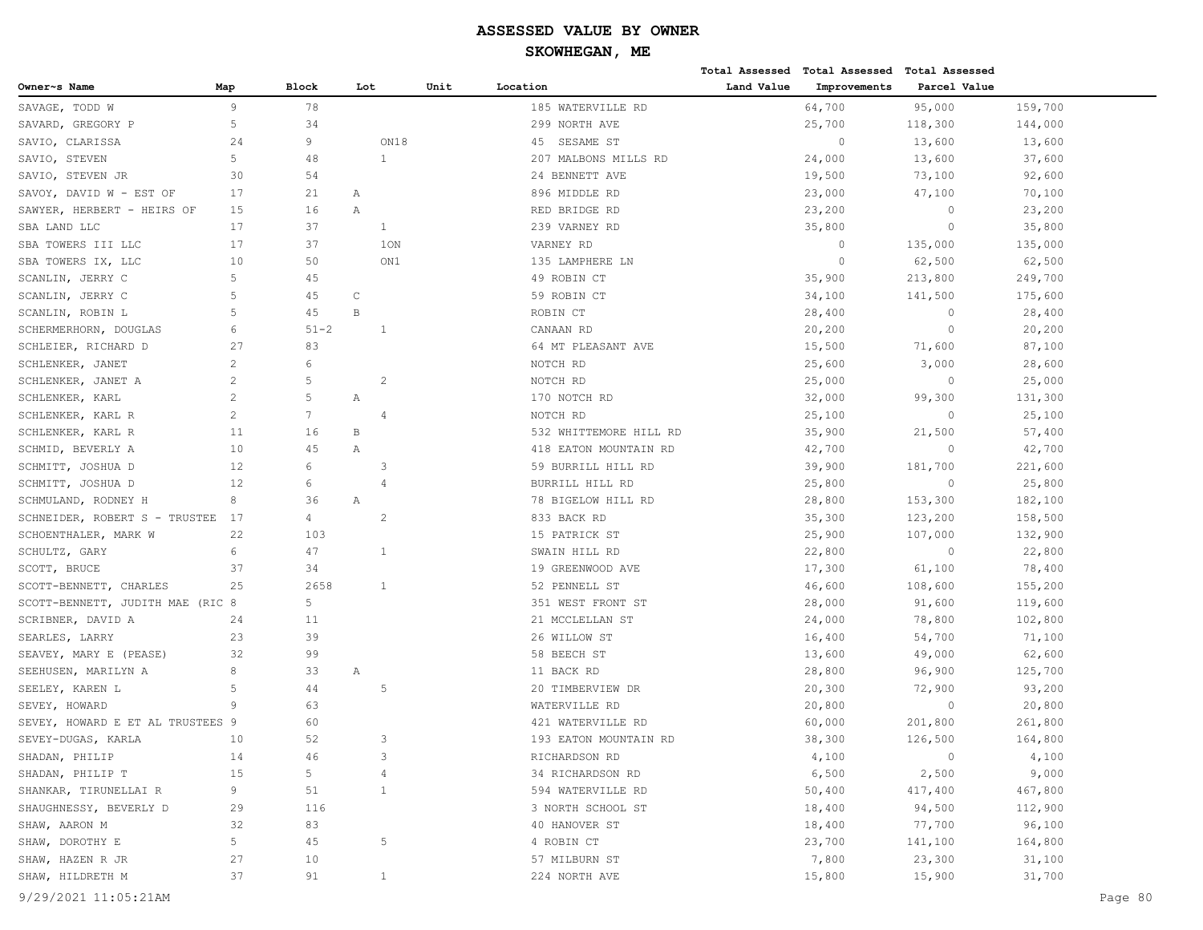|                                  |              |                 |     |              |      |                        |            | Total Assessed Total Assessed Total Assessed |              |         |         |
|----------------------------------|--------------|-----------------|-----|--------------|------|------------------------|------------|----------------------------------------------|--------------|---------|---------|
| Owner~s Name                     | Map          | <b>Block</b>    | Lot |              | Unit | Location               | Land Value | Improvements                                 | Parcel Value |         |         |
| SAVAGE, TODD W                   | 9            | 78              |     |              |      | 185 WATERVILLE RD      |            | 64,700                                       | 95,000       | 159,700 |         |
| SAVARD, GREGORY P                | $\mathsf S$  | 34              |     |              |      | 299 NORTH AVE          |            | 25,700                                       | 118,300      | 144,000 |         |
| SAVIO, CLARISSA                  | 24           | 9               |     | ON18         |      | SESAME ST<br>45        |            | $\circ$                                      | 13,600       | 13,600  |         |
| SAVIO, STEVEN                    | 5            | 48              |     | 1            |      | 207 MALBONS MILLS RD   |            | 24,000                                       | 13,600       | 37,600  |         |
| SAVIO, STEVEN JR                 | 30           | 54              |     |              |      | 24 BENNETT AVE         |            | 19,500                                       | 73,100       | 92,600  |         |
| SAVOY, DAVID W - EST OF          | 17           | 21              | Α   |              |      | 896 MIDDLE RD          |            | 23,000                                       | 47,100       | 70,100  |         |
| SAWYER, HERBERT - HEIRS OF       | 15           | 16              | Α   |              |      | RED BRIDGE RD          |            | 23,200                                       | $\circ$      | 23,200  |         |
| SBA LAND LLC                     | 17           | 37              |     | 1            |      | 239 VARNEY RD          |            | 35,800                                       | $\circ$      | 35,800  |         |
| SBA TOWERS III LLC               | 17           | 37              |     | 10N          |      | VARNEY RD              |            | $\circ$                                      | 135,000      | 135,000 |         |
| SBA TOWERS IX, LLC               | 10           | 50              |     | ON1          |      | 135 LAMPHERE LN        |            | $\mathbf{0}$                                 | 62,500       | 62,500  |         |
| SCANLIN, JERRY C                 | 5            | 45              |     |              |      | 49 ROBIN CT            |            | 35,900                                       | 213,800      | 249,700 |         |
| SCANLIN, JERRY C                 | 5            | 45              | C   |              |      | 59 ROBIN CT            |            | 34,100                                       | 141,500      | 175,600 |         |
| SCANLIN, ROBIN L                 | 5            | 45              | B   |              |      | ROBIN CT               |            | 28,400                                       | $\circ$      | 28,400  |         |
| SCHERMERHORN, DOUGLAS            | 6            | $51 - 2$        |     | 1            |      | CANAAN RD              |            | 20,200                                       | $\circ$      | 20,200  |         |
| SCHLEIER, RICHARD D              | 27           | 83              |     |              |      | 64 MT PLEASANT AVE     |            | 15,500                                       | 71,600       | 87,100  |         |
| SCHLENKER, JANET                 | 2            | 6               |     |              |      | NOTCH RD               |            | 25,600                                       | 3,000        | 28,600  |         |
| SCHLENKER, JANET A               | $\mathbf{2}$ | 5               |     | 2            |      | NOTCH RD               |            | 25,000                                       | $\circ$      | 25,000  |         |
| SCHLENKER, KARL                  | 2            | 5               | Α   |              |      | 170 NOTCH RD           |            | 32,000                                       | 99,300       | 131,300 |         |
| SCHLENKER, KARL R                | 2            | $7\phantom{.0}$ |     | 4            |      | NOTCH RD               |            | 25,100                                       | $\circ$      | 25,100  |         |
| SCHLENKER, KARL R                | 11           | 16              | В   |              |      | 532 WHITTEMORE HILL RD |            | 35,900                                       | 21,500       | 57,400  |         |
| SCHMID, BEVERLY A                | 10           | 45              | Α   |              |      | 418 EATON MOUNTAIN RD  |            | 42,700                                       | $\circ$      | 42,700  |         |
| SCHMITT, JOSHUA D                | 12           | 6               |     | 3            |      | 59 BURRILL HILL RD     |            | 39,900                                       | 181,700      | 221,600 |         |
| SCHMITT, JOSHUA D                | 12           | 6               |     | 4            |      | BURRILL HILL RD        |            | 25,800                                       | $\circ$      | 25,800  |         |
| SCHMULAND, RODNEY H              | 8            | 36              | Α   |              |      | 78 BIGELOW HILL RD     |            | 28,800                                       | 153,300      | 182,100 |         |
| SCHNEIDER, ROBERT S - TRUSTEE    | 17           | 4               |     | 2            |      | 833 BACK RD            |            | 35,300                                       | 123,200      | 158,500 |         |
| SCHOENTHALER, MARK W             | 22           | 103             |     |              |      | 15 PATRICK ST          |            | 25,900                                       | 107,000      | 132,900 |         |
| SCHULTZ, GARY                    | 6            | 47              |     | 1            |      | SWAIN HILL RD          |            | 22,800                                       | $\circ$      | 22,800  |         |
| SCOTT, BRUCE                     | 37           | 34              |     |              |      | 19 GREENWOOD AVE       |            | 17,300                                       | 61,100       | 78,400  |         |
| SCOTT-BENNETT, CHARLES           | 25           | 2658            |     | 1            |      | 52 PENNELL ST          |            | 46,600                                       | 108,600      | 155,200 |         |
| SCOTT-BENNETT, JUDITH MAE (RIC 8 |              | 5               |     |              |      | 351 WEST FRONT ST      |            | 28,000                                       | 91,600       | 119,600 |         |
| SCRIBNER, DAVID A                | 24           | 11              |     |              |      | 21 MCCLELLAN ST        |            | 24,000                                       | 78,800       | 102,800 |         |
| SEARLES, LARRY                   | 23           | 39              |     |              |      | 26 WILLOW ST           |            | 16,400                                       | 54,700       | 71,100  |         |
| SEAVEY, MARY E (PEASE)           | 32           | 99              |     |              |      | 58 BEECH ST            |            | 13,600                                       | 49,000       | 62,600  |         |
| SEEHUSEN, MARILYN A              | 8            | 33              | Α   |              |      | 11 BACK RD             |            | 28,800                                       | 96,900       | 125,700 |         |
| SEELEY, KAREN L                  | 5            | 44              |     | -5           |      | 20 TIMBERVIEW DR       |            | 20,300                                       | 72,900       | 93,200  |         |
| SEVEY, HOWARD                    | 9            | 63              |     |              |      | WATERVILLE RD          |            | 20,800                                       | $\circ$      | 20,800  |         |
| SEVEY, HOWARD E ET AL TRUSTEES 9 |              | 60              |     |              |      | 421 WATERVILLE RD      |            | 60,000                                       | 201,800      | 261,800 |         |
| SEVEY-DUGAS, KARLA               | 10           | 52              |     | 3            |      | 193 EATON MOUNTAIN RD  |            | 38,300                                       | 126,500      | 164,800 |         |
| SHADAN, PHILIP                   | 14           | 46              |     | 3            |      | RICHARDSON RD          |            | 4,100                                        | $\circ$      | 4,100   |         |
| SHADAN, PHILIP T                 | 15           | 5               |     | 4            |      | 34 RICHARDSON RD       |            | 6,500                                        | 2,500        | 9,000   |         |
| SHANKAR, TIRUNELLAI R            | 9            | 51              |     | 1            |      | 594 WATERVILLE RD      |            | 50,400                                       | 417,400      | 467,800 |         |
| SHAUGHNESSY, BEVERLY D           | 29           | 116             |     |              |      | 3 NORTH SCHOOL ST      |            | 18,400                                       | 94,500       | 112,900 |         |
| SHAW, AARON M                    | 32           | 83              |     |              |      | 40 HANOVER ST          |            | 18,400                                       | 77,700       | 96,100  |         |
| SHAW, DOROTHY E                  | 5            | 45              |     | 5            |      | 4 ROBIN CT             |            | 23,700                                       | 141,100      | 164,800 |         |
| SHAW, HAZEN R JR                 | 27           | 10              |     |              |      | 57 MILBURN ST          |            | 7,800                                        | 23,300       | 31,100  |         |
| SHAW, HILDRETH M                 | 37           | 91              |     | $\mathbf{1}$ |      | 224 NORTH AVE          |            | 15,800                                       | 15,900       | 31,700  |         |
| 9/29/2021 11:05:21AM             |              |                 |     |              |      |                        |            |                                              |              |         | Page 80 |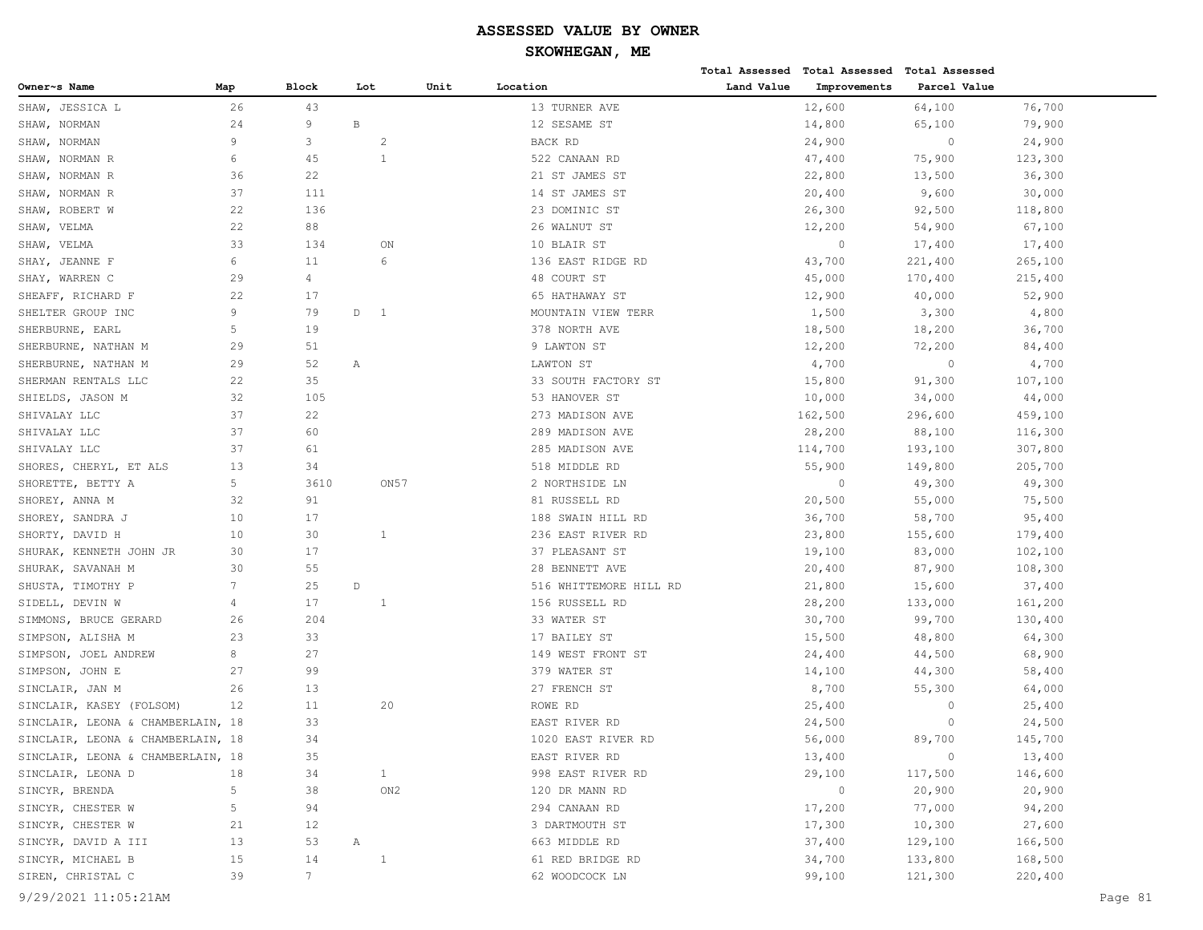|                                   |     |                |              |                |      |                        |            | Total Assessed Total Assessed | <b>Total Assessed</b> |         |         |
|-----------------------------------|-----|----------------|--------------|----------------|------|------------------------|------------|-------------------------------|-----------------------|---------|---------|
| Owner~s Name                      | Map | <b>Block</b>   | Lot          |                | Unit | Location               | Land Value | Improvements                  | Parcel Value          |         |         |
| SHAW, JESSICA L                   | 26  | 43             |              |                |      | 13 TURNER AVE          |            | 12,600                        | 64,100                | 76,700  |         |
| SHAW, NORMAN                      | 24  | 9              | $\, {\bf B}$ |                |      | 12 SESAME ST           |            | 14,800                        | 65,100                | 79,900  |         |
| SHAW, NORMAN                      | 9   | 3              |              | -2             |      | BACK RD                |            | 24,900                        | $\circ$               | 24,900  |         |
| SHAW, NORMAN R                    | 6   | 45             |              | 1              |      | 522 CANAAN RD          |            | 47,400                        | 75,900                | 123,300 |         |
| SHAW, NORMAN R                    | 36  | 22             |              |                |      | 21 ST JAMES ST         |            | 22,800                        | 13,500                | 36,300  |         |
| SHAW, NORMAN R                    | 37  | 111            |              |                |      | 14 ST JAMES ST         |            | 20,400                        | 9,600                 | 30,000  |         |
| SHAW, ROBERT W                    | 22  | 136            |              |                |      | 23 DOMINIC ST          |            | 26,300                        | 92,500                | 118,800 |         |
| SHAW, VELMA                       | 22  | 88             |              |                |      | 26 WALNUT ST           |            | 12,200                        | 54,900                | 67,100  |         |
| SHAW, VELMA                       | 33  | 134            |              | ON             |      | 10 BLAIR ST            |            | $\circ$                       | 17,400                | 17,400  |         |
| SHAY, JEANNE F                    | 6   | 11             |              | 6              |      | 136 EAST RIDGE RD      |            | 43,700                        | 221,400               | 265,100 |         |
| SHAY, WARREN C                    | 29  | $\overline{4}$ |              |                |      | 48 COURT ST            |            | 45,000                        | 170,400               | 215,400 |         |
| SHEAFF, RICHARD F                 | 22  | 17             |              |                |      | 65 HATHAWAY ST         |            | 12,900                        | 40,000                | 52,900  |         |
| SHELTER GROUP INC                 | 9   | 79             | D            | $\overline{1}$ |      | MOUNTAIN VIEW TERR     |            | 1,500                         | 3,300                 | 4,800   |         |
| SHERBURNE, EARL                   | 5   | 19             |              |                |      | 378 NORTH AVE          |            | 18,500                        | 18,200                | 36,700  |         |
| SHERBURNE, NATHAN M               | 29  | 51             |              |                |      | 9 LAWTON ST            |            | 12,200                        | 72,200                | 84,400  |         |
| SHERBURNE, NATHAN M               | 29  | 52             | Α            |                |      | LAWTON ST              |            | 4,700                         | $\circ$               | 4,700   |         |
| SHERMAN RENTALS LLC               | 22  | 35             |              |                |      | 33 SOUTH FACTORY ST    |            | 15,800                        | 91,300                | 107,100 |         |
| SHIELDS, JASON M                  | 32  | 105            |              |                |      | 53 HANOVER ST          |            | 10,000                        | 34,000                | 44,000  |         |
| SHIVALAY LLC                      | 37  | 22             |              |                |      | 273 MADISON AVE        |            | 162,500                       | 296,600               | 459,100 |         |
| SHIVALAY LLC                      | 37  | 60             |              |                |      | 289 MADISON AVE        |            | 28,200                        | 88,100                | 116,300 |         |
| SHIVALAY LLC                      | 37  | 61             |              |                |      | 285 MADISON AVE        |            | 114,700                       | 193,100               | 307,800 |         |
| SHORES, CHERYL, ET ALS            | 13  | 34             |              |                |      | 518 MIDDLE RD          |            | 55,900                        | 149,800               | 205,700 |         |
| SHORETTE, BETTY A                 | 5   | 3610           |              | ON 57          |      | 2 NORTHSIDE LN         |            | $\circ$                       | 49,300                | 49,300  |         |
| SHOREY, ANNA M                    | 32  | 91             |              |                |      | 81 RUSSELL RD          |            | 20,500                        | 55,000                | 75,500  |         |
| SHOREY, SANDRA J                  | 10  | 17             |              |                |      | 188 SWAIN HILL RD      |            | 36,700                        | 58,700                | 95,400  |         |
| SHORTY, DAVID H                   | 10  | 30             |              | 1              |      | 236 EAST RIVER RD      |            | 23,800                        | 155,600               | 179,400 |         |
| SHURAK, KENNETH JOHN JR           | 30  | 17             |              |                |      | 37 PLEASANT ST         |            | 19,100                        | 83,000                | 102,100 |         |
| SHURAK, SAVANAH M                 | 30  | 55             |              |                |      | 28 BENNETT AVE         |            | 20,400                        | 87,900                | 108,300 |         |
| SHUSTA, TIMOTHY P                 | 7   | 25             | $\mathbb D$  |                |      | 516 WHITTEMORE HILL RD |            | 21,800                        | 15,600                | 37,400  |         |
| SIDELL, DEVIN W                   | 4   | 17             |              | 1              |      | 156 RUSSELL RD         |            | 28,200                        | 133,000               | 161,200 |         |
| SIMMONS, BRUCE GERARD             | 26  | 204            |              |                |      | 33 WATER ST            |            | 30,700                        | 99,700                | 130,400 |         |
| SIMPSON, ALISHA M                 | 23  | 33             |              |                |      | 17 BAILEY ST           |            | 15,500                        | 48,800                | 64,300  |         |
| SIMPSON, JOEL ANDREW              | 8   | 27             |              |                |      | 149 WEST FRONT ST      |            | 24,400                        | 44,500                | 68,900  |         |
| SIMPSON, JOHN E                   | 27  | 99             |              |                |      | 379 WATER ST           |            | 14,100                        | 44,300                | 58,400  |         |
| SINCLAIR, JAN M                   | 26  | 13             |              |                |      | 27 FRENCH ST           |            | 8,700                         | 55,300                | 64,000  |         |
| SINCLAIR, KASEY (FOLSOM)          | 12  | 11             |              | 20             |      | ROWE RD                |            | 25,400                        | $\circ$               | 25,400  |         |
| SINCLAIR, LEONA & CHAMBERLAIN, 18 |     | 33             |              |                |      | EAST RIVER RD          |            | 24,500                        | $\circ$               | 24,500  |         |
| SINCLAIR, LEONA & CHAMBERLAIN, 18 |     | 34             |              |                |      | 1020 EAST RIVER RD     |            | 56,000                        | 89,700                | 145,700 |         |
| SINCLAIR, LEONA & CHAMBERLAIN, 18 |     | 35             |              |                |      | EAST RIVER RD          |            | 13,400                        | $\circ$               | 13,400  |         |
| SINCLAIR, LEONA D                 | 18  | 34             |              | $\mathbf{1}$   |      | 998 EAST RIVER RD      |            | 29,100                        | 117,500               | 146,600 |         |
| SINCYR, BRENDA                    | 5   | 38             |              | ON2            |      | 120 DR MANN RD         |            | $\circ$                       | 20,900                | 20,900  |         |
| SINCYR, CHESTER W                 | 5   | 94             |              |                |      | 294 CANAAN RD          |            | 17,200                        | 77,000                | 94,200  |         |
| SINCYR, CHESTER W                 | 21  | 12             |              |                |      | 3 DARTMOUTH ST         |            | 17,300                        | 10,300                | 27,600  |         |
| SINCYR, DAVID A III               | 13  | 53             | Α            |                |      | 663 MIDDLE RD          |            | 37,400                        | 129,100               | 166,500 |         |
| SINCYR, MICHAEL B                 | 15  | 14             |              | 1              |      | 61 RED BRIDGE RD       |            | 34,700                        | 133,800               | 168,500 |         |
| SIREN, CHRISTAL C                 | 39  | $7\phantom{.}$ |              |                |      | 62 WOODCOCK LN         |            | 99,100                        | 121,300               | 220,400 |         |
| 9/29/2021 11:05:21AM              |     |                |              |                |      |                        |            |                               |                       |         | Page 81 |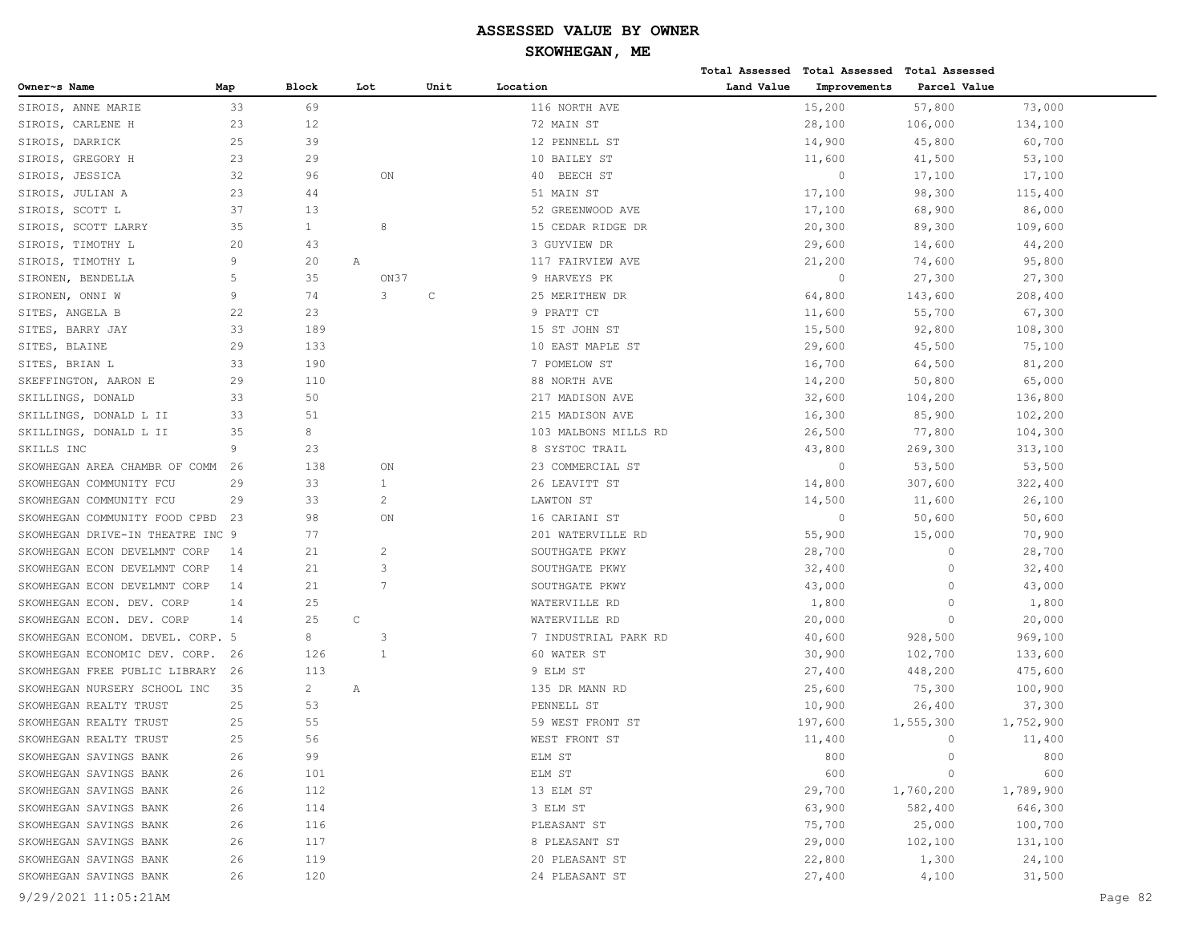|                                  |     |                |              |      |                      |            | Total Assessed Total Assessed Total Assessed |              |           |         |
|----------------------------------|-----|----------------|--------------|------|----------------------|------------|----------------------------------------------|--------------|-----------|---------|
| Owner~s Name                     | Map | Block          | Lot          | Unit | Location             | Land Value | Improvements                                 | Parcel Value |           |         |
| SIROIS, ANNE MARIE               | 33  | 69             |              |      | 116 NORTH AVE        |            | 15,200                                       | 57,800       | 73,000    |         |
| SIROIS, CARLENE H                | 23  | 12             |              |      | 72 MAIN ST           |            | 28,100                                       | 106,000      | 134,100   |         |
| SIROIS, DARRICK                  | 25  | 39             |              |      | 12 PENNELL ST        |            | 14,900                                       | 45,800       | 60,700    |         |
| SIROIS, GREGORY H                | 23  | 29             |              |      | 10 BAILEY ST         |            | 11,600                                       | 41,500       | 53,100    |         |
| SIROIS, JESSICA                  | 32  | 96             | ON           |      | 40 BEECH ST          |            | $\circ$                                      | 17,100       | 17,100    |         |
| SIROIS, JULIAN A                 | 23  | 44             |              |      | 51 MAIN ST           |            | 17,100                                       | 98,300       | 115,400   |         |
| SIROIS, SCOTT L                  | 37  | 13             |              |      | 52 GREENWOOD AVE     |            | 17,100                                       | 68,900       | 86,000    |         |
| SIROIS, SCOTT LARRY              | 35  | $\mathbf{1}$   | 8            |      | 15 CEDAR RIDGE DR    |            | 20,300                                       | 89,300       | 109,600   |         |
| SIROIS, TIMOTHY L                | 20  | 43             |              |      | 3 GUYVIEW DR         |            | 29,600                                       | 14,600       | 44,200    |         |
| SIROIS, TIMOTHY L                | 9   | 20             | Α            |      | 117 FAIRVIEW AVE     |            | 21,200                                       | 74,600       | 95,800    |         |
| SIRONEN, BENDELLA                | 5   | 35             | ON37         |      | 9 HARVEYS PK         |            | $\circ$                                      | 27,300       | 27,300    |         |
| SIRONEN, ONNI W                  | 9   | 74             | 3            | С    | 25 MERITHEW DR       |            | 64,800                                       | 143,600      | 208,400   |         |
| SITES, ANGELA B                  | 22  | 23             |              |      | 9 PRATT CT           |            | 11,600                                       | 55,700       | 67,300    |         |
| SITES, BARRY JAY                 | 33  | 189            |              |      | 15 ST JOHN ST        |            | 15,500                                       | 92,800       | 108,300   |         |
| SITES, BLAINE                    | 29  | 133            |              |      | 10 EAST MAPLE ST     |            | 29,600                                       | 45,500       | 75,100    |         |
| SITES, BRIAN L                   | 33  | 190            |              |      | 7 POMELOW ST         |            | 16,700                                       | 64,500       | 81,200    |         |
| SKEFFINGTON, AARON E             | 29  | 110            |              |      | 88 NORTH AVE         |            | 14,200                                       | 50,800       | 65,000    |         |
| SKILLINGS, DONALD                | 33  | 50             |              |      | 217 MADISON AVE      |            | 32,600                                       | 104,200      | 136,800   |         |
| SKILLINGS, DONALD L II           | 33  | 51             |              |      | 215 MADISON AVE      |            | 16,300                                       | 85,900       | 102,200   |         |
| SKILLINGS, DONALD L II           | 35  | 8              |              |      | 103 MALBONS MILLS RD |            | 26,500                                       | 77,800       | 104,300   |         |
| SKILLS INC                       | 9   | 23             |              |      | 8 SYSTOC TRAIL       |            | 43,800                                       | 269,300      | 313,100   |         |
| SKOWHEGAN AREA CHAMBR OF COMM    | 26  | 138            | ON           |      | 23 COMMERCIAL ST     |            | $\circ$                                      | 53,500       | 53,500    |         |
| SKOWHEGAN COMMUNITY FCU          | 29  | 33             | 1            |      | 26 LEAVITT ST        |            | 14,800                                       | 307,600      | 322,400   |         |
| SKOWHEGAN COMMUNITY FCU          | 29  | 33             | 2            |      | LAWTON ST            |            | 14,500                                       | 11,600       | 26,100    |         |
| SKOWHEGAN COMMUNITY FOOD CPBD    | 23  | 98             | ON           |      | 16 CARIANI ST        |            | $\circ$                                      | 50,600       | 50,600    |         |
| SKOWHEGAN DRIVE-IN THEATRE INC 9 |     | 77             |              |      | 201 WATERVILLE RD    |            | 55,900                                       | 15,000       | 70,900    |         |
| SKOWHEGAN ECON DEVELMNT CORP     | 14  | 21             | 2            |      | SOUTHGATE PKWY       |            | 28,700                                       | $\circ$      | 28,700    |         |
| SKOWHEGAN ECON DEVELMNT CORP     | 14  | 21             | 3            |      | SOUTHGATE PKWY       |            | 32,400                                       | $\circ$      | 32,400    |         |
| SKOWHEGAN ECON DEVELMNT CORP     | 14  | 21             | 7            |      | SOUTHGATE PKWY       |            | 43,000                                       | $\Omega$     | 43,000    |         |
| SKOWHEGAN ECON. DEV. CORP        | 14  | 25             |              |      | WATERVILLE RD        |            | 1,800                                        | $\circ$      | 1,800     |         |
| SKOWHEGAN ECON. DEV. CORP        | 14  | 25             | C            |      | WATERVILLE RD        |            | 20,000                                       | $\circ$      | 20,000    |         |
| SKOWHEGAN ECONOM. DEVEL. CORP. 5 |     | 8              | 3            |      | 7 INDUSTRIAL PARK RD |            | 40,600                                       | 928,500      | 969,100   |         |
| SKOWHEGAN ECONOMIC DEV. CORP.    | 26  | 126            | $\mathbf{1}$ |      | 60 WATER ST          |            | 30,900                                       | 102,700      | 133,600   |         |
| SKOWHEGAN FREE PUBLIC LIBRARY    | 26  | 113            |              |      | 9 ELM ST             |            | 27,400                                       | 448,200      | 475,600   |         |
| SKOWHEGAN NURSERY SCHOOL INC     | 35  | $\overline{c}$ | Α            |      | 135 DR MANN RD       |            | 25,600                                       | 75,300       | 100,900   |         |
| SKOWHEGAN REALTY TRUST           | 25  | 53             |              |      | PENNELL ST           |            | 10,900                                       | 26,400       | 37,300    |         |
| SKOWHEGAN REALTY TRUST           | 25  | 55             |              |      | 59 WEST FRONT ST     |            | 197,600                                      | 1,555,300    | 1,752,900 |         |
| SKOWHEGAN REALTY TRUST           | 25  | 56             |              |      | WEST FRONT ST        |            | 11,400                                       | $\circ$      | 11,400    |         |
| SKOWHEGAN SAVINGS BANK           | 26  | 99             |              |      | ELM ST               |            | 800                                          | $\circ$      | 800       |         |
| SKOWHEGAN SAVINGS BANK           | 26  | 101            |              |      | ELM ST               |            | 600                                          | $\circ$      | 600       |         |
| SKOWHEGAN SAVINGS BANK           | 26  | 112            |              |      | 13 ELM ST            |            | 29,700                                       | 1,760,200    | 1,789,900 |         |
| SKOWHEGAN SAVINGS BANK           | 26  | 114            |              |      | 3 ELM ST             |            | 63,900                                       | 582,400      | 646,300   |         |
| SKOWHEGAN SAVINGS BANK           | 26  | 116            |              |      | PLEASANT ST          |            | 75,700                                       | 25,000       | 100,700   |         |
| SKOWHEGAN SAVINGS BANK           | 26  | 117            |              |      | 8 PLEASANT ST        |            | 29,000                                       | 102,100      | 131,100   |         |
| SKOWHEGAN SAVINGS BANK           | 26  | 119            |              |      | 20 PLEASANT ST       |            | 22,800                                       | 1,300        | 24,100    |         |
| SKOWHEGAN SAVINGS BANK           | 26  | 120            |              |      | 24 PLEASANT ST       |            | 27,400                                       | 4,100        | 31,500    |         |
| 9/29/2021 11:05:21AM             |     |                |              |      |                      |            |                                              |              |           | Page 82 |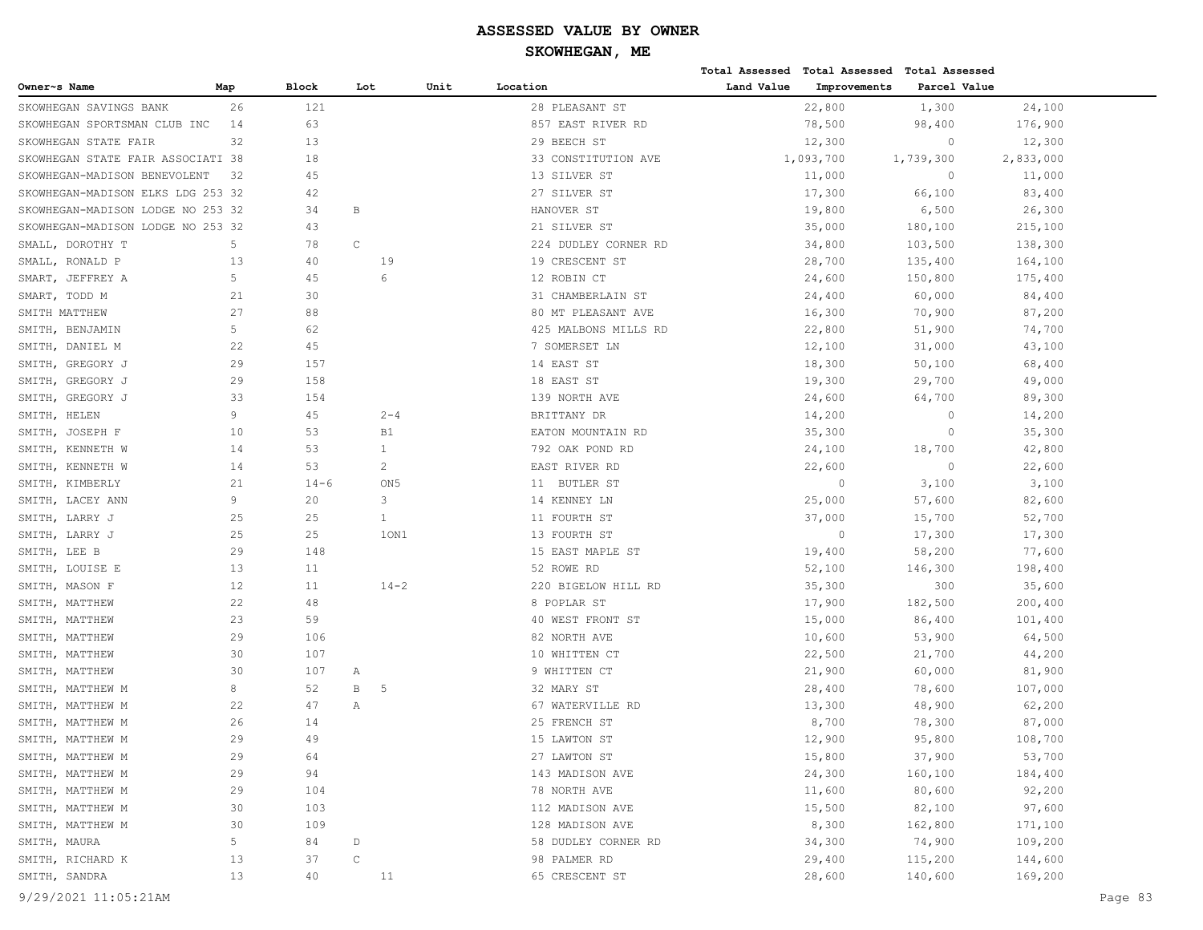|                                   |     |              |             |                 |      |                      |            | Total Assessed Total Assessed Total Assessed |              |           |
|-----------------------------------|-----|--------------|-------------|-----------------|------|----------------------|------------|----------------------------------------------|--------------|-----------|
| Owner~s Name                      | Map | <b>Block</b> | Lot         |                 | Unit | Location             | Land Value | Improvements                                 | Parcel Value |           |
| SKOWHEGAN SAVINGS BANK            | 26  | 121          |             |                 |      | 28 PLEASANT ST       |            | 22,800                                       | 1,300        | 24,100    |
| SKOWHEGAN SPORTSMAN CLUB INC      | 14  | 63           |             |                 |      | 857 EAST RIVER RD    |            | 78,500                                       | 98,400       | 176,900   |
| SKOWHEGAN STATE FAIR              | 32  | 13           |             |                 |      | 29 BEECH ST          |            | 12,300                                       | $\circ$      | 12,300    |
| SKOWHEGAN STATE FAIR ASSOCIATI 38 |     | 18           |             |                 |      | 33 CONSTITUTION AVE  |            | 1,093,700                                    | 1,739,300    | 2,833,000 |
| SKOWHEGAN-MADISON BENEVOLENT      | 32  | 45           |             |                 |      | 13 SILVER ST         |            | 11,000                                       | $\circ$      | 11,000    |
| SKOWHEGAN-MADISON ELKS LDG 253 32 |     | 42           |             |                 |      | 27 SILVER ST         |            | 17,300                                       | 66,100       | 83,400    |
| SKOWHEGAN-MADISON LODGE NO 253 32 |     | 34           | B           |                 |      | HANOVER ST           |            | 19,800                                       | 6,500        | 26,300    |
| SKOWHEGAN-MADISON LODGE NO 253 32 |     | 43           |             |                 |      | 21 SILVER ST         |            | 35,000                                       | 180,100      | 215,100   |
| SMALL, DOROTHY T                  | 5   | 78           | $\mathsf C$ |                 |      | 224 DUDLEY CORNER RD |            | 34,800                                       | 103,500      | 138,300   |
| SMALL, RONALD P                   | 13  | 40           |             | 19              |      | 19 CRESCENT ST       |            | 28,700                                       | 135,400      | 164,100   |
| SMART, JEFFREY A                  | 5   | 45           |             | 6               |      | 12 ROBIN CT          |            | 24,600                                       | 150,800      | 175,400   |
| SMART, TODD M                     | 21  | 30           |             |                 |      | 31 CHAMBERLAIN ST    |            | 24,400                                       | 60,000       | 84,400    |
| SMITH MATTHEW                     | 27  | 88           |             |                 |      | 80 MT PLEASANT AVE   |            | 16,300                                       | 70,900       | 87,200    |
| SMITH, BENJAMIN                   | 5   | 62           |             |                 |      | 425 MALBONS MILLS RD |            | 22,800                                       | 51,900       | 74,700    |
| SMITH, DANIEL M                   | 22  | 45           |             |                 |      | 7 SOMERSET LN        |            | 12,100                                       | 31,000       | 43,100    |
| SMITH, GREGORY J                  | 29  | 157          |             |                 |      | 14 EAST ST           |            | 18,300                                       | 50,100       | 68,400    |
| GREGORY J<br>SMITH,               | 29  | 158          |             |                 |      | 18 EAST ST           |            | 19,300                                       | 29,700       | 49,000    |
| GREGORY J<br>SMITH,               | 33  | 154          |             |                 |      | 139 NORTH AVE        |            | 24,600                                       | 64,700       | 89,300    |
| SMITH, HELEN                      | 9   | 45           |             | $2 - 4$         |      | BRITTANY DR          |            | 14,200                                       | $\circ$      | 14,200    |
| SMITH,<br>JOSEPH F                | 10  | 53           |             | <b>B1</b>       |      | EATON MOUNTAIN RD    |            | 35,300                                       | $\circ$      | 35,300    |
| SMITH, KENNETH W                  | 14  | 53           |             | $\mathbf{1}$    |      | 792 OAK POND RD      |            | 24,100                                       | 18,700       | 42,800    |
| SMITH, KENNETH W                  | 14  | 53           |             | 2               |      | EAST RIVER RD        |            | 22,600                                       | $\circ$      | 22,600    |
| SMITH, KIMBERLY                   | 21  | $14 - 6$     |             | ON <sub>5</sub> |      | 11 BUTLER ST         |            | $\circ$                                      | 3,100        | 3,100     |
| SMITH, LACEY ANN                  | 9   | 20           |             | 3               |      | 14 KENNEY LN         |            | 25,000                                       | 57,600       | 82,600    |
| SMITH,<br>LARRY J                 | 25  | 25           |             | $\mathbf{1}$    |      | 11 FOURTH ST         |            | 37,000                                       | 15,700       | 52,700    |
| SMITH, LARRY J                    | 25  | 25           |             | 10N1            |      | 13 FOURTH ST         |            | $\circ$                                      | 17,300       | 17,300    |
| SMITH, LEE B                      | 29  | 148          |             |                 |      | 15 EAST MAPLE ST     |            | 19,400                                       | 58,200       | 77,600    |
| SMITH, LOUISE E                   | 13  | 11           |             |                 |      | 52 ROWE RD           |            | 52,100                                       | 146,300      | 198,400   |
| SMITH, MASON F                    | 12  | 11           |             | $14 - 2$        |      | 220 BIGELOW HILL RD  |            | 35,300                                       | 300          | 35,600    |
| SMITH, MATTHEW                    | 22  | 48           |             |                 |      | 8 POPLAR ST          |            | 17,900                                       | 182,500      | 200,400   |
| SMITH, MATTHEW                    | 23  | 59           |             |                 |      | 40 WEST FRONT ST     |            | 15,000                                       | 86,400       | 101,400   |
| SMITH, MATTHEW                    | 29  | 106          |             |                 |      | 82 NORTH AVE         |            | 10,600                                       | 53,900       | 64,500    |
| SMITH, MATTHEW                    | 30  | 107          |             |                 |      | 10 WHITTEN CT        |            | 22,500                                       | 21,700       | 44,200    |
| SMITH, MATTHEW                    | 30  | 107          | Α           |                 |      | 9 WHITTEN CT         |            | 21,900                                       | 60,000       | 81,900    |
| SMITH, MATTHEW M                  | 8   | 52           | В           | -5              |      | 32 MARY ST           |            | 28,400                                       | 78,600       | 107,000   |
| SMITH, MATTHEW M                  | 22  | 47           | Α           |                 |      | 67 WATERVILLE RD     |            | 13,300                                       | 48,900       | 62,200    |
| SMITH, MATTHEW M                  | 26  | 14           |             |                 |      | 25 FRENCH ST         |            | 8,700                                        | 78,300       | 87,000    |
| SMITH, MATTHEW M                  | 29  | 49           |             |                 |      | 15 LAWTON ST         |            | 12,900                                       | 95,800       | 108,700   |
| SMITH, MATTHEW M                  | 29  | 64           |             |                 |      | 27 LAWTON ST         |            | 15,800                                       | 37,900       | 53,700    |
| SMITH, MATTHEW M                  | 29  | 94           |             |                 |      | 143 MADISON AVE      |            | 24,300                                       | 160,100      | 184,400   |
| SMITH, MATTHEW M                  | 29  | 104          |             |                 |      | 78 NORTH AVE         |            | 11,600                                       | 80,600       | 92,200    |
| SMITH, MATTHEW M                  | 30  | 103          |             |                 |      | 112 MADISON AVE      |            | 15,500                                       | 82,100       | 97,600    |
| SMITH, MATTHEW M                  | 30  | 109          |             |                 |      | 128 MADISON AVE      |            | 8,300                                        | 162,800      | 171,100   |
| SMITH, MAURA                      | 5   | 84           | D           |                 |      | 58 DUDLEY CORNER RD  |            | 34,300                                       | 74,900       | 109,200   |
| SMITH, RICHARD K                  | 13  | 37           | $\mathsf C$ |                 |      | 98 PALMER RD         |            | 29,400                                       | 115,200      | 144,600   |
| SMITH, SANDRA                     | 13  | 40           |             | 11              |      | 65 CRESCENT ST       |            | 28,600                                       | 140,600      | 169,200   |
|                                   |     |              |             |                 |      |                      |            |                                              |              |           |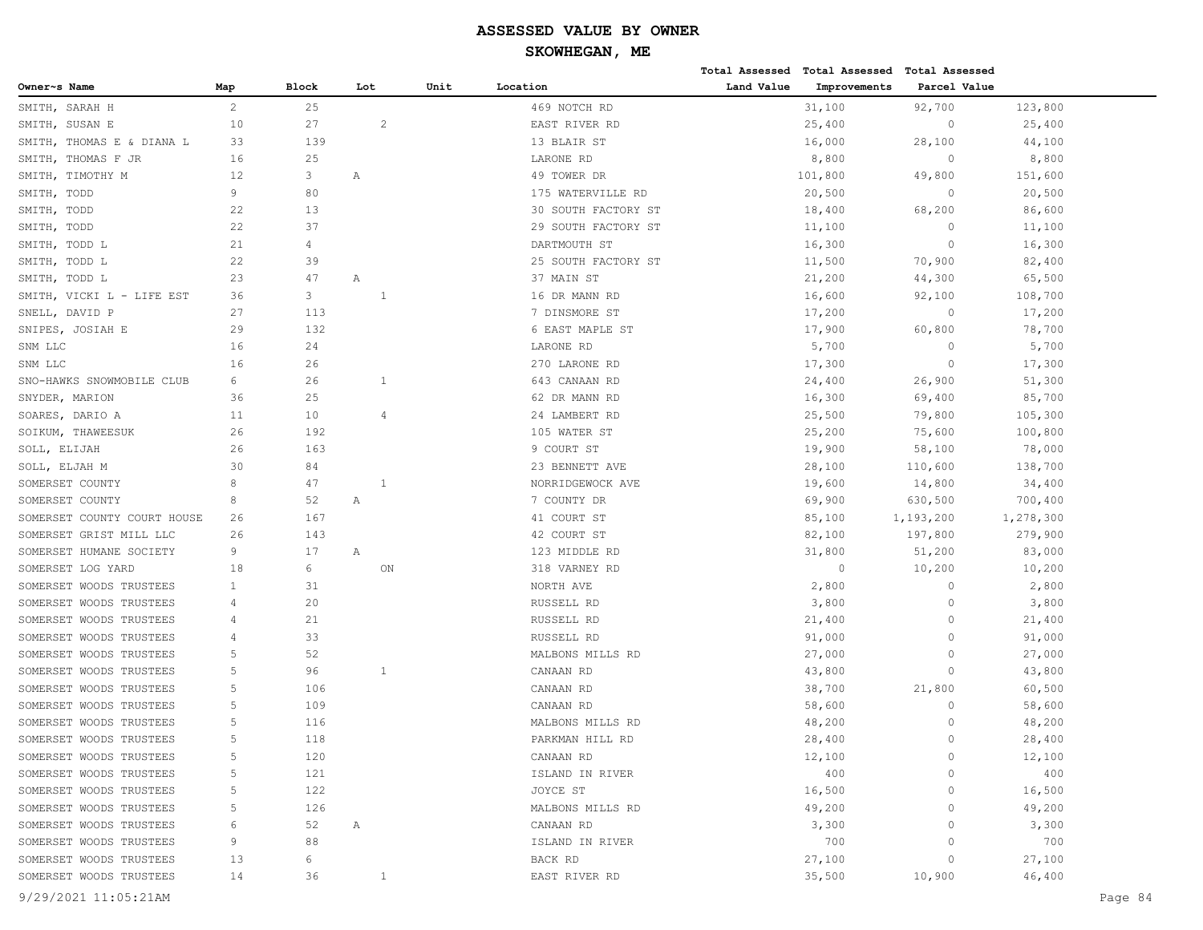|                             |                |       |     |                |      |                     |            | Total Assessed Total Assessed | <b>Total Assessed</b> |           |         |
|-----------------------------|----------------|-------|-----|----------------|------|---------------------|------------|-------------------------------|-----------------------|-----------|---------|
| Owner~s Name                | Map            | Block | Lot |                | Unit | Location            | Land Value | Improvements                  | Parcel Value          |           |         |
| SARAH H<br>SMITH,           | $\overline{c}$ | 25    |     |                |      | 469 NOTCH RD        |            | 31,100                        | 92,700                | 123,800   |         |
| SUSAN E<br>SMITH,           | 10             | 27    |     | 2              |      | EAST RIVER RD       |            | 25,400                        | $\circ$               | 25,400    |         |
| SMITH, THOMAS E & DIANA L   | 33             | 139   |     |                |      | 13 BLAIR ST         |            | 16,000                        | 28,100                | 44,100    |         |
| SMITH,<br>THOMAS F JR       | 16             | 25    |     |                |      | LARONE RD           |            | 8,800                         | $\circ$               | 8,800     |         |
| SMITH,<br>TIMOTHY M         | 12             | 3     | Α   |                |      | 49 TOWER DR         |            | 101,800                       | 49,800                | 151,600   |         |
| TODD<br>SMITH,              | 9              | 80    |     |                |      | 175 WATERVILLE RD   |            | 20,500                        | $\circ$               | 20,500    |         |
| SMITH, TODD                 | 22             | 13    |     |                |      | 30 SOUTH FACTORY ST |            | 18,400                        | 68,200                | 86,600    |         |
| SMITH,<br>TODD              | 22             | 37    |     |                |      | 29 SOUTH FACTORY ST |            | 11,100                        | $\circ$               | 11,100    |         |
| SMITH,<br>TODD L            | 21             | 4     |     |                |      | DARTMOUTH ST        |            | 16,300                        | $\circ$               | 16,300    |         |
| TODD L<br>SMITH,            | 22             | 39    |     |                |      | 25 SOUTH FACTORY ST |            | 11,500                        | 70,900                | 82,400    |         |
| SMITH, TODD L               | 23             | 47    | Α   |                |      | 37 MAIN ST          |            | 21,200                        | 44,300                | 65,500    |         |
| SMITH, VICKI L - LIFE EST   | 36             | 3     |     | $\overline{1}$ |      | 16 DR MANN RD       |            | 16,600                        | 92,100                | 108,700   |         |
| SNELL,<br>DAVID P           | 27             | 113   |     |                |      | 7 DINSMORE ST       |            | 17,200                        | $\circ$               | 17,200    |         |
| SNIPES, JOSIAH E            | 29             | 132   |     |                |      | 6 EAST MAPLE ST     |            | 17,900                        | 60,800                | 78,700    |         |
| SNM LLC                     | 16             | 24    |     |                |      | LARONE RD           |            | 5,700                         | $\circ$               | 5,700     |         |
| SNM LLC                     | 16             | 26    |     |                |      | 270 LARONE RD       |            | 17,300                        | $\circ$               | 17,300    |         |
| SNO-HAWKS SNOWMOBILE CLUB   | 6              | 26    |     | $\mathbf{1}$   |      | 643 CANAAN RD       |            | 24,400                        | 26,900                | 51,300    |         |
| SNYDER, MARION              | 36             | 25    |     |                |      | 62 DR MANN RD       |            | 16,300                        | 69,400                | 85,700    |         |
| SOARES, DARIO A             | 11             | 10    |     | $\overline{4}$ |      | 24 LAMBERT RD       |            | 25,500                        | 79,800                | 105,300   |         |
| SOIKUM, THAWEESUK           | 26             | 192   |     |                |      | 105 WATER ST        |            | 25,200                        | 75,600                | 100,800   |         |
| SOLL, ELIJAH                | 26             | 163   |     |                |      | 9 COURT ST          |            | 19,900                        | 58,100                | 78,000    |         |
| SOLL, ELJAH M               | 30             | 84    |     |                |      | 23 BENNETT AVE      |            | 28,100                        | 110,600               | 138,700   |         |
| SOMERSET COUNTY             | 8              | 47    |     | $\overline{1}$ |      | NORRIDGEWOCK AVE    |            | 19,600                        | 14,800                | 34,400    |         |
| SOMERSET COUNTY             | 8              | 52    | Α   |                |      | 7 COUNTY DR         |            | 69,900                        | 630,500               | 700,400   |         |
| SOMERSET COUNTY COURT HOUSE | 26             | 167   |     |                |      | 41 COURT ST         |            | 85,100                        | 1,193,200             | 1,278,300 |         |
| SOMERSET GRIST MILL LLC     | 26             | 143   |     |                |      | 42 COURT ST         |            | 82,100                        | 197,800               | 279,900   |         |
| SOMERSET HUMANE SOCIETY     | 9              | 17    | Α   |                |      | 123 MIDDLE RD       |            | 31,800                        | 51,200                | 83,000    |         |
| SOMERSET LOG YARD           | 18             | 6     |     | ON             |      | 318 VARNEY RD       |            | $\circ$                       | 10,200                | 10,200    |         |
| SOMERSET WOODS TRUSTEES     | $\mathbf{1}$   | 31    |     |                |      | NORTH AVE           |            | 2,800                         | $\circ$               | 2,800     |         |
| SOMERSET WOODS TRUSTEES     | 4              | 20    |     |                |      | RUSSELL RD          |            | 3,800                         | $\circ$               | 3,800     |         |
| SOMERSET WOODS TRUSTEES     | 4              | 21    |     |                |      | RUSSELL RD          |            | 21,400                        | $\circ$               | 21,400    |         |
| SOMERSET WOODS TRUSTEES     | 4              | 33    |     |                |      | RUSSELL RD          |            | 91,000                        | $\circ$               | 91,000    |         |
| SOMERSET WOODS TRUSTEES     | 5              | 52    |     |                |      | MALBONS MILLS RD    |            | 27,000                        | $\circ$               | 27,000    |         |
| SOMERSET WOODS TRUSTEES     | 5              | 96    |     | 1              |      | CANAAN RD           |            | 43,800                        | $\circ$               | 43,800    |         |
| SOMERSET WOODS TRUSTEES     | 5              | 106   |     |                |      | CANAAN RD           |            | 38,700                        | 21,800                | 60,500    |         |
| SOMERSET WOODS TRUSTEES     | 5              | 109   |     |                |      | CANAAN RD           |            | 58,600                        | $\circ$               | 58,600    |         |
| SOMERSET WOODS TRUSTEES     | 5              | 116   |     |                |      | MALBONS MILLS RD    |            | 48,200                        | $\circ$               | 48,200    |         |
| SOMERSET WOODS TRUSTEES     | 5              | 118   |     |                |      | PARKMAN HILL RD     |            | 28,400                        | $\Omega$              | 28,400    |         |
| SOMERSET WOODS TRUSTEES     | 5              | 120   |     |                |      | CANAAN RD           |            | 12,100                        | $\circ$               | 12,100    |         |
| SOMERSET WOODS TRUSTEES     | 5              | 121   |     |                |      | ISLAND IN RIVER     |            | 400                           | $\circ$               | 400       |         |
| SOMERSET WOODS TRUSTEES     | 5              | 122   |     |                |      | JOYCE ST            |            | 16,500                        | $\circ$               | 16,500    |         |
| SOMERSET WOODS TRUSTEES     | 5              | 126   |     |                |      | MALBONS MILLS RD    |            | 49,200                        | 0                     | 49,200    |         |
| SOMERSET WOODS TRUSTEES     | 6              | 52    | Α   |                |      | CANAAN RD           |            | 3,300                         | 0                     | 3,300     |         |
| SOMERSET WOODS TRUSTEES     | 9              | 88    |     |                |      | ISLAND IN RIVER     |            | 700                           | 0                     | 700       |         |
| SOMERSET WOODS TRUSTEES     | 13             | 6     |     |                |      | BACK RD             |            | 27,100                        | $\circ$               | 27,100    |         |
| SOMERSET WOODS TRUSTEES     | 14             | 36    |     | $\mathbf{1}$   |      | EAST RIVER RD       |            | 35,500                        | 10,900                | 46,400    |         |
|                             |                |       |     |                |      |                     |            |                               |                       |           |         |
| 9/29/2021 11:05:21AM        |                |       |     |                |      |                     |            |                               |                       |           | Page 84 |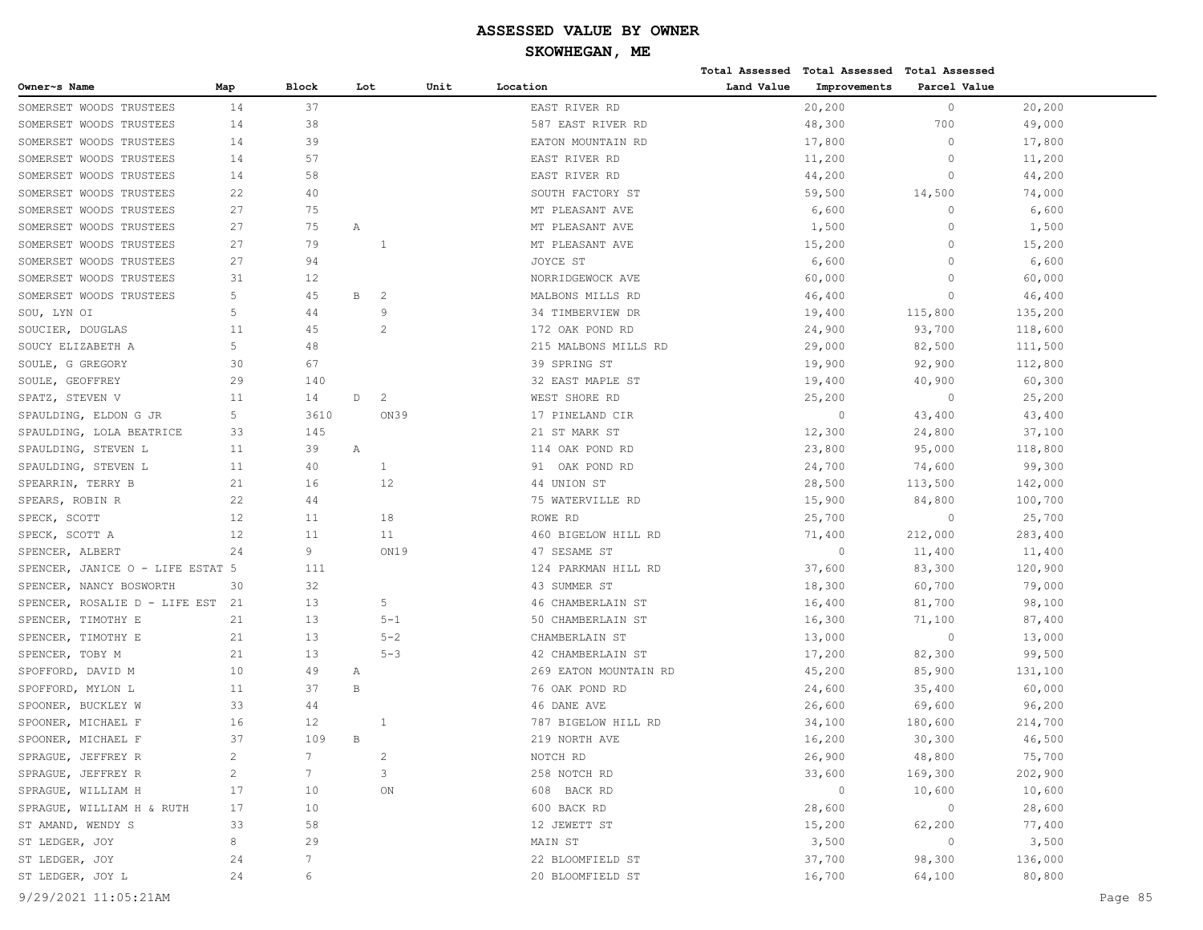|                                  |     |                 |              |                |      |                       |            | Total Assessed Total Assessed Total Assessed |              |         |         |
|----------------------------------|-----|-----------------|--------------|----------------|------|-----------------------|------------|----------------------------------------------|--------------|---------|---------|
| Owner~s Name                     | Map | <b>Block</b>    | Lot          |                | Unit | Location              | Land Value | Improvements                                 | Parcel Value |         |         |
| SOMERSET WOODS TRUSTEES          | 14  | 37              |              |                |      | EAST RIVER RD         |            | 20,200                                       | $\circ$      | 20,200  |         |
| SOMERSET WOODS TRUSTEES          | 14  | 38              |              |                |      | 587 EAST RIVER RD     |            | 48,300                                       | 700          | 49,000  |         |
| SOMERSET WOODS TRUSTEES          | 14  | 39              |              |                |      | EATON MOUNTAIN RD     |            | 17,800                                       | $\circ$      | 17,800  |         |
| SOMERSET WOODS TRUSTEES          | 14  | 57              |              |                |      | EAST RIVER RD         |            | 11,200                                       | $\circ$      | 11,200  |         |
| SOMERSET WOODS TRUSTEES          | 14  | 58              |              |                |      | EAST RIVER RD         |            | 44,200                                       | $\circ$      | 44,200  |         |
| SOMERSET WOODS TRUSTEES          | 22  | 40              |              |                |      | SOUTH FACTORY ST      |            | 59,500                                       | 14,500       | 74,000  |         |
| SOMERSET WOODS TRUSTEES          | 27  | 75              |              |                |      | MT PLEASANT AVE       |            | 6,600                                        | $\circ$      | 6,600   |         |
| SOMERSET WOODS TRUSTEES          | 27  | 75              | Α            |                |      | MT PLEASANT AVE       |            | 1,500                                        | $\circ$      | 1,500   |         |
| SOMERSET WOODS TRUSTEES          | 27  | 79              |              | 1              |      | MT PLEASANT AVE       |            | 15,200                                       | $\circ$      | 15,200  |         |
| SOMERSET WOODS TRUSTEES          | 27  | 94              |              |                |      | JOYCE ST              |            | 6,600                                        | $\circ$      | 6,600   |         |
| SOMERSET WOODS TRUSTEES          | 31  | 12              |              |                |      | NORRIDGEWOCK AVE      |            | 60,000                                       | $\circ$      | 60,000  |         |
| SOMERSET WOODS TRUSTEES          | 5   | 45              | В            | 2              |      | MALBONS MILLS RD      |            | 46,400                                       | $\circ$      | 46,400  |         |
| SOU, LYN OI                      | 5   | 44              |              | 9              |      | 34 TIMBERVIEW DR      |            | 19,400                                       | 115,800      | 135,200 |         |
| SOUCIER, DOUGLAS                 | 11  | 45              |              | $\overline{2}$ |      | 172 OAK POND RD       |            | 24,900                                       | 93,700       | 118,600 |         |
| SOUCY ELIZABETH A                | 5   | 48              |              |                |      | 215 MALBONS MILLS RD  |            | 29,000                                       | 82,500       | 111,500 |         |
| SOULE, G GREGORY                 | 30  | 67              |              |                |      | 39 SPRING ST          |            | 19,900                                       | 92,900       | 112,800 |         |
| SOULE, GEOFFREY                  | 29  | 140             |              |                |      | 32 EAST MAPLE ST      |            | 19,400                                       | 40,900       | 60,300  |         |
| SPATZ, STEVEN V                  | 11  | 14              | $\mathbb D$  | 2              |      | WEST SHORE RD         |            | 25,200                                       | $\circ$      | 25,200  |         |
| SPAULDING, ELDON G JR            | 5   | 3610            |              | ON39           |      | 17 PINELAND CIR       |            | $\circ$                                      | 43,400       | 43,400  |         |
| SPAULDING, LOLA BEATRICE         | 33  | 145             |              |                |      | 21 ST MARK ST         |            | 12,300                                       | 24,800       | 37,100  |         |
| SPAULDING, STEVEN L              | 11  | 39              | Α            |                |      | 114 OAK POND RD       |            | 23,800                                       | 95,000       | 118,800 |         |
| SPAULDING, STEVEN L              | 11  | 40              |              | 1              |      | 91 OAK POND RD        |            | 24,700                                       | 74,600       | 99,300  |         |
| SPEARRIN, TERRY B                | 21  | 16              |              | 12             |      | 44 UNION ST           |            | 28,500                                       | 113,500      | 142,000 |         |
| SPEARS, ROBIN R                  | 22  | 44              |              |                |      | 75 WATERVILLE RD      |            | 15,900                                       | 84,800       | 100,700 |         |
| SPECK, SCOTT                     | 12  | 11              |              | 18             |      | ROWE RD               |            | 25,700                                       | $\circ$      | 25,700  |         |
| SPECK, SCOTT A                   | 12  | 11              |              | 11             |      | 460 BIGELOW HILL RD   |            | 71,400                                       | 212,000      | 283,400 |         |
| SPENCER, ALBERT                  | 24  | 9               |              | ON19           |      | 47 SESAME ST          |            | $\circ$                                      | 11,400       | 11,400  |         |
| SPENCER, JANICE O - LIFE ESTAT 5 |     | 111             |              |                |      | 124 PARKMAN HILL RD   |            | 37,600                                       | 83,300       | 120,900 |         |
| SPENCER, NANCY BOSWORTH          | 30  | 32              |              |                |      | 43 SUMMER ST          |            | 18,300                                       | 60,700       | 79,000  |         |
| SPENCER, ROSALIE D - LIFE EST    | 21  | 13              |              | 5              |      | 46 CHAMBERLAIN ST     |            | 16,400                                       | 81,700       | 98,100  |         |
| SPENCER, TIMOTHY E               | 21  | 13              |              | $5 - 1$        |      | 50 CHAMBERLAIN ST     |            | 16,300                                       | 71,100       | 87,400  |         |
| SPENCER, TIMOTHY E               | 21  | 13              |              | $5 - 2$        |      | CHAMBERLAIN ST        |            | 13,000                                       | $\circ$      | 13,000  |         |
| SPENCER, TOBY M                  | 21  | 13              |              | $5 - 3$        |      | 42 CHAMBERLAIN ST     |            | 17,200                                       | 82,300       | 99,500  |         |
| SPOFFORD, DAVID M                | 10  | 49              | Α            |                |      | 269 EATON MOUNTAIN RD |            | 45,200                                       | 85,900       | 131,100 |         |
| SPOFFORD, MYLON L                | 11  | 37              | $\, {\bf B}$ |                |      | 76 OAK POND RD        |            | 24,600                                       | 35,400       | 60,000  |         |
| SPOONER, BUCKLEY W               | 33  | 44              |              |                |      | 46 DANE AVE           |            | 26,600                                       | 69,600       | 96,200  |         |
| SPOONER, MICHAEL F               | 16  | 12              |              |                |      | 787 BIGELOW HILL RD   |            | 34,100                                       | 180,600      | 214,700 |         |
| SPOONER, MICHAEL F               | 37  | 109             | B            |                |      | 219 NORTH AVE         |            | 16,200                                       | 30,300       | 46,500  |         |
| SPRAGUE, JEFFREY R               | 2   | 7               |              | 2              |      | NOTCH RD              |            | 26,900                                       | 48,800       | 75,700  |         |
| SPRAGUE, JEFFREY R               | 2   | $7\phantom{.0}$ |              | 3              |      | 258 NOTCH RD          |            | 33,600                                       | 169,300      | 202,900 |         |
| SPRAGUE, WILLIAM H               | 17  | 10              |              | ON             |      | 608 BACK RD           |            | $\circ$                                      | 10,600       | 10,600  |         |
| SPRAGUE, WILLIAM H & RUTH        | 17  | 10              |              |                |      | 600 BACK RD           |            | 28,600                                       | $\circ$      | 28,600  |         |
| ST AMAND, WENDY S                | 33  | 58              |              |                |      | 12 JEWETT ST          |            | 15,200                                       | 62,200       | 77,400  |         |
| ST LEDGER, JOY                   | 8   | 29              |              |                |      | MAIN ST               |            | 3,500                                        | $\circ$      | 3,500   |         |
| ST LEDGER, JOY                   | 24  | 7               |              |                |      | 22 BLOOMFIELD ST      |            | 37,700                                       | 98,300       | 136,000 |         |
| ST LEDGER, JOY L                 | 24  | 6               |              |                |      | 20 BLOOMFIELD ST      |            | 16,700                                       | 64,100       | 80,800  |         |
|                                  |     |                 |              |                |      |                       |            |                                              |              |         |         |
| 9/29/2021 11:05:21AM             |     |                 |              |                |      |                       |            |                                              |              |         | Page 85 |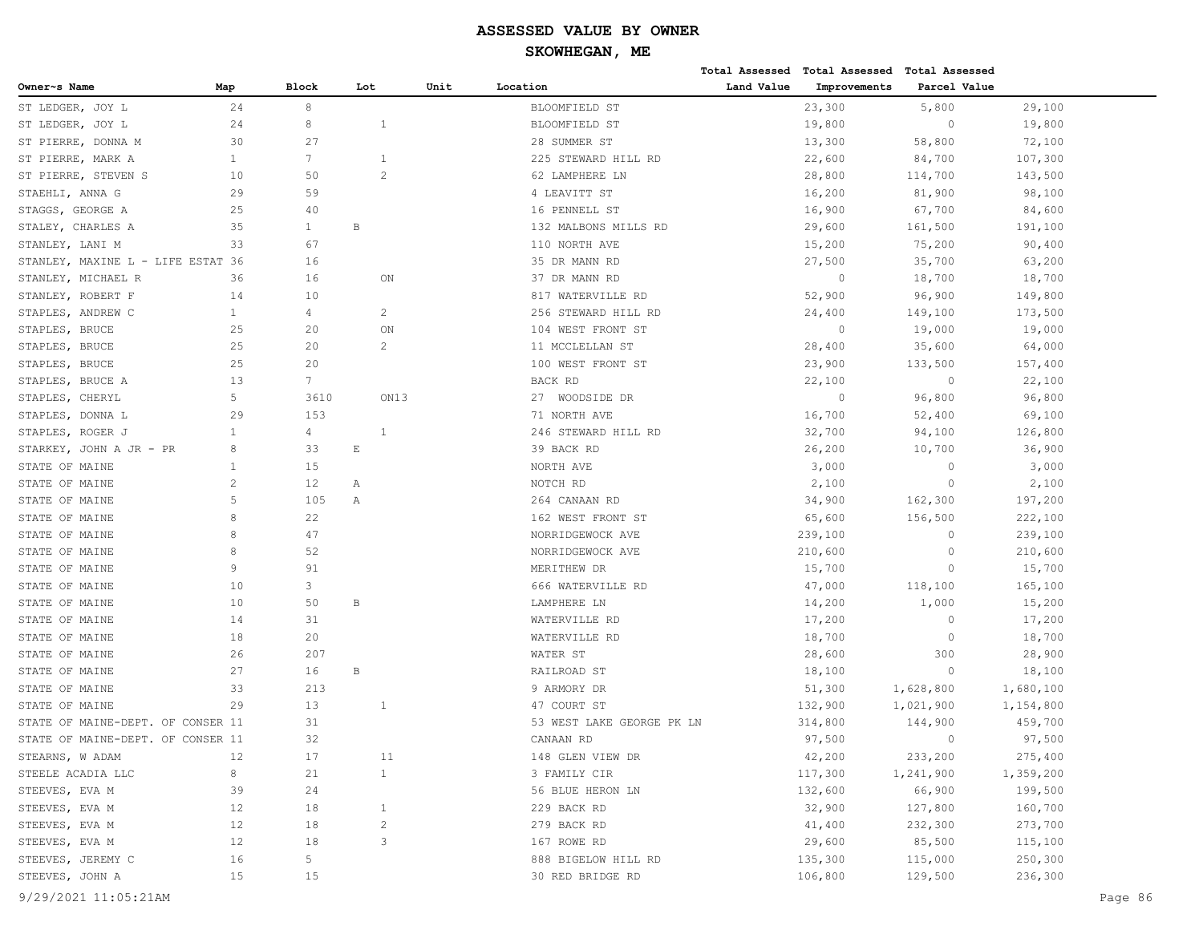# **SKOWHEGAN, ME**

|                                   |                |                 |                |      |      |                           |            | Total Assessed Total Assessed Total Assessed |              |           |
|-----------------------------------|----------------|-----------------|----------------|------|------|---------------------------|------------|----------------------------------------------|--------------|-----------|
| Owner~s Name                      | Map            | Block           | Lot            |      | Unit | Location                  | Land Value | Improvements                                 | Parcel Value |           |
| ST LEDGER, JOY L                  | 24             | 8               |                |      |      | BLOOMFIELD ST             |            | 23,300                                       | 5,800        | 29,100    |
| ST LEDGER, JOY L                  | 24             | 8               | $\mathbf{1}$   |      |      | BLOOMFIELD ST             |            | 19,800                                       | $\circ$      | 19,800    |
| ST PIERRE, DONNA M                | 30             | 27              |                |      |      | 28 SUMMER ST              |            | 13,300                                       | 58,800       | 72,100    |
| ST PIERRE, MARK A                 | $\mathbf{1}$   | $7\overline{ }$ | 1              |      |      | 225 STEWARD HILL RD       |            | 22,600                                       | 84,700       | 107,300   |
| ST PIERRE, STEVEN S               | 10             | 50              | 2              |      |      | 62 LAMPHERE LN            |            | 28,800                                       | 114,700      | 143,500   |
| STAEHLI, ANNA G                   | 29             | 59              |                |      |      | 4 LEAVITT ST              |            | 16,200                                       | 81,900       | 98,100    |
| STAGGS, GEORGE A                  | 25             | 40              |                |      |      | 16 PENNELL ST             |            | 16,900                                       | 67,700       | 84,600    |
| STALEY, CHARLES A                 | 35             | $\mathbf{1}$    | В              |      |      | 132 MALBONS MILLS RD      |            | 29,600                                       | 161,500      | 191,100   |
| STANLEY, LANI M                   | 33             | 67              |                |      |      | 110 NORTH AVE             |            | 15,200                                       | 75,200       | 90,400    |
| STANLEY, MAXINE L - LIFE ESTAT 36 |                | 16              |                |      |      | 35 DR MANN RD             |            | 27,500                                       | 35,700       | 63,200    |
| STANLEY, MICHAEL R                | 36             | 16              |                | ON   |      | 37 DR MANN RD             |            | $\circ$                                      | 18,700       | 18,700    |
| STANLEY, ROBERT F                 | 14             | 10              |                |      |      | 817 WATERVILLE RD         |            | 52,900                                       | 96,900       | 149,800   |
| STAPLES, ANDREW C                 | $\mathbf{1}$   | 4               | 2              |      |      | 256 STEWARD HILL RD       |            | 24,400                                       | 149,100      | 173,500   |
| STAPLES, BRUCE                    | 25             | 20              |                | ON   |      | 104 WEST FRONT ST         |            | $\circ$                                      | 19,000       | 19,000    |
| STAPLES, BRUCE                    | 25             | 20              | 2              |      |      | 11 MCCLELLAN ST           |            | 28,400                                       | 35,600       | 64,000    |
| STAPLES, BRUCE                    | 25             | 20              |                |      |      | 100 WEST FRONT ST         |            | 23,900                                       | 133,500      | 157,400   |
| STAPLES, BRUCE A                  | 13             | $7\overline{ }$ |                |      |      | BACK RD                   |            | 22,100                                       | $\circ$      | 22,100    |
| STAPLES, CHERYL                   | 5              | 3610            |                | ON13 |      | 27 WOODSIDE DR            |            | $\circ$                                      | 96,800       | 96,800    |
| STAPLES, DONNA L                  | 29             | 153             |                |      |      | 71 NORTH AVE              |            | 16,700                                       | 52,400       | 69,100    |
| STAPLES, ROGER J                  | $\mathbf{1}$   | $\overline{4}$  | $\mathbf{1}$   |      |      | 246 STEWARD HILL RD       |            | 32,700                                       | 94,100       | 126,800   |
| STARKEY, JOHN A JR - PR           | 8              | 33              | $\mathbf E$    |      |      | 39 BACK RD                |            | 26,200                                       | 10,700       | 36,900    |
| STATE OF MAINE                    | $\mathbf{1}$   | 15              |                |      |      | NORTH AVE                 |            | 3,000                                        | $\circ$      | 3,000     |
| STATE OF MAINE                    | $\overline{c}$ | 12              | Α              |      |      | NOTCH RD                  |            | 2,100                                        | $\circ$      | 2,100     |
| STATE OF MAINE                    | 5              | 105             | Α              |      |      | 264 CANAAN RD             |            | 34,900                                       | 162,300      | 197,200   |
| STATE OF MAINE                    | 8              | 22              |                |      |      | 162 WEST FRONT ST         |            | 65,600                                       | 156,500      | 222,100   |
| STATE OF MAINE                    | 8              | 47              |                |      |      | NORRIDGEWOCK AVE          |            | 239,100                                      | $\circ$      | 239,100   |
| STATE OF MAINE                    | 8              | 52              |                |      |      | NORRIDGEWOCK AVE          |            | 210,600                                      | $\circ$      | 210,600   |
| STATE OF MAINE                    | 9              | 91              |                |      |      | MERITHEW DR               |            | 15,700                                       | $\circ$      | 15,700    |
| STATE OF MAINE                    | 10             | 3               |                |      |      | 666 WATERVILLE RD         |            | 47,000                                       | 118,100      | 165,100   |
| STATE OF MAINE                    | 10             | 50              | B              |      |      | LAMPHERE LN               |            | 14,200                                       | 1,000        | 15,200    |
| STATE OF MAINE                    | 14             | 31              |                |      |      | WATERVILLE RD             |            | 17,200                                       | $\circ$      | 17,200    |
| STATE OF MAINE                    | 18             | 20              |                |      |      | WATERVILLE RD             |            | 18,700                                       | $\circ$      | 18,700    |
| STATE OF MAINE                    | 26             | 207             |                |      |      | WATER ST                  |            | 28,600                                       | 300          | 28,900    |
| STATE OF MAINE                    | 27             | 16              | B              |      |      | RAILROAD ST               |            | 18,100                                       | $\circ$      | 18,100    |
| STATE OF MAINE                    | 33             | 213             |                |      |      | 9 ARMORY DR               |            | 51,300                                       | 1,628,800    | 1,680,100 |
| STATE OF MAINE                    | 29             | 13              | 1              |      |      | 47 COURT ST               |            | 132,900                                      | 1,021,900    | 1,154,800 |
| STATE OF MAINE-DEPT. OF CONSER 11 |                | 31              |                |      |      | 53 WEST LAKE GEORGE PK LN |            | 314,800                                      | 144,900      | 459,700   |
| STATE OF MAINE-DEPT. OF CONSER 11 |                | 32              |                |      |      | CANAAN RD                 |            | 97,500                                       | $\circ$      | 97,500    |
| STEARNS, W ADAM                   | 12             | 17              |                | 11   |      | 148 GLEN VIEW DR          |            | 42,200                                       | 233,200      | 275,400   |
| STEELE ACADIA LLC                 | 8              | 21              | $\mathbf{1}$   |      |      | 3 FAMILY CIR              |            | 117,300                                      | 1,241,900    | 1,359,200 |
| STEEVES, EVA M                    | 39             | 24              |                |      |      | 56 BLUE HERON LN          |            | 132,600                                      | 66,900       | 199,500   |
| STEEVES, EVA M                    | 12             | 18              | $\mathbf{1}$   |      |      | 229 BACK RD               |            | 32,900                                       | 127,800      | 160,700   |
| STEEVES, EVA M                    | 12             | 18              | $\overline{c}$ |      |      | 279 BACK RD               |            | 41,400                                       | 232,300      | 273,700   |
| STEEVES, EVA M                    | 12             | 18              | 3              |      |      | 167 ROWE RD               |            | 29,600                                       | 85,500       | 115,100   |
| STEEVES, JEREMY C                 | 16             | 5               |                |      |      | 888 BIGELOW HILL RD       |            | 135,300                                      | 115,000      | 250,300   |
| STEEVES, JOHN A                   | 15             | 15              |                |      |      | 30 RED BRIDGE RD          |            | 106,800                                      | 129,500      | 236,300   |
|                                   |                |                 |                |      |      |                           |            |                                              |              |           |

9/29/2021 11:05:21AM Page 86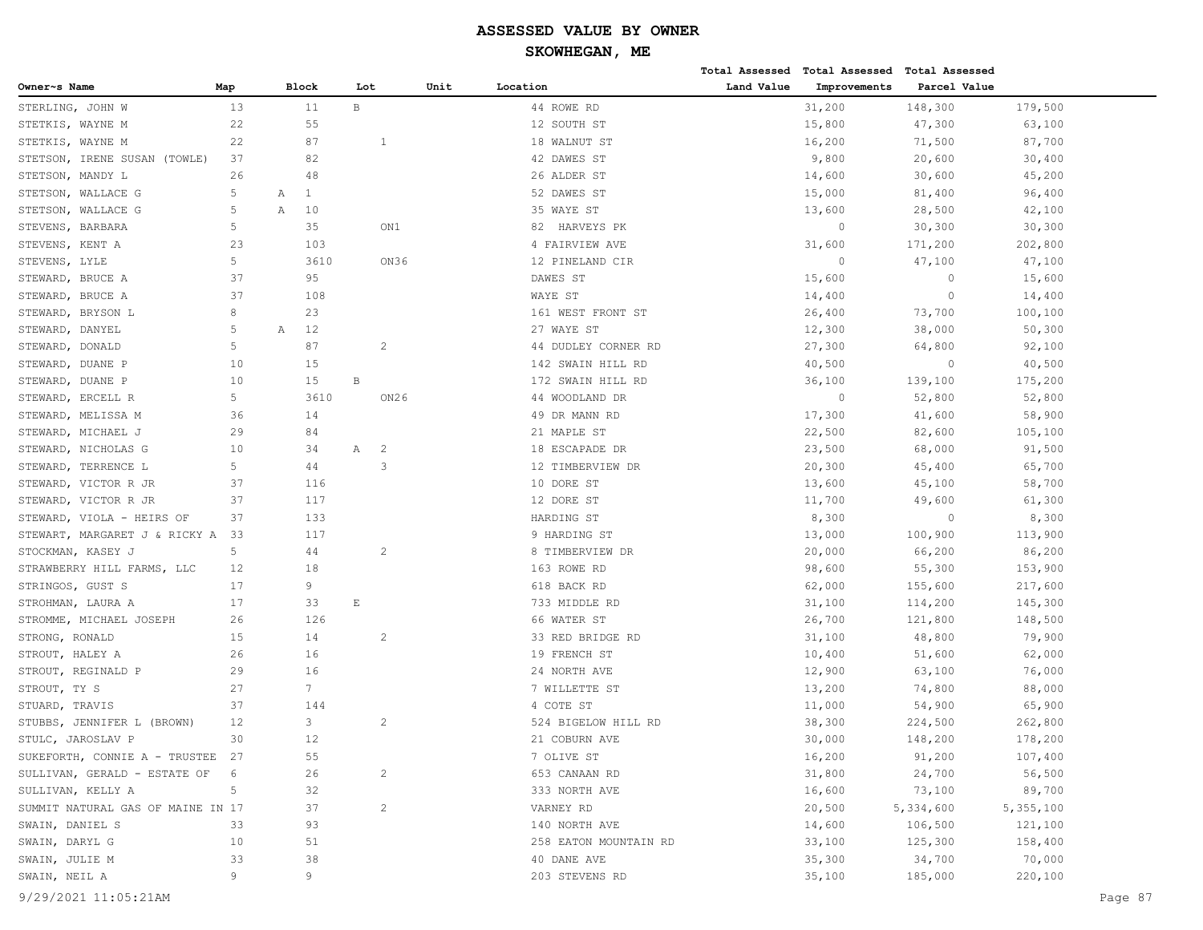| Owner~s Name<br>Map<br>Block<br>Unit<br>Location<br>Land Value<br>Improvements<br>Parcel Value<br>Lot<br>$\, {\bf B}$<br>13<br>11<br>44 ROWE RD<br>31,200<br>148,300<br>179,500<br>STERLING, JOHN W<br>22<br>55<br>12 SOUTH ST<br>15,800<br>47,300<br>STETKIS, WAYNE M<br>63,100<br>STETKIS, WAYNE M<br>22<br>87<br>18 WALNUT ST<br>16,200<br>71,500<br>87,700<br>1<br>37<br>82<br>42 DAWES ST<br>9,800<br>20,600<br>30,400<br>STETSON, IRENE SUSAN (TOWLE)<br>30,600<br>STETSON, MANDY L<br>26<br>48<br>26 ALDER ST<br>14,600<br>45,200<br>5<br>$\mathbf{1}$<br>52 DAWES ST<br>STETSON, WALLACE G<br>15,000<br>81,400<br>96,400<br>Α<br>5<br>STETSON, WALLACE G<br>Α<br>10<br>35 WAYE ST<br>13,600<br>28,500<br>42,100<br>5<br>35<br>STEVENS, BARBARA<br>ON1<br>HARVEYS PK<br>$\circ$<br>30,300<br>30,300<br>82<br>23<br>31,600<br>STEVENS, KENT A<br>103<br>4 FAIRVIEW AVE<br>171,200<br>202,800<br>5<br>3610<br>ON36<br>$\circ$<br>STEVENS, LYLE<br>12 PINELAND CIR<br>47,100<br>47,100<br>37<br>STEWARD, BRUCE A<br>95<br>DAWES ST<br>15,600<br>$\circ$<br>15,600<br>37<br>WAYE ST<br>STEWARD, BRUCE A<br>108<br>14,400<br>$\mathbf{0}$<br>14,400<br>8<br>26,400<br>STEWARD, BRYSON L<br>23<br>161 WEST FRONT ST<br>73,700<br>100,100<br>5<br>12<br>27 WAYE ST<br>12,300<br>38,000<br>50,300<br>STEWARD, DANYEL<br>А<br>5<br>87<br>$\overline{c}$<br>STEWARD, DONALD<br>44 DUDLEY CORNER RD<br>27,300<br>64,800<br>92,100<br>10<br>15<br>STEWARD, DUANE P<br>142 SWAIN HILL RD<br>40,500<br>$\circ$<br>40,500<br>10<br>$\, {\bf B}$<br>STEWARD, DUANE P<br>15<br>172 SWAIN HILL RD<br>36,100<br>139,100<br>175,200<br>5<br>3610<br>ON26<br>$\circ$<br>STEWARD, ERCELL R<br>44 WOODLAND DR<br>52,800<br>52,800<br>STEWARD, MELISSA M<br>36<br>14<br>49 DR MANN RD<br>17,300<br>41,600<br>58,900<br>29<br>22,500<br>82,600<br>105,100<br>STEWARD, MICHAEL J<br>84<br>21 MAPLE ST<br>$\overline{c}$<br>STEWARD, NICHOLAS G<br>10<br>34<br>Α<br>18 ESCAPADE DR<br>23,500<br>68,000<br>91,500<br>5<br>44<br>3<br>12 TIMBERVIEW DR<br>STEWARD, TERRENCE L<br>20,300<br>45,400<br>65,700<br>STEWARD, VICTOR R JR<br>37<br>116<br>10 DORE ST<br>13,600<br>45,100<br>58,700<br>37<br>49,600<br>STEWARD, VICTOR R JR<br>117<br>12 DORE ST<br>11,700<br>61,300<br>$\circ$<br>37<br>133<br>HARDING ST<br>8,300<br>8,300<br>STEWARD, VIOLA - HEIRS OF<br>STEWART, MARGARET J & RICKY A<br>33<br>117<br>9 HARDING ST<br>13,000<br>100,900<br>113,900<br>5<br>$\overline{c}$<br>STOCKMAN, KASEY J<br>44<br>8 TIMBERVIEW DR<br>20,000<br>66,200<br>86,200<br>18<br>55,300<br>153,900<br>STRAWBERRY HILL FARMS, LLC<br>12<br>163 ROWE RD<br>98,600<br>9<br>62,000<br>217,600<br>STRINGOS, GUST S<br>17<br>618 BACK RD<br>155,600<br>17<br>33<br>$\mathbf E$<br>733 MIDDLE RD<br>145,300<br>STROHMAN, LAURA A<br>31,100<br>114,200<br>STROMME, MICHAEL JOSEPH<br>26<br>126<br>66 WATER ST<br>26,700<br>121,800<br>148,500<br>14<br>STRONG, RONALD<br>15<br>2<br>33 RED BRIDGE RD<br>31,100<br>48,800<br>79,900<br>16<br>19 FRENCH ST<br>STROUT, HALEY A<br>26<br>10,400<br>51,600<br>62,000<br>29<br>16<br>STROUT, REGINALD P<br>24 NORTH AVE<br>12,900<br>63,100<br>76,000<br>$7\phantom{.0}$<br>27<br>STROUT, TY S<br>7 WILLETTE ST<br>13,200<br>74,800<br>88,000<br>37<br>4 COTE ST<br>STUARD, TRAVIS<br>144<br>11,000<br>54,900<br>65,900<br>12<br>3<br>$\mathbf{2}$<br>STUBBS, JENNIFER L (BROWN)<br>524 BIGELOW HILL RD<br>38,300<br>224,500<br>262,800<br>30<br>$12$<br>21 COBURN AVE<br>30,000<br>178,200<br>STULC, JAROSLAV P<br>148,200<br>SUKEFORTH, CONNIE A - TRUSTEE 27<br>7 OLIVE ST<br>16,200<br>91,200<br>107,400<br>55<br>31,800<br>24,700<br>SULLIVAN, GERALD - ESTATE OF<br>26<br>$\overline{c}$<br>653 CANAAN RD<br>56,500<br>6<br>$\mathsf S$<br>SULLIVAN, KELLY A<br>32<br>333 NORTH AVE<br>16,600<br>73,100<br>89,700<br>$\overline{c}$<br>SUMMIT NATURAL GAS OF MAINE IN 17<br>37<br>VARNEY RD<br>20,500<br>5,334,600<br>5,355,100<br>SWAIN, DANIEL S<br>33<br>93<br>140 NORTH AVE<br>14,600<br>106,500<br>121,100<br>SWAIN, DARYL G<br>10<br>51<br>258 EATON MOUNTAIN RD<br>33,100<br>125,300<br>158,400<br>34,700<br>SWAIN, JULIE M<br>33<br>38<br>40 DANE AVE<br>35,300<br>70,000<br>9<br>9<br>SWAIN, NEIL A<br>203 STEVENS RD<br>35,100<br>185,000<br>220,100 |                      |  |  |  | Total Assessed Total Assessed Total Assessed |  |         |
|------------------------------------------------------------------------------------------------------------------------------------------------------------------------------------------------------------------------------------------------------------------------------------------------------------------------------------------------------------------------------------------------------------------------------------------------------------------------------------------------------------------------------------------------------------------------------------------------------------------------------------------------------------------------------------------------------------------------------------------------------------------------------------------------------------------------------------------------------------------------------------------------------------------------------------------------------------------------------------------------------------------------------------------------------------------------------------------------------------------------------------------------------------------------------------------------------------------------------------------------------------------------------------------------------------------------------------------------------------------------------------------------------------------------------------------------------------------------------------------------------------------------------------------------------------------------------------------------------------------------------------------------------------------------------------------------------------------------------------------------------------------------------------------------------------------------------------------------------------------------------------------------------------------------------------------------------------------------------------------------------------------------------------------------------------------------------------------------------------------------------------------------------------------------------------------------------------------------------------------------------------------------------------------------------------------------------------------------------------------------------------------------------------------------------------------------------------------------------------------------------------------------------------------------------------------------------------------------------------------------------------------------------------------------------------------------------------------------------------------------------------------------------------------------------------------------------------------------------------------------------------------------------------------------------------------------------------------------------------------------------------------------------------------------------------------------------------------------------------------------------------------------------------------------------------------------------------------------------------------------------------------------------------------------------------------------------------------------------------------------------------------------------------------------------------------------------------------------------------------------------------------------------------------------------------------------------------------------------------------------------------------------------------------------------------------------------------------------------------------------------------------------------------------------------------------------------------------------------------------------------------------------------------------------------------------------------------------------------------------------------------------------------------------------------------------------------------------------------------------------------------------------------------------------------------------------------------------------------------------------------------------------------|----------------------|--|--|--|----------------------------------------------|--|---------|
|                                                                                                                                                                                                                                                                                                                                                                                                                                                                                                                                                                                                                                                                                                                                                                                                                                                                                                                                                                                                                                                                                                                                                                                                                                                                                                                                                                                                                                                                                                                                                                                                                                                                                                                                                                                                                                                                                                                                                                                                                                                                                                                                                                                                                                                                                                                                                                                                                                                                                                                                                                                                                                                                                                                                                                                                                                                                                                                                                                                                                                                                                                                                                                                                                                                                                                                                                                                                                                                                                                                                                                                                                                                                                                                                                                                                                                                                                                                                                                                                                                                                                                                                                                                                                                                                              |                      |  |  |  |                                              |  |         |
|                                                                                                                                                                                                                                                                                                                                                                                                                                                                                                                                                                                                                                                                                                                                                                                                                                                                                                                                                                                                                                                                                                                                                                                                                                                                                                                                                                                                                                                                                                                                                                                                                                                                                                                                                                                                                                                                                                                                                                                                                                                                                                                                                                                                                                                                                                                                                                                                                                                                                                                                                                                                                                                                                                                                                                                                                                                                                                                                                                                                                                                                                                                                                                                                                                                                                                                                                                                                                                                                                                                                                                                                                                                                                                                                                                                                                                                                                                                                                                                                                                                                                                                                                                                                                                                                              |                      |  |  |  |                                              |  |         |
|                                                                                                                                                                                                                                                                                                                                                                                                                                                                                                                                                                                                                                                                                                                                                                                                                                                                                                                                                                                                                                                                                                                                                                                                                                                                                                                                                                                                                                                                                                                                                                                                                                                                                                                                                                                                                                                                                                                                                                                                                                                                                                                                                                                                                                                                                                                                                                                                                                                                                                                                                                                                                                                                                                                                                                                                                                                                                                                                                                                                                                                                                                                                                                                                                                                                                                                                                                                                                                                                                                                                                                                                                                                                                                                                                                                                                                                                                                                                                                                                                                                                                                                                                                                                                                                                              |                      |  |  |  |                                              |  |         |
|                                                                                                                                                                                                                                                                                                                                                                                                                                                                                                                                                                                                                                                                                                                                                                                                                                                                                                                                                                                                                                                                                                                                                                                                                                                                                                                                                                                                                                                                                                                                                                                                                                                                                                                                                                                                                                                                                                                                                                                                                                                                                                                                                                                                                                                                                                                                                                                                                                                                                                                                                                                                                                                                                                                                                                                                                                                                                                                                                                                                                                                                                                                                                                                                                                                                                                                                                                                                                                                                                                                                                                                                                                                                                                                                                                                                                                                                                                                                                                                                                                                                                                                                                                                                                                                                              |                      |  |  |  |                                              |  |         |
|                                                                                                                                                                                                                                                                                                                                                                                                                                                                                                                                                                                                                                                                                                                                                                                                                                                                                                                                                                                                                                                                                                                                                                                                                                                                                                                                                                                                                                                                                                                                                                                                                                                                                                                                                                                                                                                                                                                                                                                                                                                                                                                                                                                                                                                                                                                                                                                                                                                                                                                                                                                                                                                                                                                                                                                                                                                                                                                                                                                                                                                                                                                                                                                                                                                                                                                                                                                                                                                                                                                                                                                                                                                                                                                                                                                                                                                                                                                                                                                                                                                                                                                                                                                                                                                                              |                      |  |  |  |                                              |  |         |
|                                                                                                                                                                                                                                                                                                                                                                                                                                                                                                                                                                                                                                                                                                                                                                                                                                                                                                                                                                                                                                                                                                                                                                                                                                                                                                                                                                                                                                                                                                                                                                                                                                                                                                                                                                                                                                                                                                                                                                                                                                                                                                                                                                                                                                                                                                                                                                                                                                                                                                                                                                                                                                                                                                                                                                                                                                                                                                                                                                                                                                                                                                                                                                                                                                                                                                                                                                                                                                                                                                                                                                                                                                                                                                                                                                                                                                                                                                                                                                                                                                                                                                                                                                                                                                                                              |                      |  |  |  |                                              |  |         |
|                                                                                                                                                                                                                                                                                                                                                                                                                                                                                                                                                                                                                                                                                                                                                                                                                                                                                                                                                                                                                                                                                                                                                                                                                                                                                                                                                                                                                                                                                                                                                                                                                                                                                                                                                                                                                                                                                                                                                                                                                                                                                                                                                                                                                                                                                                                                                                                                                                                                                                                                                                                                                                                                                                                                                                                                                                                                                                                                                                                                                                                                                                                                                                                                                                                                                                                                                                                                                                                                                                                                                                                                                                                                                                                                                                                                                                                                                                                                                                                                                                                                                                                                                                                                                                                                              |                      |  |  |  |                                              |  |         |
|                                                                                                                                                                                                                                                                                                                                                                                                                                                                                                                                                                                                                                                                                                                                                                                                                                                                                                                                                                                                                                                                                                                                                                                                                                                                                                                                                                                                                                                                                                                                                                                                                                                                                                                                                                                                                                                                                                                                                                                                                                                                                                                                                                                                                                                                                                                                                                                                                                                                                                                                                                                                                                                                                                                                                                                                                                                                                                                                                                                                                                                                                                                                                                                                                                                                                                                                                                                                                                                                                                                                                                                                                                                                                                                                                                                                                                                                                                                                                                                                                                                                                                                                                                                                                                                                              |                      |  |  |  |                                              |  |         |
|                                                                                                                                                                                                                                                                                                                                                                                                                                                                                                                                                                                                                                                                                                                                                                                                                                                                                                                                                                                                                                                                                                                                                                                                                                                                                                                                                                                                                                                                                                                                                                                                                                                                                                                                                                                                                                                                                                                                                                                                                                                                                                                                                                                                                                                                                                                                                                                                                                                                                                                                                                                                                                                                                                                                                                                                                                                                                                                                                                                                                                                                                                                                                                                                                                                                                                                                                                                                                                                                                                                                                                                                                                                                                                                                                                                                                                                                                                                                                                                                                                                                                                                                                                                                                                                                              |                      |  |  |  |                                              |  |         |
|                                                                                                                                                                                                                                                                                                                                                                                                                                                                                                                                                                                                                                                                                                                                                                                                                                                                                                                                                                                                                                                                                                                                                                                                                                                                                                                                                                                                                                                                                                                                                                                                                                                                                                                                                                                                                                                                                                                                                                                                                                                                                                                                                                                                                                                                                                                                                                                                                                                                                                                                                                                                                                                                                                                                                                                                                                                                                                                                                                                                                                                                                                                                                                                                                                                                                                                                                                                                                                                                                                                                                                                                                                                                                                                                                                                                                                                                                                                                                                                                                                                                                                                                                                                                                                                                              |                      |  |  |  |                                              |  |         |
|                                                                                                                                                                                                                                                                                                                                                                                                                                                                                                                                                                                                                                                                                                                                                                                                                                                                                                                                                                                                                                                                                                                                                                                                                                                                                                                                                                                                                                                                                                                                                                                                                                                                                                                                                                                                                                                                                                                                                                                                                                                                                                                                                                                                                                                                                                                                                                                                                                                                                                                                                                                                                                                                                                                                                                                                                                                                                                                                                                                                                                                                                                                                                                                                                                                                                                                                                                                                                                                                                                                                                                                                                                                                                                                                                                                                                                                                                                                                                                                                                                                                                                                                                                                                                                                                              |                      |  |  |  |                                              |  |         |
|                                                                                                                                                                                                                                                                                                                                                                                                                                                                                                                                                                                                                                                                                                                                                                                                                                                                                                                                                                                                                                                                                                                                                                                                                                                                                                                                                                                                                                                                                                                                                                                                                                                                                                                                                                                                                                                                                                                                                                                                                                                                                                                                                                                                                                                                                                                                                                                                                                                                                                                                                                                                                                                                                                                                                                                                                                                                                                                                                                                                                                                                                                                                                                                                                                                                                                                                                                                                                                                                                                                                                                                                                                                                                                                                                                                                                                                                                                                                                                                                                                                                                                                                                                                                                                                                              |                      |  |  |  |                                              |  |         |
|                                                                                                                                                                                                                                                                                                                                                                                                                                                                                                                                                                                                                                                                                                                                                                                                                                                                                                                                                                                                                                                                                                                                                                                                                                                                                                                                                                                                                                                                                                                                                                                                                                                                                                                                                                                                                                                                                                                                                                                                                                                                                                                                                                                                                                                                                                                                                                                                                                                                                                                                                                                                                                                                                                                                                                                                                                                                                                                                                                                                                                                                                                                                                                                                                                                                                                                                                                                                                                                                                                                                                                                                                                                                                                                                                                                                                                                                                                                                                                                                                                                                                                                                                                                                                                                                              |                      |  |  |  |                                              |  |         |
|                                                                                                                                                                                                                                                                                                                                                                                                                                                                                                                                                                                                                                                                                                                                                                                                                                                                                                                                                                                                                                                                                                                                                                                                                                                                                                                                                                                                                                                                                                                                                                                                                                                                                                                                                                                                                                                                                                                                                                                                                                                                                                                                                                                                                                                                                                                                                                                                                                                                                                                                                                                                                                                                                                                                                                                                                                                                                                                                                                                                                                                                                                                                                                                                                                                                                                                                                                                                                                                                                                                                                                                                                                                                                                                                                                                                                                                                                                                                                                                                                                                                                                                                                                                                                                                                              |                      |  |  |  |                                              |  |         |
|                                                                                                                                                                                                                                                                                                                                                                                                                                                                                                                                                                                                                                                                                                                                                                                                                                                                                                                                                                                                                                                                                                                                                                                                                                                                                                                                                                                                                                                                                                                                                                                                                                                                                                                                                                                                                                                                                                                                                                                                                                                                                                                                                                                                                                                                                                                                                                                                                                                                                                                                                                                                                                                                                                                                                                                                                                                                                                                                                                                                                                                                                                                                                                                                                                                                                                                                                                                                                                                                                                                                                                                                                                                                                                                                                                                                                                                                                                                                                                                                                                                                                                                                                                                                                                                                              |                      |  |  |  |                                              |  |         |
|                                                                                                                                                                                                                                                                                                                                                                                                                                                                                                                                                                                                                                                                                                                                                                                                                                                                                                                                                                                                                                                                                                                                                                                                                                                                                                                                                                                                                                                                                                                                                                                                                                                                                                                                                                                                                                                                                                                                                                                                                                                                                                                                                                                                                                                                                                                                                                                                                                                                                                                                                                                                                                                                                                                                                                                                                                                                                                                                                                                                                                                                                                                                                                                                                                                                                                                                                                                                                                                                                                                                                                                                                                                                                                                                                                                                                                                                                                                                                                                                                                                                                                                                                                                                                                                                              |                      |  |  |  |                                              |  |         |
|                                                                                                                                                                                                                                                                                                                                                                                                                                                                                                                                                                                                                                                                                                                                                                                                                                                                                                                                                                                                                                                                                                                                                                                                                                                                                                                                                                                                                                                                                                                                                                                                                                                                                                                                                                                                                                                                                                                                                                                                                                                                                                                                                                                                                                                                                                                                                                                                                                                                                                                                                                                                                                                                                                                                                                                                                                                                                                                                                                                                                                                                                                                                                                                                                                                                                                                                                                                                                                                                                                                                                                                                                                                                                                                                                                                                                                                                                                                                                                                                                                                                                                                                                                                                                                                                              |                      |  |  |  |                                              |  |         |
|                                                                                                                                                                                                                                                                                                                                                                                                                                                                                                                                                                                                                                                                                                                                                                                                                                                                                                                                                                                                                                                                                                                                                                                                                                                                                                                                                                                                                                                                                                                                                                                                                                                                                                                                                                                                                                                                                                                                                                                                                                                                                                                                                                                                                                                                                                                                                                                                                                                                                                                                                                                                                                                                                                                                                                                                                                                                                                                                                                                                                                                                                                                                                                                                                                                                                                                                                                                                                                                                                                                                                                                                                                                                                                                                                                                                                                                                                                                                                                                                                                                                                                                                                                                                                                                                              |                      |  |  |  |                                              |  |         |
|                                                                                                                                                                                                                                                                                                                                                                                                                                                                                                                                                                                                                                                                                                                                                                                                                                                                                                                                                                                                                                                                                                                                                                                                                                                                                                                                                                                                                                                                                                                                                                                                                                                                                                                                                                                                                                                                                                                                                                                                                                                                                                                                                                                                                                                                                                                                                                                                                                                                                                                                                                                                                                                                                                                                                                                                                                                                                                                                                                                                                                                                                                                                                                                                                                                                                                                                                                                                                                                                                                                                                                                                                                                                                                                                                                                                                                                                                                                                                                                                                                                                                                                                                                                                                                                                              |                      |  |  |  |                                              |  |         |
|                                                                                                                                                                                                                                                                                                                                                                                                                                                                                                                                                                                                                                                                                                                                                                                                                                                                                                                                                                                                                                                                                                                                                                                                                                                                                                                                                                                                                                                                                                                                                                                                                                                                                                                                                                                                                                                                                                                                                                                                                                                                                                                                                                                                                                                                                                                                                                                                                                                                                                                                                                                                                                                                                                                                                                                                                                                                                                                                                                                                                                                                                                                                                                                                                                                                                                                                                                                                                                                                                                                                                                                                                                                                                                                                                                                                                                                                                                                                                                                                                                                                                                                                                                                                                                                                              |                      |  |  |  |                                              |  |         |
|                                                                                                                                                                                                                                                                                                                                                                                                                                                                                                                                                                                                                                                                                                                                                                                                                                                                                                                                                                                                                                                                                                                                                                                                                                                                                                                                                                                                                                                                                                                                                                                                                                                                                                                                                                                                                                                                                                                                                                                                                                                                                                                                                                                                                                                                                                                                                                                                                                                                                                                                                                                                                                                                                                                                                                                                                                                                                                                                                                                                                                                                                                                                                                                                                                                                                                                                                                                                                                                                                                                                                                                                                                                                                                                                                                                                                                                                                                                                                                                                                                                                                                                                                                                                                                                                              |                      |  |  |  |                                              |  |         |
|                                                                                                                                                                                                                                                                                                                                                                                                                                                                                                                                                                                                                                                                                                                                                                                                                                                                                                                                                                                                                                                                                                                                                                                                                                                                                                                                                                                                                                                                                                                                                                                                                                                                                                                                                                                                                                                                                                                                                                                                                                                                                                                                                                                                                                                                                                                                                                                                                                                                                                                                                                                                                                                                                                                                                                                                                                                                                                                                                                                                                                                                                                                                                                                                                                                                                                                                                                                                                                                                                                                                                                                                                                                                                                                                                                                                                                                                                                                                                                                                                                                                                                                                                                                                                                                                              |                      |  |  |  |                                              |  |         |
|                                                                                                                                                                                                                                                                                                                                                                                                                                                                                                                                                                                                                                                                                                                                                                                                                                                                                                                                                                                                                                                                                                                                                                                                                                                                                                                                                                                                                                                                                                                                                                                                                                                                                                                                                                                                                                                                                                                                                                                                                                                                                                                                                                                                                                                                                                                                                                                                                                                                                                                                                                                                                                                                                                                                                                                                                                                                                                                                                                                                                                                                                                                                                                                                                                                                                                                                                                                                                                                                                                                                                                                                                                                                                                                                                                                                                                                                                                                                                                                                                                                                                                                                                                                                                                                                              |                      |  |  |  |                                              |  |         |
|                                                                                                                                                                                                                                                                                                                                                                                                                                                                                                                                                                                                                                                                                                                                                                                                                                                                                                                                                                                                                                                                                                                                                                                                                                                                                                                                                                                                                                                                                                                                                                                                                                                                                                                                                                                                                                                                                                                                                                                                                                                                                                                                                                                                                                                                                                                                                                                                                                                                                                                                                                                                                                                                                                                                                                                                                                                                                                                                                                                                                                                                                                                                                                                                                                                                                                                                                                                                                                                                                                                                                                                                                                                                                                                                                                                                                                                                                                                                                                                                                                                                                                                                                                                                                                                                              |                      |  |  |  |                                              |  |         |
|                                                                                                                                                                                                                                                                                                                                                                                                                                                                                                                                                                                                                                                                                                                                                                                                                                                                                                                                                                                                                                                                                                                                                                                                                                                                                                                                                                                                                                                                                                                                                                                                                                                                                                                                                                                                                                                                                                                                                                                                                                                                                                                                                                                                                                                                                                                                                                                                                                                                                                                                                                                                                                                                                                                                                                                                                                                                                                                                                                                                                                                                                                                                                                                                                                                                                                                                                                                                                                                                                                                                                                                                                                                                                                                                                                                                                                                                                                                                                                                                                                                                                                                                                                                                                                                                              |                      |  |  |  |                                              |  |         |
|                                                                                                                                                                                                                                                                                                                                                                                                                                                                                                                                                                                                                                                                                                                                                                                                                                                                                                                                                                                                                                                                                                                                                                                                                                                                                                                                                                                                                                                                                                                                                                                                                                                                                                                                                                                                                                                                                                                                                                                                                                                                                                                                                                                                                                                                                                                                                                                                                                                                                                                                                                                                                                                                                                                                                                                                                                                                                                                                                                                                                                                                                                                                                                                                                                                                                                                                                                                                                                                                                                                                                                                                                                                                                                                                                                                                                                                                                                                                                                                                                                                                                                                                                                                                                                                                              |                      |  |  |  |                                              |  |         |
|                                                                                                                                                                                                                                                                                                                                                                                                                                                                                                                                                                                                                                                                                                                                                                                                                                                                                                                                                                                                                                                                                                                                                                                                                                                                                                                                                                                                                                                                                                                                                                                                                                                                                                                                                                                                                                                                                                                                                                                                                                                                                                                                                                                                                                                                                                                                                                                                                                                                                                                                                                                                                                                                                                                                                                                                                                                                                                                                                                                                                                                                                                                                                                                                                                                                                                                                                                                                                                                                                                                                                                                                                                                                                                                                                                                                                                                                                                                                                                                                                                                                                                                                                                                                                                                                              |                      |  |  |  |                                              |  |         |
|                                                                                                                                                                                                                                                                                                                                                                                                                                                                                                                                                                                                                                                                                                                                                                                                                                                                                                                                                                                                                                                                                                                                                                                                                                                                                                                                                                                                                                                                                                                                                                                                                                                                                                                                                                                                                                                                                                                                                                                                                                                                                                                                                                                                                                                                                                                                                                                                                                                                                                                                                                                                                                                                                                                                                                                                                                                                                                                                                                                                                                                                                                                                                                                                                                                                                                                                                                                                                                                                                                                                                                                                                                                                                                                                                                                                                                                                                                                                                                                                                                                                                                                                                                                                                                                                              |                      |  |  |  |                                              |  |         |
|                                                                                                                                                                                                                                                                                                                                                                                                                                                                                                                                                                                                                                                                                                                                                                                                                                                                                                                                                                                                                                                                                                                                                                                                                                                                                                                                                                                                                                                                                                                                                                                                                                                                                                                                                                                                                                                                                                                                                                                                                                                                                                                                                                                                                                                                                                                                                                                                                                                                                                                                                                                                                                                                                                                                                                                                                                                                                                                                                                                                                                                                                                                                                                                                                                                                                                                                                                                                                                                                                                                                                                                                                                                                                                                                                                                                                                                                                                                                                                                                                                                                                                                                                                                                                                                                              |                      |  |  |  |                                              |  |         |
|                                                                                                                                                                                                                                                                                                                                                                                                                                                                                                                                                                                                                                                                                                                                                                                                                                                                                                                                                                                                                                                                                                                                                                                                                                                                                                                                                                                                                                                                                                                                                                                                                                                                                                                                                                                                                                                                                                                                                                                                                                                                                                                                                                                                                                                                                                                                                                                                                                                                                                                                                                                                                                                                                                                                                                                                                                                                                                                                                                                                                                                                                                                                                                                                                                                                                                                                                                                                                                                                                                                                                                                                                                                                                                                                                                                                                                                                                                                                                                                                                                                                                                                                                                                                                                                                              |                      |  |  |  |                                              |  |         |
|                                                                                                                                                                                                                                                                                                                                                                                                                                                                                                                                                                                                                                                                                                                                                                                                                                                                                                                                                                                                                                                                                                                                                                                                                                                                                                                                                                                                                                                                                                                                                                                                                                                                                                                                                                                                                                                                                                                                                                                                                                                                                                                                                                                                                                                                                                                                                                                                                                                                                                                                                                                                                                                                                                                                                                                                                                                                                                                                                                                                                                                                                                                                                                                                                                                                                                                                                                                                                                                                                                                                                                                                                                                                                                                                                                                                                                                                                                                                                                                                                                                                                                                                                                                                                                                                              |                      |  |  |  |                                              |  |         |
|                                                                                                                                                                                                                                                                                                                                                                                                                                                                                                                                                                                                                                                                                                                                                                                                                                                                                                                                                                                                                                                                                                                                                                                                                                                                                                                                                                                                                                                                                                                                                                                                                                                                                                                                                                                                                                                                                                                                                                                                                                                                                                                                                                                                                                                                                                                                                                                                                                                                                                                                                                                                                                                                                                                                                                                                                                                                                                                                                                                                                                                                                                                                                                                                                                                                                                                                                                                                                                                                                                                                                                                                                                                                                                                                                                                                                                                                                                                                                                                                                                                                                                                                                                                                                                                                              |                      |  |  |  |                                              |  |         |
|                                                                                                                                                                                                                                                                                                                                                                                                                                                                                                                                                                                                                                                                                                                                                                                                                                                                                                                                                                                                                                                                                                                                                                                                                                                                                                                                                                                                                                                                                                                                                                                                                                                                                                                                                                                                                                                                                                                                                                                                                                                                                                                                                                                                                                                                                                                                                                                                                                                                                                                                                                                                                                                                                                                                                                                                                                                                                                                                                                                                                                                                                                                                                                                                                                                                                                                                                                                                                                                                                                                                                                                                                                                                                                                                                                                                                                                                                                                                                                                                                                                                                                                                                                                                                                                                              |                      |  |  |  |                                              |  |         |
|                                                                                                                                                                                                                                                                                                                                                                                                                                                                                                                                                                                                                                                                                                                                                                                                                                                                                                                                                                                                                                                                                                                                                                                                                                                                                                                                                                                                                                                                                                                                                                                                                                                                                                                                                                                                                                                                                                                                                                                                                                                                                                                                                                                                                                                                                                                                                                                                                                                                                                                                                                                                                                                                                                                                                                                                                                                                                                                                                                                                                                                                                                                                                                                                                                                                                                                                                                                                                                                                                                                                                                                                                                                                                                                                                                                                                                                                                                                                                                                                                                                                                                                                                                                                                                                                              |                      |  |  |  |                                              |  |         |
|                                                                                                                                                                                                                                                                                                                                                                                                                                                                                                                                                                                                                                                                                                                                                                                                                                                                                                                                                                                                                                                                                                                                                                                                                                                                                                                                                                                                                                                                                                                                                                                                                                                                                                                                                                                                                                                                                                                                                                                                                                                                                                                                                                                                                                                                                                                                                                                                                                                                                                                                                                                                                                                                                                                                                                                                                                                                                                                                                                                                                                                                                                                                                                                                                                                                                                                                                                                                                                                                                                                                                                                                                                                                                                                                                                                                                                                                                                                                                                                                                                                                                                                                                                                                                                                                              |                      |  |  |  |                                              |  |         |
|                                                                                                                                                                                                                                                                                                                                                                                                                                                                                                                                                                                                                                                                                                                                                                                                                                                                                                                                                                                                                                                                                                                                                                                                                                                                                                                                                                                                                                                                                                                                                                                                                                                                                                                                                                                                                                                                                                                                                                                                                                                                                                                                                                                                                                                                                                                                                                                                                                                                                                                                                                                                                                                                                                                                                                                                                                                                                                                                                                                                                                                                                                                                                                                                                                                                                                                                                                                                                                                                                                                                                                                                                                                                                                                                                                                                                                                                                                                                                                                                                                                                                                                                                                                                                                                                              |                      |  |  |  |                                              |  |         |
|                                                                                                                                                                                                                                                                                                                                                                                                                                                                                                                                                                                                                                                                                                                                                                                                                                                                                                                                                                                                                                                                                                                                                                                                                                                                                                                                                                                                                                                                                                                                                                                                                                                                                                                                                                                                                                                                                                                                                                                                                                                                                                                                                                                                                                                                                                                                                                                                                                                                                                                                                                                                                                                                                                                                                                                                                                                                                                                                                                                                                                                                                                                                                                                                                                                                                                                                                                                                                                                                                                                                                                                                                                                                                                                                                                                                                                                                                                                                                                                                                                                                                                                                                                                                                                                                              |                      |  |  |  |                                              |  |         |
|                                                                                                                                                                                                                                                                                                                                                                                                                                                                                                                                                                                                                                                                                                                                                                                                                                                                                                                                                                                                                                                                                                                                                                                                                                                                                                                                                                                                                                                                                                                                                                                                                                                                                                                                                                                                                                                                                                                                                                                                                                                                                                                                                                                                                                                                                                                                                                                                                                                                                                                                                                                                                                                                                                                                                                                                                                                                                                                                                                                                                                                                                                                                                                                                                                                                                                                                                                                                                                                                                                                                                                                                                                                                                                                                                                                                                                                                                                                                                                                                                                                                                                                                                                                                                                                                              |                      |  |  |  |                                              |  |         |
|                                                                                                                                                                                                                                                                                                                                                                                                                                                                                                                                                                                                                                                                                                                                                                                                                                                                                                                                                                                                                                                                                                                                                                                                                                                                                                                                                                                                                                                                                                                                                                                                                                                                                                                                                                                                                                                                                                                                                                                                                                                                                                                                                                                                                                                                                                                                                                                                                                                                                                                                                                                                                                                                                                                                                                                                                                                                                                                                                                                                                                                                                                                                                                                                                                                                                                                                                                                                                                                                                                                                                                                                                                                                                                                                                                                                                                                                                                                                                                                                                                                                                                                                                                                                                                                                              |                      |  |  |  |                                              |  |         |
|                                                                                                                                                                                                                                                                                                                                                                                                                                                                                                                                                                                                                                                                                                                                                                                                                                                                                                                                                                                                                                                                                                                                                                                                                                                                                                                                                                                                                                                                                                                                                                                                                                                                                                                                                                                                                                                                                                                                                                                                                                                                                                                                                                                                                                                                                                                                                                                                                                                                                                                                                                                                                                                                                                                                                                                                                                                                                                                                                                                                                                                                                                                                                                                                                                                                                                                                                                                                                                                                                                                                                                                                                                                                                                                                                                                                                                                                                                                                                                                                                                                                                                                                                                                                                                                                              |                      |  |  |  |                                              |  |         |
|                                                                                                                                                                                                                                                                                                                                                                                                                                                                                                                                                                                                                                                                                                                                                                                                                                                                                                                                                                                                                                                                                                                                                                                                                                                                                                                                                                                                                                                                                                                                                                                                                                                                                                                                                                                                                                                                                                                                                                                                                                                                                                                                                                                                                                                                                                                                                                                                                                                                                                                                                                                                                                                                                                                                                                                                                                                                                                                                                                                                                                                                                                                                                                                                                                                                                                                                                                                                                                                                                                                                                                                                                                                                                                                                                                                                                                                                                                                                                                                                                                                                                                                                                                                                                                                                              |                      |  |  |  |                                              |  |         |
|                                                                                                                                                                                                                                                                                                                                                                                                                                                                                                                                                                                                                                                                                                                                                                                                                                                                                                                                                                                                                                                                                                                                                                                                                                                                                                                                                                                                                                                                                                                                                                                                                                                                                                                                                                                                                                                                                                                                                                                                                                                                                                                                                                                                                                                                                                                                                                                                                                                                                                                                                                                                                                                                                                                                                                                                                                                                                                                                                                                                                                                                                                                                                                                                                                                                                                                                                                                                                                                                                                                                                                                                                                                                                                                                                                                                                                                                                                                                                                                                                                                                                                                                                                                                                                                                              |                      |  |  |  |                                              |  |         |
|                                                                                                                                                                                                                                                                                                                                                                                                                                                                                                                                                                                                                                                                                                                                                                                                                                                                                                                                                                                                                                                                                                                                                                                                                                                                                                                                                                                                                                                                                                                                                                                                                                                                                                                                                                                                                                                                                                                                                                                                                                                                                                                                                                                                                                                                                                                                                                                                                                                                                                                                                                                                                                                                                                                                                                                                                                                                                                                                                                                                                                                                                                                                                                                                                                                                                                                                                                                                                                                                                                                                                                                                                                                                                                                                                                                                                                                                                                                                                                                                                                                                                                                                                                                                                                                                              |                      |  |  |  |                                              |  |         |
|                                                                                                                                                                                                                                                                                                                                                                                                                                                                                                                                                                                                                                                                                                                                                                                                                                                                                                                                                                                                                                                                                                                                                                                                                                                                                                                                                                                                                                                                                                                                                                                                                                                                                                                                                                                                                                                                                                                                                                                                                                                                                                                                                                                                                                                                                                                                                                                                                                                                                                                                                                                                                                                                                                                                                                                                                                                                                                                                                                                                                                                                                                                                                                                                                                                                                                                                                                                                                                                                                                                                                                                                                                                                                                                                                                                                                                                                                                                                                                                                                                                                                                                                                                                                                                                                              |                      |  |  |  |                                              |  |         |
|                                                                                                                                                                                                                                                                                                                                                                                                                                                                                                                                                                                                                                                                                                                                                                                                                                                                                                                                                                                                                                                                                                                                                                                                                                                                                                                                                                                                                                                                                                                                                                                                                                                                                                                                                                                                                                                                                                                                                                                                                                                                                                                                                                                                                                                                                                                                                                                                                                                                                                                                                                                                                                                                                                                                                                                                                                                                                                                                                                                                                                                                                                                                                                                                                                                                                                                                                                                                                                                                                                                                                                                                                                                                                                                                                                                                                                                                                                                                                                                                                                                                                                                                                                                                                                                                              |                      |  |  |  |                                              |  |         |
|                                                                                                                                                                                                                                                                                                                                                                                                                                                                                                                                                                                                                                                                                                                                                                                                                                                                                                                                                                                                                                                                                                                                                                                                                                                                                                                                                                                                                                                                                                                                                                                                                                                                                                                                                                                                                                                                                                                                                                                                                                                                                                                                                                                                                                                                                                                                                                                                                                                                                                                                                                                                                                                                                                                                                                                                                                                                                                                                                                                                                                                                                                                                                                                                                                                                                                                                                                                                                                                                                                                                                                                                                                                                                                                                                                                                                                                                                                                                                                                                                                                                                                                                                                                                                                                                              |                      |  |  |  |                                              |  |         |
|                                                                                                                                                                                                                                                                                                                                                                                                                                                                                                                                                                                                                                                                                                                                                                                                                                                                                                                                                                                                                                                                                                                                                                                                                                                                                                                                                                                                                                                                                                                                                                                                                                                                                                                                                                                                                                                                                                                                                                                                                                                                                                                                                                                                                                                                                                                                                                                                                                                                                                                                                                                                                                                                                                                                                                                                                                                                                                                                                                                                                                                                                                                                                                                                                                                                                                                                                                                                                                                                                                                                                                                                                                                                                                                                                                                                                                                                                                                                                                                                                                                                                                                                                                                                                                                                              |                      |  |  |  |                                              |  |         |
|                                                                                                                                                                                                                                                                                                                                                                                                                                                                                                                                                                                                                                                                                                                                                                                                                                                                                                                                                                                                                                                                                                                                                                                                                                                                                                                                                                                                                                                                                                                                                                                                                                                                                                                                                                                                                                                                                                                                                                                                                                                                                                                                                                                                                                                                                                                                                                                                                                                                                                                                                                                                                                                                                                                                                                                                                                                                                                                                                                                                                                                                                                                                                                                                                                                                                                                                                                                                                                                                                                                                                                                                                                                                                                                                                                                                                                                                                                                                                                                                                                                                                                                                                                                                                                                                              | 9/29/2021 11:05:21AM |  |  |  |                                              |  | Page 87 |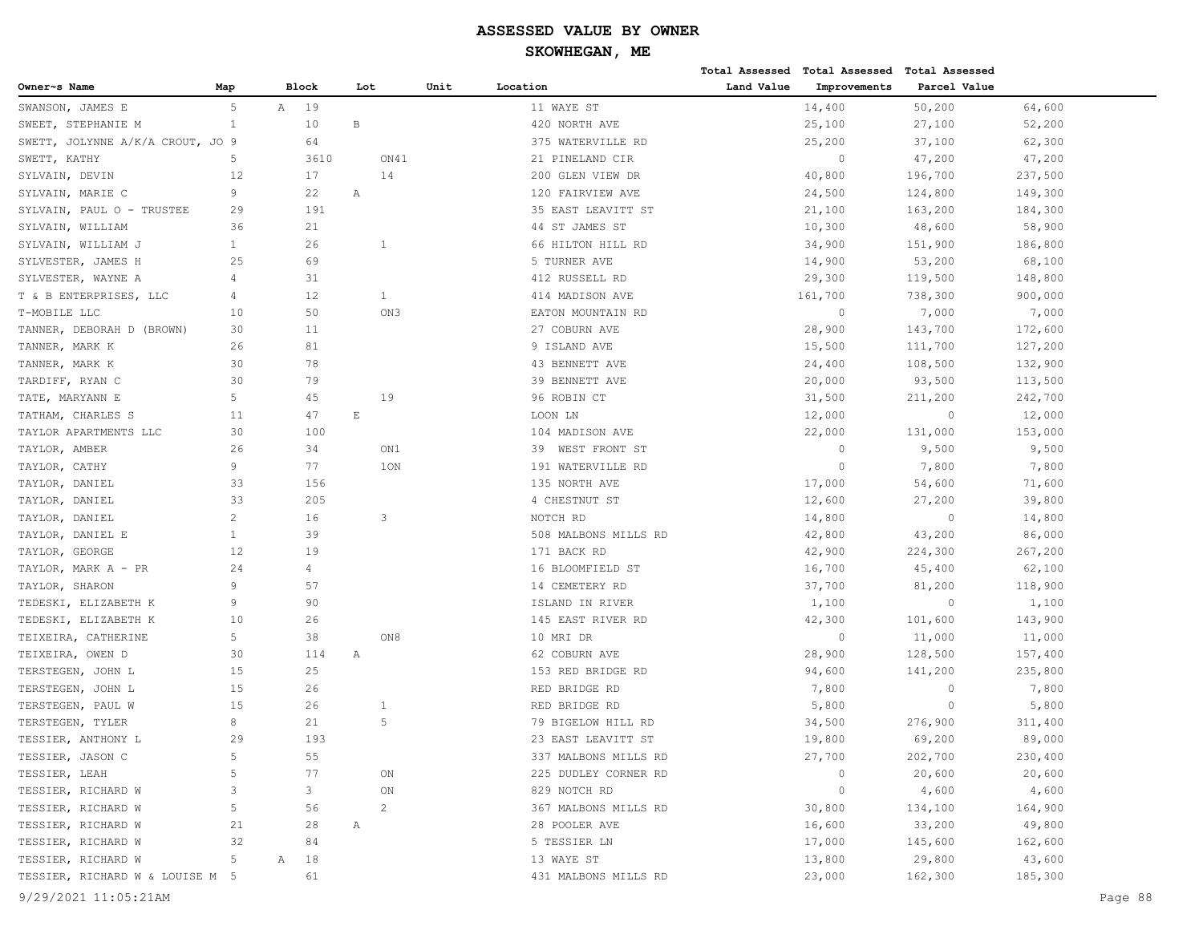|                                  |                |      |                |                             |                |      |                      |            | Total Assessed Total Assessed Total Assessed |              |         |         |
|----------------------------------|----------------|------|----------------|-----------------------------|----------------|------|----------------------|------------|----------------------------------------------|--------------|---------|---------|
| Owner~s Name                     | Map            |      | <b>Block</b>   | Lot                         |                | Unit | Location             | Land Value | Improvements                                 | Parcel Value |         |         |
| SWANSON, JAMES E                 | 5              | A 19 |                |                             |                |      | 11 WAYE ST           |            | 14,400                                       | 50,200       | 64,600  |         |
| SWEET, STEPHANIE M               | $\mathbf{1}$   |      | 10             | $\, {\bf B}$                |                |      | 420 NORTH AVE        |            | 25,100                                       | 27,100       | 52,200  |         |
| SWETT, JOLYNNE A/K/A CROUT, JO 9 |                |      | 64             |                             |                |      | 375 WATERVILLE RD    |            | 25,200                                       | 37,100       | 62,300  |         |
| SWETT, KATHY                     | 5              |      | 3610           |                             | ON41           |      | 21 PINELAND CIR      |            | $\circ$                                      | 47,200       | 47,200  |         |
| SYLVAIN, DEVIN                   | 12             |      | 17             |                             | 14             |      | 200 GLEN VIEW DR     |            | 40,800                                       | 196,700      | 237,500 |         |
| SYLVAIN, MARIE C                 | 9              |      | 22             | Α                           |                |      | 120 FAIRVIEW AVE     |            | 24,500                                       | 124,800      | 149,300 |         |
| SYLVAIN, PAUL O - TRUSTEE        | 29             |      | 191            |                             |                |      | 35 EAST LEAVITT ST   |            | 21,100                                       | 163,200      | 184,300 |         |
| SYLVAIN, WILLIAM                 | 36             |      | 21             |                             |                |      | 44 ST JAMES ST       |            | 10,300                                       | 48,600       | 58,900  |         |
| SYLVAIN, WILLIAM J               | $\mathbf{1}$   |      | 26             |                             | 1              |      | 66 HILTON HILL RD    |            | 34,900                                       | 151,900      | 186,800 |         |
| SYLVESTER, JAMES H               | 25             |      | 69             |                             |                |      | 5 TURNER AVE         |            | 14,900                                       | 53,200       | 68,100  |         |
| SYLVESTER, WAYNE A               | 4              |      | 31             |                             |                |      | 412 RUSSELL RD       |            | 29,300                                       | 119,500      | 148,800 |         |
| T & B ENTERPRISES, LLC           | 4              |      | 12             |                             | $\mathbf{1}$   |      | 414 MADISON AVE      |            | 161,700                                      | 738,300      | 900,000 |         |
| T-MOBILE LLC                     | 10             |      | 50             |                             | ON3            |      | EATON MOUNTAIN RD    |            | $\circ$                                      | 7,000        | 7,000   |         |
| TANNER, DEBORAH D (BROWN)        | 30             |      | 11             |                             |                |      | 27 COBURN AVE        |            | 28,900                                       | 143,700      | 172,600 |         |
| TANNER, MARK K                   | 26             |      | 81             |                             |                |      | 9 ISLAND AVE         |            | 15,500                                       | 111,700      | 127,200 |         |
| TANNER, MARK K                   | 30             |      | 78             |                             |                |      | 43 BENNETT AVE       |            | 24,400                                       | 108,500      | 132,900 |         |
| TARDIFF, RYAN C                  | 30             |      | 79             |                             |                |      | 39 BENNETT AVE       |            | 20,000                                       | 93,500       | 113,500 |         |
| TATE, MARYANN E                  | 5              |      | 45             |                             | 19             |      | 96 ROBIN CT          |            | 31,500                                       | 211,200      | 242,700 |         |
| TATHAM, CHARLES S                | 11             |      | 47             | $\mathop{}\!\textnormal{E}$ |                |      | LOON LN              |            | 12,000                                       | $\circ$      | 12,000  |         |
| TAYLOR APARTMENTS LLC            | 30             |      | 100            |                             |                |      | 104 MADISON AVE      |            | 22,000                                       | 131,000      | 153,000 |         |
| TAYLOR, AMBER                    | 26             |      | 34             |                             | ON1            |      | 39 WEST FRONT ST     |            | $\circ$                                      | 9,500        | 9,500   |         |
| TAYLOR, CATHY                    | 9              |      | 77             |                             | 10N            |      | 191 WATERVILLE RD    |            | $\circ$                                      | 7,800        | 7,800   |         |
| TAYLOR, DANIEL                   | 33             |      | 156            |                             |                |      | 135 NORTH AVE        |            | 17,000                                       | 54,600       | 71,600  |         |
| TAYLOR, DANIEL                   | 33             |      | 205            |                             |                |      | 4 CHESTNUT ST        |            | 12,600                                       | 27,200       | 39,800  |         |
| TAYLOR, DANIEL                   | $\mathbf{2}$   |      | 16             |                             | 3              |      | NOTCH RD             |            | 14,800                                       | $\circ$      | 14,800  |         |
| TAYLOR, DANIEL E                 | $\mathbf{1}$   |      | 39             |                             |                |      | 508 MALBONS MILLS RD |            | 42,800                                       | 43,200       | 86,000  |         |
| TAYLOR, GEORGE                   | 12             |      | 19             |                             |                |      | 171 BACK RD          |            | 42,900                                       | 224,300      | 267,200 |         |
| TAYLOR, MARK A - PR              | 24             |      | $\overline{4}$ |                             |                |      | 16 BLOOMFIELD ST     |            | 16,700                                       | 45,400       | 62,100  |         |
| TAYLOR, SHARON                   | 9              |      | 57             |                             |                |      | 14 CEMETERY RD       |            | 37,700                                       | 81,200       | 118,900 |         |
| TEDESKI, ELIZABETH K             | 9              |      | 90             |                             |                |      | ISLAND IN RIVER      |            | 1,100                                        | $\circ$      | 1,100   |         |
| TEDESKI, ELIZABETH K             | 10             |      | 26             |                             |                |      | 145 EAST RIVER RD    |            | 42,300                                       | 101,600      | 143,900 |         |
| TEIXEIRA, CATHERINE              | 5              |      | 38             |                             | ON8            |      | 10 MRI DR            |            | $\circ$                                      | 11,000       | 11,000  |         |
| TEIXEIRA, OWEN D                 | 30             |      | 114            | Α                           |                |      | 62 COBURN AVE        |            | 28,900                                       | 128,500      | 157,400 |         |
| TERSTEGEN, JOHN L                | 15             |      | 25             |                             |                |      | 153 RED BRIDGE RD    |            | 94,600                                       | 141,200      | 235,800 |         |
| TERSTEGEN, JOHN L                | 15             |      | 26             |                             |                |      | RED BRIDGE RD        |            | 7,800                                        | $\circ$      | 7,800   |         |
| TERSTEGEN, PAUL W                | 15             |      | 26             |                             | $\mathbf{1}$   |      | RED BRIDGE RD        |            | 5,800                                        | 0            | 5,800   |         |
| TERSTEGEN, TYLER                 | 8              |      | 21             |                             | 5              |      | 79 BIGELOW HILL RD   |            | 34,500                                       | 276,900      | 311,400 |         |
| TESSIER, ANTHONY L               | 29             |      | 193            |                             |                |      | 23 EAST LEAVITT ST   |            | 19,800                                       | 69,200       | 89,000  |         |
| TESSIER, JASON C                 | 5              |      | 55             |                             |                |      | 337 MALBONS MILLS RD |            | 27,700                                       | 202,700      | 230,400 |         |
| TESSIER, LEAH                    | 5              |      | 77             |                             | ON             |      | 225 DUDLEY CORNER RD |            | $\overline{0}$                               | 20,600       | 20,600  |         |
| TESSIER, RICHARD W               | 3              |      | 3              |                             | ON             |      | 829 NOTCH RD         |            | $\circ$                                      | 4,600        | 4,600   |         |
| TESSIER, RICHARD W               | $\overline{5}$ |      | 56             |                             | $\overline{c}$ |      | 367 MALBONS MILLS RD |            | 30,800                                       | 134,100      | 164,900 |         |
| TESSIER, RICHARD W               | 21             |      | 28             | Α                           |                |      | 28 POOLER AVE        |            | 16,600                                       | 33,200       | 49,800  |         |
| TESSIER, RICHARD W               | 32             |      | 84             |                             |                |      | 5 TESSIER LN         |            | 17,000                                       | 145,600      | 162,600 |         |
| TESSIER, RICHARD W               | 5              | Α    | 18             |                             |                |      | 13 WAYE ST           |            | 13,800                                       | 29,800       | 43,600  |         |
| TESSIER, RICHARD W & LOUISE M 5  |                |      | 61             |                             |                |      | 431 MALBONS MILLS RD |            | 23,000                                       | 162,300      | 185,300 |         |
| 9/29/2021 11:05:21AM             |                |      |                |                             |                |      |                      |            |                                              |              |         | Page 88 |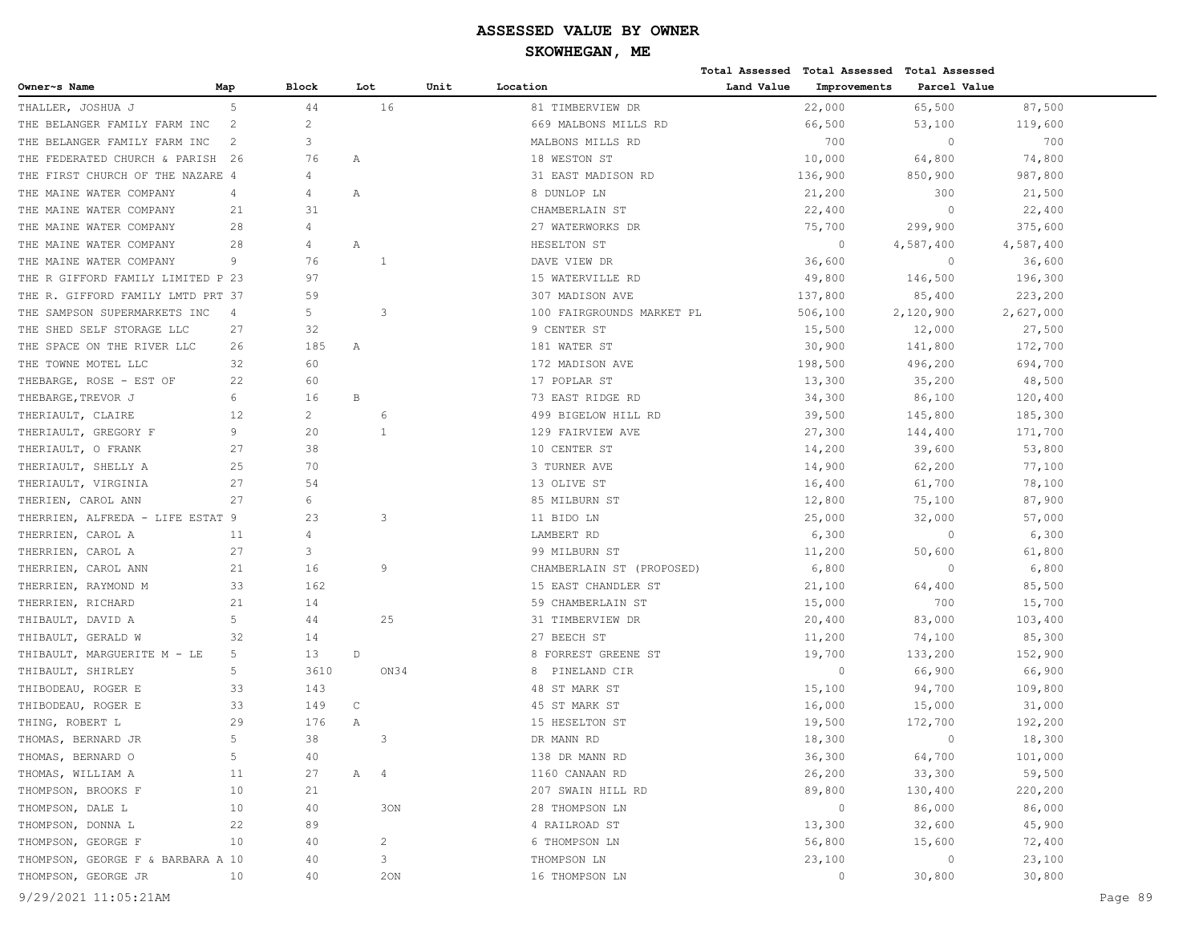**Total Assessed Total Assessed Total Assessed** 

| Owner~s Name                      | Map            | Block                | Lot         | Unit           | Location                  | Land Value | Improvements   | Parcel Value   |           |         |
|-----------------------------------|----------------|----------------------|-------------|----------------|---------------------------|------------|----------------|----------------|-----------|---------|
| THALLER, JOSHUA J                 | 5              | 44                   |             | 16             | 81 TIMBERVIEW DR          |            | 22,000         | 65,500         | 87,500    |         |
| THE BELANGER FAMILY FARM INC      | 2              | $\overline{2}$       |             |                | 669 MALBONS MILLS RD      |            | 66,500         | 53,100         | 119,600   |         |
| THE BELANGER FAMILY FARM INC      | 2              | 3                    |             |                | MALBONS MILLS RD          |            | 700            | $\circ$        | 700       |         |
| THE FEDERATED CHURCH & PARISH 26  |                | 76                   | Α           |                | 18 WESTON ST              |            | 10,000         | 64,800         | 74,800    |         |
| THE FIRST CHURCH OF THE NAZARE 4  |                | 4                    |             |                | 31 EAST MADISON RD        |            | 136,900        | 850,900        | 987,800   |         |
| THE MAINE WATER COMPANY           | 4              | $\overline{4}$       | Α           |                | 8 DUNLOP LN               |            | 21,200         | 300            | 21,500    |         |
| THE MAINE WATER COMPANY           | 21             | 31                   |             |                | CHAMBERLAIN ST            |            | 22,400         | $\overline{0}$ | 22,400    |         |
| THE MAINE WATER COMPANY           | 28             | $\overline{4}$       |             |                | 27 WATERWORKS DR          |            | 75,700         | 299,900        | 375,600   |         |
| THE MAINE WATER COMPANY           | 28             | 4                    | Α           |                | HESELTON ST               |            | $\overline{0}$ | 4,587,400      | 4,587,400 |         |
| THE MAINE WATER COMPANY           | 9              | 76                   |             | 1              | DAVE VIEW DR              |            | 36,600         | $\circ$        | 36,600    |         |
| THE R GIFFORD FAMILY LIMITED P 23 |                | 97                   |             |                | 15 WATERVILLE RD          |            | 49,800         | 146,500        | 196,300   |         |
| THE R. GIFFORD FAMILY LMTD PRT 37 |                | 59                   |             |                | 307 MADISON AVE           |            | 137,800        | 85,400         | 223,200   |         |
| THE SAMPSON SUPERMARKETS INC      | $\overline{4}$ | 5                    |             | 3              | 100 FAIRGROUNDS MARKET PL |            | 506,100        | 2,120,900      | 2,627,000 |         |
| THE SHED SELF STORAGE LLC         | 27             | 32                   |             |                | 9 CENTER ST               |            | 15,500         | 12,000         | 27,500    |         |
| THE SPACE ON THE RIVER LLC        | 26             | 185                  | Α           |                | 181 WATER ST              |            | 30,900         | 141,800        | 172,700   |         |
| THE TOWNE MOTEL LLC               | 32             | 60                   |             |                | 172 MADISON AVE           |            | 198,500        | 496,200        | 694,700   |         |
| THEBARGE, ROSE - EST OF           | 22             | 60                   |             |                | 17 POPLAR ST              |            | 13,300         | 35,200         | 48,500    |         |
| THEBARGE, TREVOR J                | 6              | 16                   | B           |                | 73 EAST RIDGE RD          |            | 34,300         | 86,100         | 120,400   |         |
| THERIAULT, CLAIRE                 | 12             | $\mathbf{2}^{\circ}$ |             | 6              | 499 BIGELOW HILL RD       |            | 39,500         | 145,800        | 185,300   |         |
| THERIAULT, GREGORY F              | 9              | 20                   |             | 1              | 129 FAIRVIEW AVE          |            | 27,300         | 144,400        | 171,700   |         |
| THERIAULT, O FRANK                | 27             | 38                   |             |                | 10 CENTER ST              |            | 14,200         | 39,600         | 53,800    |         |
| THERIAULT, SHELLY A               | 25             | 70                   |             |                | 3 TURNER AVE              |            | 14,900         | 62,200         | 77,100    |         |
| THERIAULT, VIRGINIA               | 27             | 54                   |             |                | 13 OLIVE ST               |            | 16,400         | 61,700         | 78,100    |         |
| THERIEN, CAROL ANN                | 27             | 6                    |             |                | 85 MILBURN ST             |            | 12,800         | 75,100         | 87,900    |         |
| THERRIEN, ALFREDA - LIFE ESTAT 9  |                | 23                   |             | 3              | 11 BIDO LN                |            | 25,000         | 32,000         | 57,000    |         |
| THERRIEN, CAROL A                 | 11             | 4                    |             |                | LAMBERT RD                |            | 6,300          | $\overline{0}$ | 6,300     |         |
| THERRIEN, CAROL A                 | 27             | 3                    |             |                | 99 MILBURN ST             |            | 11,200         | 50,600         | 61,800    |         |
| THERRIEN, CAROL ANN               | 21             | 16                   |             | 9              | CHAMBERLAIN ST (PROPOSED) |            | 6,800          | $\circ$        | 6,800     |         |
| THERRIEN, RAYMOND M               | 33             | 162                  |             |                | 15 EAST CHANDLER ST       |            | 21,100         | 64,400         | 85,500    |         |
| THERRIEN, RICHARD                 | 21             | 14                   |             |                | 59 CHAMBERLAIN ST         |            | 15,000         | 700            | 15,700    |         |
| THIBAULT, DAVID A                 | 5              | 44                   |             | 25             | 31 TIMBERVIEW DR          |            | 20,400         | 83,000         | 103,400   |         |
| THIBAULT, GERALD W                | 32             | 14                   |             |                | 27 BEECH ST               |            | 11,200         | 74,100         | 85,300    |         |
| THIBAULT, MARGUERITE M - LE       | 5              | 13                   | $\mathbb D$ |                | 8 FORREST GREENE ST       |            | 19,700         | 133,200        | 152,900   |         |
| THIBAULT, SHIRLEY                 | 5              | 3610                 |             | ON34           | 8 PINELAND CIR            |            | $\overline{0}$ | 66,900         | 66,900    |         |
| THIBODEAU, ROGER E                | 33             | 143                  |             |                | 48 ST MARK ST             |            | 15,100         | 94,700         | 109,800   |         |
| THIBODEAU, ROGER E                | 33             | 149                  | $\mathsf C$ |                | 45 ST MARK ST             |            | 16,000         | 15,000         | 31,000    |         |
| THING, ROBERT L                   | 29             | 176                  | Α           |                | 15 HESELTON ST            |            | 19,500         | 172,700        | 192,200   |         |
| THOMAS, BERNARD JR                | 5              | 38                   |             | 3              | DR MANN RD                |            | 18,300         | $\mathbf{0}$   | 18,300    |         |
| THOMAS, BERNARD O                 | 5              | 40                   |             |                | 138 DR MANN RD            |            | 36,300         | 64,700         | 101,000   |         |
| THOMAS, WILLIAM A                 | 11             | 27                   | A 4         |                | 1160 CANAAN RD            |            | 26,200         | 33,300         | 59,500    |         |
| THOMPSON, BROOKS F                | 10             | 21                   |             |                | 207 SWAIN HILL RD         |            | 89,800         | 130,400        | 220,200   |         |
| THOMPSON, DALE L                  | 10             | 40                   |             | 30N            | 28 THOMPSON LN            |            | $\overline{0}$ | 86,000         | 86,000    |         |
| THOMPSON, DONNA L                 | 22             | 89                   |             |                | 4 RAILROAD ST             |            | 13,300         | 32,600         | 45,900    |         |
| THOMPSON, GEORGE F                | 10             | 40                   |             | $\overline{2}$ | 6 THOMPSON LN             |            | 56,800         | 15,600         | 72,400    |         |
| THOMPSON, GEORGE F & BARBARA A 10 |                | 40                   |             | 3              | THOMPSON LN               |            | 23,100         | $\overline{0}$ | 23,100    |         |
| THOMPSON, GEORGE JR               | 10             | 40                   |             | 20N            | 16 THOMPSON LN            |            | $\circ$        | 30,800         | 30,800    |         |
|                                   |                |                      |             |                |                           |            |                |                |           |         |
| 9/29/2021 11:05:21AM              |                |                      |             |                |                           |            |                |                |           | Page 89 |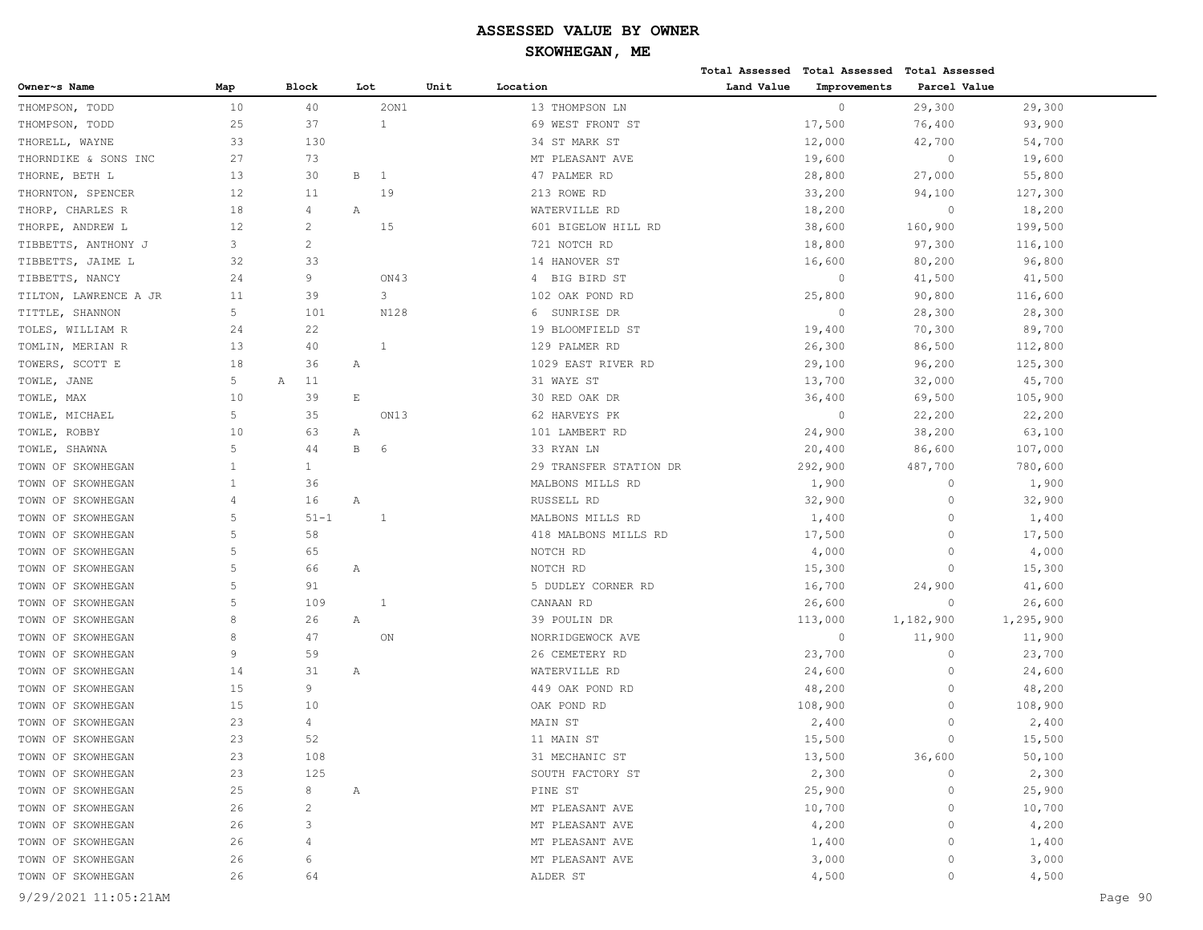|                       |     |                       |                       |      |                        |            | Total Assessed Total Assessed Total Assessed |              |           |         |
|-----------------------|-----|-----------------------|-----------------------|------|------------------------|------------|----------------------------------------------|--------------|-----------|---------|
| Owner~s Name          | Map | Block                 | Lot                   | Unit | Location               | Land Value | Improvements                                 | Parcel Value |           |         |
| THOMPSON, TODD        | 10  | 40                    | 20N1                  |      | 13 THOMPSON LN         |            | $\circ$                                      | 29,300       | 29,300    |         |
| THOMPSON, TODD        | 25  | 37                    | 1                     |      | 69 WEST FRONT ST       |            | 17,500                                       | 76,400       | 93,900    |         |
| THORELL, WAYNE        | 33  | 130                   |                       |      | 34 ST MARK ST          |            | 12,000                                       | 42,700       | 54,700    |         |
| THORNDIKE & SONS INC  | 27  | 73                    |                       |      | MT PLEASANT AVE        |            | 19,600                                       | $\circ$      | 19,600    |         |
| THORNE, BETH L        | 13  | 30                    | $\, {\bf B}$<br>1     |      | 47 PALMER RD           |            | 28,800                                       | 27,000       | 55,800    |         |
| THORNTON, SPENCER     | 12  | 11                    | 19                    |      | 213 ROWE RD            |            | 33,200                                       | 94,100       | 127,300   |         |
| THORP, CHARLES R      | 18  | 4                     | Α                     |      | WATERVILLE RD          |            | 18,200                                       | $\circ$      | 18,200    |         |
| THORPE, ANDREW L      | 12  | $\overline{c}$        | 15                    |      | 601 BIGELOW HILL RD    |            | 38,600                                       | 160,900      | 199,500   |         |
| TIBBETTS, ANTHONY J   | 3   | $\mathbf{2}^{\prime}$ |                       |      | 721 NOTCH RD           |            | 18,800                                       | 97,300       | 116,100   |         |
| TIBBETTS, JAIME L     | 32  | 33                    |                       |      | 14 HANOVER ST          |            | 16,600                                       | 80,200       | 96,800    |         |
| TIBBETTS, NANCY       | 24  | 9                     | ON43                  |      | BIG BIRD ST<br>4       |            | 0                                            | 41,500       | 41,500    |         |
| TILTON, LAWRENCE A JR | 11  | 39                    | 3                     |      | 102 OAK POND RD        |            | 25,800                                       | 90,800       | 116,600   |         |
| TITTLE, SHANNON       | 5   | 101                   | N128                  |      | SUNRISE DR<br>6        |            | $\circ$                                      | 28,300       | 28,300    |         |
| TOLES, WILLIAM R      | 24  | 22                    |                       |      | 19 BLOOMFIELD ST       |            | 19,400                                       | 70,300       | 89,700    |         |
| TOMLIN, MERIAN R      | 13  | 40                    | 1                     |      | 129 PALMER RD          |            | 26,300                                       | 86,500       | 112,800   |         |
| TOWERS, SCOTT E       | 18  | 36                    | Α                     |      | 1029 EAST RIVER RD     |            | 29,100                                       | 96,200       | 125,300   |         |
| TOWLE,<br>JANE        | 5   | 11<br>А               |                       |      | 31 WAYE ST             |            | 13,700                                       | 32,000       | 45,700    |         |
| TOWLE, MAX            | 10  | 39                    | $\mathop{}\mathbb{E}$ |      | 30 RED OAK DR          |            | 36,400                                       | 69,500       | 105,900   |         |
| TOWLE, MICHAEL        | 5   | 35                    | ON13                  |      | 62 HARVEYS PK          |            | $\circ$                                      | 22,200       | 22,200    |         |
| TOWLE, ROBBY          | 10  | 63                    | Α                     |      | 101 LAMBERT RD         |            | 24,900                                       | 38,200       | 63,100    |         |
| TOWLE, SHAWNA         | 5   | 44                    | В<br>6                |      | 33 RYAN LN             |            | 20,400                                       | 86,600       | 107,000   |         |
| TOWN OF SKOWHEGAN     | 1   | $\mathbf{1}$          |                       |      | 29 TRANSFER STATION DR |            | 292,900                                      | 487,700      | 780,600   |         |
| TOWN OF SKOWHEGAN     | 1   | 36                    |                       |      | MALBONS MILLS RD       |            | 1,900                                        | $\circ$      | 1,900     |         |
| TOWN OF SKOWHEGAN     | 4   | 16                    | Α                     |      | RUSSELL RD             |            | 32,900                                       | $\circ$      | 32,900    |         |
| TOWN OF SKOWHEGAN     | 5   | $51 - 1$              | 1                     |      | MALBONS MILLS RD       |            | 1,400                                        | $\circ$      | 1,400     |         |
| TOWN OF SKOWHEGAN     | 5   | 58                    |                       |      | 418 MALBONS MILLS RD   |            | 17,500                                       | $\circ$      | 17,500    |         |
| TOWN OF SKOWHEGAN     | 5   | 65                    |                       |      | NOTCH RD               |            | 4,000                                        | $\circ$      | 4,000     |         |
| TOWN OF SKOWHEGAN     | 5   | 66                    | Α                     |      | NOTCH RD               |            | 15,300                                       | $\Omega$     | 15,300    |         |
| TOWN OF SKOWHEGAN     | 5   | 91                    |                       |      | 5 DUDLEY CORNER RD     |            | 16,700                                       | 24,900       | 41,600    |         |
| TOWN OF SKOWHEGAN     | 5   | 109                   | 1                     |      | CANAAN RD              |            | 26,600                                       | $\circ$      | 26,600    |         |
| TOWN OF SKOWHEGAN     | 8   | 26                    | Α                     |      | 39 POULIN DR           |            | 113,000                                      | 1,182,900    | 1,295,900 |         |
| TOWN OF SKOWHEGAN     | 8   | 47                    | ON                    |      | NORRIDGEWOCK AVE       |            | $\circ$                                      | 11,900       | 11,900    |         |
| TOWN OF SKOWHEGAN     | 9   | 59                    |                       |      | 26 CEMETERY RD         |            | 23,700                                       | $\circ$      | 23,700    |         |
| TOWN OF SKOWHEGAN     | 14  | 31                    | Α                     |      | WATERVILLE RD          |            | 24,600                                       | $\circ$      | 24,600    |         |
| TOWN OF SKOWHEGAN     | 15  | 9                     |                       |      | 449 OAK POND RD        |            | 48,200                                       | $\circ$      | 48,200    |         |
| TOWN OF SKOWHEGAN     | 15  | 10                    |                       |      | OAK POND RD            |            | 108,900                                      | $\circ$      | 108,900   |         |
| TOWN OF SKOWHEGAN     | 23  | 4                     |                       |      | MAIN ST                |            | 2,400                                        | $\circ$      | 2,400     |         |
| TOWN OF SKOWHEGAN     | 23  | 52                    |                       |      | 11 MAIN ST             |            | 15,500                                       | $\mathbf{0}$ | 15,500    |         |
| TOWN OF SKOWHEGAN     | 23  | 108                   |                       |      | 31 MECHANIC ST         |            | 13,500                                       | 36,600       | 50,100    |         |
| TOWN OF SKOWHEGAN     | 23  | 125                   |                       |      | SOUTH FACTORY ST       |            | 2,300                                        | $\circ$      | 2,300     |         |
| TOWN OF SKOWHEGAN     | 25  | 8                     | Α                     |      | PINE ST                |            | 25,900                                       | $\circ$      | 25,900    |         |
| TOWN OF SKOWHEGAN     | 26  | $\mathbf{2}$          |                       |      | MT PLEASANT AVE        |            | 10,700                                       | 0            | 10,700    |         |
| TOWN OF SKOWHEGAN     | 26  | 3                     |                       |      | MT PLEASANT AVE        |            | 4,200                                        | 0            | 4,200     |         |
| TOWN OF SKOWHEGAN     | 26  | 4                     |                       |      | MT PLEASANT AVE        |            | 1,400                                        | $\Omega$     | 1,400     |         |
| TOWN OF SKOWHEGAN     | 26  | 6                     |                       |      | MT PLEASANT AVE        |            | 3,000                                        | 0            | 3,000     |         |
| TOWN OF SKOWHEGAN     | 26  | 64                    |                       |      | ALDER ST               |            | 4,500                                        | 0            | 4,500     |         |
| 9/29/2021 11:05:21AM  |     |                       |                       |      |                        |            |                                              |              |           | Page 90 |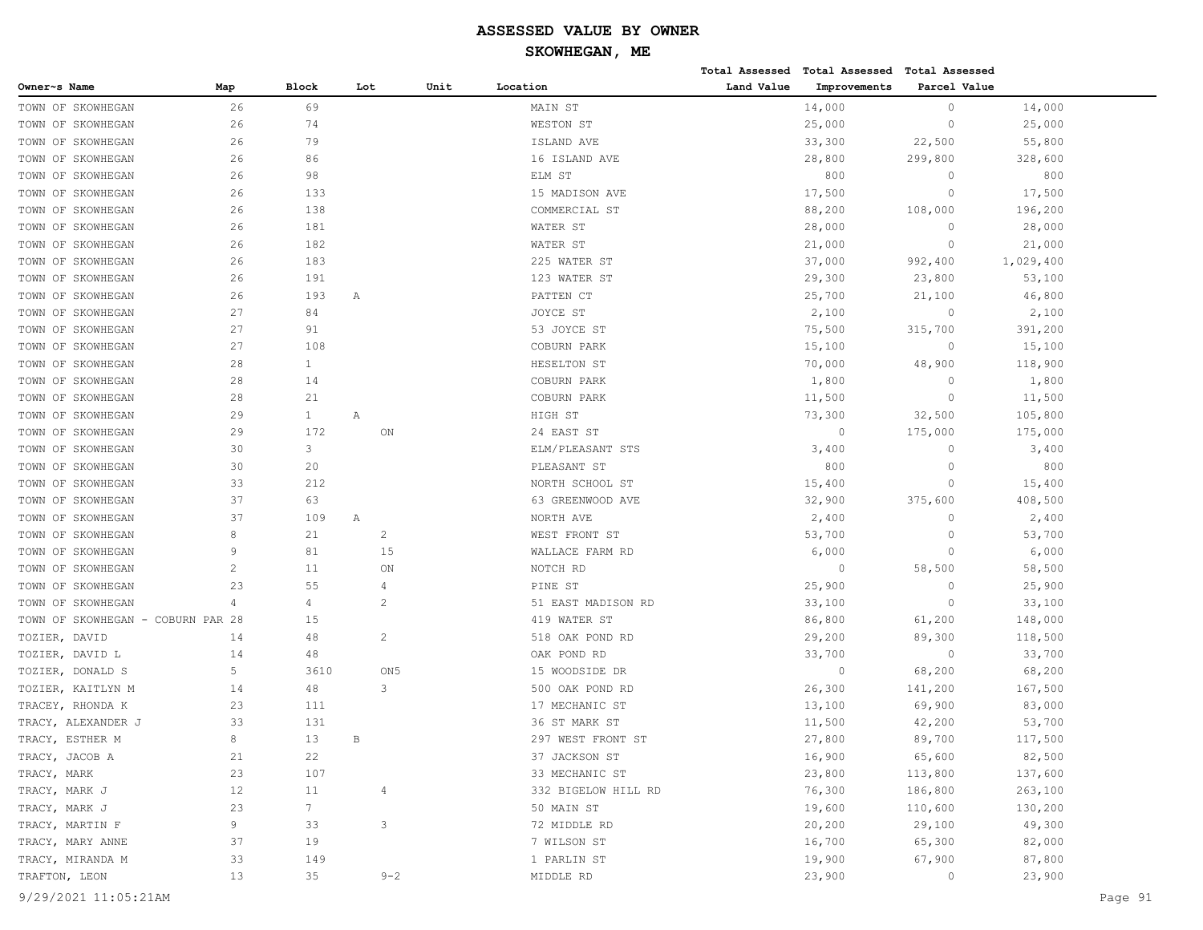# **SKOWHEGAN, ME**

|                                   |                |                |     |                 |      |                     |            | Total Assessed Total Assessed Total Assessed |              |           |
|-----------------------------------|----------------|----------------|-----|-----------------|------|---------------------|------------|----------------------------------------------|--------------|-----------|
| Owner~s Name                      | Map            | <b>Block</b>   | Lot |                 | Unit | Location            | Land Value | Improvements                                 | Parcel Value |           |
| TOWN OF SKOWHEGAN                 | 26             | 69             |     |                 |      | MAIN ST             |            | 14,000                                       | $\circ$      | 14,000    |
| TOWN OF SKOWHEGAN                 | 26             | 74             |     |                 |      | WESTON ST           |            | 25,000                                       | $\circ$      | 25,000    |
| TOWN OF SKOWHEGAN                 | 26             | 79             |     |                 |      | ISLAND AVE          |            | 33,300                                       | 22,500       | 55,800    |
| TOWN OF SKOWHEGAN                 | 26             | 86             |     |                 |      | 16 ISLAND AVE       |            | 28,800                                       | 299,800      | 328,600   |
| TOWN OF SKOWHEGAN                 | 26             | 98             |     |                 |      | ELM ST              |            | 800                                          | $\circ$      | 800       |
| TOWN OF SKOWHEGAN                 | 26             | 133            |     |                 |      | 15 MADISON AVE      |            | 17,500                                       | $\circ$      | 17,500    |
| TOWN OF SKOWHEGAN                 | 26             | 138            |     |                 |      | COMMERCIAL ST       |            | 88,200                                       | 108,000      | 196,200   |
| TOWN OF SKOWHEGAN                 | 26             | 181            |     |                 |      | WATER ST            |            | 28,000                                       | $\circ$      | 28,000    |
| TOWN OF SKOWHEGAN                 | 26             | 182            |     |                 |      | WATER ST            |            | 21,000                                       | $\circ$      | 21,000    |
| TOWN OF SKOWHEGAN                 | 26             | 183            |     |                 |      | 225 WATER ST        |            | 37,000                                       | 992,400      | 1,029,400 |
| TOWN OF SKOWHEGAN                 | 26             | 191            |     |                 |      | 123 WATER ST        |            | 29,300                                       | 23,800       | 53,100    |
| TOWN OF SKOWHEGAN                 | 26             | 193            | Α   |                 |      | PATTEN CT           |            | 25,700                                       | 21,100       | 46,800    |
| TOWN OF SKOWHEGAN                 | 27             | 84             |     |                 |      | JOYCE ST            |            | 2,100                                        | $\circ$      | 2,100     |
| TOWN OF SKOWHEGAN                 | 27             | 91             |     |                 |      | 53 JOYCE ST         |            | 75,500                                       | 315,700      | 391,200   |
| TOWN OF SKOWHEGAN                 | 27             | 108            |     |                 |      | COBURN PARK         |            | 15,100                                       | $\circ$      | 15,100    |
| TOWN OF SKOWHEGAN                 | 28             | $\mathbf{1}$   |     |                 |      | HESELTON ST         |            | 70,000                                       | 48,900       | 118,900   |
| TOWN OF SKOWHEGAN                 | 28             | 14             |     |                 |      | COBURN PARK         |            | 1,800                                        | $\circ$      | 1,800     |
| TOWN OF SKOWHEGAN                 | 28             | 21             |     |                 |      | COBURN PARK         |            | 11,500                                       | $\circ$      | 11,500    |
| TOWN OF SKOWHEGAN                 | 29             | $\mathbf{1}$   | Α   |                 |      | HIGH ST             |            | 73,300                                       | 32,500       | 105,800   |
| TOWN OF SKOWHEGAN                 | 29             | 172            |     | ON              |      | 24 EAST ST          |            | $\circ$                                      | 175,000      | 175,000   |
| TOWN OF SKOWHEGAN                 | 30             | 3              |     |                 |      | ELM/PLEASANT STS    |            | 3,400                                        | $\circ$      | 3,400     |
| TOWN OF SKOWHEGAN                 | 30             | 20             |     |                 |      | PLEASANT ST         |            | 800                                          | $\circ$      | 800       |
| TOWN OF SKOWHEGAN                 | 33             | 212            |     |                 |      | NORTH SCHOOL ST     |            | 15,400                                       | $\circ$      | 15,400    |
| TOWN OF SKOWHEGAN                 | 37             | 63             |     |                 |      | 63 GREENWOOD AVE    |            | 32,900                                       | 375,600      | 408,500   |
| TOWN OF SKOWHEGAN                 | 37             | 109            | Α   |                 |      | NORTH AVE           |            | 2,400                                        | $\circ$      | 2,400     |
| TOWN OF SKOWHEGAN                 | 8              | 21             |     | $\overline{c}$  |      | WEST FRONT ST       |            | 53,700                                       | $\circ$      | 53,700    |
| TOWN OF SKOWHEGAN                 | 9              | 81             |     | 15              |      | WALLACE FARM RD     |            | 6,000                                        | $\circ$      | 6,000     |
| TOWN OF SKOWHEGAN                 | $\overline{c}$ | 11             |     | ON              |      | NOTCH RD            |            | $\circ$                                      | 58,500       | 58,500    |
| TOWN OF SKOWHEGAN                 | 23             | 55             |     | 4               |      | PINE ST             |            | 25,900                                       | $\circ$      | 25,900    |
| TOWN OF SKOWHEGAN                 | 4              | 4              |     | $\overline{2}$  |      | 51 EAST MADISON RD  |            | 33,100                                       | $\circ$      | 33,100    |
| TOWN OF SKOWHEGAN - COBURN PAR 28 |                | 15             |     |                 |      | 419 WATER ST        |            | 86,800                                       | 61,200       | 148,000   |
| TOZIER, DAVID                     | 14             | 48             |     | 2               |      | 518 OAK POND RD     |            | 29,200                                       | 89,300       | 118,500   |
| TOZIER, DAVID L                   | 14             | 48             |     |                 |      | OAK POND RD         |            | 33,700                                       | $\circ$      | 33,700    |
| TOZIER, DONALD S                  | 5              | 3610           |     | ON <sub>5</sub> |      | 15 WOODSIDE DR      |            | $\circ$                                      | 68,200       | 68,200    |
| TOZIER, KAITLYN M                 | 14             | 48             |     | 3               |      | 500 OAK POND RD     |            | 26,300                                       | 141,200      | 167,500   |
| TRACEY, RHONDA K                  | 23             | 111            |     |                 |      | 17 MECHANIC ST      |            | 13,100                                       | 69,900       | 83,000    |
| TRACY, ALEXANDER J                | 33             | 131            |     |                 |      | 36 ST MARK ST       |            | 11,500                                       | 42,200       | 53,700    |
| TRACY, ESTHER M                   | 8              | 13             | B   |                 |      | 297 WEST FRONT ST   |            | 27,800                                       | 89,700       | 117,500   |
| TRACY, JACOB A                    | 21             | 22             |     |                 |      | 37 JACKSON ST       |            | 16,900                                       | 65,600       | 82,500    |
| TRACY, MARK                       | 23             | 107            |     |                 |      | 33 MECHANIC ST      |            | 23,800                                       | 113,800      | 137,600   |
| TRACY, MARK J                     | 12             | 11             |     | $\overline{4}$  |      | 332 BIGELOW HILL RD |            | 76,300                                       | 186,800      | 263,100   |
| TRACY, MARK J                     | 23             | 7 <sup>7</sup> |     |                 |      | 50 MAIN ST          |            | 19,600                                       | 110,600      | 130,200   |
| TRACY, MARTIN F                   | 9              | 33             |     | 3               |      | 72 MIDDLE RD        |            | 20,200                                       | 29,100       | 49,300    |
| TRACY, MARY ANNE                  | 37             | 19             |     |                 |      | 7 WILSON ST         |            | 16,700                                       | 65,300       | 82,000    |
| TRACY, MIRANDA M                  | 33             | 149            |     |                 |      | 1 PARLIN ST         |            | 19,900                                       | 67,900       | 87,800    |
| TRAFTON, LEON                     | 13             | 35             |     | $9 - 2$         |      | MIDDLE RD           |            | 23,900                                       | $\circ$      | 23,900    |
|                                   |                |                |     |                 |      |                     |            |                                              |              |           |

9/29/2021 11:05:21AM Page 91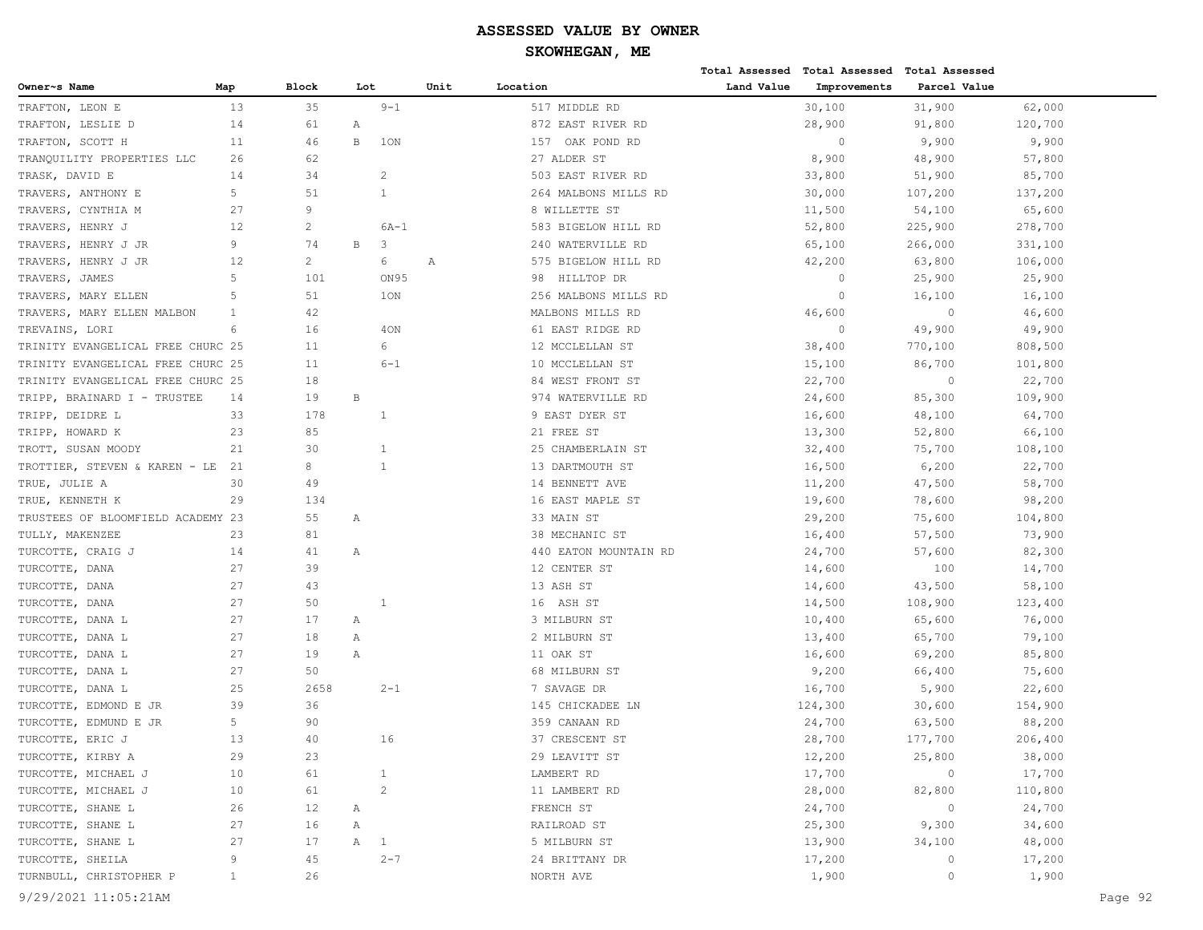|                                   |              |                |     |                |              |                       |            | Total Assessed Total Assessed Total Assessed |              |         |         |
|-----------------------------------|--------------|----------------|-----|----------------|--------------|-----------------------|------------|----------------------------------------------|--------------|---------|---------|
| Owner~s Name                      | Map          | Block          | Lot |                | Unit         | Location              | Land Value | Improvements                                 | Parcel Value |         |         |
| TRAFTON, LEON E                   | 13           | 35             |     | $9 - 1$        |              | 517 MIDDLE RD         |            | 30,100                                       | 31,900       | 62,000  |         |
| TRAFTON, LESLIE D                 | 14           | 61             | Α   |                |              | 872 EAST RIVER RD     |            | 28,900                                       | 91,800       | 120,700 |         |
| TRAFTON, SCOTT H                  | 11           | 46             | В   | 1ON            |              | 157 OAK POND RD       |            | $\circ$                                      | 9,900        | 9,900   |         |
| TRANQUILITY PROPERTIES LLC        | 26           | 62             |     |                |              | 27 ALDER ST           |            | 8,900                                        | 48,900       | 57,800  |         |
| TRASK, DAVID E                    | 14           | 34             |     | $\overline{c}$ |              | 503 EAST RIVER RD     |            | 33,800                                       | 51,900       | 85,700  |         |
| TRAVERS, ANTHONY E                | 5            | 51             |     | $\mathbf{1}$   |              | 264 MALBONS MILLS RD  |            | 30,000                                       | 107,200      | 137,200 |         |
| TRAVERS, CYNTHIA M                | 27           | 9              |     |                |              | 8 WILLETTE ST         |            | 11,500                                       | 54,100       | 65,600  |         |
| TRAVERS, HENRY J                  | 12           | $\mathbf{2}$   |     | $6A-1$         |              | 583 BIGELOW HILL RD   |            | 52,800                                       | 225,900      | 278,700 |         |
| TRAVERS, HENRY J JR               | 9            | 74             | В   | 3              |              | 240 WATERVILLE RD     |            | 65,100                                       | 266,000      | 331,100 |         |
| TRAVERS, HENRY J JR               | 12           | $\overline{2}$ |     | 6              | $\mathbb{A}$ | 575 BIGELOW HILL RD   |            | 42,200                                       | 63,800       | 106,000 |         |
| TRAVERS, JAMES                    | 5            | 101            |     | ON95           |              | HILLTOP DR<br>98      |            | $\circ$                                      | 25,900       | 25,900  |         |
| TRAVERS, MARY ELLEN               | 5            | 51             |     | 1ON            |              | 256 MALBONS MILLS RD  |            | $\circ$                                      | 16,100       | 16,100  |         |
| TRAVERS, MARY ELLEN MALBON        | 1            | 42             |     |                |              | MALBONS MILLS RD      |            | 46,600                                       | $\circ$      | 46,600  |         |
| TREVAINS, LORI                    | 6            | 16             |     | 40N            |              | 61 EAST RIDGE RD      |            | $\circ$                                      | 49,900       | 49,900  |         |
| TRINITY EVANGELICAL FREE CHURC 25 |              | 11             |     | 6              |              | 12 MCCLELLAN ST       |            | 38,400                                       | 770,100      | 808,500 |         |
| TRINITY EVANGELICAL FREE CHURC 25 |              | 11             |     | $6 - 1$        |              | 10 MCCLELLAN ST       |            | 15,100                                       | 86,700       | 101,800 |         |
| TRINITY EVANGELICAL FREE CHURC 25 |              | 18             |     |                |              | 84 WEST FRONT ST      |            | 22,700                                       | $\circ$      | 22,700  |         |
| TRIPP, BRAINARD I - TRUSTEE       | 14           | 19             | B   |                |              | 974 WATERVILLE RD     |            | 24,600                                       | 85,300       | 109,900 |         |
| TRIPP, DEIDRE L                   | 33           | 178            |     | 1              |              | 9 EAST DYER ST        |            | 16,600                                       | 48,100       | 64,700  |         |
| TRIPP, HOWARD K                   | 23           | 85             |     |                |              | 21 FREE ST            |            | 13,300                                       | 52,800       | 66,100  |         |
| TROTT, SUSAN MOODY                | 21           | 30             |     | $\mathbf{1}$   |              | 25 CHAMBERLAIN ST     |            | 32,400                                       | 75,700       | 108,100 |         |
| TROTTIER, STEVEN & KAREN - LE     | 21           | 8              |     | $\mathbf{1}$   |              | 13 DARTMOUTH ST       |            | 16,500                                       | 6,200        | 22,700  |         |
| TRUE, JULIE A                     | 30           | 49             |     |                |              | 14 BENNETT AVE        |            | 11,200                                       | 47,500       | 58,700  |         |
| TRUE, KENNETH K                   | 29           | 134            |     |                |              | 16 EAST MAPLE ST      |            | 19,600                                       | 78,600       | 98,200  |         |
| TRUSTEES OF BLOOMFIELD ACADEMY 23 |              | 55             | Α   |                |              | 33 MAIN ST            |            | 29,200                                       | 75,600       | 104,800 |         |
| TULLY, MAKENZEE                   | 23           | 81             |     |                |              | 38 MECHANIC ST        |            | 16,400                                       | 57,500       | 73,900  |         |
| TURCOTTE, CRAIG J                 | 14           | 41             | Α   |                |              | 440 EATON MOUNTAIN RD |            | 24,700                                       | 57,600       | 82,300  |         |
| TURCOTTE, DANA                    | 27           | 39             |     |                |              | 12 CENTER ST          |            | 14,600                                       | 100          | 14,700  |         |
| TURCOTTE, DANA                    | 27           | 43             |     |                |              | 13 ASH ST             |            | 14,600                                       | 43,500       | 58,100  |         |
| TURCOTTE, DANA                    | 27           | 50             |     | 1              |              | 16 ASH ST             |            | 14,500                                       | 108,900      | 123,400 |         |
| TURCOTTE, DANA L                  | 27           | 17             | Α   |                |              | 3 MILBURN ST          |            | 10,400                                       | 65,600       | 76,000  |         |
| TURCOTTE, DANA L                  | 27           | 18             | Α   |                |              | 2 MILBURN ST          |            | 13,400                                       | 65,700       | 79,100  |         |
| TURCOTTE, DANA L                  | 27           | 19             | Α   |                |              | 11 OAK ST             |            | 16,600                                       | 69,200       | 85,800  |         |
| TURCOTTE, DANA L                  | 27           | 50             |     |                |              | 68 MILBURN ST         |            | 9,200                                        | 66,400       | 75,600  |         |
| TURCOTTE, DANA L                  | 25           | 2658           |     | $2 - 1$        |              | 7 SAVAGE DR           |            | 16,700                                       | 5,900        | 22,600  |         |
| TURCOTTE, EDMOND E JR             | 39           | 36             |     |                |              | 145 CHICKADEE LN      |            | 124,300                                      | 30,600       | 154,900 |         |
| TURCOTTE, EDMUND E JR             | 5            | 90             |     |                |              | 359 CANAAN RD         |            | 24,700                                       | 63,500       | 88,200  |         |
| TURCOTTE, ERIC J                  | 13           | 40             |     | 16             |              | 37 CRESCENT ST        |            | 28,700                                       | 177,700      | 206,400 |         |
| TURCOTTE, KIRBY A                 | 29           | 23             |     |                |              | 29 LEAVITT ST         |            | 12,200                                       | 25,800       | 38,000  |         |
| TURCOTTE, MICHAEL J               | 10           | 61             |     | 1              |              | LAMBERT RD            |            | 17,700                                       | $\circ$      | 17,700  |         |
| TURCOTTE, MICHAEL J               | 10           | 61             |     | $\overline{c}$ |              | 11 LAMBERT RD         |            | 28,000                                       | 82,800       | 110,800 |         |
| TURCOTTE, SHANE L                 | 26           | 12             | Α   |                |              | FRENCH ST             |            | 24,700                                       | $\circ$      | 24,700  |         |
| TURCOTTE, SHANE L                 | 27           | 16             | Α   |                |              | RAILROAD ST           |            | 25,300                                       | 9,300        | 34,600  |         |
| TURCOTTE, SHANE L                 | 27           | 17             | A   | $\overline{1}$ |              | 5 MILBURN ST          |            | 13,900                                       | 34,100       | 48,000  |         |
| TURCOTTE, SHEILA                  | 9            | 45             |     | $2 - 7$        |              | 24 BRITTANY DR        |            | 17,200                                       | $\circ$      | 17,200  |         |
| TURNBULL, CHRISTOPHER P           | $\mathbf{1}$ | 26             |     |                |              | NORTH AVE             |            | 1,900                                        | $\circ$      | 1,900   |         |
| 9/29/2021 11:05:21AM              |              |                |     |                |              |                       |            |                                              |              |         | Page 92 |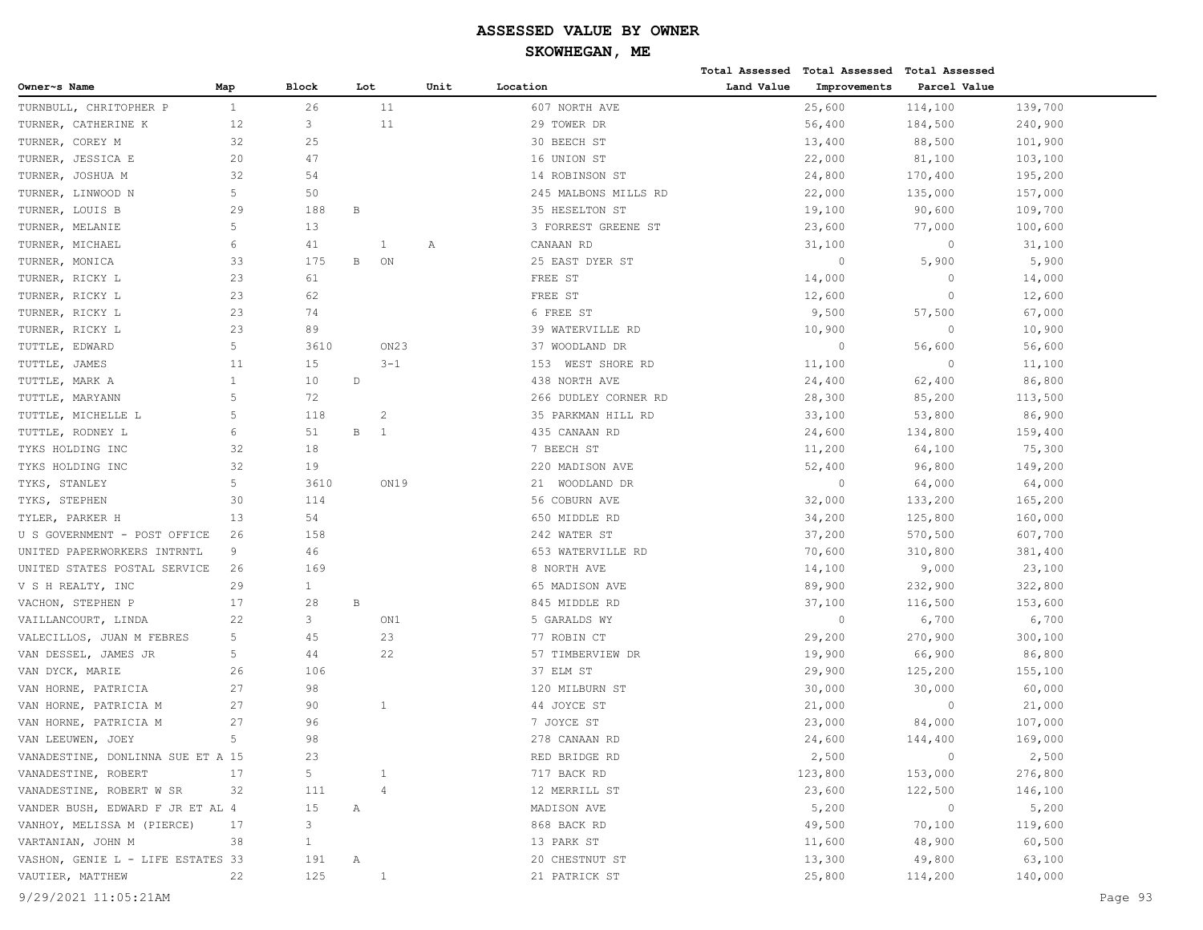# **SKOWHEGAN, ME**

|                                   |              |              |              |                  |      |                      |            | Total Assessed Total Assessed Total Assessed |              |         |
|-----------------------------------|--------------|--------------|--------------|------------------|------|----------------------|------------|----------------------------------------------|--------------|---------|
| Owner~s Name                      | Map          | <b>Block</b> | Lot          |                  | Unit | Location             | Land Value | Improvements                                 | Parcel Value |         |
| TURNBULL, CHRITOPHER P            | $\mathbf{1}$ | 26           |              | 11               |      | 607 NORTH AVE        |            | 25,600                                       | 114,100      | 139,700 |
| TURNER, CATHERINE K               | 12           | 3            |              | 11               |      | 29 TOWER DR          |            | 56,400                                       | 184,500      | 240,900 |
| TURNER, COREY M                   | 32           | 25           |              |                  |      | 30 BEECH ST          |            | 13,400                                       | 88,500       | 101,900 |
| TURNER, JESSICA E                 | 20           | 47           |              |                  |      | 16 UNION ST          |            | 22,000                                       | 81,100       | 103,100 |
| TURNER, JOSHUA M                  | 32           | 54           |              |                  |      | 14 ROBINSON ST       |            | 24,800                                       | 170,400      | 195,200 |
| TURNER, LINWOOD N                 | 5            | 50           |              |                  |      | 245 MALBONS MILLS RD |            | 22,000                                       | 135,000      | 157,000 |
| TURNER, LOUIS B                   | 29           | 188          | В            |                  |      | 35 HESELTON ST       |            | 19,100                                       | 90,600       | 109,700 |
| TURNER, MELANIE                   | 5            | 13           |              |                  |      | 3 FORREST GREENE ST  |            | 23,600                                       | 77,000       | 100,600 |
| TURNER, MICHAEL                   | 6            | 41           |              | 1                | Α    | CANAAN RD            |            | 31,100                                       | $\circ$      | 31,100  |
| TURNER, MONICA                    | 33           | 175          | $\, {\bf B}$ | ON               |      | 25 EAST DYER ST      |            | $\circ$                                      | 5,900        | 5,900   |
| TURNER, RICKY L                   | 23           | 61           |              |                  |      | FREE ST              |            | 14,000                                       | $\circ$      | 14,000  |
| TURNER, RICKY L                   | 23           | 62           |              |                  |      | FREE ST              |            | 12,600                                       | $\circ$      | 12,600  |
| TURNER, RICKY L                   | 23           | 74           |              |                  |      | 6 FREE ST            |            | 9,500                                        | 57,500       | 67,000  |
| TURNER, RICKY L                   | 23           | 89           |              |                  |      | 39 WATERVILLE RD     |            | 10,900                                       | $\circ$      | 10,900  |
| TUTTLE, EDWARD                    | 5            | 3610         |              | ON <sub>23</sub> |      | 37 WOODLAND DR       |            | $\circ$                                      | 56,600       | 56,600  |
| TUTTLE, JAMES                     | 11           | 15           |              | $3 - 1$          |      | 153 WEST SHORE RD    |            | 11,100                                       | $\circ$      | 11,100  |
| TUTTLE, MARK A                    | $\mathbf{1}$ | 10           | $\mathbb D$  |                  |      | 438 NORTH AVE        |            | 24,400                                       | 62,400       | 86,800  |
| TUTTLE, MARYANN                   | 5            | 72           |              |                  |      | 266 DUDLEY CORNER RD |            | 28,300                                       | 85,200       | 113,500 |
| TUTTLE, MICHELLE L                | 5            | 118          |              | 2                |      | 35 PARKMAN HILL RD   |            | 33,100                                       | 53,800       | 86,900  |
| TUTTLE, RODNEY L                  | 6            | 51           | $\, {\bf B}$ | <sup>1</sup>     |      | 435 CANAAN RD        |            | 24,600                                       | 134,800      | 159,400 |
| TYKS HOLDING INC                  | 32           | 18           |              |                  |      | 7 BEECH ST           |            | 11,200                                       | 64,100       | 75,300  |
| TYKS HOLDING INC                  | 32           | 19           |              |                  |      | 220 MADISON AVE      |            | 52,400                                       | 96,800       | 149,200 |
| TYKS, STANLEY                     | 5            | 3610         |              | ON19             |      | 21 WOODLAND DR       |            | $\circ$                                      | 64,000       | 64,000  |
| TYKS, STEPHEN                     | 30           | 114          |              |                  |      | 56 COBURN AVE        |            | 32,000                                       | 133,200      | 165,200 |
| TYLER, PARKER H                   | 13           | 54           |              |                  |      | 650 MIDDLE RD        |            | 34,200                                       | 125,800      | 160,000 |
| U S GOVERNMENT - POST OFFICE      | 26           | 158          |              |                  |      | 242 WATER ST         |            | 37,200                                       | 570,500      | 607,700 |
| UNITED PAPERWORKERS INTRNTL       | 9            | 46           |              |                  |      | 653 WATERVILLE RD    |            | 70,600                                       | 310,800      | 381,400 |
| UNITED STATES POSTAL SERVICE      | 26           | 169          |              |                  |      | 8 NORTH AVE          |            | 14,100                                       | 9,000        | 23,100  |
| V S H REALTY, INC                 | 29           | $\mathbf{1}$ |              |                  |      | 65 MADISON AVE       |            | 89,900                                       | 232,900      | 322,800 |
| VACHON, STEPHEN P                 | 17           | 28           | $\, {\bf B}$ |                  |      | 845 MIDDLE RD        |            | 37,100                                       | 116,500      | 153,600 |
| VAILLANCOURT, LINDA               | 22           | 3            |              | ON1              |      | 5 GARALDS WY         |            | $\circ$                                      | 6,700        | 6,700   |
| VALECILLOS, JUAN M FEBRES         | 5            | 45           |              | 23               |      | 77 ROBIN CT          |            | 29,200                                       | 270,900      | 300,100 |
| VAN DESSEL, JAMES JR              | 5            | 44           |              | 22               |      | 57 TIMBERVIEW DR     |            | 19,900                                       | 66,900       | 86,800  |
| VAN DYCK, MARIE                   | 26           | 106          |              |                  |      | 37 ELM ST            |            | 29,900                                       | 125,200      | 155,100 |
| VAN HORNE, PATRICIA               | 27           | 98           |              |                  |      | 120 MILBURN ST       |            | 30,000                                       | 30,000       | 60,000  |
| VAN HORNE, PATRICIA M             | 27           | 90           |              | 1                |      | 44 JOYCE ST          |            | 21,000                                       | $\circ$      | 21,000  |
| VAN HORNE, PATRICIA M             | 27           | 96           |              |                  |      | 7 JOYCE ST           |            | 23,000                                       | 84,000       | 107,000 |
| VAN LEEUWEN, JOEY                 | 5            | 98           |              |                  |      | 278 CANAAN RD        |            | 24,600                                       | 144,400      | 169,000 |
| VANADESTINE, DONLINNA SUE ET A 15 |              | 23           |              |                  |      | RED BRIDGE RD        |            | 2,500                                        | $\circ$      | 2,500   |
| VANADESTINE, ROBERT               | 17           | 5            |              | 1                |      | 717 BACK RD          |            | 123,800                                      | 153,000      | 276,800 |
| VANADESTINE, ROBERT W SR          | 32           | 111          |              | 4                |      | 12 MERRILL ST        |            | 23,600                                       | 122,500      | 146,100 |
| VANDER BUSH, EDWARD F JR ET AL 4  |              | 15           | Α            |                  |      | MADISON AVE          |            | 5,200                                        | $\circ$      | 5,200   |
| VANHOY, MELISSA M (PIERCE)        | 17           | 3            |              |                  |      | 868 BACK RD          |            | 49,500                                       | 70,100       | 119,600 |
| VARTANIAN, JOHN M                 | 38           | $\mathbf{1}$ |              |                  |      | 13 PARK ST           |            | 11,600                                       | 48,900       | 60,500  |
| VASHON, GENIE L - LIFE ESTATES 33 |              | 191          | Α            |                  |      | 20 CHESTNUT ST       |            | 13,300                                       | 49,800       | 63,100  |
| VAUTIER, MATTHEW                  | 22           | 125          |              | $\mathbf{1}$     |      | 21 PATRICK ST        |            | 25,800                                       | 114,200      | 140,000 |
|                                   |              |              |              |                  |      |                      |            |                                              |              |         |

9/29/2021 11:05:21AM Page 93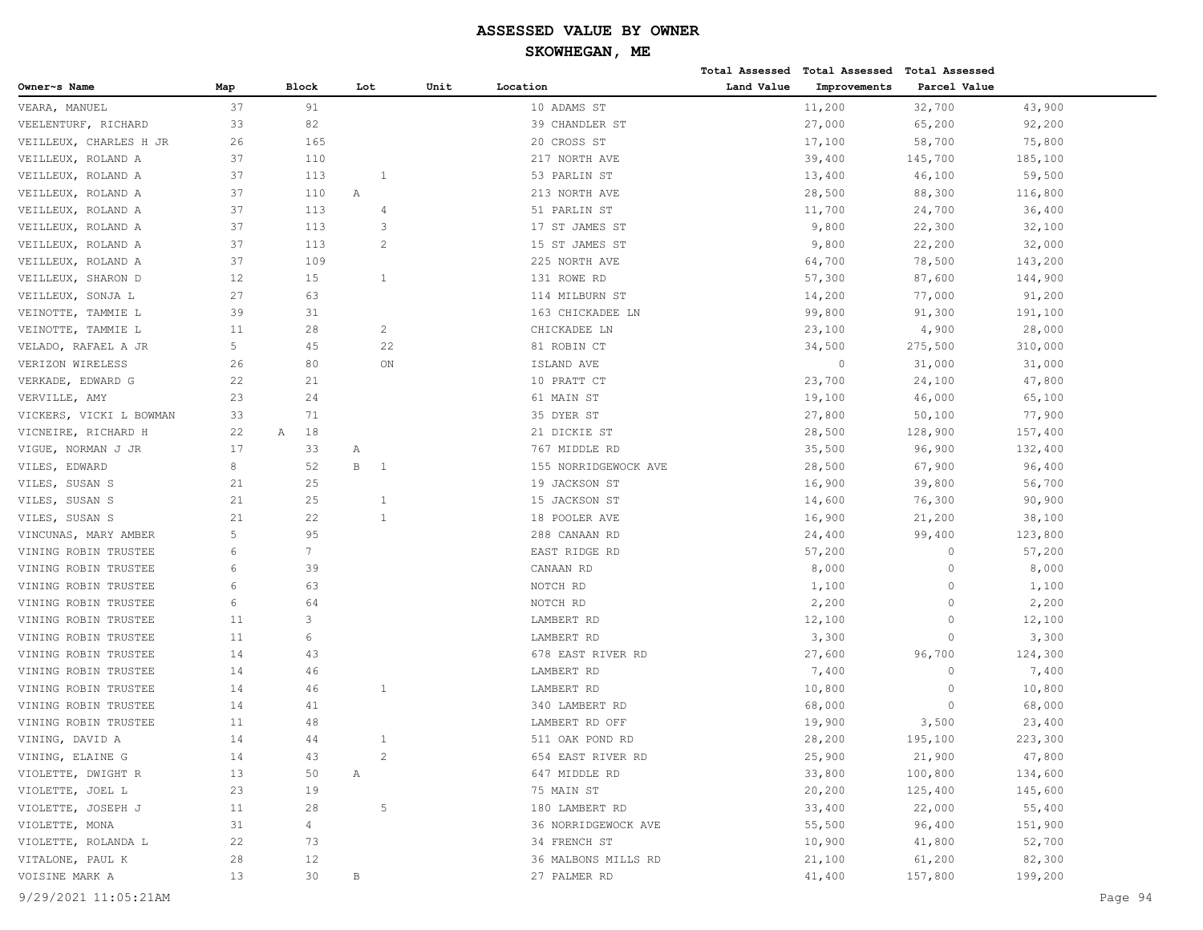# **SKOWHEGAN, ME**

|                                              |          |                 |                              |      |                                     |            | Total Assessed Total Assessed | <b>Total Assessed</b> |                    |
|----------------------------------------------|----------|-----------------|------------------------------|------|-------------------------------------|------------|-------------------------------|-----------------------|--------------------|
| Owner~s Name                                 | Map      | <b>Block</b>    | Lot                          | Unit | Location                            | Land Value | Improvements                  | Parcel Value          |                    |
| VEARA, MANUEL                                | 37       | 91              |                              |      | 10 ADAMS ST                         |            | 11,200                        | 32,700                | 43,900             |
| VEELENTURF, RICHARD                          | 33       | 82              |                              |      | 39 CHANDLER ST                      |            | 27,000                        | 65,200                | 92,200             |
| VEILLEUX, CHARLES H JR                       | 26       | 165             |                              |      | 20 CROSS ST                         |            | 17,100                        | 58,700                | 75,800             |
| VEILLEUX, ROLAND A                           | 37       | 110             |                              |      | 217 NORTH AVE                       |            | 39,400                        | 145,700               | 185,100            |
| VEILLEUX, ROLAND A                           | 37       | 113             | 1                            |      | 53 PARLIN ST                        |            | 13,400                        | 46,100                | 59,500             |
| VEILLEUX, ROLAND A                           | 37       | 110             | Α                            |      | 213 NORTH AVE                       |            | 28,500                        | 88,300                | 116,800            |
| VEILLEUX, ROLAND A                           | 37       | 113             | 4                            |      | 51 PARLIN ST                        |            | 11,700                        | 24,700                | 36,400             |
| VEILLEUX, ROLAND A                           | 37       | 113             | 3                            |      | 17 ST JAMES ST                      |            | 9,800                         | 22,300                | 32,100             |
| VEILLEUX, ROLAND A                           | 37       | 113             | $\overline{2}$               |      | 15 ST JAMES ST                      |            | 9,800                         | 22,200                | 32,000             |
| VEILLEUX, ROLAND A                           | 37       | 109             |                              |      | 225 NORTH AVE                       |            | 64,700                        | 78,500                | 143,200            |
| VEILLEUX, SHARON D                           | 12       | 15              | $\mathbf{1}$                 |      | 131 ROWE RD                         |            | 57,300                        | 87,600                | 144,900            |
| VEILLEUX, SONJA L                            | 27       | 63              |                              |      | 114 MILBURN ST                      |            | 14,200                        | 77,000                | 91,200             |
| VEINOTTE, TAMMIE L                           | 39       | 31              |                              |      | 163 CHICKADEE LN                    |            | 99,800                        | 91,300                | 191,100            |
| VEINOTTE, TAMMIE L                           | 11       | 28              | 2                            |      | CHICKADEE LN                        |            | 23,100                        | 4,900                 | 28,000             |
| VELADO, RAFAEL A JR                          | 5        | 45              | 22                           |      | 81 ROBIN CT                         |            | 34,500                        | 275,500               | 310,000            |
| VERIZON WIRELESS                             | 26       | 80              | ON                           |      | ISLAND AVE                          |            | $\circ$                       | 31,000                | 31,000             |
| VERKADE, EDWARD G                            | 22       | 21              |                              |      | 10 PRATT CT                         |            | 23,700                        | 24,100                | 47,800             |
| VERVILLE, AMY                                | 23       | 24              |                              |      | 61 MAIN ST                          |            | 19,100                        | 46,000                | 65,100             |
| VICKERS, VICKI L BOWMAN                      | 33       | 71              |                              |      | 35 DYER ST                          |            | 27,800                        | 50,100                | 77,900             |
| VICNEIRE, RICHARD H                          | 22       | 18<br>А         |                              |      | 21 DICKIE ST                        |            | 28,500                        | 128,900               | 157,400            |
| VIGUE, NORMAN J JR                           | 17       | 33              | Α                            |      | 767 MIDDLE RD                       |            | 35,500                        | 96,900                | 132,400            |
| VILES,<br>EDWARD                             | 8        | 52              | $\, {\bf B}$<br><sup>1</sup> |      | 155 NORRIDGEWOCK AVE                |            | 28,500                        | 67,900                | 96,400             |
| VILES, SUSAN S                               | 21       | 25              |                              |      | 19 JACKSON ST                       |            | 16,900                        | 39,800                | 56,700             |
| VILES, SUSAN S                               | 21       | 25              | 1                            |      | 15 JACKSON ST                       |            | 14,600                        | 76,300                | 90,900             |
| VILES, SUSAN S                               | 21       | 22              | 1                            |      | 18 POOLER AVE                       |            | 16,900                        | 21,200                | 38,100             |
| VINCUNAS, MARY AMBER                         | 5        | 95              |                              |      | 288 CANAAN RD                       |            | 24,400                        | 99,400                | 123,800            |
| VINING ROBIN TRUSTEE                         | 6        | $7\overline{ }$ |                              |      | EAST RIDGE RD                       |            | 57,200                        | $\circ$               | 57,200             |
| VINING ROBIN TRUSTEE                         | 6        | 39              |                              |      | CANAAN RD                           |            | 8,000                         | $\circ$               | 8,000              |
| VINING ROBIN TRUSTEE                         | 6        | 63              |                              |      | NOTCH RD                            |            | 1,100                         | $\circ$               | 1,100              |
| VINING ROBIN TRUSTEE                         | 6        | 64              |                              |      | NOTCH RD                            |            | 2,200                         | $\circ$               | 2,200              |
| VINING ROBIN TRUSTEE                         | 11       | 3               |                              |      | LAMBERT RD                          |            | 12,100                        | $\circ$               | 12,100             |
| VINING ROBIN TRUSTEE                         | 11       | 6               |                              |      | LAMBERT RD                          |            | 3,300                         | $\circ$               | 3,300              |
| VINING ROBIN TRUSTEE                         | 14       | 43              |                              |      | 678 EAST RIVER RD                   |            | 27,600                        | 96,700                | 124,300            |
| VINING ROBIN TRUSTEE                         | 14       | 46              |                              |      | LAMBERT RD                          |            | 7,400                         | $\circ$               | 7,400              |
| VINING ROBIN TRUSTEE                         | 14       | 46              | 1                            |      | LAMBERT RD                          |            | 10,800                        | $\circ$               | 10,800             |
| VINING ROBIN TRUSTEE<br>VINING ROBIN TRUSTEE | 14       | 41              |                              |      | 340 LAMBERT RD                      |            | 68,000                        | $\circ$               | 68,000             |
|                                              | 11<br>14 | 48<br>44        | 1                            |      | LAMBERT RD OFF                      |            | 19,900                        | 3,500                 | 23,400             |
| VINING, DAVID A                              |          |                 | 2                            |      | 511 OAK POND RD                     |            | 28,200                        | 195,100               | 223,300            |
| VINING, ELAINE G                             | 14       | 43              |                              |      | 654 EAST RIVER RD                   |            | 25,900                        | 21,900                | 47,800             |
| VIOLETTE, DWIGHT R<br>VIOLETTE, JOEL L       | 13<br>23 | 50<br>19        | Α                            |      | 647 MIDDLE RD<br>75 MAIN ST         |            | 33,800<br>20,200              | 100,800<br>125,400    | 134,600<br>145,600 |
| VIOLETTE, JOSEPH J                           | 11       | 28              | $\overline{5}$               |      | 180 LAMBERT RD                      |            |                               | 22,000                |                    |
|                                              | 31       | $\overline{4}$  |                              |      |                                     |            | 33,400                        |                       | 55,400             |
| VIOLETTE, MONA<br>VIOLETTE, ROLANDA L        | 22       | 73              |                              |      | 36 NORRIDGEWOCK AVE<br>34 FRENCH ST |            | 55,500<br>10,900              | 96,400<br>41,800      | 151,900<br>52,700  |
| VITALONE, PAUL K                             | 28       | 12              |                              |      | 36 MALBONS MILLS RD                 |            | 21,100                        | 61,200                | 82,300             |
| VOISINE MARK A                               | 13       | 30              | В                            |      | 27 PALMER RD                        |            | 41,400                        | 157,800               | 199,200            |
|                                              |          |                 |                              |      |                                     |            |                               |                       |                    |

9/29/2021 11:05:21AM Page 94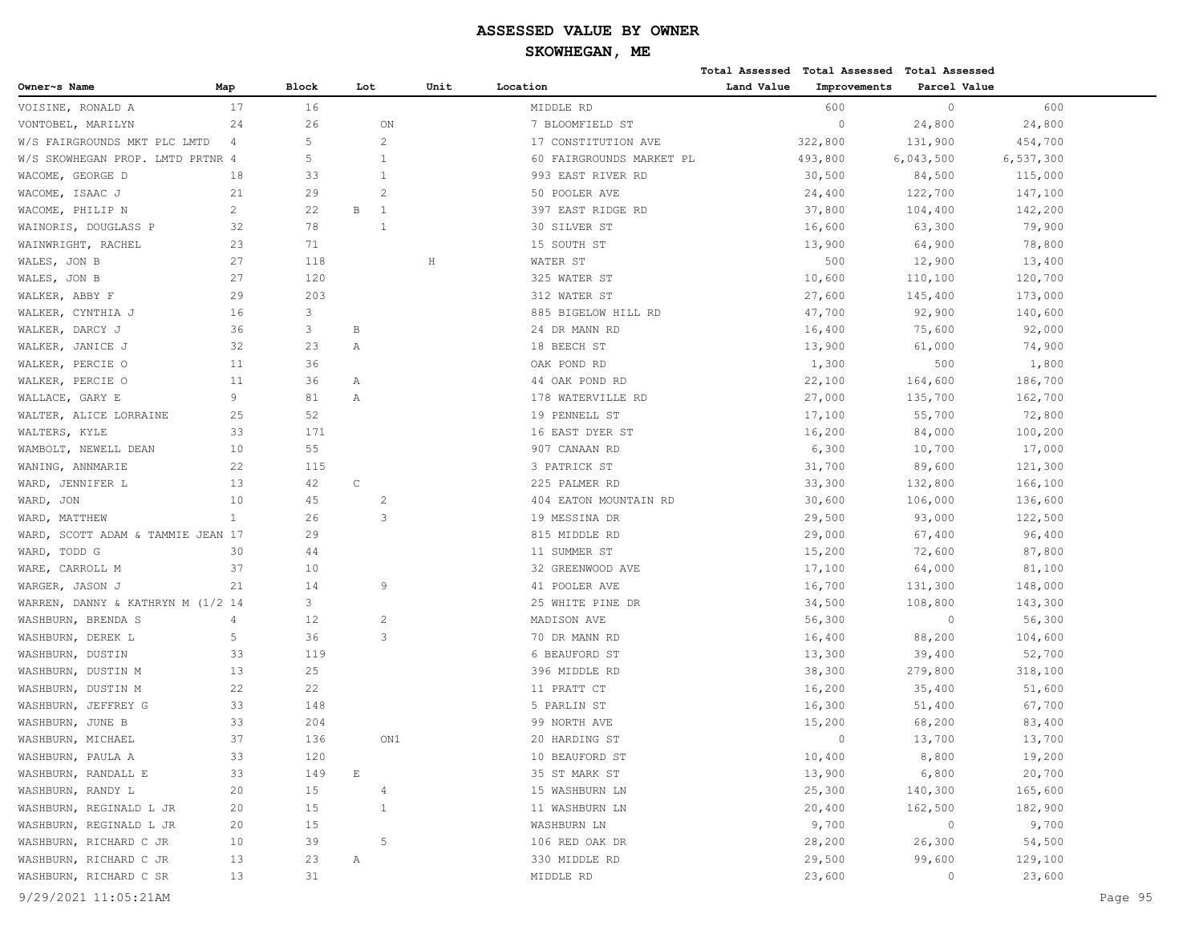|                                   |                |              |                       |                |         |                          |            | Total Assessed Total Assessed | <b>Total Assessed</b> |           |
|-----------------------------------|----------------|--------------|-----------------------|----------------|---------|--------------------------|------------|-------------------------------|-----------------------|-----------|
| Owner~s Name                      | Map            | Block        | Lot                   |                | Unit    | Location                 | Land Value | Improvements                  | Parcel Value          |           |
| VOISINE, RONALD A                 | 17             | 16           |                       |                |         | MIDDLE RD                |            | 600                           | $\circ$               | 600       |
| VONTOBEL, MARILYN                 | 24             | 26           |                       | ON             |         | 7 BLOOMFIELD ST          |            | $\circ$                       | 24,800                | 24,800    |
| W/S FAIRGROUNDS MKT PLC LMTD      | 4              | 5            |                       | $\overline{c}$ |         | 17 CONSTITUTION AVE      |            | 322,800                       | 131,900               | 454,700   |
| W/S SKOWHEGAN PROP. LMTD PRTNR 4  |                | 5            |                       | -1             |         | 60 FAIRGROUNDS MARKET PL |            | 493,800                       | 6,043,500             | 6,537,300 |
| WACOME, GEORGE D                  | 18             | 33           |                       | 1              |         | 993 EAST RIVER RD        |            | 30,500                        | 84,500                | 115,000   |
| WACOME, ISAAC J                   | 21             | 29           |                       | $\overline{2}$ |         | 50 POOLER AVE            |            | 24,400                        | 122,700               | 147,100   |
| WACOME, PHILIP N                  | $\overline{c}$ | 22           | В                     | -1             |         | 397 EAST RIDGE RD        |            | 37,800                        | 104,400               | 142,200   |
| WAINORIS, DOUGLASS P              | 32             | 78           |                       | 1              |         | 30 SILVER ST             |            | 16,600                        | 63,300                | 79,900    |
| WAINWRIGHT, RACHEL                | 23             | 71           |                       |                |         | 15 SOUTH ST              |            | 13,900                        | 64,900                | 78,800    |
| WALES, JON B                      | 27             | 118          |                       |                | $\rm H$ | WATER ST                 |            | 500                           | 12,900                | 13,400    |
| WALES, JON B                      | 27             | 120          |                       |                |         | 325 WATER ST             |            | 10,600                        | 110,100               | 120,700   |
| WALKER, ABBY F                    | 29             | 203          |                       |                |         | 312 WATER ST             |            | 27,600                        | 145,400               | 173,000   |
| WALKER, CYNTHIA J                 | 16             | 3            |                       |                |         | 885 BIGELOW HILL RD      |            | 47,700                        | 92,900                | 140,600   |
| WALKER, DARCY J                   | 36             | $\mathbf{3}$ | $\, {\bf B}$          |                |         | 24 DR MANN RD            |            | 16,400                        | 75,600                | 92,000    |
| WALKER, JANICE J                  | 32             | 23           | Α                     |                |         | 18 BEECH ST              |            | 13,900                        | 61,000                | 74,900    |
| WALKER, PERCIE O                  | 11             | 36           |                       |                |         | OAK POND RD              |            | 1,300                         | 500                   | 1,800     |
| WALKER, PERCIE O                  | 11             | 36           | Α                     |                |         | 44 OAK POND RD           |            | 22,100                        | 164,600               | 186,700   |
| WALLACE, GARY E                   | 9              | 81           | Α                     |                |         | 178 WATERVILLE RD        |            | 27,000                        | 135,700               | 162,700   |
| WALTER, ALICE LORRAINE            | 25             | 52           |                       |                |         | 19 PENNELL ST            |            | 17,100                        | 55,700                | 72,800    |
| WALTERS, KYLE                     | 33             | 171          |                       |                |         | 16 EAST DYER ST          |            | 16,200                        | 84,000                | 100,200   |
| WAMBOLT, NEWELL DEAN              | 10             | 55           |                       |                |         | 907 CANAAN RD            |            | 6,300                         | 10,700                | 17,000    |
| WANING, ANNMARIE                  | 22             | 115          |                       |                |         | 3 PATRICK ST             |            | 31,700                        | 89,600                | 121,300   |
| WARD, JENNIFER L                  | 13             | 42           | $\mathsf C$           |                |         | 225 PALMER RD            |            | 33,300                        | 132,800               | 166,100   |
| WARD, JON                         | 10             | 45           |                       | 2              |         | 404 EATON MOUNTAIN RD    |            | 30,600                        | 106,000               | 136,600   |
| WARD, MATTHEW                     | $\mathbf{1}$   | 26           |                       | 3              |         | 19 MESSINA DR            |            | 29,500                        | 93,000                | 122,500   |
| WARD, SCOTT ADAM & TAMMIE JEAN 17 |                | 29           |                       |                |         | 815 MIDDLE RD            |            | 29,000                        | 67,400                | 96,400    |
| WARD, TODD G                      | 30             | 44           |                       |                |         | 11 SUMMER ST             |            | 15,200                        | 72,600                | 87,800    |
| WARE, CARROLL M                   | 37             | 10           |                       |                |         | 32 GREENWOOD AVE         |            | 17,100                        | 64,000                | 81,100    |
| WARGER, JASON J                   | 21             | 14           |                       | 9              |         | 41 POOLER AVE            |            | 16,700                        | 131,300               | 148,000   |
| WARREN, DANNY & KATHRYN M (1/2 14 |                | 3            |                       |                |         | 25 WHITE PINE DR         |            | 34,500                        | 108,800               | 143,300   |
| WASHBURN, BRENDA S                | 4              | 12           |                       | 2              |         | MADISON AVE              |            | 56,300                        | $\circ$               | 56,300    |
| WASHBURN, DEREK L                 | 5              | 36           |                       | 3              |         | 70 DR MANN RD            |            | 16,400                        | 88,200                | 104,600   |
| WASHBURN, DUSTIN                  | 33             | 119          |                       |                |         | 6 BEAUFORD ST            |            | 13,300                        | 39,400                | 52,700    |
| WASHBURN, DUSTIN M                | 13             | 25           |                       |                |         | 396 MIDDLE RD            |            | 38,300                        | 279,800               | 318,100   |
| WASHBURN, DUSTIN M                | 22             | 22           |                       |                |         | 11 PRATT CT              |            | 16,200                        | 35,400                | 51,600    |
| WASHBURN, JEFFREY G               | 33             | 148          |                       |                |         | 5 PARLIN ST              |            | 16,300                        | 51,400                | 67,700    |
| WASHBURN, JUNE B                  | 33             | 204          |                       |                |         | 99 NORTH AVE             |            | 15,200                        | 68,200                | 83,400    |
| WASHBURN, MICHAEL                 | 37             | 136          |                       | ON1            |         | 20 HARDING ST            |            | $\circ$                       | 13,700                | 13,700    |
| WASHBURN, PAULA A                 | 33             | 120          |                       |                |         | 10 BEAUFORD ST           |            | 10,400                        | 8,800                 | 19,200    |
| WASHBURN, RANDALL E               | 33             | 149          | $\mathop{}\mathbb{E}$ |                |         | 35 ST MARK ST            |            | 13,900                        | 6,800                 | 20,700    |
| WASHBURN, RANDY L                 | 20             | 15           |                       | 4              |         | 15 WASHBURN LN           |            | 25,300                        | 140,300               | 165,600   |
| WASHBURN, REGINALD L JR           | 20             | 15           |                       | $\mathbf{1}$   |         | 11 WASHBURN LN           |            | 20,400                        | 162,500               | 182,900   |
| WASHBURN, REGINALD L JR           | 20             | 15           |                       |                |         | WASHBURN LN              |            | 9,700                         | $\circ$               | 9,700     |
| WASHBURN, RICHARD C JR            | 10             | 39           |                       | 5              |         | 106 RED OAK DR           |            | 28,200                        | 26,300                | 54,500    |
| WASHBURN, RICHARD C JR            | 13             | 23           | Α                     |                |         | 330 MIDDLE RD            |            | 29,500                        | 99,600                | 129,100   |
| WASHBURN, RICHARD C SR            | 13             | 31           |                       |                |         | MIDDLE RD                |            | 23,600                        | $\circ$               | 23,600    |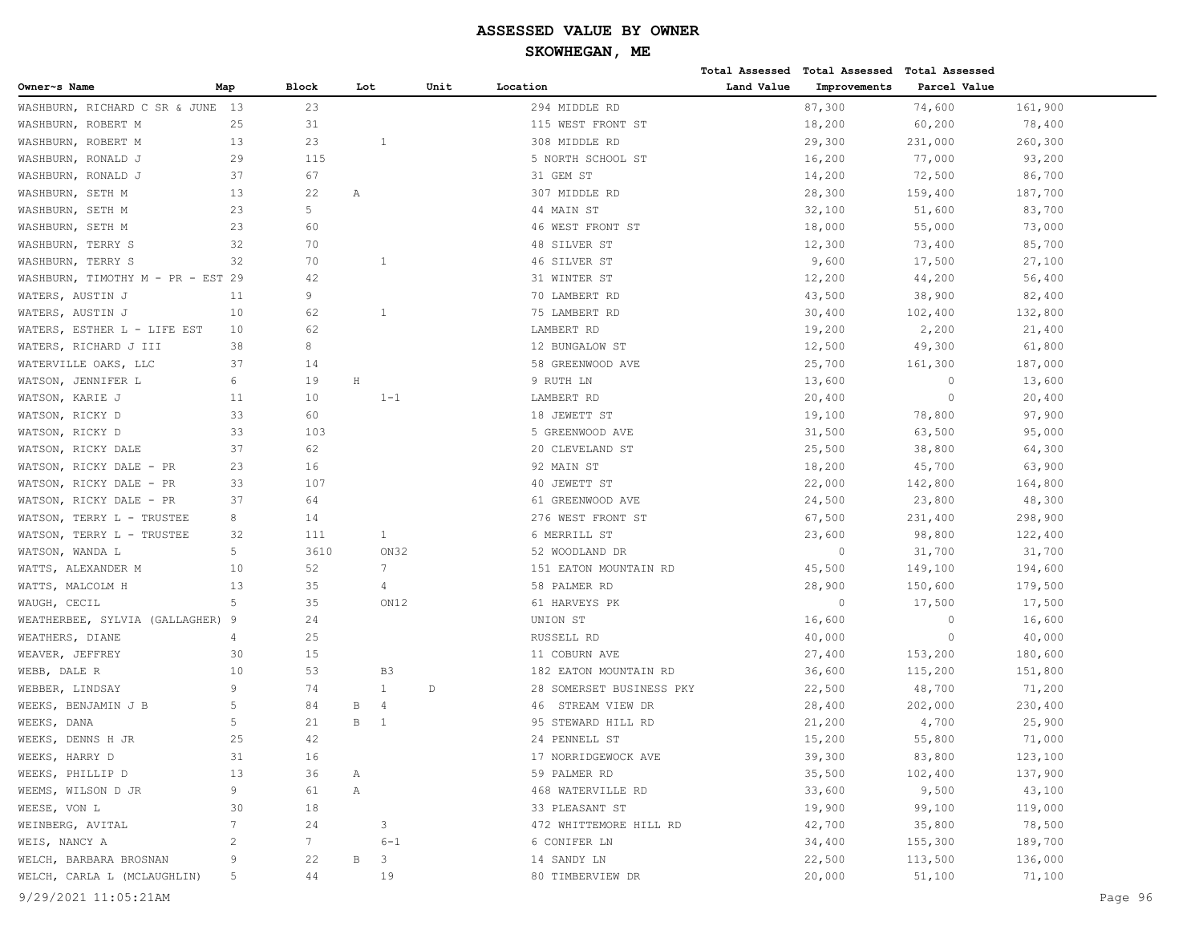|                                   |                 |       |              |                         |      |                          |            | Total Assessed Total Assessed Total Assessed |              |         |         |
|-----------------------------------|-----------------|-------|--------------|-------------------------|------|--------------------------|------------|----------------------------------------------|--------------|---------|---------|
| Owner~s Name                      | Map             | Block | Lot          |                         | Unit | Location                 | Land Value | Improvements                                 | Parcel Value |         |         |
| WASHBURN, RICHARD C SR & JUNE 13  |                 | 23    |              |                         |      | 294 MIDDLE RD            |            | 87,300                                       | 74,600       | 161,900 |         |
| WASHBURN, ROBERT M                | 25              | 31    |              |                         |      | 115 WEST FRONT ST        |            | 18,200                                       | 60,200       | 78,400  |         |
| WASHBURN, ROBERT M                | 13              | 23    |              | 1                       |      | 308 MIDDLE RD            |            | 29,300                                       | 231,000      | 260,300 |         |
| WASHBURN, RONALD J                | 29              | 115   |              |                         |      | 5 NORTH SCHOOL ST        |            | 16,200                                       | 77,000       | 93,200  |         |
| WASHBURN, RONALD J                | 37              | 67    |              |                         |      | 31 GEM ST                |            | 14,200                                       | 72,500       | 86,700  |         |
| WASHBURN, SETH M                  | 13              | 22    | Α            |                         |      | 307 MIDDLE RD            |            | 28,300                                       | 159,400      | 187,700 |         |
| WASHBURN, SETH M                  | 23              | 5     |              |                         |      | 44 MAIN ST               |            | 32,100                                       | 51,600       | 83,700  |         |
| WASHBURN, SETH M                  | 23              | 60    |              |                         |      | 46 WEST FRONT ST         |            | 18,000                                       | 55,000       | 73,000  |         |
| WASHBURN, TERRY S                 | 32              | 70    |              |                         |      | 48 SILVER ST             |            | 12,300                                       | 73,400       | 85,700  |         |
| WASHBURN, TERRY S                 | 32              | 70    |              | $\mathbf{1}$            |      | 46 SILVER ST             |            | 9,600                                        | 17,500       | 27,100  |         |
| WASHBURN, TIMOTHY M - PR - EST 29 |                 | 42    |              |                         |      | 31 WINTER ST             |            | 12,200                                       | 44,200       | 56,400  |         |
| WATERS, AUSTIN J                  | 11              | 9     |              |                         |      | 70 LAMBERT RD            |            | 43,500                                       | 38,900       | 82,400  |         |
| WATERS, AUSTIN J                  | 10              | 62    |              | 1                       |      | 75 LAMBERT RD            |            | 30,400                                       | 102,400      | 132,800 |         |
| WATERS, ESTHER L - LIFE EST       | 10              | 62    |              |                         |      | LAMBERT RD               |            | 19,200                                       | 2,200        | 21,400  |         |
| WATERS, RICHARD J III             | 38              | 8     |              |                         |      | 12 BUNGALOW ST           |            | 12,500                                       | 49,300       | 61,800  |         |
| WATERVILLE OAKS, LLC              | 37              | 14    |              |                         |      | 58 GREENWOOD AVE         |            | 25,700                                       | 161,300      | 187,000 |         |
| WATSON, JENNIFER L                | 6               | 19    | $\rm H$      |                         |      | 9 RUTH LN                |            | 13,600                                       | $\circ$      | 13,600  |         |
| WATSON, KARIE J                   | 11              | 10    |              | $1 - 1$                 |      | LAMBERT RD               |            | 20,400                                       | $\circ$      | 20,400  |         |
| WATSON, RICKY D                   | 33              | 60    |              |                         |      | 18 JEWETT ST             |            | 19,100                                       | 78,800       | 97,900  |         |
| WATSON, RICKY D                   | 33              | 103   |              |                         |      | 5 GREENWOOD AVE          |            | 31,500                                       | 63,500       | 95,000  |         |
| WATSON, RICKY DALE                | 37              | 62    |              |                         |      | 20 CLEVELAND ST          |            | 25,500                                       | 38,800       | 64,300  |         |
| WATSON, RICKY DALE - PR           | 23              | 16    |              |                         |      | 92 MAIN ST               |            | 18,200                                       | 45,700       | 63,900  |         |
| WATSON, RICKY DALE - PR           | 33              | 107   |              |                         |      | 40 JEWETT ST             |            | 22,000                                       | 142,800      | 164,800 |         |
| WATSON, RICKY DALE - PR           | 37              | 64    |              |                         |      | 61 GREENWOOD AVE         |            | 24,500                                       | 23,800       | 48,300  |         |
| WATSON, TERRY L - TRUSTEE         | 8               | 14    |              |                         |      | 276 WEST FRONT ST        |            | 67,500                                       | 231,400      | 298,900 |         |
| WATSON, TERRY L - TRUSTEE         | 32              | 111   |              | $\mathbf{1}$            |      | 6 MERRILL ST             |            | 23,600                                       | 98,800       | 122,400 |         |
| WATSON, WANDA L                   | 5               | 3610  |              | ON32                    |      | 52 WOODLAND DR           |            | $\circ$                                      | 31,700       | 31,700  |         |
| WATTS, ALEXANDER M                | 10              | 52    |              | 7                       |      | 151 EATON MOUNTAIN RD    |            | 45,500                                       | 149,100      | 194,600 |         |
| WATTS, MALCOLM H                  | 13              | 35    |              | 4                       |      | 58 PALMER RD             |            | 28,900                                       | 150,600      | 179,500 |         |
| WAUGH, CECIL                      | 5               | 35    |              | ON12                    |      | 61 HARVEYS PK            |            | $\Omega$                                     | 17,500       | 17,500  |         |
| WEATHERBEE, SYLVIA (GALLAGHER) 9  |                 | 24    |              |                         |      | UNION ST                 |            | 16,600                                       | $\circ$      | 16,600  |         |
| WEATHERS, DIANE                   | 4               | 25    |              |                         |      | RUSSELL RD               |            | 40,000                                       | $\circ$      | 40,000  |         |
| WEAVER, JEFFREY                   | 30              | 15    |              |                         |      | 11 COBURN AVE            |            | 27,400                                       | 153,200      | 180,600 |         |
| WEBB, DALE R                      | 10              | 53    |              | B <sub>3</sub>          |      | 182 EATON MOUNTAIN RD    |            | 36,600                                       | 115,200      | 151,800 |         |
| WEBBER, LINDSAY                   | 9               | 74    |              | $\mathbf{1}$            | D    | 28 SOMERSET BUSINESS PKY |            | 22,500                                       | 48,700       | 71,200  |         |
| WEEKS, BENJAMIN J B               | 5               | 84    | В            | $\overline{4}$          |      | STREAM VIEW DR<br>46     |            | 28,400                                       | 202,000      | 230,400 |         |
| WEEKS, DANA                       | 5               | 21    | $\mathbf B$  | -1                      |      | 95 STEWARD HILL RD       |            | 21,200                                       | 4,700        | 25,900  |         |
| WEEKS, DENNS H JR                 | 25              | 42    |              |                         |      | 24 PENNELL ST            |            | 15,200                                       | 55,800       | 71,000  |         |
| WEEKS, HARRY D                    | 31              | 16    |              |                         |      | 17 NORRIDGEWOCK AVE      |            | 39,300                                       | 83,800       | 123,100 |         |
| WEEKS, PHILLIP D                  | 13              | 36    | Α            |                         |      | 59 PALMER RD             |            | 35,500                                       | 102,400      | 137,900 |         |
| WEEMS, WILSON D JR                | 9               | 61    | Α            |                         |      | 468 WATERVILLE RD        |            | 33,600                                       | 9,500        | 43,100  |         |
| WEESE, VON L                      | 30              | 18    |              |                         |      | 33 PLEASANT ST           |            | 19,900                                       | 99,100       | 119,000 |         |
| WEINBERG, AVITAL                  | $7\phantom{.0}$ | 24    |              | 3                       |      | 472 WHITTEMORE HILL RD   |            | 42,700                                       | 35,800       | 78,500  |         |
| WEIS, NANCY A                     | 2               | 7     |              | $6 - 1$                 |      | 6 CONIFER LN             |            | 34,400                                       | 155,300      | 189,700 |         |
| WELCH, BARBARA BROSNAN            | 9               | 22    | $\, {\bf B}$ | $\overline{\mathbf{3}}$ |      | 14 SANDY LN              |            | 22,500                                       | 113,500      | 136,000 |         |
| WELCH, CARLA L (MCLAUGHLIN)       | 5               | 44    |              | 19                      |      | 80 TIMBERVIEW DR         |            | 20,000                                       | 51,100       | 71,100  |         |
| 9/29/2021 11:05:21AM              |                 |       |              |                         |      |                          |            |                                              |              |         | Page 96 |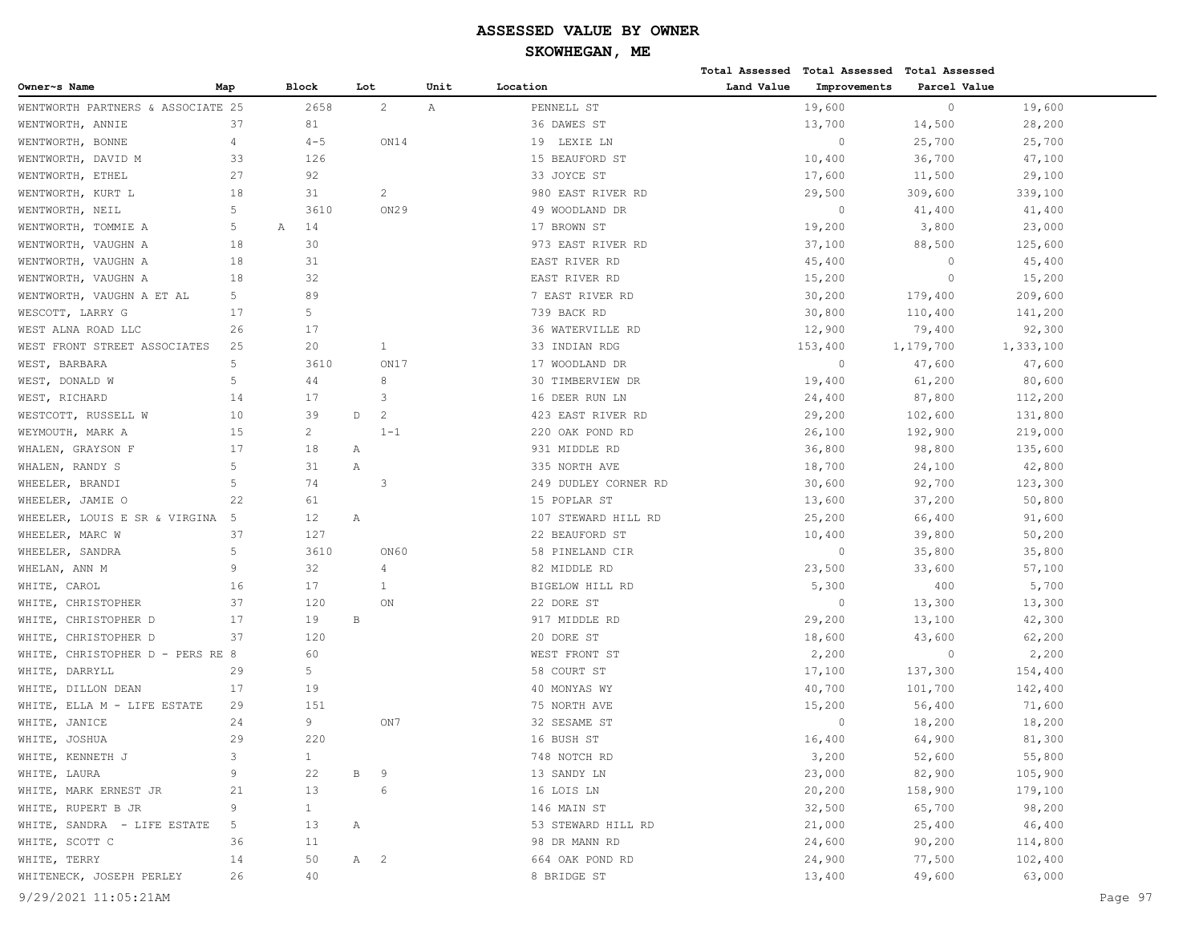|                                   |                |                |                                 |                |      |                      |            | Total Assessed Total Assessed | <b>Total Assessed</b> |           |         |
|-----------------------------------|----------------|----------------|---------------------------------|----------------|------|----------------------|------------|-------------------------------|-----------------------|-----------|---------|
| Owner~s Name                      | Map            | <b>Block</b>   | Lot                             |                | Unit | Location             | Land Value | Improvements                  | Parcel Value          |           |         |
| WENTWORTH PARTNERS & ASSOCIATE 25 |                | 2658           |                                 | $\overline{c}$ | Α    | PENNELL ST           |            | 19,600                        | $\circ$               | 19,600    |         |
| WENTWORTH, ANNIE                  | 37             | 81             |                                 |                |      | 36 DAWES ST          |            | 13,700                        | 14,500                | 28,200    |         |
| WENTWORTH, BONNE                  | $\overline{4}$ | $4 - 5$        |                                 | ON14           |      | 19 LEXIE LN          |            | $\circ$                       | 25,700                | 25,700    |         |
| WENTWORTH, DAVID M                | 33             | 126            |                                 |                |      | 15 BEAUFORD ST       |            | 10,400                        | 36,700                | 47,100    |         |
| WENTWORTH, ETHEL                  | 27             | 92             |                                 |                |      | 33 JOYCE ST          |            | 17,600                        | 11,500                | 29,100    |         |
| WENTWORTH, KURT L                 | 18             | 31             |                                 | $\overline{c}$ |      | 980 EAST RIVER RD    |            | 29,500                        | 309,600               | 339,100   |         |
| WENTWORTH, NEIL                   | 5              | 3610           |                                 | ON29           |      | 49 WOODLAND DR       |            | $\circ$                       | 41,400                | 41,400    |         |
| WENTWORTH, TOMMIE A               | 5              | 14<br>Α        |                                 |                |      | 17 BROWN ST          |            | 19,200                        | 3,800                 | 23,000    |         |
| WENTWORTH, VAUGHN A               | 18             | 30             |                                 |                |      | 973 EAST RIVER RD    |            | 37,100                        | 88,500                | 125,600   |         |
| WENTWORTH, VAUGHN A               | 18             | 31             |                                 |                |      | EAST RIVER RD        |            | 45,400                        | $\circ$               | 45,400    |         |
| WENTWORTH, VAUGHN A               | 18             | 32             |                                 |                |      | EAST RIVER RD        |            | 15,200                        | $\circ$               | 15,200    |         |
| WENTWORTH, VAUGHN A ET AL         | 5              | 89             |                                 |                |      | 7 EAST RIVER RD      |            | 30,200                        | 179,400               | 209,600   |         |
| WESCOTT, LARRY G                  | 17             | 5              |                                 |                |      | 739 BACK RD          |            | 30,800                        | 110,400               | 141,200   |         |
| WEST ALNA ROAD LLC                | 26             | 17             |                                 |                |      | 36 WATERVILLE RD     |            | 12,900                        | 79,400                | 92,300    |         |
| WEST FRONT STREET ASSOCIATES      | 25             | 20             |                                 | 1              |      | 33 INDIAN RDG        |            | 153,400                       | 1,179,700             | 1,333,100 |         |
| WEST, BARBARA                     | 5              | 3610           |                                 | ON17           |      | 17 WOODLAND DR       |            | $\circ$                       | 47,600                | 47,600    |         |
| WEST, DONALD W                    | 5              | 44             |                                 | 8              |      | 30 TIMBERVIEW DR     |            | 19,400                        | 61,200                | 80,600    |         |
| WEST, RICHARD                     | 14             | 17             |                                 | 3              |      | 16 DEER RUN LN       |            | 24,400                        | 87,800                | 112,200   |         |
| WESTCOTT, RUSSELL W               | 10             | 39             | $\mathbb D$                     | $\overline{c}$ |      | 423 EAST RIVER RD    |            | 29,200                        | 102,600               | 131,800   |         |
| WEYMOUTH, MARK A                  | 15             | $\overline{c}$ |                                 | $1 - 1$        |      | 220 OAK POND RD      |            | 26,100                        | 192,900               | 219,000   |         |
| WHALEN, GRAYSON F                 | 17             | 18             | Α                               |                |      | 931 MIDDLE RD        |            | 36,800                        | 98,800                | 135,600   |         |
| WHALEN, RANDY S                   | 5              | 31             | Α                               |                |      | 335 NORTH AVE        |            | 18,700                        | 24,100                | 42,800    |         |
| WHEELER, BRANDI                   | 5              | 74             |                                 | 3              |      | 249 DUDLEY CORNER RD |            | 30,600                        | 92,700                | 123,300   |         |
| WHEELER, JAMIE O                  | 22             | 61             |                                 |                |      | 15 POPLAR ST         |            | 13,600                        | 37,200                | 50,800    |         |
| WHEELER, LOUIS E SR & VIRGINA     | -5             | 12             | Α                               |                |      | 107 STEWARD HILL RD  |            | 25,200                        | 66,400                | 91,600    |         |
| WHEELER, MARC W                   | 37             | 127            |                                 |                |      | 22 BEAUFORD ST       |            | 10,400                        | 39,800                | 50,200    |         |
| WHEELER, SANDRA                   | 5              | 3610           |                                 | ON60           |      | 58 PINELAND CIR      |            | $\overline{0}$                | 35,800                | 35,800    |         |
| WHELAN, ANN M                     | 9              | 32             |                                 | 4              |      | 82 MIDDLE RD         |            | 23,500                        | 33,600                | 57,100    |         |
| WHITE, CAROL                      | 16             | 17             |                                 | $\mathbf{1}$   |      | BIGELOW HILL RD      |            | 5,300                         | 400                   | 5,700     |         |
| WHITE,<br>CHRISTOPHER             | 37             | 120            |                                 | ON             |      | 22 DORE ST           |            | $\circ$                       | 13,300                | 13,300    |         |
| WHITE, CHRISTOPHER D              | 17             | 19             | $\, {\bf B}$                    |                |      | 917 MIDDLE RD        |            | 29,200                        | 13,100                | 42,300    |         |
| WHITE, CHRISTOPHER D              | 37             | 120            |                                 |                |      | 20 DORE ST           |            | 18,600                        | 43,600                | 62,200    |         |
| WHITE, CHRISTOPHER D - PERS RE 8  |                | 60             |                                 |                |      | WEST FRONT ST        |            | 2,200                         | $\circ$               | 2,200     |         |
| WHITE,<br>DARRYLL                 | 29             | 5              |                                 |                |      | 58 COURT ST          |            | 17,100                        | 137,300               | 154,400   |         |
| WHITE, DILLON DEAN                | 17             | 19             |                                 |                |      | 40 MONYAS WY         |            | 40,700                        | 101,700               | 142,400   |         |
| WHITE, ELLA M - LIFE ESTATE       | 29             | 151            |                                 |                |      | 75 NORTH AVE         |            | 15,200                        | 56,400                | 71,600    |         |
| WHITE, JANICE                     | 24             | 9              |                                 | ON7            |      | 32 SESAME ST         |            | $\circ$                       | 18,200                | 18,200    |         |
| WHITE, JOSHUA                     | 29             | 220            |                                 |                |      | 16 BUSH ST           |            | 16,400                        | 64,900                | 81,300    |         |
| WHITE, KENNETH J                  | 3              | $\mathbf{1}$   |                                 |                |      | 748 NOTCH RD         |            | 3,200                         | 52,600                | 55,800    |         |
| WHITE, LAURA                      | 9              | 22             | В                               | 9              |      | 13 SANDY LN          |            | 23,000                        | 82,900                | 105,900   |         |
| WHITE, MARK ERNEST JR             | 21             | 13             |                                 | 6              |      | 16 LOIS LN           |            | 20,200                        | 158,900               | 179,100   |         |
| WHITE, RUPERT B JR                | 9              | $\mathbf{1}$   |                                 |                |      | 146 MAIN ST          |            | 32,500                        | 65,700                | 98,200    |         |
| WHITE, SANDRA - LIFE ESTATE       | 5              | 13             | Α                               |                |      | 53 STEWARD HILL RD   |            | 21,000                        | 25,400                | 46,400    |         |
| WHITE, SCOTT C                    | 36             | 11             |                                 |                |      | 98 DR MANN RD        |            | 24,600                        | 90,200                | 114,800   |         |
| WHITE, TERRY                      | 14             | 50             | A<br>$\overline{\phantom{0}}^2$ |                |      | 664 OAK POND RD      |            | 24,900                        | 77,500                | 102,400   |         |
| WHITENECK, JOSEPH PERLEY          | 26             | 40             |                                 |                |      | 8 BRIDGE ST          |            | 13,400                        | 49,600                | 63,000    |         |
| 9/29/2021 11:05:21AM              |                |                |                                 |                |      |                      |            |                               |                       |           | Page 97 |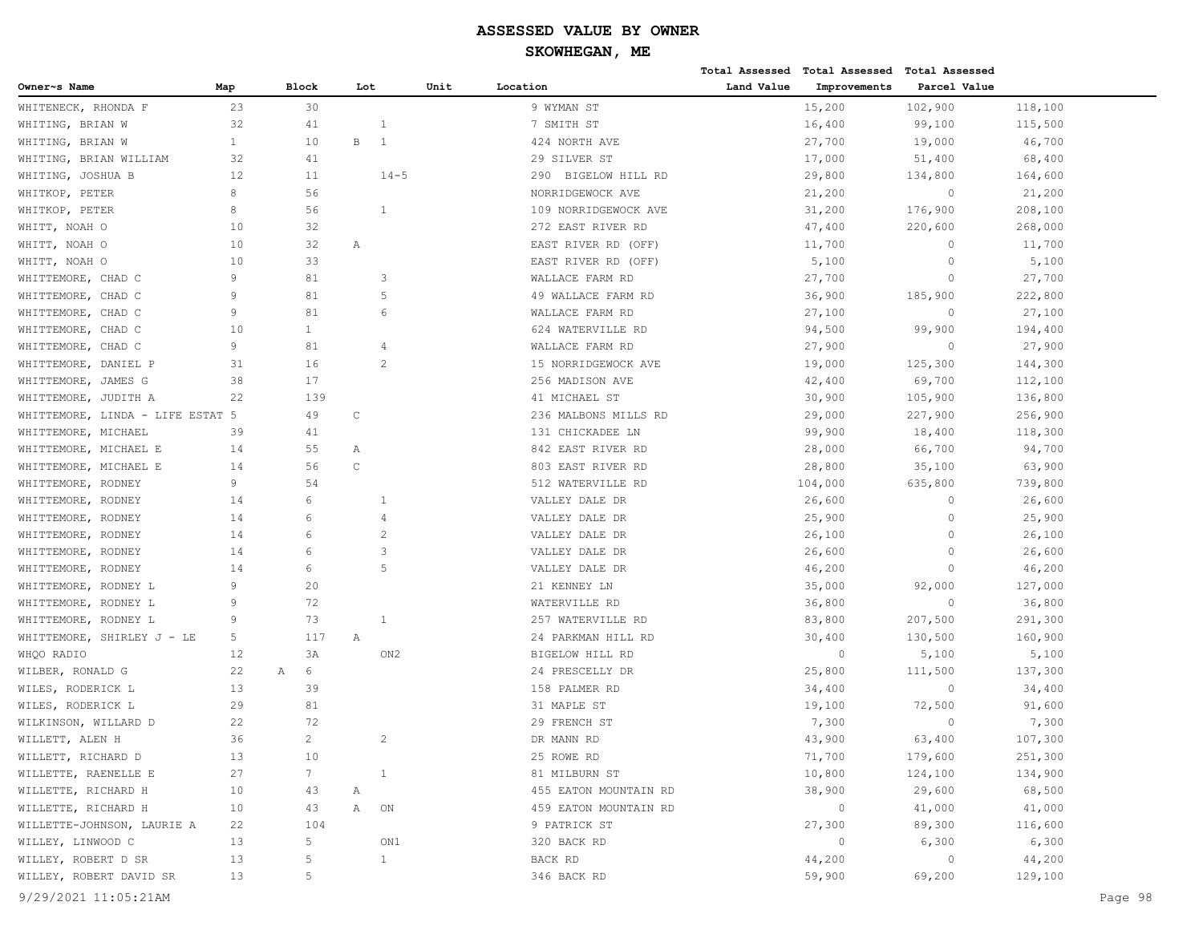|                                  |                |                |              |                         |      |                       |            | Total Assessed Total Assessed Total Assessed |              |         |         |
|----------------------------------|----------------|----------------|--------------|-------------------------|------|-----------------------|------------|----------------------------------------------|--------------|---------|---------|
| Owner~s Name                     | Map            | <b>Block</b>   | Lot          |                         | Unit | Location              | Land Value | Improvements                                 | Parcel Value |         |         |
| WHITENECK, RHONDA F              | 23             | 30             |              |                         |      | 9 WYMAN ST            |            | 15,200                                       | 102,900      | 118,100 |         |
| WHITING, BRIAN W                 | 32             | 41             |              | 1                       |      | 7 SMITH ST            |            | 16,400                                       | 99,100       | 115,500 |         |
| WHITING, BRIAN W                 | $\mathbf{1}$   | 10             | $\, {\bf B}$ | 1                       |      | 424 NORTH AVE         |            | 27,700                                       | 19,000       | 46,700  |         |
| WHITING, BRIAN WILLIAM           | 32             | 41             |              |                         |      | 29 SILVER ST          |            | 17,000                                       | 51,400       | 68,400  |         |
| WHITING, JOSHUA B                | 12             | 11             |              | $14 - 5$                |      | 290 BIGELOW HILL RD   |            | 29,800                                       | 134,800      | 164,600 |         |
| WHITKOP, PETER                   | 8              | 56             |              |                         |      | NORRIDGEWOCK AVE      |            | 21,200                                       | $\circ$      | 21,200  |         |
| WHITKOP, PETER                   | 8              | 56             |              | 1                       |      | 109 NORRIDGEWOCK AVE  |            | 31,200                                       | 176,900      | 208,100 |         |
| WHITT, NOAH O                    | 10             | 32             |              |                         |      | 272 EAST RIVER RD     |            | 47,400                                       | 220,600      | 268,000 |         |
| WHITT, NOAH O                    | 10             | 32             | Α            |                         |      | EAST RIVER RD (OFF)   |            | 11,700                                       | 0            | 11,700  |         |
| WHITT, NOAH O                    | 10             | 33             |              |                         |      | EAST RIVER RD (OFF)   |            | 5,100                                        | $\circ$      | 5,100   |         |
| WHITTEMORE, CHAD C               | $\overline{9}$ | 81             |              | 3                       |      | WALLACE FARM RD       |            | 27,700                                       | 0            | 27,700  |         |
| WHITTEMORE, CHAD C               | 9              | 81             |              | 5                       |      | 49 WALLACE FARM RD    |            | 36,900                                       | 185,900      | 222,800 |         |
| WHITTEMORE, CHAD C               | 9              | 81             |              | 6                       |      | WALLACE FARM RD       |            | 27,100                                       | $\circ$      | 27,100  |         |
| WHITTEMORE, CHAD C               | 10             | 1              |              |                         |      | 624 WATERVILLE RD     |            | 94,500                                       | 99,900       | 194,400 |         |
| WHITTEMORE, CHAD C               | 9              | 81             |              | 4                       |      | WALLACE FARM RD       |            | 27,900                                       | $\circ$      | 27,900  |         |
| WHITTEMORE, DANIEL P             | 31             | 16             |              | 2                       |      | 15 NORRIDGEWOCK AVE   |            | 19,000                                       | 125,300      | 144,300 |         |
| WHITTEMORE, JAMES G              | 38             | 17             |              |                         |      | 256 MADISON AVE       |            | 42,400                                       | 69,700       | 112,100 |         |
| WHITTEMORE, JUDITH A             | 22             | 139            |              |                         |      | 41 MICHAEL ST         |            | 30,900                                       | 105,900      | 136,800 |         |
| WHITTEMORE, LINDA - LIFE ESTAT 5 |                | 49             | $\mathsf C$  |                         |      | 236 MALBONS MILLS RD  |            | 29,000                                       | 227,900      | 256,900 |         |
| WHITTEMORE, MICHAEL              | 39             | 41             |              |                         |      | 131 CHICKADEE LN      |            | 99,900                                       | 18,400       | 118,300 |         |
| WHITTEMORE, MICHAEL E            | 14             | 55             | Α            |                         |      | 842 EAST RIVER RD     |            | 28,000                                       | 66,700       | 94,700  |         |
| WHITTEMORE, MICHAEL E            | 14             | 56             | $\mathsf C$  |                         |      | 803 EAST RIVER RD     |            | 28,800                                       | 35,100       | 63,900  |         |
| WHITTEMORE, RODNEY               | 9              | 54             |              |                         |      | 512 WATERVILLE RD     |            | 104,000                                      | 635,800      | 739,800 |         |
| WHITTEMORE, RODNEY               | 14             | 6              |              | 1                       |      | VALLEY DALE DR        |            | 26,600                                       | 0            | 26,600  |         |
| WHITTEMORE, RODNEY               | 14             | 6              |              | 4                       |      | VALLEY DALE DR        |            | 25,900                                       | 0            | 25,900  |         |
| WHITTEMORE, RODNEY               | 14             | 6              |              | $\overline{2}$          |      | VALLEY DALE DR        |            | 26,100                                       | 0            | 26,100  |         |
| WHITTEMORE, RODNEY               | 14             | 6              |              | 3                       |      | VALLEY DALE DR        |            | 26,600                                       | $\Omega$     | 26,600  |         |
| WHITTEMORE, RODNEY               | 14             | 6              |              | 5                       |      | VALLEY DALE DR        |            | 46,200                                       | 0            | 46,200  |         |
| WHITTEMORE, RODNEY L             | 9              | 20             |              |                         |      | 21 KENNEY LN          |            | 35,000                                       | 92,000       | 127,000 |         |
| WHITTEMORE, RODNEY L             | 9              | 72             |              |                         |      | WATERVILLE RD         |            | 36,800                                       | $\circ$      | 36,800  |         |
| WHITTEMORE, RODNEY L             | 9              | 73             |              | 1                       |      | 257 WATERVILLE RD     |            | 83,800                                       | 207,500      | 291,300 |         |
| WHITTEMORE, SHIRLEY J - LE       | 5              | 117            | Α            |                         |      | 24 PARKMAN HILL RD    |            | 30,400                                       | 130,500      | 160,900 |         |
| WHQO RADIO                       | 12             | 3A             |              | ON <sub>2</sub>         |      | BIGELOW HILL RD       |            | $\circ$                                      | 5,100        | 5,100   |         |
| WILBER, RONALD G                 | 22             | 6<br>A         |              |                         |      | 24 PRESCELLY DR       |            | 25,800                                       | 111,500      | 137,300 |         |
| WILES, RODERICK L                | 13             | 39             |              |                         |      | 158 PALMER RD         |            | 34,400                                       | $\circ$      | 34,400  |         |
| WILES, RODERICK L                | 29             | 81             |              |                         |      | 31 MAPLE ST           |            | 19,100                                       | 72,500       | 91,600  |         |
| WILKINSON, WILLARD D             | 22             | 72             |              |                         |      | 29 FRENCH ST          |            | 7,300                                        | $\circ$      | 7,300   |         |
| WILLETT, ALEN H                  | 36             | $\overline{2}$ |              | $\overline{\mathbf{c}}$ |      | DR MANN RD            |            | 43,900                                       | 63,400       | 107,300 |         |
| WILLETT, RICHARD D               | 13             | 10             |              |                         |      | 25 ROWE RD            |            | 71,700                                       | 179,600      | 251,300 |         |
| WILLETTE, RAENELLE E             | 27             | 7 <sup>7</sup> |              | $\mathbf{1}$            |      | 81 MILBURN ST         |            | 10,800                                       | 124,100      | 134,900 |         |
| WILLETTE, RICHARD H              | 10             | 43             | Α            |                         |      | 455 EATON MOUNTAIN RD |            | 38,900                                       | 29,600       | 68,500  |         |
| WILLETTE, RICHARD H              | 10             | 43             | Α            | ON                      |      | 459 EATON MOUNTAIN RD |            | $\circ$                                      | 41,000       | 41,000  |         |
| WILLETTE-JOHNSON, LAURIE A       | 22             | 104            |              |                         |      | 9 PATRICK ST          |            | 27,300                                       | 89,300       | 116,600 |         |
| WILLEY, LINWOOD C                | 13             | 5              |              | ON1                     |      | 320 BACK RD           |            | $\circ$                                      | 6,300        | 6,300   |         |
| WILLEY, ROBERT D SR              | 13             | 5              |              | $\mathbf{1}$            |      | BACK RD               |            | 44,200                                       | $\circ$      | 44,200  |         |
| WILLEY, ROBERT DAVID SR          | 13             | 5              |              |                         |      | 346 BACK RD           |            | 59,900                                       | 69,200       | 129,100 |         |
| 9/29/2021 11:05:21AM             |                |                |              |                         |      |                       |            |                                              |              |         | Page 98 |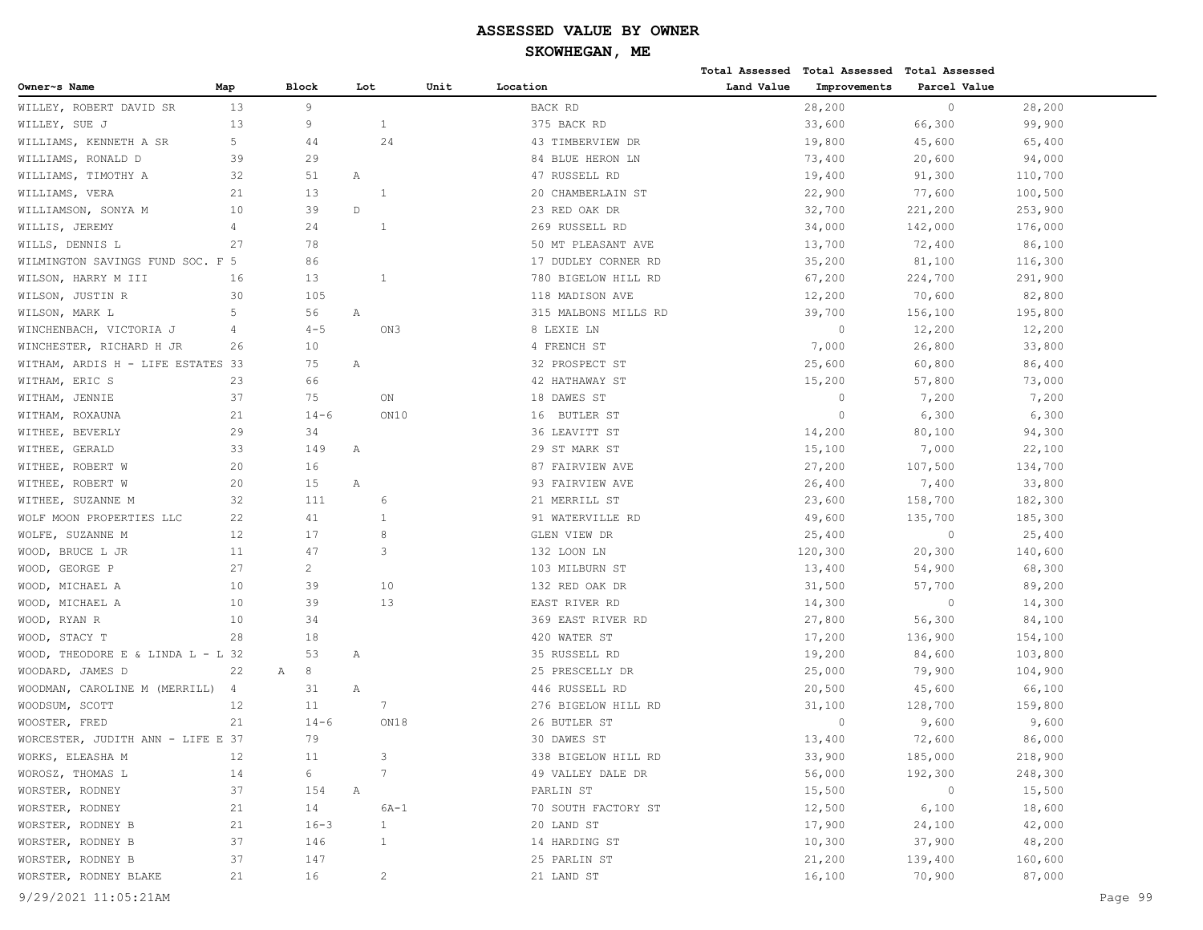|                                     |                |                |             |                 |      |                      |            | Total Assessed Total Assessed Total Assessed |              |         |         |
|-------------------------------------|----------------|----------------|-------------|-----------------|------|----------------------|------------|----------------------------------------------|--------------|---------|---------|
| Owner~s Name                        | Map            | <b>Block</b>   | Lot         |                 | Unit | Location             | Land Value | Improvements                                 | Parcel Value |         |         |
| WILLEY, ROBERT DAVID SR             | 13             | 9              |             |                 |      | BACK RD              |            | 28,200                                       | $\circ$      | 28,200  |         |
| WILLEY, SUE J                       | 13             | 9              |             | 1               |      | 375 BACK RD          |            | 33,600                                       | 66,300       | 99,900  |         |
| WILLIAMS, KENNETH A SR              | 5              | 44             |             | 24              |      | 43 TIMBERVIEW DR     |            | 19,800                                       | 45,600       | 65,400  |         |
| WILLIAMS, RONALD D                  | 39             | 29             |             |                 |      | 84 BLUE HERON LN     |            | 73,400                                       | 20,600       | 94,000  |         |
| WILLIAMS, TIMOTHY A                 | 32             | 51             | Α           |                 |      | 47 RUSSELL RD        |            | 19,400                                       | 91,300       | 110,700 |         |
| WILLIAMS, VERA                      | 21             | 13             |             | -1              |      | 20 CHAMBERLAIN ST    |            | 22,900                                       | 77,600       | 100,500 |         |
| WILLIAMSON, SONYA M                 | 10             | 39             | $\mathbb D$ |                 |      | 23 RED OAK DR        |            | 32,700                                       | 221,200      | 253,900 |         |
| WILLIS, JEREMY                      | 4              | 24             |             | 1               |      | 269 RUSSELL RD       |            | 34,000                                       | 142,000      | 176,000 |         |
| WILLS, DENNIS L                     | 27             | 78             |             |                 |      | 50 MT PLEASANT AVE   |            | 13,700                                       | 72,400       | 86,100  |         |
| WILMINGTON SAVINGS FUND SOC. F 5    |                | 86             |             |                 |      | 17 DUDLEY CORNER RD  |            | 35,200                                       | 81,100       | 116,300 |         |
| WILSON, HARRY M III                 | 16             | 13             |             | 1               |      | 780 BIGELOW HILL RD  |            | 67,200                                       | 224,700      | 291,900 |         |
| WILSON, JUSTIN R                    | 30             | 105            |             |                 |      | 118 MADISON AVE      |            | 12,200                                       | 70,600       | 82,800  |         |
| WILSON, MARK L                      | 5              | 56             | Α           |                 |      | 315 MALBONS MILLS RD |            | 39,700                                       | 156,100      | 195,800 |         |
| WINCHENBACH, VICTORIA J             | $\overline{4}$ | $4 - 5$        |             | ON3             |      | 8 LEXIE LN           |            | $\Omega$                                     | 12,200       | 12,200  |         |
| WINCHESTER, RICHARD H JR            | 26             | 10             |             |                 |      | 4 FRENCH ST          |            | 7,000                                        | 26,800       | 33,800  |         |
| WITHAM, ARDIS H - LIFE ESTATES 33   |                | 75             | Α           |                 |      | 32 PROSPECT ST       |            | 25,600                                       | 60,800       | 86,400  |         |
| WITHAM, ERIC S                      | 23             | 66             |             |                 |      | 42 HATHAWAY ST       |            | 15,200                                       | 57,800       | 73,000  |         |
| WITHAM, JENNIE                      | 37             | 75             |             | $_{\rm ON}$     |      | 18 DAWES ST          |            | $\mathbf{0}$                                 | 7,200        | 7,200   |         |
| WITHAM, ROXAUNA                     | 21             | $14 - 6$       |             | ON10            |      | 16 BUTLER ST         |            | $\Omega$                                     | 6,300        | 6,300   |         |
| WITHEE, BEVERLY                     | 29             | 34             |             |                 |      | 36 LEAVITT ST        |            | 14,200                                       | 80,100       | 94,300  |         |
| WITHEE, GERALD                      | 33             | 149            | Α           |                 |      | 29 ST MARK ST        |            | 15,100                                       | 7,000        | 22,100  |         |
| WITHEE, ROBERT W                    | 20             | 16             |             |                 |      | 87 FAIRVIEW AVE      |            | 27,200                                       | 107,500      | 134,700 |         |
| WITHEE, ROBERT W                    | 20             | 15             | Α           |                 |      | 93 FAIRVIEW AVE      |            | 26,400                                       | 7,400        | 33,800  |         |
| WITHEE, SUZANNE M                   | 32             | 111            |             | 6               |      | 21 MERRILL ST        |            | 23,600                                       | 158,700      | 182,300 |         |
| WOLF MOON PROPERTIES LLC            | 22             | 41             |             | $\mathbf{1}$    |      | 91 WATERVILLE RD     |            | 49,600                                       | 135,700      | 185,300 |         |
| WOLFE, SUZANNE M                    | 12             | 17             |             | 8               |      | GLEN VIEW DR         |            | 25,400                                       | $\circ$      | 25,400  |         |
| WOOD, BRUCE L JR                    | 11             | 47             |             | 3               |      | 132 LOON LN          |            | 120,300                                      | 20,300       | 140,600 |         |
| WOOD, GEORGE P                      | 27             | $\overline{2}$ |             |                 |      | 103 MILBURN ST       |            | 13,400                                       | 54,900       | 68,300  |         |
| WOOD, MICHAEL A                     | 10             | 39             |             | 10              |      | 132 RED OAK DR       |            | 31,500                                       | 57,700       | 89,200  |         |
| WOOD, MICHAEL A                     | 10             | 39             |             | 13              |      | EAST RIVER RD        |            | 14,300                                       | $\circ$      | 14,300  |         |
| WOOD, RYAN R                        | 10             | 34             |             |                 |      | 369 EAST RIVER RD    |            | 27,800                                       | 56,300       | 84,100  |         |
| WOOD, STACY T                       | 28             | 18             |             |                 |      | 420 WATER ST         |            | 17,200                                       | 136,900      | 154,100 |         |
| WOOD, THEODORE E & LINDA $L - L$ 32 |                | 53             | Α           |                 |      | 35 RUSSELL RD        |            | 19,200                                       | 84,600       | 103,800 |         |
| WOODARD, JAMES D                    | 22<br>Α        | 8              |             |                 |      | 25 PRESCELLY DR      |            | 25,000                                       | 79,900       | 104,900 |         |
| WOODMAN, CAROLINE M (MERRILL)       | 4              | 31             | Α           |                 |      | 446 RUSSELL RD       |            | 20,500                                       | 45,600       | 66,100  |         |
| WOODSUM, SCOTT                      | 12             | 11             |             | 7               |      | 276 BIGELOW HILL RD  |            | 31,100                                       | 128,700      | 159,800 |         |
| WOOSTER, FRED                       | 21             | $14 - 6$       |             | ON18            |      | 26 BUTLER ST         |            | $\Omega$                                     | 9,600        | 9,600   |         |
| WORCESTER, JUDITH ANN - LIFE E 37   |                | 79             |             |                 |      | 30 DAWES ST          |            | 13,400                                       | 72,600       | 86,000  |         |
| WORKS, ELEASHA M                    | 12             | 11             |             | 3               |      | 338 BIGELOW HILL RD  |            | 33,900                                       | 185,000      | 218,900 |         |
| WOROSZ, THOMAS L                    | 14             | 6              |             | $7\phantom{.0}$ |      | 49 VALLEY DALE DR    |            | 56,000                                       | 192,300      | 248,300 |         |
| WORSTER, RODNEY                     | 37             | 154            | Α           |                 |      | PARLIN ST            |            | 15,500                                       | $\circ$      | 15,500  |         |
| WORSTER, RODNEY                     | 21             | 14             |             | $6A-1$          |      | 70 SOUTH FACTORY ST  |            | 12,500                                       | 6,100        | 18,600  |         |
| WORSTER, RODNEY B                   | 21             | $16 - 3$       |             | $\mathbf{1}$    |      | 20 LAND ST           |            | 17,900                                       | 24,100       | 42,000  |         |
| WORSTER, RODNEY B                   | 37             | 146            |             | $\mathbf{1}$    |      | 14 HARDING ST        |            | 10,300                                       | 37,900       | 48,200  |         |
| WORSTER, RODNEY B                   | 37             | 147            |             |                 |      | 25 PARLIN ST         |            | 21,200                                       | 139,400      | 160,600 |         |
| WORSTER, RODNEY BLAKE               | 21             | 16             |             | $\overline{c}$  |      | 21 LAND ST           |            | 16,100                                       | 70,900       | 87,000  |         |
| 9/29/2021 11:05:21AM                |                |                |             |                 |      |                      |            |                                              |              |         | Page 99 |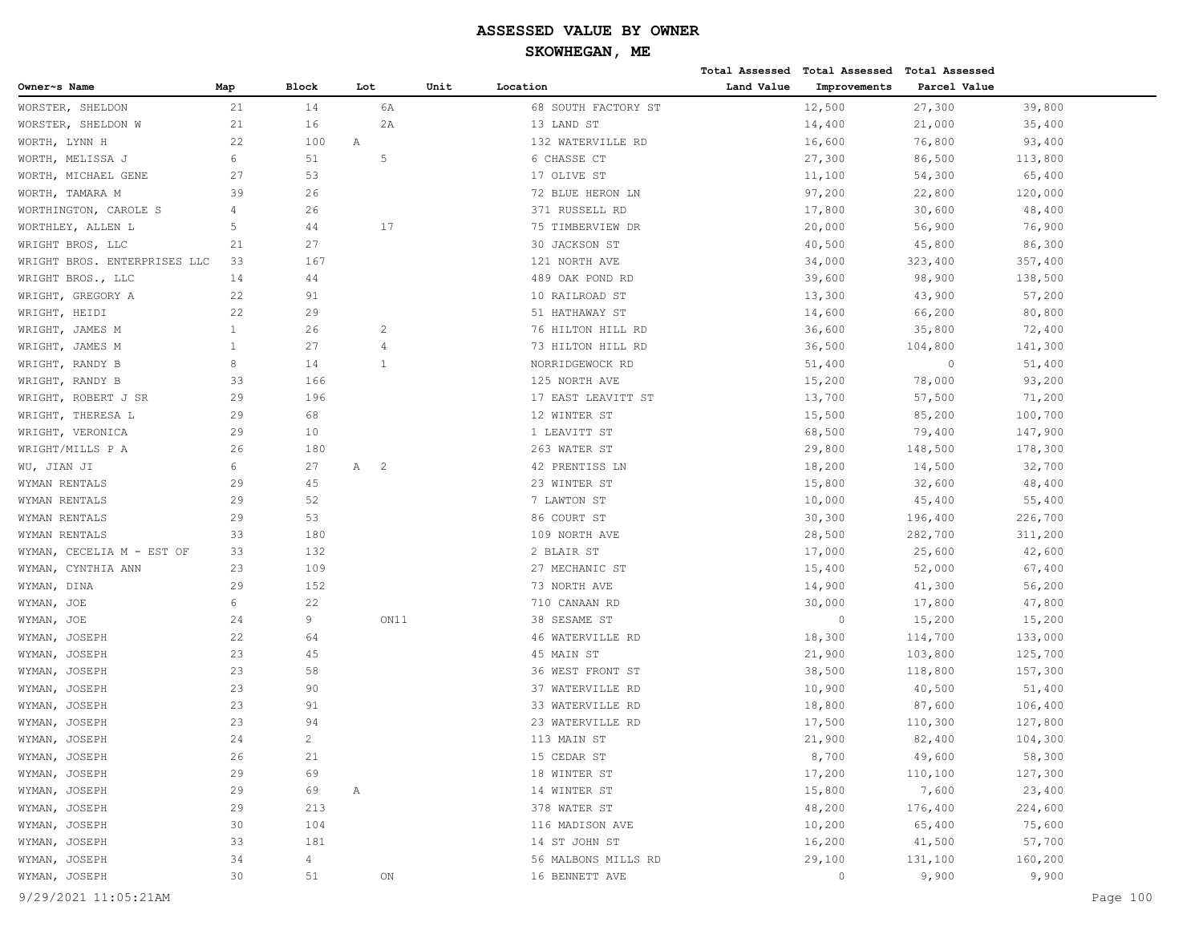| Owner~s Name<br>Map<br>Block<br>Lot<br>Unit<br>Location<br>Land Value<br>Improvements<br>Parcel Value<br>6A<br>21<br>14<br>68 SOUTH FACTORY ST<br>12,500<br>39,800<br>27,300<br>21<br>16<br>2A<br>13 LAND ST<br>14,400<br>WORSTER, SHELDON W<br>21,000<br>35,400<br>WORTH, LYNN H<br>22<br>100<br>Α<br>132 WATERVILLE RD<br>16,600<br>76,800<br>93,400<br>6<br>51<br>5<br>27,300<br>113,800<br>6 CHASSE CT<br>86,500<br>54,300<br>27<br>53<br>17 OLIVE ST<br>11,100<br>65,400<br>39<br>26<br>72 BLUE HERON LN<br>97,200<br>22,800<br>120,000<br>WORTHINGTON, CAROLE S<br>4<br>26<br>371 RUSSELL RD<br>17,800<br>30,600<br>48,400<br>17<br>5<br>44<br>75 TIMBERVIEW DR<br>20,000<br>56,900<br>76,900<br>21<br>27<br>30 JACKSON ST<br>40,500<br>45,800<br>86,300<br>121 NORTH AVE<br>33<br>167<br>34,000<br>323,400<br>357,400<br>14<br>44<br>489 OAK POND RD<br>39,600<br>98,900<br>138,500<br>22<br>91<br>10 RAILROAD ST<br>13,300<br>43,900<br>57,200<br>66,200<br>22<br>29<br>51 HATHAWAY ST<br>14,600<br>80,800<br>$\mathbf{1}$<br>26<br>36,600<br>35,800<br>72,400<br>WRIGHT, JAMES M<br>2<br>76 HILTON HILL RD<br>27<br>WRIGHT, JAMES M<br>1<br>$\overline{4}$<br>73 HILTON HILL RD<br>36,500<br>104,800<br>141,300<br>8<br>14<br>$\mathbf{1}$<br>NORRIDGEWOCK RD<br>51,400<br>$\circ$<br>51,400<br>33<br>166<br>125 NORTH AVE<br>15,200<br>78,000<br>93,200<br>29<br>196<br>WRIGHT, ROBERT J SR<br>17 EAST LEAVITT ST<br>13,700<br>57,500<br>71,200<br>68<br>29<br>12 WINTER ST<br>15,500<br>85,200<br>100,700<br>29<br>10<br>79,400<br>147,900<br>1 LEAVITT ST<br>68,500<br>263 WATER ST<br>26<br>180<br>29,800<br>148,500<br>178,300<br>6<br>27<br>42 PRENTISS LN<br>14,500<br>32,700<br>Α<br>$\overline{\phantom{0}}^2$<br>18,200<br>WYMAN RENTALS<br>29<br>45<br>23 WINTER ST<br>15,800<br>32,600<br>48,400<br>29<br>52<br>7 LAWTON ST<br>10,000<br>45,400<br>55,400<br>53<br>29<br>86 COURT ST<br>30,300<br>196,400<br>226,700<br>33<br>180<br>28,500<br>109 NORTH AVE<br>282,700<br>311,200<br>WYMAN, CECELIA M - EST OF<br>33<br>132<br>2 BLAIR ST<br>17,000<br>25,600<br>42,600<br>23<br>109<br>27 MECHANIC ST<br>15,400<br>52,000<br>67,400<br>29<br>152<br>73 NORTH AVE<br>14,900<br>41,300<br>56,200<br>6<br>22<br>17,800<br>47,800<br>WYMAN, JOE<br>710 CANAAN RD<br>30,000<br>9<br>WYMAN, JOE<br>24<br>ON11<br>38 SESAME ST<br>0<br>15,200<br>15,200<br>22<br>64<br>46 WATERVILLE RD<br>18,300<br>114,700<br>133,000<br>23<br>45<br>45 MAIN ST<br>21,900<br>103,800<br>125,700<br>23<br>58<br>38,500<br>JOSEPH<br>36 WEST FRONT ST<br>118,800<br>157,300<br>23<br>90<br>37 WATERVILLE RD<br>10,900<br>40,500<br>51,400<br>JOSEPH<br>23<br>91<br>33 WATERVILLE RD<br>18,800<br>87,600<br>106,400<br>JOSEPH<br>23<br>94<br>23 WATERVILLE RD<br>17,500<br>110,300<br>127,800<br>$\mathbf{2}^{\prime}$<br>21,900<br>82,400<br>24<br>113 MAIN ST<br>104,300<br>21<br>8,700<br>49,600<br>58,300<br>WYMAN, JOSEPH<br>26<br>15 CEDAR ST<br>29<br>69<br>17,200<br>110,100<br>127,300<br>18 WINTER ST<br>7,600<br>23,400<br>29<br>69<br>Α<br>14 WINTER ST<br>15,800<br>29<br>213<br>378 WATER ST<br>48,200<br>224,600<br>176,400<br>30<br>104<br>116 MADISON AVE<br>10,200<br>65,400<br>75,600<br>33<br>181<br>14 ST JOHN ST<br>16,200<br>41,500<br>57,700<br>$\overline{4}$<br>29,100<br>131,100<br>160,200<br>34<br>56 MALBONS MILLS RD<br>WYMAN, JOSEPH<br>51<br>16 BENNETT AVE<br>9,900<br>9,900<br>30<br>ON<br>$\circ$ |                              |  |  |  | Total Assessed Total Assessed Total Assessed |  |
|--------------------------------------------------------------------------------------------------------------------------------------------------------------------------------------------------------------------------------------------------------------------------------------------------------------------------------------------------------------------------------------------------------------------------------------------------------------------------------------------------------------------------------------------------------------------------------------------------------------------------------------------------------------------------------------------------------------------------------------------------------------------------------------------------------------------------------------------------------------------------------------------------------------------------------------------------------------------------------------------------------------------------------------------------------------------------------------------------------------------------------------------------------------------------------------------------------------------------------------------------------------------------------------------------------------------------------------------------------------------------------------------------------------------------------------------------------------------------------------------------------------------------------------------------------------------------------------------------------------------------------------------------------------------------------------------------------------------------------------------------------------------------------------------------------------------------------------------------------------------------------------------------------------------------------------------------------------------------------------------------------------------------------------------------------------------------------------------------------------------------------------------------------------------------------------------------------------------------------------------------------------------------------------------------------------------------------------------------------------------------------------------------------------------------------------------------------------------------------------------------------------------------------------------------------------------------------------------------------------------------------------------------------------------------------------------------------------------------------------------------------------------------------------------------------------------------------------------------------------------------------------------------------------------------------------------------------------------------------------------------------------------------------------------------------------------------------------------------------------------------------------------------------------------------------------------------------------------------------------------------------------------------------------------------------------------------------------------------------------------------------------------------------------------------------------|------------------------------|--|--|--|----------------------------------------------|--|
|                                                                                                                                                                                                                                                                                                                                                                                                                                                                                                                                                                                                                                                                                                                                                                                                                                                                                                                                                                                                                                                                                                                                                                                                                                                                                                                                                                                                                                                                                                                                                                                                                                                                                                                                                                                                                                                                                                                                                                                                                                                                                                                                                                                                                                                                                                                                                                                                                                                                                                                                                                                                                                                                                                                                                                                                                                                                                                                                                                                                                                                                                                                                                                                                                                                                                                                                                                                                                                      |                              |  |  |  |                                              |  |
|                                                                                                                                                                                                                                                                                                                                                                                                                                                                                                                                                                                                                                                                                                                                                                                                                                                                                                                                                                                                                                                                                                                                                                                                                                                                                                                                                                                                                                                                                                                                                                                                                                                                                                                                                                                                                                                                                                                                                                                                                                                                                                                                                                                                                                                                                                                                                                                                                                                                                                                                                                                                                                                                                                                                                                                                                                                                                                                                                                                                                                                                                                                                                                                                                                                                                                                                                                                                                                      | WORSTER, SHELDON             |  |  |  |                                              |  |
|                                                                                                                                                                                                                                                                                                                                                                                                                                                                                                                                                                                                                                                                                                                                                                                                                                                                                                                                                                                                                                                                                                                                                                                                                                                                                                                                                                                                                                                                                                                                                                                                                                                                                                                                                                                                                                                                                                                                                                                                                                                                                                                                                                                                                                                                                                                                                                                                                                                                                                                                                                                                                                                                                                                                                                                                                                                                                                                                                                                                                                                                                                                                                                                                                                                                                                                                                                                                                                      |                              |  |  |  |                                              |  |
|                                                                                                                                                                                                                                                                                                                                                                                                                                                                                                                                                                                                                                                                                                                                                                                                                                                                                                                                                                                                                                                                                                                                                                                                                                                                                                                                                                                                                                                                                                                                                                                                                                                                                                                                                                                                                                                                                                                                                                                                                                                                                                                                                                                                                                                                                                                                                                                                                                                                                                                                                                                                                                                                                                                                                                                                                                                                                                                                                                                                                                                                                                                                                                                                                                                                                                                                                                                                                                      |                              |  |  |  |                                              |  |
|                                                                                                                                                                                                                                                                                                                                                                                                                                                                                                                                                                                                                                                                                                                                                                                                                                                                                                                                                                                                                                                                                                                                                                                                                                                                                                                                                                                                                                                                                                                                                                                                                                                                                                                                                                                                                                                                                                                                                                                                                                                                                                                                                                                                                                                                                                                                                                                                                                                                                                                                                                                                                                                                                                                                                                                                                                                                                                                                                                                                                                                                                                                                                                                                                                                                                                                                                                                                                                      | WORTH, MELISSA J             |  |  |  |                                              |  |
|                                                                                                                                                                                                                                                                                                                                                                                                                                                                                                                                                                                                                                                                                                                                                                                                                                                                                                                                                                                                                                                                                                                                                                                                                                                                                                                                                                                                                                                                                                                                                                                                                                                                                                                                                                                                                                                                                                                                                                                                                                                                                                                                                                                                                                                                                                                                                                                                                                                                                                                                                                                                                                                                                                                                                                                                                                                                                                                                                                                                                                                                                                                                                                                                                                                                                                                                                                                                                                      | WORTH, MICHAEL GENE          |  |  |  |                                              |  |
|                                                                                                                                                                                                                                                                                                                                                                                                                                                                                                                                                                                                                                                                                                                                                                                                                                                                                                                                                                                                                                                                                                                                                                                                                                                                                                                                                                                                                                                                                                                                                                                                                                                                                                                                                                                                                                                                                                                                                                                                                                                                                                                                                                                                                                                                                                                                                                                                                                                                                                                                                                                                                                                                                                                                                                                                                                                                                                                                                                                                                                                                                                                                                                                                                                                                                                                                                                                                                                      | WORTH, TAMARA M              |  |  |  |                                              |  |
|                                                                                                                                                                                                                                                                                                                                                                                                                                                                                                                                                                                                                                                                                                                                                                                                                                                                                                                                                                                                                                                                                                                                                                                                                                                                                                                                                                                                                                                                                                                                                                                                                                                                                                                                                                                                                                                                                                                                                                                                                                                                                                                                                                                                                                                                                                                                                                                                                                                                                                                                                                                                                                                                                                                                                                                                                                                                                                                                                                                                                                                                                                                                                                                                                                                                                                                                                                                                                                      |                              |  |  |  |                                              |  |
|                                                                                                                                                                                                                                                                                                                                                                                                                                                                                                                                                                                                                                                                                                                                                                                                                                                                                                                                                                                                                                                                                                                                                                                                                                                                                                                                                                                                                                                                                                                                                                                                                                                                                                                                                                                                                                                                                                                                                                                                                                                                                                                                                                                                                                                                                                                                                                                                                                                                                                                                                                                                                                                                                                                                                                                                                                                                                                                                                                                                                                                                                                                                                                                                                                                                                                                                                                                                                                      | WORTHLEY, ALLEN L            |  |  |  |                                              |  |
|                                                                                                                                                                                                                                                                                                                                                                                                                                                                                                                                                                                                                                                                                                                                                                                                                                                                                                                                                                                                                                                                                                                                                                                                                                                                                                                                                                                                                                                                                                                                                                                                                                                                                                                                                                                                                                                                                                                                                                                                                                                                                                                                                                                                                                                                                                                                                                                                                                                                                                                                                                                                                                                                                                                                                                                                                                                                                                                                                                                                                                                                                                                                                                                                                                                                                                                                                                                                                                      | WRIGHT BROS, LLC             |  |  |  |                                              |  |
|                                                                                                                                                                                                                                                                                                                                                                                                                                                                                                                                                                                                                                                                                                                                                                                                                                                                                                                                                                                                                                                                                                                                                                                                                                                                                                                                                                                                                                                                                                                                                                                                                                                                                                                                                                                                                                                                                                                                                                                                                                                                                                                                                                                                                                                                                                                                                                                                                                                                                                                                                                                                                                                                                                                                                                                                                                                                                                                                                                                                                                                                                                                                                                                                                                                                                                                                                                                                                                      | WRIGHT BROS. ENTERPRISES LLC |  |  |  |                                              |  |
|                                                                                                                                                                                                                                                                                                                                                                                                                                                                                                                                                                                                                                                                                                                                                                                                                                                                                                                                                                                                                                                                                                                                                                                                                                                                                                                                                                                                                                                                                                                                                                                                                                                                                                                                                                                                                                                                                                                                                                                                                                                                                                                                                                                                                                                                                                                                                                                                                                                                                                                                                                                                                                                                                                                                                                                                                                                                                                                                                                                                                                                                                                                                                                                                                                                                                                                                                                                                                                      | WRIGHT BROS., LLC            |  |  |  |                                              |  |
|                                                                                                                                                                                                                                                                                                                                                                                                                                                                                                                                                                                                                                                                                                                                                                                                                                                                                                                                                                                                                                                                                                                                                                                                                                                                                                                                                                                                                                                                                                                                                                                                                                                                                                                                                                                                                                                                                                                                                                                                                                                                                                                                                                                                                                                                                                                                                                                                                                                                                                                                                                                                                                                                                                                                                                                                                                                                                                                                                                                                                                                                                                                                                                                                                                                                                                                                                                                                                                      | WRIGHT, GREGORY A            |  |  |  |                                              |  |
|                                                                                                                                                                                                                                                                                                                                                                                                                                                                                                                                                                                                                                                                                                                                                                                                                                                                                                                                                                                                                                                                                                                                                                                                                                                                                                                                                                                                                                                                                                                                                                                                                                                                                                                                                                                                                                                                                                                                                                                                                                                                                                                                                                                                                                                                                                                                                                                                                                                                                                                                                                                                                                                                                                                                                                                                                                                                                                                                                                                                                                                                                                                                                                                                                                                                                                                                                                                                                                      | WRIGHT, HEIDI                |  |  |  |                                              |  |
|                                                                                                                                                                                                                                                                                                                                                                                                                                                                                                                                                                                                                                                                                                                                                                                                                                                                                                                                                                                                                                                                                                                                                                                                                                                                                                                                                                                                                                                                                                                                                                                                                                                                                                                                                                                                                                                                                                                                                                                                                                                                                                                                                                                                                                                                                                                                                                                                                                                                                                                                                                                                                                                                                                                                                                                                                                                                                                                                                                                                                                                                                                                                                                                                                                                                                                                                                                                                                                      |                              |  |  |  |                                              |  |
|                                                                                                                                                                                                                                                                                                                                                                                                                                                                                                                                                                                                                                                                                                                                                                                                                                                                                                                                                                                                                                                                                                                                                                                                                                                                                                                                                                                                                                                                                                                                                                                                                                                                                                                                                                                                                                                                                                                                                                                                                                                                                                                                                                                                                                                                                                                                                                                                                                                                                                                                                                                                                                                                                                                                                                                                                                                                                                                                                                                                                                                                                                                                                                                                                                                                                                                                                                                                                                      |                              |  |  |  |                                              |  |
|                                                                                                                                                                                                                                                                                                                                                                                                                                                                                                                                                                                                                                                                                                                                                                                                                                                                                                                                                                                                                                                                                                                                                                                                                                                                                                                                                                                                                                                                                                                                                                                                                                                                                                                                                                                                                                                                                                                                                                                                                                                                                                                                                                                                                                                                                                                                                                                                                                                                                                                                                                                                                                                                                                                                                                                                                                                                                                                                                                                                                                                                                                                                                                                                                                                                                                                                                                                                                                      | WRIGHT, RANDY B              |  |  |  |                                              |  |
|                                                                                                                                                                                                                                                                                                                                                                                                                                                                                                                                                                                                                                                                                                                                                                                                                                                                                                                                                                                                                                                                                                                                                                                                                                                                                                                                                                                                                                                                                                                                                                                                                                                                                                                                                                                                                                                                                                                                                                                                                                                                                                                                                                                                                                                                                                                                                                                                                                                                                                                                                                                                                                                                                                                                                                                                                                                                                                                                                                                                                                                                                                                                                                                                                                                                                                                                                                                                                                      | WRIGHT, RANDY B              |  |  |  |                                              |  |
|                                                                                                                                                                                                                                                                                                                                                                                                                                                                                                                                                                                                                                                                                                                                                                                                                                                                                                                                                                                                                                                                                                                                                                                                                                                                                                                                                                                                                                                                                                                                                                                                                                                                                                                                                                                                                                                                                                                                                                                                                                                                                                                                                                                                                                                                                                                                                                                                                                                                                                                                                                                                                                                                                                                                                                                                                                                                                                                                                                                                                                                                                                                                                                                                                                                                                                                                                                                                                                      |                              |  |  |  |                                              |  |
|                                                                                                                                                                                                                                                                                                                                                                                                                                                                                                                                                                                                                                                                                                                                                                                                                                                                                                                                                                                                                                                                                                                                                                                                                                                                                                                                                                                                                                                                                                                                                                                                                                                                                                                                                                                                                                                                                                                                                                                                                                                                                                                                                                                                                                                                                                                                                                                                                                                                                                                                                                                                                                                                                                                                                                                                                                                                                                                                                                                                                                                                                                                                                                                                                                                                                                                                                                                                                                      | WRIGHT, THERESA L            |  |  |  |                                              |  |
|                                                                                                                                                                                                                                                                                                                                                                                                                                                                                                                                                                                                                                                                                                                                                                                                                                                                                                                                                                                                                                                                                                                                                                                                                                                                                                                                                                                                                                                                                                                                                                                                                                                                                                                                                                                                                                                                                                                                                                                                                                                                                                                                                                                                                                                                                                                                                                                                                                                                                                                                                                                                                                                                                                                                                                                                                                                                                                                                                                                                                                                                                                                                                                                                                                                                                                                                                                                                                                      | WRIGHT, VERONICA             |  |  |  |                                              |  |
|                                                                                                                                                                                                                                                                                                                                                                                                                                                                                                                                                                                                                                                                                                                                                                                                                                                                                                                                                                                                                                                                                                                                                                                                                                                                                                                                                                                                                                                                                                                                                                                                                                                                                                                                                                                                                                                                                                                                                                                                                                                                                                                                                                                                                                                                                                                                                                                                                                                                                                                                                                                                                                                                                                                                                                                                                                                                                                                                                                                                                                                                                                                                                                                                                                                                                                                                                                                                                                      | WRIGHT/MILLS P A             |  |  |  |                                              |  |
|                                                                                                                                                                                                                                                                                                                                                                                                                                                                                                                                                                                                                                                                                                                                                                                                                                                                                                                                                                                                                                                                                                                                                                                                                                                                                                                                                                                                                                                                                                                                                                                                                                                                                                                                                                                                                                                                                                                                                                                                                                                                                                                                                                                                                                                                                                                                                                                                                                                                                                                                                                                                                                                                                                                                                                                                                                                                                                                                                                                                                                                                                                                                                                                                                                                                                                                                                                                                                                      | WU, JIAN JI                  |  |  |  |                                              |  |
|                                                                                                                                                                                                                                                                                                                                                                                                                                                                                                                                                                                                                                                                                                                                                                                                                                                                                                                                                                                                                                                                                                                                                                                                                                                                                                                                                                                                                                                                                                                                                                                                                                                                                                                                                                                                                                                                                                                                                                                                                                                                                                                                                                                                                                                                                                                                                                                                                                                                                                                                                                                                                                                                                                                                                                                                                                                                                                                                                                                                                                                                                                                                                                                                                                                                                                                                                                                                                                      |                              |  |  |  |                                              |  |
|                                                                                                                                                                                                                                                                                                                                                                                                                                                                                                                                                                                                                                                                                                                                                                                                                                                                                                                                                                                                                                                                                                                                                                                                                                                                                                                                                                                                                                                                                                                                                                                                                                                                                                                                                                                                                                                                                                                                                                                                                                                                                                                                                                                                                                                                                                                                                                                                                                                                                                                                                                                                                                                                                                                                                                                                                                                                                                                                                                                                                                                                                                                                                                                                                                                                                                                                                                                                                                      | WYMAN RENTALS                |  |  |  |                                              |  |
|                                                                                                                                                                                                                                                                                                                                                                                                                                                                                                                                                                                                                                                                                                                                                                                                                                                                                                                                                                                                                                                                                                                                                                                                                                                                                                                                                                                                                                                                                                                                                                                                                                                                                                                                                                                                                                                                                                                                                                                                                                                                                                                                                                                                                                                                                                                                                                                                                                                                                                                                                                                                                                                                                                                                                                                                                                                                                                                                                                                                                                                                                                                                                                                                                                                                                                                                                                                                                                      | WYMAN RENTALS                |  |  |  |                                              |  |
|                                                                                                                                                                                                                                                                                                                                                                                                                                                                                                                                                                                                                                                                                                                                                                                                                                                                                                                                                                                                                                                                                                                                                                                                                                                                                                                                                                                                                                                                                                                                                                                                                                                                                                                                                                                                                                                                                                                                                                                                                                                                                                                                                                                                                                                                                                                                                                                                                                                                                                                                                                                                                                                                                                                                                                                                                                                                                                                                                                                                                                                                                                                                                                                                                                                                                                                                                                                                                                      | WYMAN RENTALS                |  |  |  |                                              |  |
|                                                                                                                                                                                                                                                                                                                                                                                                                                                                                                                                                                                                                                                                                                                                                                                                                                                                                                                                                                                                                                                                                                                                                                                                                                                                                                                                                                                                                                                                                                                                                                                                                                                                                                                                                                                                                                                                                                                                                                                                                                                                                                                                                                                                                                                                                                                                                                                                                                                                                                                                                                                                                                                                                                                                                                                                                                                                                                                                                                                                                                                                                                                                                                                                                                                                                                                                                                                                                                      |                              |  |  |  |                                              |  |
|                                                                                                                                                                                                                                                                                                                                                                                                                                                                                                                                                                                                                                                                                                                                                                                                                                                                                                                                                                                                                                                                                                                                                                                                                                                                                                                                                                                                                                                                                                                                                                                                                                                                                                                                                                                                                                                                                                                                                                                                                                                                                                                                                                                                                                                                                                                                                                                                                                                                                                                                                                                                                                                                                                                                                                                                                                                                                                                                                                                                                                                                                                                                                                                                                                                                                                                                                                                                                                      | WYMAN, CYNTHIA ANN           |  |  |  |                                              |  |
|                                                                                                                                                                                                                                                                                                                                                                                                                                                                                                                                                                                                                                                                                                                                                                                                                                                                                                                                                                                                                                                                                                                                                                                                                                                                                                                                                                                                                                                                                                                                                                                                                                                                                                                                                                                                                                                                                                                                                                                                                                                                                                                                                                                                                                                                                                                                                                                                                                                                                                                                                                                                                                                                                                                                                                                                                                                                                                                                                                                                                                                                                                                                                                                                                                                                                                                                                                                                                                      | WYMAN, DINA                  |  |  |  |                                              |  |
|                                                                                                                                                                                                                                                                                                                                                                                                                                                                                                                                                                                                                                                                                                                                                                                                                                                                                                                                                                                                                                                                                                                                                                                                                                                                                                                                                                                                                                                                                                                                                                                                                                                                                                                                                                                                                                                                                                                                                                                                                                                                                                                                                                                                                                                                                                                                                                                                                                                                                                                                                                                                                                                                                                                                                                                                                                                                                                                                                                                                                                                                                                                                                                                                                                                                                                                                                                                                                                      |                              |  |  |  |                                              |  |
|                                                                                                                                                                                                                                                                                                                                                                                                                                                                                                                                                                                                                                                                                                                                                                                                                                                                                                                                                                                                                                                                                                                                                                                                                                                                                                                                                                                                                                                                                                                                                                                                                                                                                                                                                                                                                                                                                                                                                                                                                                                                                                                                                                                                                                                                                                                                                                                                                                                                                                                                                                                                                                                                                                                                                                                                                                                                                                                                                                                                                                                                                                                                                                                                                                                                                                                                                                                                                                      |                              |  |  |  |                                              |  |
|                                                                                                                                                                                                                                                                                                                                                                                                                                                                                                                                                                                                                                                                                                                                                                                                                                                                                                                                                                                                                                                                                                                                                                                                                                                                                                                                                                                                                                                                                                                                                                                                                                                                                                                                                                                                                                                                                                                                                                                                                                                                                                                                                                                                                                                                                                                                                                                                                                                                                                                                                                                                                                                                                                                                                                                                                                                                                                                                                                                                                                                                                                                                                                                                                                                                                                                                                                                                                                      | WYMAN, JOSEPH                |  |  |  |                                              |  |
|                                                                                                                                                                                                                                                                                                                                                                                                                                                                                                                                                                                                                                                                                                                                                                                                                                                                                                                                                                                                                                                                                                                                                                                                                                                                                                                                                                                                                                                                                                                                                                                                                                                                                                                                                                                                                                                                                                                                                                                                                                                                                                                                                                                                                                                                                                                                                                                                                                                                                                                                                                                                                                                                                                                                                                                                                                                                                                                                                                                                                                                                                                                                                                                                                                                                                                                                                                                                                                      | WYMAN, JOSEPH                |  |  |  |                                              |  |
|                                                                                                                                                                                                                                                                                                                                                                                                                                                                                                                                                                                                                                                                                                                                                                                                                                                                                                                                                                                                                                                                                                                                                                                                                                                                                                                                                                                                                                                                                                                                                                                                                                                                                                                                                                                                                                                                                                                                                                                                                                                                                                                                                                                                                                                                                                                                                                                                                                                                                                                                                                                                                                                                                                                                                                                                                                                                                                                                                                                                                                                                                                                                                                                                                                                                                                                                                                                                                                      | WYMAN,                       |  |  |  |                                              |  |
|                                                                                                                                                                                                                                                                                                                                                                                                                                                                                                                                                                                                                                                                                                                                                                                                                                                                                                                                                                                                                                                                                                                                                                                                                                                                                                                                                                                                                                                                                                                                                                                                                                                                                                                                                                                                                                                                                                                                                                                                                                                                                                                                                                                                                                                                                                                                                                                                                                                                                                                                                                                                                                                                                                                                                                                                                                                                                                                                                                                                                                                                                                                                                                                                                                                                                                                                                                                                                                      | WYMAN,                       |  |  |  |                                              |  |
|                                                                                                                                                                                                                                                                                                                                                                                                                                                                                                                                                                                                                                                                                                                                                                                                                                                                                                                                                                                                                                                                                                                                                                                                                                                                                                                                                                                                                                                                                                                                                                                                                                                                                                                                                                                                                                                                                                                                                                                                                                                                                                                                                                                                                                                                                                                                                                                                                                                                                                                                                                                                                                                                                                                                                                                                                                                                                                                                                                                                                                                                                                                                                                                                                                                                                                                                                                                                                                      | WYMAN,                       |  |  |  |                                              |  |
|                                                                                                                                                                                                                                                                                                                                                                                                                                                                                                                                                                                                                                                                                                                                                                                                                                                                                                                                                                                                                                                                                                                                                                                                                                                                                                                                                                                                                                                                                                                                                                                                                                                                                                                                                                                                                                                                                                                                                                                                                                                                                                                                                                                                                                                                                                                                                                                                                                                                                                                                                                                                                                                                                                                                                                                                                                                                                                                                                                                                                                                                                                                                                                                                                                                                                                                                                                                                                                      | WYMAN, JOSEPH                |  |  |  |                                              |  |
|                                                                                                                                                                                                                                                                                                                                                                                                                                                                                                                                                                                                                                                                                                                                                                                                                                                                                                                                                                                                                                                                                                                                                                                                                                                                                                                                                                                                                                                                                                                                                                                                                                                                                                                                                                                                                                                                                                                                                                                                                                                                                                                                                                                                                                                                                                                                                                                                                                                                                                                                                                                                                                                                                                                                                                                                                                                                                                                                                                                                                                                                                                                                                                                                                                                                                                                                                                                                                                      | WYMAN, JOSEPH                |  |  |  |                                              |  |
|                                                                                                                                                                                                                                                                                                                                                                                                                                                                                                                                                                                                                                                                                                                                                                                                                                                                                                                                                                                                                                                                                                                                                                                                                                                                                                                                                                                                                                                                                                                                                                                                                                                                                                                                                                                                                                                                                                                                                                                                                                                                                                                                                                                                                                                                                                                                                                                                                                                                                                                                                                                                                                                                                                                                                                                                                                                                                                                                                                                                                                                                                                                                                                                                                                                                                                                                                                                                                                      |                              |  |  |  |                                              |  |
|                                                                                                                                                                                                                                                                                                                                                                                                                                                                                                                                                                                                                                                                                                                                                                                                                                                                                                                                                                                                                                                                                                                                                                                                                                                                                                                                                                                                                                                                                                                                                                                                                                                                                                                                                                                                                                                                                                                                                                                                                                                                                                                                                                                                                                                                                                                                                                                                                                                                                                                                                                                                                                                                                                                                                                                                                                                                                                                                                                                                                                                                                                                                                                                                                                                                                                                                                                                                                                      | WYMAN, JOSEPH                |  |  |  |                                              |  |
|                                                                                                                                                                                                                                                                                                                                                                                                                                                                                                                                                                                                                                                                                                                                                                                                                                                                                                                                                                                                                                                                                                                                                                                                                                                                                                                                                                                                                                                                                                                                                                                                                                                                                                                                                                                                                                                                                                                                                                                                                                                                                                                                                                                                                                                                                                                                                                                                                                                                                                                                                                                                                                                                                                                                                                                                                                                                                                                                                                                                                                                                                                                                                                                                                                                                                                                                                                                                                                      | WYMAN, JOSEPH                |  |  |  |                                              |  |
|                                                                                                                                                                                                                                                                                                                                                                                                                                                                                                                                                                                                                                                                                                                                                                                                                                                                                                                                                                                                                                                                                                                                                                                                                                                                                                                                                                                                                                                                                                                                                                                                                                                                                                                                                                                                                                                                                                                                                                                                                                                                                                                                                                                                                                                                                                                                                                                                                                                                                                                                                                                                                                                                                                                                                                                                                                                                                                                                                                                                                                                                                                                                                                                                                                                                                                                                                                                                                                      | WYMAN, JOSEPH                |  |  |  |                                              |  |
|                                                                                                                                                                                                                                                                                                                                                                                                                                                                                                                                                                                                                                                                                                                                                                                                                                                                                                                                                                                                                                                                                                                                                                                                                                                                                                                                                                                                                                                                                                                                                                                                                                                                                                                                                                                                                                                                                                                                                                                                                                                                                                                                                                                                                                                                                                                                                                                                                                                                                                                                                                                                                                                                                                                                                                                                                                                                                                                                                                                                                                                                                                                                                                                                                                                                                                                                                                                                                                      | WYMAN, JOSEPH                |  |  |  |                                              |  |
|                                                                                                                                                                                                                                                                                                                                                                                                                                                                                                                                                                                                                                                                                                                                                                                                                                                                                                                                                                                                                                                                                                                                                                                                                                                                                                                                                                                                                                                                                                                                                                                                                                                                                                                                                                                                                                                                                                                                                                                                                                                                                                                                                                                                                                                                                                                                                                                                                                                                                                                                                                                                                                                                                                                                                                                                                                                                                                                                                                                                                                                                                                                                                                                                                                                                                                                                                                                                                                      | WYMAN, JOSEPH                |  |  |  |                                              |  |
|                                                                                                                                                                                                                                                                                                                                                                                                                                                                                                                                                                                                                                                                                                                                                                                                                                                                                                                                                                                                                                                                                                                                                                                                                                                                                                                                                                                                                                                                                                                                                                                                                                                                                                                                                                                                                                                                                                                                                                                                                                                                                                                                                                                                                                                                                                                                                                                                                                                                                                                                                                                                                                                                                                                                                                                                                                                                                                                                                                                                                                                                                                                                                                                                                                                                                                                                                                                                                                      | WYMAN, JOSEPH                |  |  |  |                                              |  |
|                                                                                                                                                                                                                                                                                                                                                                                                                                                                                                                                                                                                                                                                                                                                                                                                                                                                                                                                                                                                                                                                                                                                                                                                                                                                                                                                                                                                                                                                                                                                                                                                                                                                                                                                                                                                                                                                                                                                                                                                                                                                                                                                                                                                                                                                                                                                                                                                                                                                                                                                                                                                                                                                                                                                                                                                                                                                                                                                                                                                                                                                                                                                                                                                                                                                                                                                                                                                                                      |                              |  |  |  |                                              |  |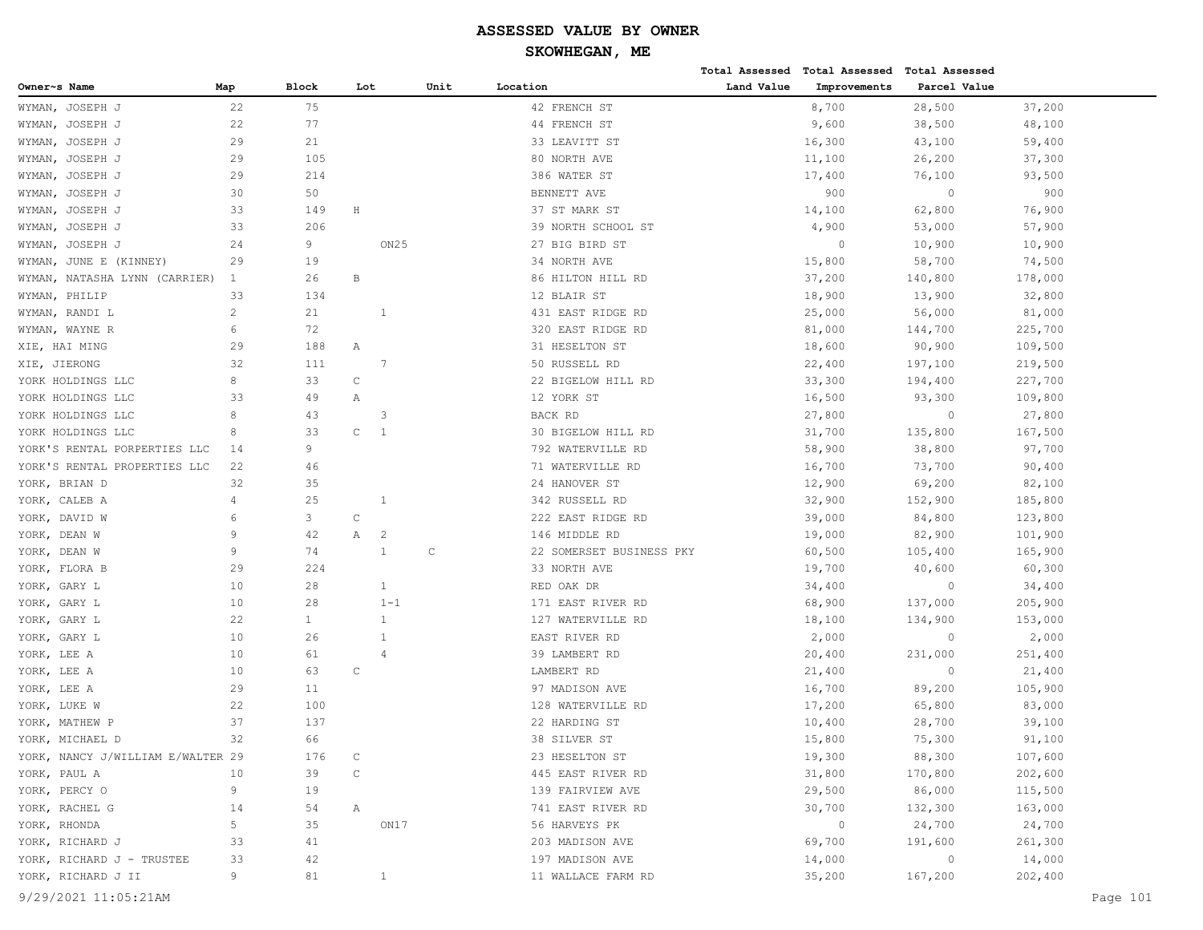|                                   |                |              |                     |      |                          |            | Total Assessed Total Assessed Total Assessed |              |         |          |
|-----------------------------------|----------------|--------------|---------------------|------|--------------------------|------------|----------------------------------------------|--------------|---------|----------|
| Owner~s Name                      | Map            | <b>Block</b> | Lot                 | Unit | Location                 | Land Value | Improvements                                 | Parcel Value |         |          |
| WYMAN, JOSEPH J                   | 22             | 75           |                     |      | 42 FRENCH ST             |            | 8,700                                        | 28,500       | 37,200  |          |
| WYMAN,<br>JOSEPH J                | 22             | 77           |                     |      | 44 FRENCH ST             |            | 9,600                                        | 38,500       | 48,100  |          |
| JOSEPH J<br>WYMAN,                | 29             | 21           |                     |      | 33 LEAVITT ST            |            | 16,300                                       | 43,100       | 59,400  |          |
| JOSEPH J<br>WYMAN,                | 29             | 105          |                     |      | 80 NORTH AVE             |            | 11,100                                       | 26,200       | 37,300  |          |
| JOSEPH J<br>WYMAN,                | 29             | 214          |                     |      | 386 WATER ST             |            | 17,400                                       | 76,100       | 93,500  |          |
| WYMAN,<br>JOSEPH J                | 30             | 50           |                     |      | BENNETT AVE              |            | 900                                          | $\circ$      | 900     |          |
| JOSEPH J<br>WYMAN,                | 33             | 149          | $\rm H$             |      | 37 ST MARK ST            |            | 14,100                                       | 62,800       | 76,900  |          |
| WYMAN,<br>JOSEPH J                | 33             | 206          |                     |      | 39 NORTH SCHOOL ST       |            | 4,900                                        | 53,000       | 57,900  |          |
| WYMAN,<br>JOSEPH J                | 24             | 9            | ON <sub>25</sub>    |      | 27 BIG BIRD ST           |            | $\circ$                                      | 10,900       | 10,900  |          |
| JUNE E (KINNEY)<br>WYMAN,         | 29             | 19           |                     |      | 34 NORTH AVE             |            | 15,800                                       | 58,700       | 74,500  |          |
| WYMAN,<br>NATASHA LYNN (CARRIER)  | $\mathbf{1}$   | 26           | В                   |      | 86 HILTON HILL RD        |            | 37,200                                       | 140,800      | 178,000 |          |
| PHILIP<br>WYMAN,                  | 33             | 134          |                     |      | 12 BLAIR ST              |            | 18,900                                       | 13,900       | 32,800  |          |
| WYMAN, RANDI L                    | $\overline{c}$ | 21           | 1                   |      | 431 EAST RIDGE RD        |            | 25,000                                       | 56,000       | 81,000  |          |
| WYMAN, WAYNE R                    | 6              | 72           |                     |      | 320 EAST RIDGE RD        |            | 81,000                                       | 144,700      | 225,700 |          |
| XIE, HAI MING                     | 29             | 188          | Α                   |      | 31 HESELTON ST           |            | 18,600                                       | 90,900       | 109,500 |          |
| XIE, JIERONG                      | 32             | 111          | 7                   |      | 50 RUSSELL RD            |            | 22,400                                       | 197,100      | 219,500 |          |
| YORK HOLDINGS LLC                 | 8              | 33           | $\mathsf{C}$        |      | 22 BIGELOW HILL RD       |            | 33,300                                       | 194,400      | 227,700 |          |
| YORK HOLDINGS LLC                 | 33             | 49           | Α                   |      | 12 YORK ST               |            | 16,500                                       | 93,300       | 109,800 |          |
| YORK HOLDINGS LLC                 | 8              | 43           | 3                   |      | BACK RD                  |            | 27,800                                       | $\circ$      | 27,800  |          |
| YORK HOLDINGS LLC                 | 8              | 33           | $\mathsf C$<br>-1   |      | 30 BIGELOW HILL RD       |            | 31,700                                       | 135,800      | 167,500 |          |
| YORK'S RENTAL PORPERTIES LLC      | 14             | 9            |                     |      | 792 WATERVILLE RD        |            | 58,900                                       | 38,800       | 97,700  |          |
| YORK'S RENTAL PROPERTIES LLC      | 22             | 46           |                     |      | 71 WATERVILLE RD         |            | 16,700                                       | 73,700       | 90,400  |          |
| YORK, BRIAN D                     | 32             | 35           |                     |      | 24 HANOVER ST            |            | 12,900                                       | 69,200       | 82,100  |          |
| YORK, CALEB A                     | 4              | 25           | 1                   |      | 342 RUSSELL RD           |            | 32,900                                       | 152,900      | 185,800 |          |
| YORK, DAVID W                     | 6              | 3            | $\mathsf{C}$        |      | 222 EAST RIDGE RD        |            | 39,000                                       | 84,800       | 123,800 |          |
| YORK, DEAN W                      | 9              | 42           | Α<br>$\overline{c}$ |      | 146 MIDDLE RD            |            | 19,000                                       | 82,900       | 101,900 |          |
| YORK, DEAN W                      | 9              | 74           | 1                   | С    | 22 SOMERSET BUSINESS PKY |            | 60,500                                       | 105,400      | 165,900 |          |
| YORK, FLORA B                     | 29             | 224          |                     |      | 33 NORTH AVE             |            | 19,700                                       | 40,600       | 60,300  |          |
| YORK, GARY L                      | 10             | 28           | $\mathbf{1}$        |      | RED OAK DR               |            | 34,400                                       | $\circ$      | 34,400  |          |
| YORK, GARY L                      | 10             | 28           | $1 - 1$             |      | 171 EAST RIVER RD        |            | 68,900                                       | 137,000      | 205,900 |          |
| YORK, GARY L                      | 22             | $\mathbf{1}$ | 1                   |      | 127 WATERVILLE RD        |            | 18,100                                       | 134,900      | 153,000 |          |
| YORK, GARY L                      | 10             | 26           | -1                  |      | EAST RIVER RD            |            | 2,000                                        | $\circ$      | 2,000   |          |
| YORK, LEE A                       | 10             | 61           | $\overline{4}$      |      | 39 LAMBERT RD            |            | 20,400                                       | 231,000      | 251,400 |          |
| YORK, LEE A                       | 10             | 63           | $\mathsf C$         |      | LAMBERT RD               |            | 21,400                                       | $\circ$      | 21,400  |          |
| YORK, LEE A                       | 29             | 11           |                     |      | 97 MADISON AVE           |            | 16,700                                       | 89,200       | 105,900 |          |
| YORK, LUKE W                      | 22             | 100          |                     |      | 128 WATERVILLE RD        |            | 17,200                                       | 65,800       | 83,000  |          |
| YORK, MATHEW P                    | 37             | 137          |                     |      | 22 HARDING ST            |            | 10,400                                       | 28,700       | 39,100  |          |
| YORK, MICHAEL D                   | 32             | 66           |                     |      | 38 SILVER ST             |            | 15,800                                       | 75,300       | 91,100  |          |
| YORK, NANCY J/WILLIAM E/WALTER 29 |                | 176          | C                   |      | 23 HESELTON ST           |            | 19,300                                       | 88,300       | 107,600 |          |
| YORK, PAUL A                      | 10             | 39           | $\mathsf{C}$        |      | 445 EAST RIVER RD        |            | 31,800                                       | 170,800      | 202,600 |          |
| YORK, PERCY O                     | 9              | 19           |                     |      | 139 FAIRVIEW AVE         |            | 29,500                                       | 86,000       | 115,500 |          |
| YORK, RACHEL G                    | 14             | 54           | Α                   |      | 741 EAST RIVER RD        |            | 30,700                                       | 132,300      | 163,000 |          |
| YORK, RHONDA                      | 5              | 35           | ON17                |      | 56 HARVEYS PK            |            | $\circ$                                      | 24,700       | 24,700  |          |
| YORK, RICHARD J                   | 33             | 41           |                     |      | 203 MADISON AVE          |            | 69,700                                       | 191,600      | 261,300 |          |
| YORK, RICHARD J - TRUSTEE         | 33             | 42           |                     |      | 197 MADISON AVE          |            | 14,000                                       | $\circ$      | 14,000  |          |
| YORK, RICHARD J II                | 9              | 81           | $\mathbf{1}$        |      | 11 WALLACE FARM RD       |            | 35,200                                       | 167,200      | 202,400 |          |
| 9/29/2021 11:05:21AM              |                |              |                     |      |                          |            |                                              |              |         | Page 101 |